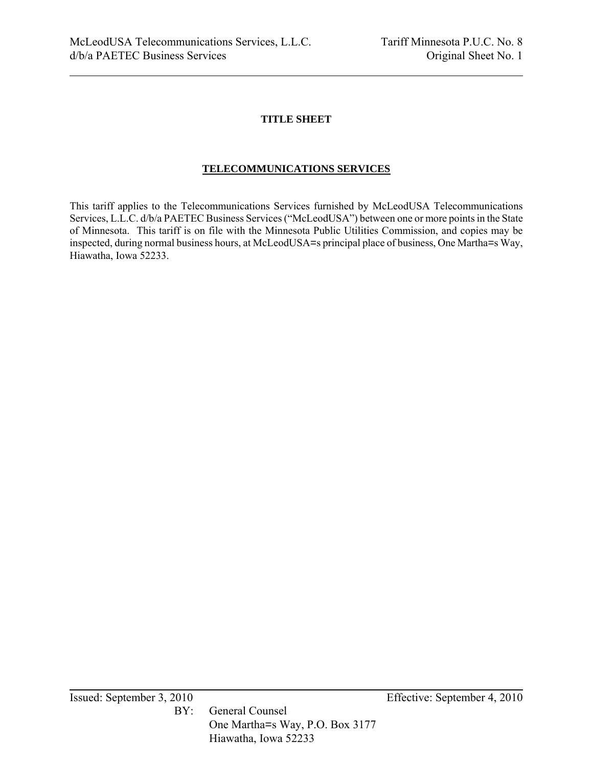# **TITLE SHEET**

### **TELECOMMUNICATIONS SERVICES**

This tariff applies to the Telecommunications Services furnished by McLeodUSA Telecommunications Services, L.L.C. d/b/a PAETEC Business Services ("McLeodUSA") between one or more points in the State of Minnesota. This tariff is on file with the Minnesota Public Utilities Commission, and copies may be inspected, during normal business hours, at McLeodUSA=s principal place of business, One Martha=s Way, Hiawatha, Iowa 52233.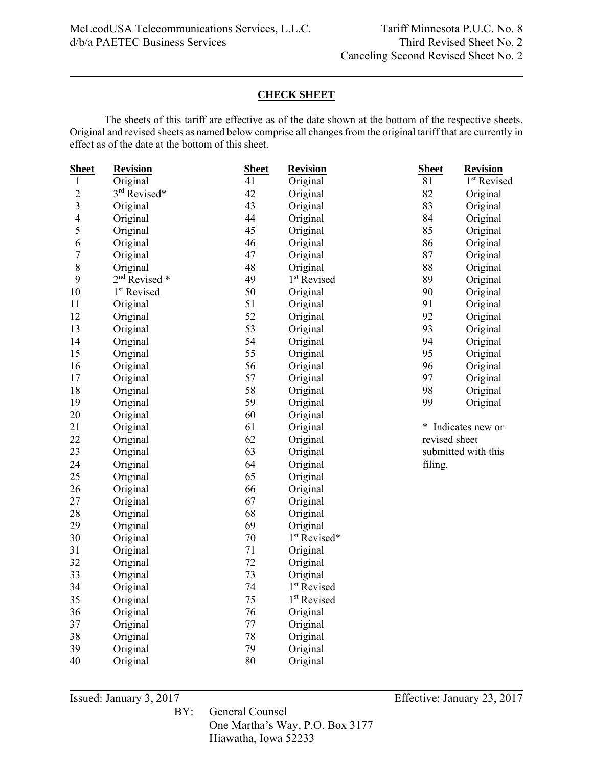### **CHECK SHEET**

The sheets of this tariff are effective as of the date shown at the bottom of the respective sheets. Original and revised sheets as named below comprise all changes from the original tariff that are currently in effect as of the date at the bottom of this sheet.

| <b>Sheet</b>   | <b>Revision</b>         | <b>Sheet</b> | <b>Revision</b>          | <b>Sheet</b>  | <b>Revision</b>      |
|----------------|-------------------------|--------------|--------------------------|---------------|----------------------|
| $\mathbf{1}$   | Original                | 41           | Original                 | 81            | $1^{\rm st}$ Revised |
| $\overline{2}$ | 3rd Revised*            | 42           | Original                 | 82            | Original             |
| $\overline{3}$ | Original                | 43           | Original                 | 83            | Original             |
| $\overline{4}$ | Original                | 44           | Original                 | 84            | Original             |
| 5              | Original                | 45           | Original                 | 85            | Original             |
| 6              | Original                | 46           | Original                 | 86            | Original             |
| $\tau$         | Original                | 47           | Original                 | 87            | Original             |
| 8              | Original                | 48           | Original                 | 88            | Original             |
| 9              | $2nd$ Revised *         | 49           | 1 <sup>st</sup> Revised  | 89            | Original             |
| 10             | 1 <sup>st</sup> Revised | 50           | Original                 | 90            | Original             |
| 11             | Original                | 51           | Original                 | 91            | Original             |
| 12             | Original                | 52           | Original                 | 92            | Original             |
| 13             | Original                | 53           | Original                 | 93            | Original             |
| 14             | Original                | 54           | Original                 | 94            | Original             |
| 15             | Original                | 55           | Original                 | 95            | Original             |
| 16             | Original                | 56           | Original                 | 96            | Original             |
| 17             | Original                | 57           | Original                 | 97            | Original             |
| 18             | Original                | 58           | Original                 | 98            | Original             |
| 19             | Original                | 59           | Original                 | 99            | Original             |
| 20             | Original                | 60           | Original                 |               |                      |
| 21             | Original                | 61           | Original                 |               | * Indicates new or   |
| 22             | Original                | 62           | Original                 | revised sheet |                      |
| 23             | Original                | 63           | Original                 |               | submitted with this  |
| 24             | Original                | 64           | Original                 | filing.       |                      |
| 25             | Original                | 65           | Original                 |               |                      |
| 26             | Original                | 66           | Original                 |               |                      |
| 27             | Original                | 67           | Original                 |               |                      |
| 28             | Original                | 68           | Original                 |               |                      |
| 29             | Original                | 69           | Original                 |               |                      |
| 30             | Original                | 70           | 1 <sup>st</sup> Revised* |               |                      |
| 31             | Original                | 71           | Original                 |               |                      |
| 32             | Original                | 72           | Original                 |               |                      |
| 33             | Original                | 73           | Original                 |               |                      |
| 34             | Original                | 74           | 1 <sup>st</sup> Revised  |               |                      |
| 35             | Original                | 75           | 1 <sup>st</sup> Revised  |               |                      |
| 36             | Original                | 76           | Original                 |               |                      |
| 37             | Original                | 77           | Original                 |               |                      |
| 38             | Original                | 78           | Original                 |               |                      |
| 39             | Original                | 79           | Original                 |               |                      |
| 40             | Original                | 80           | Original                 |               |                      |

BY: General Counsel One Martha's Way, P.O. Box 3177 Hiawatha, Iowa 52233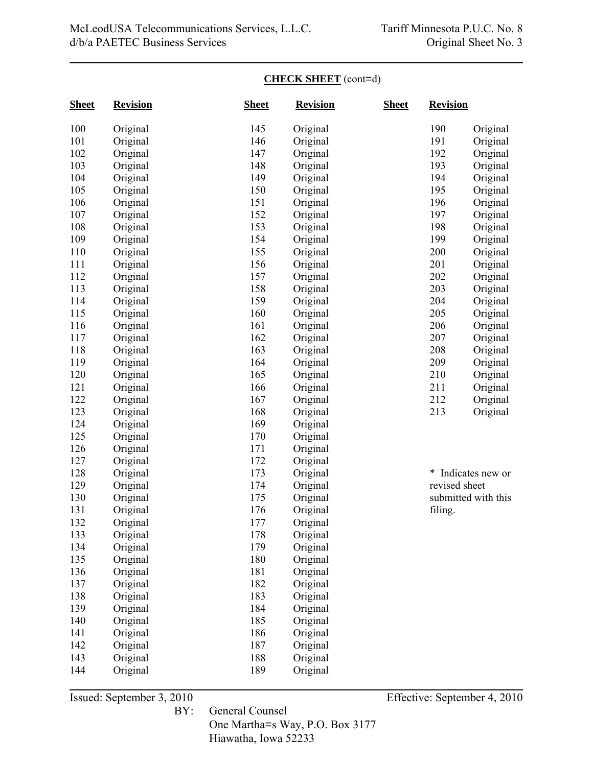# **CHECK SHEET** (cont=d)

| <b>Sheet</b> | <b>Revision</b> | <b>Sheet</b> | <b>Revision</b> | <b>Sheet</b> | <b>Revision</b> |                     |
|--------------|-----------------|--------------|-----------------|--------------|-----------------|---------------------|
| 100          | Original        | 145          | Original        |              | 190             | Original            |
| 101          | Original        | 146          | Original        |              | 191             | Original            |
| 102          | Original        | 147          | Original        |              | 192             | Original            |
| 103          | Original        | 148          | Original        |              | 193             | Original            |
| 104          | Original        | 149          | Original        |              | 194             | Original            |
| 105          | Original        | 150          | Original        |              | 195             | Original            |
| 106          | Original        | 151          | Original        |              | 196             | Original            |
| 107          | Original        | 152          | Original        |              | 197             | Original            |
| 108          | Original        | 153          | Original        |              | 198             | Original            |
| 109          | Original        | 154          | Original        |              | 199             | Original            |
| 110          | Original        | 155          | Original        |              | 200             | Original            |
| 111          | Original        | 156          | Original        |              | 201             | Original            |
| 112          | Original        | 157          | Original        |              | 202             | Original            |
| 113          | Original        | 158          | Original        |              | 203             | Original            |
| 114          | Original        | 159          | Original        |              | 204             | Original            |
| 115          | Original        | 160          | Original        |              | 205             | Original            |
| 116          | Original        | 161          | Original        |              | 206             | Original            |
| 117          | Original        | 162          | Original        |              | 207             | Original            |
| 118          | Original        | 163          | Original        |              | 208             | Original            |
| 119          | Original        | 164          | Original        |              | 209             | Original            |
| 120          | Original        | 165          | Original        |              | 210             | Original            |
| 121          | Original        | 166          | Original        |              | 211             | Original            |
| 122          | Original        | 167          | Original        |              | 212             | Original            |
| 123          | Original        | 168          | Original        |              | 213             | Original            |
| 124          | Original        | 169          | Original        |              |                 |                     |
| 125          | Original        | 170          | Original        |              |                 |                     |
| 126          | Original        | 171          | Original        |              |                 |                     |
| 127          | Original        | 172          | Original        |              |                 |                     |
| 128          | Original        | 173          | Original        |              | *               | Indicates new or    |
| 129          | Original        | 174          | Original        |              | revised sheet   |                     |
| 130          | Original        | 175          | Original        |              |                 | submitted with this |
| 131          | Original        | 176          | Original        |              | filing.         |                     |
| 132          | Original        | 177          | Original        |              |                 |                     |
| 133          | Original        | 178          | Original        |              |                 |                     |
| 134          | Original        | 179          | Original        |              |                 |                     |
| 135          | Original        | 180          | Original        |              |                 |                     |
| 136          | Original        | 181          | Original        |              |                 |                     |
| 137          | Original        | 182          | Original        |              |                 |                     |
| 138          | Original        | 183          | Original        |              |                 |                     |
| 139          | Original        | 184          | Original        |              |                 |                     |
| 140          | Original        | 185          | Original        |              |                 |                     |
| 141          | Original        | 186          | Original        |              |                 |                     |
| 142          | Original        | 187          | Original        |              |                 |                     |
| 143          | Original        | 188          | Original        |              |                 |                     |
| 144          | Original        | 189          | Original        |              |                 |                     |

BY: General Counsel One Martha=s Way, P.O. Box 3177 Hiawatha, Iowa 52233

Issued: September 3, 2010 Effective: September 4, 2010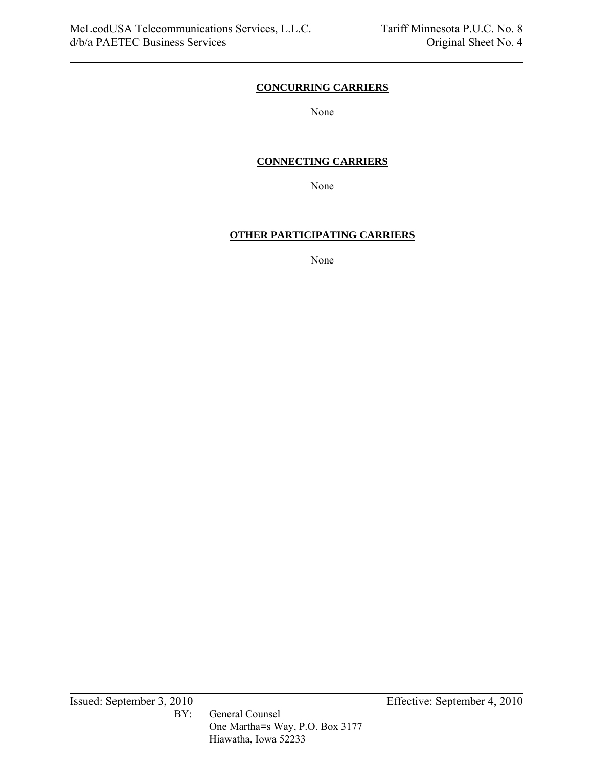# **CONCURRING CARRIERS**

None None

# **CONNECTING CARRIERS**

None

# **OTHER PARTICIPATING CARRIERS**

None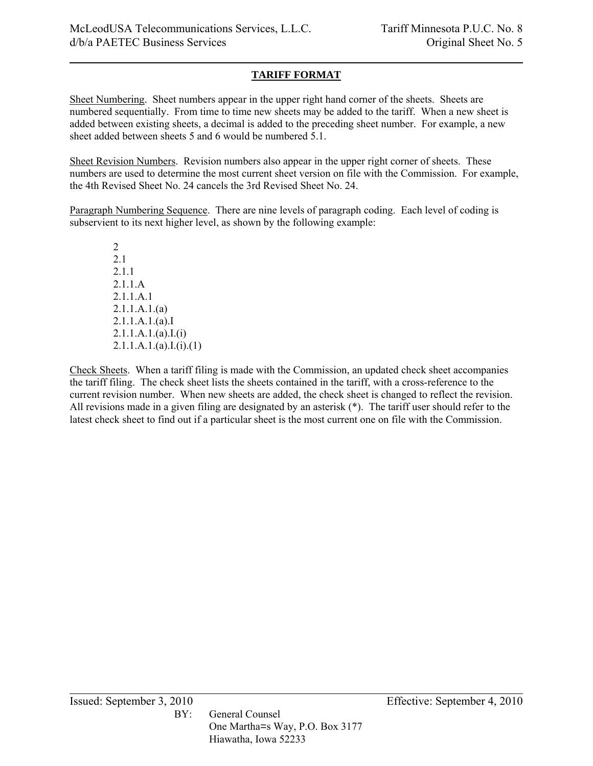# **TARIFF FORMAT**

Sheet Numbering. Sheet numbers appear in the upper right hand corner of the sheets. Sheets are numbered sequentially. From time to time new sheets may be added to the tariff. When a new sheet is added between existing sheets, a decimal is added to the preceding sheet number. For example, a new sheet added between sheets 5 and 6 would be numbered 5.1.

Sheet Revision Numbers. Revision numbers also appear in the upper right corner of sheets. These numbers are used to determine the most current sheet version on file with the Commission. For example, the 4th Revised Sheet No. 24 cancels the 3rd Revised Sheet No. 24.

Paragraph Numbering Sequence. There are nine levels of paragraph coding. Each level of coding is subservient to its next higher level, as shown by the following example:

> 2 2.1 2.1.1 2.1.1.A 2.1.1.A.1 2.1.1.A.1.(a) 2.1.1.A.1.(a).I 2.1.1.A.1.(a).I.(i) 2.1.1.A.1.(a).I.(i).(1)

Check Sheets. When a tariff filing is made with the Commission, an updated check sheet accompanies the tariff filing. The check sheet lists the sheets contained in the tariff, with a cross-reference to the current revision number. When new sheets are added, the check sheet is changed to reflect the revision. All revisions made in a given filing are designated by an asterisk (\*). The tariff user should refer to the latest check sheet to find out if a particular sheet is the most current one on file with the Commission.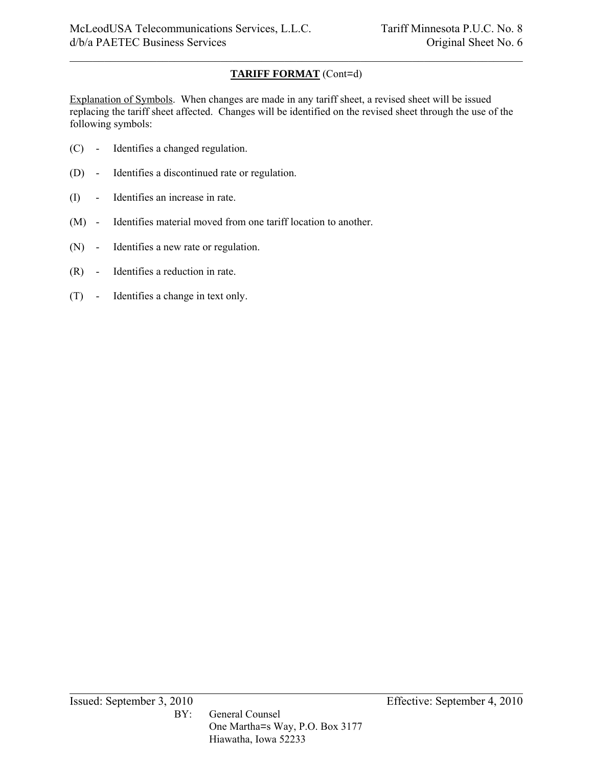# $\mathcal{L}_\mathcal{L} = \{ \mathcal{L}_\mathcal{L} = \{ \mathcal{L}_\mathcal{L} = \{ \mathcal{L}_\mathcal{L} = \{ \mathcal{L}_\mathcal{L} = \{ \mathcal{L}_\mathcal{L} = \{ \mathcal{L}_\mathcal{L} = \{ \mathcal{L}_\mathcal{L} = \{ \mathcal{L}_\mathcal{L} = \{ \mathcal{L}_\mathcal{L} = \{ \mathcal{L}_\mathcal{L} = \{ \mathcal{L}_\mathcal{L} = \{ \mathcal{L}_\mathcal{L} = \{ \mathcal{L}_\mathcal{L} = \{ \mathcal{L}_\mathcal{$ **TARIFF FORMAT** (Cont=d)

Explanation of Symbols. When changes are made in any tariff sheet, a revised sheet will be issued replacing the tariff sheet affected. Changes will be identified on the revised sheet through the use of the following symbols:

- (C) Identifies a changed regulation.
- (D) Identifies a discontinued rate or regulation.
- (I) Identifies an increase in rate.
- (M) Identifies material moved from one tariff location to another.
- (N) Identifies a new rate or regulation.
- (R) Identifies a reduction in rate.
- (T) Identifies a change in text only.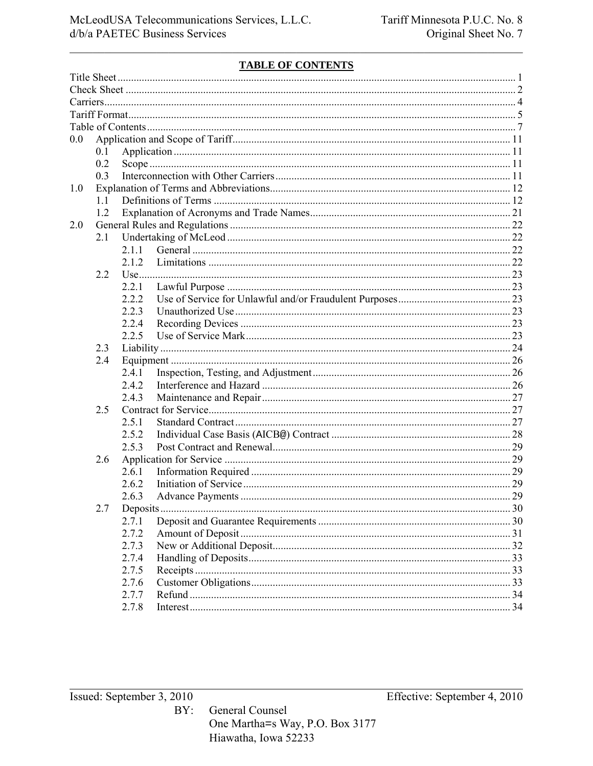# **TABLE OF CONTENTS**

| 0.0 |     |       |  |  |  |  |
|-----|-----|-------|--|--|--|--|
|     | 0.1 |       |  |  |  |  |
|     | 0.2 |       |  |  |  |  |
|     | 0.3 |       |  |  |  |  |
| 1.0 |     |       |  |  |  |  |
|     | 11  |       |  |  |  |  |
|     | 1.2 |       |  |  |  |  |
| 2.0 |     |       |  |  |  |  |
|     | 2.1 |       |  |  |  |  |
|     |     | 211   |  |  |  |  |
|     |     | 2 1 2 |  |  |  |  |
|     | 2.2 |       |  |  |  |  |
|     |     | 2.2.1 |  |  |  |  |
|     |     | 2.2.2 |  |  |  |  |
|     |     | 2.2.3 |  |  |  |  |
|     |     | 2.2.4 |  |  |  |  |
|     |     | 2.2.5 |  |  |  |  |
|     | 2.3 |       |  |  |  |  |
|     | 2.4 |       |  |  |  |  |
|     |     | 2.4.1 |  |  |  |  |
|     |     | 2.4.2 |  |  |  |  |
|     |     | 2.4.3 |  |  |  |  |
|     | 2.5 |       |  |  |  |  |
|     |     | 2.5.1 |  |  |  |  |
|     |     | 2.5.2 |  |  |  |  |
|     |     | 2.5.3 |  |  |  |  |
|     | 2.6 |       |  |  |  |  |
|     |     | 2.6.1 |  |  |  |  |
|     |     | 2.6.2 |  |  |  |  |
|     |     | 2.6.3 |  |  |  |  |
|     | 2.7 |       |  |  |  |  |
|     |     | 2.7.1 |  |  |  |  |
|     |     | 2.7.2 |  |  |  |  |
|     |     | 2.7.3 |  |  |  |  |
|     |     | 2.7.4 |  |  |  |  |
|     |     | 2.7.5 |  |  |  |  |
|     |     | 2.7.6 |  |  |  |  |
|     |     | 2.7.7 |  |  |  |  |
|     |     | 2.7.8 |  |  |  |  |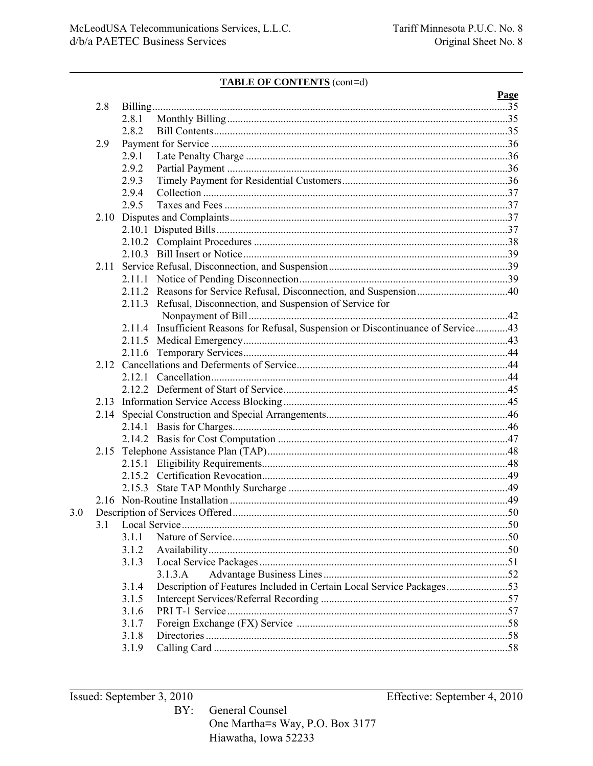#### **TABLE OF CONTENTS** (cont=d)

|     | 2.8  |                |                                                                                    | Page |
|-----|------|----------------|------------------------------------------------------------------------------------|------|
|     |      | 2.8.1          |                                                                                    |      |
|     |      | 2.8.2          |                                                                                    |      |
|     | 2.9  |                |                                                                                    |      |
|     |      | 2.9.1          |                                                                                    |      |
|     |      | 2.9.2          |                                                                                    |      |
|     |      | 2.9.3          |                                                                                    |      |
|     |      | 2.9.4          |                                                                                    |      |
|     |      | 2.9.5          |                                                                                    |      |
|     |      |                |                                                                                    |      |
|     |      |                |                                                                                    |      |
|     |      |                |                                                                                    |      |
|     |      |                |                                                                                    |      |
|     |      |                |                                                                                    |      |
|     |      |                |                                                                                    |      |
|     |      |                | 2.11.2 Reasons for Service Refusal, Disconnection, and Suspension40                |      |
|     |      | 2.11.3         | Refusal, Disconnection, and Suspension of Service for                              |      |
|     |      |                |                                                                                    |      |
|     |      |                | 2.11.4 Insufficient Reasons for Refusal, Suspension or Discontinuance of Service43 |      |
|     |      |                |                                                                                    |      |
|     |      |                |                                                                                    |      |
|     |      |                |                                                                                    |      |
|     |      |                |                                                                                    |      |
|     |      |                |                                                                                    |      |
|     |      |                |                                                                                    |      |
|     | 2.14 |                |                                                                                    |      |
|     |      |                |                                                                                    |      |
|     |      |                |                                                                                    |      |
|     |      |                |                                                                                    |      |
|     |      |                |                                                                                    |      |
|     |      |                |                                                                                    |      |
|     |      |                |                                                                                    |      |
|     |      |                |                                                                                    |      |
| 3.0 |      |                |                                                                                    |      |
|     | 3.1  |                |                                                                                    |      |
|     |      | 3.1.1<br>3.1.2 |                                                                                    |      |
|     |      | 3.1.3          |                                                                                    |      |
|     |      |                | 3.1.3.A                                                                            |      |
|     |      | 3.1.4          |                                                                                    |      |
|     |      | 3.1.5          |                                                                                    |      |
|     |      | 3.1.6          |                                                                                    |      |
|     |      | 3.1.7          |                                                                                    |      |
|     |      | 3.1.8          |                                                                                    |      |
|     |      | 3.1.9          |                                                                                    |      |
|     |      |                |                                                                                    |      |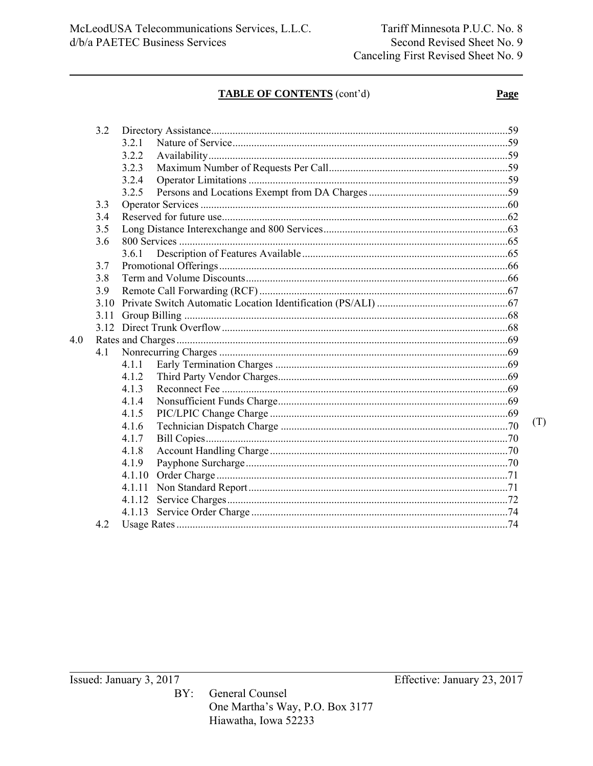# **TABLE OF CONTENTS** (cont'd)

#### Page

|     |       | 3 2 1  |  |  |  |
|-----|-------|--------|--|--|--|
|     |       |        |  |  |  |
|     |       | 3.2.2  |  |  |  |
|     |       | 3.2.3  |  |  |  |
|     |       | 3.2.4  |  |  |  |
|     | 3.2.5 |        |  |  |  |
|     | 3.3   |        |  |  |  |
|     | 3.4   |        |  |  |  |
|     | 3.5   |        |  |  |  |
|     | 3.6   |        |  |  |  |
|     |       |        |  |  |  |
|     | 3.7   |        |  |  |  |
|     | 38    |        |  |  |  |
|     | 3.9   |        |  |  |  |
|     | 3.10  |        |  |  |  |
|     | 3.11  |        |  |  |  |
|     |       |        |  |  |  |
| 4.0 |       |        |  |  |  |
|     | 4.1   |        |  |  |  |
|     |       | 4.1.1  |  |  |  |
|     |       | 4.1.2  |  |  |  |
|     |       | 4.1.3  |  |  |  |
|     |       | 4 1 4  |  |  |  |
|     |       | 4.1.5  |  |  |  |
|     |       | 4.1.6  |  |  |  |
|     |       | 4.1.7  |  |  |  |
|     |       | 4.1.8  |  |  |  |
|     |       | 4.1.9  |  |  |  |
|     |       | 4.1.10 |  |  |  |
|     |       | 4.1.11 |  |  |  |
|     |       |        |  |  |  |
|     |       |        |  |  |  |
|     | 4.2   |        |  |  |  |

 $BY:$ 

General Counsel One Martha's Way, P.O. Box 3177 Hiawatha, Iowa 52233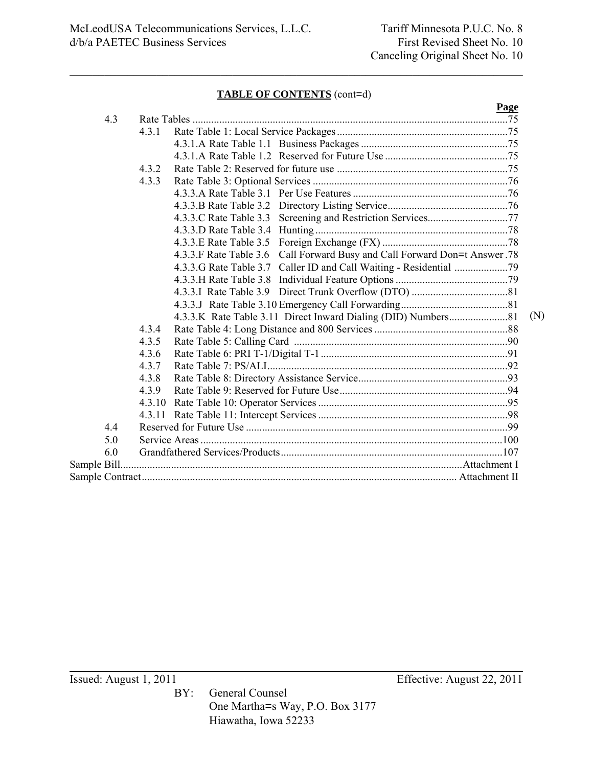# **TABLE OF CONTENTS** (cont=d)

 $\mathcal{L}_\mathcal{L} = \mathcal{L}_\mathcal{L} = \mathcal{L}_\mathcal{L} = \mathcal{L}_\mathcal{L} = \mathcal{L}_\mathcal{L} = \mathcal{L}_\mathcal{L} = \mathcal{L}_\mathcal{L} = \mathcal{L}_\mathcal{L} = \mathcal{L}_\mathcal{L} = \mathcal{L}_\mathcal{L} = \mathcal{L}_\mathcal{L} = \mathcal{L}_\mathcal{L} = \mathcal{L}_\mathcal{L} = \mathcal{L}_\mathcal{L} = \mathcal{L}_\mathcal{L} = \mathcal{L}_\mathcal{L} = \mathcal{L}_\mathcal{L}$ 

|     |       |                                                                           | Page |     |
|-----|-------|---------------------------------------------------------------------------|------|-----|
| 4.3 |       |                                                                           |      |     |
|     | 4.3.1 |                                                                           |      |     |
|     |       |                                                                           |      |     |
|     |       |                                                                           |      |     |
|     | 4.3.2 |                                                                           |      |     |
|     | 4.3.3 |                                                                           |      |     |
|     |       |                                                                           |      |     |
|     |       |                                                                           |      |     |
|     |       |                                                                           |      |     |
|     |       |                                                                           |      |     |
|     |       |                                                                           |      |     |
|     |       | 4.3.3.F Rate Table 3.6 Call Forward Busy and Call Forward Don=t Answer.78 |      |     |
|     |       |                                                                           |      |     |
|     |       |                                                                           |      |     |
|     |       |                                                                           |      |     |
|     |       |                                                                           |      |     |
|     |       |                                                                           |      | (N) |
|     | 4.3.4 |                                                                           |      |     |
|     | 4.3.5 |                                                                           |      |     |
|     | 4.3.6 |                                                                           |      |     |
|     | 4.3.7 |                                                                           |      |     |
|     | 4.3.8 |                                                                           |      |     |
|     | 4.3.9 |                                                                           |      |     |
|     |       |                                                                           |      |     |
|     |       |                                                                           |      |     |
| 4.4 |       |                                                                           |      |     |
| 5.0 |       |                                                                           |      |     |
| 6.0 |       |                                                                           |      |     |
|     |       |                                                                           |      |     |
|     |       |                                                                           |      |     |

BY: General Counsel One Martha=s Way, P.O. Box 3177 Hiawatha, Iowa 52233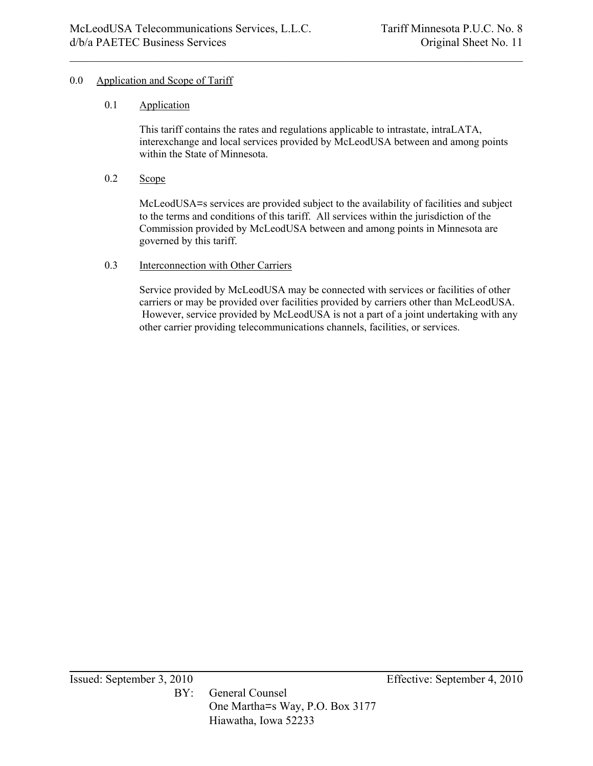# 0.0 Application and Scope of Tariff

### 0.1 **Application**

This tariff contains the rates and regulations applicable to intrastate, intraLATA, interexchange and local services provided by McLeodUSA between and among points within the State of Minnesota.

 $\mathcal{L}_\mathcal{L} = \{ \mathcal{L}_\mathcal{L} = \{ \mathcal{L}_\mathcal{L} = \{ \mathcal{L}_\mathcal{L} = \{ \mathcal{L}_\mathcal{L} = \{ \mathcal{L}_\mathcal{L} = \{ \mathcal{L}_\mathcal{L} = \{ \mathcal{L}_\mathcal{L} = \{ \mathcal{L}_\mathcal{L} = \{ \mathcal{L}_\mathcal{L} = \{ \mathcal{L}_\mathcal{L} = \{ \mathcal{L}_\mathcal{L} = \{ \mathcal{L}_\mathcal{L} = \{ \mathcal{L}_\mathcal{L} = \{ \mathcal{L}_\mathcal{$ 

0.2 Scope

McLeodUSA=s services are provided subject to the availability of facilities and subject to the terms and conditions of this tariff. All services within the jurisdiction of the Commission provided by McLeodUSA between and among points in Minnesota are governed by this tariff.

# 0.3 Interconnection with Other Carriers

Service provided by McLeodUSA may be connected with services or facilities of other carriers or may be provided over facilities provided by carriers other than McLeodUSA. However, service provided by McLeodUSA is not a part of a joint undertaking with any other carrier providing telecommunications channels, facilities, or services.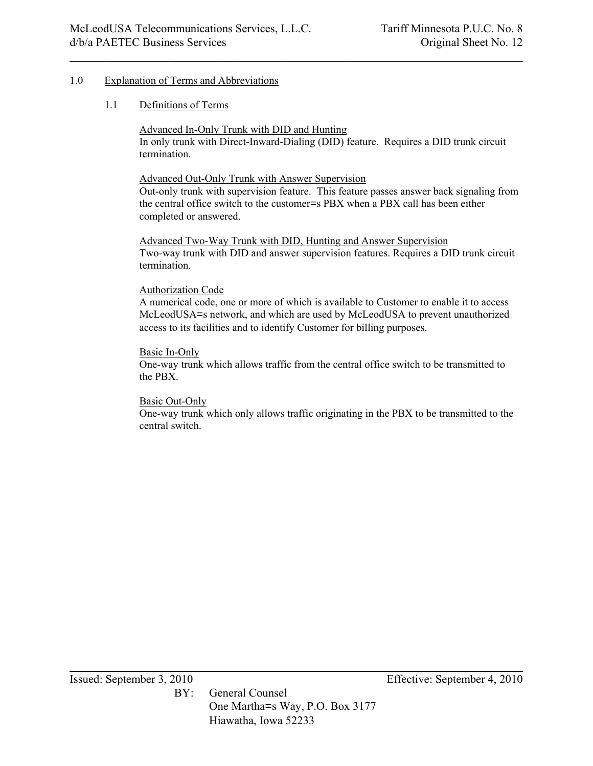#### 1.1 Definitions of Terms

#### Advanced In-Only Trunk with DID and Hunting In only trunk with Direct-Inward-Dialing (DID) feature. Requires a DID trunk circuit termination.

 $\mathcal{L}_\mathcal{L} = \{ \mathcal{L}_\mathcal{L} = \{ \mathcal{L}_\mathcal{L} = \{ \mathcal{L}_\mathcal{L} = \{ \mathcal{L}_\mathcal{L} = \{ \mathcal{L}_\mathcal{L} = \{ \mathcal{L}_\mathcal{L} = \{ \mathcal{L}_\mathcal{L} = \{ \mathcal{L}_\mathcal{L} = \{ \mathcal{L}_\mathcal{L} = \{ \mathcal{L}_\mathcal{L} = \{ \mathcal{L}_\mathcal{L} = \{ \mathcal{L}_\mathcal{L} = \{ \mathcal{L}_\mathcal{L} = \{ \mathcal{L}_\mathcal{$ 

#### Advanced Out-Only Trunk with Answer Supervision

Out-only trunk with supervision feature. This feature passes answer back signaling from the central office switch to the customer=s PBX when a PBX call has been either completed or answered.

Advanced Two-Way Trunk with DID, Hunting and Answer Supervision Two-way trunk with DID and answer supervision features. Requires a DID trunk circuit termination.

### Authorization Code

A numerical code, one or more of which is available to Customer to enable it to access McLeodUSA=s network, and which are used by McLeodUSA to prevent unauthorized access to its facilities and to identify Customer for billing purposes.

### Basic In-Only

One-way trunk which allows traffic from the central office switch to be transmitted to the PBX.

#### Basic Out-Only

One-way trunk which only allows traffic originating in the PBX to be transmitted to the central switch.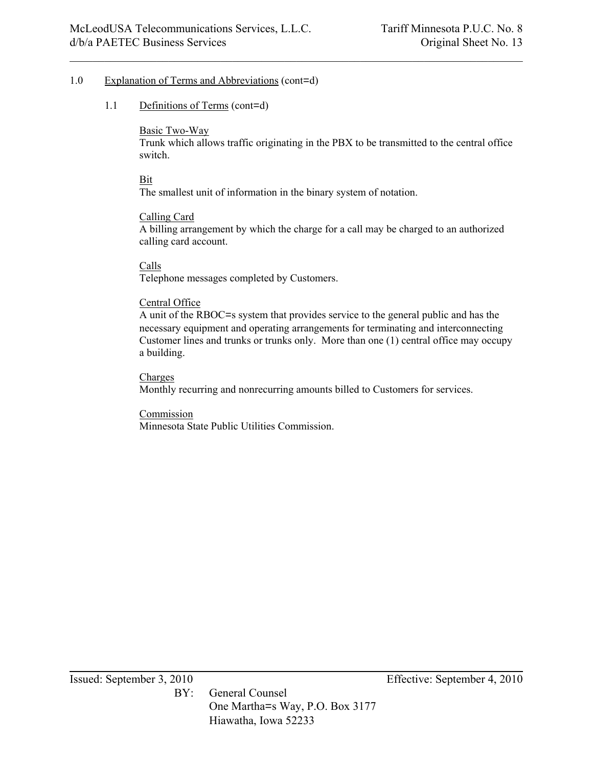#### 1.1 Definitions of Terms (cont=d)

#### Basic Two-Way

Trunk which allows traffic originating in the PBX to be transmitted to the central office switch.

#### Bit

The smallest unit of information in the binary system of notation.

 $\mathcal{L}_\mathcal{L} = \{ \mathcal{L}_\mathcal{L} = \{ \mathcal{L}_\mathcal{L} = \{ \mathcal{L}_\mathcal{L} = \{ \mathcal{L}_\mathcal{L} = \{ \mathcal{L}_\mathcal{L} = \{ \mathcal{L}_\mathcal{L} = \{ \mathcal{L}_\mathcal{L} = \{ \mathcal{L}_\mathcal{L} = \{ \mathcal{L}_\mathcal{L} = \{ \mathcal{L}_\mathcal{L} = \{ \mathcal{L}_\mathcal{L} = \{ \mathcal{L}_\mathcal{L} = \{ \mathcal{L}_\mathcal{L} = \{ \mathcal{L}_\mathcal{$ 

# Calling Card

A billing arrangement by which the charge for a call may be charged to an authorized calling card account.

### Calls

Telephone messages completed by Customers.

### Central Office

A unit of the RBOC=s system that provides service to the general public and has the necessary equipment and operating arrangements for terminating and interconnecting Customer lines and trunks or trunks only. More than one (1) central office may occupy a building.

#### Charges

Monthly recurring and nonrecurring amounts billed to Customers for services.

#### **Commission**

Minnesota State Public Utilities Commission.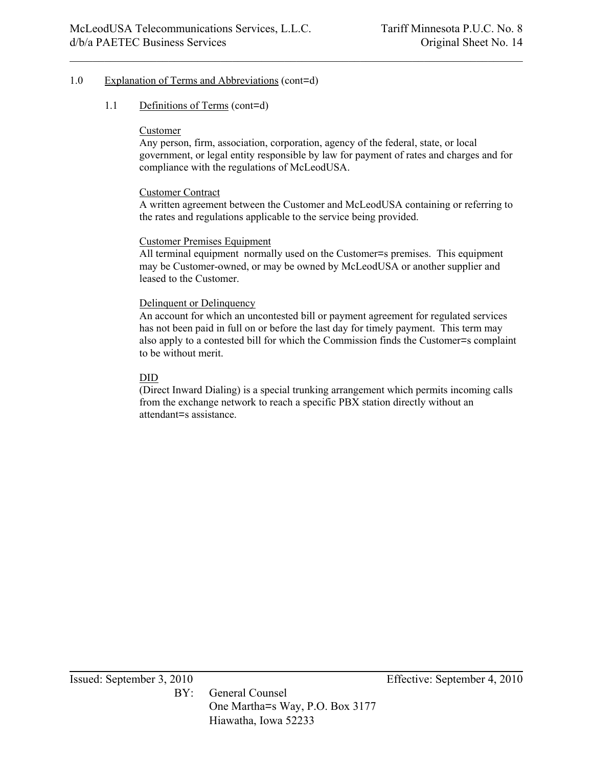#### 1.1 Definitions of Terms (cont=d)

#### Customer

Any person, firm, association, corporation, agency of the federal, state, or local government, or legal entity responsible by law for payment of rates and charges and for compliance with the regulations of McLeodUSA.

 $\mathcal{L}_\mathcal{L} = \{ \mathcal{L}_\mathcal{L} = \{ \mathcal{L}_\mathcal{L} = \{ \mathcal{L}_\mathcal{L} = \{ \mathcal{L}_\mathcal{L} = \{ \mathcal{L}_\mathcal{L} = \{ \mathcal{L}_\mathcal{L} = \{ \mathcal{L}_\mathcal{L} = \{ \mathcal{L}_\mathcal{L} = \{ \mathcal{L}_\mathcal{L} = \{ \mathcal{L}_\mathcal{L} = \{ \mathcal{L}_\mathcal{L} = \{ \mathcal{L}_\mathcal{L} = \{ \mathcal{L}_\mathcal{L} = \{ \mathcal{L}_\mathcal{$ 

#### Customer Contract

A written agreement between the Customer and McLeodUSA containing or referring to the rates and regulations applicable to the service being provided.

### Customer Premises Equipment

All terminal equipment normally used on the Customer=s premises. This equipment may be Customer-owned, or may be owned by McLeodUSA or another supplier and leased to the Customer.

### Delinquent or Delinquency

An account for which an uncontested bill or payment agreement for regulated services has not been paid in full on or before the last day for timely payment. This term may also apply to a contested bill for which the Commission finds the Customer=s complaint to be without merit.

### DID

(Direct Inward Dialing) is a special trunking arrangement which permits incoming calls from the exchange network to reach a specific PBX station directly without an attendant=s assistance.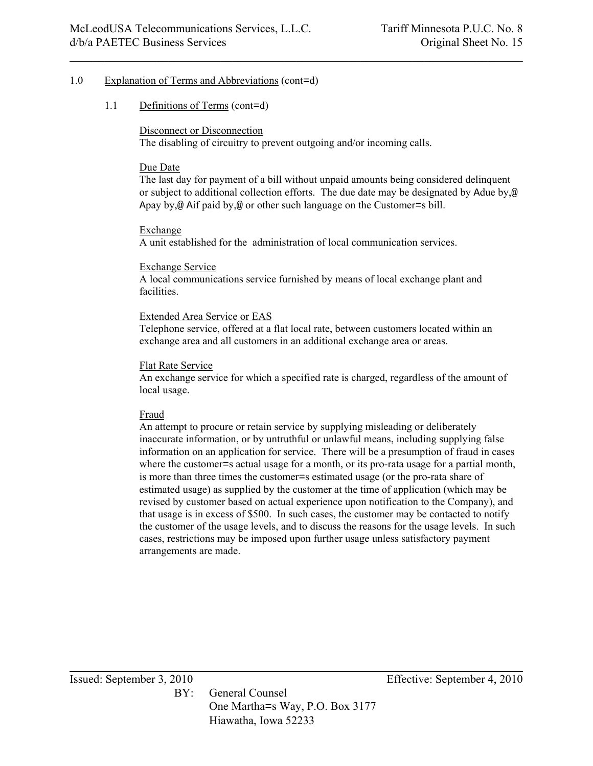#### 1.1 Definitions of Terms (cont=d)

#### Disconnect or Disconnection

The disabling of circuitry to prevent outgoing and/or incoming calls.

 $\mathcal{L}_\mathcal{L} = \{ \mathcal{L}_\mathcal{L} = \{ \mathcal{L}_\mathcal{L} = \{ \mathcal{L}_\mathcal{L} = \{ \mathcal{L}_\mathcal{L} = \{ \mathcal{L}_\mathcal{L} = \{ \mathcal{L}_\mathcal{L} = \{ \mathcal{L}_\mathcal{L} = \{ \mathcal{L}_\mathcal{L} = \{ \mathcal{L}_\mathcal{L} = \{ \mathcal{L}_\mathcal{L} = \{ \mathcal{L}_\mathcal{L} = \{ \mathcal{L}_\mathcal{L} = \{ \mathcal{L}_\mathcal{L} = \{ \mathcal{L}_\mathcal{$ 

#### Due Date

The last day for payment of a bill without unpaid amounts being considered delinquent or subject to additional collection efforts. The due date may be designated by Adue by, $\circledast$ Apay by,@ Aif paid by,@ or other such language on the Customer=s bill.

#### Exchange

A unit established for the administration of local communication services.

#### Exchange Service

A local communications service furnished by means of local exchange plant and facilities.

#### Extended Area Service or EAS

Telephone service, offered at a flat local rate, between customers located within an exchange area and all customers in an additional exchange area or areas.

### Flat Rate Service

An exchange service for which a specified rate is charged, regardless of the amount of local usage.

# Fraud

An attempt to procure or retain service by supplying misleading or deliberately inaccurate information, or by untruthful or unlawful means, including supplying false information on an application for service. There will be a presumption of fraud in cases where the customer=s actual usage for a month, or its pro-rata usage for a partial month, is more than three times the customer=s estimated usage (or the pro-rata share of estimated usage) as supplied by the customer at the time of application (which may be revised by customer based on actual experience upon notification to the Company), and that usage is in excess of \$500. In such cases, the customer may be contacted to notify the customer of the usage levels, and to discuss the reasons for the usage levels. In such cases, restrictions may be imposed upon further usage unless satisfactory payment arrangements are made.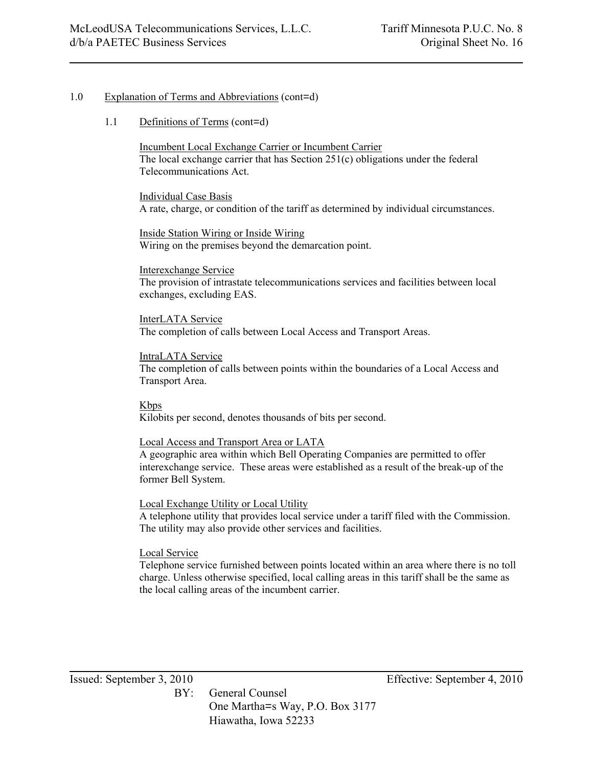### 1.1 Definitions of Terms (cont=d)

Incumbent Local Exchange Carrier or Incumbent Carrier The local exchange carrier that has Section 251(c) obligations under the federal Telecommunications Act.

Individual Case Basis A rate, charge, or condition of the tariff as determined by individual circumstances.

Inside Station Wiring or Inside Wiring Wiring on the premises beyond the demarcation point.

Interexchange Service The provision of intrastate telecommunications services and facilities between local exchanges, excluding EAS.

InterLATA Service The completion of calls between Local Access and Transport Areas.

IntraLATA Service The completion of calls between points within the boundaries of a Local Access and Transport Area.

Kbps Kilobits per second, denotes thousands of bits per second.

Local Access and Transport Area or LATA

A geographic area within which Bell Operating Companies are permitted to offer interexchange service. These areas were established as a result of the break-up of the former Bell System.

Local Exchange Utility or Local Utility

A telephone utility that provides local service under a tariff filed with the Commission. The utility may also provide other services and facilities.

Local Service

Telephone service furnished between points located within an area where there is no toll charge. Unless otherwise specified, local calling areas in this tariff shall be the same as the local calling areas of the incumbent carrier.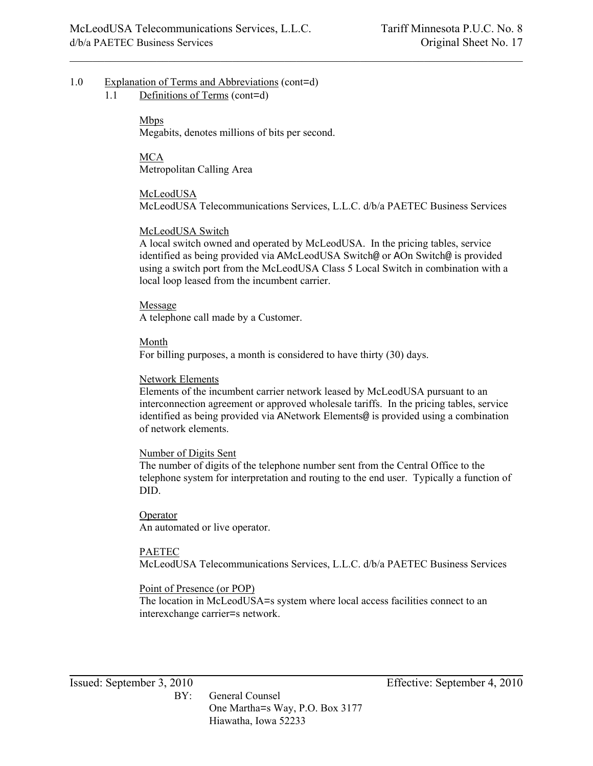- 1.0 Explanation of Terms and Abbreviations (cont=d)
	- 1.1 Definitions of Terms (cont=d)

Mbps Megabits, denotes millions of bits per second.

MCA Metropolitan Calling Area

McLeodUSA McLeodUSA Telecommunications Services, L.L.C. d/b/a PAETEC Business Services

 $\mathcal{L}_\mathcal{L} = \{ \mathcal{L}_\mathcal{L} = \{ \mathcal{L}_\mathcal{L} = \{ \mathcal{L}_\mathcal{L} = \{ \mathcal{L}_\mathcal{L} = \{ \mathcal{L}_\mathcal{L} = \{ \mathcal{L}_\mathcal{L} = \{ \mathcal{L}_\mathcal{L} = \{ \mathcal{L}_\mathcal{L} = \{ \mathcal{L}_\mathcal{L} = \{ \mathcal{L}_\mathcal{L} = \{ \mathcal{L}_\mathcal{L} = \{ \mathcal{L}_\mathcal{L} = \{ \mathcal{L}_\mathcal{L} = \{ \mathcal{L}_\mathcal{$ 

# McLeodUSA Switch

A local switch owned and operated by McLeodUSA. In the pricing tables, service identified as being provided via AMcLeodUSA Switch@ or AOn Switch@ is provided using a switch port from the McLeodUSA Class 5 Local Switch in combination with a local loop leased from the incumbent carrier.

Message A telephone call made by a Customer.

Month For billing purposes, a month is considered to have thirty (30) days.

Network Elements

Elements of the incumbent carrier network leased by McLeodUSA pursuant to an interconnection agreement or approved wholesale tariffs. In the pricing tables, service identified as being provided via ANetwork Elements@ is provided using a combination of network elements.

# Number of Digits Sent

The number of digits of the telephone number sent from the Central Office to the telephone system for interpretation and routing to the end user. Typically a function of DID.

Operator

An automated or live operator.

# PAETEC

McLeodUSA Telecommunications Services, L.L.C. d/b/a PAETEC Business Services

# Point of Presence (or POP)

The location in McLeodUSA=s system where local access facilities connect to an interexchange carrier=s network.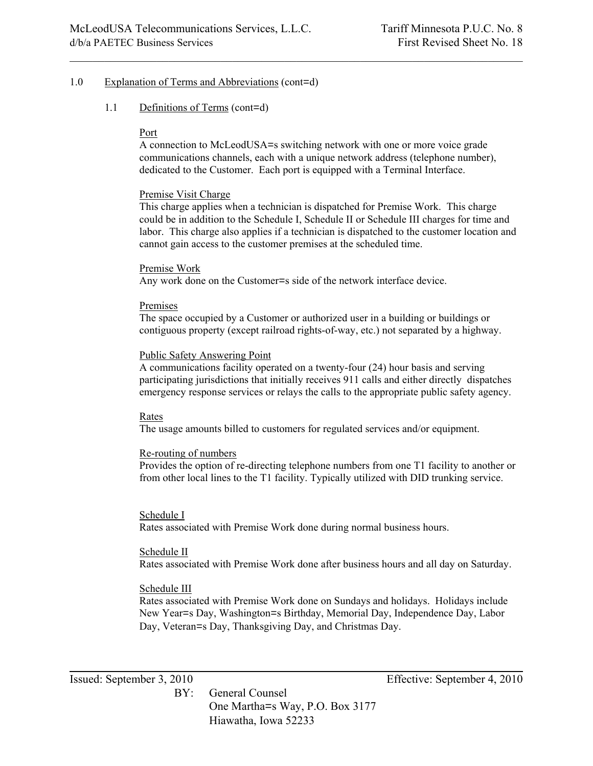#### 1.1 Definitions of Terms (cont=d)

#### Port

A connection to McLeodUSA=s switching network with one or more voice grade communications channels, each with a unique network address (telephone number), dedicated to the Customer. Each port is equipped with a Terminal Interface.

 $\mathcal{L}_\mathcal{L} = \{ \mathcal{L}_\mathcal{L} = \{ \mathcal{L}_\mathcal{L} = \{ \mathcal{L}_\mathcal{L} = \{ \mathcal{L}_\mathcal{L} = \{ \mathcal{L}_\mathcal{L} = \{ \mathcal{L}_\mathcal{L} = \{ \mathcal{L}_\mathcal{L} = \{ \mathcal{L}_\mathcal{L} = \{ \mathcal{L}_\mathcal{L} = \{ \mathcal{L}_\mathcal{L} = \{ \mathcal{L}_\mathcal{L} = \{ \mathcal{L}_\mathcal{L} = \{ \mathcal{L}_\mathcal{L} = \{ \mathcal{L}_\mathcal{$ 

#### Premise Visit Charge

This charge applies when a technician is dispatched for Premise Work. This charge could be in addition to the Schedule I, Schedule II or Schedule III charges for time and labor. This charge also applies if a technician is dispatched to the customer location and cannot gain access to the customer premises at the scheduled time.

#### Premise Work

Any work done on the Customer=s side of the network interface device.

#### Premises

The space occupied by a Customer or authorized user in a building or buildings or contiguous property (except railroad rights-of-way, etc.) not separated by a highway.

#### Public Safety Answering Point

A communications facility operated on a twenty-four (24) hour basis and serving participating jurisdictions that initially receives 911 calls and either directly dispatches emergency response services or relays the calls to the appropriate public safety agency.

#### Rates

The usage amounts billed to customers for regulated services and/or equipment.

#### Re-routing of numbers

Provides the option of re-directing telephone numbers from one T1 facility to another or from other local lines to the T1 facility. Typically utilized with DID trunking service.

#### Schedule I

Rates associated with Premise Work done during normal business hours.

#### Schedule II

Rates associated with Premise Work done after business hours and all day on Saturday.

#### Schedule III

Rates associated with Premise Work done on Sundays and holidays. Holidays include New Year=s Day, Washington=s Birthday, Memorial Day, Independence Day, Labor Day, Veteran=s Day, Thanksgiving Day, and Christmas Day.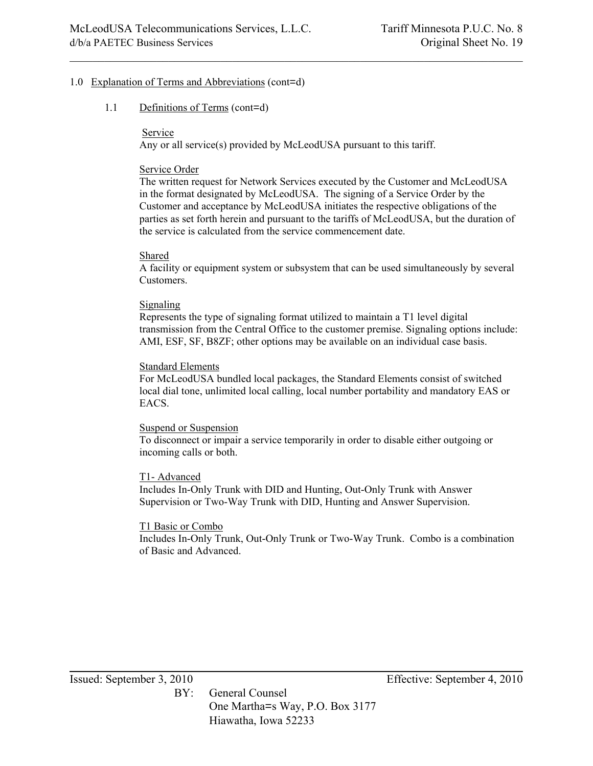# 1.1 Definitions of Terms (cont=d)

### Service

Any or all service(s) provided by McLeodUSA pursuant to this tariff.

 $\mathcal{L}_\mathcal{L} = \{ \mathcal{L}_\mathcal{L} = \{ \mathcal{L}_\mathcal{L} = \{ \mathcal{L}_\mathcal{L} = \{ \mathcal{L}_\mathcal{L} = \{ \mathcal{L}_\mathcal{L} = \{ \mathcal{L}_\mathcal{L} = \{ \mathcal{L}_\mathcal{L} = \{ \mathcal{L}_\mathcal{L} = \{ \mathcal{L}_\mathcal{L} = \{ \mathcal{L}_\mathcal{L} = \{ \mathcal{L}_\mathcal{L} = \{ \mathcal{L}_\mathcal{L} = \{ \mathcal{L}_\mathcal{L} = \{ \mathcal{L}_\mathcal{$ 

### Service Order

The written request for Network Services executed by the Customer and McLeodUSA in the format designated by McLeodUSA. The signing of a Service Order by the Customer and acceptance by McLeodUSA initiates the respective obligations of the parties as set forth herein and pursuant to the tariffs of McLeodUSA, but the duration of the service is calculated from the service commencement date.

### Shared

A facility or equipment system or subsystem that can be used simultaneously by several Customers.

#### Signaling

Represents the type of signaling format utilized to maintain a T1 level digital transmission from the Central Office to the customer premise. Signaling options include: AMI, ESF, SF, B8ZF; other options may be available on an individual case basis.

### Standard Elements

For McLeodUSA bundled local packages, the Standard Elements consist of switched local dial tone, unlimited local calling, local number portability and mandatory EAS or EACS.

# Suspend or Suspension

To disconnect or impair a service temporarily in order to disable either outgoing or incoming calls or both.

#### T1- Advanced

Includes In-Only Trunk with DID and Hunting, Out-Only Trunk with Answer Supervision or Two-Way Trunk with DID, Hunting and Answer Supervision.

#### T1 Basic or Combo

Includes In-Only Trunk, Out-Only Trunk or Two-Way Trunk. Combo is a combination of Basic and Advanced.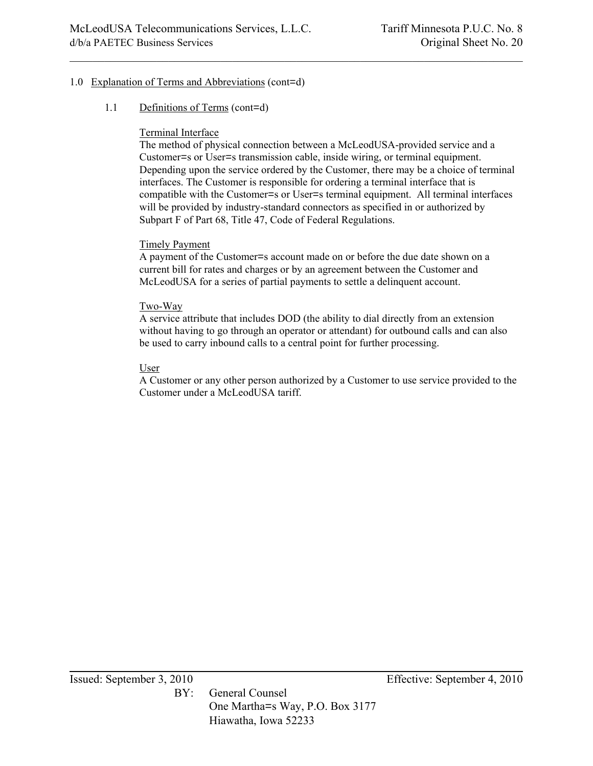# 1.1 Definitions of Terms (cont=d)

# Terminal Interface

The method of physical connection between a McLeodUSA-provided service and a Customer=s or User=s transmission cable, inside wiring, or terminal equipment. Depending upon the service ordered by the Customer, there may be a choice of terminal interfaces. The Customer is responsible for ordering a terminal interface that is compatible with the Customer=s or User=s terminal equipment. All terminal interfaces will be provided by industry-standard connectors as specified in or authorized by Subpart F of Part 68, Title 47, Code of Federal Regulations.

 $\mathcal{L}_\mathcal{L} = \{ \mathcal{L}_\mathcal{L} = \{ \mathcal{L}_\mathcal{L} = \{ \mathcal{L}_\mathcal{L} = \{ \mathcal{L}_\mathcal{L} = \{ \mathcal{L}_\mathcal{L} = \{ \mathcal{L}_\mathcal{L} = \{ \mathcal{L}_\mathcal{L} = \{ \mathcal{L}_\mathcal{L} = \{ \mathcal{L}_\mathcal{L} = \{ \mathcal{L}_\mathcal{L} = \{ \mathcal{L}_\mathcal{L} = \{ \mathcal{L}_\mathcal{L} = \{ \mathcal{L}_\mathcal{L} = \{ \mathcal{L}_\mathcal{$ 

# Timely Payment

A payment of the Customer=s account made on or before the due date shown on a current bill for rates and charges or by an agreement between the Customer and McLeodUSA for a series of partial payments to settle a delinquent account.

# Two-Way

A service attribute that includes DOD (the ability to dial directly from an extension without having to go through an operator or attendant) for outbound calls and can also be used to carry inbound calls to a central point for further processing.

# User

A Customer or any other person authorized by a Customer to use service provided to the Customer under a McLeodUSA tariff.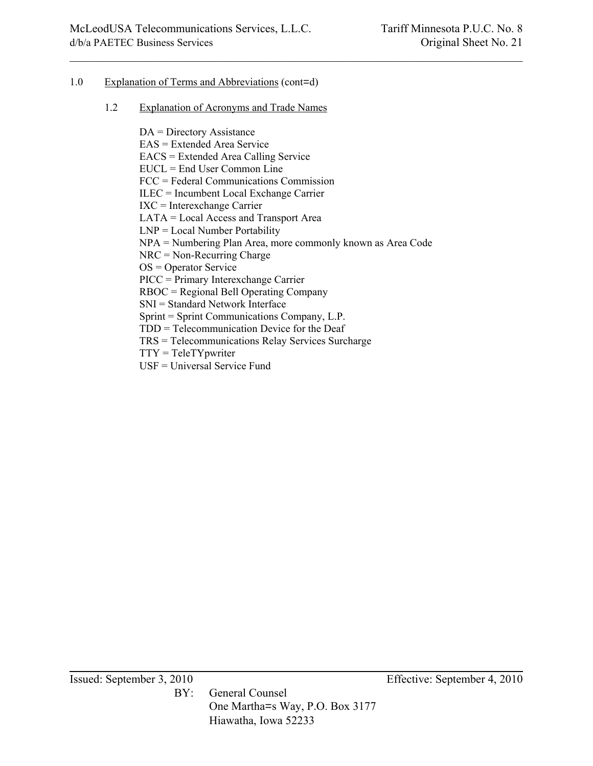1.2 Explanation of Acronyms and Trade Names

DA = Directory Assistance EAS = Extended Area Service EACS = Extended Area Calling Service EUCL = End User Common Line FCC = Federal Communications Commission ILEC = Incumbent Local Exchange Carrier IXC = Interexchange Carrier LATA = Local Access and Transport Area LNP = Local Number Portability NPA = Numbering Plan Area, more commonly known as Area Code NRC = Non-Recurring Charge OS = Operator Service PICC = Primary Interexchange Carrier RBOC = Regional Bell Operating Company SNI = Standard Network Interface Sprint = Sprint Communications Company, L.P. TDD = Telecommunication Device for the Deaf TRS = Telecommunications Relay Services Surcharge TTY = TeleTYpwriter USF = Universal Service Fund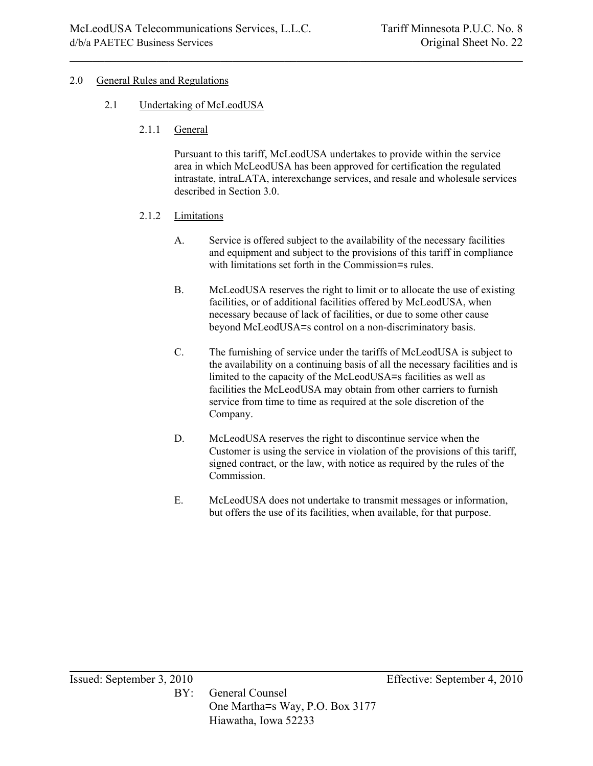# 2.0 General Rules and Regulations

### 2.1 Undertaking of McLeodUSA

2.1.1 General

Pursuant to this tariff, McLeodUSA undertakes to provide within the service area in which McLeodUSA has been approved for certification the regulated intrastate, intraLATA, interexchange services, and resale and wholesale services described in Section 3.0.

 $\mathcal{L}_\mathcal{L} = \{ \mathcal{L}_\mathcal{L} = \{ \mathcal{L}_\mathcal{L} = \{ \mathcal{L}_\mathcal{L} = \{ \mathcal{L}_\mathcal{L} = \{ \mathcal{L}_\mathcal{L} = \{ \mathcal{L}_\mathcal{L} = \{ \mathcal{L}_\mathcal{L} = \{ \mathcal{L}_\mathcal{L} = \{ \mathcal{L}_\mathcal{L} = \{ \mathcal{L}_\mathcal{L} = \{ \mathcal{L}_\mathcal{L} = \{ \mathcal{L}_\mathcal{L} = \{ \mathcal{L}_\mathcal{L} = \{ \mathcal{L}_\mathcal{$ 

- 2.1.2 Limitations
	- A. Service is offered subject to the availability of the necessary facilities and equipment and subject to the provisions of this tariff in compliance with limitations set forth in the Commission=s rules.
	- B. McLeodUSA reserves the right to limit or to allocate the use of existing facilities, or of additional facilities offered by McLeodUSA, when necessary because of lack of facilities, or due to some other cause beyond McLeodUSA=s control on a non-discriminatory basis.
	- C. The furnishing of service under the tariffs of McLeodUSA is subject to the availability on a continuing basis of all the necessary facilities and is limited to the capacity of the McLeodUSA=s facilities as well as facilities the McLeodUSA may obtain from other carriers to furnish service from time to time as required at the sole discretion of the Company.
	- D. McLeodUSA reserves the right to discontinue service when the Customer is using the service in violation of the provisions of this tariff, signed contract, or the law, with notice as required by the rules of the Commission.
	- E. McLeodUSA does not undertake to transmit messages or information, but offers the use of its facilities, when available, for that purpose.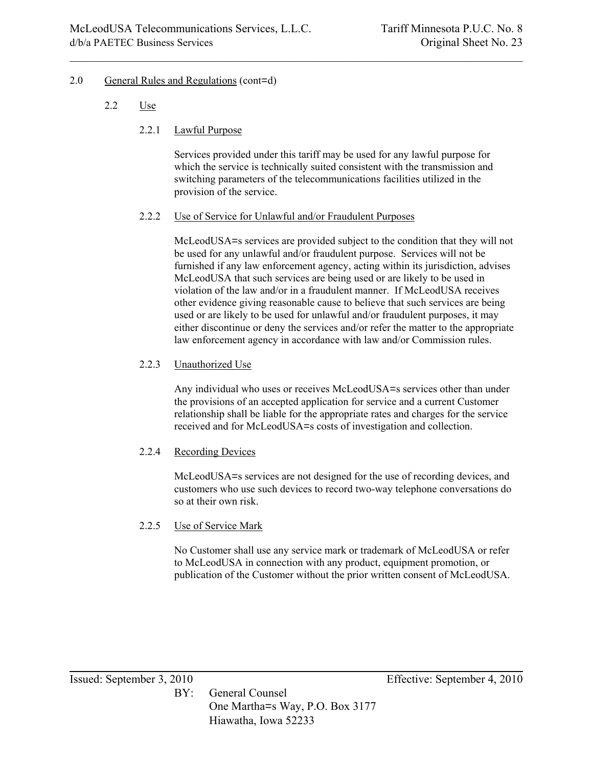- 2.2 Use
	- 2.2.1 Lawful Purpose

Services provided under this tariff may be used for any lawful purpose for which the service is technically suited consistent with the transmission and switching parameters of the telecommunications facilities utilized in the provision of the service.

### 2.2.2 Use of Service for Unlawful and/or Fraudulent Purposes

 $\mathcal{L}_\mathcal{L} = \{ \mathcal{L}_\mathcal{L} = \{ \mathcal{L}_\mathcal{L} = \{ \mathcal{L}_\mathcal{L} = \{ \mathcal{L}_\mathcal{L} = \{ \mathcal{L}_\mathcal{L} = \{ \mathcal{L}_\mathcal{L} = \{ \mathcal{L}_\mathcal{L} = \{ \mathcal{L}_\mathcal{L} = \{ \mathcal{L}_\mathcal{L} = \{ \mathcal{L}_\mathcal{L} = \{ \mathcal{L}_\mathcal{L} = \{ \mathcal{L}_\mathcal{L} = \{ \mathcal{L}_\mathcal{L} = \{ \mathcal{L}_\mathcal{$ 

McLeodUSA=s services are provided subject to the condition that they will not be used for any unlawful and/or fraudulent purpose. Services will not be furnished if any law enforcement agency, acting within its jurisdiction, advises McLeodUSA that such services are being used or are likely to be used in violation of the law and/or in a fraudulent manner. If McLeodUSA receives other evidence giving reasonable cause to believe that such services are being used or are likely to be used for unlawful and/or fraudulent purposes, it may either discontinue or deny the services and/or refer the matter to the appropriate law enforcement agency in accordance with law and/or Commission rules.

### 2.2.3 Unauthorized Use

Any individual who uses or receives McLeodUSA=s services other than under the provisions of an accepted application for service and a current Customer relationship shall be liable for the appropriate rates and charges for the service received and for McLeodUSA=s costs of investigation and collection.

# 2.2.4 Recording Devices

McLeodUSA=s services are not designed for the use of recording devices, and customers who use such devices to record two-way telephone conversations do so at their own risk.

# 2.2.5 Use of Service Mark

No Customer shall use any service mark or trademark of McLeodUSA or refer to McLeodUSA in connection with any product, equipment promotion, or publication of the Customer without the prior written consent of McLeodUSA.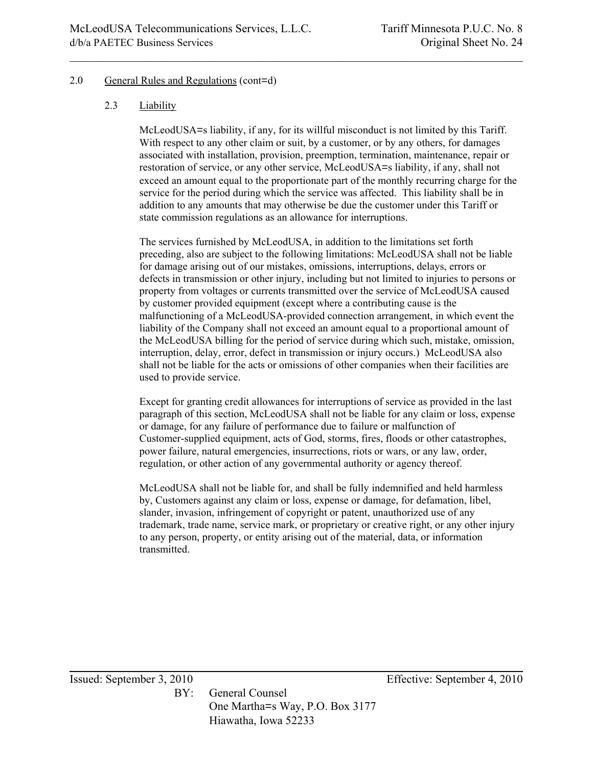#### 2.3 Liability

McLeodUSA=s liability, if any, for its willful misconduct is not limited by this Tariff. With respect to any other claim or suit, by a customer, or by any others, for damages associated with installation, provision, preemption, termination, maintenance, repair or restoration of service, or any other service, McLeodUSA=s liability, if any, shall not exceed an amount equal to the proportionate part of the monthly recurring charge for the service for the period during which the service was affected. This liability shall be in addition to any amounts that may otherwise be due the customer under this Tariff or state commission regulations as an allowance for interruptions.

 $\mathcal{L}_\mathcal{L} = \{ \mathcal{L}_\mathcal{L} = \{ \mathcal{L}_\mathcal{L} = \{ \mathcal{L}_\mathcal{L} = \{ \mathcal{L}_\mathcal{L} = \{ \mathcal{L}_\mathcal{L} = \{ \mathcal{L}_\mathcal{L} = \{ \mathcal{L}_\mathcal{L} = \{ \mathcal{L}_\mathcal{L} = \{ \mathcal{L}_\mathcal{L} = \{ \mathcal{L}_\mathcal{L} = \{ \mathcal{L}_\mathcal{L} = \{ \mathcal{L}_\mathcal{L} = \{ \mathcal{L}_\mathcal{L} = \{ \mathcal{L}_\mathcal{$ 

The services furnished by McLeodUSA, in addition to the limitations set forth preceding, also are subject to the following limitations: McLeodUSA shall not be liable for damage arising out of our mistakes, omissions, interruptions, delays, errors or defects in transmission or other injury, including but not limited to injuries to persons or property from voltages or currents transmitted over the service of McLeodUSA caused by customer provided equipment (except where a contributing cause is the malfunctioning of a McLeodUSA-provided connection arrangement, in which event the liability of the Company shall not exceed an amount equal to a proportional amount of the McLeodUSA billing for the period of service during which such, mistake, omission, interruption, delay, error, defect in transmission or injury occurs.) McLeodUSA also shall not be liable for the acts or omissions of other companies when their facilities are used to provide service.

Except for granting credit allowances for interruptions of service as provided in the last paragraph of this section, McLeodUSA shall not be liable for any claim or loss, expense or damage, for any failure of performance due to failure or malfunction of Customer-supplied equipment, acts of God, storms, fires, floods or other catastrophes, power failure, natural emergencies, insurrections, riots or wars, or any law, order, regulation, or other action of any governmental authority or agency thereof.

McLeodUSA shall not be liable for, and shall be fully indemnified and held harmless by, Customers against any claim or loss, expense or damage, for defamation, libel, slander, invasion, infringement of copyright or patent, unauthorized use of any trademark, trade name, service mark, or proprietary or creative right, or any other injury to any person, property, or entity arising out of the material, data, or information transmitted.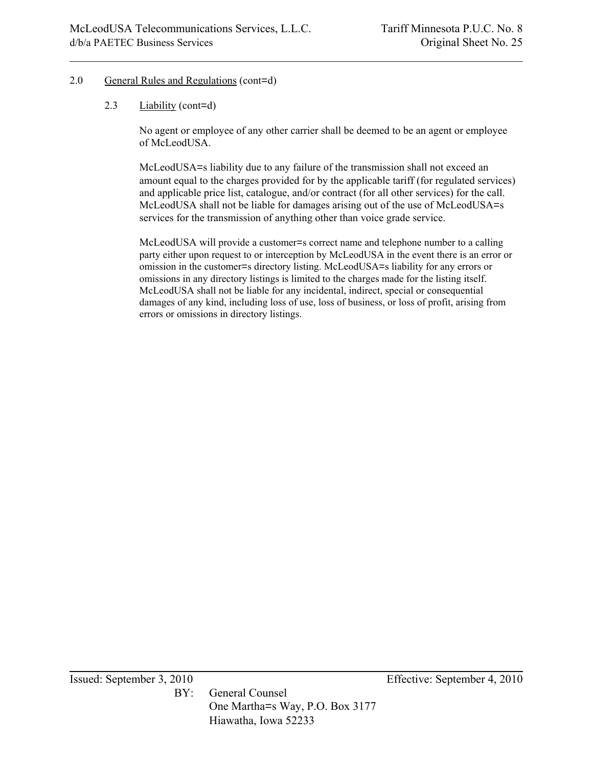# 2.3 Liability (cont=d)

No agent or employee of any other carrier shall be deemed to be an agent or employee of McLeodUSA.

 $\mathcal{L}_\mathcal{L} = \{ \mathcal{L}_\mathcal{L} = \{ \mathcal{L}_\mathcal{L} = \{ \mathcal{L}_\mathcal{L} = \{ \mathcal{L}_\mathcal{L} = \{ \mathcal{L}_\mathcal{L} = \{ \mathcal{L}_\mathcal{L} = \{ \mathcal{L}_\mathcal{L} = \{ \mathcal{L}_\mathcal{L} = \{ \mathcal{L}_\mathcal{L} = \{ \mathcal{L}_\mathcal{L} = \{ \mathcal{L}_\mathcal{L} = \{ \mathcal{L}_\mathcal{L} = \{ \mathcal{L}_\mathcal{L} = \{ \mathcal{L}_\mathcal{$ 

McLeodUSA=s liability due to any failure of the transmission shall not exceed an amount equal to the charges provided for by the applicable tariff (for regulated services) and applicable price list, catalogue, and/or contract (for all other services) for the call. McLeodUSA shall not be liable for damages arising out of the use of McLeodUSA=s services for the transmission of anything other than voice grade service.

McLeodUSA will provide a customer=s correct name and telephone number to a calling party either upon request to or interception by McLeodUSA in the event there is an error or omission in the customer=s directory listing. McLeodUSA=s liability for any errors or omissions in any directory listings is limited to the charges made for the listing itself. McLeodUSA shall not be liable for any incidental, indirect, special or consequential damages of any kind, including loss of use, loss of business, or loss of profit, arising from errors or omissions in directory listings.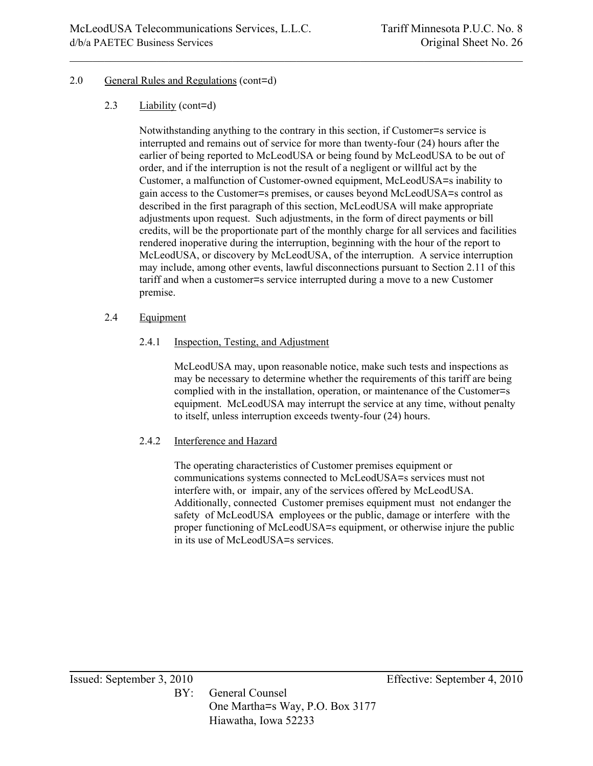# 2.3 Liability (cont=d)

Notwithstanding anything to the contrary in this section, if Customer=s service is interrupted and remains out of service for more than twenty-four (24) hours after the earlier of being reported to McLeodUSA or being found by McLeodUSA to be out of order, and if the interruption is not the result of a negligent or willful act by the Customer, a malfunction of Customer-owned equipment, McLeodUSA=s inability to gain access to the Customer=s premises, or causes beyond McLeodUSA=s control as described in the first paragraph of this section, McLeodUSA will make appropriate adjustments upon request. Such adjustments, in the form of direct payments or bill credits, will be the proportionate part of the monthly charge for all services and facilities rendered inoperative during the interruption, beginning with the hour of the report to McLeodUSA, or discovery by McLeodUSA, of the interruption. A service interruption may include, among other events, lawful disconnections pursuant to Section 2.11 of this tariff and when a customer=s service interrupted during a move to a new Customer premise.

 $\mathcal{L}_\mathcal{L} = \{ \mathcal{L}_\mathcal{L} = \{ \mathcal{L}_\mathcal{L} = \{ \mathcal{L}_\mathcal{L} = \{ \mathcal{L}_\mathcal{L} = \{ \mathcal{L}_\mathcal{L} = \{ \mathcal{L}_\mathcal{L} = \{ \mathcal{L}_\mathcal{L} = \{ \mathcal{L}_\mathcal{L} = \{ \mathcal{L}_\mathcal{L} = \{ \mathcal{L}_\mathcal{L} = \{ \mathcal{L}_\mathcal{L} = \{ \mathcal{L}_\mathcal{L} = \{ \mathcal{L}_\mathcal{L} = \{ \mathcal{L}_\mathcal{$ 

# 2.4 Equipment

### 2.4.1 Inspection, Testing, and Adjustment

McLeodUSA may, upon reasonable notice, make such tests and inspections as may be necessary to determine whether the requirements of this tariff are being complied with in the installation, operation, or maintenance of the Customer=s equipment. McLeodUSA may interrupt the service at any time, without penalty to itself, unless interruption exceeds twenty-four (24) hours.

# 2.4.2 Interference and Hazard

The operating characteristics of Customer premises equipment or communications systems connected to McLeodUSA=s services must not interfere with, or impair, any of the services offered by McLeodUSA. Additionally, connected Customer premises equipment must not endanger the safety of McLeodUSA employees or the public, damage or interfere with the proper functioning of McLeodUSA=s equipment, or otherwise injure the public in its use of McLeodUSA=s services.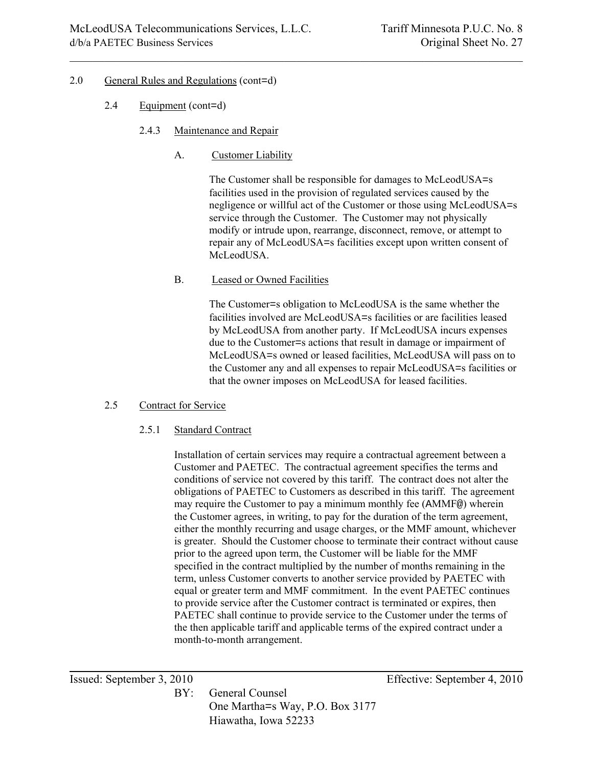- 2.4 Equipment (cont=d)
	- 2.4.3 Maintenance and Repair
		- A. Customer Liability

 $\mathcal{L}_\mathcal{L} = \{ \mathcal{L}_\mathcal{L} = \{ \mathcal{L}_\mathcal{L} = \{ \mathcal{L}_\mathcal{L} = \{ \mathcal{L}_\mathcal{L} = \{ \mathcal{L}_\mathcal{L} = \{ \mathcal{L}_\mathcal{L} = \{ \mathcal{L}_\mathcal{L} = \{ \mathcal{L}_\mathcal{L} = \{ \mathcal{L}_\mathcal{L} = \{ \mathcal{L}_\mathcal{L} = \{ \mathcal{L}_\mathcal{L} = \{ \mathcal{L}_\mathcal{L} = \{ \mathcal{L}_\mathcal{L} = \{ \mathcal{L}_\mathcal{$ 

The Customer shall be responsible for damages to McLeodUSA=s facilities used in the provision of regulated services caused by the negligence or willful act of the Customer or those using McLeodUSA=s service through the Customer. The Customer may not physically modify or intrude upon, rearrange, disconnect, remove, or attempt to repair any of McLeodUSA=s facilities except upon written consent of McLeodUSA.

# B. Leased or Owned Facilities

The Customer=s obligation to McLeodUSA is the same whether the facilities involved are McLeodUSA=s facilities or are facilities leased by McLeodUSA from another party. If McLeodUSA incurs expenses due to the Customer=s actions that result in damage or impairment of McLeodUSA=s owned or leased facilities, McLeodUSA will pass on to the Customer any and all expenses to repair McLeodUSA=s facilities or that the owner imposes on McLeodUSA for leased facilities.

# 2.5 Contract for Service

# 2.5.1 Standard Contract

Installation of certain services may require a contractual agreement between a Customer and PAETEC. The contractual agreement specifies the terms and conditions of service not covered by this tariff. The contract does not alter the obligations of PAETEC to Customers as described in this tariff. The agreement may require the Customer to pay a minimum monthly fee (AMMF@) wherein the Customer agrees, in writing, to pay for the duration of the term agreement, either the monthly recurring and usage charges, or the MMF amount, whichever is greater. Should the Customer choose to terminate their contract without cause prior to the agreed upon term, the Customer will be liable for the MMF specified in the contract multiplied by the number of months remaining in the term, unless Customer converts to another service provided by PAETEC with equal or greater term and MMF commitment. In the event PAETEC continues to provide service after the Customer contract is terminated or expires, then PAETEC shall continue to provide service to the Customer under the terms of the then applicable tariff and applicable terms of the expired contract under a month-to-month arrangement.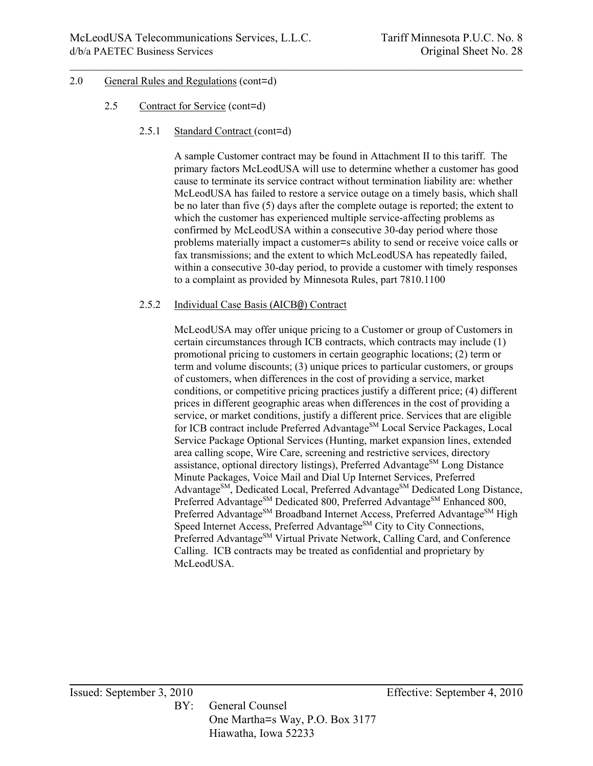- 2.5 Contract for Service (cont=d)
	- 2.5.1 Standard Contract (cont=d)

A sample Customer contract may be found in Attachment II to this tariff. The primary factors McLeodUSA will use to determine whether a customer has good cause to terminate its service contract without termination liability are: whether McLeodUSA has failed to restore a service outage on a timely basis, which shall be no later than five (5) days after the complete outage is reported; the extent to which the customer has experienced multiple service-affecting problems as confirmed by McLeodUSA within a consecutive 30-day period where those problems materially impact a customer=s ability to send or receive voice calls or fax transmissions; and the extent to which McLeodUSA has repeatedly failed, within a consecutive 30-day period, to provide a customer with timely responses to a complaint as provided by Minnesota Rules, part 7810.1100

 $\mathcal{L}_\mathcal{L} = \{ \mathcal{L}_\mathcal{L} = \{ \mathcal{L}_\mathcal{L} = \{ \mathcal{L}_\mathcal{L} = \{ \mathcal{L}_\mathcal{L} = \{ \mathcal{L}_\mathcal{L} = \{ \mathcal{L}_\mathcal{L} = \{ \mathcal{L}_\mathcal{L} = \{ \mathcal{L}_\mathcal{L} = \{ \mathcal{L}_\mathcal{L} = \{ \mathcal{L}_\mathcal{L} = \{ \mathcal{L}_\mathcal{L} = \{ \mathcal{L}_\mathcal{L} = \{ \mathcal{L}_\mathcal{L} = \{ \mathcal{L}_\mathcal{$ 

### 2.5.2 Individual Case Basis (AICB@) Contract

McLeodUSA may offer unique pricing to a Customer or group of Customers in certain circumstances through ICB contracts, which contracts may include (1) promotional pricing to customers in certain geographic locations; (2) term or term and volume discounts; (3) unique prices to particular customers, or groups of customers, when differences in the cost of providing a service, market conditions, or competitive pricing practices justify a different price; (4) different prices in different geographic areas when differences in the cost of providing a service, or market conditions, justify a different price. Services that are eligible for ICB contract include Preferred Advantage<sup>SM</sup> Local Service Packages, Local Service Package Optional Services (Hunting, market expansion lines, extended area calling scope, Wire Care, screening and restrictive services, directory assistance, optional directory listings), Preferred Advantage<sup>SM</sup> Long Distance Minute Packages, Voice Mail and Dial Up Internet Services, Preferred Advantage<sup>SM</sup>, Dedicated Local, Preferred Advantage<sup>SM</sup> Dedicated Long Distance, Preferred Advantage<sup>SM</sup> Dedicated 800, Preferred Advantage<sup>SM</sup> Enhanced 800, Preferred Advantage<sup>SM</sup> Broadband Internet Access, Preferred Advantage<sup>SM</sup> High Speed Internet Access, Preferred Advantage<sup>SM</sup> City to City Connections, Preferred Advantage<sup>SM</sup> Virtual Private Network, Calling Card, and Conference Calling. ICB contracts may be treated as confidential and proprietary by McLeodUSA.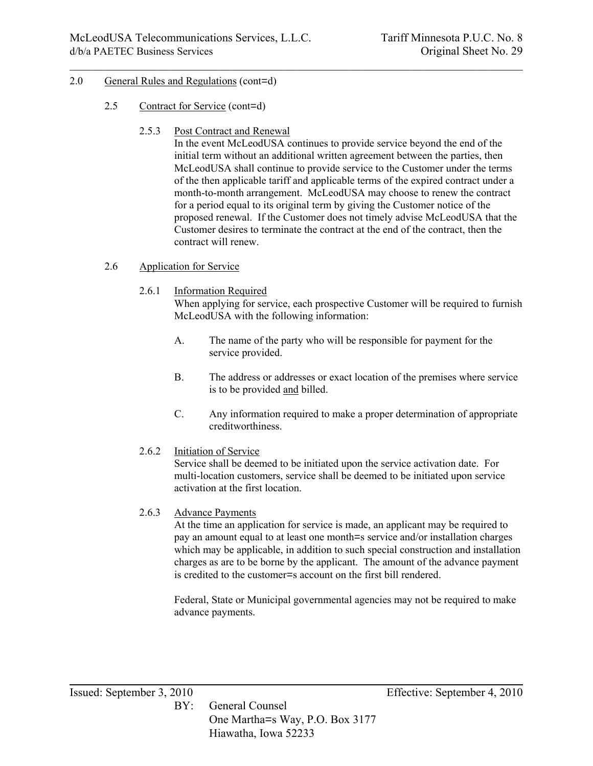- 2.5 Contract for Service (cont=d)
	- 2.5.3 Post Contract and Renewal

In the event McLeodUSA continues to provide service beyond the end of the initial term without an additional written agreement between the parties, then McLeodUSA shall continue to provide service to the Customer under the terms of the then applicable tariff and applicable terms of the expired contract under a month-to-month arrangement. McLeodUSA may choose to renew the contract for a period equal to its original term by giving the Customer notice of the proposed renewal. If the Customer does not timely advise McLeodUSA that the Customer desires to terminate the contract at the end of the contract, then the contract will renew.

 $\mathcal{L}_\mathcal{L} = \{ \mathcal{L}_\mathcal{L} = \{ \mathcal{L}_\mathcal{L} = \{ \mathcal{L}_\mathcal{L} = \{ \mathcal{L}_\mathcal{L} = \{ \mathcal{L}_\mathcal{L} = \{ \mathcal{L}_\mathcal{L} = \{ \mathcal{L}_\mathcal{L} = \{ \mathcal{L}_\mathcal{L} = \{ \mathcal{L}_\mathcal{L} = \{ \mathcal{L}_\mathcal{L} = \{ \mathcal{L}_\mathcal{L} = \{ \mathcal{L}_\mathcal{L} = \{ \mathcal{L}_\mathcal{L} = \{ \mathcal{L}_\mathcal{$ 

### 2.6 Application for Service

2.6.1 Information Required

When applying for service, each prospective Customer will be required to furnish McLeodUSA with the following information:

- A. The name of the party who will be responsible for payment for the service provided.
- B. The address or addresses or exact location of the premises where service is to be provided and billed.
- C. Any information required to make a proper determination of appropriate creditworthiness.

# 2.6.2 Initiation of Service

Service shall be deemed to be initiated upon the service activation date. For multi-location customers, service shall be deemed to be initiated upon service activation at the first location.

2.6.3 Advance Payments

At the time an application for service is made, an applicant may be required to pay an amount equal to at least one month=s service and/or installation charges which may be applicable, in addition to such special construction and installation charges as are to be borne by the applicant. The amount of the advance payment is credited to the customer=s account on the first bill rendered.

Federal, State or Municipal governmental agencies may not be required to make advance payments.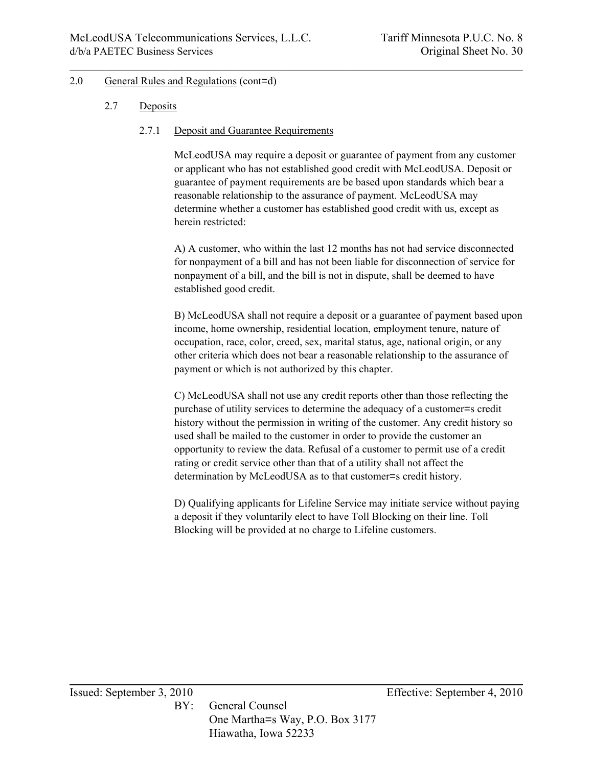# 2.7 Deposits

### 2.7.1 Deposit and Guarantee Requirements

 $\mathcal{L}_\mathcal{L} = \{ \mathcal{L}_\mathcal{L} = \{ \mathcal{L}_\mathcal{L} = \{ \mathcal{L}_\mathcal{L} = \{ \mathcal{L}_\mathcal{L} = \{ \mathcal{L}_\mathcal{L} = \{ \mathcal{L}_\mathcal{L} = \{ \mathcal{L}_\mathcal{L} = \{ \mathcal{L}_\mathcal{L} = \{ \mathcal{L}_\mathcal{L} = \{ \mathcal{L}_\mathcal{L} = \{ \mathcal{L}_\mathcal{L} = \{ \mathcal{L}_\mathcal{L} = \{ \mathcal{L}_\mathcal{L} = \{ \mathcal{L}_\mathcal{$ 

McLeodUSA may require a deposit or guarantee of payment from any customer or applicant who has not established good credit with McLeodUSA. Deposit or guarantee of payment requirements are be based upon standards which bear a reasonable relationship to the assurance of payment. McLeodUSA may determine whether a customer has established good credit with us, except as herein restricted:

A) A customer, who within the last 12 months has not had service disconnected for nonpayment of a bill and has not been liable for disconnection of service for nonpayment of a bill, and the bill is not in dispute, shall be deemed to have established good credit.

B) McLeodUSA shall not require a deposit or a guarantee of payment based upon income, home ownership, residential location, employment tenure, nature of occupation, race, color, creed, sex, marital status, age, national origin, or any other criteria which does not bear a reasonable relationship to the assurance of payment or which is not authorized by this chapter.

C) McLeodUSA shall not use any credit reports other than those reflecting the purchase of utility services to determine the adequacy of a customer=s credit history without the permission in writing of the customer. Any credit history so used shall be mailed to the customer in order to provide the customer an opportunity to review the data. Refusal of a customer to permit use of a credit rating or credit service other than that of a utility shall not affect the determination by McLeodUSA as to that customer=s credit history.

D) Qualifying applicants for Lifeline Service may initiate service without paying a deposit if they voluntarily elect to have Toll Blocking on their line. Toll Blocking will be provided at no charge to Lifeline customers.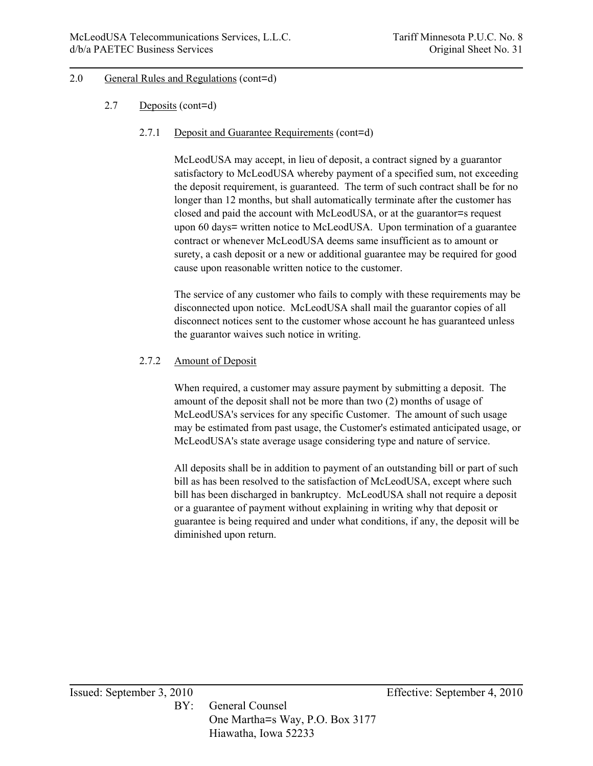- 2.7 Deposits (cont=d)
	- 2.7.1 Deposit and Guarantee Requirements (cont=d)

McLeodUSA may accept, in lieu of deposit, a contract signed by a guarantor satisfactory to McLeodUSA whereby payment of a specified sum, not exceeding the deposit requirement, is guaranteed. The term of such contract shall be for no longer than 12 months, but shall automatically terminate after the customer has closed and paid the account with McLeodUSA, or at the guarantor=s request upon 60 days= written notice to McLeodUSA. Upon termination of a guarantee contract or whenever McLeodUSA deems same insufficient as to amount or surety, a cash deposit or a new or additional guarantee may be required for good cause upon reasonable written notice to the customer.

The service of any customer who fails to comply with these requirements may be disconnected upon notice. McLeodUSA shall mail the guarantor copies of all disconnect notices sent to the customer whose account he has guaranteed unless the guarantor waives such notice in writing.

### 2.7.2 Amount of Deposit

When required, a customer may assure payment by submitting a deposit. The amount of the deposit shall not be more than two (2) months of usage of McLeodUSA's services for any specific Customer. The amount of such usage may be estimated from past usage, the Customer's estimated anticipated usage, or McLeodUSA's state average usage considering type and nature of service.

All deposits shall be in addition to payment of an outstanding bill or part of such bill as has been resolved to the satisfaction of McLeodUSA, except where such bill has been discharged in bankruptcy. McLeodUSA shall not require a deposit or a guarantee of payment without explaining in writing why that deposit or guarantee is being required and under what conditions, if any, the deposit will be diminished upon return.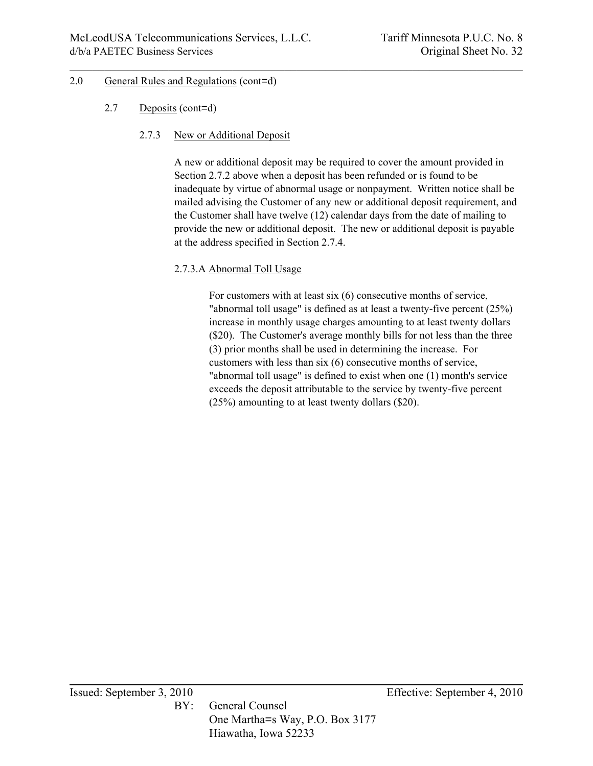- 2.7 Deposits (cont=d)
	- 2.7.3 New or Additional Deposit

A new or additional deposit may be required to cover the amount provided in Section 2.7.2 above when a deposit has been refunded or is found to be inadequate by virtue of abnormal usage or nonpayment. Written notice shall be mailed advising the Customer of any new or additional deposit requirement, and the Customer shall have twelve (12) calendar days from the date of mailing to provide the new or additional deposit. The new or additional deposit is payable at the address specified in Section 2.7.4.

 $\mathcal{L}_\mathcal{L} = \{ \mathcal{L}_\mathcal{L} = \{ \mathcal{L}_\mathcal{L} = \{ \mathcal{L}_\mathcal{L} = \{ \mathcal{L}_\mathcal{L} = \{ \mathcal{L}_\mathcal{L} = \{ \mathcal{L}_\mathcal{L} = \{ \mathcal{L}_\mathcal{L} = \{ \mathcal{L}_\mathcal{L} = \{ \mathcal{L}_\mathcal{L} = \{ \mathcal{L}_\mathcal{L} = \{ \mathcal{L}_\mathcal{L} = \{ \mathcal{L}_\mathcal{L} = \{ \mathcal{L}_\mathcal{L} = \{ \mathcal{L}_\mathcal{$ 

# 2.7.3.A Abnormal Toll Usage

For customers with at least six (6) consecutive months of service, "abnormal toll usage" is defined as at least a twenty-five percent (25%) increase in monthly usage charges amounting to at least twenty dollars (\$20). The Customer's average monthly bills for not less than the three (3) prior months shall be used in determining the increase. For customers with less than six (6) consecutive months of service, "abnormal toll usage" is defined to exist when one (1) month's service exceeds the deposit attributable to the service by twenty-five percent (25%) amounting to at least twenty dollars (\$20).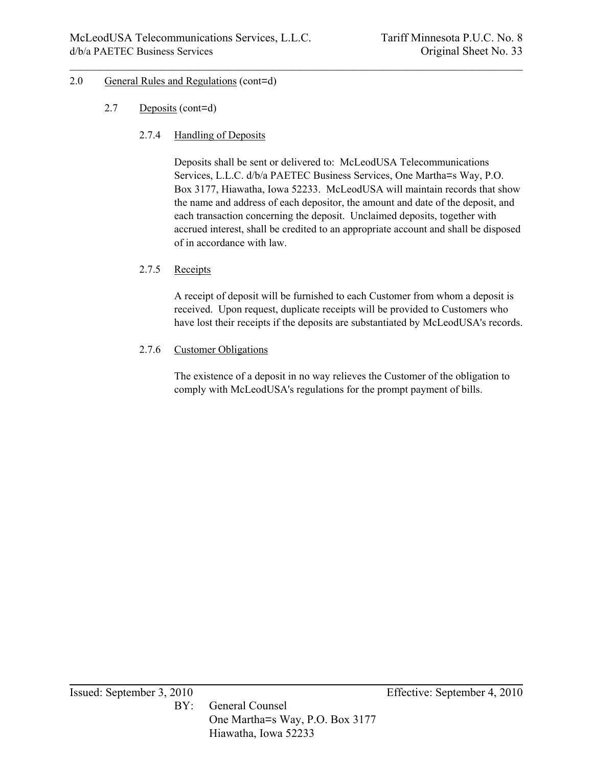### 2.7 Deposits (cont=d)

2.7.4 Handling of Deposits

Deposits shall be sent or delivered to: McLeodUSA Telecommunications Services, L.L.C. d/b/a PAETEC Business Services, One Martha=s Way, P.O. Box 3177, Hiawatha, Iowa 52233. McLeodUSA will maintain records that show the name and address of each depositor, the amount and date of the deposit, and each transaction concerning the deposit. Unclaimed deposits, together with accrued interest, shall be credited to an appropriate account and shall be disposed of in accordance with law.

 $\mathcal{L}_\mathcal{L} = \{ \mathcal{L}_\mathcal{L} = \{ \mathcal{L}_\mathcal{L} = \{ \mathcal{L}_\mathcal{L} = \{ \mathcal{L}_\mathcal{L} = \{ \mathcal{L}_\mathcal{L} = \{ \mathcal{L}_\mathcal{L} = \{ \mathcal{L}_\mathcal{L} = \{ \mathcal{L}_\mathcal{L} = \{ \mathcal{L}_\mathcal{L} = \{ \mathcal{L}_\mathcal{L} = \{ \mathcal{L}_\mathcal{L} = \{ \mathcal{L}_\mathcal{L} = \{ \mathcal{L}_\mathcal{L} = \{ \mathcal{L}_\mathcal{$ 

# 2.7.5 Receipts

A receipt of deposit will be furnished to each Customer from whom a deposit is received. Upon request, duplicate receipts will be provided to Customers who have lost their receipts if the deposits are substantiated by McLeodUSA's records.

### 2.7.6 Customer Obligations

The existence of a deposit in no way relieves the Customer of the obligation to comply with McLeodUSA's regulations for the prompt payment of bills.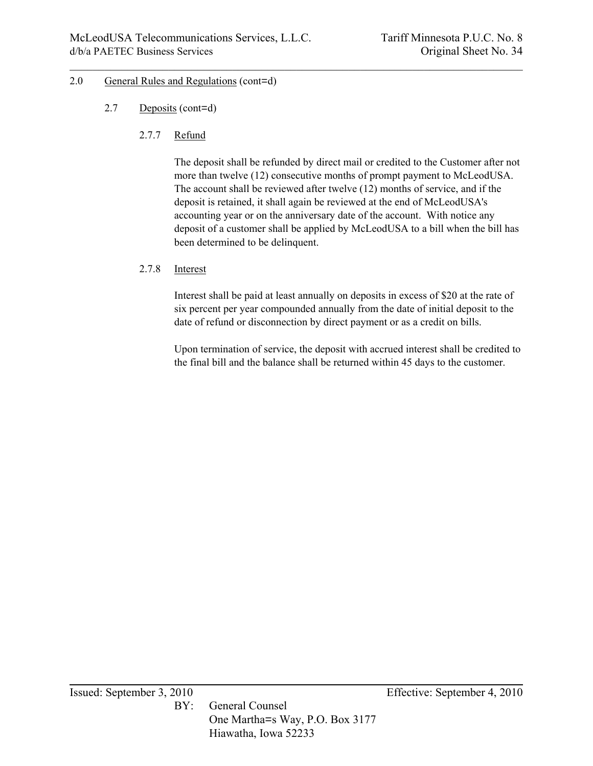# 2.7 Deposits (cont=d)

2.7.7 Refund

The deposit shall be refunded by direct mail or credited to the Customer after not more than twelve (12) consecutive months of prompt payment to McLeodUSA. The account shall be reviewed after twelve (12) months of service, and if the deposit is retained, it shall again be reviewed at the end of McLeodUSA's accounting year or on the anniversary date of the account. With notice any deposit of a customer shall be applied by McLeodUSA to a bill when the bill has been determined to be delinquent.

 $\mathcal{L}_\mathcal{L} = \{ \mathcal{L}_\mathcal{L} = \{ \mathcal{L}_\mathcal{L} = \{ \mathcal{L}_\mathcal{L} = \{ \mathcal{L}_\mathcal{L} = \{ \mathcal{L}_\mathcal{L} = \{ \mathcal{L}_\mathcal{L} = \{ \mathcal{L}_\mathcal{L} = \{ \mathcal{L}_\mathcal{L} = \{ \mathcal{L}_\mathcal{L} = \{ \mathcal{L}_\mathcal{L} = \{ \mathcal{L}_\mathcal{L} = \{ \mathcal{L}_\mathcal{L} = \{ \mathcal{L}_\mathcal{L} = \{ \mathcal{L}_\mathcal{$ 

2.7.8 Interest

Interest shall be paid at least annually on deposits in excess of \$20 at the rate of six percent per year compounded annually from the date of initial deposit to the date of refund or disconnection by direct payment or as a credit on bills.

Upon termination of service, the deposit with accrued interest shall be credited to the final bill and the balance shall be returned within 45 days to the customer.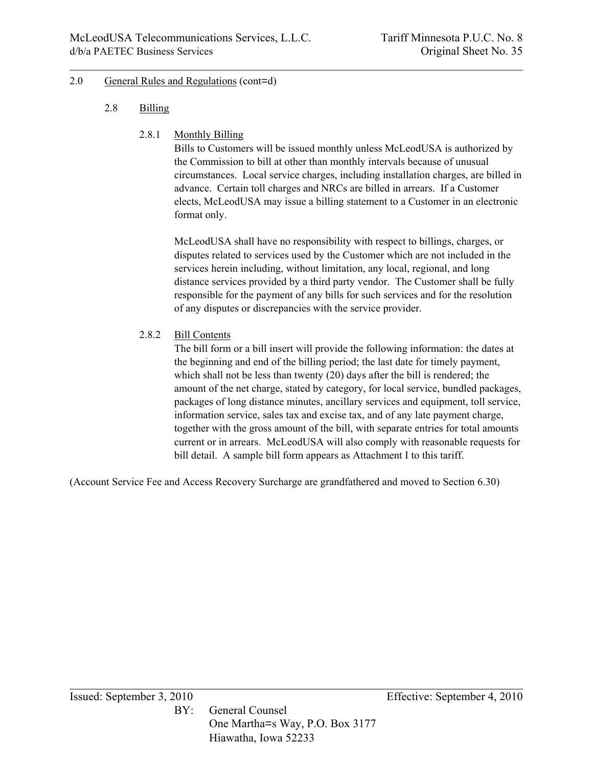# 2.8 Billing

2.8.1 Monthly Billing

Bills to Customers will be issued monthly unless McLeodUSA is authorized by the Commission to bill at other than monthly intervals because of unusual circumstances. Local service charges, including installation charges, are billed in advance. Certain toll charges and NRCs are billed in arrears. If a Customer elects, McLeodUSA may issue a billing statement to a Customer in an electronic format only.

 $\mathcal{L}_\mathcal{L} = \{ \mathcal{L}_\mathcal{L} = \{ \mathcal{L}_\mathcal{L} = \{ \mathcal{L}_\mathcal{L} = \{ \mathcal{L}_\mathcal{L} = \{ \mathcal{L}_\mathcal{L} = \{ \mathcal{L}_\mathcal{L} = \{ \mathcal{L}_\mathcal{L} = \{ \mathcal{L}_\mathcal{L} = \{ \mathcal{L}_\mathcal{L} = \{ \mathcal{L}_\mathcal{L} = \{ \mathcal{L}_\mathcal{L} = \{ \mathcal{L}_\mathcal{L} = \{ \mathcal{L}_\mathcal{L} = \{ \mathcal{L}_\mathcal{$ 

McLeodUSA shall have no responsibility with respect to billings, charges, or disputes related to services used by the Customer which are not included in the services herein including, without limitation, any local, regional, and long distance services provided by a third party vendor. The Customer shall be fully responsible for the payment of any bills for such services and for the resolution of any disputes or discrepancies with the service provider.

# 2.8.2 Bill Contents

The bill form or a bill insert will provide the following information: the dates at the beginning and end of the billing period; the last date for timely payment, which shall not be less than twenty (20) days after the bill is rendered; the amount of the net charge, stated by category, for local service, bundled packages, packages of long distance minutes, ancillary services and equipment, toll service, information service, sales tax and excise tax, and of any late payment charge, together with the gross amount of the bill, with separate entries for total amounts current or in arrears. McLeodUSA will also comply with reasonable requests for bill detail. A sample bill form appears as Attachment I to this tariff.

(Account Service Fee and Access Recovery Surcharge are grandfathered and moved to Section 6.30)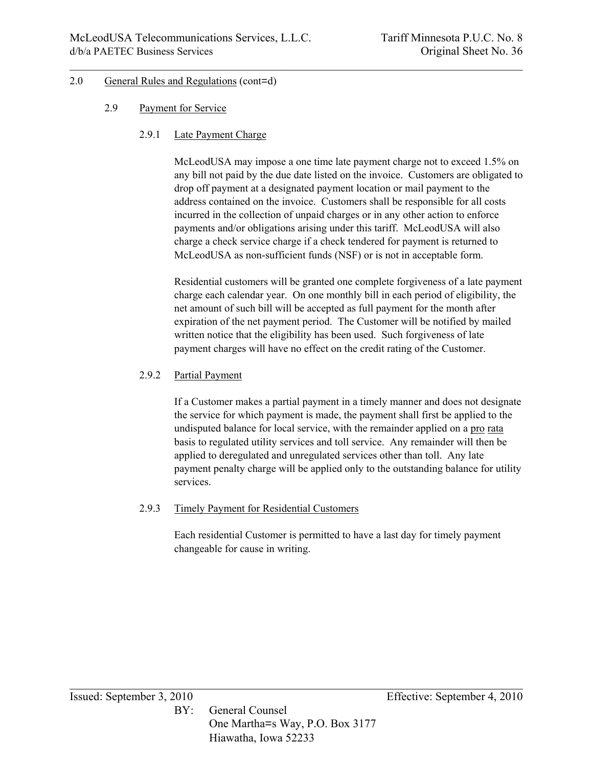# 2.9 Payment for Service

# 2.9.1 Late Payment Charge

McLeodUSA may impose a one time late payment charge not to exceed 1.5% on any bill not paid by the due date listed on the invoice. Customers are obligated to drop off payment at a designated payment location or mail payment to the address contained on the invoice. Customers shall be responsible for all costs incurred in the collection of unpaid charges or in any other action to enforce payments and/or obligations arising under this tariff. McLeodUSA will also charge a check service charge if a check tendered for payment is returned to McLeodUSA as non-sufficient funds (NSF) or is not in acceptable form.

 $\mathcal{L}_\mathcal{L} = \{ \mathcal{L}_\mathcal{L} = \{ \mathcal{L}_\mathcal{L} = \{ \mathcal{L}_\mathcal{L} = \{ \mathcal{L}_\mathcal{L} = \{ \mathcal{L}_\mathcal{L} = \{ \mathcal{L}_\mathcal{L} = \{ \mathcal{L}_\mathcal{L} = \{ \mathcal{L}_\mathcal{L} = \{ \mathcal{L}_\mathcal{L} = \{ \mathcal{L}_\mathcal{L} = \{ \mathcal{L}_\mathcal{L} = \{ \mathcal{L}_\mathcal{L} = \{ \mathcal{L}_\mathcal{L} = \{ \mathcal{L}_\mathcal{$ 

Residential customers will be granted one complete forgiveness of a late payment charge each calendar year. On one monthly bill in each period of eligibility, the net amount of such bill will be accepted as full payment for the month after expiration of the net payment period. The Customer will be notified by mailed written notice that the eligibility has been used. Such forgiveness of late payment charges will have no effect on the credit rating of the Customer.

# 2.9.2 Partial Payment

If a Customer makes a partial payment in a timely manner and does not designate the service for which payment is made, the payment shall first be applied to the undisputed balance for local service, with the remainder applied on a pro rata basis to regulated utility services and toll service. Any remainder will then be applied to deregulated and unregulated services other than toll. Any late payment penalty charge will be applied only to the outstanding balance for utility services.

# 2.9.3 Timely Payment for Residential Customers

Each residential Customer is permitted to have a last day for timely payment changeable for cause in writing.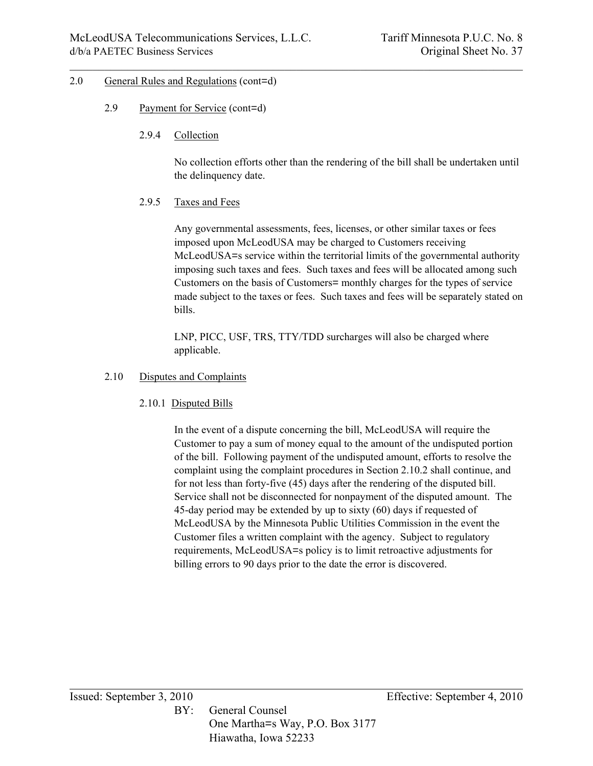### 2.9 Payment for Service (cont=d)

2.9.4 Collection

No collection efforts other than the rendering of the bill shall be undertaken until the delinquency date.

 $\mathcal{L}_\mathcal{L} = \{ \mathcal{L}_\mathcal{L} = \{ \mathcal{L}_\mathcal{L} = \{ \mathcal{L}_\mathcal{L} = \{ \mathcal{L}_\mathcal{L} = \{ \mathcal{L}_\mathcal{L} = \{ \mathcal{L}_\mathcal{L} = \{ \mathcal{L}_\mathcal{L} = \{ \mathcal{L}_\mathcal{L} = \{ \mathcal{L}_\mathcal{L} = \{ \mathcal{L}_\mathcal{L} = \{ \mathcal{L}_\mathcal{L} = \{ \mathcal{L}_\mathcal{L} = \{ \mathcal{L}_\mathcal{L} = \{ \mathcal{L}_\mathcal{$ 

### 2.9.5 Taxes and Fees

Any governmental assessments, fees, licenses, or other similar taxes or fees imposed upon McLeodUSA may be charged to Customers receiving McLeodUSA=s service within the territorial limits of the governmental authority imposing such taxes and fees. Such taxes and fees will be allocated among such Customers on the basis of Customers= monthly charges for the types of service made subject to the taxes or fees. Such taxes and fees will be separately stated on bills.

LNP, PICC, USF, TRS, TTY/TDD surcharges will also be charged where applicable.

### 2.10 Disputes and Complaints

### 2.10.1 Disputed Bills

In the event of a dispute concerning the bill, McLeodUSA will require the Customer to pay a sum of money equal to the amount of the undisputed portion of the bill. Following payment of the undisputed amount, efforts to resolve the complaint using the complaint procedures in Section 2.10.2 shall continue, and for not less than forty-five (45) days after the rendering of the disputed bill. Service shall not be disconnected for nonpayment of the disputed amount. The 45-day period may be extended by up to sixty (60) days if requested of McLeodUSA by the Minnesota Public Utilities Commission in the event the Customer files a written complaint with the agency. Subject to regulatory requirements, McLeodUSA=s policy is to limit retroactive adjustments for billing errors to 90 days prior to the date the error is discovered.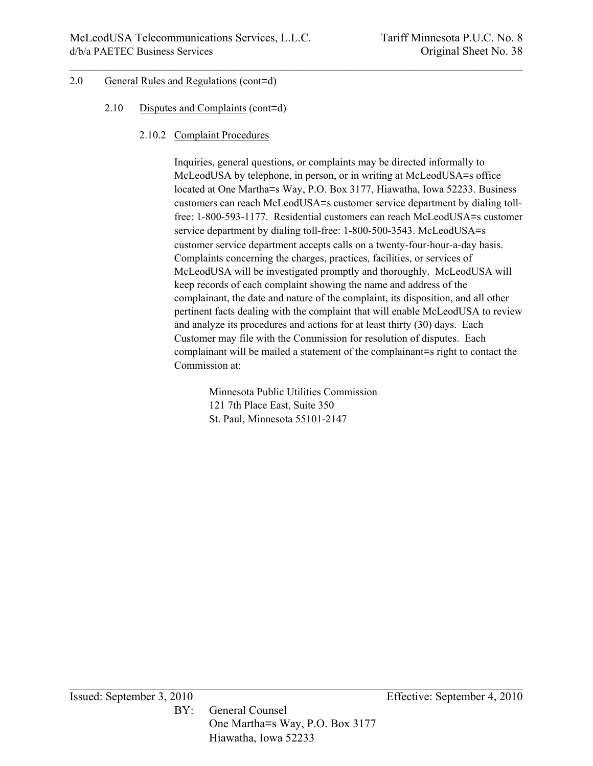- 2.10 Disputes and Complaints (cont=d)
	- 2.10.2 Complaint Procedures

Inquiries, general questions, or complaints may be directed informally to McLeodUSA by telephone, in person, or in writing at McLeodUSA=s office located at One Martha=s Way, P.O. Box 3177, Hiawatha, Iowa 52233. Business customers can reach McLeodUSA=s customer service department by dialing tollfree: 1-800-593-1177. Residential customers can reach McLeodUSA=s customer service department by dialing toll-free: 1-800-500-3543. McLeodUSA=s customer service department accepts calls on a twenty-four-hour-a-day basis. Complaints concerning the charges, practices, facilities, or services of McLeodUSA will be investigated promptly and thoroughly. McLeodUSA will keep records of each complaint showing the name and address of the complainant, the date and nature of the complaint, its disposition, and all other pertinent facts dealing with the complaint that will enable McLeodUSA to review and analyze its procedures and actions for at least thirty (30) days. Each Customer may file with the Commission for resolution of disputes. Each complainant will be mailed a statement of the complainant=s right to contact the Commission at:

Minnesota Public Utilities Commission 121 7th Place East, Suite 350 St. Paul, Minnesota 55101-2147

 $\mathcal{L}_\mathcal{L} = \{ \mathcal{L}_\mathcal{L} = \{ \mathcal{L}_\mathcal{L} = \{ \mathcal{L}_\mathcal{L} = \{ \mathcal{L}_\mathcal{L} = \{ \mathcal{L}_\mathcal{L} = \{ \mathcal{L}_\mathcal{L} = \{ \mathcal{L}_\mathcal{L} = \{ \mathcal{L}_\mathcal{L} = \{ \mathcal{L}_\mathcal{L} = \{ \mathcal{L}_\mathcal{L} = \{ \mathcal{L}_\mathcal{L} = \{ \mathcal{L}_\mathcal{L} = \{ \mathcal{L}_\mathcal{L} = \{ \mathcal{L}_\mathcal{$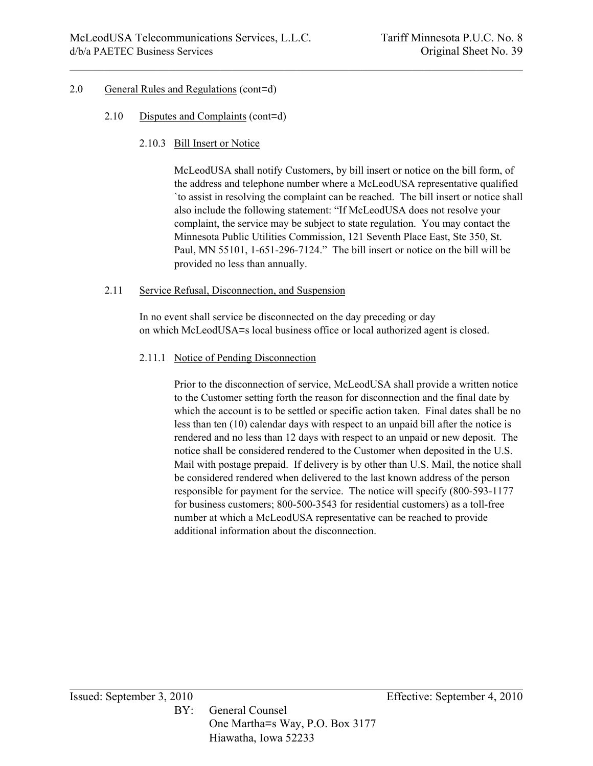- 2.10 Disputes and Complaints (cont=d)
	- 2.10.3 Bill Insert or Notice

McLeodUSA shall notify Customers, by bill insert or notice on the bill form, of the address and telephone number where a McLeodUSA representative qualified `to assist in resolving the complaint can be reached. The bill insert or notice shall also include the following statement: "If McLeodUSA does not resolve your complaint, the service may be subject to state regulation. You may contact the Minnesota Public Utilities Commission, 121 Seventh Place East, Ste 350, St. Paul, MN 55101, 1-651-296-7124." The bill insert or notice on the bill will be provided no less than annually.

#### 2.11 Service Refusal, Disconnection, and Suspension

In no event shall service be disconnected on the day preceding or day on which McLeodUSA=s local business office or local authorized agent is closed.

 $\mathcal{L}_\mathcal{L} = \{ \mathcal{L}_\mathcal{L} = \{ \mathcal{L}_\mathcal{L} = \{ \mathcal{L}_\mathcal{L} = \{ \mathcal{L}_\mathcal{L} = \{ \mathcal{L}_\mathcal{L} = \{ \mathcal{L}_\mathcal{L} = \{ \mathcal{L}_\mathcal{L} = \{ \mathcal{L}_\mathcal{L} = \{ \mathcal{L}_\mathcal{L} = \{ \mathcal{L}_\mathcal{L} = \{ \mathcal{L}_\mathcal{L} = \{ \mathcal{L}_\mathcal{L} = \{ \mathcal{L}_\mathcal{L} = \{ \mathcal{L}_\mathcal{$ 

#### 2.11.1 Notice of Pending Disconnection

Prior to the disconnection of service, McLeodUSA shall provide a written notice to the Customer setting forth the reason for disconnection and the final date by which the account is to be settled or specific action taken. Final dates shall be no less than ten (10) calendar days with respect to an unpaid bill after the notice is rendered and no less than 12 days with respect to an unpaid or new deposit. The notice shall be considered rendered to the Customer when deposited in the U.S. Mail with postage prepaid. If delivery is by other than U.S. Mail, the notice shall be considered rendered when delivered to the last known address of the person responsible for payment for the service. The notice will specify (800-593-1177 for business customers; 800-500-3543 for residential customers) as a toll-free number at which a McLeodUSA representative can be reached to provide additional information about the disconnection.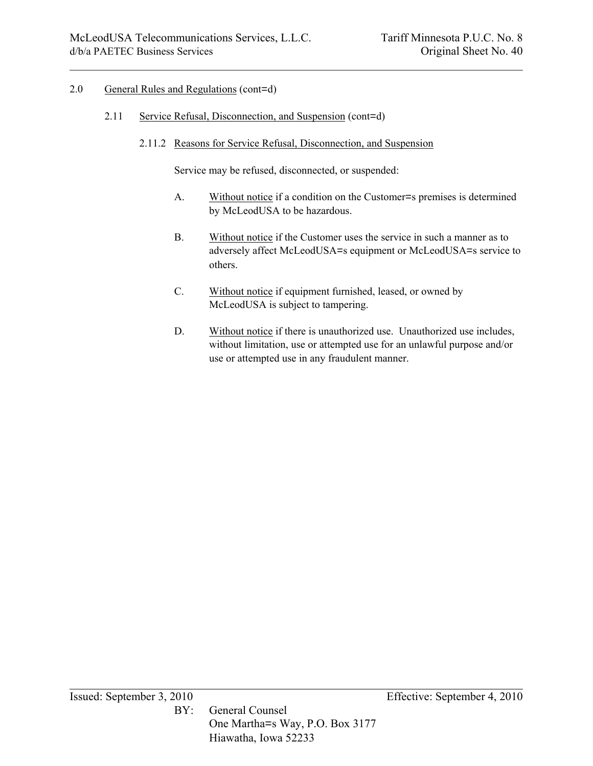- 2.11 Service Refusal, Disconnection, and Suspension (cont=d)
	- 2.11.2 Reasons for Service Refusal, Disconnection, and Suspension

 $\mathcal{L}_\mathcal{L} = \{ \mathcal{L}_\mathcal{L} = \{ \mathcal{L}_\mathcal{L} = \{ \mathcal{L}_\mathcal{L} = \{ \mathcal{L}_\mathcal{L} = \{ \mathcal{L}_\mathcal{L} = \{ \mathcal{L}_\mathcal{L} = \{ \mathcal{L}_\mathcal{L} = \{ \mathcal{L}_\mathcal{L} = \{ \mathcal{L}_\mathcal{L} = \{ \mathcal{L}_\mathcal{L} = \{ \mathcal{L}_\mathcal{L} = \{ \mathcal{L}_\mathcal{L} = \{ \mathcal{L}_\mathcal{L} = \{ \mathcal{L}_\mathcal{$ 

Service may be refused, disconnected, or suspended:

- A. Without notice if a condition on the Customer=s premises is determined by McLeodUSA to be hazardous.
- B. Without notice if the Customer uses the service in such a manner as to adversely affect McLeodUSA=s equipment or McLeodUSA=s service to others.
- C. Without notice if equipment furnished, leased, or owned by McLeodUSA is subject to tampering.
- D. Without notice if there is unauthorized use. Unauthorized use includes, without limitation, use or attempted use for an unlawful purpose and/or use or attempted use in any fraudulent manner.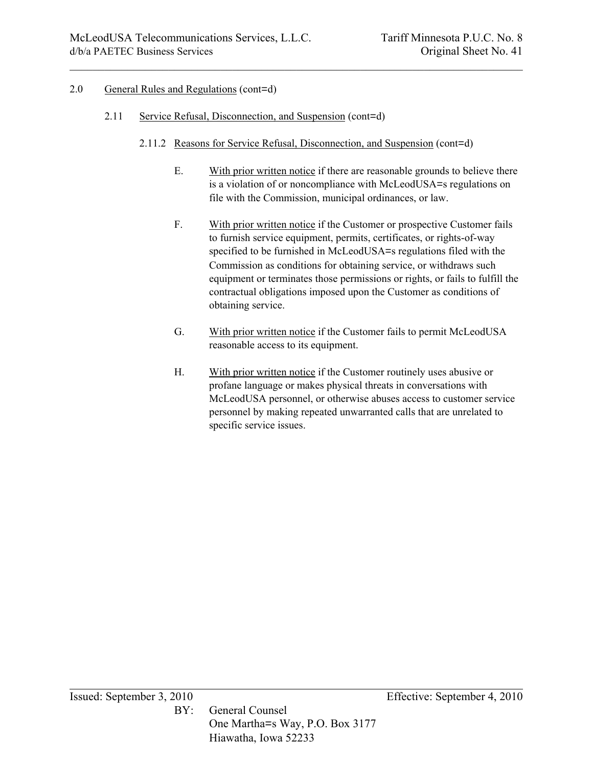- 2.11 Service Refusal, Disconnection, and Suspension (cont=d)
	- 2.11.2 Reasons for Service Refusal, Disconnection, and Suspension (cont=d)

 $\mathcal{L}_\mathcal{L} = \{ \mathcal{L}_\mathcal{L} = \{ \mathcal{L}_\mathcal{L} = \{ \mathcal{L}_\mathcal{L} = \{ \mathcal{L}_\mathcal{L} = \{ \mathcal{L}_\mathcal{L} = \{ \mathcal{L}_\mathcal{L} = \{ \mathcal{L}_\mathcal{L} = \{ \mathcal{L}_\mathcal{L} = \{ \mathcal{L}_\mathcal{L} = \{ \mathcal{L}_\mathcal{L} = \{ \mathcal{L}_\mathcal{L} = \{ \mathcal{L}_\mathcal{L} = \{ \mathcal{L}_\mathcal{L} = \{ \mathcal{L}_\mathcal{$ 

- E. With prior written notice if there are reasonable grounds to believe there is a violation of or noncompliance with McLeodUSA=s regulations on file with the Commission, municipal ordinances, or law.
- F. With prior written notice if the Customer or prospective Customer fails to furnish service equipment, permits, certificates, or rights-of-way specified to be furnished in McLeodUSA=s regulations filed with the Commission as conditions for obtaining service, or withdraws such equipment or terminates those permissions or rights, or fails to fulfill the contractual obligations imposed upon the Customer as conditions of obtaining service.
- G. With prior written notice if the Customer fails to permit McLeodUSA reasonable access to its equipment.
- H. With prior written notice if the Customer routinely uses abusive or profane language or makes physical threats in conversations with McLeodUSA personnel, or otherwise abuses access to customer service personnel by making repeated unwarranted calls that are unrelated to specific service issues.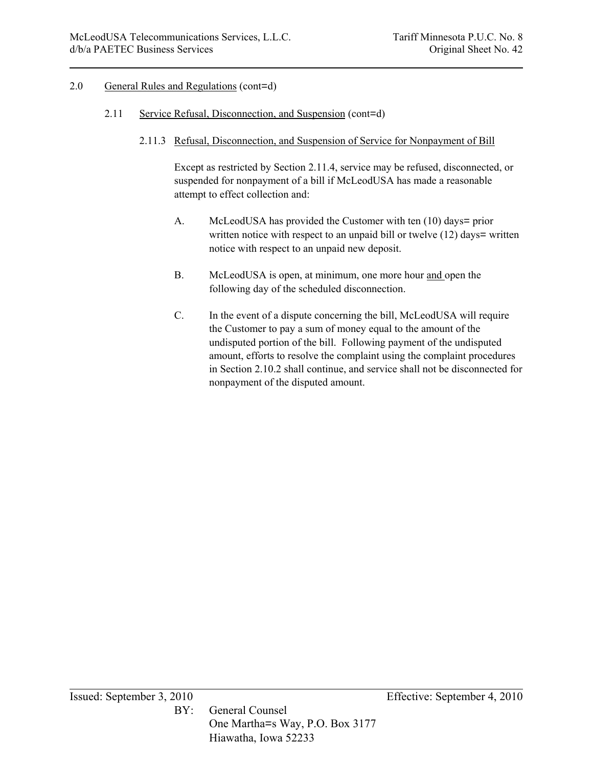- 2.11 Service Refusal, Disconnection, and Suspension (cont=d)
	- 2.11.3 Refusal, Disconnection, and Suspension of Service for Nonpayment of Bill

Except as restricted by Section 2.11.4, service may be refused, disconnected, or suspended for nonpayment of a bill if McLeodUSA has made a reasonable attempt to effect collection and:

- A. McLeodUSA has provided the Customer with ten (10) days= prior written notice with respect to an unpaid bill or twelve (12) days= written notice with respect to an unpaid new deposit.
- B. McLeodUSA is open, at minimum, one more hour and open the following day of the scheduled disconnection.
- C. In the event of a dispute concerning the bill, McLeodUSA will require the Customer to pay a sum of money equal to the amount of the undisputed portion of the bill. Following payment of the undisputed amount, efforts to resolve the complaint using the complaint procedures in Section 2.10.2 shall continue, and service shall not be disconnected for nonpayment of the disputed amount.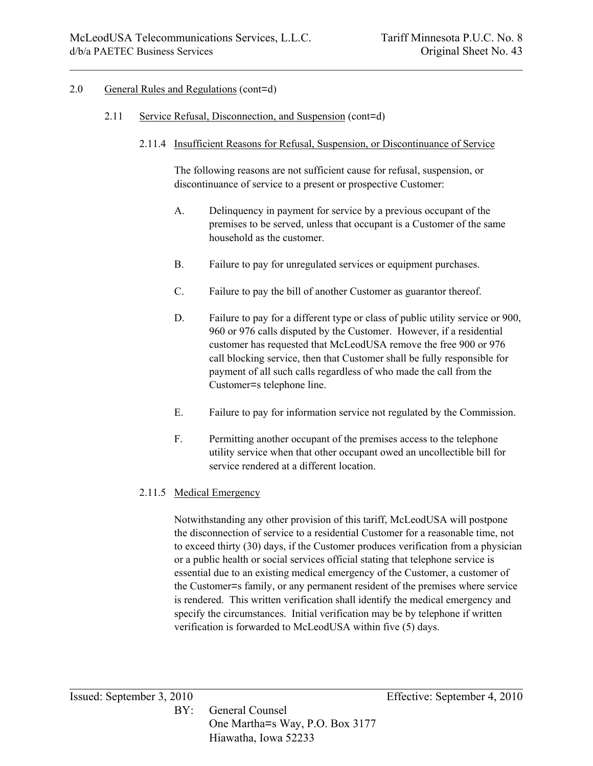### 2.11 Service Refusal, Disconnection, and Suspension (cont=d)

### 2.11.4 Insufficient Reasons for Refusal, Suspension, or Discontinuance of Service

 $\mathcal{L}_\mathcal{L} = \{ \mathcal{L}_\mathcal{L} = \{ \mathcal{L}_\mathcal{L} = \{ \mathcal{L}_\mathcal{L} = \{ \mathcal{L}_\mathcal{L} = \{ \mathcal{L}_\mathcal{L} = \{ \mathcal{L}_\mathcal{L} = \{ \mathcal{L}_\mathcal{L} = \{ \mathcal{L}_\mathcal{L} = \{ \mathcal{L}_\mathcal{L} = \{ \mathcal{L}_\mathcal{L} = \{ \mathcal{L}_\mathcal{L} = \{ \mathcal{L}_\mathcal{L} = \{ \mathcal{L}_\mathcal{L} = \{ \mathcal{L}_\mathcal{$ 

The following reasons are not sufficient cause for refusal, suspension, or discontinuance of service to a present or prospective Customer:

- A. Delinquency in payment for service by a previous occupant of the premises to be served, unless that occupant is a Customer of the same household as the customer.
- B. Failure to pay for unregulated services or equipment purchases.
- C. Failure to pay the bill of another Customer as guarantor thereof.
- D. Failure to pay for a different type or class of public utility service or 900, 960 or 976 calls disputed by the Customer. However, if a residential customer has requested that McLeodUSA remove the free 900 or 976 call blocking service, then that Customer shall be fully responsible for payment of all such calls regardless of who made the call from the Customer=s telephone line.
- E. Failure to pay for information service not regulated by the Commission.
- F. Permitting another occupant of the premises access to the telephone utility service when that other occupant owed an uncollectible bill for service rendered at a different location.

## 2.11.5 Medical Emergency

Notwithstanding any other provision of this tariff, McLeodUSA will postpone the disconnection of service to a residential Customer for a reasonable time, not to exceed thirty (30) days, if the Customer produces verification from a physician or a public health or social services official stating that telephone service is essential due to an existing medical emergency of the Customer, a customer of the Customer=s family, or any permanent resident of the premises where service is rendered. This written verification shall identify the medical emergency and specify the circumstances. Initial verification may be by telephone if written verification is forwarded to McLeodUSA within five (5) days.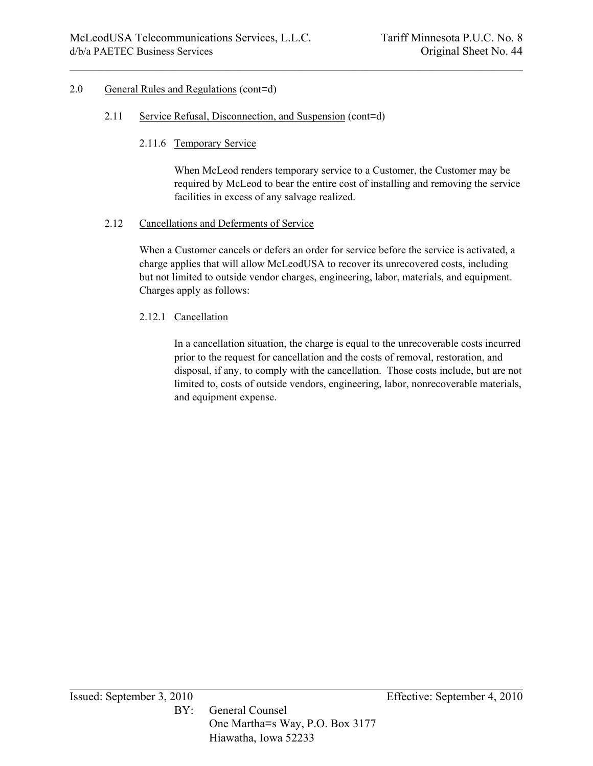### 2.11 Service Refusal, Disconnection, and Suspension (cont=d)

 $\mathcal{L}_\mathcal{L} = \{ \mathcal{L}_\mathcal{L} = \{ \mathcal{L}_\mathcal{L} = \{ \mathcal{L}_\mathcal{L} = \{ \mathcal{L}_\mathcal{L} = \{ \mathcal{L}_\mathcal{L} = \{ \mathcal{L}_\mathcal{L} = \{ \mathcal{L}_\mathcal{L} = \{ \mathcal{L}_\mathcal{L} = \{ \mathcal{L}_\mathcal{L} = \{ \mathcal{L}_\mathcal{L} = \{ \mathcal{L}_\mathcal{L} = \{ \mathcal{L}_\mathcal{L} = \{ \mathcal{L}_\mathcal{L} = \{ \mathcal{L}_\mathcal{$ 

### 2.11.6 Temporary Service

When McLeod renders temporary service to a Customer, the Customer may be required by McLeod to bear the entire cost of installing and removing the service facilities in excess of any salvage realized.

### 2.12 Cancellations and Deferments of Service

When a Customer cancels or defers an order for service before the service is activated, a charge applies that will allow McLeodUSA to recover its unrecovered costs, including but not limited to outside vendor charges, engineering, labor, materials, and equipment. Charges apply as follows:

## 2.12.1 Cancellation

In a cancellation situation, the charge is equal to the unrecoverable costs incurred prior to the request for cancellation and the costs of removal, restoration, and disposal, if any, to comply with the cancellation. Those costs include, but are not limited to, costs of outside vendors, engineering, labor, nonrecoverable materials, and equipment expense.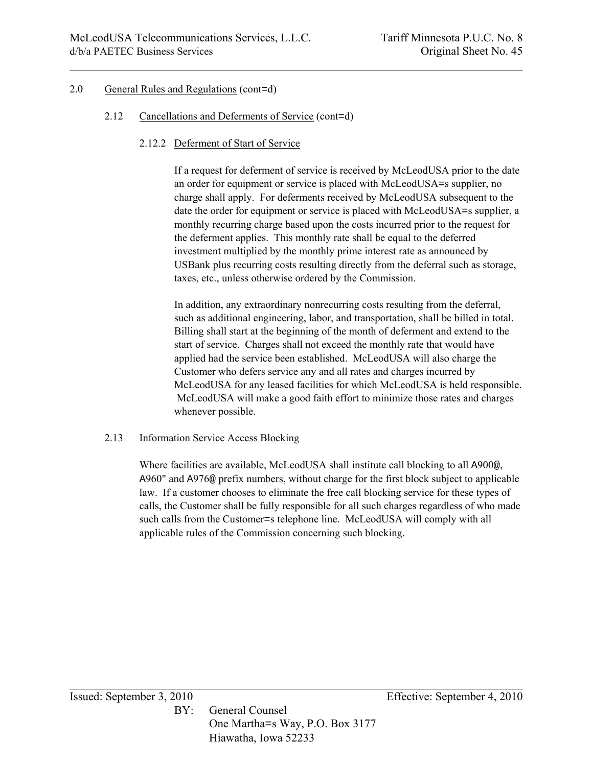### 2.12 Cancellations and Deferments of Service (cont=d)

 $\mathcal{L}_\mathcal{L} = \{ \mathcal{L}_\mathcal{L} = \{ \mathcal{L}_\mathcal{L} = \{ \mathcal{L}_\mathcal{L} = \{ \mathcal{L}_\mathcal{L} = \{ \mathcal{L}_\mathcal{L} = \{ \mathcal{L}_\mathcal{L} = \{ \mathcal{L}_\mathcal{L} = \{ \mathcal{L}_\mathcal{L} = \{ \mathcal{L}_\mathcal{L} = \{ \mathcal{L}_\mathcal{L} = \{ \mathcal{L}_\mathcal{L} = \{ \mathcal{L}_\mathcal{L} = \{ \mathcal{L}_\mathcal{L} = \{ \mathcal{L}_\mathcal{$ 

### 2.12.2 Deferment of Start of Service

If a request for deferment of service is received by McLeodUSA prior to the date an order for equipment or service is placed with McLeodUSA=s supplier, no charge shall apply. For deferments received by McLeodUSA subsequent to the date the order for equipment or service is placed with McLeodUSA=s supplier, a monthly recurring charge based upon the costs incurred prior to the request for the deferment applies. This monthly rate shall be equal to the deferred investment multiplied by the monthly prime interest rate as announced by USBank plus recurring costs resulting directly from the deferral such as storage, taxes, etc., unless otherwise ordered by the Commission.

In addition, any extraordinary nonrecurring costs resulting from the deferral, such as additional engineering, labor, and transportation, shall be billed in total. Billing shall start at the beginning of the month of deferment and extend to the start of service. Charges shall not exceed the monthly rate that would have applied had the service been established. McLeodUSA will also charge the Customer who defers service any and all rates and charges incurred by McLeodUSA for any leased facilities for which McLeodUSA is held responsible. McLeodUSA will make a good faith effort to minimize those rates and charges whenever possible.

### 2.13 Information Service Access Blocking

Where facilities are available, McLeodUSA shall institute call blocking to all A900@, A960" and A976@ prefix numbers, without charge for the first block subject to applicable law. If a customer chooses to eliminate the free call blocking service for these types of calls, the Customer shall be fully responsible for all such charges regardless of who made such calls from the Customer=s telephone line. McLeodUSA will comply with all applicable rules of the Commission concerning such blocking.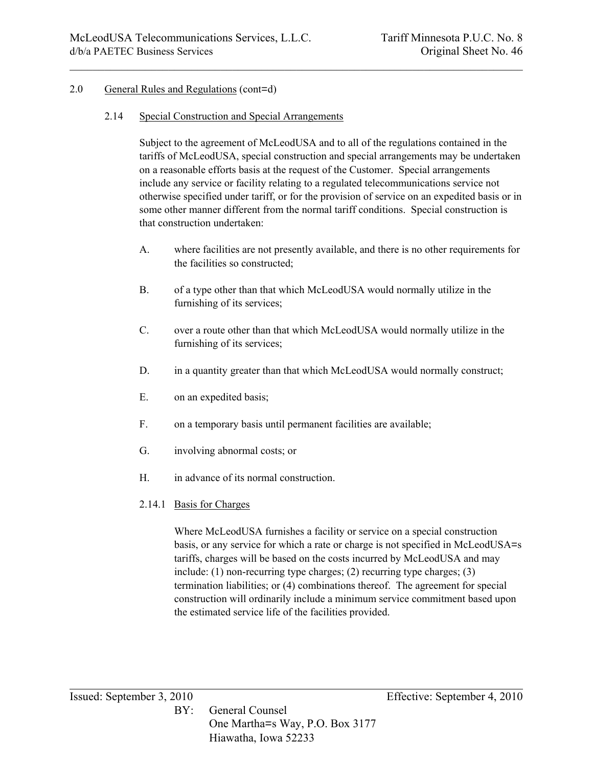#### 2.14 Special Construction and Special Arrangements

Subject to the agreement of McLeodUSA and to all of the regulations contained in the tariffs of McLeodUSA, special construction and special arrangements may be undertaken on a reasonable efforts basis at the request of the Customer. Special arrangements include any service or facility relating to a regulated telecommunications service not otherwise specified under tariff, or for the provision of service on an expedited basis or in some other manner different from the normal tariff conditions. Special construction is that construction undertaken:

 $\mathcal{L}_\mathcal{L} = \{ \mathcal{L}_\mathcal{L} = \{ \mathcal{L}_\mathcal{L} = \{ \mathcal{L}_\mathcal{L} = \{ \mathcal{L}_\mathcal{L} = \{ \mathcal{L}_\mathcal{L} = \{ \mathcal{L}_\mathcal{L} = \{ \mathcal{L}_\mathcal{L} = \{ \mathcal{L}_\mathcal{L} = \{ \mathcal{L}_\mathcal{L} = \{ \mathcal{L}_\mathcal{L} = \{ \mathcal{L}_\mathcal{L} = \{ \mathcal{L}_\mathcal{L} = \{ \mathcal{L}_\mathcal{L} = \{ \mathcal{L}_\mathcal{$ 

- A. where facilities are not presently available, and there is no other requirements for the facilities so constructed;
- B. of a type other than that which McLeodUSA would normally utilize in the furnishing of its services;
- C. over a route other than that which McLeodUSA would normally utilize in the furnishing of its services;
- D. in a quantity greater than that which McLeodUSA would normally construct;
- E. on an expedited basis;
- F. on a temporary basis until permanent facilities are available;
- G. involving abnormal costs; or
- H. in advance of its normal construction.
- 2.14.1 Basis for Charges

Where McLeodUSA furnishes a facility or service on a special construction basis, or any service for which a rate or charge is not specified in McLeodUSA=s tariffs, charges will be based on the costs incurred by McLeodUSA and may include: (1) non-recurring type charges; (2) recurring type charges; (3) termination liabilities; or (4) combinations thereof. The agreement for special construction will ordinarily include a minimum service commitment based upon the estimated service life of the facilities provided.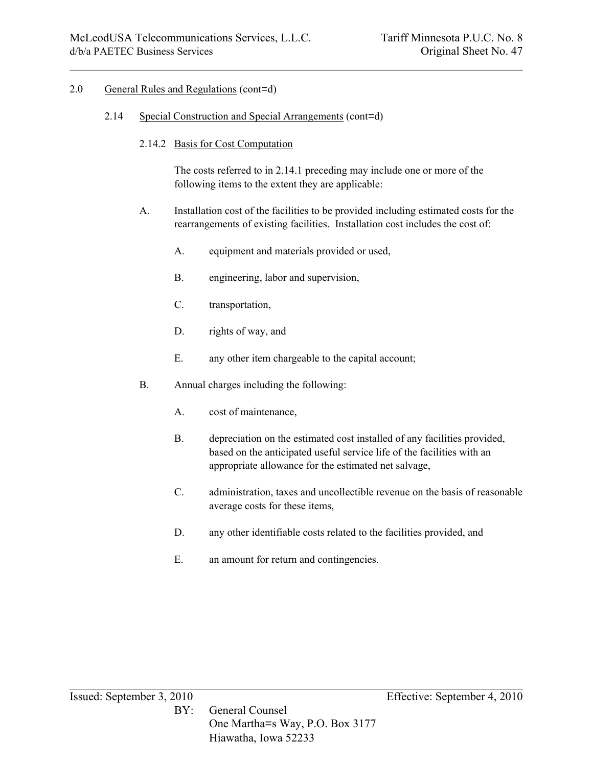#### 2.14 Special Construction and Special Arrangements (cont=d)

2.14.2 Basis for Cost Computation

The costs referred to in 2.14.1 preceding may include one or more of the following items to the extent they are applicable:

- A. Installation cost of the facilities to be provided including estimated costs for the rearrangements of existing facilities. Installation cost includes the cost of:
	- A. equipment and materials provided or used,

 $\mathcal{L}_\mathcal{L} = \{ \mathcal{L}_\mathcal{L} = \{ \mathcal{L}_\mathcal{L} = \{ \mathcal{L}_\mathcal{L} = \{ \mathcal{L}_\mathcal{L} = \{ \mathcal{L}_\mathcal{L} = \{ \mathcal{L}_\mathcal{L} = \{ \mathcal{L}_\mathcal{L} = \{ \mathcal{L}_\mathcal{L} = \{ \mathcal{L}_\mathcal{L} = \{ \mathcal{L}_\mathcal{L} = \{ \mathcal{L}_\mathcal{L} = \{ \mathcal{L}_\mathcal{L} = \{ \mathcal{L}_\mathcal{L} = \{ \mathcal{L}_\mathcal{$ 

- B. engineering, labor and supervision,
- C. transportation,
- D. rights of way, and
- E. any other item chargeable to the capital account;
- B. Annual charges including the following:
	- A. cost of maintenance,
	- B. depreciation on the estimated cost installed of any facilities provided, based on the anticipated useful service life of the facilities with an appropriate allowance for the estimated net salvage,
	- C. administration, taxes and uncollectible revenue on the basis of reasonable average costs for these items,
	- D. any other identifiable costs related to the facilities provided, and
	- E. an amount for return and contingencies.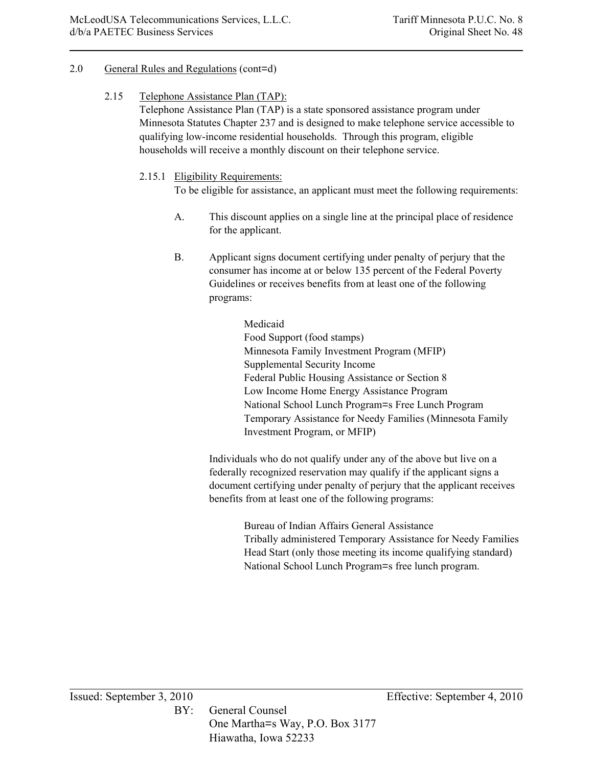### 2.15 Telephone Assistance Plan (TAP):

Telephone Assistance Plan (TAP) is a state sponsored assistance program under Minnesota Statutes Chapter 237 and is designed to make telephone service accessible to qualifying low-income residential households. Through this program, eligible households will receive a monthly discount on their telephone service.

### 2.15.1 Eligibility Requirements:

To be eligible for assistance, an applicant must meet the following requirements:

- A. This discount applies on a single line at the principal place of residence for the applicant.
- B. Applicant signs document certifying under penalty of perjury that the consumer has income at or below 135 percent of the Federal Poverty Guidelines or receives benefits from at least one of the following programs:

Medicaid Food Support (food stamps) Minnesota Family Investment Program (MFIP) Supplemental Security Income Federal Public Housing Assistance or Section 8 Low Income Home Energy Assistance Program National School Lunch Program=s Free Lunch Program Temporary Assistance for Needy Families (Minnesota Family Investment Program, or MFIP)

Individuals who do not qualify under any of the above but live on a federally recognized reservation may qualify if the applicant signs a document certifying under penalty of perjury that the applicant receives benefits from at least one of the following programs:

> Bureau of Indian Affairs General Assistance Tribally administered Temporary Assistance for Needy Families Head Start (only those meeting its income qualifying standard) National School Lunch Program=s free lunch program.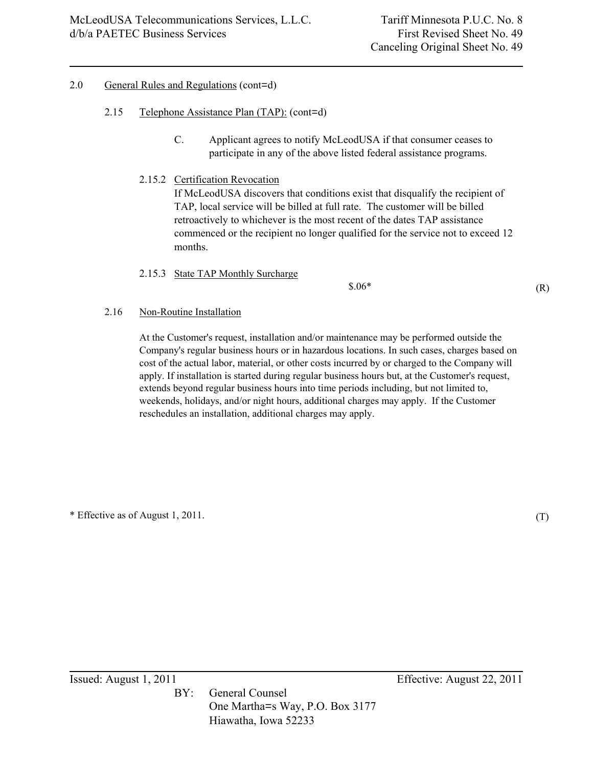#### 2.15 Telephone Assistance Plan (TAP): (cont=d)

C. Applicant agrees to notify McLeodUSA if that consumer ceases to participate in any of the above listed federal assistance programs.

#### 2.15.2 Certification Revocation

If McLeodUSA discovers that conditions exist that disqualify the recipient of TAP, local service will be billed at full rate. The customer will be billed retroactively to whichever is the most recent of the dates TAP assistance commenced or the recipient no longer qualified for the service not to exceed 12 months.

2.15.3 State TAP Monthly Surcharge

\$.06\*

(R)

#### 2.16 Non-Routine Installation

At the Customer's request, installation and/or maintenance may be performed outside the Company's regular business hours or in hazardous locations. In such cases, charges based on cost of the actual labor, material, or other costs incurred by or charged to the Company will apply. If installation is started during regular business hours but, at the Customer's request, extends beyond regular business hours into time periods including, but not limited to, weekends, holidays, and/or night hours, additional charges may apply. If the Customer reschedules an installation, additional charges may apply.

\* Effective as of August 1, 2011.

(T)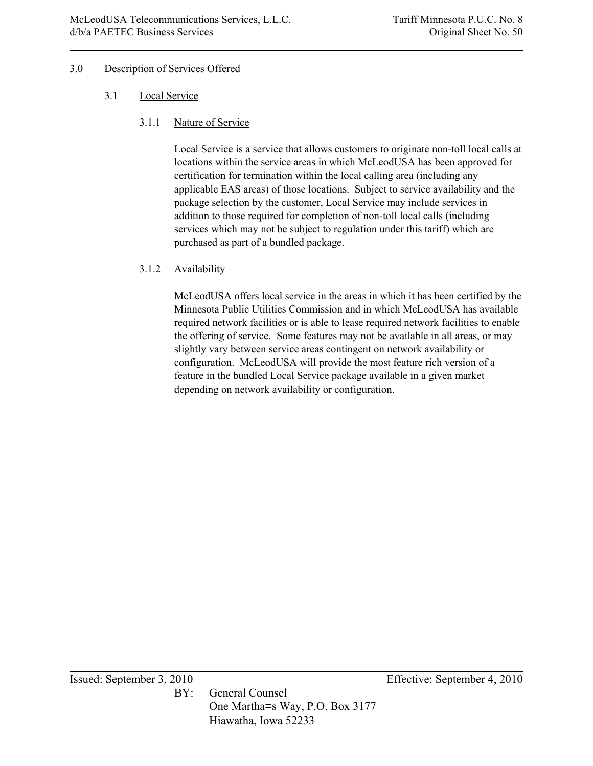### 3.1 Local Service

3.1.1 Nature of Service

Local Service is a service that allows customers to originate non-toll local calls at locations within the service areas in which McLeodUSA has been approved for certification for termination within the local calling area (including any applicable EAS areas) of those locations. Subject to service availability and the package selection by the customer, Local Service may include services in addition to those required for completion of non-toll local calls (including services which may not be subject to regulation under this tariff) which are purchased as part of a bundled package.

3.1.2 Availability

McLeodUSA offers local service in the areas in which it has been certified by the Minnesota Public Utilities Commission and in which McLeodUSA has available required network facilities or is able to lease required network facilities to enable the offering of service. Some features may not be available in all areas, or may slightly vary between service areas contingent on network availability or configuration. McLeodUSA will provide the most feature rich version of a feature in the bundled Local Service package available in a given market depending on network availability or configuration.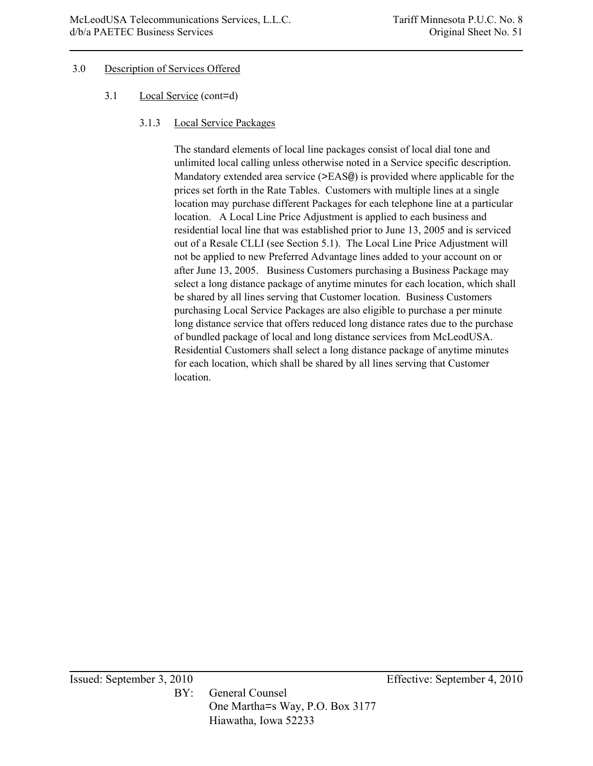- 3.1 Local Service (cont=d)
	- 3.1.3 Local Service Packages

The standard elements of local line packages consist of local dial tone and unlimited local calling unless otherwise noted in a Service specific description. Mandatory extended area service (>EAS@) is provided where applicable for the prices set forth in the Rate Tables. Customers with multiple lines at a single location may purchase different Packages for each telephone line at a particular location. A Local Line Price Adjustment is applied to each business and residential local line that was established prior to June 13, 2005 and is serviced out of a Resale CLLI (see Section 5.1). The Local Line Price Adjustment will not be applied to new Preferred Advantage lines added to your account on or after June 13, 2005. Business Customers purchasing a Business Package may select a long distance package of anytime minutes for each location, which shall be shared by all lines serving that Customer location. Business Customers purchasing Local Service Packages are also eligible to purchase a per minute long distance service that offers reduced long distance rates due to the purchase of bundled package of local and long distance services from McLeodUSA. Residential Customers shall select a long distance package of anytime minutes for each location, which shall be shared by all lines serving that Customer location.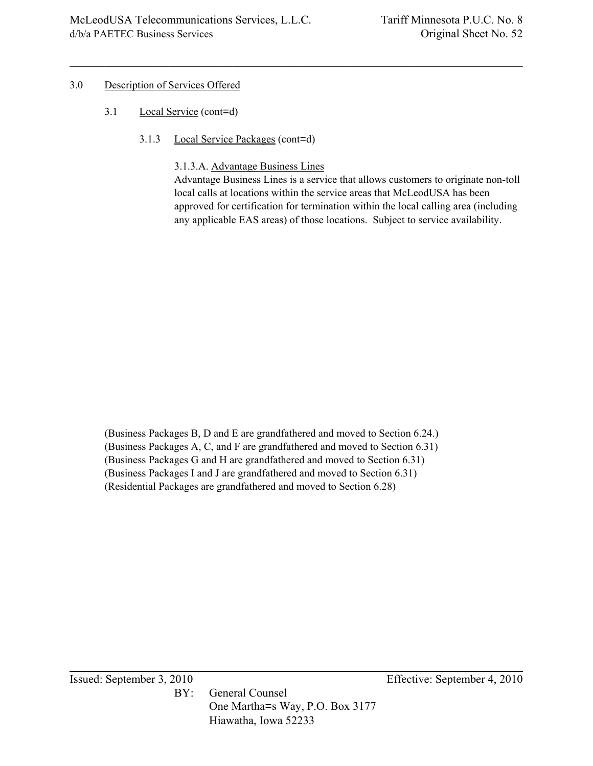- 3.1 Local Service (cont=d)
	- 3.1.3 Local Service Packages (cont=d)

3.1.3.A. Advantage Business Lines

 $\mathcal{L}_\mathcal{L} = \{ \mathcal{L}_\mathcal{L} = \{ \mathcal{L}_\mathcal{L} = \{ \mathcal{L}_\mathcal{L} = \{ \mathcal{L}_\mathcal{L} = \{ \mathcal{L}_\mathcal{L} = \{ \mathcal{L}_\mathcal{L} = \{ \mathcal{L}_\mathcal{L} = \{ \mathcal{L}_\mathcal{L} = \{ \mathcal{L}_\mathcal{L} = \{ \mathcal{L}_\mathcal{L} = \{ \mathcal{L}_\mathcal{L} = \{ \mathcal{L}_\mathcal{L} = \{ \mathcal{L}_\mathcal{L} = \{ \mathcal{L}_\mathcal{$ 

Advantage Business Lines is a service that allows customers to originate non-toll local calls at locations within the service areas that McLeodUSA has been approved for certification for termination within the local calling area (including any applicable EAS areas) of those locations. Subject to service availability.

(Business Packages B, D and E are grandfathered and moved to Section 6.24.) (Business Packages A, C, and F are grandfathered and moved to Section 6.31) (Business Packages G and H are grandfathered and moved to Section 6.31) (Business Packages I and J are grandfathered and moved to Section 6.31) (Residential Packages are grandfathered and moved to Section 6.28)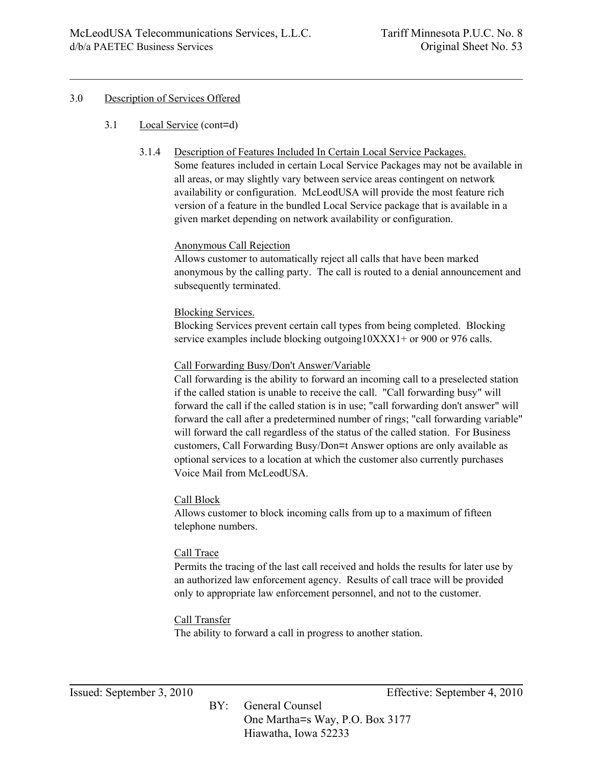- 3.1 Local Service (cont=d)
	- 3.1.4 Description of Features Included In Certain Local Service Packages. Some features included in certain Local Service Packages may not be available in all areas, or may slightly vary between service areas contingent on network availability or configuration. McLeodUSA will provide the most feature rich version of a feature in the bundled Local Service package that is available in a given market depending on network availability or configuration.

 $\mathcal{L}_\mathcal{L} = \{ \mathcal{L}_\mathcal{L} = \{ \mathcal{L}_\mathcal{L} = \{ \mathcal{L}_\mathcal{L} = \{ \mathcal{L}_\mathcal{L} = \{ \mathcal{L}_\mathcal{L} = \{ \mathcal{L}_\mathcal{L} = \{ \mathcal{L}_\mathcal{L} = \{ \mathcal{L}_\mathcal{L} = \{ \mathcal{L}_\mathcal{L} = \{ \mathcal{L}_\mathcal{L} = \{ \mathcal{L}_\mathcal{L} = \{ \mathcal{L}_\mathcal{L} = \{ \mathcal{L}_\mathcal{L} = \{ \mathcal{L}_\mathcal{$ 

### Anonymous Call Rejection

Allows customer to automatically reject all calls that have been marked anonymous by the calling party. The call is routed to a denial announcement and subsequently terminated.

#### Blocking Services.

Blocking Services prevent certain call types from being completed. Blocking service examples include blocking outgoing10XXX1+ or 900 or 976 calls.

### Call Forwarding Busy/Don't Answer/Variable

Call forwarding is the ability to forward an incoming call to a preselected station if the called station is unable to receive the call. "Call forwarding busy" will forward the call if the called station is in use; "call forwarding don't answer" will forward the call after a predetermined number of rings; "call forwarding variable" will forward the call regardless of the status of the called station. For Business customers, Call Forwarding Busy/Don=t Answer options are only available as optional services to a location at which the customer also currently purchases Voice Mail from McLeodUSA.

### Call Block

Allows customer to block incoming calls from up to a maximum of fifteen telephone numbers.

### Call Trace

Permits the tracing of the last call received and holds the results for later use by an authorized law enforcement agency. Results of call trace will be provided only to appropriate law enforcement personnel, and not to the customer.

### Call Transfer

The ability to forward a call in progress to another station.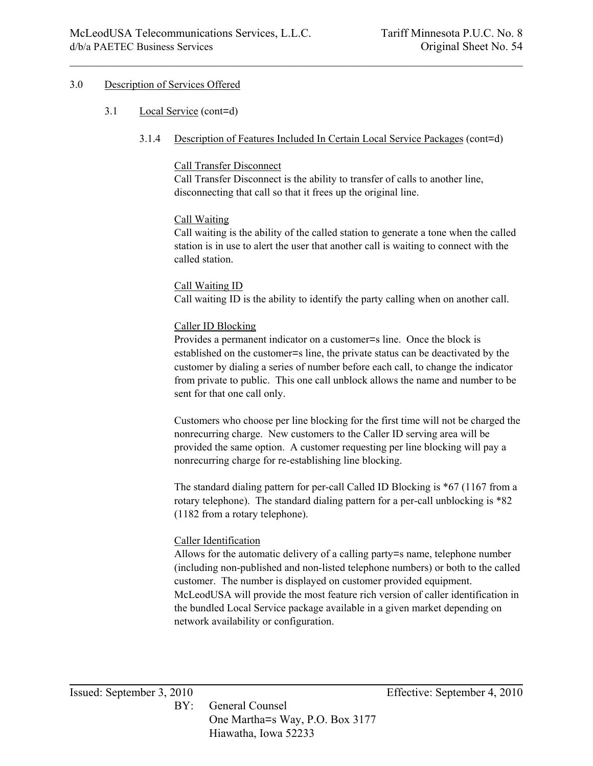### 3.1 Local Service (cont=d)

3.1.4 Description of Features Included In Certain Local Service Packages (cont=d)

 $\mathcal{L}_\mathcal{L} = \{ \mathcal{L}_\mathcal{L} = \{ \mathcal{L}_\mathcal{L} = \{ \mathcal{L}_\mathcal{L} = \{ \mathcal{L}_\mathcal{L} = \{ \mathcal{L}_\mathcal{L} = \{ \mathcal{L}_\mathcal{L} = \{ \mathcal{L}_\mathcal{L} = \{ \mathcal{L}_\mathcal{L} = \{ \mathcal{L}_\mathcal{L} = \{ \mathcal{L}_\mathcal{L} = \{ \mathcal{L}_\mathcal{L} = \{ \mathcal{L}_\mathcal{L} = \{ \mathcal{L}_\mathcal{L} = \{ \mathcal{L}_\mathcal{$ 

### Call Transfer Disconnect

Call Transfer Disconnect is the ability to transfer of calls to another line, disconnecting that call so that it frees up the original line.

### Call Waiting

Call waiting is the ability of the called station to generate a tone when the called station is in use to alert the user that another call is waiting to connect with the called station.

## Call Waiting ID Call waiting ID is the ability to identify the party calling when on another call.

### Caller ID Blocking

Provides a permanent indicator on a customer=s line. Once the block is established on the customer=s line, the private status can be deactivated by the customer by dialing a series of number before each call, to change the indicator from private to public. This one call unblock allows the name and number to be sent for that one call only.

Customers who choose per line blocking for the first time will not be charged the nonrecurring charge. New customers to the Caller ID serving area will be provided the same option. A customer requesting per line blocking will pay a nonrecurring charge for re-establishing line blocking.

The standard dialing pattern for per-call Called ID Blocking is \*67 (1167 from a rotary telephone). The standard dialing pattern for a per-call unblocking is \*82 (1182 from a rotary telephone).

## Caller Identification

Allows for the automatic delivery of a calling party=s name, telephone number (including non-published and non-listed telephone numbers) or both to the called customer. The number is displayed on customer provided equipment. McLeodUSA will provide the most feature rich version of caller identification in the bundled Local Service package available in a given market depending on network availability or configuration.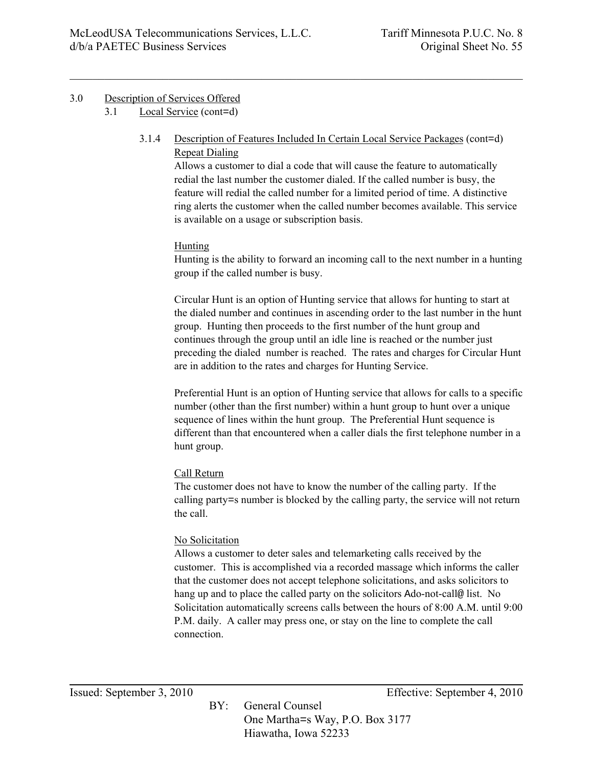# 3.1 Local Service (cont=d)

 3.1.4 Description of Features Included In Certain Local Service Packages (cont=d) Repeat Dialing

 $\mathcal{L}_\mathcal{L} = \{ \mathcal{L}_\mathcal{L} = \{ \mathcal{L}_\mathcal{L} = \{ \mathcal{L}_\mathcal{L} = \{ \mathcal{L}_\mathcal{L} = \{ \mathcal{L}_\mathcal{L} = \{ \mathcal{L}_\mathcal{L} = \{ \mathcal{L}_\mathcal{L} = \{ \mathcal{L}_\mathcal{L} = \{ \mathcal{L}_\mathcal{L} = \{ \mathcal{L}_\mathcal{L} = \{ \mathcal{L}_\mathcal{L} = \{ \mathcal{L}_\mathcal{L} = \{ \mathcal{L}_\mathcal{L} = \{ \mathcal{L}_\mathcal{$ 

Allows a customer to dial a code that will cause the feature to automatically redial the last number the customer dialed. If the called number is busy, the feature will redial the called number for a limited period of time. A distinctive ring alerts the customer when the called number becomes available. This service is available on a usage or subscription basis.

### Hunting

Hunting is the ability to forward an incoming call to the next number in a hunting group if the called number is busy.

Circular Hunt is an option of Hunting service that allows for hunting to start at the dialed number and continues in ascending order to the last number in the hunt group. Hunting then proceeds to the first number of the hunt group and continues through the group until an idle line is reached or the number just preceding the dialed number is reached. The rates and charges for Circular Hunt are in addition to the rates and charges for Hunting Service.

Preferential Hunt is an option of Hunting service that allows for calls to a specific number (other than the first number) within a hunt group to hunt over a unique sequence of lines within the hunt group. The Preferential Hunt sequence is different than that encountered when a caller dials the first telephone number in a hunt group.

## Call Return

The customer does not have to know the number of the calling party. If the calling party=s number is blocked by the calling party, the service will not return the call.

## No Solicitation

Allows a customer to deter sales and telemarketing calls received by the customer. This is accomplished via a recorded massage which informs the caller that the customer does not accept telephone solicitations, and asks solicitors to hang up and to place the called party on the solicitors Ado-not-call@ list. No Solicitation automatically screens calls between the hours of 8:00 A.M. until 9:00 P.M. daily. A caller may press one, or stay on the line to complete the call connection.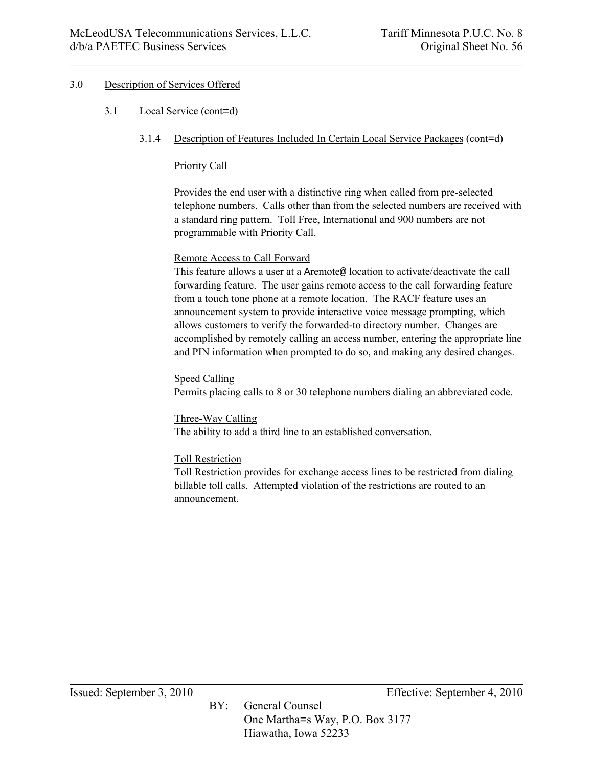- 3.1 Local Service (cont=d)
	- 3.1.4 Description of Features Included In Certain Local Service Packages (cont=d)

 $\mathcal{L}_\mathcal{L} = \{ \mathcal{L}_\mathcal{L} = \{ \mathcal{L}_\mathcal{L} = \{ \mathcal{L}_\mathcal{L} = \{ \mathcal{L}_\mathcal{L} = \{ \mathcal{L}_\mathcal{L} = \{ \mathcal{L}_\mathcal{L} = \{ \mathcal{L}_\mathcal{L} = \{ \mathcal{L}_\mathcal{L} = \{ \mathcal{L}_\mathcal{L} = \{ \mathcal{L}_\mathcal{L} = \{ \mathcal{L}_\mathcal{L} = \{ \mathcal{L}_\mathcal{L} = \{ \mathcal{L}_\mathcal{L} = \{ \mathcal{L}_\mathcal{$ 

## Priority Call

 Provides the end user with a distinctive ring when called from pre-selected telephone numbers. Calls other than from the selected numbers are received with a standard ring pattern. Toll Free, International and 900 numbers are not programmable with Priority Call.

### Remote Access to Call Forward

This feature allows a user at a Aremote@ location to activate/deactivate the call forwarding feature. The user gains remote access to the call forwarding feature from a touch tone phone at a remote location. The RACF feature uses an announcement system to provide interactive voice message prompting, which allows customers to verify the forwarded-to directory number. Changes are accomplished by remotely calling an access number, entering the appropriate line and PIN information when prompted to do so, and making any desired changes.

### Speed Calling

Permits placing calls to 8 or 30 telephone numbers dialing an abbreviated code.

# Three-Way Calling The ability to add a third line to an established conversation.

### Toll Restriction

Toll Restriction provides for exchange access lines to be restricted from dialing billable toll calls. Attempted violation of the restrictions are routed to an announcement.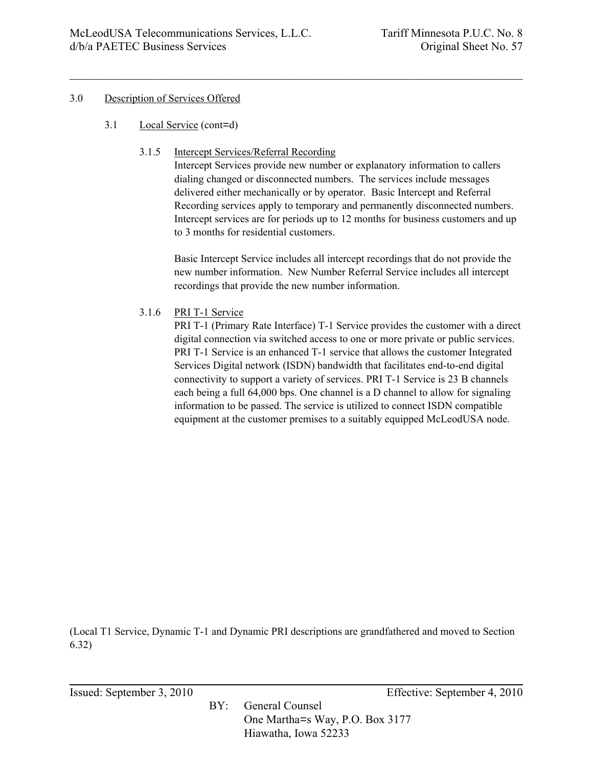3.1 Local Service (cont=d)

### 3.1.5 Intercept Services/Referral Recording

Intercept Services provide new number or explanatory information to callers dialing changed or disconnected numbers. The services include messages delivered either mechanically or by operator. Basic Intercept and Referral Recording services apply to temporary and permanently disconnected numbers. Intercept services are for periods up to 12 months for business customers and up to 3 months for residential customers.

 $\mathcal{L}_\mathcal{L} = \{ \mathcal{L}_\mathcal{L} = \{ \mathcal{L}_\mathcal{L} = \{ \mathcal{L}_\mathcal{L} = \{ \mathcal{L}_\mathcal{L} = \{ \mathcal{L}_\mathcal{L} = \{ \mathcal{L}_\mathcal{L} = \{ \mathcal{L}_\mathcal{L} = \{ \mathcal{L}_\mathcal{L} = \{ \mathcal{L}_\mathcal{L} = \{ \mathcal{L}_\mathcal{L} = \{ \mathcal{L}_\mathcal{L} = \{ \mathcal{L}_\mathcal{L} = \{ \mathcal{L}_\mathcal{L} = \{ \mathcal{L}_\mathcal{$ 

Basic Intercept Service includes all intercept recordings that do not provide the new number information. New Number Referral Service includes all intercept recordings that provide the new number information.

### 3.1.6 PRI T-1 Service

PRI T-1 (Primary Rate Interface) T-1 Service provides the customer with a direct digital connection via switched access to one or more private or public services. PRI T-1 Service is an enhanced T-1 service that allows the customer Integrated Services Digital network (ISDN) bandwidth that facilitates end-to-end digital connectivity to support a variety of services. PRI T-1 Service is 23 B channels each being a full 64,000 bps. One channel is a D channel to allow for signaling information to be passed. The service is utilized to connect ISDN compatible equipment at the customer premises to a suitably equipped McLeodUSA node.

(Local T1 Service, Dynamic T-1 and Dynamic PRI descriptions are grandfathered and moved to Section 6.32)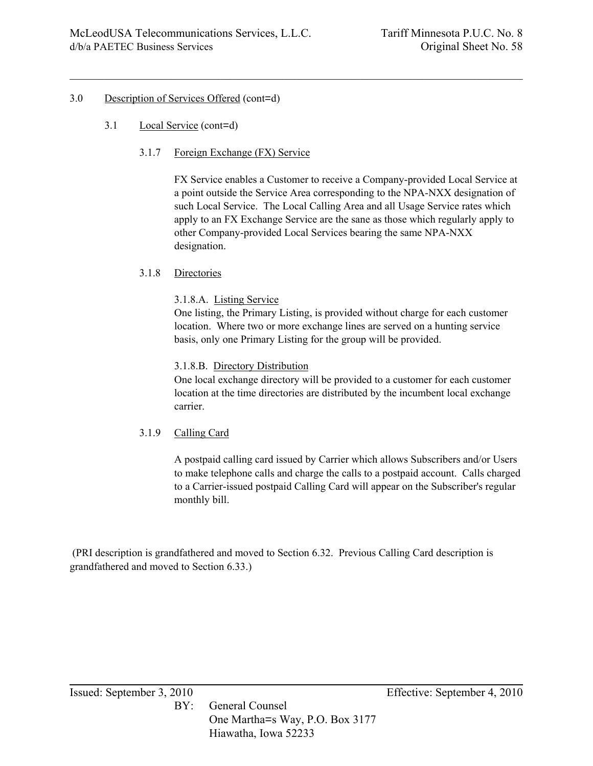- 3.1 Local Service (cont=d)
	- 3.1.7 Foreign Exchange (FX) Service

FX Service enables a Customer to receive a Company-provided Local Service at a point outside the Service Area corresponding to the NPA-NXX designation of such Local Service. The Local Calling Area and all Usage Service rates which apply to an FX Exchange Service are the sane as those which regularly apply to other Company-provided Local Services bearing the same NPA-NXX designation.

 $\mathcal{L}_\mathcal{L} = \{ \mathcal{L}_\mathcal{L} = \{ \mathcal{L}_\mathcal{L} = \{ \mathcal{L}_\mathcal{L} = \{ \mathcal{L}_\mathcal{L} = \{ \mathcal{L}_\mathcal{L} = \{ \mathcal{L}_\mathcal{L} = \{ \mathcal{L}_\mathcal{L} = \{ \mathcal{L}_\mathcal{L} = \{ \mathcal{L}_\mathcal{L} = \{ \mathcal{L}_\mathcal{L} = \{ \mathcal{L}_\mathcal{L} = \{ \mathcal{L}_\mathcal{L} = \{ \mathcal{L}_\mathcal{L} = \{ \mathcal{L}_\mathcal{$ 

## 3.1.8 Directories

## 3.1.8.A. Listing Service

One listing, the Primary Listing, is provided without charge for each customer location. Where two or more exchange lines are served on a hunting service basis, only one Primary Listing for the group will be provided.

### 3.1.8.B. Directory Distribution

One local exchange directory will be provided to a customer for each customer location at the time directories are distributed by the incumbent local exchange carrier.

## 3.1.9 Calling Card

A postpaid calling card issued by Carrier which allows Subscribers and/or Users to make telephone calls and charge the calls to a postpaid account. Calls charged to a Carrier-issued postpaid Calling Card will appear on the Subscriber's regular monthly bill.

 (PRI description is grandfathered and moved to Section 6.32. Previous Calling Card description is grandfathered and moved to Section 6.33.)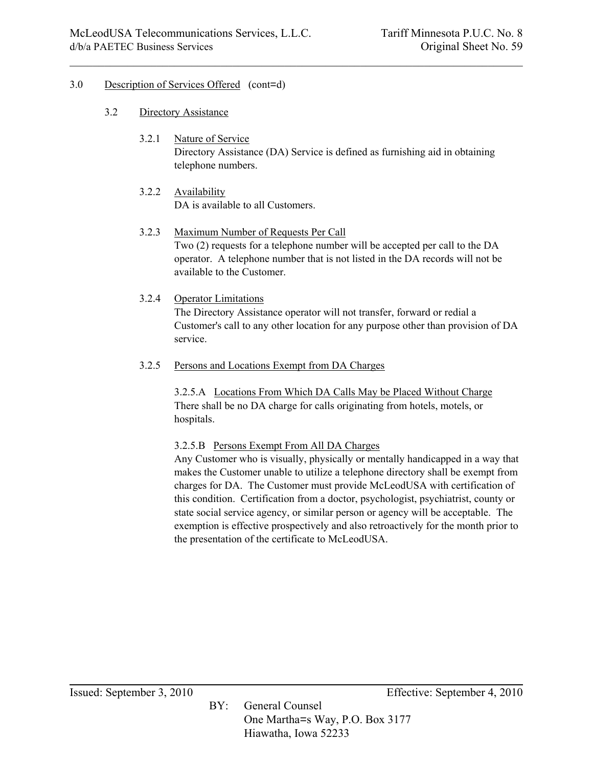#### 3.2 Directory Assistance

3.2.1 Nature of Service Directory Assistance (DA) Service is defined as furnishing aid in obtaining telephone numbers.

 $\mathcal{L}_\mathcal{L} = \{ \mathcal{L}_\mathcal{L} = \{ \mathcal{L}_\mathcal{L} = \{ \mathcal{L}_\mathcal{L} = \{ \mathcal{L}_\mathcal{L} = \{ \mathcal{L}_\mathcal{L} = \{ \mathcal{L}_\mathcal{L} = \{ \mathcal{L}_\mathcal{L} = \{ \mathcal{L}_\mathcal{L} = \{ \mathcal{L}_\mathcal{L} = \{ \mathcal{L}_\mathcal{L} = \{ \mathcal{L}_\mathcal{L} = \{ \mathcal{L}_\mathcal{L} = \{ \mathcal{L}_\mathcal{L} = \{ \mathcal{L}_\mathcal{$ 

3.2.2 Availability DA is available to all Customers.

#### 3.2.3 Maximum Number of Requests Per Call

Two (2) requests for a telephone number will be accepted per call to the DA operator. A telephone number that is not listed in the DA records will not be available to the Customer.

#### 3.2.4 Operator Limitations

The Directory Assistance operator will not transfer, forward or redial a Customer's call to any other location for any purpose other than provision of DA service.

#### 3.2.5 Persons and Locations Exempt from DA Charges

3.2.5.A Locations From Which DA Calls May be Placed Without Charge There shall be no DA charge for calls originating from hotels, motels, or hospitals.

### 3.2.5.B Persons Exempt From All DA Charges

Any Customer who is visually, physically or mentally handicapped in a way that makes the Customer unable to utilize a telephone directory shall be exempt from charges for DA. The Customer must provide McLeodUSA with certification of this condition. Certification from a doctor, psychologist, psychiatrist, county or state social service agency, or similar person or agency will be acceptable. The exemption is effective prospectively and also retroactively for the month prior to the presentation of the certificate to McLeodUSA.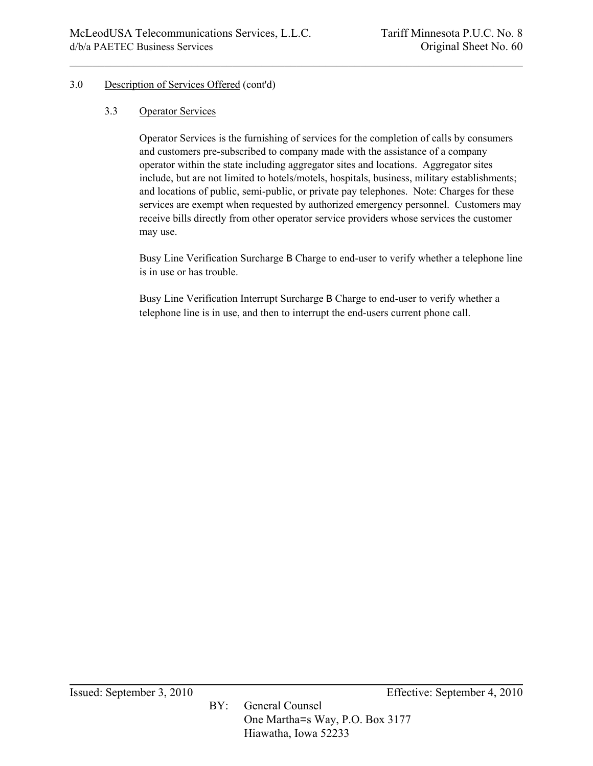#### 3.3 Operator Services

Operator Services is the furnishing of services for the completion of calls by consumers and customers pre-subscribed to company made with the assistance of a company operator within the state including aggregator sites and locations. Aggregator sites include, but are not limited to hotels/motels, hospitals, business, military establishments; and locations of public, semi-public, or private pay telephones. Note: Charges for these services are exempt when requested by authorized emergency personnel. Customers may receive bills directly from other operator service providers whose services the customer may use.

 $\mathcal{L}_\mathcal{L} = \{ \mathcal{L}_\mathcal{L} = \{ \mathcal{L}_\mathcal{L} = \{ \mathcal{L}_\mathcal{L} = \{ \mathcal{L}_\mathcal{L} = \{ \mathcal{L}_\mathcal{L} = \{ \mathcal{L}_\mathcal{L} = \{ \mathcal{L}_\mathcal{L} = \{ \mathcal{L}_\mathcal{L} = \{ \mathcal{L}_\mathcal{L} = \{ \mathcal{L}_\mathcal{L} = \{ \mathcal{L}_\mathcal{L} = \{ \mathcal{L}_\mathcal{L} = \{ \mathcal{L}_\mathcal{L} = \{ \mathcal{L}_\mathcal{$ 

Busy Line Verification Surcharge B Charge to end-user to verify whether a telephone line is in use or has trouble.

Busy Line Verification Interrupt Surcharge B Charge to end-user to verify whether a telephone line is in use, and then to interrupt the end-users current phone call.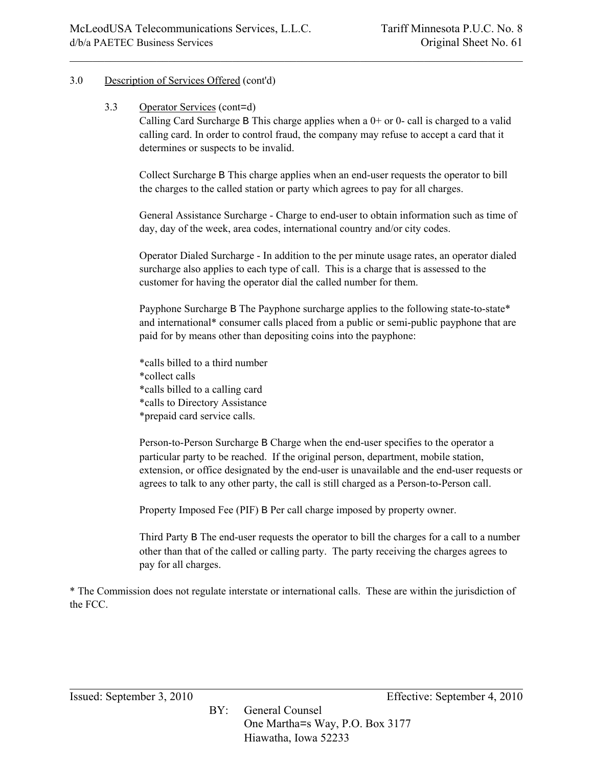## 3.3 Operator Services (cont=d)

Calling Card Surcharge B This charge applies when a  $0+$  or  $0-$  call is charged to a valid calling card. In order to control fraud, the company may refuse to accept a card that it determines or suspects to be invalid.

 $\mathcal{L}_\mathcal{L} = \{ \mathcal{L}_\mathcal{L} = \{ \mathcal{L}_\mathcal{L} = \{ \mathcal{L}_\mathcal{L} = \{ \mathcal{L}_\mathcal{L} = \{ \mathcal{L}_\mathcal{L} = \{ \mathcal{L}_\mathcal{L} = \{ \mathcal{L}_\mathcal{L} = \{ \mathcal{L}_\mathcal{L} = \{ \mathcal{L}_\mathcal{L} = \{ \mathcal{L}_\mathcal{L} = \{ \mathcal{L}_\mathcal{L} = \{ \mathcal{L}_\mathcal{L} = \{ \mathcal{L}_\mathcal{L} = \{ \mathcal{L}_\mathcal{$ 

Collect Surcharge B This charge applies when an end-user requests the operator to bill the charges to the called station or party which agrees to pay for all charges.

General Assistance Surcharge - Charge to end-user to obtain information such as time of day, day of the week, area codes, international country and/or city codes.

Operator Dialed Surcharge - In addition to the per minute usage rates, an operator dialed surcharge also applies to each type of call. This is a charge that is assessed to the customer for having the operator dial the called number for them.

Payphone Surcharge B The Payphone surcharge applies to the following state-to-state\* and international\* consumer calls placed from a public or semi-public payphone that are paid for by means other than depositing coins into the payphone:

\*calls billed to a third number \*collect calls \*calls billed to a calling card \*calls to Directory Assistance \*prepaid card service calls.

Person-to-Person Surcharge B Charge when the end-user specifies to the operator a particular party to be reached. If the original person, department, mobile station, extension, or office designated by the end-user is unavailable and the end-user requests or agrees to talk to any other party, the call is still charged as a Person-to-Person call.

Property Imposed Fee (PIF) B Per call charge imposed by property owner.

Third Party B The end-user requests the operator to bill the charges for a call to a number other than that of the called or calling party. The party receiving the charges agrees to pay for all charges.

\* The Commission does not regulate interstate or international calls. These are within the jurisdiction of the FCC.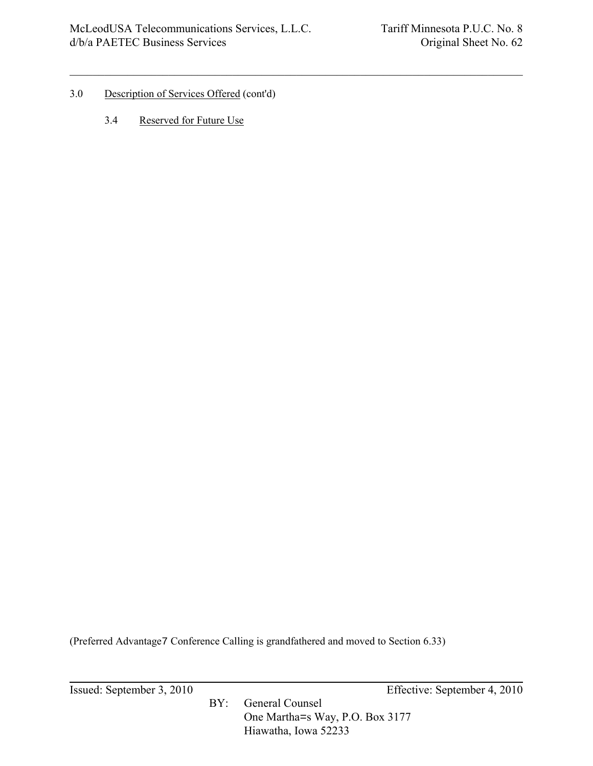$\mathcal{L}_\mathcal{L} = \{ \mathcal{L}_\mathcal{L} = \{ \mathcal{L}_\mathcal{L} = \{ \mathcal{L}_\mathcal{L} = \{ \mathcal{L}_\mathcal{L} = \{ \mathcal{L}_\mathcal{L} = \{ \mathcal{L}_\mathcal{L} = \{ \mathcal{L}_\mathcal{L} = \{ \mathcal{L}_\mathcal{L} = \{ \mathcal{L}_\mathcal{L} = \{ \mathcal{L}_\mathcal{L} = \{ \mathcal{L}_\mathcal{L} = \{ \mathcal{L}_\mathcal{L} = \{ \mathcal{L}_\mathcal{L} = \{ \mathcal{L}_\mathcal{$ 

## 3.0 Description of Services Offered (cont'd)

3.4 Reserved for Future Use

(Preferred Advantage7 Conference Calling is grandfathered and moved to Section 6.33)

| Issued: September 3, 2010 | Effective: September 4, 2010    |
|---------------------------|---------------------------------|
|                           | BY: General Counsel             |
|                           | One Martha=s Way, P.O. Box 3177 |
|                           | Hiawatha, Iowa 52233            |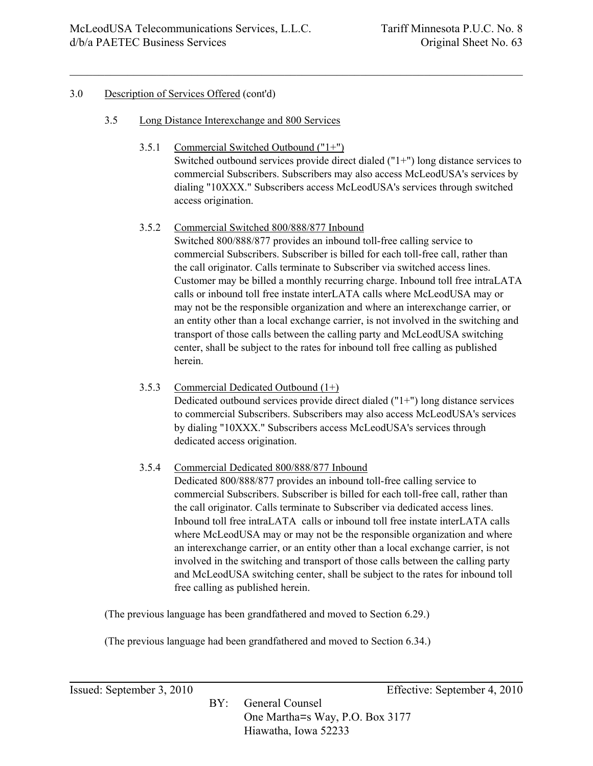### 3.5 Long Distance Interexchange and 800 Services

3.5.1 Commercial Switched Outbound ("1+")

 $\mathcal{L}_\mathcal{L} = \{ \mathcal{L}_\mathcal{L} = \{ \mathcal{L}_\mathcal{L} = \{ \mathcal{L}_\mathcal{L} = \{ \mathcal{L}_\mathcal{L} = \{ \mathcal{L}_\mathcal{L} = \{ \mathcal{L}_\mathcal{L} = \{ \mathcal{L}_\mathcal{L} = \{ \mathcal{L}_\mathcal{L} = \{ \mathcal{L}_\mathcal{L} = \{ \mathcal{L}_\mathcal{L} = \{ \mathcal{L}_\mathcal{L} = \{ \mathcal{L}_\mathcal{L} = \{ \mathcal{L}_\mathcal{L} = \{ \mathcal{L}_\mathcal{$ 

Switched outbound services provide direct dialed ("1+") long distance services to commercial Subscribers. Subscribers may also access McLeodUSA's services by dialing "10XXX." Subscribers access McLeodUSA's services through switched access origination.

### 3.5.2 Commercial Switched 800/888/877 Inbound

Switched 800/888/877 provides an inbound toll-free calling service to commercial Subscribers. Subscriber is billed for each toll-free call, rather than the call originator. Calls terminate to Subscriber via switched access lines. Customer may be billed a monthly recurring charge. Inbound toll free intraLATA calls or inbound toll free instate interLATA calls where McLeodUSA may or may not be the responsible organization and where an interexchange carrier, or an entity other than a local exchange carrier, is not involved in the switching and transport of those calls between the calling party and McLeodUSA switching center, shall be subject to the rates for inbound toll free calling as published herein.

3.5.3 Commercial Dedicated Outbound (1+) Dedicated outbound services provide direct dialed ("1+") long distance services to commercial Subscribers. Subscribers may also access McLeodUSA's services by dialing "10XXX." Subscribers access McLeodUSA's services through dedicated access origination.

## 3.5.4 Commercial Dedicated 800/888/877 Inbound

Dedicated 800/888/877 provides an inbound toll-free calling service to commercial Subscribers. Subscriber is billed for each toll-free call, rather than the call originator. Calls terminate to Subscriber via dedicated access lines. Inbound toll free intraLATA calls or inbound toll free instate interLATA calls where McLeodUSA may or may not be the responsible organization and where an interexchange carrier, or an entity other than a local exchange carrier, is not involved in the switching and transport of those calls between the calling party and McLeodUSA switching center, shall be subject to the rates for inbound toll free calling as published herein.

(The previous language has been grandfathered and moved to Section 6.29.)

(The previous language had been grandfathered and moved to Section 6.34.)

| Issued: September 3, 2010 | Effective: September 4, 2010                                                   |
|---------------------------|--------------------------------------------------------------------------------|
|                           | BY: General Counsel<br>One Martha=s Way, P.O. Box 3177<br>Hiawatha, Iowa 52233 |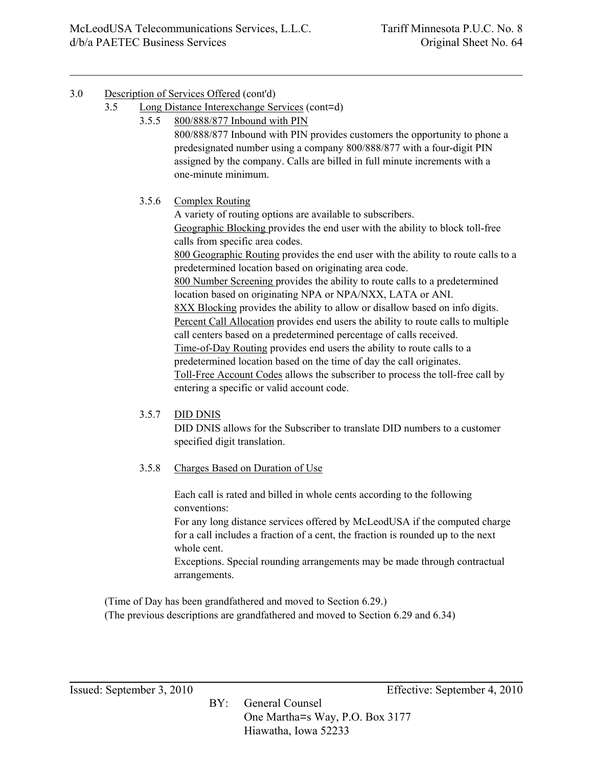| 3.5 |       | Description of Services Offered (cont'd)<br>Long Distance Interexchange Services (cont=d)                                                                                                                                                                                                                                                                                                                                                                                                                                                                                                                                                                                                                                                                                                                                                                                                                                                                                                                                          |  |  |  |  |
|-----|-------|------------------------------------------------------------------------------------------------------------------------------------------------------------------------------------------------------------------------------------------------------------------------------------------------------------------------------------------------------------------------------------------------------------------------------------------------------------------------------------------------------------------------------------------------------------------------------------------------------------------------------------------------------------------------------------------------------------------------------------------------------------------------------------------------------------------------------------------------------------------------------------------------------------------------------------------------------------------------------------------------------------------------------------|--|--|--|--|
|     | 3.5.5 | 800/888/877 Inbound with PIN<br>800/888/877 Inbound with PIN provides customers the opportunity to phone a<br>predesignated number using a company 800/888/877 with a four-digit PIN<br>assigned by the company. Calls are billed in full minute increments with a<br>one-minute minimum.                                                                                                                                                                                                                                                                                                                                                                                                                                                                                                                                                                                                                                                                                                                                          |  |  |  |  |
|     | 3.5.6 | <b>Complex Routing</b><br>A variety of routing options are available to subscribers.<br>Geographic Blocking provides the end user with the ability to block toll-free<br>calls from specific area codes.<br>800 Geographic Routing provides the end user with the ability to route calls to a<br>predetermined location based on originating area code.<br>800 Number Screening provides the ability to route calls to a predetermined<br>location based on originating NPA or NPA/NXX, LATA or ANI.<br>8XX Blocking provides the ability to allow or disallow based on info digits.<br>Percent Call Allocation provides end users the ability to route calls to multiple<br>call centers based on a predetermined percentage of calls received.<br>Time-of-Day Routing provides end users the ability to route calls to a<br>predetermined location based on the time of day the call originates.<br>Toll-Free Account Codes allows the subscriber to process the toll-free call by<br>entering a specific or valid account code. |  |  |  |  |
|     | 3.5.7 | <b>DID DNIS</b><br>DID DNIS allows for the Subscriber to translate DID numbers to a customer<br>specified digit translation.                                                                                                                                                                                                                                                                                                                                                                                                                                                                                                                                                                                                                                                                                                                                                                                                                                                                                                       |  |  |  |  |

 $\mathcal{L}_\mathcal{L} = \{ \mathcal{L}_\mathcal{L} = \{ \mathcal{L}_\mathcal{L} = \{ \mathcal{L}_\mathcal{L} = \{ \mathcal{L}_\mathcal{L} = \{ \mathcal{L}_\mathcal{L} = \{ \mathcal{L}_\mathcal{L} = \{ \mathcal{L}_\mathcal{L} = \{ \mathcal{L}_\mathcal{L} = \{ \mathcal{L}_\mathcal{L} = \{ \mathcal{L}_\mathcal{L} = \{ \mathcal{L}_\mathcal{L} = \{ \mathcal{L}_\mathcal{L} = \{ \mathcal{L}_\mathcal{L} = \{ \mathcal{L}_\mathcal{$ 

3.5.8 Charges Based on Duration of Use

Each call is rated and billed in whole cents according to the following conventions:

For any long distance services offered by McLeodUSA if the computed charge for a call includes a fraction of a cent, the fraction is rounded up to the next whole cent.

Exceptions. Special rounding arrangements may be made through contractual arrangements.

(Time of Day has been grandfathered and moved to Section 6.29.) (The previous descriptions are grandfathered and moved to Section 6.29 and 6.34)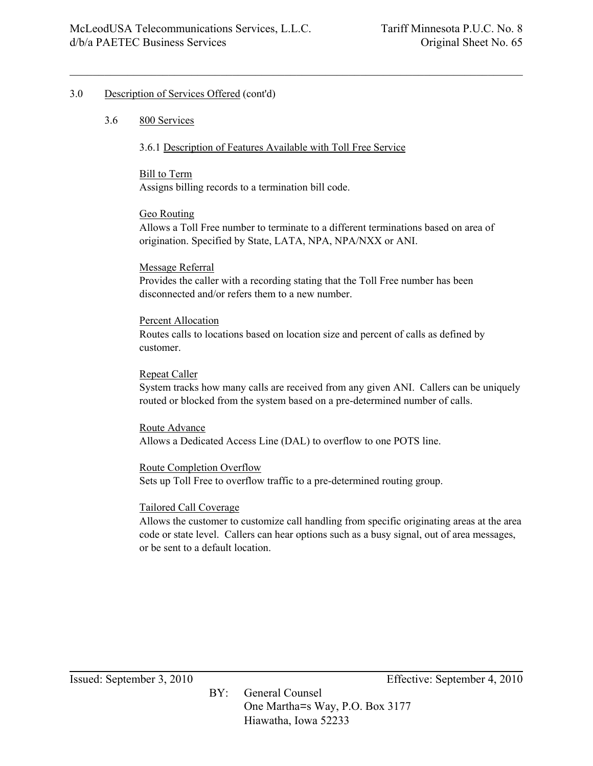### 3.6 800 Services

### 3.6.1 Description of Features Available with Toll Free Service

 $\mathcal{L}_\mathcal{L} = \{ \mathcal{L}_\mathcal{L} = \{ \mathcal{L}_\mathcal{L} = \{ \mathcal{L}_\mathcal{L} = \{ \mathcal{L}_\mathcal{L} = \{ \mathcal{L}_\mathcal{L} = \{ \mathcal{L}_\mathcal{L} = \{ \mathcal{L}_\mathcal{L} = \{ \mathcal{L}_\mathcal{L} = \{ \mathcal{L}_\mathcal{L} = \{ \mathcal{L}_\mathcal{L} = \{ \mathcal{L}_\mathcal{L} = \{ \mathcal{L}_\mathcal{L} = \{ \mathcal{L}_\mathcal{L} = \{ \mathcal{L}_\mathcal{$ 

### Bill to Term Assigns billing records to a termination bill code.

### Geo Routing

Allows a Toll Free number to terminate to a different terminations based on area of origination. Specified by State, LATA, NPA, NPA/NXX or ANI.

### Message Referral Provides the caller with a recording stating that the Toll Free number has been disconnected and/or refers them to a new number.

Percent Allocation Routes calls to locations based on location size and percent of calls as defined by customer.

### Repeat Caller

System tracks how many calls are received from any given ANI. Callers can be uniquely routed or blocked from the system based on a pre-determined number of calls.

Route Advance Allows a Dedicated Access Line (DAL) to overflow to one POTS line.

Route Completion Overflow Sets up Toll Free to overflow traffic to a pre-determined routing group.

## Tailored Call Coverage

Allows the customer to customize call handling from specific originating areas at the area code or state level. Callers can hear options such as a busy signal, out of area messages, or be sent to a default location.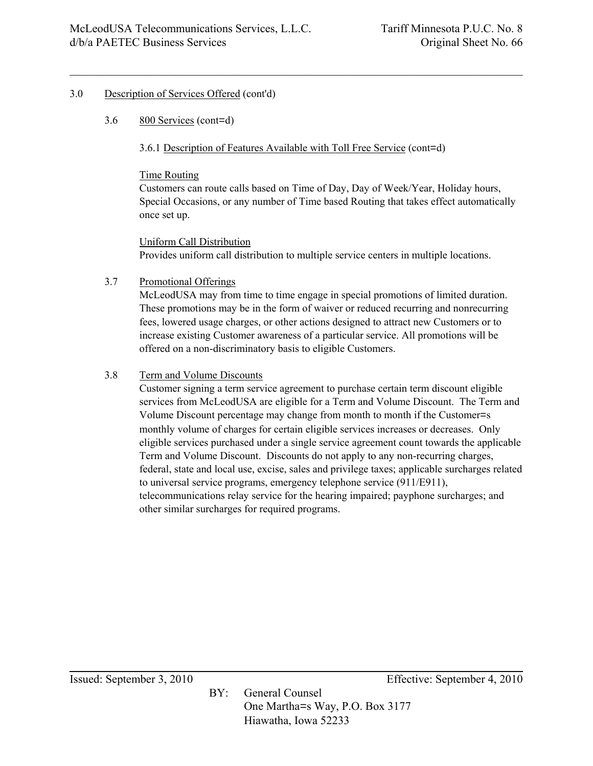3.6 800 Services (cont=d)

### 3.6.1 Description of Features Available with Toll Free Service (cont=d)

 $\mathcal{L}_\mathcal{L} = \{ \mathcal{L}_\mathcal{L} = \{ \mathcal{L}_\mathcal{L} = \{ \mathcal{L}_\mathcal{L} = \{ \mathcal{L}_\mathcal{L} = \{ \mathcal{L}_\mathcal{L} = \{ \mathcal{L}_\mathcal{L} = \{ \mathcal{L}_\mathcal{L} = \{ \mathcal{L}_\mathcal{L} = \{ \mathcal{L}_\mathcal{L} = \{ \mathcal{L}_\mathcal{L} = \{ \mathcal{L}_\mathcal{L} = \{ \mathcal{L}_\mathcal{L} = \{ \mathcal{L}_\mathcal{L} = \{ \mathcal{L}_\mathcal{$ 

### Time Routing

Customers can route calls based on Time of Day, Day of Week/Year, Holiday hours, Special Occasions, or any number of Time based Routing that takes effect automatically once set up.

### Uniform Call Distribution

Provides uniform call distribution to multiple service centers in multiple locations.

## 3.7 Promotional Offerings

McLeodUSA may from time to time engage in special promotions of limited duration. These promotions may be in the form of waiver or reduced recurring and nonrecurring fees, lowered usage charges, or other actions designed to attract new Customers or to increase existing Customer awareness of a particular service. All promotions will be offered on a non-discriminatory basis to eligible Customers.

## 3.8 Term and Volume Discounts

Customer signing a term service agreement to purchase certain term discount eligible services from McLeodUSA are eligible for a Term and Volume Discount. The Term and Volume Discount percentage may change from month to month if the Customer=s monthly volume of charges for certain eligible services increases or decreases. Only eligible services purchased under a single service agreement count towards the applicable Term and Volume Discount. Discounts do not apply to any non-recurring charges, federal, state and local use, excise, sales and privilege taxes; applicable surcharges related to universal service programs, emergency telephone service (911/E911), telecommunications relay service for the hearing impaired; payphone surcharges; and other similar surcharges for required programs.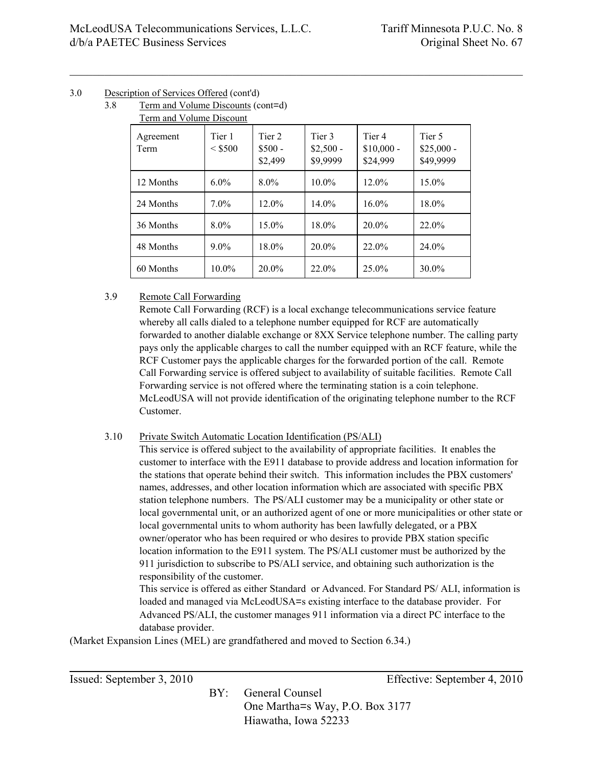| 3.8 | Term and Volume Discounts (cont=d) |
|-----|------------------------------------|
|     | Term and Volume Discount           |

| Agreement<br>Term | Tier 1<br>$<$ \$500 | Tier 2<br>$$500 -$<br>\$2,499 | Tier 3<br>$$2,500 -$<br>\$9,9999 | Tier <sub>4</sub><br>$$10,000 -$<br>\$24,999 | Tier 5<br>$$25,000 -$<br>\$49,9999 |
|-------------------|---------------------|-------------------------------|----------------------------------|----------------------------------------------|------------------------------------|
| 12 Months         | $6.0\%$             | $8.0\%$                       | $10.0\%$                         | $12.0\%$                                     | $15.0\%$                           |
| 24 Months         | $7.0\%$             | $12.0\%$                      | $14.0\%$                         | $16.0\%$                                     | 18.0%                              |
| 36 Months         | $8.0\%$             | $15.0\%$                      | 18.0%                            | $20.0\%$                                     | 22.0%                              |
| 48 Months         | $9.0\%$             | $18.0\%$                      | $20.0\%$                         | 22.0%                                        | 24.0%                              |
| 60 Months         | $10.0\%$            | $20.0\%$                      | 22.0%                            | $25.0\%$                                     | 30.0%                              |

 $\mathcal{L}_\mathcal{L} = \{ \mathcal{L}_\mathcal{L} = \{ \mathcal{L}_\mathcal{L} = \{ \mathcal{L}_\mathcal{L} = \{ \mathcal{L}_\mathcal{L} = \{ \mathcal{L}_\mathcal{L} = \{ \mathcal{L}_\mathcal{L} = \{ \mathcal{L}_\mathcal{L} = \{ \mathcal{L}_\mathcal{L} = \{ \mathcal{L}_\mathcal{L} = \{ \mathcal{L}_\mathcal{L} = \{ \mathcal{L}_\mathcal{L} = \{ \mathcal{L}_\mathcal{L} = \{ \mathcal{L}_\mathcal{L} = \{ \mathcal{L}_\mathcal{$ 

### 3.9 Remote Call Forwarding

Remote Call Forwarding (RCF) is a local exchange telecommunications service feature whereby all calls dialed to a telephone number equipped for RCF are automatically forwarded to another dialable exchange or 8XX Service telephone number. The calling party pays only the applicable charges to call the number equipped with an RCF feature, while the RCF Customer pays the applicable charges for the forwarded portion of the call. Remote Call Forwarding service is offered subject to availability of suitable facilities. Remote Call Forwarding service is not offered where the terminating station is a coin telephone. McLeodUSA will not provide identification of the originating telephone number to the RCF Customer.

### 3.10 Private Switch Automatic Location Identification (PS/ALI)

This service is offered subject to the availability of appropriate facilities. It enables the customer to interface with the E911 database to provide address and location information for the stations that operate behind their switch. This information includes the PBX customers' names, addresses, and other location information which are associated with specific PBX station telephone numbers. The PS/ALI customer may be a municipality or other state or local governmental unit, or an authorized agent of one or more municipalities or other state or local governmental units to whom authority has been lawfully delegated, or a PBX owner/operator who has been required or who desires to provide PBX station specific location information to the E911 system. The PS/ALI customer must be authorized by the 911 jurisdiction to subscribe to PS/ALI service, and obtaining such authorization is the responsibility of the customer.

This service is offered as either Standard or Advanced. For Standard PS/ ALI, information is loaded and managed via McLeodUSA=s existing interface to the database provider. For Advanced PS/ALI, the customer manages 911 information via a direct PC interface to the database provider.

(Market Expansion Lines (MEL) are grandfathered and moved to Section 6.34.)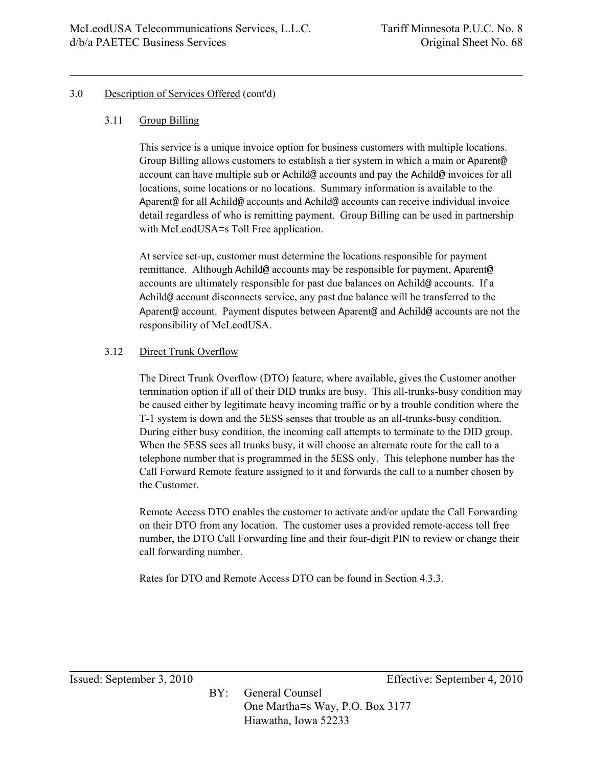### 3.11 Group Billing

This service is a unique invoice option for business customers with multiple locations. Group Billing allows customers to establish a tier system in which a main or Aparent@ account can have multiple sub or Achild@ accounts and pay the Achild@ invoices for all locations, some locations or no locations. Summary information is available to the Aparent@ for all Achild@ accounts and Achild@ accounts can receive individual invoice detail regardless of who is remitting payment. Group Billing can be used in partnership with McLeodUSA=s Toll Free application.

 $\mathcal{L}_\mathcal{L} = \{ \mathcal{L}_\mathcal{L} = \{ \mathcal{L}_\mathcal{L} = \{ \mathcal{L}_\mathcal{L} = \{ \mathcal{L}_\mathcal{L} = \{ \mathcal{L}_\mathcal{L} = \{ \mathcal{L}_\mathcal{L} = \{ \mathcal{L}_\mathcal{L} = \{ \mathcal{L}_\mathcal{L} = \{ \mathcal{L}_\mathcal{L} = \{ \mathcal{L}_\mathcal{L} = \{ \mathcal{L}_\mathcal{L} = \{ \mathcal{L}_\mathcal{L} = \{ \mathcal{L}_\mathcal{L} = \{ \mathcal{L}_\mathcal{$ 

At service set-up, customer must determine the locations responsible for payment remittance. Although Achild@ accounts may be responsible for payment, Aparent@ accounts are ultimately responsible for past due balances on Achild@ accounts. If a Achild@ account disconnects service, any past due balance will be transferred to the Aparent@ account. Payment disputes between Aparent@ and Achild@ accounts are not the responsibility of McLeodUSA.

### 3.12 Direct Trunk Overflow

The Direct Trunk Overflow (DTO) feature, where available, gives the Customer another termination option if all of their DID trunks are busy. This all-trunks-busy condition may be caused either by legitimate heavy incoming traffic or by a trouble condition where the T-1 system is down and the 5ESS senses that trouble as an all-trunks-busy condition. During either busy condition, the incoming call attempts to terminate to the DID group. When the 5ESS sees all trunks busy, it will choose an alternate route for the call to a telephone number that is programmed in the 5ESS only. This telephone number has the Call Forward Remote feature assigned to it and forwards the call to a number chosen by the Customer.

Remote Access DTO enables the customer to activate and/or update the Call Forwarding on their DTO from any location. The customer uses a provided remote-access toll free number, the DTO Call Forwarding line and their four-digit PIN to review or change their call forwarding number.

Rates for DTO and Remote Access DTO can be found in Section 4.3.3.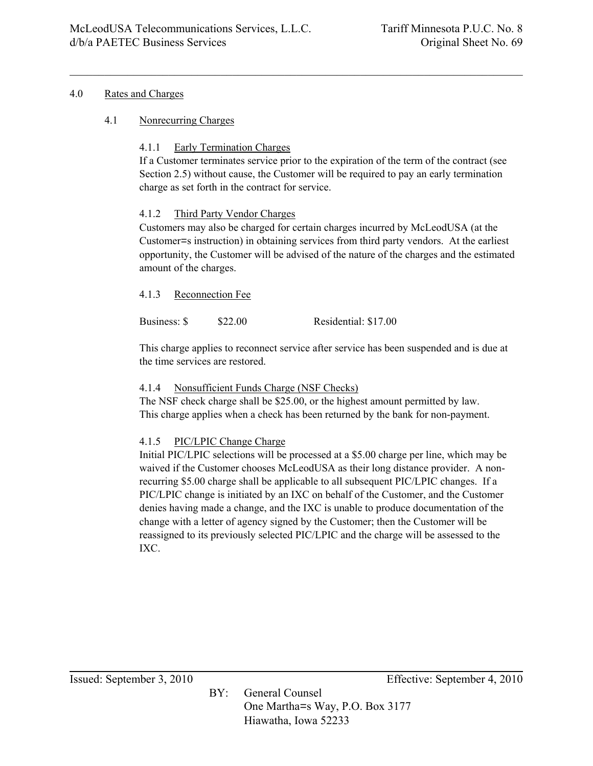### 4.0 Rates and Charges

### 4.1 Nonrecurring Charges

### 4.1.1 Early Termination Charges

If a Customer terminates service prior to the expiration of the term of the contract (see Section 2.5) without cause, the Customer will be required to pay an early termination charge as set forth in the contract for service.

 $\mathcal{L}_\mathcal{L} = \{ \mathcal{L}_\mathcal{L} = \{ \mathcal{L}_\mathcal{L} = \{ \mathcal{L}_\mathcal{L} = \{ \mathcal{L}_\mathcal{L} = \{ \mathcal{L}_\mathcal{L} = \{ \mathcal{L}_\mathcal{L} = \{ \mathcal{L}_\mathcal{L} = \{ \mathcal{L}_\mathcal{L} = \{ \mathcal{L}_\mathcal{L} = \{ \mathcal{L}_\mathcal{L} = \{ \mathcal{L}_\mathcal{L} = \{ \mathcal{L}_\mathcal{L} = \{ \mathcal{L}_\mathcal{L} = \{ \mathcal{L}_\mathcal{$ 

### 4.1.2 Third Party Vendor Charges

Customers may also be charged for certain charges incurred by McLeodUSA (at the Customer=s instruction) in obtaining services from third party vendors. At the earliest opportunity, the Customer will be advised of the nature of the charges and the estimated amount of the charges.

### 4.1.3 Reconnection Fee

Business: \$ \$22.00 Residential: \$17.00

This charge applies to reconnect service after service has been suspended and is due at the time services are restored.

## 4.1.4 Nonsufficient Funds Charge (NSF Checks)

The NSF check charge shall be \$25.00, or the highest amount permitted by law. This charge applies when a check has been returned by the bank for non-payment.

## 4.1.5 PIC/LPIC Change Charge

Initial PIC/LPIC selections will be processed at a \$5.00 charge per line, which may be waived if the Customer chooses McLeodUSA as their long distance provider. A nonrecurring \$5.00 charge shall be applicable to all subsequent PIC/LPIC changes. If a PIC/LPIC change is initiated by an IXC on behalf of the Customer, and the Customer denies having made a change, and the IXC is unable to produce documentation of the change with a letter of agency signed by the Customer; then the Customer will be reassigned to its previously selected PIC/LPIC and the charge will be assessed to the IXC.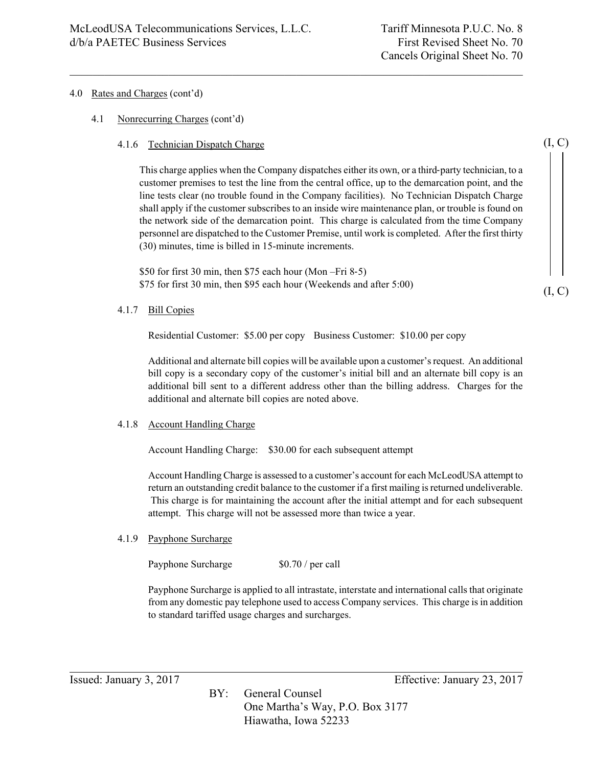#### 4.0 Rates and Charges (cont'd)

- 4.1 Nonrecurring Charges (cont'd)
	- 4.1.6 Technician Dispatch Charge

This charge applies when the Company dispatches either its own, or a third-party technician, to a customer premises to test the line from the central office, up to the demarcation point, and the line tests clear (no trouble found in the Company facilities). No Technician Dispatch Charge shall apply if the customer subscribes to an inside wire maintenance plan, or trouble is found on the network side of the demarcation point. This charge is calculated from the time Company personnel are dispatched to the Customer Premise, until work is completed. After the first thirty (30) minutes, time is billed in 15-minute increments.

 $\mathcal{L}_\mathcal{L} = \{ \mathcal{L}_\mathcal{L} = \{ \mathcal{L}_\mathcal{L} = \{ \mathcal{L}_\mathcal{L} = \{ \mathcal{L}_\mathcal{L} = \{ \mathcal{L}_\mathcal{L} = \{ \mathcal{L}_\mathcal{L} = \{ \mathcal{L}_\mathcal{L} = \{ \mathcal{L}_\mathcal{L} = \{ \mathcal{L}_\mathcal{L} = \{ \mathcal{L}_\mathcal{L} = \{ \mathcal{L}_\mathcal{L} = \{ \mathcal{L}_\mathcal{L} = \{ \mathcal{L}_\mathcal{L} = \{ \mathcal{L}_\mathcal{$ 

\$50 for first 30 min, then \$75 each hour (Mon –Fri 8‐5) \$75 for first 30 min, then \$95 each hour (Weekends and after 5:00)

4.1.7 Bill Copies

Residential Customer: \$5.00 per copy Business Customer: \$10.00 per copy

Additional and alternate bill copies will be available upon a customer's request. An additional bill copy is a secondary copy of the customer's initial bill and an alternate bill copy is an additional bill sent to a different address other than the billing address. Charges for the additional and alternate bill copies are noted above.

#### 4.1.8 Account Handling Charge

Account Handling Charge: \$30.00 for each subsequent attempt

Account Handling Charge is assessed to a customer's account for each McLeodUSA attempt to return an outstanding credit balance to the customer if a first mailing is returned undeliverable. This charge is for maintaining the account after the initial attempt and for each subsequent attempt. This charge will not be assessed more than twice a year.

4.1.9 Payphone Surcharge

Payphone Surcharge \$0.70 / per call

Payphone Surcharge is applied to all intrastate, interstate and international calls that originate from any domestic pay telephone used to access Company services. This charge is in addition to standard tariffed usage charges and surcharges.

BY: General Counsel One Martha's Way, P.O. Box 3177 Hiawatha, Iowa 52233

(I, C)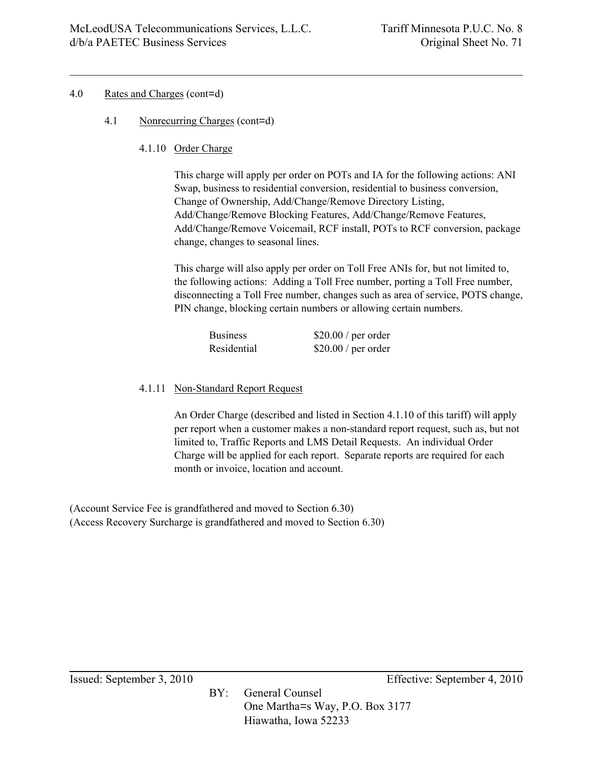## 4.0 Rates and Charges (cont=d)

- 4.1 Nonrecurring Charges (cont=d)
	- 4.1.10 Order Charge

This charge will apply per order on POTs and IA for the following actions: ANI Swap, business to residential conversion, residential to business conversion, Change of Ownership, Add/Change/Remove Directory Listing, Add/Change/Remove Blocking Features, Add/Change/Remove Features, Add/Change/Remove Voicemail, RCF install, POTs to RCF conversion, package change, changes to seasonal lines.

This charge will also apply per order on Toll Free ANIs for, but not limited to, the following actions: Adding a Toll Free number, porting a Toll Free number, disconnecting a Toll Free number, changes such as area of service, POTS change, PIN change, blocking certain numbers or allowing certain numbers.

| <b>Business</b> | \$20.00 / per order |
|-----------------|---------------------|
| Residential     | \$20.00 / per order |

 $\mathcal{L}_\mathcal{L} = \{ \mathcal{L}_\mathcal{L} = \{ \mathcal{L}_\mathcal{L} = \{ \mathcal{L}_\mathcal{L} = \{ \mathcal{L}_\mathcal{L} = \{ \mathcal{L}_\mathcal{L} = \{ \mathcal{L}_\mathcal{L} = \{ \mathcal{L}_\mathcal{L} = \{ \mathcal{L}_\mathcal{L} = \{ \mathcal{L}_\mathcal{L} = \{ \mathcal{L}_\mathcal{L} = \{ \mathcal{L}_\mathcal{L} = \{ \mathcal{L}_\mathcal{L} = \{ \mathcal{L}_\mathcal{L} = \{ \mathcal{L}_\mathcal{$ 

# 4.1.11 Non-Standard Report Request

An Order Charge (described and listed in Section 4.1.10 of this tariff) will apply per report when a customer makes a non-standard report request, such as, but not limited to, Traffic Reports and LMS Detail Requests. An individual Order Charge will be applied for each report. Separate reports are required for each month or invoice, location and account.

(Account Service Fee is grandfathered and moved to Section 6.30) (Access Recovery Surcharge is grandfathered and moved to Section 6.30)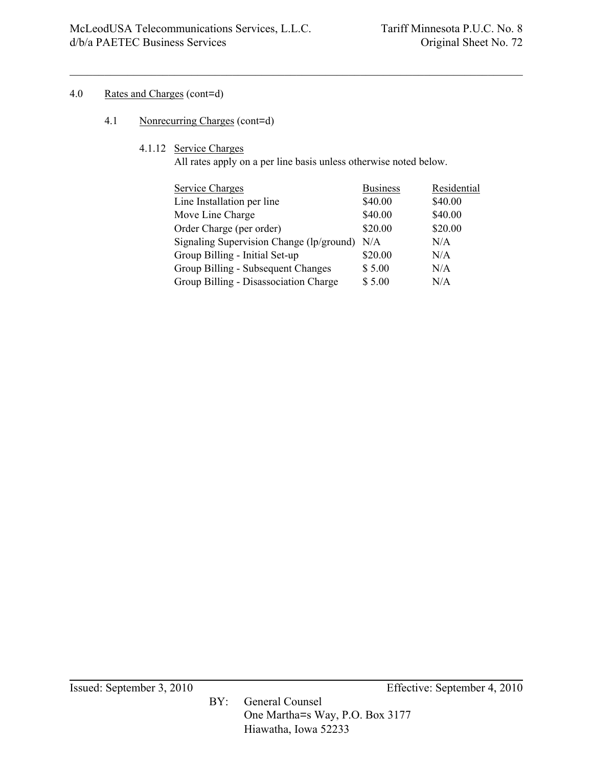## 4.0 Rates and Charges (cont=d)

4.1 Nonrecurring Charges (cont=d)

## 4.1.12 Service Charges

All rates apply on a per line basis unless otherwise noted below.

 $\mathcal{L}_\mathcal{L} = \{ \mathcal{L}_\mathcal{L} = \{ \mathcal{L}_\mathcal{L} = \{ \mathcal{L}_\mathcal{L} = \{ \mathcal{L}_\mathcal{L} = \{ \mathcal{L}_\mathcal{L} = \{ \mathcal{L}_\mathcal{L} = \{ \mathcal{L}_\mathcal{L} = \{ \mathcal{L}_\mathcal{L} = \{ \mathcal{L}_\mathcal{L} = \{ \mathcal{L}_\mathcal{L} = \{ \mathcal{L}_\mathcal{L} = \{ \mathcal{L}_\mathcal{L} = \{ \mathcal{L}_\mathcal{L} = \{ \mathcal{L}_\mathcal{$ 

| <b>Service Charges</b>                       | <b>Business</b> | Residential |
|----------------------------------------------|-----------------|-------------|
| Line Installation per line                   | \$40.00         | \$40.00     |
| Move Line Charge                             | \$40.00         | \$40.00     |
| Order Charge (per order)                     | \$20.00         | \$20.00     |
| Signaling Supervision Change (lp/ground) N/A |                 | N/A         |
| Group Billing - Initial Set-up               | \$20.00         | N/A         |
| Group Billing - Subsequent Changes           | \$5.00          | N/A         |
| Group Billing - Disassociation Charge        | \$5.00          | N/A         |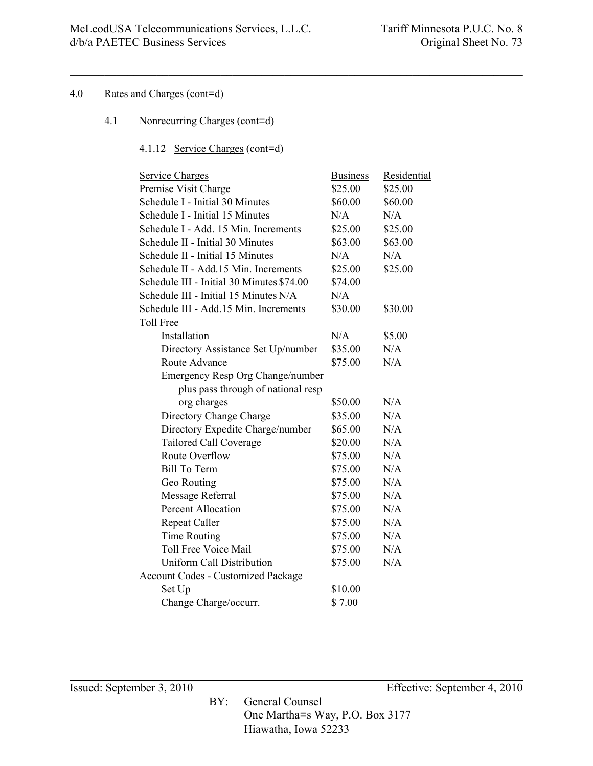- 4.1 Nonrecurring Charges (cont=d)
	- 4.1.12 Service Charges (cont=d)

| <b>Service Charges</b>                    | <b>Business</b> | Residential |
|-------------------------------------------|-----------------|-------------|
| Premise Visit Charge                      | \$25.00         | \$25.00     |
| Schedule I - Initial 30 Minutes           | \$60.00         | \$60.00     |
| Schedule I - Initial 15 Minutes           | N/A             | N/A         |
| Schedule I - Add. 15 Min. Increments      | \$25.00         | \$25.00     |
| Schedule II - Initial 30 Minutes          | \$63.00         | \$63.00     |
| Schedule II - Initial 15 Minutes          | N/A             | N/A         |
| Schedule II - Add.15 Min. Increments      | \$25.00         | \$25.00     |
| Schedule III - Initial 30 Minutes \$74.00 | \$74.00         |             |
| Schedule III - Initial 15 Minutes N/A     | N/A             |             |
| Schedule III - Add.15 Min. Increments     | \$30.00         | \$30.00     |
| <b>Toll Free</b>                          |                 |             |
| Installation                              | N/A             | \$5.00      |
| Directory Assistance Set Up/number        | \$35.00         | N/A         |
| Route Advance                             | \$75.00         | N/A         |
| Emergency Resp Org Change/number          |                 |             |
| plus pass through of national resp        |                 |             |
| org charges                               | \$50.00         | N/A         |
| Directory Change Charge                   | \$35.00         | N/A         |
| Directory Expedite Charge/number          | \$65.00         | N/A         |
| Tailored Call Coverage                    | \$20.00         | N/A         |
| Route Overflow                            | \$75.00         | N/A         |
| <b>Bill To Term</b>                       | \$75.00         | N/A         |
| Geo Routing                               | \$75.00         | N/A         |
| Message Referral                          | \$75.00         | N/A         |
| <b>Percent Allocation</b>                 | \$75.00         | N/A         |
| <b>Repeat Caller</b>                      | \$75.00         | N/A         |
| <b>Time Routing</b>                       | \$75.00         | N/A         |
| <b>Toll Free Voice Mail</b>               | \$75.00         | N/A         |
| <b>Uniform Call Distribution</b>          | \$75.00         | N/A         |
| <b>Account Codes - Customized Package</b> |                 |             |
| Set Up                                    | \$10.00         |             |
| Change Charge/occurr.                     | \$7.00          |             |

 $\mathcal{L}_\mathcal{L} = \mathcal{L}_\mathcal{L} = \mathcal{L}_\mathcal{L} = \mathcal{L}_\mathcal{L} = \mathcal{L}_\mathcal{L} = \mathcal{L}_\mathcal{L} = \mathcal{L}_\mathcal{L} = \mathcal{L}_\mathcal{L} = \mathcal{L}_\mathcal{L} = \mathcal{L}_\mathcal{L} = \mathcal{L}_\mathcal{L} = \mathcal{L}_\mathcal{L} = \mathcal{L}_\mathcal{L} = \mathcal{L}_\mathcal{L} = \mathcal{L}_\mathcal{L} = \mathcal{L}_\mathcal{L} = \mathcal{L}_\mathcal{L}$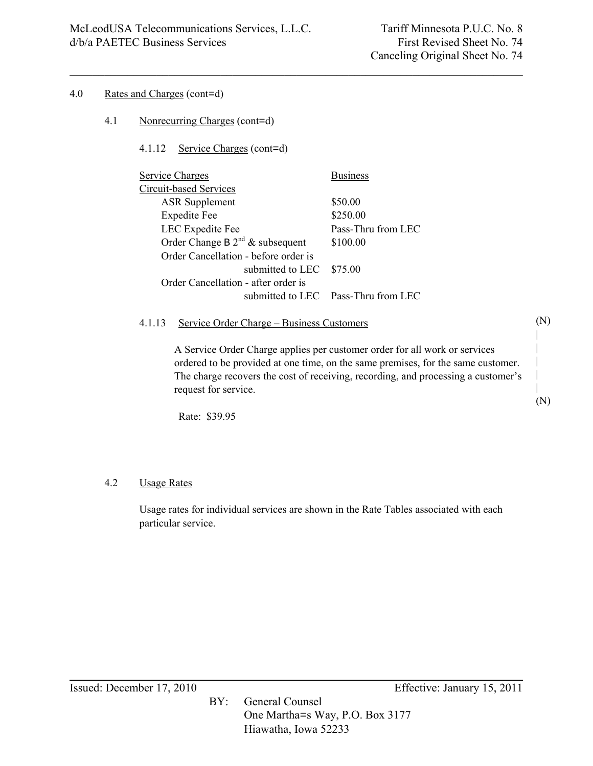(N) | | | | | (N)

# 4.0 Rates and Charges (cont=d)

- 4.1 Nonrecurring Charges (cont=d)
	- 4.1.12 Service Charges (cont=d)

| <b>Service Charges</b>               | <b>Business</b>                     |
|--------------------------------------|-------------------------------------|
| <b>Circuit-based Services</b>        |                                     |
| <b>ASR</b> Supplement                | \$50.00                             |
| <b>Expedite Fee</b>                  | \$250.00                            |
| LEC Expedite Fee                     | Pass-Thru from LEC                  |
| Order Change B $2^{nd}$ & subsequent | \$100.00                            |
| Order Cancellation - before order is |                                     |
| submitted to LEC \$75.00             |                                     |
| Order Cancellation - after order is  |                                     |
|                                      | submitted to LEC Pass-Thru from LEC |

 $\mathcal{L}_\mathcal{L} = \mathcal{L}_\mathcal{L} = \mathcal{L}_\mathcal{L} = \mathcal{L}_\mathcal{L} = \mathcal{L}_\mathcal{L} = \mathcal{L}_\mathcal{L} = \mathcal{L}_\mathcal{L} = \mathcal{L}_\mathcal{L} = \mathcal{L}_\mathcal{L} = \mathcal{L}_\mathcal{L} = \mathcal{L}_\mathcal{L} = \mathcal{L}_\mathcal{L} = \mathcal{L}_\mathcal{L} = \mathcal{L}_\mathcal{L} = \mathcal{L}_\mathcal{L} = \mathcal{L}_\mathcal{L} = \mathcal{L}_\mathcal{L}$ 

### 4.1.13 Service Order Charge – Business Customers

A Service Order Charge applies per customer order for all work or services ordered to be provided at one time, on the same premises, for the same customer. The charge recovers the cost of receiving, recording, and processing a customer's request for service.

Rate: \$39.95

# 4.2 Usage Rates

Usage rates for individual services are shown in the Rate Tables associated with each particular service.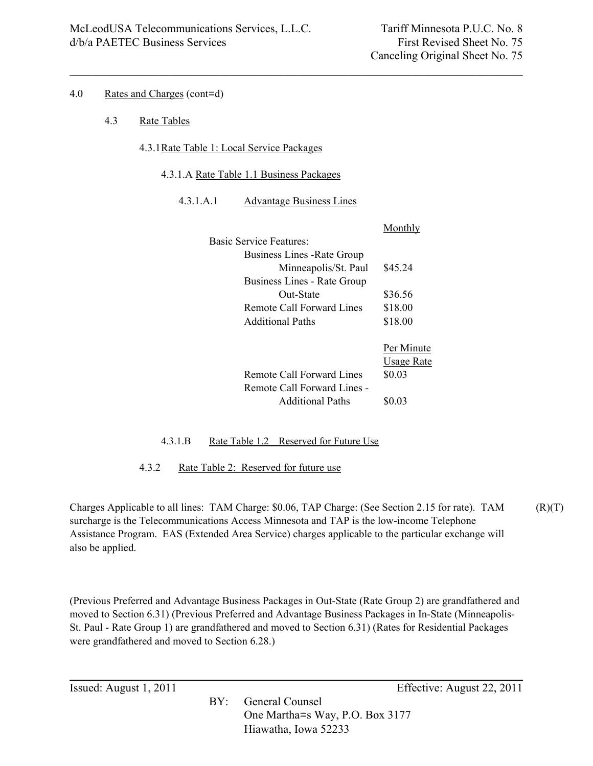| 4.0 |     | Rates and Charges (cont=d)                 |                                                                 |                                 |
|-----|-----|--------------------------------------------|-----------------------------------------------------------------|---------------------------------|
|     | 4.3 | <b>Rate Tables</b>                         |                                                                 |                                 |
|     |     | 4.3.1 Rate Table 1: Local Service Packages |                                                                 |                                 |
|     |     |                                            | 4.3.1.A Rate Table 1.1 Business Packages                        |                                 |
|     |     | 4.3.1.A.1                                  | <b>Advantage Business Lines</b>                                 |                                 |
|     |     |                                            | <b>Basic Service Features:</b>                                  | Monthly                         |
|     |     |                                            | Business Lines - Rate Group                                     |                                 |
|     |     |                                            | Minneapolis/St. Paul<br>Business Lines - Rate Group             | \$45.24                         |
|     |     |                                            | Out-State                                                       | \$36.56                         |
|     |     |                                            | <b>Remote Call Forward Lines</b>                                | \$18.00                         |
|     |     |                                            | <b>Additional Paths</b>                                         | \$18.00                         |
|     |     |                                            |                                                                 | Per Minute<br><b>Usage Rate</b> |
|     |     |                                            | <b>Remote Call Forward Lines</b><br>Remote Call Forward Lines - | \$0.03                          |
|     |     |                                            | <b>Additional Paths</b>                                         | \$0.03                          |

 $\mathcal{L}_\mathcal{L} = \mathcal{L}_\mathcal{L} = \mathcal{L}_\mathcal{L} = \mathcal{L}_\mathcal{L} = \mathcal{L}_\mathcal{L} = \mathcal{L}_\mathcal{L} = \mathcal{L}_\mathcal{L} = \mathcal{L}_\mathcal{L} = \mathcal{L}_\mathcal{L} = \mathcal{L}_\mathcal{L} = \mathcal{L}_\mathcal{L} = \mathcal{L}_\mathcal{L} = \mathcal{L}_\mathcal{L} = \mathcal{L}_\mathcal{L} = \mathcal{L}_\mathcal{L} = \mathcal{L}_\mathcal{L} = \mathcal{L}_\mathcal{L}$ 

# 4.3.1.B Rate Table 1.2 Reserved for Future Use

4.3.2 Rate Table 2: Reserved for future use

Charges Applicable to all lines: TAM Charge: \$0.06, TAP Charge: (See Section 2.15 for rate). TAM surcharge is the Telecommunications Access Minnesota and TAP is the low-income Telephone Assistance Program. EAS (Extended Area Service) charges applicable to the particular exchange will also be applied.  $(R)(T)$ 

(Previous Preferred and Advantage Business Packages in Out-State (Rate Group 2) are grandfathered and moved to Section 6.31) (Previous Preferred and Advantage Business Packages in In-State (Minneapolis-St. Paul - Rate Group 1) are grandfathered and moved to Section 6.31) (Rates for Residential Packages were grandfathered and moved to Section 6.28.)

Issued: August 1, 2011 Effective: August 22, 2011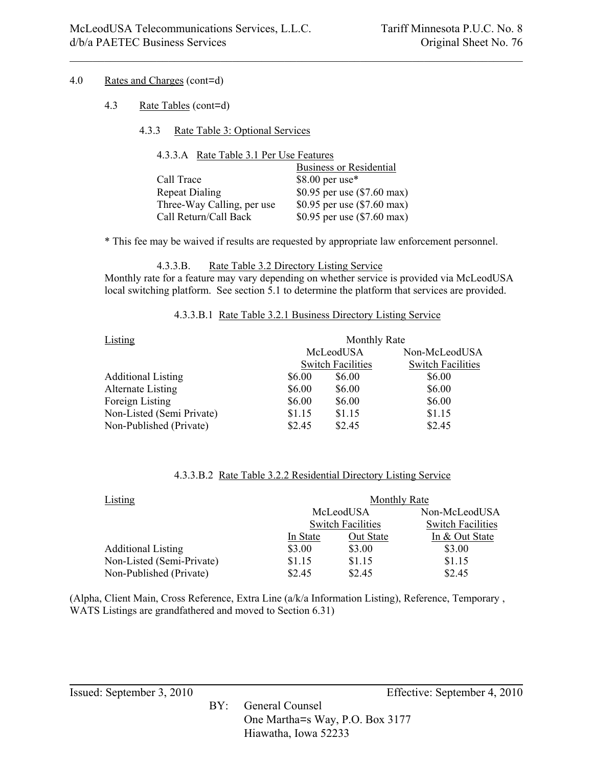4.3 Rate Tables (cont=d)

4.3.3 Rate Table 3: Optional Services

| 4.3.3.A Rate Table 3.1 Per Use Features |                                       |
|-----------------------------------------|---------------------------------------|
|                                         | <b>Business or Residential</b>        |
| Call Trace                              | $$8.00$ per use*                      |
| Repeat Dialing                          | \$0.95 per use $(\$7.60 \text{ max})$ |
| Three-Way Calling, per use              | \$0.95 per use $(\$7.60 \text{ max})$ |
| Call Return/Call Back                   | \$0.95 per use $(\$7.60 \text{ max})$ |

\* This fee may be waived if results are requested by appropriate law enforcement personnel.

 $\mathcal{L}_\mathcal{L} = \{ \mathcal{L}_\mathcal{L} = \{ \mathcal{L}_\mathcal{L} = \{ \mathcal{L}_\mathcal{L} = \{ \mathcal{L}_\mathcal{L} = \{ \mathcal{L}_\mathcal{L} = \{ \mathcal{L}_\mathcal{L} = \{ \mathcal{L}_\mathcal{L} = \{ \mathcal{L}_\mathcal{L} = \{ \mathcal{L}_\mathcal{L} = \{ \mathcal{L}_\mathcal{L} = \{ \mathcal{L}_\mathcal{L} = \{ \mathcal{L}_\mathcal{L} = \{ \mathcal{L}_\mathcal{L} = \{ \mathcal{L}_\mathcal{$ 

### 4.3.3.B. Rate Table 3.2 Directory Listing Service

Monthly rate for a feature may vary depending on whether service is provided via McLeodUSA local switching platform. See section 5.1 to determine the platform that services are provided.

### 4.3.3.B.1 Rate Table 3.2.1 Business Directory Listing Service

| Listing                   | <b>Monthly Rate</b>                   |        |                          |
|---------------------------|---------------------------------------|--------|--------------------------|
|                           | McLeodUSA<br><b>Switch Facilities</b> |        | Non-McLeodUSA            |
|                           |                                       |        | <b>Switch Facilities</b> |
| <b>Additional Listing</b> | \$6.00                                | \$6.00 | \$6.00                   |
| Alternate Listing         | \$6.00                                | \$6.00 | \$6.00                   |
| Foreign Listing           | \$6.00                                | \$6.00 | \$6.00                   |
| Non-Listed (Semi Private) | \$1.15                                | \$1.15 | \$1.15                   |
| Non-Published (Private)   | \$2.45                                | \$2.45 | \$2.45                   |

# 4.3.3.B.2 Rate Table 3.2.2 Residential Directory Listing Service

| Listing                   | <b>Monthly Rate</b>      |           |                          |
|---------------------------|--------------------------|-----------|--------------------------|
|                           | McLeodUSA                |           | Non-McLeodUSA            |
|                           | <b>Switch Facilities</b> |           | <b>Switch Facilities</b> |
|                           | In State                 | Out State | In & Out State           |
| <b>Additional Listing</b> | \$3.00                   | \$3.00    | \$3.00                   |
| Non-Listed (Semi-Private) | \$1.15                   | \$1.15    | \$1.15                   |
| Non-Published (Private)   | \$2.45                   | \$2.45    | \$2.45                   |

(Alpha, Client Main, Cross Reference, Extra Line (a/k/a Information Listing), Reference, Temporary , WATS Listings are grandfathered and moved to Section 6.31)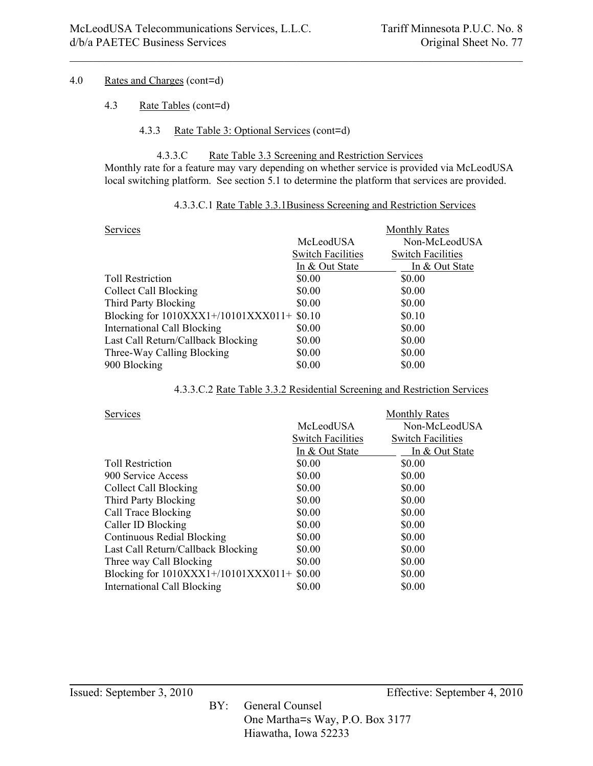### 4.3 Rate Tables (cont=d)

### 4.3.3 Rate Table 3: Optional Services (cont=d)

4.3.3.C Rate Table 3.3 Screening and Restriction Services Monthly rate for a feature may vary depending on whether service is provided via McLeodUSA local switching platform. See section 5.1 to determine the platform that services are provided.

 $\mathcal{L}_\mathcal{L} = \{ \mathcal{L}_\mathcal{L} = \{ \mathcal{L}_\mathcal{L} = \{ \mathcal{L}_\mathcal{L} = \{ \mathcal{L}_\mathcal{L} = \{ \mathcal{L}_\mathcal{L} = \{ \mathcal{L}_\mathcal{L} = \{ \mathcal{L}_\mathcal{L} = \{ \mathcal{L}_\mathcal{L} = \{ \mathcal{L}_\mathcal{L} = \{ \mathcal{L}_\mathcal{L} = \{ \mathcal{L}_\mathcal{L} = \{ \mathcal{L}_\mathcal{L} = \{ \mathcal{L}_\mathcal{L} = \{ \mathcal{L}_\mathcal{$ 

4.3.3.C.1 Rate Table 3.3.1Business Screening and Restriction Services

| Services                                     |                          | <b>Monthly Rates</b>     |
|----------------------------------------------|--------------------------|--------------------------|
|                                              | McLeodUSA                | Non-McLeodUSA            |
|                                              | <b>Switch Facilities</b> | <b>Switch Facilities</b> |
|                                              | In & Out State           | In & Out State           |
| <b>Toll Restriction</b>                      | \$0.00                   | \$0.00                   |
| <b>Collect Call Blocking</b>                 | \$0.00                   | \$0.00                   |
| Third Party Blocking                         | \$0.00                   | \$0.00                   |
| Blocking for $1010XXX1+/10101XXX011+$ \$0.10 |                          | \$0.10                   |
| International Call Blocking                  | \$0.00                   | \$0.00                   |
| Last Call Return/Callback Blocking           | \$0.00                   | \$0.00                   |
| Three-Way Calling Blocking                   | \$0.00                   | \$0.00                   |
| 900 Blocking                                 | \$0.00                   | \$0.00                   |

| 4.3.3.C.2 Rate Table 3.3.2 Residential Screening and Restriction Services |  |
|---------------------------------------------------------------------------|--|
|---------------------------------------------------------------------------|--|

| Services                                   |                          | <b>Monthly Rates</b>     |
|--------------------------------------------|--------------------------|--------------------------|
|                                            | McLeodUSA                | Non-McLeodUSA            |
|                                            | <b>Switch Facilities</b> | <b>Switch Facilities</b> |
|                                            | In & Out State           | In & Out State           |
| <b>Toll Restriction</b>                    | \$0.00                   | \$0.00                   |
| 900 Service Access                         | \$0.00                   | \$0.00                   |
| Collect Call Blocking                      | \$0.00                   | \$0.00                   |
| Third Party Blocking                       | \$0.00                   | \$0.00                   |
| Call Trace Blocking                        | \$0.00                   | \$0.00                   |
| Caller ID Blocking                         | \$0.00                   | \$0.00                   |
| <b>Continuous Redial Blocking</b>          | \$0.00                   | \$0.00                   |
| Last Call Return/Callback Blocking         | \$0.00                   | \$0.00                   |
| Three way Call Blocking                    | \$0.00                   | \$0.00                   |
| Blocking for 1010XXX1+/10101XXX011+ \$0.00 |                          | \$0.00                   |
| International Call Blocking                | \$0.00                   | \$0.00                   |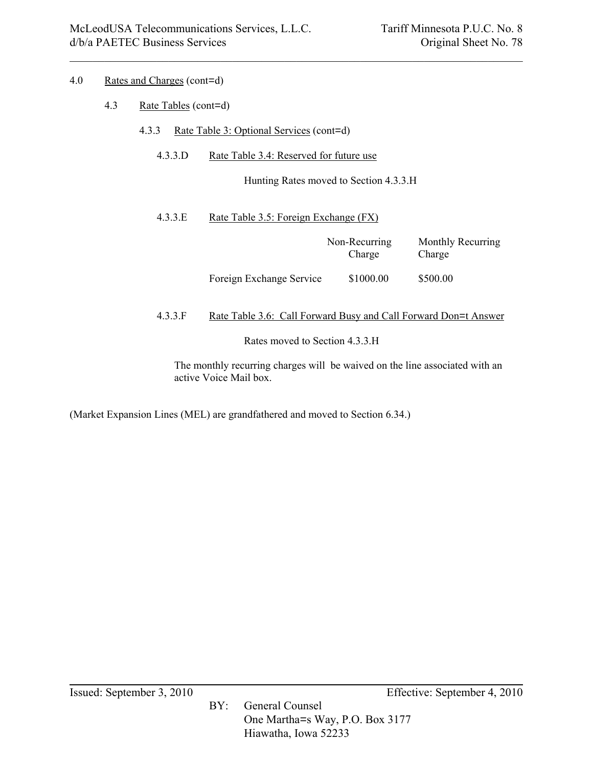| 4.0 |     | Rates and Charges (cont=d) |                                                                                                   |                                        |                             |
|-----|-----|----------------------------|---------------------------------------------------------------------------------------------------|----------------------------------------|-----------------------------|
|     | 4.3 | Rate Tables (cont=d)       |                                                                                                   |                                        |                             |
|     |     | 4.3.3                      | Rate Table 3: Optional Services (cont=d)                                                          |                                        |                             |
|     |     | 4.3.3.D                    | Rate Table 3.4: Reserved for future use                                                           |                                        |                             |
|     |     |                            |                                                                                                   | Hunting Rates moved to Section 4.3.3.H |                             |
|     |     | 4.3.3.E                    | Rate Table 3.5: Foreign Exchange (FX)                                                             |                                        |                             |
|     |     |                            |                                                                                                   | Non-Recurring<br>Charge                | Monthly Recurring<br>Charge |
|     |     |                            | Foreign Exchange Service                                                                          | \$1000.00                              | \$500.00                    |
|     |     | 4.3.3.F                    | Rate Table 3.6: Call Forward Busy and Call Forward Don=t Answer<br>Rates moved to Section 4.3.3.H |                                        |                             |
|     |     |                            |                                                                                                   |                                        |                             |

 $\mathcal{L}_\mathcal{L} = \{ \mathcal{L}_\mathcal{L} = \{ \mathcal{L}_\mathcal{L} = \{ \mathcal{L}_\mathcal{L} = \{ \mathcal{L}_\mathcal{L} = \{ \mathcal{L}_\mathcal{L} = \{ \mathcal{L}_\mathcal{L} = \{ \mathcal{L}_\mathcal{L} = \{ \mathcal{L}_\mathcal{L} = \{ \mathcal{L}_\mathcal{L} = \{ \mathcal{L}_\mathcal{L} = \{ \mathcal{L}_\mathcal{L} = \{ \mathcal{L}_\mathcal{L} = \{ \mathcal{L}_\mathcal{L} = \{ \mathcal{L}_\mathcal{$ 

The monthly recurring charges will be waived on the line associated with an active Voice Mail box.

(Market Expansion Lines (MEL) are grandfathered and moved to Section 6.34.)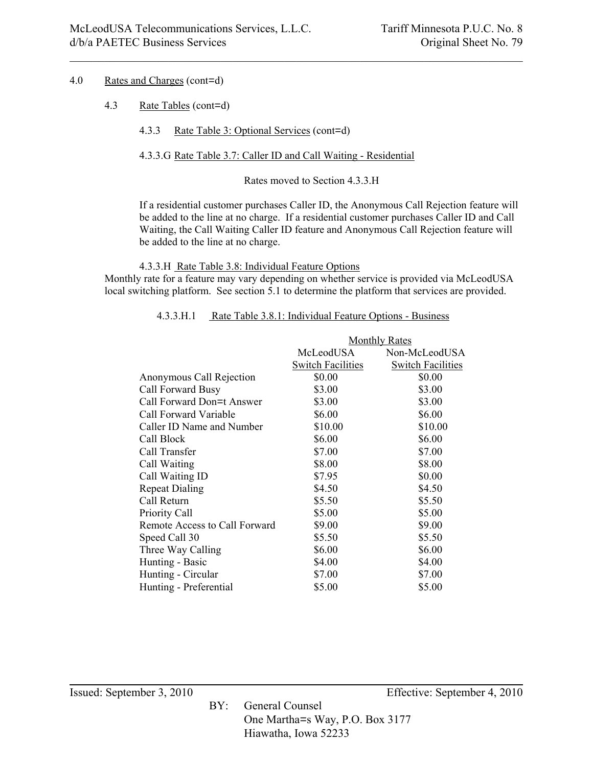4.3 Rate Tables (cont=d)

4.3.3 Rate Table 3: Optional Services (cont=d)

4.3.3.G Rate Table 3.7: Caller ID and Call Waiting - Residential

Rates moved to Section 4.3.3.H

 $\mathcal{L}_\mathcal{L} = \{ \mathcal{L}_\mathcal{L} = \{ \mathcal{L}_\mathcal{L} = \{ \mathcal{L}_\mathcal{L} = \{ \mathcal{L}_\mathcal{L} = \{ \mathcal{L}_\mathcal{L} = \{ \mathcal{L}_\mathcal{L} = \{ \mathcal{L}_\mathcal{L} = \{ \mathcal{L}_\mathcal{L} = \{ \mathcal{L}_\mathcal{L} = \{ \mathcal{L}_\mathcal{L} = \{ \mathcal{L}_\mathcal{L} = \{ \mathcal{L}_\mathcal{L} = \{ \mathcal{L}_\mathcal{L} = \{ \mathcal{L}_\mathcal{$ 

If a residential customer purchases Caller ID, the Anonymous Call Rejection feature will be added to the line at no charge. If a residential customer purchases Caller ID and Call Waiting, the Call Waiting Caller ID feature and Anonymous Call Rejection feature will be added to the line at no charge.

### 4.3.3.H Rate Table 3.8: Individual Feature Options

Monthly rate for a feature may vary depending on whether service is provided via McLeodUSA local switching platform. See section 5.1 to determine the platform that services are provided.

### 4.3.3.H.1 Rate Table 3.8.1: Individual Feature Options - Business

|                               | <b>Monthly Rates</b>     |                          |
|-------------------------------|--------------------------|--------------------------|
|                               | McLeodUSA                | Non-McLeodUSA            |
|                               | <b>Switch Facilities</b> | <b>Switch Facilities</b> |
| Anonymous Call Rejection      | \$0.00                   | \$0.00                   |
| Call Forward Busy             | \$3.00                   | \$3.00                   |
| Call Forward Don=t Answer     | \$3.00                   | \$3.00                   |
| Call Forward Variable         | \$6.00                   | \$6.00                   |
| Caller ID Name and Number     | \$10.00                  | \$10.00                  |
| Call Block                    | \$6.00                   | \$6.00                   |
| Call Transfer                 | \$7.00                   | \$7.00                   |
| Call Waiting                  | \$8.00                   | \$8.00                   |
| Call Waiting ID               | \$7.95                   | \$0.00                   |
| <b>Repeat Dialing</b>         | \$4.50                   | \$4.50                   |
| Call Return                   | \$5.50                   | \$5.50                   |
| Priority Call                 | \$5.00                   | \$5.00                   |
| Remote Access to Call Forward | \$9.00                   | \$9.00                   |
| Speed Call 30                 | \$5.50                   | \$5.50                   |
| Three Way Calling             | \$6.00                   | \$6.00                   |
| Hunting - Basic               | \$4.00                   | \$4.00                   |
| Hunting - Circular            | \$7.00                   | \$7.00                   |
| Hunting - Preferential        | \$5.00                   | \$5.00                   |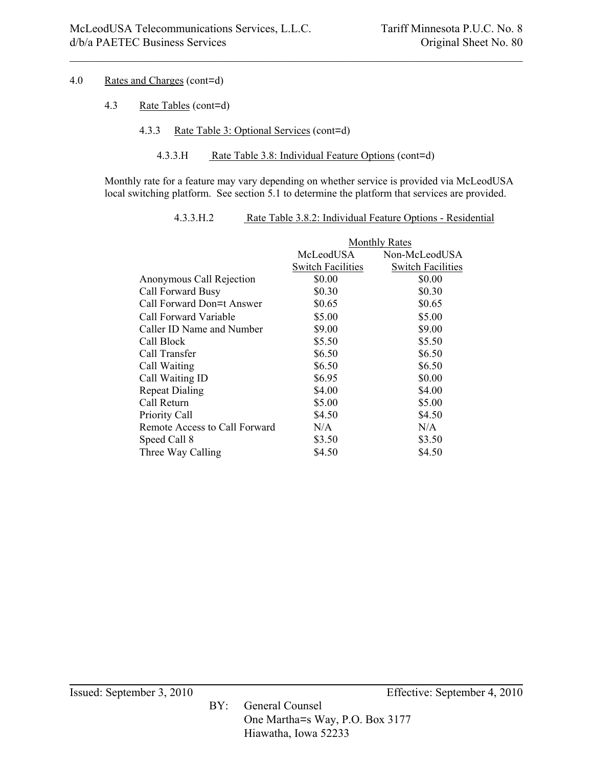4.3 Rate Tables (cont=d)

### 4.3.3 Rate Table 3: Optional Services (cont=d)

4.3.3.H Rate Table 3.8: Individual Feature Options (cont=d)

 $\mathcal{L}_\mathcal{L} = \{ \mathcal{L}_\mathcal{L} = \{ \mathcal{L}_\mathcal{L} = \{ \mathcal{L}_\mathcal{L} = \{ \mathcal{L}_\mathcal{L} = \{ \mathcal{L}_\mathcal{L} = \{ \mathcal{L}_\mathcal{L} = \{ \mathcal{L}_\mathcal{L} = \{ \mathcal{L}_\mathcal{L} = \{ \mathcal{L}_\mathcal{L} = \{ \mathcal{L}_\mathcal{L} = \{ \mathcal{L}_\mathcal{L} = \{ \mathcal{L}_\mathcal{L} = \{ \mathcal{L}_\mathcal{L} = \{ \mathcal{L}_\mathcal{$ 

Monthly rate for a feature may vary depending on whether service is provided via McLeodUSA local switching platform. See section 5.1 to determine the platform that services are provided.

4.3.3.H.2 Rate Table 3.8.2: Individual Feature Options - Residential

|                               | <b>Monthly Rates</b>     |                          |  |
|-------------------------------|--------------------------|--------------------------|--|
|                               | McLeodUSA                | Non-McLeodUSA            |  |
|                               | <b>Switch Facilities</b> | <b>Switch Facilities</b> |  |
| Anonymous Call Rejection      | \$0.00                   | \$0.00                   |  |
| Call Forward Busy             | \$0.30                   | \$0.30                   |  |
| Call Forward Don=t Answer     | \$0.65                   | \$0.65                   |  |
| Call Forward Variable         | \$5.00                   | \$5.00                   |  |
| Caller ID Name and Number     | \$9.00                   | \$9.00                   |  |
| Call Block                    | \$5.50                   | \$5.50                   |  |
| Call Transfer                 | \$6.50                   | \$6.50                   |  |
| Call Waiting                  | \$6.50                   | \$6.50                   |  |
| Call Waiting ID               | \$6.95                   | \$0.00                   |  |
| <b>Repeat Dialing</b>         | \$4.00                   | \$4.00                   |  |
| Call Return                   | \$5.00                   | \$5.00                   |  |
| Priority Call                 | \$4.50                   | \$4.50                   |  |
| Remote Access to Call Forward | N/A                      | N/A                      |  |
| Speed Call 8                  | \$3.50                   | \$3.50                   |  |
| Three Way Calling             | \$4.50                   | \$4.50                   |  |
|                               |                          |                          |  |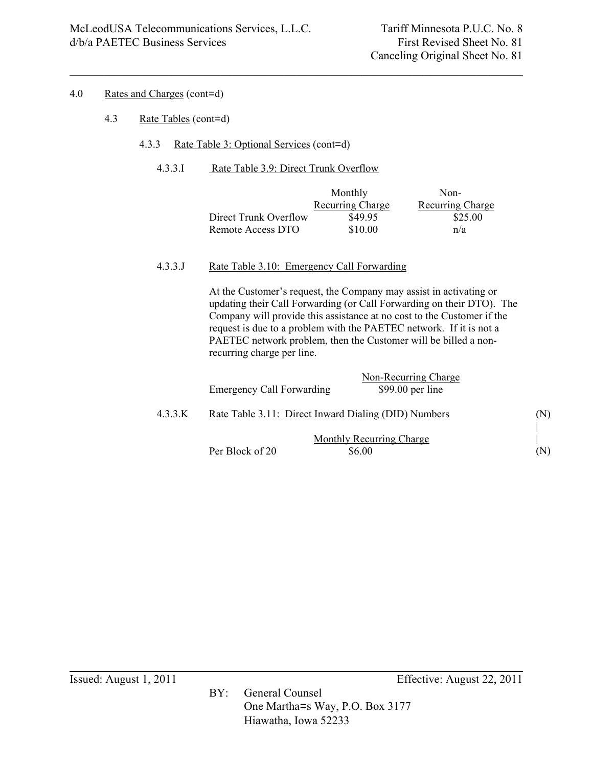- 4.3 Rate Tables (cont=d)
	- 4.3.3 Rate Table 3: Optional Services (cont=d)
		- 4.3.3.I Rate Table 3.9: Direct Trunk Overflow

 $\mathcal{L}_\mathcal{L} = \mathcal{L}_\mathcal{L} = \mathcal{L}_\mathcal{L} = \mathcal{L}_\mathcal{L} = \mathcal{L}_\mathcal{L} = \mathcal{L}_\mathcal{L} = \mathcal{L}_\mathcal{L} = \mathcal{L}_\mathcal{L} = \mathcal{L}_\mathcal{L} = \mathcal{L}_\mathcal{L} = \mathcal{L}_\mathcal{L} = \mathcal{L}_\mathcal{L} = \mathcal{L}_\mathcal{L} = \mathcal{L}_\mathcal{L} = \mathcal{L}_\mathcal{L} = \mathcal{L}_\mathcal{L} = \mathcal{L}_\mathcal{L}$ 

|                       | Monthly          | Non-                    |
|-----------------------|------------------|-------------------------|
|                       | Recurring Charge | <b>Recurring Charge</b> |
| Direct Trunk Overflow | \$49.95          | \$25.00                 |
| Remote Access DTO     | \$10.00          | n/a                     |

# 4.3.3.J Rate Table 3.10: Emergency Call Forwarding

At the Customer's request, the Company may assist in activating or updating their Call Forwarding (or Call Forwarding on their DTO). The Company will provide this assistance at no cost to the Customer if the request is due to a problem with the PAETEC network. If it is not a PAETEC network problem, then the Customer will be billed a nonrecurring charge per line.

|         | <b>Emergency Call Forwarding</b>                     | Non-Recurring Charge<br>$$99.00$ per line |     |
|---------|------------------------------------------------------|-------------------------------------------|-----|
| 4.3.3.K | Rate Table 3.11: Direct Inward Dialing (DID) Numbers |                                           | (N) |
|         | Per Block of 20                                      | <b>Monthly Recurring Charge</b><br>\$6.00 | (N) |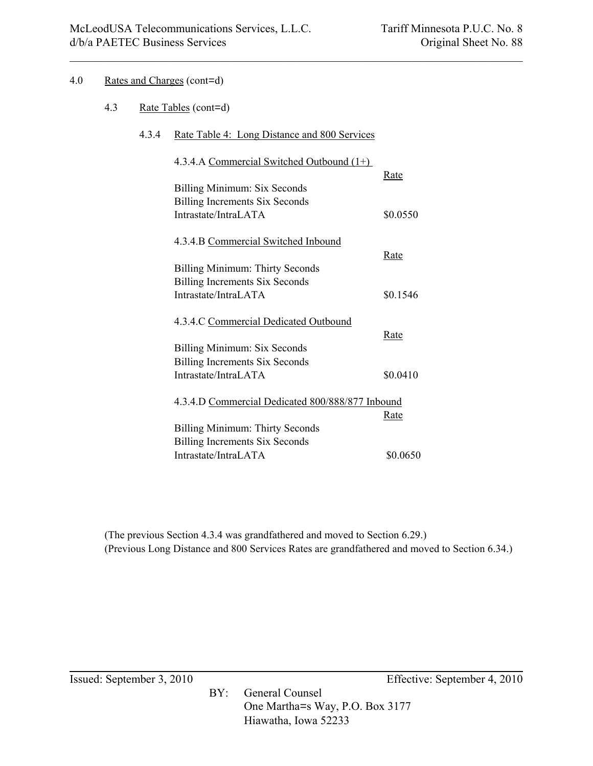| 4.0 |     | Rates and Charges (cont=d) |                                                     |          |
|-----|-----|----------------------------|-----------------------------------------------------|----------|
|     | 4.3 | Rate Tables (cont=d)       |                                                     |          |
|     |     | 4.3.4                      | <u>Rate Table 4: Long Distance and 800 Services</u> |          |
|     |     |                            | 4.3.4.A Commercial Switched Outbound $(1+)$         |          |
|     |     |                            | Billing Minimum: Six Seconds                        | Rate     |
|     |     |                            | <b>Billing Increments Six Seconds</b>               |          |
|     |     |                            | Intrastate/IntraLATA                                | \$0.0550 |
|     |     |                            | 4.3.4.B Commercial Switched Inbound                 |          |
|     |     |                            |                                                     | Rate     |
|     |     |                            | <b>Billing Minimum: Thirty Seconds</b>              |          |
|     |     |                            | <b>Billing Increments Six Seconds</b>               |          |
|     |     |                            | Intrastate/IntraLATA                                | \$0.1546 |
|     |     |                            | 4.3.4.C Commercial Dedicated Outbound               |          |
|     |     |                            |                                                     | Rate     |
|     |     |                            | Billing Minimum: Six Seconds                        |          |
|     |     |                            | <b>Billing Increments Six Seconds</b>               |          |
|     |     |                            | Intrastate/IntraLATA                                | \$0.0410 |
|     |     |                            | 4.3.4.D Commercial Dedicated 800/888/877 Inbound    |          |
|     |     |                            |                                                     | Rate     |
|     |     |                            | <b>Billing Minimum: Thirty Seconds</b>              |          |
|     |     |                            | <b>Billing Increments Six Seconds</b>               |          |
|     |     |                            | Intrastate/IntraLATA                                | \$0.0650 |

(The previous Section 4.3.4 was grandfathered and moved to Section 6.29.) (Previous Long Distance and 800 Services Rates are grandfathered and moved to Section 6.34.)

Issued: September 3, 2010 Effective: September 4, 2010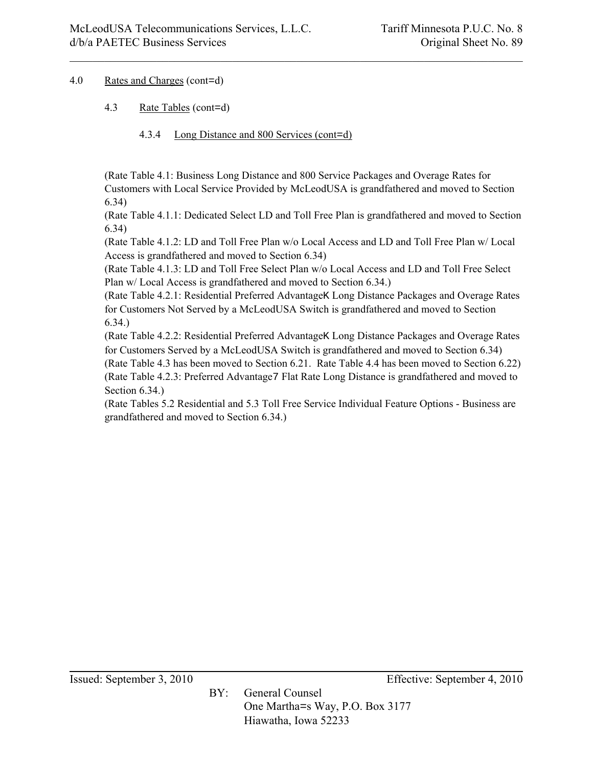# 4.3 Rate Tables (cont=d)

4.3.4 Long Distance and 800 Services (cont=d)

(Rate Table 4.1: Business Long Distance and 800 Service Packages and Overage Rates for Customers with Local Service Provided by McLeodUSA is grandfathered and moved to Section 6.34)

 $\mathcal{L}_\mathcal{L} = \{ \mathcal{L}_\mathcal{L} = \{ \mathcal{L}_\mathcal{L} = \{ \mathcal{L}_\mathcal{L} = \{ \mathcal{L}_\mathcal{L} = \{ \mathcal{L}_\mathcal{L} = \{ \mathcal{L}_\mathcal{L} = \{ \mathcal{L}_\mathcal{L} = \{ \mathcal{L}_\mathcal{L} = \{ \mathcal{L}_\mathcal{L} = \{ \mathcal{L}_\mathcal{L} = \{ \mathcal{L}_\mathcal{L} = \{ \mathcal{L}_\mathcal{L} = \{ \mathcal{L}_\mathcal{L} = \{ \mathcal{L}_\mathcal{$ 

(Rate Table 4.1.1: Dedicated Select LD and Toll Free Plan is grandfathered and moved to Section 6.34)

(Rate Table 4.1.2: LD and Toll Free Plan w/o Local Access and LD and Toll Free Plan w/ Local Access is grandfathered and moved to Section 6.34)

(Rate Table 4.1.3: LD and Toll Free Select Plan w/o Local Access and LD and Toll Free Select Plan w/ Local Access is grandfathered and moved to Section 6.34.)

(Rate Table 4.2.1: Residential Preferred AdvantageK Long Distance Packages and Overage Rates for Customers Not Served by a McLeodUSA Switch is grandfathered and moved to Section 6.34.)

(Rate Table 4.2.2: Residential Preferred AdvantageK Long Distance Packages and Overage Rates for Customers Served by a McLeodUSA Switch is grandfathered and moved to Section 6.34)

 (Rate Table 4.3 has been moved to Section 6.21. Rate Table 4.4 has been moved to Section 6.22) (Rate Table 4.2.3: Preferred Advantage7 Flat Rate Long Distance is grandfathered and moved to Section 6.34.)

(Rate Tables 5.2 Residential and 5.3 Toll Free Service Individual Feature Options - Business are grandfathered and moved to Section 6.34.)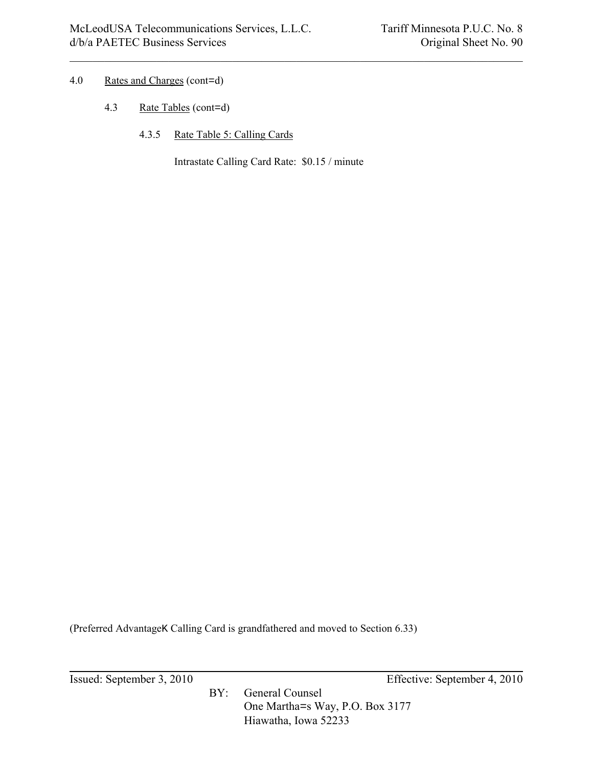- 4.3 Rate Tables (cont=d)
	- 4.3.5 Rate Table 5: Calling Cards

Intrastate Calling Card Rate: \$0.15 / minute

 $\mathcal{L}_\mathcal{L} = \{ \mathcal{L}_\mathcal{L} = \{ \mathcal{L}_\mathcal{L} = \{ \mathcal{L}_\mathcal{L} = \{ \mathcal{L}_\mathcal{L} = \{ \mathcal{L}_\mathcal{L} = \{ \mathcal{L}_\mathcal{L} = \{ \mathcal{L}_\mathcal{L} = \{ \mathcal{L}_\mathcal{L} = \{ \mathcal{L}_\mathcal{L} = \{ \mathcal{L}_\mathcal{L} = \{ \mathcal{L}_\mathcal{L} = \{ \mathcal{L}_\mathcal{L} = \{ \mathcal{L}_\mathcal{L} = \{ \mathcal{L}_\mathcal{$ 

(Preferred AdvantageK Calling Card is grandfathered and moved to Section 6.33)

Issued: September 3, 2010 Effective: September 4, 2010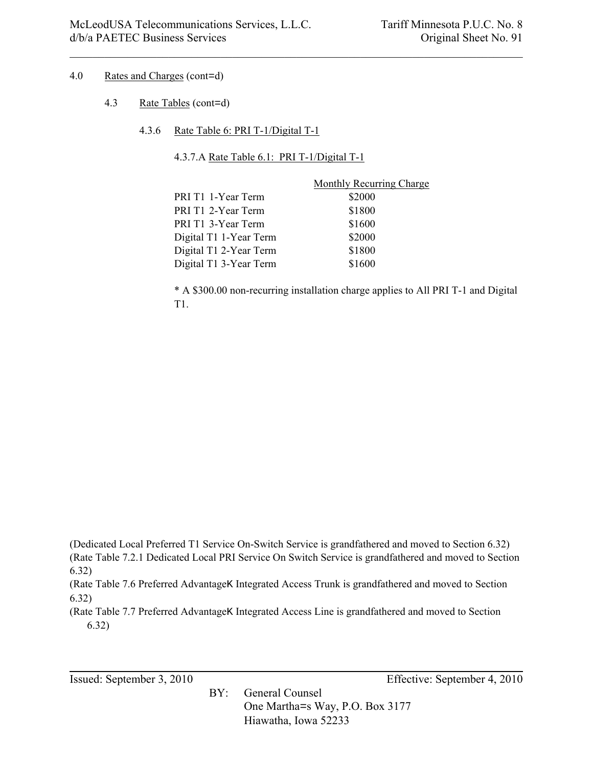- 4.3 Rate Tables (cont=d)
	- 4.3.6 Rate Table 6: PRI T-1/Digital T-1

4.3.7.A Rate Table 6.1: PRI T-1/Digital T-1

|                        | Monthly Recurring Charge |
|------------------------|--------------------------|
| PRI T1 1-Year Term     | \$2000                   |
| PRI T1 2-Year Term     | \$1800                   |
| PRI T1 3-Year Term     | \$1600                   |
| Digital T1 1-Year Term | \$2000                   |
| Digital T1 2-Year Term | \$1800                   |
| Digital T1 3-Year Term | \$1600                   |
|                        |                          |

 $\mathcal{L}_\mathcal{L} = \{ \mathcal{L}_\mathcal{L} = \{ \mathcal{L}_\mathcal{L} = \{ \mathcal{L}_\mathcal{L} = \{ \mathcal{L}_\mathcal{L} = \{ \mathcal{L}_\mathcal{L} = \{ \mathcal{L}_\mathcal{L} = \{ \mathcal{L}_\mathcal{L} = \{ \mathcal{L}_\mathcal{L} = \{ \mathcal{L}_\mathcal{L} = \{ \mathcal{L}_\mathcal{L} = \{ \mathcal{L}_\mathcal{L} = \{ \mathcal{L}_\mathcal{L} = \{ \mathcal{L}_\mathcal{L} = \{ \mathcal{L}_\mathcal{$ 

\* A \$300.00 non-recurring installation charge applies to All PRI T-1 and Digital T1.

(Dedicated Local Preferred T1 Service On-Switch Service is grandfathered and moved to Section 6.32) (Rate Table 7.2.1 Dedicated Local PRI Service On Switch Service is grandfathered and moved to Section 6.32)

(Rate Table 7.6 Preferred AdvantageK Integrated Access Trunk is grandfathered and moved to Section 6.32)

(Rate Table 7.7 Preferred AdvantageK Integrated Access Line is grandfathered and moved to Section 6.32)

Issued: September 3, 2010 Effective: September 4, 2010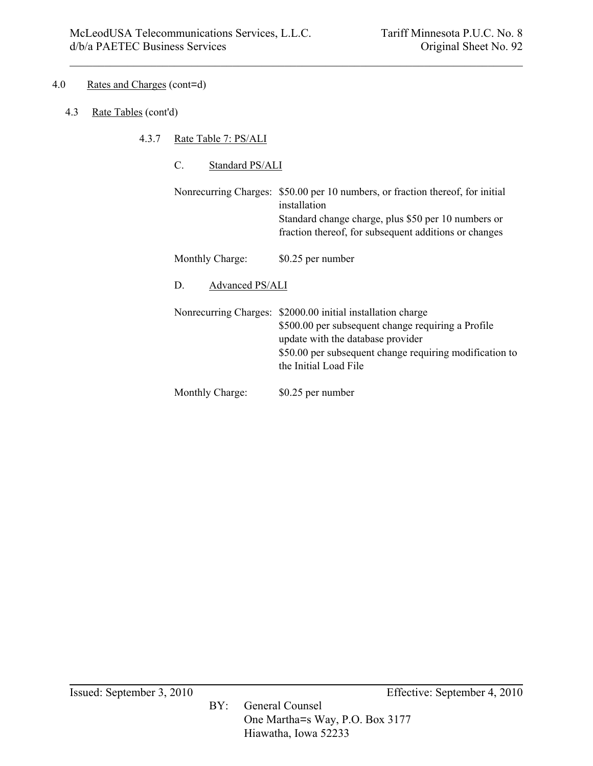- 4.3 Rate Tables (cont'd)
	- 4.3.7 Rate Table 7: PS/ALI
		- C. Standard PS/ALI

|                        | Nonrecurring Charges: \$50.00 per 10 numbers, or fraction thereof, for initial<br>installation<br>Standard change charge, plus \$50 per 10 numbers or<br>fraction thereof, for subsequent additions or changes |
|------------------------|----------------------------------------------------------------------------------------------------------------------------------------------------------------------------------------------------------------|
| <b>Monthly Charge:</b> | \$0.25 per number                                                                                                                                                                                              |
| D.<br>Advanced PS/ALI  |                                                                                                                                                                                                                |

 $\mathcal{L}_\mathcal{L} = \{ \mathcal{L}_\mathcal{L} = \{ \mathcal{L}_\mathcal{L} = \{ \mathcal{L}_\mathcal{L} = \{ \mathcal{L}_\mathcal{L} = \{ \mathcal{L}_\mathcal{L} = \{ \mathcal{L}_\mathcal{L} = \{ \mathcal{L}_\mathcal{L} = \{ \mathcal{L}_\mathcal{L} = \{ \mathcal{L}_\mathcal{L} = \{ \mathcal{L}_\mathcal{L} = \{ \mathcal{L}_\mathcal{L} = \{ \mathcal{L}_\mathcal{L} = \{ \mathcal{L}_\mathcal{L} = \{ \mathcal{L}_\mathcal{$ 

|                 | Nonrecurring Charges: \$2000.00 initial installation charge<br>\$500.00 per subsequent change requiring a Profile<br>update with the database provider<br>\$50.00 per subsequent change requiring modification to<br>the Initial Load File |
|-----------------|--------------------------------------------------------------------------------------------------------------------------------------------------------------------------------------------------------------------------------------------|
| Monthly Charge: | \$0.25 per number                                                                                                                                                                                                                          |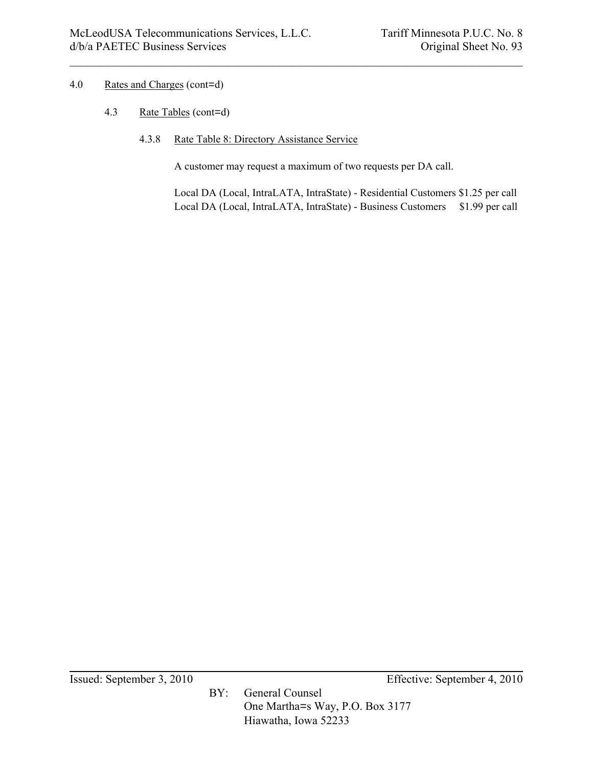- 4.3 Rate Tables (cont=d)
	- 4.3.8 Rate Table 8: Directory Assistance Service

A customer may request a maximum of two requests per DA call.

 $\mathcal{L}_\mathcal{L} = \{ \mathcal{L}_\mathcal{L} = \{ \mathcal{L}_\mathcal{L} = \{ \mathcal{L}_\mathcal{L} = \{ \mathcal{L}_\mathcal{L} = \{ \mathcal{L}_\mathcal{L} = \{ \mathcal{L}_\mathcal{L} = \{ \mathcal{L}_\mathcal{L} = \{ \mathcal{L}_\mathcal{L} = \{ \mathcal{L}_\mathcal{L} = \{ \mathcal{L}_\mathcal{L} = \{ \mathcal{L}_\mathcal{L} = \{ \mathcal{L}_\mathcal{L} = \{ \mathcal{L}_\mathcal{L} = \{ \mathcal{L}_\mathcal{$ 

Local DA (Local, IntraLATA, IntraState) - Residential Customers \$1.25 per call Local DA (Local, IntraLATA, IntraState) - Business Customers \$1.99 per call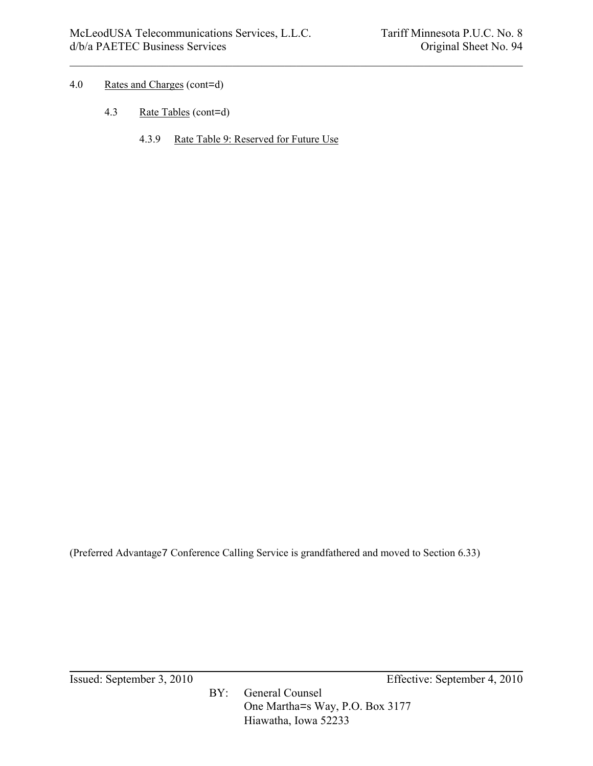- 4.3 Rate Tables (cont=d)
	- 4.3.9 Rate Table 9: Reserved for Future Use

 $\mathcal{L}_\mathcal{L} = \{ \mathcal{L}_\mathcal{L} = \{ \mathcal{L}_\mathcal{L} = \{ \mathcal{L}_\mathcal{L} = \{ \mathcal{L}_\mathcal{L} = \{ \mathcal{L}_\mathcal{L} = \{ \mathcal{L}_\mathcal{L} = \{ \mathcal{L}_\mathcal{L} = \{ \mathcal{L}_\mathcal{L} = \{ \mathcal{L}_\mathcal{L} = \{ \mathcal{L}_\mathcal{L} = \{ \mathcal{L}_\mathcal{L} = \{ \mathcal{L}_\mathcal{L} = \{ \mathcal{L}_\mathcal{L} = \{ \mathcal{L}_\mathcal{$ 

(Preferred Advantage7 Conference Calling Service is grandfathered and moved to Section 6.33)

Issued: September 3, 2010 Effective: September 4, 2010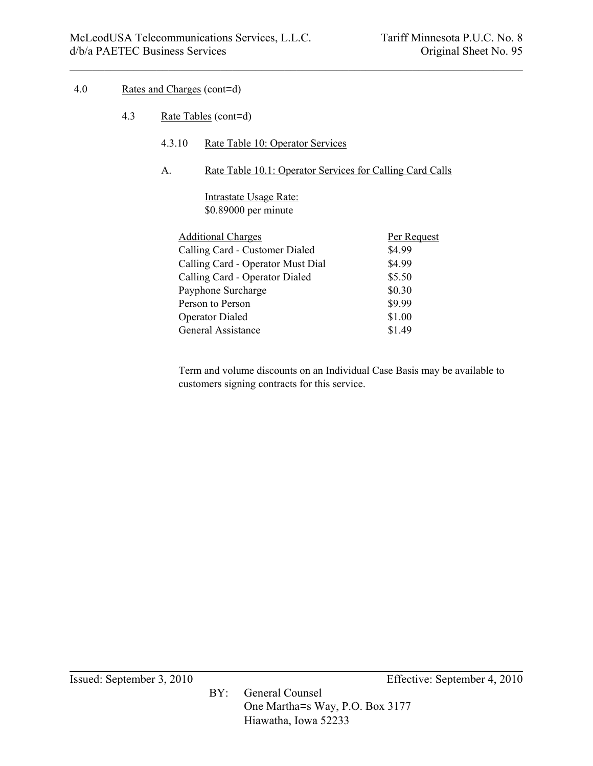| Rates and Charges (cont=d) |    |                                                           |                                                                                                                                                            |  |
|----------------------------|----|-----------------------------------------------------------|------------------------------------------------------------------------------------------------------------------------------------------------------------|--|
| 4.3                        |    |                                                           |                                                                                                                                                            |  |
|                            |    | 4.3.10                                                    | Rate Table 10: Operator Services                                                                                                                           |  |
|                            | А. | Rate Table 10.1: Operator Services for Calling Card Calls |                                                                                                                                                            |  |
|                            |    | Intrastate Usage Rate:<br>\$0.89000 per minute            |                                                                                                                                                            |  |
|                            |    |                                                           | Per Request<br>\$4.99                                                                                                                                      |  |
|                            |    |                                                           | \$4.99                                                                                                                                                     |  |
|                            |    |                                                           | \$5.50                                                                                                                                                     |  |
|                            |    |                                                           | Rate Tables (cont=d)<br><b>Additional Charges</b><br>Calling Card - Customer Dialed<br>Calling Card - Operator Must Dial<br>Calling Card - Operator Dialed |  |

Payphone Surcharge  $\$0.30$ Person to Person  $$9.99$ Operator Dialed \$1.00 General Assistance \$1.49

customers signing contracts for this service.

Term and volume discounts on an Individual Case Basis may be available to

 $\mathcal{L}_\mathcal{L} = \{ \mathcal{L}_\mathcal{L} = \{ \mathcal{L}_\mathcal{L} = \{ \mathcal{L}_\mathcal{L} = \{ \mathcal{L}_\mathcal{L} = \{ \mathcal{L}_\mathcal{L} = \{ \mathcal{L}_\mathcal{L} = \{ \mathcal{L}_\mathcal{L} = \{ \mathcal{L}_\mathcal{L} = \{ \mathcal{L}_\mathcal{L} = \{ \mathcal{L}_\mathcal{L} = \{ \mathcal{L}_\mathcal{L} = \{ \mathcal{L}_\mathcal{L} = \{ \mathcal{L}_\mathcal{L} = \{ \mathcal{L}_\mathcal{$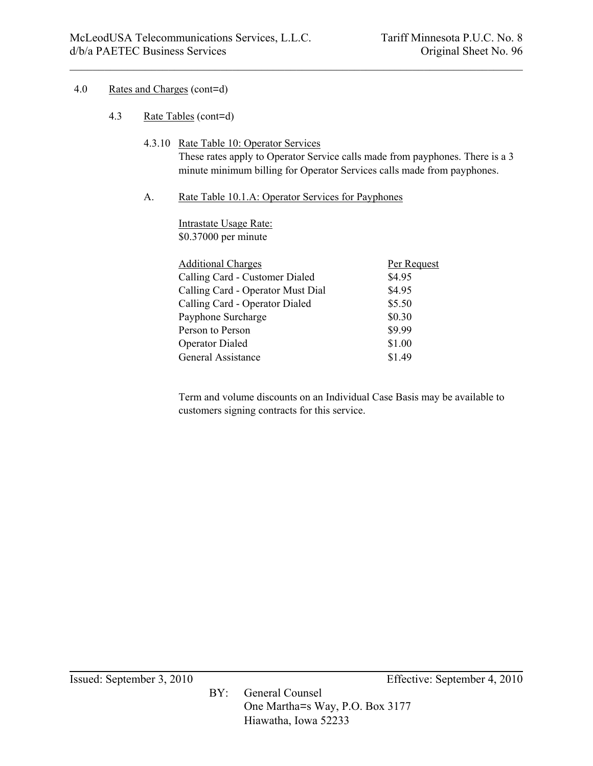| Rates and Charges (cont=d)<br>4.0 |  |
|-----------------------------------|--|
|-----------------------------------|--|

- 4.3 Rate Tables (cont=d)
	- 4.3.10 Rate Table 10: Operator Services These rates apply to Operator Service calls made from payphones. There is a 3 minute minimum billing for Operator Services calls made from payphones.

#### A. Rate Table 10.1.A: Operator Services for Payphones

 $\mathcal{L}_\mathcal{L} = \{ \mathcal{L}_\mathcal{L} = \{ \mathcal{L}_\mathcal{L} = \{ \mathcal{L}_\mathcal{L} = \{ \mathcal{L}_\mathcal{L} = \{ \mathcal{L}_\mathcal{L} = \{ \mathcal{L}_\mathcal{L} = \{ \mathcal{L}_\mathcal{L} = \{ \mathcal{L}_\mathcal{L} = \{ \mathcal{L}_\mathcal{L} = \{ \mathcal{L}_\mathcal{L} = \{ \mathcal{L}_\mathcal{L} = \{ \mathcal{L}_\mathcal{L} = \{ \mathcal{L}_\mathcal{L} = \{ \mathcal{L}_\mathcal{$ 

Intrastate Usage Rate: \$0.37000 per minute

| <b>Additional Charges</b>         | Per Request |
|-----------------------------------|-------------|
| Calling Card - Customer Dialed    | \$4.95      |
| Calling Card - Operator Must Dial | \$4.95      |
| Calling Card - Operator Dialed    | \$5.50      |
| Payphone Surcharge                | \$0.30      |
| Person to Person                  | \$9.99      |
| <b>Operator Dialed</b>            | \$1.00      |
| General Assistance                | \$1.49      |
|                                   |             |

Term and volume discounts on an Individual Case Basis may be available to customers signing contracts for this service.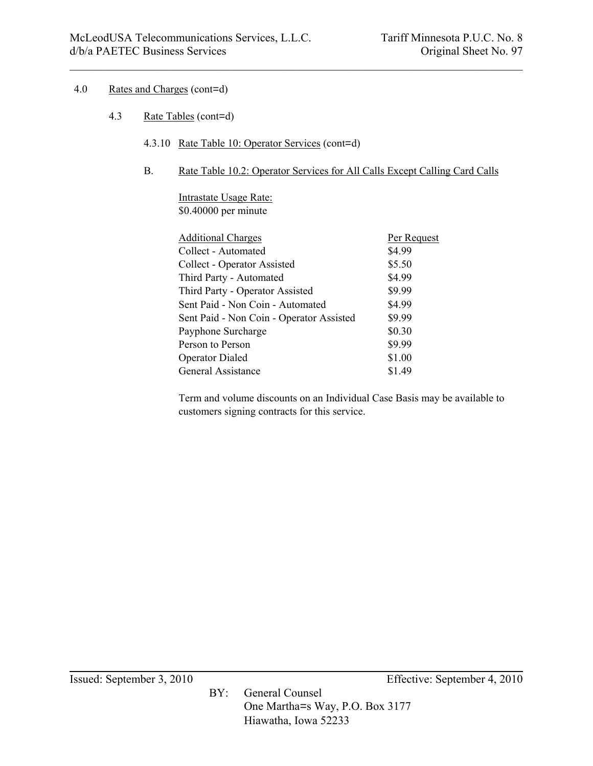- 4.3 Rate Tables (cont=d)
	- 4.3.10 Rate Table 10: Operator Services (cont=d)

# B. Rate Table 10.2: Operator Services for All Calls Except Calling Card Calls

 $\mathcal{L}_\mathcal{L} = \{ \mathcal{L}_\mathcal{L} = \{ \mathcal{L}_\mathcal{L} = \{ \mathcal{L}_\mathcal{L} = \{ \mathcal{L}_\mathcal{L} = \{ \mathcal{L}_\mathcal{L} = \{ \mathcal{L}_\mathcal{L} = \{ \mathcal{L}_\mathcal{L} = \{ \mathcal{L}_\mathcal{L} = \{ \mathcal{L}_\mathcal{L} = \{ \mathcal{L}_\mathcal{L} = \{ \mathcal{L}_\mathcal{L} = \{ \mathcal{L}_\mathcal{L} = \{ \mathcal{L}_\mathcal{L} = \{ \mathcal{L}_\mathcal{$ 

Intrastate Usage Rate: \$0.40000 per minute

| <b>Additional Charges</b>                | Per Request |
|------------------------------------------|-------------|
| Collect - Automated                      | \$4.99      |
| <b>Collect - Operator Assisted</b>       | \$5.50      |
| Third Party - Automated                  | \$4.99      |
| Third Party - Operator Assisted          | \$9.99      |
| Sent Paid - Non Coin - Automated         | \$4.99      |
| Sent Paid - Non Coin - Operator Assisted | \$9.99      |
| Payphone Surcharge                       | \$0.30      |
| Person to Person                         | \$9.99      |
| <b>Operator Dialed</b>                   | \$1.00      |
| General Assistance                       | \$1.49      |

Term and volume discounts on an Individual Case Basis may be available to customers signing contracts for this service.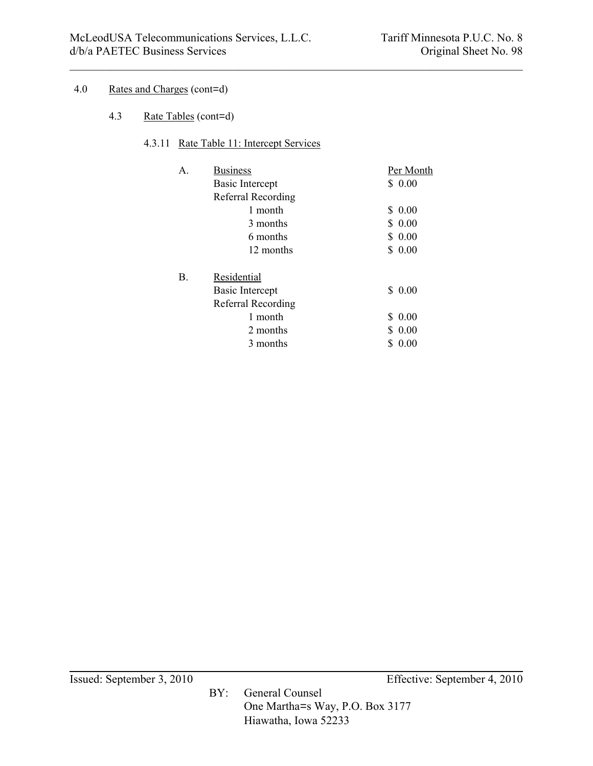| 4.0 |     | Rates and Charges (cont=d) |                      |                                   |            |  |  |
|-----|-----|----------------------------|----------------------|-----------------------------------|------------|--|--|
|     | 4.3 |                            | Rate Tables (cont=d) |                                   |            |  |  |
|     |     | 4.3.11                     |                      | Rate Table 11: Intercept Services |            |  |  |
|     |     |                            | A.                   | <b>Business</b>                   | Per Month  |  |  |
|     |     |                            |                      | Basic Intercept                   | \$0.00     |  |  |
|     |     |                            |                      | Referral Recording                |            |  |  |
|     |     |                            |                      | 1 month                           | \$0.00     |  |  |
|     |     |                            |                      | 3 months                          | \$0.00     |  |  |
|     |     |                            |                      | 6 months                          | \$0.00     |  |  |
|     |     |                            |                      | 12 months                         | \$0.00     |  |  |
|     |     |                            | Β.                   | Residential                       |            |  |  |
|     |     |                            |                      | Basic Intercept                   | \$0.00     |  |  |
|     |     |                            |                      | Referral Recording                |            |  |  |
|     |     |                            |                      | 1 month                           | 0.00<br>S. |  |  |
|     |     |                            |                      | 2 months                          | \$0.00     |  |  |

 $\mathcal{L}_\mathcal{L} = \{ \mathcal{L}_\mathcal{L} = \{ \mathcal{L}_\mathcal{L} = \{ \mathcal{L}_\mathcal{L} = \{ \mathcal{L}_\mathcal{L} = \{ \mathcal{L}_\mathcal{L} = \{ \mathcal{L}_\mathcal{L} = \{ \mathcal{L}_\mathcal{L} = \{ \mathcal{L}_\mathcal{L} = \{ \mathcal{L}_\mathcal{L} = \{ \mathcal{L}_\mathcal{L} = \{ \mathcal{L}_\mathcal{L} = \{ \mathcal{L}_\mathcal{L} = \{ \mathcal{L}_\mathcal{L} = \{ \mathcal{L}_\mathcal{$ 

3 months \$ 0.00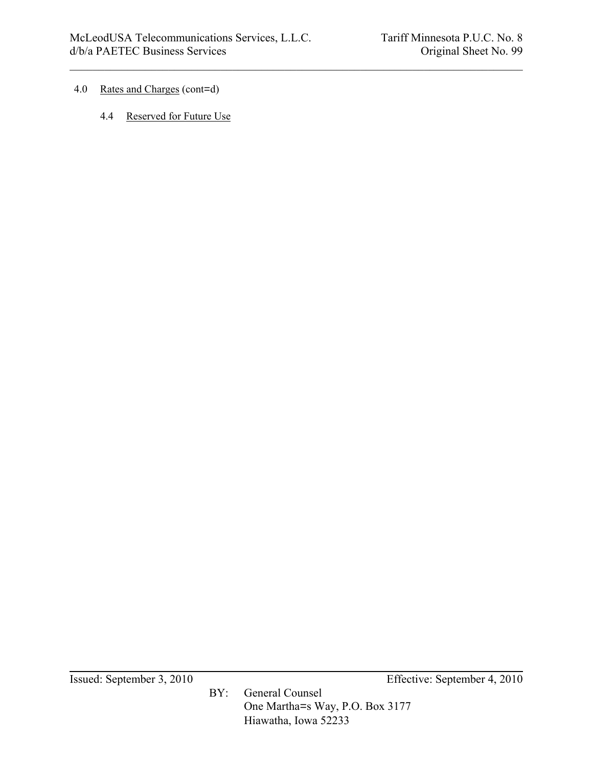$\mathcal{L}_\mathcal{L} = \{ \mathcal{L}_\mathcal{L} = \{ \mathcal{L}_\mathcal{L} = \{ \mathcal{L}_\mathcal{L} = \{ \mathcal{L}_\mathcal{L} = \{ \mathcal{L}_\mathcal{L} = \{ \mathcal{L}_\mathcal{L} = \{ \mathcal{L}_\mathcal{L} = \{ \mathcal{L}_\mathcal{L} = \{ \mathcal{L}_\mathcal{L} = \{ \mathcal{L}_\mathcal{L} = \{ \mathcal{L}_\mathcal{L} = \{ \mathcal{L}_\mathcal{L} = \{ \mathcal{L}_\mathcal{L} = \{ \mathcal{L}_\mathcal{$ 

# 4.0 Rates and Charges (cont=d)

4.4 Reserved for Future Use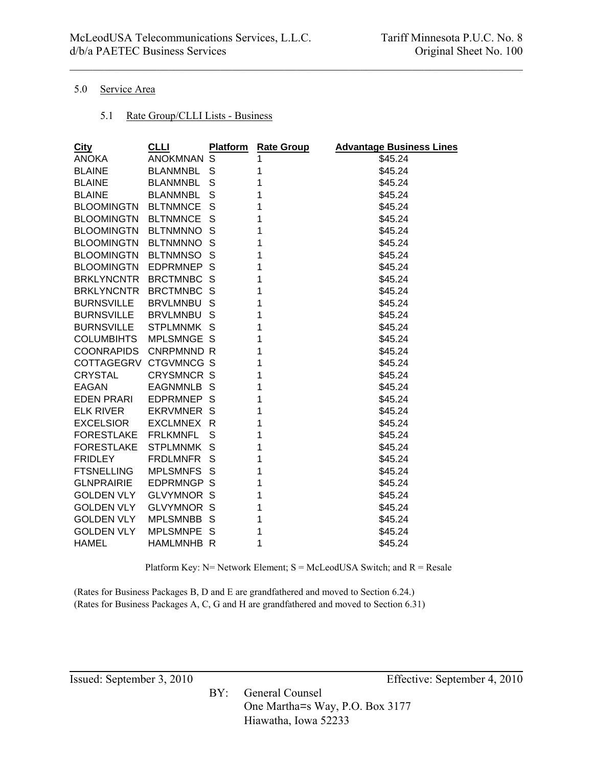### 5.0 Service Area

### 5.1 Rate Group/CLLI Lists - Business

| <u>City</u>       | <b>CLLI</b>       | <b>Platform</b> | <b>Rate Group</b> | <b>Advantage Business Lines</b> |
|-------------------|-------------------|-----------------|-------------------|---------------------------------|
| <b>ANOKA</b>      | <b>ANOKMNAN S</b> |                 | 1                 | \$45.24                         |
| <b>BLAINE</b>     | <b>BLANMNBL</b>   | S               | 1                 | \$45.24                         |
| <b>BLAINE</b>     | <b>BLANMNBL</b>   | S               | 1                 | \$45.24                         |
| <b>BLAINE</b>     | <b>BLANMNBL</b>   | S               | 1                 | \$45.24                         |
| <b>BLOOMINGTN</b> | <b>BLTNMNCE</b>   | S               | 1                 | \$45.24                         |
| <b>BLOOMINGTN</b> | <b>BLTNMNCE</b>   | S               | 1                 | \$45.24                         |
| <b>BLOOMINGTN</b> | <b>BLTNMNNO</b>   | S               | 1                 | \$45.24                         |
| <b>BLOOMINGTN</b> | <b>BLTNMNNO</b>   | S               | 1                 | \$45.24                         |
| <b>BLOOMINGTN</b> | <b>BLTNMNSO</b>   | S               | 1                 | \$45.24                         |
| <b>BLOOMINGTN</b> | <b>EDPRMNEP</b>   | S               | 1                 | \$45.24                         |
| <b>BRKLYNCNTR</b> | <b>BRCTMNBC</b>   | S               | 1                 | \$45.24                         |
| <b>BRKLYNCNTR</b> | <b>BRCTMNBC</b>   | S               | 1                 | \$45.24                         |
| <b>BURNSVILLE</b> | <b>BRVLMNBU</b>   | S               | 1                 | \$45.24                         |
| <b>BURNSVILLE</b> | <b>BRVLMNBU</b>   | S               | 1                 | \$45.24                         |
| <b>BURNSVILLE</b> | <b>STPLMNMK</b>   | S               | 1                 | \$45.24                         |
| <b>COLUMBIHTS</b> | <b>MPLSMNGE</b>   | S               | 1                 | \$45.24                         |
| <b>COONRAPIDS</b> | <b>CNRPMNND R</b> |                 | 1                 | \$45.24                         |
| <b>COTTAGEGRV</b> | <b>CTGVMNCG S</b> |                 | 1                 | \$45.24                         |
| <b>CRYSTAL</b>    | <b>CRYSMNCR S</b> |                 | 1                 | \$45.24                         |
| EAGAN             | <b>EAGNMNLB</b>   | <sub>S</sub>    | 1                 | \$45.24                         |
| <b>EDEN PRARI</b> | EDPRMNEP          | S               | 1                 | \$45.24                         |
| <b>ELK RIVER</b>  | <b>EKRVMNER</b>   | S               | 1                 | \$45.24                         |
| <b>EXCELSIOR</b>  | <b>EXCLMNEX</b>   | R               | 1                 | \$45.24                         |
| <b>FORESTLAKE</b> | <b>FRLKMNFL</b>   | S               | 1                 | \$45.24                         |
| <b>FORESTLAKE</b> | <b>STPLMNMK</b>   | S               | 1                 | \$45.24                         |
| <b>FRIDLEY</b>    | <b>FRDLMNFR</b>   | S               | 1                 | \$45.24                         |
| <b>FTSNELLING</b> | <b>MPLSMNFS</b>   | S               | 1                 | \$45.24                         |
| <b>GLNPRAIRIE</b> | <b>EDPRMNGP S</b> |                 | 1                 | \$45.24                         |
| <b>GOLDEN VLY</b> | <b>GLVYMNOR S</b> |                 | 1                 | \$45.24                         |
| <b>GOLDEN VLY</b> | <b>GLVYMNOR S</b> |                 | 1                 | \$45.24                         |
| <b>GOLDEN VLY</b> | <b>MPLSMNBB</b>   | S               | 1                 | \$45.24                         |
| <b>GOLDEN VLY</b> | <b>MPLSMNPE</b>   | S               | 1                 | \$45.24                         |
| <b>HAMEL</b>      | <b>HAMLMNHB R</b> |                 | 1                 | \$45.24                         |

 $\mathcal{L}_\mathcal{L} = \{ \mathcal{L}_\mathcal{L} = \{ \mathcal{L}_\mathcal{L} = \{ \mathcal{L}_\mathcal{L} = \{ \mathcal{L}_\mathcal{L} = \{ \mathcal{L}_\mathcal{L} = \{ \mathcal{L}_\mathcal{L} = \{ \mathcal{L}_\mathcal{L} = \{ \mathcal{L}_\mathcal{L} = \{ \mathcal{L}_\mathcal{L} = \{ \mathcal{L}_\mathcal{L} = \{ \mathcal{L}_\mathcal{L} = \{ \mathcal{L}_\mathcal{L} = \{ \mathcal{L}_\mathcal{L} = \{ \mathcal{L}_\mathcal{$ 

Platform Key:  $N=$  Network Element;  $S =$  McLeodUSA Switch; and  $R =$  Resale

(Rates for Business Packages B, D and E are grandfathered and moved to Section 6.24.) (Rates for Business Packages A, C, G and H are grandfathered and moved to Section 6.31)

Issued: September 3, 2010 Effective: September 4, 2010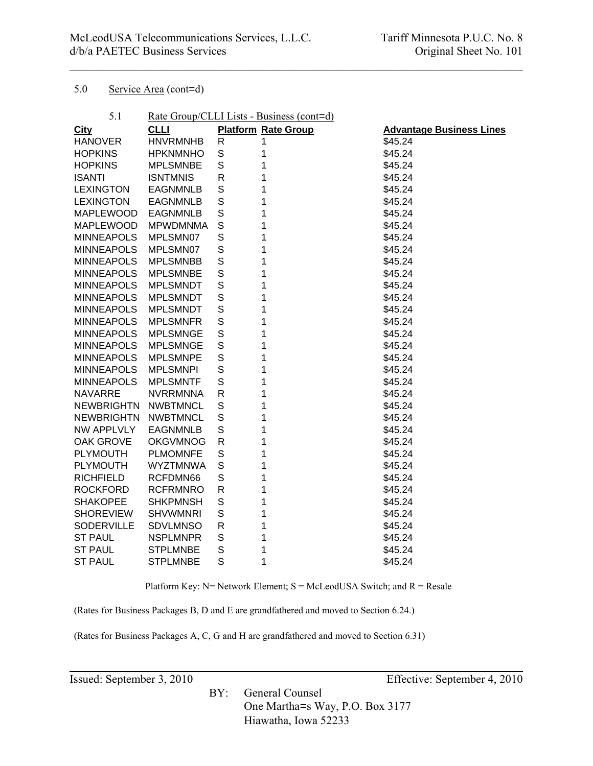| 5.1               |                 |              | Rate Group/CLLI Lists - Business (cont=d) |                                 |
|-------------------|-----------------|--------------|-------------------------------------------|---------------------------------|
| <b>City</b>       | <b>CLLI</b>     |              | <b>Platform Rate Group</b>                | <b>Advantage Business Lines</b> |
| <b>HANOVER</b>    | <b>HNVRMNHB</b> | R            | 1                                         | \$45.24                         |
| <b>HOPKINS</b>    | <b>HPKNMNHO</b> | $\mathsf S$  | 1                                         | \$45.24                         |
| <b>HOPKINS</b>    | <b>MPLSMNBE</b> | S            | 1                                         | \$45.24                         |
| <b>ISANTI</b>     | <b>ISNTMNIS</b> | $\mathsf{R}$ | 1                                         | \$45.24                         |
| <b>LEXINGTON</b>  | <b>EAGNMNLB</b> | S            | 1                                         | \$45.24                         |
| <b>LEXINGTON</b>  | <b>EAGNMNLB</b> | S            | 1                                         | \$45.24                         |
| <b>MAPLEWOOD</b>  | <b>EAGNMNLB</b> | S            | 1                                         | \$45.24                         |
| <b>MAPLEWOOD</b>  | <b>MPWDMNMA</b> | S            | 1                                         | \$45.24                         |
| <b>MINNEAPOLS</b> | MPLSMN07        | $\mathbb S$  | 1                                         | \$45.24                         |
| <b>MINNEAPOLS</b> | MPLSMN07        | S            | 1                                         | \$45.24                         |
| <b>MINNEAPOLS</b> | <b>MPLSMNBB</b> | S            | 1                                         | \$45.24                         |
| <b>MINNEAPOLS</b> | <b>MPLSMNBE</b> | S            | 1                                         | \$45.24                         |
| <b>MINNEAPOLS</b> | <b>MPLSMNDT</b> | S            | 1                                         | \$45.24                         |
| <b>MINNEAPOLS</b> | <b>MPLSMNDT</b> | S            | 1                                         | \$45.24                         |
| <b>MINNEAPOLS</b> | <b>MPLSMNDT</b> | S            | 1                                         | \$45.24                         |
| <b>MINNEAPOLS</b> | <b>MPLSMNFR</b> | S            | 1                                         | \$45.24                         |
| <b>MINNEAPOLS</b> | <b>MPLSMNGE</b> | $\mathsf S$  | 1                                         | \$45.24                         |
| <b>MINNEAPOLS</b> | <b>MPLSMNGE</b> | S            | 1                                         | \$45.24                         |
| <b>MINNEAPOLS</b> | <b>MPLSMNPE</b> | S            | 1                                         | \$45.24                         |
| <b>MINNEAPOLS</b> | <b>MPLSMNPI</b> | S            | 1                                         | \$45.24                         |
| <b>MINNEAPOLS</b> | <b>MPLSMNTF</b> | S            | 1                                         | \$45.24                         |
| <b>NAVARRE</b>    | <b>NVRRMNNA</b> | $\mathsf{R}$ | 1                                         | \$45.24                         |
| <b>NEWBRIGHTN</b> | <b>NWBTMNCL</b> | S            | 1                                         | \$45.24                         |
| <b>NEWBRIGHTN</b> | <b>NWBTMNCL</b> | S            | 1                                         | \$45.24                         |
| <b>NW APPLVLY</b> | <b>EAGNMNLB</b> | S            | 1                                         | \$45.24                         |
| <b>OAK GROVE</b>  | <b>OKGVMNOG</b> | ${\sf R}$    | 1                                         | \$45.24                         |
| <b>PLYMOUTH</b>   | <b>PLMOMNFE</b> | S            | 1                                         | \$45.24                         |
| <b>PLYMOUTH</b>   | <b>WYZTMNWA</b> | S            | 1                                         | \$45.24                         |
| <b>RICHFIELD</b>  | RCFDMN66        | S            | 1                                         | \$45.24                         |
| <b>ROCKFORD</b>   | <b>RCFRMNRO</b> | ${\sf R}$    | 1                                         | \$45.24                         |
| <b>SHAKOPEE</b>   | <b>SHKPMNSH</b> | $\mathbb S$  | 1                                         | \$45.24                         |
| <b>SHOREVIEW</b>  | <b>SHVWMNRI</b> | S            | 1                                         | \$45.24                         |
| SODERVILLE        | <b>SDVLMNSO</b> | $\mathsf{R}$ | 1                                         | \$45.24                         |
| <b>ST PAUL</b>    | <b>NSPLMNPR</b> | S            | 1                                         | \$45.24                         |
| <b>ST PAUL</b>    | <b>STPLMNBE</b> | S            | 1                                         | \$45.24                         |
| <b>ST PAUL</b>    | <b>STPLMNBE</b> | S            | 1                                         | \$45.24                         |

 $\mathcal{L}_\mathcal{L} = \{ \mathcal{L}_\mathcal{L} = \{ \mathcal{L}_\mathcal{L} = \{ \mathcal{L}_\mathcal{L} = \{ \mathcal{L}_\mathcal{L} = \{ \mathcal{L}_\mathcal{L} = \{ \mathcal{L}_\mathcal{L} = \{ \mathcal{L}_\mathcal{L} = \{ \mathcal{L}_\mathcal{L} = \{ \mathcal{L}_\mathcal{L} = \{ \mathcal{L}_\mathcal{L} = \{ \mathcal{L}_\mathcal{L} = \{ \mathcal{L}_\mathcal{L} = \{ \mathcal{L}_\mathcal{L} = \{ \mathcal{L}_\mathcal{$ 

Platform Key:  $N=$  Network Element;  $S =$  McLeodUSA Switch; and  $R =$  Resale

(Rates for Business Packages B, D and E are grandfathered and moved to Section 6.24.)

(Rates for Business Packages A, C, G and H are grandfathered and moved to Section 6.31)

Issued: September 3, 2010 Effective: September 4, 2010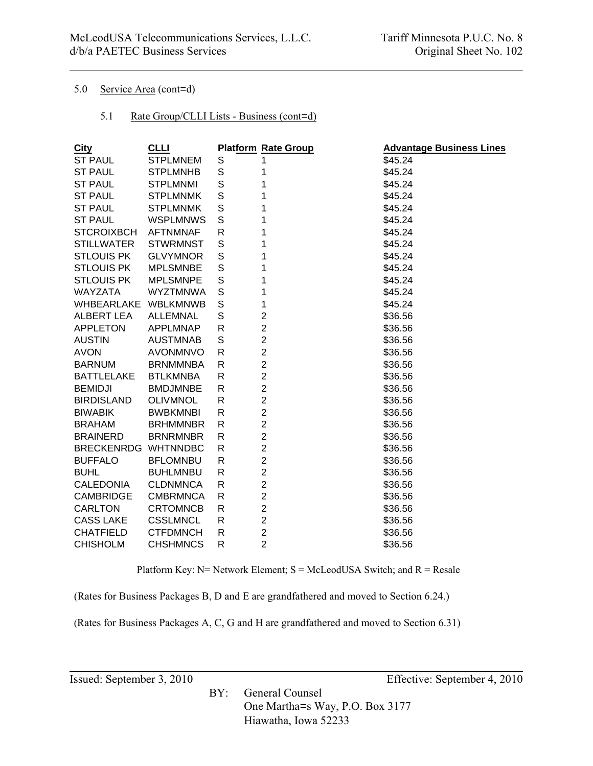### 5.1 Rate Group/CLLI Lists - Business (cont=d)

| City                       | <b>CLLI</b>     |              | <b>Platform Rate Group</b> | <b>Advantage Business Lines</b> |
|----------------------------|-----------------|--------------|----------------------------|---------------------------------|
| <b>ST PAUL</b>             | <b>STPLMNEM</b> | S            |                            | \$45.24                         |
| <b>ST PAUL</b>             | <b>STPLMNHB</b> | S            | 1                          | \$45.24                         |
| <b>ST PAUL</b>             | <b>STPLMNMI</b> | S            | 1                          | \$45.24                         |
| <b>ST PAUL</b>             | <b>STPLMNMK</b> | S            | 1                          | \$45.24                         |
| <b>ST PAUL</b>             | <b>STPLMNMK</b> | S            | 1                          | \$45.24                         |
| <b>ST PAUL</b>             | <b>WSPLMNWS</b> | S            | 1                          | \$45.24                         |
| <b>STCROIXBCH</b>          | <b>AFTNMNAF</b> | R            | 1                          | \$45.24                         |
| <b>STILLWATER</b>          | <b>STWRMNST</b> | S            | 1                          | \$45.24                         |
| <b>STLOUIS PK</b>          | <b>GLVYMNOR</b> | S            | 1                          | \$45.24                         |
| <b>STLOUIS PK</b>          | <b>MPLSMNBE</b> | S            | 1                          | \$45.24                         |
| <b>STLOUIS PK</b>          | <b>MPLSMNPE</b> | S            | 1                          | \$45.24                         |
| <b>WAYZATA</b>             | <b>WYZTMNWA</b> | S            | 1                          | \$45.24                         |
| WHBEARLAKE WBLKMNWB        |                 | S            | 1                          | \$45.24                         |
| <b>ALBERT LEA</b>          | <b>ALLEMNAL</b> | S            | $\mathbf 2$                | \$36.56                         |
| <b>APPLETON</b>            | <b>APPLMNAP</b> | R            | $\overline{2}$             | \$36.56                         |
| <b>AUSTIN</b>              | <b>AUSTMNAB</b> | S            | $\overline{2}$             | \$36.56                         |
| <b>AVON</b>                | <b>AVONMNVO</b> | $\mathsf{R}$ | $\overline{c}$             | \$36.56                         |
| <b>BARNUM</b>              | <b>BRNMMNBA</b> | R            | $\overline{2}$             | \$36.56                         |
| <b>BATTLELAKE</b>          | <b>BTLKMNBA</b> | R            | $\overline{2}$             | \$36.56                         |
| <b>BEMIDJI</b>             | <b>BMDJMNBE</b> | R            | $\overline{2}$             | \$36.56                         |
| <b>BIRDISLAND</b>          | <b>OLIVMNOL</b> | R            | $\overline{2}$             | \$36.56                         |
| <b>BIWABIK</b>             | <b>BWBKMNBI</b> | R            | $\overline{2}$             | \$36.56                         |
| <b>BRAHAM</b>              | <b>BRHMMNBR</b> | R            | $\overline{2}$             | \$36.56                         |
| <b>BRAINERD</b>            | <b>BRNRMNBR</b> | R            | $\overline{2}$             | \$36.56                         |
| <b>BRECKENRDG WHTNNDBC</b> |                 | R            | $\overline{2}$             | \$36.56                         |
| <b>BUFFALO</b>             | <b>BFLOMNBU</b> | R            | $\overline{2}$             | \$36.56                         |
| <b>BUHL</b>                | <b>BUHLMNBU</b> | R            | $\overline{2}$             | \$36.56                         |
| <b>CALEDONIA</b>           | <b>CLDNMNCA</b> | R            | $\overline{c}$             | \$36.56                         |
| <b>CAMBRIDGE</b>           | <b>CMBRMNCA</b> | R            | $\overline{2}$             | \$36.56                         |
| <b>CARLTON</b>             | <b>CRTOMNCB</b> | R            | $\overline{2}$             | \$36.56                         |
| <b>CASS LAKE</b>           | <b>CSSLMNCL</b> | R            | $\overline{2}$             | \$36.56                         |
| <b>CHATFIELD</b>           | <b>CTFDMNCH</b> | R            | $\overline{2}$             | \$36.56                         |
| <b>CHISHOLM</b>            | <b>CHSHMNCS</b> | R            | $\overline{2}$             | \$36.56                         |

 $\mathcal{L}_\mathcal{L} = \{ \mathcal{L}_\mathcal{L} = \{ \mathcal{L}_\mathcal{L} = \{ \mathcal{L}_\mathcal{L} = \{ \mathcal{L}_\mathcal{L} = \{ \mathcal{L}_\mathcal{L} = \{ \mathcal{L}_\mathcal{L} = \{ \mathcal{L}_\mathcal{L} = \{ \mathcal{L}_\mathcal{L} = \{ \mathcal{L}_\mathcal{L} = \{ \mathcal{L}_\mathcal{L} = \{ \mathcal{L}_\mathcal{L} = \{ \mathcal{L}_\mathcal{L} = \{ \mathcal{L}_\mathcal{L} = \{ \mathcal{L}_\mathcal{$ 

Platform Key: N= Network Element;  $S = McLeodUSA$  Switch; and  $R = Resale$ 

(Rates for Business Packages B, D and E are grandfathered and moved to Section 6.24.)

(Rates for Business Packages A, C, G and H are grandfathered and moved to Section 6.31)

Issued: September 3, 2010 Effective: September 4, 2010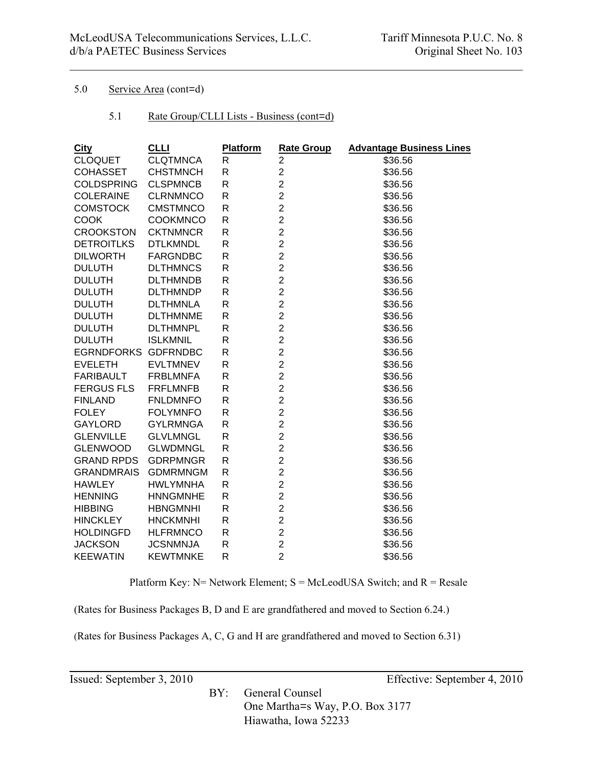### 5.1 Rate Group/CLLI Lists - Business (cont=d)

| <b>City</b>                | <b>CLLI</b>     | <b>Platform</b> | <b>Rate Group</b> | <b>Advantage Business Lines</b> |
|----------------------------|-----------------|-----------------|-------------------|---------------------------------|
| <b>CLOQUET</b>             | <b>CLQTMNCA</b> | R               | 2                 | \$36.56                         |
| <b>COHASSET</b>            | <b>CHSTMNCH</b> | R               | $\overline{c}$    | \$36.56                         |
| <b>COLDSPRING</b>          | <b>CLSPMNCB</b> | R               | $\overline{2}$    | \$36.56                         |
| <b>COLERAINE</b>           | <b>CLRNMNCO</b> | $\mathsf{R}$    | $\overline{2}$    | \$36.56                         |
| <b>COMSTOCK</b>            | <b>CMSTMNCO</b> | R               | $\overline{2}$    | \$36.56                         |
| <b>COOK</b>                | <b>COOKMNCO</b> | R               | $\overline{2}$    | \$36.56                         |
| <b>CROOKSTON</b>           | <b>CKTNMNCR</b> | R               | $\overline{2}$    | \$36.56                         |
| <b>DETROITLKS</b>          | <b>DTLKMNDL</b> | R               | $\overline{2}$    | \$36.56                         |
| <b>DILWORTH</b>            | <b>FARGNDBC</b> | R               | $\overline{2}$    | \$36.56                         |
| <b>DULUTH</b>              | <b>DLTHMNCS</b> | R               | $\overline{2}$    | \$36.56                         |
| <b>DULUTH</b>              | <b>DLTHMNDB</b> | R               | $\overline{2}$    | \$36.56                         |
| <b>DULUTH</b>              | <b>DLTHMNDP</b> | R               | $\overline{2}$    | \$36.56                         |
| <b>DULUTH</b>              | <b>DLTHMNLA</b> | R               | $\overline{2}$    | \$36.56                         |
| <b>DULUTH</b>              | <b>DLTHMNME</b> | R               | $\overline{2}$    | \$36.56                         |
| <b>DULUTH</b>              | <b>DLTHMNPL</b> | R               | $\overline{2}$    | \$36.56                         |
| <b>DULUTH</b>              | <b>ISLKMNIL</b> | R               | $\overline{2}$    | \$36.56                         |
| <b>EGRNDFORKS GDFRNDBC</b> |                 | R               | $\overline{2}$    | \$36.56                         |
| <b>EVELETH</b>             | <b>EVLTMNEV</b> | R               | $\overline{2}$    | \$36.56                         |
| <b>FARIBAULT</b>           | <b>FRBLMNFA</b> | R               | $\overline{2}$    | \$36.56                         |
| <b>FERGUS FLS</b>          | <b>FRFLMNFB</b> | R               | $\overline{2}$    | \$36.56                         |
| <b>FINLAND</b>             | <b>FNLDMNFO</b> | R               | $\overline{2}$    | \$36.56                         |
| <b>FOLEY</b>               | <b>FOLYMNFO</b> | R               | $\overline{2}$    | \$36.56                         |
| <b>GAYLORD</b>             | <b>GYLRMNGA</b> | R               | $\overline{2}$    | \$36.56                         |
| <b>GLENVILLE</b>           | <b>GLVLMNGL</b> | R               | $\overline{2}$    | \$36.56                         |
| <b>GLENWOOD</b>            | <b>GLWDMNGL</b> | R               | $\overline{2}$    | \$36.56                         |
| <b>GRAND RPDS</b>          | <b>GDRPMNGR</b> | R               | $\overline{2}$    | \$36.56                         |
| <b>GRANDMRAIS</b>          | <b>GDMRMNGM</b> | R               | $\overline{2}$    | \$36.56                         |
| <b>HAWLEY</b>              | <b>HWLYMNHA</b> | R               | $\overline{c}$    | \$36.56                         |
| <b>HENNING</b>             | <b>HNNGMNHE</b> | R               | $\overline{2}$    | \$36.56                         |
| <b>HIBBING</b>             | <b>HBNGMNHI</b> | R               | $\overline{2}$    | \$36.56                         |
| <b>HINCKLEY</b>            | <b>HNCKMNHI</b> | R               | $\overline{2}$    | \$36.56                         |
| <b>HOLDINGFD</b>           | <b>HLFRMNCO</b> | R               | $\overline{2}$    | \$36.56                         |
| <b>JACKSON</b>             | <b>JCSNMNJA</b> | R               | $\overline{2}$    | \$36.56                         |
| <b>KEEWATIN</b>            | <b>KEWTMNKE</b> | R               | $\overline{2}$    | \$36.56                         |

 $\mathcal{L}_\mathcal{L} = \{ \mathcal{L}_\mathcal{L} = \{ \mathcal{L}_\mathcal{L} = \{ \mathcal{L}_\mathcal{L} = \{ \mathcal{L}_\mathcal{L} = \{ \mathcal{L}_\mathcal{L} = \{ \mathcal{L}_\mathcal{L} = \{ \mathcal{L}_\mathcal{L} = \{ \mathcal{L}_\mathcal{L} = \{ \mathcal{L}_\mathcal{L} = \{ \mathcal{L}_\mathcal{L} = \{ \mathcal{L}_\mathcal{L} = \{ \mathcal{L}_\mathcal{L} = \{ \mathcal{L}_\mathcal{L} = \{ \mathcal{L}_\mathcal{$ 

Platform Key: N= Network Element;  $S = McLeodUSA$  Switch; and  $R = Resale$ 

(Rates for Business Packages B, D and E are grandfathered and moved to Section 6.24.)

(Rates for Business Packages A, C, G and H are grandfathered and moved to Section 6.31)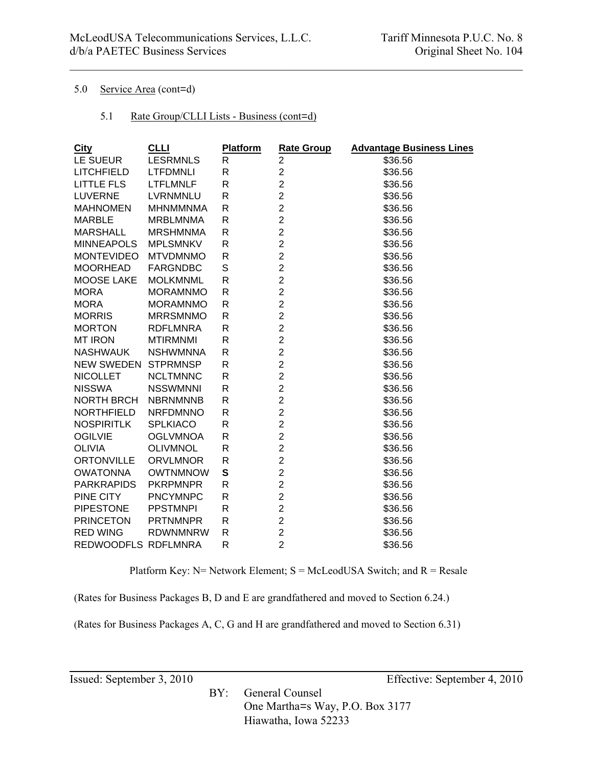### 5.1 Rate Group/CLLI Lists - Business (cont=d)

| <b>City</b>                | <b>CLLI</b>     | <b>Platform</b> | <b>Rate Group</b> | <b>Advantage Business Lines</b> |
|----------------------------|-----------------|-----------------|-------------------|---------------------------------|
| LE SUEUR                   | <b>LESRMNLS</b> | R               | 2                 | \$36.56                         |
| <b>LITCHFIELD</b>          | <b>LTFDMNLI</b> | R               | $\overline{c}$    | \$36.56                         |
| <b>LITTLE FLS</b>          | <b>LTFLMNLF</b> | R               | $\overline{2}$    | \$36.56                         |
| <b>LUVERNE</b>             | <b>LVRNMNLU</b> | R               | $\overline{c}$    | \$36.56                         |
| <b>MAHNOMEN</b>            | <b>MHNMMNMA</b> | R               | $\overline{2}$    | \$36.56                         |
| <b>MARBLE</b>              | <b>MRBLMNMA</b> | R               | $\overline{2}$    | \$36.56                         |
| <b>MARSHALL</b>            | <b>MRSHMNMA</b> | R               | $\overline{2}$    | \$36.56                         |
| <b>MINNEAPOLS</b>          | <b>MPLSMNKV</b> | R               | $\overline{2}$    | \$36.56                         |
| <b>MONTEVIDEO</b>          | <b>MTVDMNMO</b> | $\mathsf{R}$    | $\overline{2}$    | \$36.56                         |
| <b>MOORHEAD</b>            | <b>FARGNDBC</b> | S               | $\overline{2}$    | \$36.56                         |
| <b>MOOSE LAKE</b>          | <b>MOLKMNML</b> | R               | $\overline{2}$    | \$36.56                         |
| <b>MORA</b>                | <b>MORAMNMO</b> | R               | $\overline{c}$    | \$36.56                         |
| <b>MORA</b>                | <b>MORAMNMO</b> | R               | $\overline{c}$    | \$36.56                         |
| <b>MORRIS</b>              | <b>MRRSMNMO</b> | R               | $\overline{2}$    | \$36.56                         |
| <b>MORTON</b>              | <b>RDFLMNRA</b> | R               | $\overline{2}$    | \$36.56                         |
| <b>MT IRON</b>             | <b>MTIRMNMI</b> | R               | $\overline{2}$    | \$36.56                         |
| <b>NASHWAUK</b>            | <b>NSHWMNNA</b> | R               | $\overline{2}$    | \$36.56                         |
| <b>NEW SWEDEN STPRMNSP</b> |                 | R               | $\overline{2}$    | \$36.56                         |
| <b>NICOLLET</b>            | <b>NCLTMNNC</b> | R               | $\overline{2}$    | \$36.56                         |
| <b>NISSWA</b>              | <b>NSSWMNNI</b> | R               | $\overline{2}$    | \$36.56                         |
| NORTH BRCH                 | <b>NBRNMNNB</b> | R               | $\overline{2}$    | \$36.56                         |
| NORTHFIELD                 | <b>NRFDMNNO</b> | R               | $\overline{2}$    | \$36.56                         |
| <b>NOSPIRITLK</b>          | <b>SPLKIACO</b> | R               | $\overline{c}$    | \$36.56                         |
| <b>OGILVIE</b>             | <b>OGLVMNOA</b> | R               | $\overline{c}$    | \$36.56                         |
| <b>OLIVIA</b>              | <b>OLIVMNOL</b> | R               | $\overline{2}$    | \$36.56                         |
| <b>ORTONVILLE</b>          | <b>ORVLMNOR</b> | R               | $\overline{c}$    | \$36.56                         |
| <b>OWATONNA</b>            | <b>OWTNMNOW</b> | S               | $\overline{2}$    | \$36.56                         |
| <b>PARKRAPIDS</b>          | <b>PKRPMNPR</b> | R               | $\overline{c}$    | \$36.56                         |
| PINE CITY                  | <b>PNCYMNPC</b> | $\mathsf{R}$    | $\overline{2}$    | \$36.56                         |
| <b>PIPESTONE</b>           | <b>PPSTMNPI</b> | R               | $\overline{2}$    | \$36.56                         |
| <b>PRINCETON</b>           | <b>PRTNMNPR</b> | R               | $\overline{2}$    | \$36.56                         |
| <b>RED WING</b>            | <b>RDWNMNRW</b> | R               | $\overline{2}$    | \$36.56                         |
| REDWOODFLS RDFLMNRA        |                 | R               | $\overline{2}$    | \$36.56                         |

 $\mathcal{L}_\mathcal{L} = \{ \mathcal{L}_\mathcal{L} = \{ \mathcal{L}_\mathcal{L} = \{ \mathcal{L}_\mathcal{L} = \{ \mathcal{L}_\mathcal{L} = \{ \mathcal{L}_\mathcal{L} = \{ \mathcal{L}_\mathcal{L} = \{ \mathcal{L}_\mathcal{L} = \{ \mathcal{L}_\mathcal{L} = \{ \mathcal{L}_\mathcal{L} = \{ \mathcal{L}_\mathcal{L} = \{ \mathcal{L}_\mathcal{L} = \{ \mathcal{L}_\mathcal{L} = \{ \mathcal{L}_\mathcal{L} = \{ \mathcal{L}_\mathcal{$ 

Platform Key: N= Network Element;  $S = McLeodUSA$  Switch; and  $R = Resale$ 

(Rates for Business Packages B, D and E are grandfathered and moved to Section 6.24.)

(Rates for Business Packages A, C, G and H are grandfathered and moved to Section 6.31)

Issued: September 3, 2010 Effective: September 4, 2010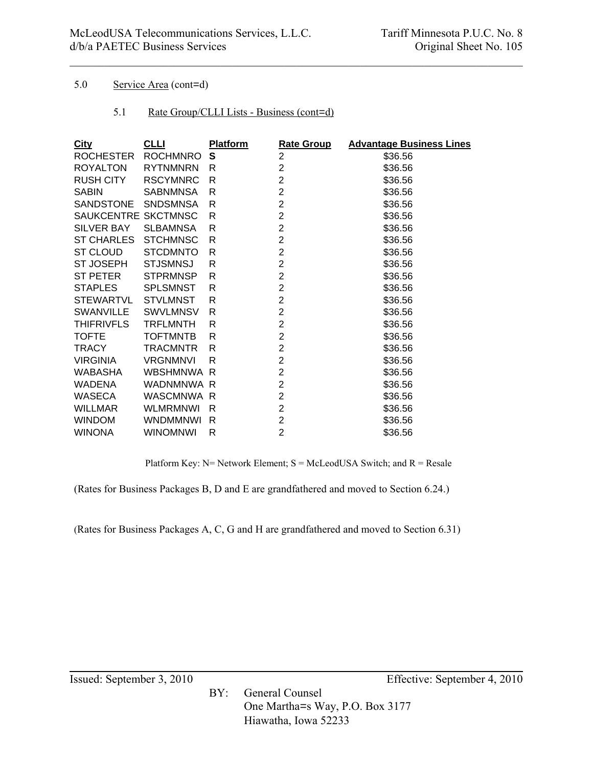# 5.1 Rate Group/CLLI Lists - Business (cont=d)

| <u>City</u>         | <b>CLLI</b>     | <b>Platform</b> | <b>Rate Group</b> | <b>Advantage Business Lines</b> |
|---------------------|-----------------|-----------------|-------------------|---------------------------------|
| ROCHESTER           | <b>ROCHMNRO</b> | S               | 2                 | \$36.56                         |
| <b>ROYALTON</b>     | <b>RYTNMNRN</b> | R.              | $\overline{2}$    | \$36.56                         |
| RUSH CITY           | <b>RSCYMNRC</b> | R               | $\overline{2}$    | \$36.56                         |
| <b>SABIN</b>        | <b>SABNMNSA</b> | R               | $\overline{2}$    | \$36.56                         |
| <b>SANDSTONE</b>    | <b>SNDSMNSA</b> | R               | $\overline{2}$    | \$36.56                         |
| SAUKCENTRE SKCTMNSC |                 | R               | $\overline{2}$    | \$36.56                         |
| SILVER BAY          | <b>SLBAMNSA</b> | R               | $\overline{2}$    | \$36.56                         |
| <b>ST CHARLES</b>   | <b>STCHMNSC</b> | R               | $\overline{2}$    | \$36.56                         |
| ST CLOUD            | <b>STCDMNTO</b> | R.              | $\overline{2}$    | \$36.56                         |
| ST JOSEPH           | <b>STJSMNSJ</b> | R               | $\overline{2}$    | \$36.56                         |
| <b>ST PETER</b>     | <b>STPRMNSP</b> | R               | $\overline{2}$    | \$36.56                         |
| <b>STAPLES</b>      | <b>SPLSMNST</b> | R               | $\overline{2}$    | \$36.56                         |
| <b>STEWARTVL</b>    | <b>STVLMNST</b> | R               | $\overline{2}$    | \$36.56                         |
| <b>SWANVILLE</b>    | <b>SWVLMNSV</b> | R               | $\overline{2}$    | \$36.56                         |
| <b>THIFRIVELS</b>   | <b>TRFLMNTH</b> | R.              | $\overline{2}$    | \$36.56                         |
| <b>TOFTE</b>        | <b>TOFTMNTB</b> | R               | $\overline{2}$    | \$36.56                         |
| <b>TRACY</b>        | <b>TRACMNTR</b> | R.              | $\overline{2}$    | \$36.56                         |
| <b>VIRGINIA</b>     | <b>VRGNMNVI</b> | R.              | $\overline{2}$    | \$36.56                         |
| WABASHA             | WBSHMNWA R      |                 | $\overline{2}$    | \$36.56                         |
| WADENA              | WADNMNWA R      |                 | $\overline{2}$    | \$36.56                         |
| WASECA              | WASCMNWA R      |                 | $\overline{2}$    | \$36.56                         |
| <b>WILLMAR</b>      | <b>WLMRMNWI</b> | R.              | $\overline{2}$    | \$36.56                         |
| <b>WINDOM</b>       | <b>WNDMMNWI</b> | R.              | $\overline{2}$    | \$36.56                         |
| <b>WINONA</b>       | <b>WINOMNWI</b> | R               | $\overline{2}$    | \$36.56                         |

 $\mathcal{L}_\mathcal{L} = \{ \mathcal{L}_\mathcal{L} = \{ \mathcal{L}_\mathcal{L} = \{ \mathcal{L}_\mathcal{L} = \{ \mathcal{L}_\mathcal{L} = \{ \mathcal{L}_\mathcal{L} = \{ \mathcal{L}_\mathcal{L} = \{ \mathcal{L}_\mathcal{L} = \{ \mathcal{L}_\mathcal{L} = \{ \mathcal{L}_\mathcal{L} = \{ \mathcal{L}_\mathcal{L} = \{ \mathcal{L}_\mathcal{L} = \{ \mathcal{L}_\mathcal{L} = \{ \mathcal{L}_\mathcal{L} = \{ \mathcal{L}_\mathcal{$ 

Platform Key:  $N=$  Network Element;  $S =$  McLeodUSA Switch; and  $R =$  Resale

(Rates for Business Packages B, D and E are grandfathered and moved to Section 6.24.)

(Rates for Business Packages A, C, G and H are grandfathered and moved to Section 6.31)

Issued: September 3, 2010 Effective: September 4, 2010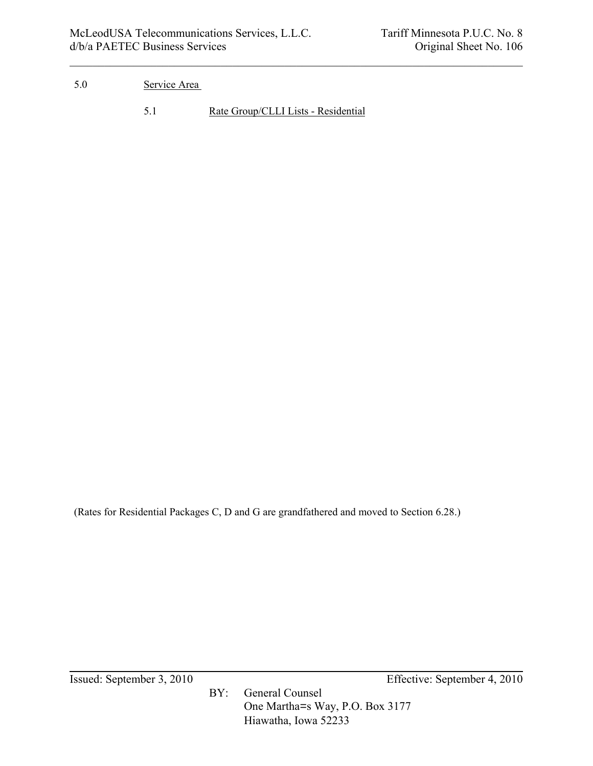5.0 Service Area

5.1 Rate Group/CLLI Lists - Residential

 $\mathcal{L}_\mathcal{L} = \{ \mathcal{L}_\mathcal{L} = \{ \mathcal{L}_\mathcal{L} = \{ \mathcal{L}_\mathcal{L} = \{ \mathcal{L}_\mathcal{L} = \{ \mathcal{L}_\mathcal{L} = \{ \mathcal{L}_\mathcal{L} = \{ \mathcal{L}_\mathcal{L} = \{ \mathcal{L}_\mathcal{L} = \{ \mathcal{L}_\mathcal{L} = \{ \mathcal{L}_\mathcal{L} = \{ \mathcal{L}_\mathcal{L} = \{ \mathcal{L}_\mathcal{L} = \{ \mathcal{L}_\mathcal{L} = \{ \mathcal{L}_\mathcal{$ 

(Rates for Residential Packages C, D and G are grandfathered and moved to Section 6.28.)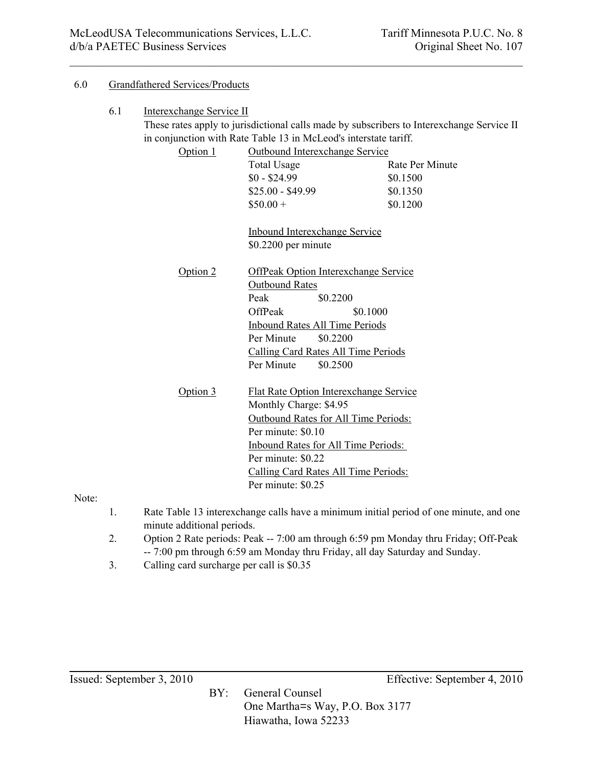| 6.0   |     | <b>Grandfathered Services/Products</b>                                                       |                        |                                             |                                                                                           |
|-------|-----|----------------------------------------------------------------------------------------------|------------------------|---------------------------------------------|-------------------------------------------------------------------------------------------|
|       | 6.1 | Interexchange Service II<br>in conjunction with Rate Table 13 in McLeod's interstate tariff. |                        |                                             | These rates apply to jurisdictional calls made by subscribers to Interexchange Service II |
|       |     | Option 1                                                                                     |                        | Outbound Interexchange Service              |                                                                                           |
|       |     |                                                                                              | <b>Total Usage</b>     |                                             | <b>Rate Per Minute</b>                                                                    |
|       |     |                                                                                              | $$0 - $24.99$          |                                             | \$0.1500                                                                                  |
|       |     |                                                                                              | $$25.00 - $49.99$      |                                             | \$0.1350                                                                                  |
|       |     |                                                                                              | $$50.00+$              |                                             | \$0.1200                                                                                  |
|       |     |                                                                                              |                        | Inbound Interexchange Service               |                                                                                           |
|       |     |                                                                                              | \$0.2200 per minute    |                                             |                                                                                           |
|       |     | Option 2                                                                                     | <b>Outbound Rates</b>  | <b>OffPeak Option Interexchange Service</b> |                                                                                           |
|       |     |                                                                                              | Peak                   | \$0.2200                                    |                                                                                           |
|       |     |                                                                                              | OffPeak                | \$0.1000                                    |                                                                                           |
|       |     |                                                                                              |                        | <b>Inbound Rates All Time Periods</b>       |                                                                                           |
|       |     |                                                                                              | Per Minute             | \$0.2200                                    |                                                                                           |
|       |     |                                                                                              |                        | <b>Calling Card Rates All Time Periods</b>  |                                                                                           |
|       |     |                                                                                              | Per Minute             | \$0.2500                                    |                                                                                           |
|       |     | Option 3                                                                                     | Monthly Charge: \$4.95 | Flat Rate Option Interexchange Service      |                                                                                           |
|       |     |                                                                                              |                        | Outbound Rates for All Time Periods:        |                                                                                           |
|       |     |                                                                                              | Per minute: \$0.10     |                                             |                                                                                           |
|       |     |                                                                                              |                        | Inbound Rates for All Time Periods:         |                                                                                           |
|       |     |                                                                                              | Per minute: \$0.22     |                                             |                                                                                           |
|       |     |                                                                                              |                        | Calling Card Rates All Time Periods:        |                                                                                           |
|       |     |                                                                                              | Per minute: \$0.25     |                                             |                                                                                           |
| Note: |     |                                                                                              |                        |                                             |                                                                                           |

 $\mathcal{L}_\mathcal{L} = \{ \mathcal{L}_\mathcal{L} = \{ \mathcal{L}_\mathcal{L} = \{ \mathcal{L}_\mathcal{L} = \{ \mathcal{L}_\mathcal{L} = \{ \mathcal{L}_\mathcal{L} = \{ \mathcal{L}_\mathcal{L} = \{ \mathcal{L}_\mathcal{L} = \{ \mathcal{L}_\mathcal{L} = \{ \mathcal{L}_\mathcal{L} = \{ \mathcal{L}_\mathcal{L} = \{ \mathcal{L}_\mathcal{L} = \{ \mathcal{L}_\mathcal{L} = \{ \mathcal{L}_\mathcal{L} = \{ \mathcal{L}_\mathcal{$ 

Note:

- 1. Rate Table 13 interexchange calls have a minimum initial period of one minute, and one minute additional periods.
- 2. Option 2 Rate periods: Peak -- 7:00 am through 6:59 pm Monday thru Friday; Off-Peak -- 7:00 pm through 6:59 am Monday thru Friday, all day Saturday and Sunday.
- 3. Calling card surcharge per call is \$0.35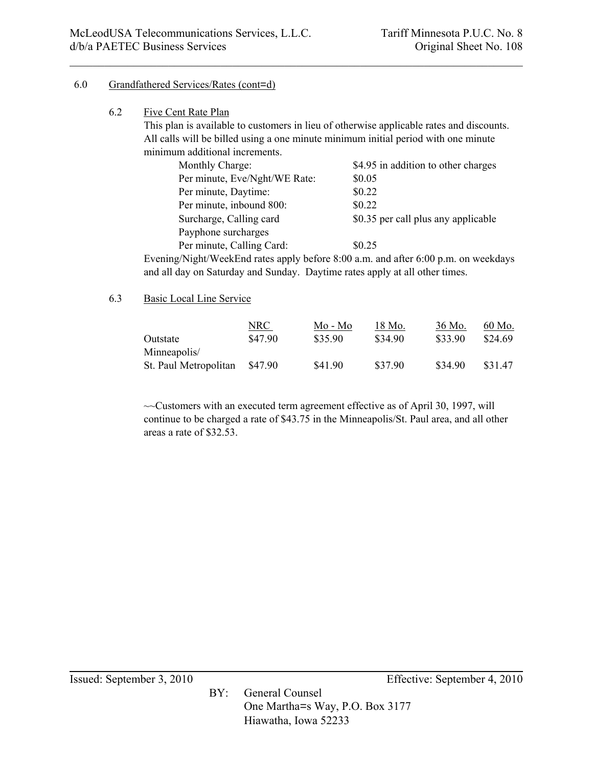### 6.0 Grandfathered Services/Rates (cont=d)

6.2 Five Cent Rate Plan

This plan is available to customers in lieu of otherwise applicable rates and discounts. All calls will be billed using a one minute minimum initial period with one minute minimum additional increments.

 $\mathcal{L}_\mathcal{L} = \{ \mathcal{L}_\mathcal{L} = \{ \mathcal{L}_\mathcal{L} = \{ \mathcal{L}_\mathcal{L} = \{ \mathcal{L}_\mathcal{L} = \{ \mathcal{L}_\mathcal{L} = \{ \mathcal{L}_\mathcal{L} = \{ \mathcal{L}_\mathcal{L} = \{ \mathcal{L}_\mathcal{L} = \{ \mathcal{L}_\mathcal{L} = \{ \mathcal{L}_\mathcal{L} = \{ \mathcal{L}_\mathcal{L} = \{ \mathcal{L}_\mathcal{L} = \{ \mathcal{L}_\mathcal{L} = \{ \mathcal{L}_\mathcal{$ 

| Monthly Charge:               | \$4.95 in addition to other charges |
|-------------------------------|-------------------------------------|
| Per minute, Eve/Nght/WE Rate: | \$0.05                              |
| Per minute, Daytime:          | \$0.22                              |
| Per minute, inbound 800:      | \$0.22                              |
| Surcharge, Calling card       | \$0.35 per call plus any applicable |
| Payphone surcharges           |                                     |
| Per minute, Calling Card:     | \$0.25                              |

Evening/Night/WeekEnd rates apply before 8:00 a.m. and after 6:00 p.m. on weekdays and all day on Saturday and Sunday. Daytime rates apply at all other times.

### 6.3 Basic Local Line Service

|                       | NRC     | Mo - Mo | 18 Mo.  | 36 Mo.  | 60 Mo.  |
|-----------------------|---------|---------|---------|---------|---------|
| Outstate              | \$47.90 | \$35.90 | \$34.90 | \$33.90 | \$24.69 |
| Minneapolis/          |         |         |         |         |         |
| St. Paul Metropolitan | \$47.90 | \$41.90 | \$37.90 | \$34.90 | \$31.47 |

~~Customers with an executed term agreement effective as of April 30, 1997, will continue to be charged a rate of \$43.75 in the Minneapolis/St. Paul area, and all other areas a rate of \$32.53.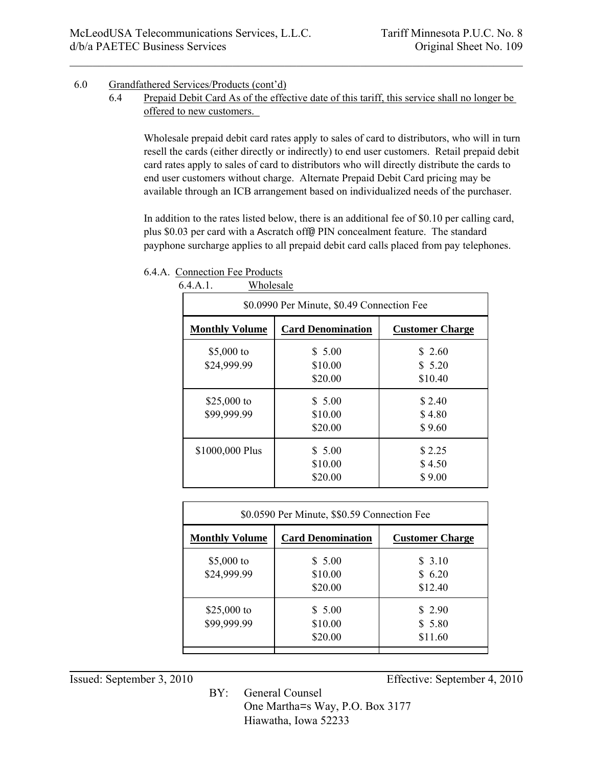# 6.0 Grandfathered Services/Products (cont'd)

6.4 Prepaid Debit Card As of the effective date of this tariff, this service shall no longer be offered to new customers.

 $\mathcal{L}_\mathcal{L} = \{ \mathcal{L}_\mathcal{L} = \{ \mathcal{L}_\mathcal{L} = \{ \mathcal{L}_\mathcal{L} = \{ \mathcal{L}_\mathcal{L} = \{ \mathcal{L}_\mathcal{L} = \{ \mathcal{L}_\mathcal{L} = \{ \mathcal{L}_\mathcal{L} = \{ \mathcal{L}_\mathcal{L} = \{ \mathcal{L}_\mathcal{L} = \{ \mathcal{L}_\mathcal{L} = \{ \mathcal{L}_\mathcal{L} = \{ \mathcal{L}_\mathcal{L} = \{ \mathcal{L}_\mathcal{L} = \{ \mathcal{L}_\mathcal{$ 

Wholesale prepaid debit card rates apply to sales of card to distributors, who will in turn resell the cards (either directly or indirectly) to end user customers. Retail prepaid debit card rates apply to sales of card to distributors who will directly distribute the cards to end user customers without charge. Alternate Prepaid Debit Card pricing may be available through an ICB arrangement based on individualized needs of the purchaser.

In addition to the rates listed below, there is an additional fee of \$0.10 per calling card, plus \$0.03 per card with a Ascratch off@ PIN concealment feature. The standard payphone surcharge applies to all prepaid debit card calls placed from pay telephones.

| 6.4.A. Connection Fee Products |  |  |  |  |
|--------------------------------|--|--|--|--|
|--------------------------------|--|--|--|--|

| \$0.0990 Per Minute, \$0.49 Connection Fee |                              |                             |  |  |
|--------------------------------------------|------------------------------|-----------------------------|--|--|
| <b>Monthly Volume</b>                      | <b>Card Denomination</b>     | <b>Customer Charge</b>      |  |  |
| \$5,000 to<br>\$24,999.99                  | \$5.00<br>\$10.00<br>\$20.00 | \$2.60<br>\$5.20<br>\$10.40 |  |  |
| \$25,000 to<br>\$99,999.99                 | \$5.00<br>\$10.00<br>\$20.00 | \$2.40<br>\$4.80<br>\$9.60  |  |  |
| \$1000,000 Plus                            | \$5.00<br>\$10.00<br>\$20.00 | \$2.25<br>\$4.50<br>\$9.00  |  |  |

6.4.A.1. Wholesale

| \$0.0590 Per Minute, \$\$0.59 Connection Fee |                              |                             |  |  |
|----------------------------------------------|------------------------------|-----------------------------|--|--|
| <b>Monthly Volume</b>                        | <b>Card Denomination</b>     | <b>Customer Charge</b>      |  |  |
| \$5,000 to<br>\$24,999.99                    | \$5.00<br>\$10.00<br>\$20.00 | \$3.10<br>\$6.20<br>\$12.40 |  |  |
| \$25,000 to<br>\$99,999.99                   | \$5.00<br>\$10.00<br>\$20.00 | \$2.90<br>\$5.80<br>\$11.60 |  |  |

Issued: September 3, 2010 Effective: September 4, 2010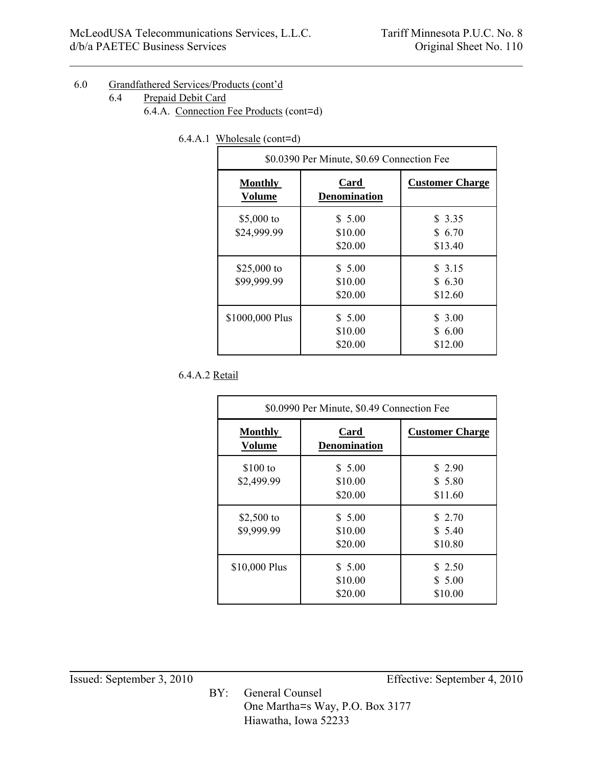# 6.0 Grandfathered Services/Products (cont'd

6.4 Prepaid Debit Card

6.4.A. Connection Fee Products (cont=d)

# 6.4.A.1 Wholesale (cont=d)

 $\mathcal{L}_\mathcal{L} = \{ \mathcal{L}_\mathcal{L} = \{ \mathcal{L}_\mathcal{L} = \{ \mathcal{L}_\mathcal{L} = \{ \mathcal{L}_\mathcal{L} = \{ \mathcal{L}_\mathcal{L} = \{ \mathcal{L}_\mathcal{L} = \{ \mathcal{L}_\mathcal{L} = \{ \mathcal{L}_\mathcal{L} = \{ \mathcal{L}_\mathcal{L} = \{ \mathcal{L}_\mathcal{L} = \{ \mathcal{L}_\mathcal{L} = \{ \mathcal{L}_\mathcal{L} = \{ \mathcal{L}_\mathcal{L} = \{ \mathcal{L}_\mathcal{$ 

| \$0.0390 Per Minute, \$0.69 Connection Fee |                              |                              |  |  |
|--------------------------------------------|------------------------------|------------------------------|--|--|
| <b>Monthly</b><br><b>Volume</b>            | Card<br><b>Denomination</b>  | <b>Customer Charge</b>       |  |  |
| \$5,000 to<br>\$24,999.99                  | \$5.00<br>\$10.00<br>\$20.00 | \$3.35<br>\$6.70<br>\$13.40  |  |  |
| \$25,000 to<br>\$99,999.99                 | \$5.00<br>\$10.00<br>\$20.00 | \$3.15<br>\$ 6.30<br>\$12.60 |  |  |
| \$1000,000 Plus                            | \$5.00<br>\$10.00<br>\$20.00 | \$3.00<br>\$ 6.00<br>\$12.00 |  |  |

# 6.4.A.2 Retail

| \$0.0990 Per Minute, \$0.49 Connection Fee |                              |                              |
|--------------------------------------------|------------------------------|------------------------------|
| <b>Monthly</b><br><b>Volume</b>            | Card<br><b>Denomination</b>  | <b>Customer Charge</b>       |
| \$100 to<br>\$2,499.99                     | \$5.00<br>\$10.00<br>\$20.00 | \$2.90<br>\$ 5.80<br>\$11.60 |
| \$2,500 to<br>\$9,999.99                   | \$5.00<br>\$10.00<br>\$20.00 | \$2.70<br>\$5.40<br>\$10.80  |
| \$10,000 Plus                              | \$5.00<br>\$10.00<br>\$20.00 | \$ 2.50<br>\$5.00<br>\$10.00 |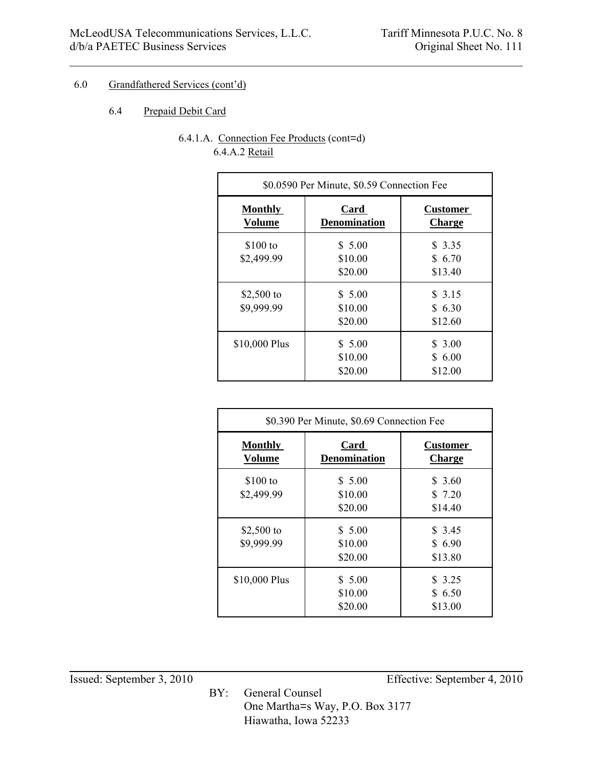6.4 Prepaid Debit Card

| 6.4.1.A. Connection Fee Products (cont=d) |
|-------------------------------------------|
| 6.4.A.2 Retail                            |

 $\mathcal{L}_\mathcal{L} = \{ \mathcal{L}_\mathcal{L} = \{ \mathcal{L}_\mathcal{L} = \{ \mathcal{L}_\mathcal{L} = \{ \mathcal{L}_\mathcal{L} = \{ \mathcal{L}_\mathcal{L} = \{ \mathcal{L}_\mathcal{L} = \{ \mathcal{L}_\mathcal{L} = \{ \mathcal{L}_\mathcal{L} = \{ \mathcal{L}_\mathcal{L} = \{ \mathcal{L}_\mathcal{L} = \{ \mathcal{L}_\mathcal{L} = \{ \mathcal{L}_\mathcal{L} = \{ \mathcal{L}_\mathcal{L} = \{ \mathcal{L}_\mathcal{$ 

| \$0.0590 Per Minute, \$0.59 Connection Fee |                              |                                  |
|--------------------------------------------|------------------------------|----------------------------------|
| <b>Monthly</b><br><b>Volume</b>            | Card<br><b>Denomination</b>  | <b>Customer</b><br><b>Charge</b> |
| \$100 to<br>\$2,499.99                     | \$5.00<br>\$10.00<br>\$20.00 | \$3.35<br>\$6.70<br>\$13.40      |
| \$2,500 to<br>\$9,999.99                   | \$5.00<br>\$10.00<br>\$20.00 | \$3.15<br>\$6.30<br>\$12.60      |
| \$10,000 Plus                              | \$5.00<br>\$10.00<br>\$20.00 | \$3.00<br>\$6.00<br>\$12.00      |

| \$0.390 Per Minute, \$0.69 Connection Fee |                              |                                  |
|-------------------------------------------|------------------------------|----------------------------------|
| <b>Monthly</b><br><b>Volume</b>           | Card<br><b>Denomination</b>  | <b>Customer</b><br><b>Charge</b> |
| \$100 to<br>\$2,499.99                    | \$5.00<br>\$10.00<br>\$20.00 | \$3.60<br>\$7.20<br>\$14.40      |
| \$2,500 to<br>\$9,999.99                  | \$5.00<br>\$10.00<br>\$20.00 | \$3.45<br>\$6.90<br>\$13.80      |
| \$10,000 Plus                             | \$5.00<br>\$10.00<br>\$20.00 | \$3.25<br>\$ 6.50<br>\$13.00     |

Issued: September 3, 2010 Effective: September 4, 2010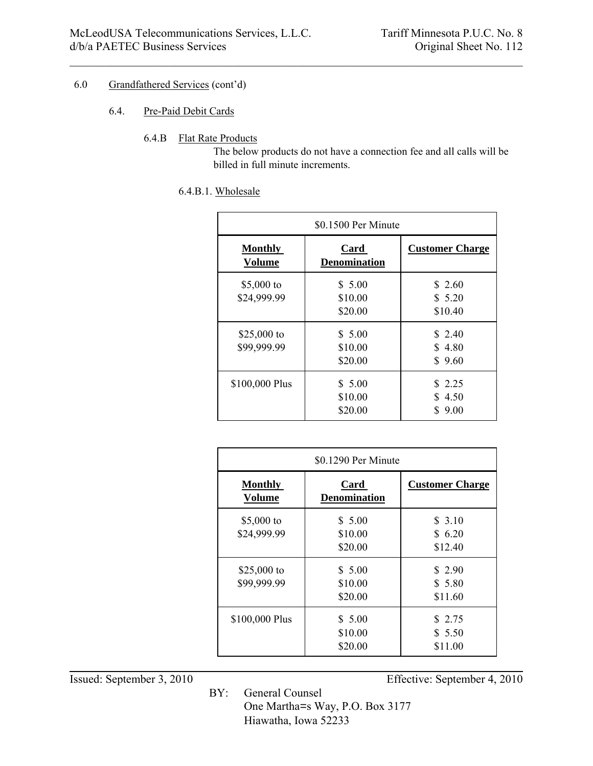# 6.4. Pre-Paid Debit Cards

6.4.B Flat Rate Products

The below products do not have a connection fee and all calls will be billed in full minute increments.

 $\mathcal{L}_\mathcal{L} = \{ \mathcal{L}_\mathcal{L} = \{ \mathcal{L}_\mathcal{L} = \{ \mathcal{L}_\mathcal{L} = \{ \mathcal{L}_\mathcal{L} = \{ \mathcal{L}_\mathcal{L} = \{ \mathcal{L}_\mathcal{L} = \{ \mathcal{L}_\mathcal{L} = \{ \mathcal{L}_\mathcal{L} = \{ \mathcal{L}_\mathcal{L} = \{ \mathcal{L}_\mathcal{L} = \{ \mathcal{L}_\mathcal{L} = \{ \mathcal{L}_\mathcal{L} = \{ \mathcal{L}_\mathcal{L} = \{ \mathcal{L}_\mathcal{$ 

| 6.4.B.1. Wholesale |
|--------------------|
|--------------------|

| \$0.1500 Per Minute             |                              |                             |
|---------------------------------|------------------------------|-----------------------------|
| <b>Monthly</b><br><b>Volume</b> | Card<br><b>Denomination</b>  | <b>Customer Charge</b>      |
| \$5,000 to<br>\$24,999.99       | \$5.00<br>\$10.00<br>\$20.00 | \$2.60<br>\$5.20<br>\$10.40 |
| \$25,000 to<br>\$99,999.99      | \$5.00<br>\$10.00<br>\$20.00 | \$2.40<br>\$4.80<br>\$9.60  |
| \$100,000 Plus                  | \$5.00<br>\$10.00<br>\$20.00 | \$2.25<br>\$4.50<br>\$9.00  |

| \$0.1290 Per Minute             |                              |                             |
|---------------------------------|------------------------------|-----------------------------|
| <b>Monthly</b><br><b>Volume</b> | Card<br><b>Denomination</b>  | <b>Customer Charge</b>      |
| \$5,000 to<br>\$24,999.99       | \$5.00<br>\$10.00<br>\$20.00 | \$3.10<br>\$6.20<br>\$12.40 |
| \$25,000 to<br>\$99,999.99      | \$5.00<br>\$10.00<br>\$20.00 | \$2.90<br>\$5.80<br>\$11.60 |
| \$100,000 Plus                  | \$5.00<br>\$10.00<br>\$20.00 | \$2.75<br>\$5.50<br>\$11.00 |

Issued: September 3, 2010 Effective: September 4, 2010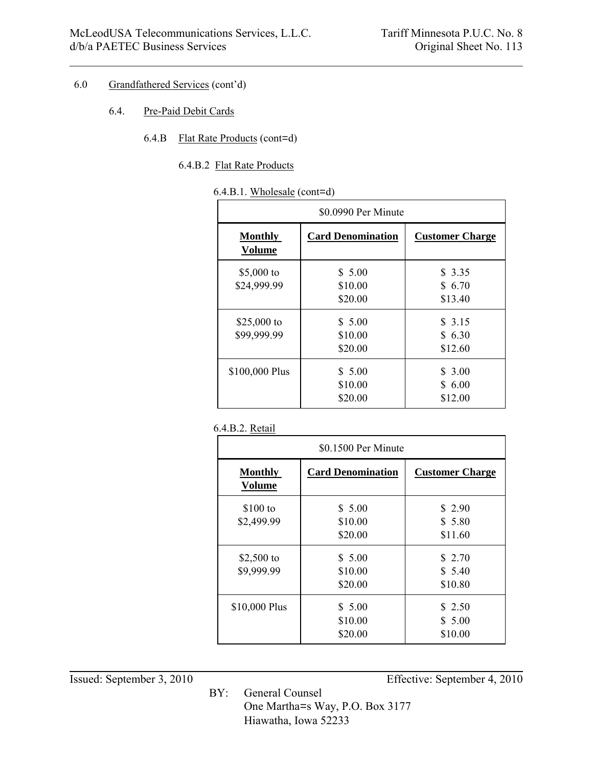- 6.4. Pre-Paid Debit Cards
	- 6.4.B Flat Rate Products (cont=d)

# 6.4.B.2 Flat Rate Products

|  | 6.4.B.1. Wholesale (cont=d) |  |
|--|-----------------------------|--|
|--|-----------------------------|--|

 $\mathcal{L}_\mathcal{L} = \{ \mathcal{L}_\mathcal{L} = \{ \mathcal{L}_\mathcal{L} = \{ \mathcal{L}_\mathcal{L} = \{ \mathcal{L}_\mathcal{L} = \{ \mathcal{L}_\mathcal{L} = \{ \mathcal{L}_\mathcal{L} = \{ \mathcal{L}_\mathcal{L} = \{ \mathcal{L}_\mathcal{L} = \{ \mathcal{L}_\mathcal{L} = \{ \mathcal{L}_\mathcal{L} = \{ \mathcal{L}_\mathcal{L} = \{ \mathcal{L}_\mathcal{L} = \{ \mathcal{L}_\mathcal{L} = \{ \mathcal{L}_\mathcal{$ 

| \$0.0990 Per Minute             |                              |                              |
|---------------------------------|------------------------------|------------------------------|
| <b>Monthly</b><br><b>Volume</b> | <b>Card Denomination</b>     | <b>Customer Charge</b>       |
| \$5,000 to<br>\$24,999.99       | \$5.00<br>\$10.00<br>\$20.00 | \$3.35<br>\$ 6.70<br>\$13.40 |
| \$25,000 to<br>\$99,999.99      | \$5.00<br>\$10.00<br>\$20.00 | \$3.15<br>\$6.30<br>\$12.60  |
| \$100,000 Plus                  | \$5.00<br>\$10.00<br>\$20.00 | \$3.00<br>\$ 6.00<br>\$12.00 |

### 6.4.B.2. Retail

| \$0.1500 Per Minute             |                              |                             |
|---------------------------------|------------------------------|-----------------------------|
| <b>Monthly</b><br><b>Volume</b> | <b>Card Denomination</b>     | <b>Customer Charge</b>      |
| \$100 to<br>\$2,499.99          | \$5.00<br>\$10.00<br>\$20.00 | \$2.90<br>\$5.80<br>\$11.60 |
| \$2,500 to<br>\$9,999.99        | \$5.00<br>\$10.00<br>\$20.00 | \$2.70<br>\$5.40<br>\$10.80 |
| \$10,000 Plus                   | \$5.00<br>\$10.00<br>\$20.00 | \$2.50<br>\$5.00<br>\$10.00 |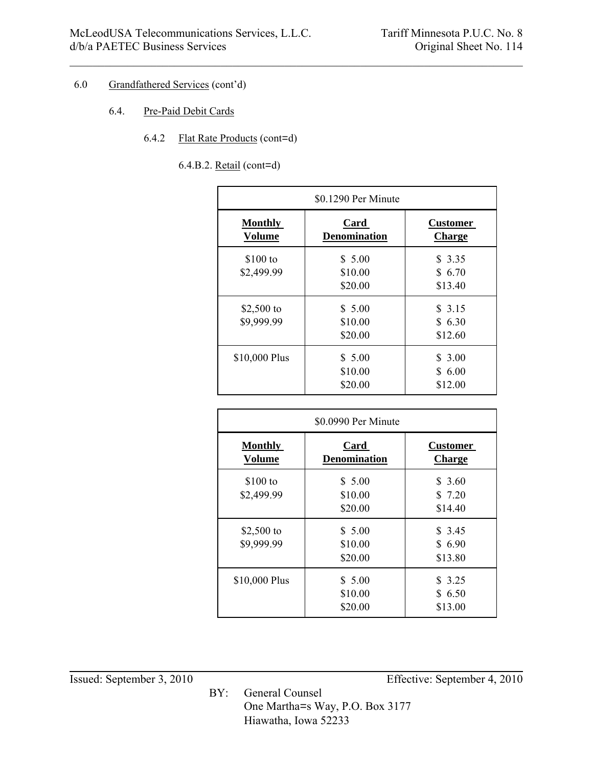- 6.4. Pre-Paid Debit Cards
	- 6.4.2 Flat Rate Products (cont=d)
		- 6.4.B.2. Retail (cont=d)

 $\mathcal{L}_\mathcal{L} = \{ \mathcal{L}_\mathcal{L} = \{ \mathcal{L}_\mathcal{L} = \{ \mathcal{L}_\mathcal{L} = \{ \mathcal{L}_\mathcal{L} = \{ \mathcal{L}_\mathcal{L} = \{ \mathcal{L}_\mathcal{L} = \{ \mathcal{L}_\mathcal{L} = \{ \mathcal{L}_\mathcal{L} = \{ \mathcal{L}_\mathcal{L} = \{ \mathcal{L}_\mathcal{L} = \{ \mathcal{L}_\mathcal{L} = \{ \mathcal{L}_\mathcal{L} = \{ \mathcal{L}_\mathcal{L} = \{ \mathcal{L}_\mathcal{$ 

| \$0.1290 Per Minute             |                              |                                  |
|---------------------------------|------------------------------|----------------------------------|
| <b>Monthly</b><br><b>Volume</b> | Card<br><b>Denomination</b>  | <b>Customer</b><br><b>Charge</b> |
| \$100 to<br>\$2,499.99          | \$5.00<br>\$10.00<br>\$20.00 | \$3.35<br>\$6.70<br>\$13.40      |
| \$2,500 to<br>\$9,999.99        | \$5.00<br>\$10.00<br>\$20.00 | \$3.15<br>\$ 6.30<br>\$12.60     |
| \$10,000 Plus                   | \$5.00<br>\$10.00<br>\$20.00 | \$3.00<br>\$6.00<br>\$12.00      |

| \$0.0990 Per Minute             |                              |                                  |
|---------------------------------|------------------------------|----------------------------------|
| <b>Monthly</b><br><b>Volume</b> | Card<br><b>Denomination</b>  | <b>Customer</b><br><b>Charge</b> |
| \$100 to<br>\$2,499.99          | \$5.00<br>\$10.00<br>\$20.00 | \$3.60<br>\$7.20<br>\$14.40      |
| \$2,500 to<br>\$9,999.99        | \$5.00<br>\$10.00<br>\$20.00 | \$3.45<br>\$6.90<br>\$13.80      |
| \$10,000 Plus                   | \$5.00<br>\$10.00<br>\$20.00 | \$3.25<br>\$ 6.50<br>\$13.00     |

Issued: September 3, 2010 Effective: September 4, 2010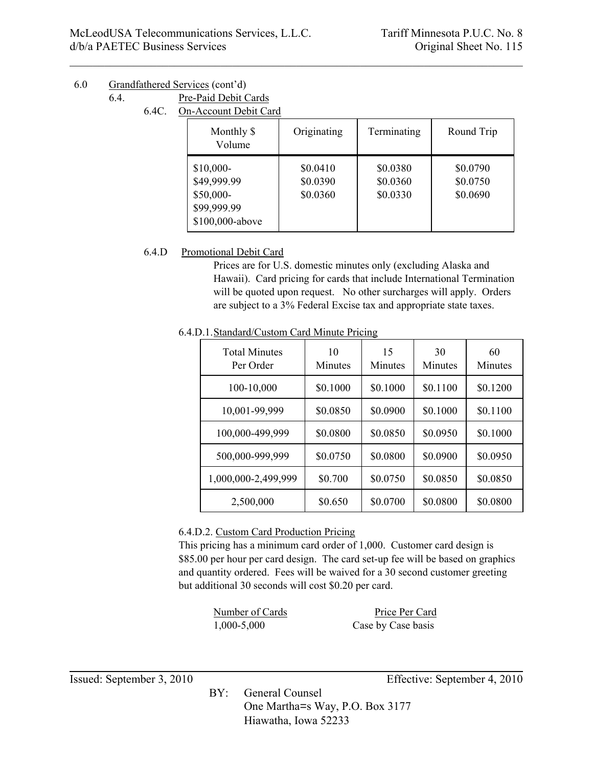6.4. Pre-Paid Debit Cards

6.4C. On-Account Debit Card

| Monthly \$<br>Volume                                                     | Originating                      | Terminating                      | Round Trip                       |
|--------------------------------------------------------------------------|----------------------------------|----------------------------------|----------------------------------|
| $$10,000-$<br>\$49,999.99<br>\$50,000-<br>\$99,999.99<br>\$100,000-above | \$0.0410<br>\$0.0390<br>\$0.0360 | \$0.0380<br>\$0.0360<br>\$0.0330 | \$0.0790<br>\$0.0750<br>\$0.0690 |

# 6.4.D Promotional Debit Card

Prices are for U.S. domestic minutes only (excluding Alaska and Hawaii). Card pricing for cards that include International Termination will be quoted upon request. No other surcharges will apply. Orders are subject to a 3% Federal Excise tax and appropriate state taxes.

| 6.4.D.1. Standard/Custom Card Minute Pricing |
|----------------------------------------------|
|----------------------------------------------|

 $\mathcal{L}_\mathcal{L} = \{ \mathcal{L}_\mathcal{L} = \{ \mathcal{L}_\mathcal{L} = \{ \mathcal{L}_\mathcal{L} = \{ \mathcal{L}_\mathcal{L} = \{ \mathcal{L}_\mathcal{L} = \{ \mathcal{L}_\mathcal{L} = \{ \mathcal{L}_\mathcal{L} = \{ \mathcal{L}_\mathcal{L} = \{ \mathcal{L}_\mathcal{L} = \{ \mathcal{L}_\mathcal{L} = \{ \mathcal{L}_\mathcal{L} = \{ \mathcal{L}_\mathcal{L} = \{ \mathcal{L}_\mathcal{L} = \{ \mathcal{L}_\mathcal{$ 

| <b>Total Minutes</b><br>Per Order | 10<br>Minutes | 15<br>Minutes | 30<br>Minutes | 60<br>Minutes |
|-----------------------------------|---------------|---------------|---------------|---------------|
| 100-10,000                        | \$0.1000      | \$0.1000      | \$0.1100      | \$0.1200      |
| 10,001-99,999                     | \$0.0850      | \$0.0900      | \$0.1000      | \$0.1100      |
| 100,000-499,999                   | \$0.0800      | \$0.0850      | \$0.0950      | \$0.1000      |
| 500,000-999,999                   | \$0.0750      | \$0.0800      | \$0.0900      | \$0.0950      |
| 1,000,000-2,499,999               | \$0.700       | \$0.0750      | \$0.0850      | \$0.0850      |
| 2,500,000                         | \$0.650       | \$0.0700      | \$0.0800      | \$0.0800      |

# 6.4.D.2. Custom Card Production Pricing

This pricing has a minimum card order of 1,000. Customer card design is \$85.00 per hour per card design. The card set-up fee will be based on graphics and quantity ordered. Fees will be waived for a 30 second customer greeting but additional 30 seconds will cost \$0.20 per card.

| Number of Cards | Price Per Card     |
|-----------------|--------------------|
| 1,000-5,000     | Case by Case basis |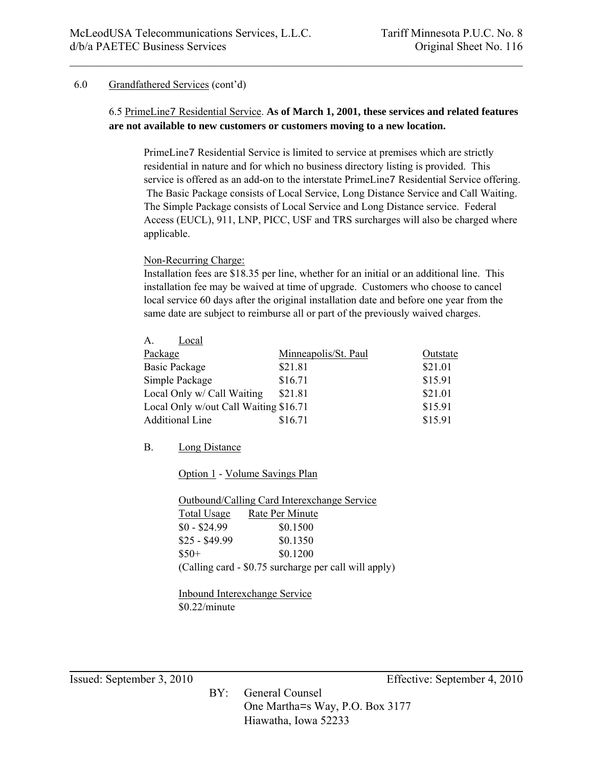# 6.5 PrimeLine7 Residential Service. **As of March 1, 2001, these services and related features are not available to new customers or customers moving to a new location.**

 $\mathcal{L}_\mathcal{L} = \{ \mathcal{L}_\mathcal{L} = \{ \mathcal{L}_\mathcal{L} = \{ \mathcal{L}_\mathcal{L} = \{ \mathcal{L}_\mathcal{L} = \{ \mathcal{L}_\mathcal{L} = \{ \mathcal{L}_\mathcal{L} = \{ \mathcal{L}_\mathcal{L} = \{ \mathcal{L}_\mathcal{L} = \{ \mathcal{L}_\mathcal{L} = \{ \mathcal{L}_\mathcal{L} = \{ \mathcal{L}_\mathcal{L} = \{ \mathcal{L}_\mathcal{L} = \{ \mathcal{L}_\mathcal{L} = \{ \mathcal{L}_\mathcal{$ 

PrimeLine7 Residential Service is limited to service at premises which are strictly residential in nature and for which no business directory listing is provided. This service is offered as an add-on to the interstate PrimeLine7 Residential Service offering. The Basic Package consists of Local Service, Long Distance Service and Call Waiting. The Simple Package consists of Local Service and Long Distance service. Federal Access (EUCL), 911, LNP, PICC, USF and TRS surcharges will also be charged where applicable.

## Non-Recurring Charge:

Installation fees are \$18.35 per line, whether for an initial or an additional line. This installation fee may be waived at time of upgrade. Customers who choose to cancel local service 60 days after the original installation date and before one year from the same date are subject to reimburse all or part of the previously waived charges.

| Local<br>$A_{\cdot}$                  |                      |          |
|---------------------------------------|----------------------|----------|
| Package                               | Minneapolis/St. Paul | Outstate |
| <b>Basic Package</b>                  | \$21.81              | \$21.01  |
| Simple Package                        | \$16.71              | \$15.91  |
| Local Only w/ Call Waiting            | \$21.81              | \$21.01  |
| Local Only w/out Call Waiting \$16.71 |                      | \$15.91  |
| <b>Additional Line</b>                | \$16.71              | \$15.91  |

B. Long Distance

Option 1 - Volume Savings Plan

Outbound/Calling Card Interexchange Service Total Usage Rate Per Minute  $$0 - $24.99$   $$0.1500$  $$25 - $49.99$  \$0.1350  $$6.1200$ (Calling card - \$0.75 surcharge per call will apply)

Inbound Interexchange Service \$0.22/minute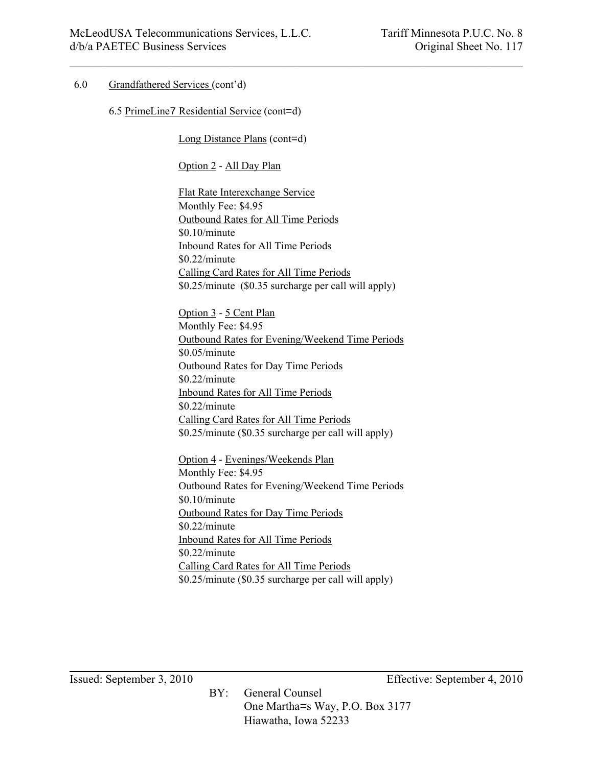| 6.0 |                                                 | Grandfathered Services (cont'd)                            |  |  |  |
|-----|-------------------------------------------------|------------------------------------------------------------|--|--|--|
|     | 6.5 PrimeLine7 Residential Service (cont=d)     |                                                            |  |  |  |
|     | Long Distance Plans (cont=d)                    |                                                            |  |  |  |
|     |                                                 | Option 2 - All Day Plan                                    |  |  |  |
|     |                                                 | Flat Rate Interexchange Service<br>Monthly Fee: \$4.95     |  |  |  |
|     |                                                 | <b>Outbound Rates for All Time Periods</b>                 |  |  |  |
|     |                                                 | \$0.10/minute                                              |  |  |  |
|     |                                                 | <b>Inbound Rates for All Time Periods</b>                  |  |  |  |
|     |                                                 | \$0.22/minute                                              |  |  |  |
|     |                                                 | Calling Card Rates for All Time Periods                    |  |  |  |
|     |                                                 | \$0.25/minute (\$0.35 surcharge per call will apply)       |  |  |  |
|     |                                                 | Option 3 - 5 Cent Plan                                     |  |  |  |
|     |                                                 | Monthly Fee: \$4.95                                        |  |  |  |
|     | Outbound Rates for Evening/Weekend Time Periods |                                                            |  |  |  |
|     |                                                 | \$0.05/minute                                              |  |  |  |
|     |                                                 | Outbound Rates for Day Time Periods                        |  |  |  |
|     |                                                 | \$0.22/minute                                              |  |  |  |
|     |                                                 | <b>Inbound Rates for All Time Periods</b>                  |  |  |  |
|     |                                                 | \$0.22/minute                                              |  |  |  |
|     |                                                 | Calling Card Rates for All Time Periods                    |  |  |  |
|     |                                                 | \$0.25/minute (\$0.35 surcharge per call will apply)       |  |  |  |
|     |                                                 | Option 4 - Evenings/Weekends Plan                          |  |  |  |
|     |                                                 | Monthly Fee: \$4.95                                        |  |  |  |
|     |                                                 | Outbound Rates for Evening/Weekend Time Periods            |  |  |  |
|     |                                                 | \$0.10/minute                                              |  |  |  |
|     |                                                 | <b>Outbound Rates for Day Time Periods</b>                 |  |  |  |
|     |                                                 | \$0.22/minute                                              |  |  |  |
|     |                                                 | <b>Inbound Rates for All Time Periods</b><br>\$0.22/minute |  |  |  |
|     |                                                 | Calling Card Rates for All Time Periods                    |  |  |  |
|     |                                                 | \$0.25/minute (\$0.35 surcharge per call will apply)       |  |  |  |
|     |                                                 |                                                            |  |  |  |
|     |                                                 |                                                            |  |  |  |
|     |                                                 |                                                            |  |  |  |
|     |                                                 |                                                            |  |  |  |
|     |                                                 |                                                            |  |  |  |
|     |                                                 |                                                            |  |  |  |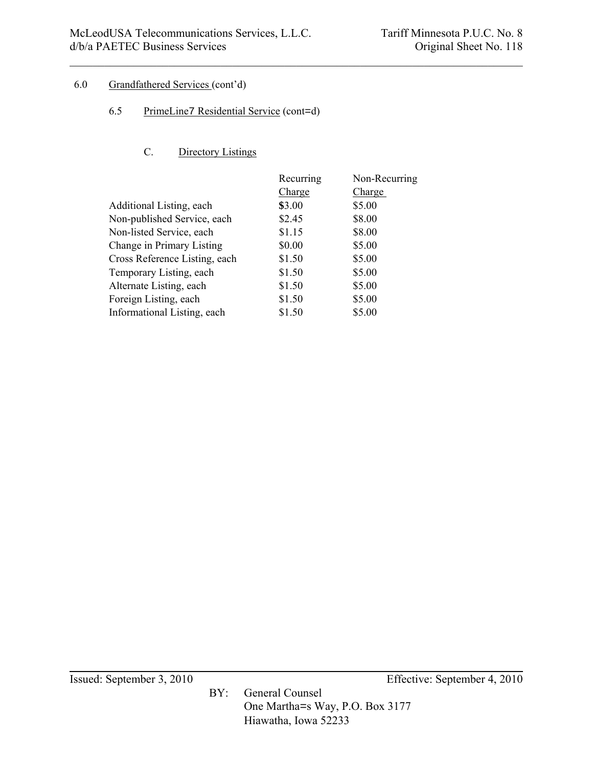## 6.5 PrimeLine7 Residential Service (cont=d)

# C. Directory Listings

|                               | Recurring | Non-Recurring |
|-------------------------------|-----------|---------------|
|                               | Charge    | Charge        |
| Additional Listing, each      | \$3.00    | \$5.00        |
| Non-published Service, each   | \$2.45    | \$8.00        |
| Non-listed Service, each      | \$1.15    | \$8.00        |
| Change in Primary Listing     | \$0.00    | \$5.00        |
| Cross Reference Listing, each | \$1.50    | \$5.00        |
| Temporary Listing, each       | \$1.50    | \$5.00        |
| Alternate Listing, each       | \$1.50    | \$5.00        |
| Foreign Listing, each         | \$1.50    | \$5.00        |
| Informational Listing, each   | \$1.50    | \$5.00        |

 $\mathcal{L}_\mathcal{L} = \{ \mathcal{L}_\mathcal{L} = \{ \mathcal{L}_\mathcal{L} = \{ \mathcal{L}_\mathcal{L} = \{ \mathcal{L}_\mathcal{L} = \{ \mathcal{L}_\mathcal{L} = \{ \mathcal{L}_\mathcal{L} = \{ \mathcal{L}_\mathcal{L} = \{ \mathcal{L}_\mathcal{L} = \{ \mathcal{L}_\mathcal{L} = \{ \mathcal{L}_\mathcal{L} = \{ \mathcal{L}_\mathcal{L} = \{ \mathcal{L}_\mathcal{L} = \{ \mathcal{L}_\mathcal{L} = \{ \mathcal{L}_\mathcal{$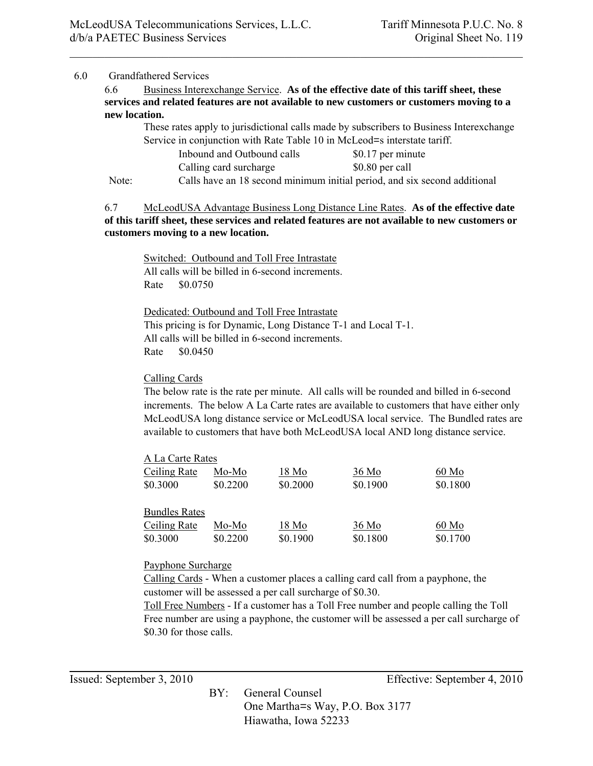# 6.0 Grandfathered Services 6.6 Business Interexchange Service. **As of the effective date of this tariff sheet, these services and related features are not available to new customers or customers moving to a new location.** These rates apply to jurisdictional calls made by subscribers to Business Interexchange Service in conjunction with Rate Table 10 in McLeod=s interstate tariff. Inbound and Outbound calls \$0.17 per minute Calling card surcharge \$0.80 per call Note: Calls have an 18 second minimum initial period, and six second additional

 $\mathcal{L}_\mathcal{L} = \{ \mathcal{L}_\mathcal{L} = \{ \mathcal{L}_\mathcal{L} = \{ \mathcal{L}_\mathcal{L} = \{ \mathcal{L}_\mathcal{L} = \{ \mathcal{L}_\mathcal{L} = \{ \mathcal{L}_\mathcal{L} = \{ \mathcal{L}_\mathcal{L} = \{ \mathcal{L}_\mathcal{L} = \{ \mathcal{L}_\mathcal{L} = \{ \mathcal{L}_\mathcal{L} = \{ \mathcal{L}_\mathcal{L} = \{ \mathcal{L}_\mathcal{L} = \{ \mathcal{L}_\mathcal{L} = \{ \mathcal{L}_\mathcal{$ 

#### 6.7 McLeodUSA Advantage Business Long Distance Line Rates. **As of the effective date of this tariff sheet, these services and related features are not available to new customers or customers moving to a new location.**

Switched: Outbound and Toll Free Intrastate All calls will be billed in 6-second increments. Rate \$0.0750

Dedicated: Outbound and Toll Free Intrastate This pricing is for Dynamic, Long Distance T-1 and Local T-1. All calls will be billed in 6-second increments. Rate \$0.0450

# Calling Cards

The below rate is the rate per minute. All calls will be rounded and billed in 6-second increments. The below A La Carte rates are available to customers that have either only McLeodUSA long distance service or McLeodUSA local service. The Bundled rates are available to customers that have both McLeodUSA local AND long distance service.

| A La Carte Rates     |          |          |          |          |
|----------------------|----------|----------|----------|----------|
| <b>Ceiling Rate</b>  | Mo-Mo    | 18 Mo    | 36 Mo    | 60 Mo    |
| \$0.3000             | \$0.2200 | \$0.2000 | \$0.1900 | \$0.1800 |
|                      |          |          |          |          |
| <b>Bundles Rates</b> |          |          |          |          |
| Ceiling Rate         | Mo-Mo    | 18 Mo    | 36 Mo    | 60 Mo    |
| \$0.3000             | \$0.2200 | \$0.1900 | \$0.1800 | \$0.1700 |

## Payphone Surcharge

Calling Cards - When a customer places a calling card call from a payphone, the customer will be assessed a per call surcharge of \$0.30.

Toll Free Numbers - If a customer has a Toll Free number and people calling the Toll Free number are using a payphone, the customer will be assessed a per call surcharge of \$0.30 for those calls.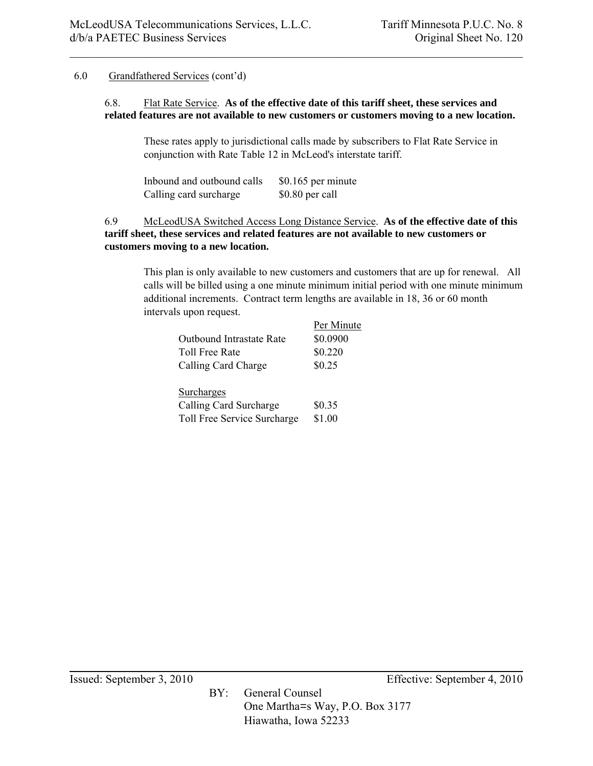## 6.8. Flat Rate Service. **As of the effective date of this tariff sheet, these services and related features are not available to new customers or customers moving to a new location.**

 $\mathcal{L}_\mathcal{L} = \{ \mathcal{L}_\mathcal{L} = \{ \mathcal{L}_\mathcal{L} = \{ \mathcal{L}_\mathcal{L} = \{ \mathcal{L}_\mathcal{L} = \{ \mathcal{L}_\mathcal{L} = \{ \mathcal{L}_\mathcal{L} = \{ \mathcal{L}_\mathcal{L} = \{ \mathcal{L}_\mathcal{L} = \{ \mathcal{L}_\mathcal{L} = \{ \mathcal{L}_\mathcal{L} = \{ \mathcal{L}_\mathcal{L} = \{ \mathcal{L}_\mathcal{L} = \{ \mathcal{L}_\mathcal{L} = \{ \mathcal{L}_\mathcal{$ 

These rates apply to jurisdictional calls made by subscribers to Flat Rate Service in conjunction with Rate Table 12 in McLeod's interstate tariff.

| Inbound and outbound calls | \$0.165 per minute |
|----------------------------|--------------------|
| Calling card surcharge     | \$0.80 per call    |

## 6.9 McLeodUSA Switched Access Long Distance Service. **As of the effective date of this tariff sheet, these services and related features are not available to new customers or customers moving to a new location.**

This plan is only available to new customers and customers that are up for renewal. All calls will be billed using a one minute minimum initial period with one minute minimum additional increments. Contract term lengths are available in 18, 36 or 60 month intervals upon request.

|                             | Per Minute |
|-----------------------------|------------|
| Outbound Intrastate Rate    | \$0.0900   |
| <b>Toll Free Rate</b>       | \$0.220    |
| Calling Card Charge         | \$0.25     |
|                             |            |
| <b>Surcharges</b>           |            |
| Calling Card Surcharge      | \$0.35     |
| Toll Free Service Surcharge | \$1.00     |
|                             |            |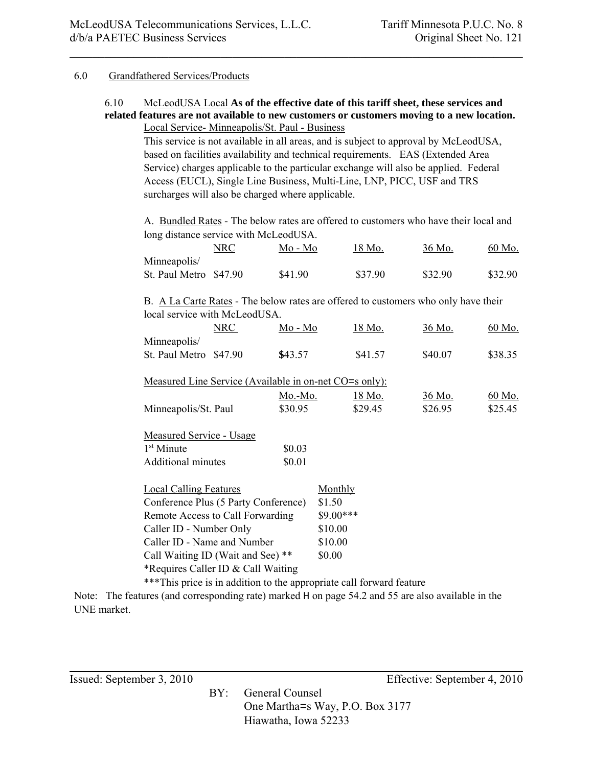#### 6.10 McLeodUSA Local **As of the effective date of this tariff sheet, these services and related features are not available to new customers or customers moving to a new location.** Local Service- Minneapolis/St. Paul - Business

 $\mathcal{L}_\mathcal{L} = \{ \mathcal{L}_\mathcal{L} = \{ \mathcal{L}_\mathcal{L} = \{ \mathcal{L}_\mathcal{L} = \{ \mathcal{L}_\mathcal{L} = \{ \mathcal{L}_\mathcal{L} = \{ \mathcal{L}_\mathcal{L} = \{ \mathcal{L}_\mathcal{L} = \{ \mathcal{L}_\mathcal{L} = \{ \mathcal{L}_\mathcal{L} = \{ \mathcal{L}_\mathcal{L} = \{ \mathcal{L}_\mathcal{L} = \{ \mathcal{L}_\mathcal{L} = \{ \mathcal{L}_\mathcal{L} = \{ \mathcal{L}_\mathcal{$ 

This service is not available in all areas, and is subject to approval by McLeodUSA, based on facilities availability and technical requirements. EAS (Extended Area Service) charges applicable to the particular exchange will also be applied. Federal Access (EUCL), Single Line Business, Multi-Line, LNP, PICC, USF and TRS surcharges will also be charged where applicable.

A. Bundled Rates - The below rates are offered to customers who have their local and long distance service with McLeodUSA.

|                                                        | <b>NRC</b> | $Mo - Mo$                    |           | <u>18 Mo.</u> | 36 Mo.                                                                             | 60 Mo.  |
|--------------------------------------------------------|------------|------------------------------|-----------|---------------|------------------------------------------------------------------------------------|---------|
| Minneapolis/                                           |            |                              |           |               |                                                                                    |         |
| St. Paul Metro                                         | \$47.90    | \$41.90                      |           | \$37.90       | \$32.90                                                                            | \$32.90 |
|                                                        |            |                              |           |               |                                                                                    |         |
|                                                        |            |                              |           |               | B. A La Carte Rates - The below rates are offered to customers who only have their |         |
| local service with McLeodUSA.                          |            |                              |           |               |                                                                                    |         |
|                                                        | NRC        | $\underline{\text{Mo - Mo}}$ |           | <u>18 Mo.</u> | 36 Mo.                                                                             | 60 Mo.  |
| Minneapolis/                                           |            |                              |           |               |                                                                                    |         |
| St. Paul Metro \$47.90                                 |            | \$43.57                      |           | \$41.57       | \$40.07                                                                            | \$38.35 |
|                                                        |            |                              |           |               |                                                                                    |         |
| Measured Line Service (Available in on-net CO=s only): |            |                              |           |               |                                                                                    |         |
|                                                        |            | Mo.-Mo.                      |           | 18 Mo.        | 36 Mo.                                                                             | 60 Mo.  |
| Minneapolis/St. Paul                                   |            | \$30.95                      |           | \$29.45       | \$26.95                                                                            | \$25.45 |
|                                                        |            |                              |           |               |                                                                                    |         |
| <b>Measured Service - Usage</b>                        |            |                              |           |               |                                                                                    |         |
| $1st$ Minute                                           |            | \$0.03                       |           |               |                                                                                    |         |
| Additional minutes                                     |            | \$0.01                       |           |               |                                                                                    |         |
|                                                        |            |                              |           |               |                                                                                    |         |
| <b>Local Calling Features</b>                          |            |                              | Monthly   |               |                                                                                    |         |
| Conference Plus (5 Party Conference)                   |            |                              | \$1.50    |               |                                                                                    |         |
| Remote Access to Call Forwarding                       |            |                              | \$9.00*** |               |                                                                                    |         |

Caller ID - Number Only \$10.00 Caller ID - Name and Number \$10.00 Call Waiting ID (Wait and See)  $**$  \$0.00 \*Requires Caller ID & Call Waiting

\*\*\*This price is in addition to the appropriate call forward feature

Note: The features (and corresponding rate) marked H on page 54.2 and 55 are also available in the UNE market.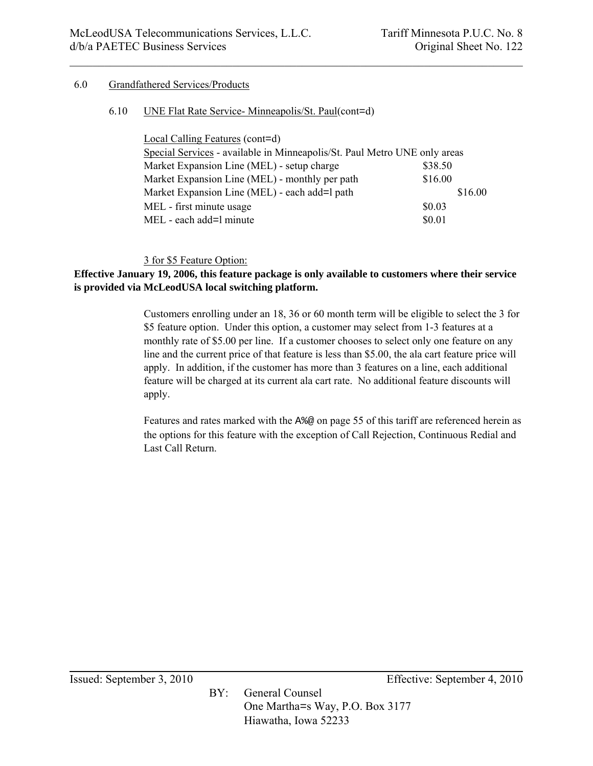#### 6.10 UNE Flat Rate Service- Minneapolis/St. Paul(cont=d)

| Local Calling Features (cont=d)                                           |         |
|---------------------------------------------------------------------------|---------|
| Special Services - available in Minneapolis/St. Paul Metro UNE only areas |         |
| Market Expansion Line (MEL) - setup charge                                | \$38.50 |
| Market Expansion Line (MEL) - monthly per path                            | \$16.00 |
| Market Expansion Line (MEL) - each add=l path                             | \$16.00 |
| MEL - first minute usage                                                  | \$0.03  |
| MEL - each add=1 minute                                                   | \$0.01  |

 $\mathcal{L}_\mathcal{L} = \{ \mathcal{L}_\mathcal{L} = \{ \mathcal{L}_\mathcal{L} = \{ \mathcal{L}_\mathcal{L} = \{ \mathcal{L}_\mathcal{L} = \{ \mathcal{L}_\mathcal{L} = \{ \mathcal{L}_\mathcal{L} = \{ \mathcal{L}_\mathcal{L} = \{ \mathcal{L}_\mathcal{L} = \{ \mathcal{L}_\mathcal{L} = \{ \mathcal{L}_\mathcal{L} = \{ \mathcal{L}_\mathcal{L} = \{ \mathcal{L}_\mathcal{L} = \{ \mathcal{L}_\mathcal{L} = \{ \mathcal{L}_\mathcal{$ 

## 3 for \$5 Feature Option:

## **Effective January 19, 2006, this feature package is only available to customers where their service is provided via McLeodUSA local switching platform.**

Customers enrolling under an 18, 36 or 60 month term will be eligible to select the 3 for \$5 feature option. Under this option, a customer may select from 1-3 features at a monthly rate of \$5.00 per line. If a customer chooses to select only one feature on any line and the current price of that feature is less than \$5.00, the ala cart feature price will apply. In addition, if the customer has more than 3 features on a line, each additional feature will be charged at its current ala cart rate. No additional feature discounts will apply.

Features and rates marked with the A%@ on page 55 of this tariff are referenced herein as the options for this feature with the exception of Call Rejection, Continuous Redial and Last Call Return.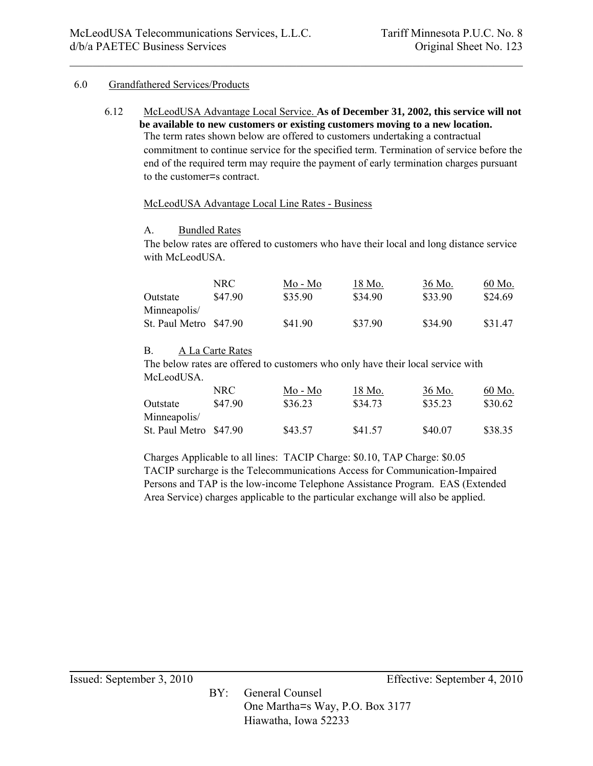6.12 McLeodUSA Advantage Local Service. **As of December 31, 2002, this service will not be available to new customers or existing customers moving to a new location.** The term rates shown below are offered to customers undertaking a contractual commitment to continue service for the specified term. Termination of service before the end of the required term may require the payment of early termination charges pursuant to the customer=s contract.

 $\mathcal{L}_\mathcal{L} = \{ \mathcal{L}_\mathcal{L} = \{ \mathcal{L}_\mathcal{L} = \{ \mathcal{L}_\mathcal{L} = \{ \mathcal{L}_\mathcal{L} = \{ \mathcal{L}_\mathcal{L} = \{ \mathcal{L}_\mathcal{L} = \{ \mathcal{L}_\mathcal{L} = \{ \mathcal{L}_\mathcal{L} = \{ \mathcal{L}_\mathcal{L} = \{ \mathcal{L}_\mathcal{L} = \{ \mathcal{L}_\mathcal{L} = \{ \mathcal{L}_\mathcal{L} = \{ \mathcal{L}_\mathcal{L} = \{ \mathcal{L}_\mathcal{$ 

## McLeodUSA Advantage Local Line Rates - Business

## A. Bundled Rates

The below rates are offered to customers who have their local and long distance service with McLeodUSA.

|                | NRC     | Mo - Mo | 18 Mo.  | 36 Mo.  | 60 Mo.  |
|----------------|---------|---------|---------|---------|---------|
| Outstate       | \$47.90 | \$35.90 | \$34.90 | \$33.90 | \$24.69 |
| Minneapolis/   |         |         |         |         |         |
| St. Paul Metro | S47 90  | \$41.90 | \$37.90 | \$34.90 | \$31.47 |

## B. A La Carte Rates

The below rates are offered to customers who only have their local service with McLeodUSA.

|                        | NRC.    | Mo - Mo | 18 Mo.  | 36 Mo.  | 60 Mo.  |
|------------------------|---------|---------|---------|---------|---------|
| Outstate               | \$47.90 | \$36.23 | \$34.73 | \$35.23 | \$30.62 |
| Minneapolis/           |         |         |         |         |         |
| St. Paul Metro \$47.90 |         | \$43.57 | \$41.57 | \$40.07 | \$38.35 |

Charges Applicable to all lines: TACIP Charge: \$0.10, TAP Charge: \$0.05 TACIP surcharge is the Telecommunications Access for Communication-Impaired Persons and TAP is the low-income Telephone Assistance Program. EAS (Extended Area Service) charges applicable to the particular exchange will also be applied.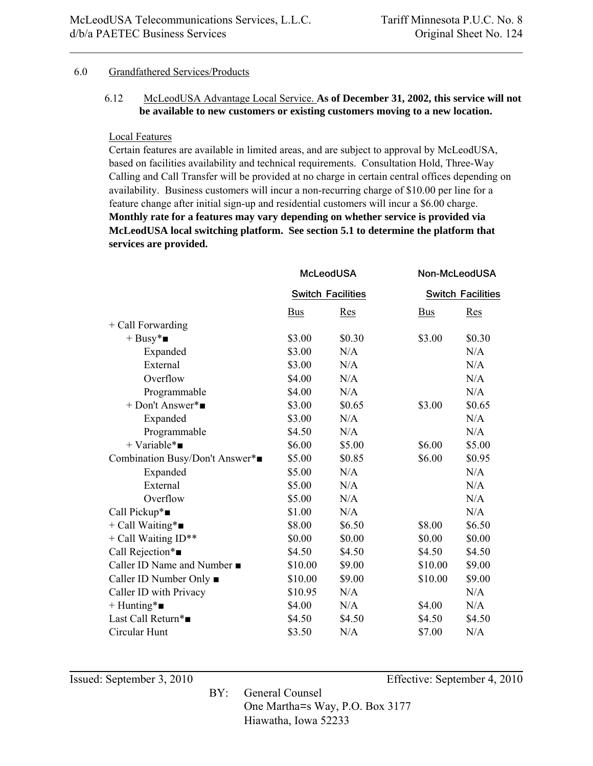## 6.12 McLeodUSA Advantage Local Service. **As of December 31, 2002, this service will not be available to new customers or existing customers moving to a new location.**

 $\mathcal{L}_\mathcal{L} = \{ \mathcal{L}_\mathcal{L} = \{ \mathcal{L}_\mathcal{L} = \{ \mathcal{L}_\mathcal{L} = \{ \mathcal{L}_\mathcal{L} = \{ \mathcal{L}_\mathcal{L} = \{ \mathcal{L}_\mathcal{L} = \{ \mathcal{L}_\mathcal{L} = \{ \mathcal{L}_\mathcal{L} = \{ \mathcal{L}_\mathcal{L} = \{ \mathcal{L}_\mathcal{L} = \{ \mathcal{L}_\mathcal{L} = \{ \mathcal{L}_\mathcal{L} = \{ \mathcal{L}_\mathcal{L} = \{ \mathcal{L}_\mathcal{$ 

#### Local Features

Certain features are available in limited areas, and are subject to approval by McLeodUSA, based on facilities availability and technical requirements. Consultation Hold, Three-Way Calling and Call Transfer will be provided at no charge in certain central offices depending on availability. Business customers will incur a non-recurring charge of \$10.00 per line for a feature change after initial sign-up and residential customers will incur a \$6.00 charge. **Monthly rate for a features may vary depending on whether service is provided via McLeodUSA local switching platform. See section 5.1 to determine the platform that services are provided.**

|                                 | <b>McLeodUSA</b>         |            | Non-McLeodUSA            |            |
|---------------------------------|--------------------------|------------|--------------------------|------------|
|                                 | <b>Switch Facilities</b> |            | <b>Switch Facilities</b> |            |
|                                 | <b>Bus</b>               | <b>Res</b> | <b>Bus</b>               | <b>Res</b> |
| $+$ Call Forwarding             |                          |            |                          |            |
| $+$ Busy* $\blacksquare$        | \$3.00                   | \$0.30     | \$3.00                   | \$0.30     |
| Expanded                        | \$3.00                   | N/A        |                          | N/A        |
| External                        | \$3.00                   | N/A        |                          | N/A        |
| Overflow                        | \$4.00                   | N/A        |                          | N/A        |
| Programmable                    | \$4.00                   | N/A        |                          | N/A        |
| + Don't Answer*                 | \$3.00                   | \$0.65     | \$3.00                   | \$0.65     |
| Expanded                        | \$3.00                   | N/A        |                          | N/A        |
| Programmable                    | \$4.50                   | N/A        |                          | N/A        |
| $+$ Variable* $\blacksquare$    | \$6.00                   | \$5.00     | \$6.00                   | \$5.00     |
| Combination Busy/Don't Answer*■ | \$5.00                   | \$0.85     | \$6.00                   | \$0.95     |
| Expanded                        | \$5.00                   | N/A        |                          | N/A        |
| External                        | \$5.00                   | N/A        |                          | N/A        |
| Overflow                        | \$5.00                   | N/A        |                          | N/A        |
| Call Pickup*■                   | \$1.00                   | N/A        |                          | N/A        |
| + Call Waiting* $\blacksquare$  | \$8.00                   | \$6.50     | \$8.00                   | \$6.50     |
| + Call Waiting ID**             | \$0.00                   | \$0.00     | \$0.00                   | \$0.00     |
| Call Rejection*■                | \$4.50                   | \$4.50     | \$4.50                   | \$4.50     |
| Caller ID Name and Number ■     | \$10.00                  | \$9.00     | \$10.00                  | \$9.00     |
| Caller ID Number Only ■         | \$10.00                  | \$9.00     | \$10.00                  | \$9.00     |
| Caller ID with Privacy          | \$10.95                  | N/A        |                          | N/A        |
| + Hunting* $\blacksquare$       | \$4.00                   | N/A        | \$4.00                   | N/A        |
| Last Call Return <sup>*</sup> ■ | \$4.50                   | \$4.50     | \$4.50                   | \$4.50     |
| Circular Hunt                   | \$3.50                   | N/A        | \$7.00                   | N/A        |

Issued: September 3, 2010 Effective: September 4, 2010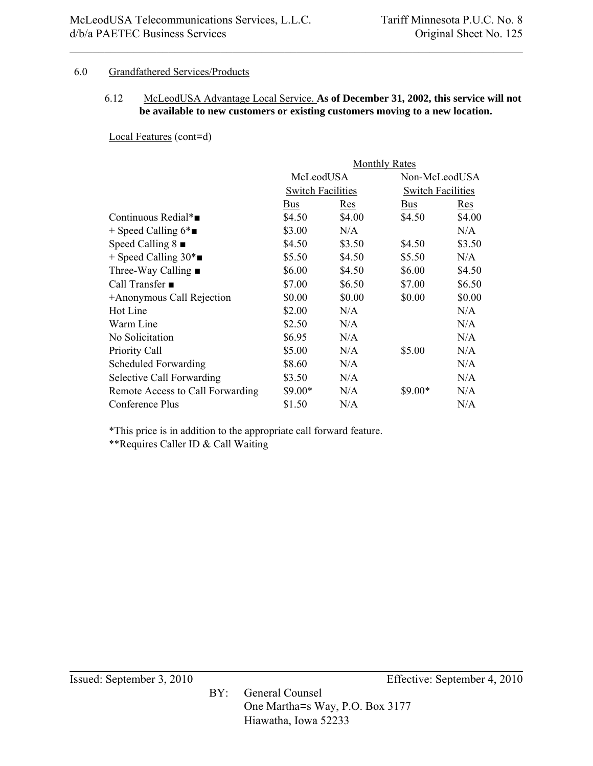6.12 McLeodUSA Advantage Local Service. **As of December 31, 2002, this service will not be available to new customers or existing customers moving to a new location.**

 $\mathcal{L}_\mathcal{L} = \{ \mathcal{L}_\mathcal{L} = \{ \mathcal{L}_\mathcal{L} = \{ \mathcal{L}_\mathcal{L} = \{ \mathcal{L}_\mathcal{L} = \{ \mathcal{L}_\mathcal{L} = \{ \mathcal{L}_\mathcal{L} = \{ \mathcal{L}_\mathcal{L} = \{ \mathcal{L}_\mathcal{L} = \{ \mathcal{L}_\mathcal{L} = \{ \mathcal{L}_\mathcal{L} = \{ \mathcal{L}_\mathcal{L} = \{ \mathcal{L}_\mathcal{L} = \{ \mathcal{L}_\mathcal{L} = \{ \mathcal{L}_\mathcal{$ 

Local Features (cont=d)

|                                  | <b>Monthly Rates</b>     |            |          |                          |  |
|----------------------------------|--------------------------|------------|----------|--------------------------|--|
|                                  | McLeodUSA                |            |          | Non-McLeodUSA            |  |
|                                  | <b>Switch Facilities</b> |            |          | <b>Switch Facilities</b> |  |
|                                  | <b>Bus</b>               | <u>Res</u> | Bus      | <u>Res</u>               |  |
| Continuous Redial $*$            | \$4.50                   | \$4.00     | \$4.50   | \$4.00                   |  |
| $+$ Speed Calling $6^*$          | \$3.00                   | N/A        |          | N/A                      |  |
| Speed Calling $8 \blacksquare$   | \$4.50                   | \$3.50     | \$4.50   | \$3.50                   |  |
| + Speed Calling $30^*$           | \$5.50                   | \$4.50     | \$5.50   | N/A                      |  |
| Three-Way Calling $\blacksquare$ | \$6.00                   | \$4.50     | \$6.00   | \$4.50                   |  |
| Call Transfer $\blacksquare$     | \$7.00                   | \$6.50     | \$7.00   | \$6.50                   |  |
| +Anonymous Call Rejection        | \$0.00                   | \$0.00     | \$0.00   | \$0.00                   |  |
| Hot Line                         | \$2.00                   | N/A        |          | N/A                      |  |
| Warm Line                        | \$2.50                   | N/A        |          | N/A                      |  |
| No Solicitation                  | \$6.95                   | N/A        |          | N/A                      |  |
| Priority Call                    | \$5.00                   | N/A        | \$5.00   | N/A                      |  |
| Scheduled Forwarding             | \$8.60                   | N/A        |          | N/A                      |  |
| <b>Selective Call Forwarding</b> | \$3.50                   | N/A        |          | N/A                      |  |
| Remote Access to Call Forwarding | \$9.00*                  | N/A        | $$9.00*$ | N/A                      |  |
| Conference Plus                  | \$1.50                   | N/A        |          | N/A                      |  |

\*This price is in addition to the appropriate call forward feature. \*\*Requires Caller ID & Call Waiting

Issued: September 3, 2010 Effective: September 4, 2010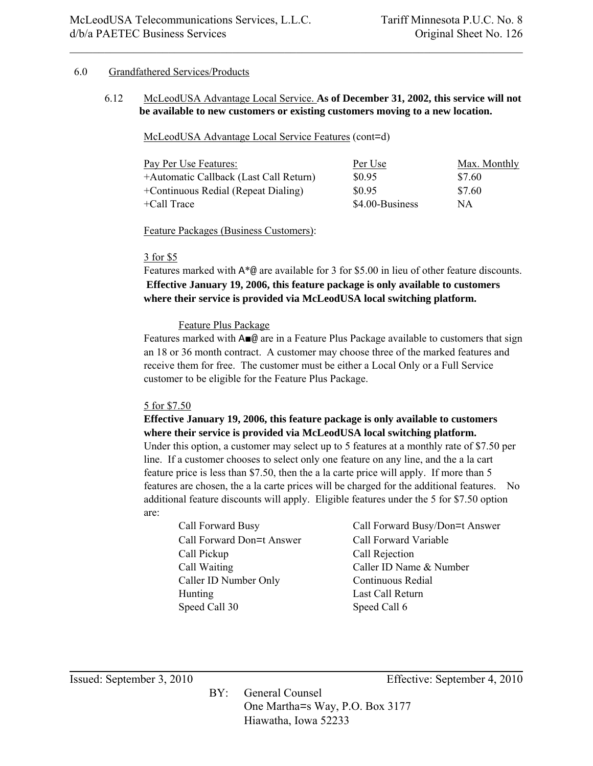6.12 McLeodUSA Advantage Local Service. **As of December 31, 2002, this service will not be available to new customers or existing customers moving to a new location.**

 $\mathcal{L}_\mathcal{L} = \{ \mathcal{L}_\mathcal{L} = \{ \mathcal{L}_\mathcal{L} = \{ \mathcal{L}_\mathcal{L} = \{ \mathcal{L}_\mathcal{L} = \{ \mathcal{L}_\mathcal{L} = \{ \mathcal{L}_\mathcal{L} = \{ \mathcal{L}_\mathcal{L} = \{ \mathcal{L}_\mathcal{L} = \{ \mathcal{L}_\mathcal{L} = \{ \mathcal{L}_\mathcal{L} = \{ \mathcal{L}_\mathcal{L} = \{ \mathcal{L}_\mathcal{L} = \{ \mathcal{L}_\mathcal{L} = \{ \mathcal{L}_\mathcal{$ 

McLeodUSA Advantage Local Service Features (cont=d)

| Pay Per Use Features:                  | Per Use         | Max. Monthly |
|----------------------------------------|-----------------|--------------|
| +Automatic Callback (Last Call Return) | \$0.95          | \$7.60       |
| +Continuous Redial (Repeat Dialing)    | \$0.95          | \$7.60       |
| +Call Trace                            | \$4.00-Business | NΑ           |

Feature Packages (Business Customers):

#### 3 for \$5

Features marked with A\*@ are available for 3 for \$5.00 in lieu of other feature discounts. **Effective January 19, 2006, this feature package is only available to customers where their service is provided via McLeodUSA local switching platform.**

#### Feature Plus Package

Features marked with A■@ are in a Feature Plus Package available to customers that sign an 18 or 36 month contract. A customer may choose three of the marked features and receive them for free. The customer must be either a Local Only or a Full Service customer to be eligible for the Feature Plus Package.

#### 5 for \$7.50

## **Effective January 19, 2006, this feature package is only available to customers where their service is provided via McLeodUSA local switching platform.**

Under this option, a customer may select up to 5 features at a monthly rate of \$7.50 per line. If a customer chooses to select only one feature on any line, and the a la cart feature price is less than \$7.50, then the a la carte price will apply. If more than 5 features are chosen, the a la carte prices will be charged for the additional features. No additional feature discounts will apply. Eligible features under the 5 for \$7.50 option

are:

Call Forward Don=t Answer Call Forward Variable Call Pickup Call Rejection Call Waiting Caller ID Name & Number Caller ID Number Only Continuous Redial Hunting Last Call Return Speed Call 30 Speed Call 6

Call Forward Busy Call Forward Busy/Don=t Answer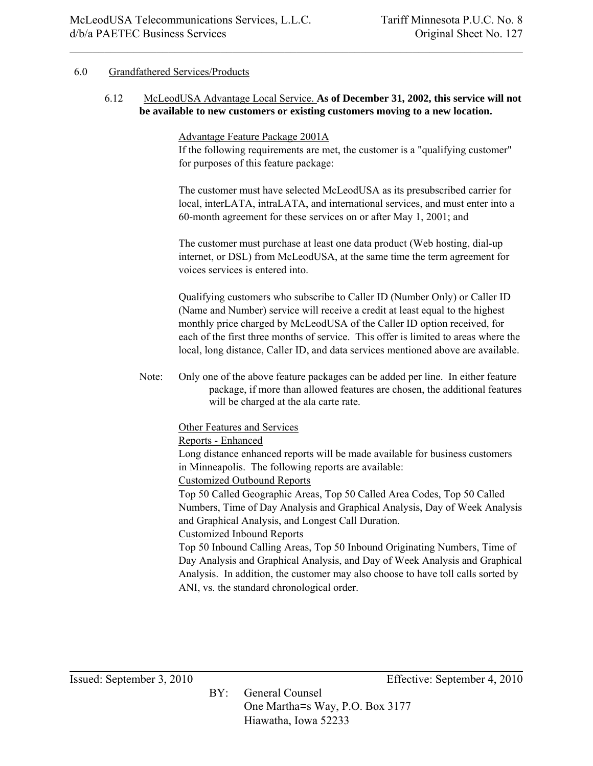6.12 McLeodUSA Advantage Local Service. **As of December 31, 2002, this service will not be available to new customers or existing customers moving to a new location.**

 $\mathcal{L}_\mathcal{L} = \{ \mathcal{L}_\mathcal{L} = \{ \mathcal{L}_\mathcal{L} = \{ \mathcal{L}_\mathcal{L} = \{ \mathcal{L}_\mathcal{L} = \{ \mathcal{L}_\mathcal{L} = \{ \mathcal{L}_\mathcal{L} = \{ \mathcal{L}_\mathcal{L} = \{ \mathcal{L}_\mathcal{L} = \{ \mathcal{L}_\mathcal{L} = \{ \mathcal{L}_\mathcal{L} = \{ \mathcal{L}_\mathcal{L} = \{ \mathcal{L}_\mathcal{L} = \{ \mathcal{L}_\mathcal{L} = \{ \mathcal{L}_\mathcal{$ 

# Advantage Feature Package 2001A

If the following requirements are met, the customer is a "qualifying customer" for purposes of this feature package:

The customer must have selected McLeodUSA as its presubscribed carrier for local, interLATA, intraLATA, and international services, and must enter into a 60-month agreement for these services on or after May 1, 2001; and

The customer must purchase at least one data product (Web hosting, dial-up internet, or DSL) from McLeodUSA, at the same time the term agreement for voices services is entered into.

Qualifying customers who subscribe to Caller ID (Number Only) or Caller ID (Name and Number) service will receive a credit at least equal to the highest monthly price charged by McLeodUSA of the Caller ID option received, for each of the first three months of service. This offer is limited to areas where the local, long distance, Caller ID, and data services mentioned above are available.

Note: Only one of the above feature packages can be added per line. In either feature package, if more than allowed features are chosen, the additional features will be charged at the ala carte rate.

Other Features and Services

Reports - Enhanced

Long distance enhanced reports will be made available for business customers in Minneapolis. The following reports are available:

Customized Outbound Reports

Top 50 Called Geographic Areas, Top 50 Called Area Codes, Top 50 Called Numbers, Time of Day Analysis and Graphical Analysis, Day of Week Analysis and Graphical Analysis, and Longest Call Duration.

## Customized Inbound Reports

Top 50 Inbound Calling Areas, Top 50 Inbound Originating Numbers, Time of Day Analysis and Graphical Analysis, and Day of Week Analysis and Graphical Analysis. In addition, the customer may also choose to have toll calls sorted by ANI, vs. the standard chronological order.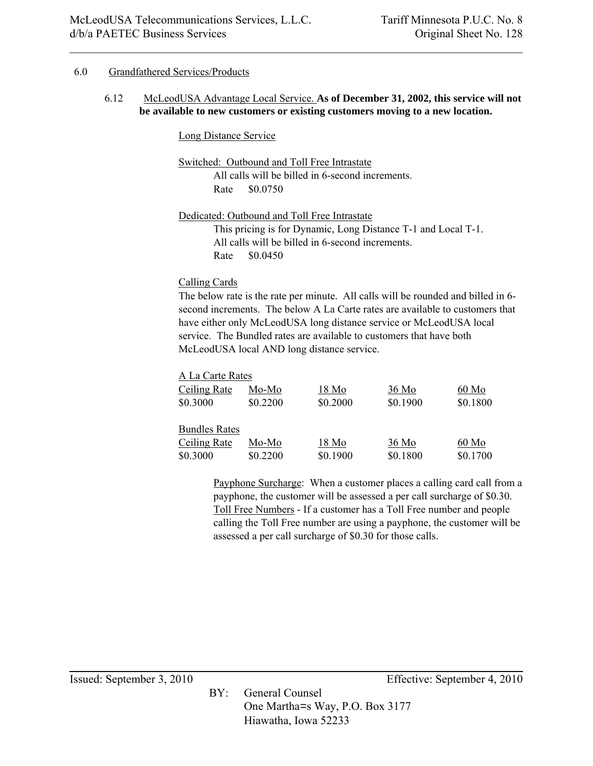6.12 McLeodUSA Advantage Local Service. **As of December 31, 2002, this service will not be available to new customers or existing customers moving to a new location.**

Long Distance Service

Switched: Outbound and Toll Free Intrastate All calls will be billed in 6-second increments. Rate \$0.0750

 $\mathcal{L}_\mathcal{L} = \{ \mathcal{L}_\mathcal{L} = \{ \mathcal{L}_\mathcal{L} = \{ \mathcal{L}_\mathcal{L} = \{ \mathcal{L}_\mathcal{L} = \{ \mathcal{L}_\mathcal{L} = \{ \mathcal{L}_\mathcal{L} = \{ \mathcal{L}_\mathcal{L} = \{ \mathcal{L}_\mathcal{L} = \{ \mathcal{L}_\mathcal{L} = \{ \mathcal{L}_\mathcal{L} = \{ \mathcal{L}_\mathcal{L} = \{ \mathcal{L}_\mathcal{L} = \{ \mathcal{L}_\mathcal{L} = \{ \mathcal{L}_\mathcal{$ 

Dedicated: Outbound and Toll Free Intrastate

This pricing is for Dynamic, Long Distance T-1 and Local T-1. All calls will be billed in 6-second increments. Rate \$0.0450

## Calling Cards

The below rate is the rate per minute. All calls will be rounded and billed in 6 second increments. The below A La Carte rates are available to customers that have either only McLeodUSA long distance service or McLeodUSA local service. The Bundled rates are available to customers that have both McLeodUSA local AND long distance service.

#### A La Carte Rates

| Ceiling Rate<br>\$0.3000 | Mo-Mo<br>\$0.2200 | 18 Mo<br>\$0.2000 | 36 Mo<br>\$0.1900 | 60 Mo<br>\$0.1800 |
|--------------------------|-------------------|-------------------|-------------------|-------------------|
| <b>Bundles Rates</b>     |                   |                   |                   |                   |
| Ceiling Rate             | Mo-Mo             | 18 Mo             | 36 Mo             | 60 Mo             |
| \$0.3000                 | \$0.2200          | \$0.1900          | \$0.1800          | \$0.1700          |

Payphone Surcharge: When a customer places a calling card call from a payphone, the customer will be assessed a per call surcharge of \$0.30. Toll Free Numbers - If a customer has a Toll Free number and people calling the Toll Free number are using a payphone, the customer will be assessed a per call surcharge of \$0.30 for those calls.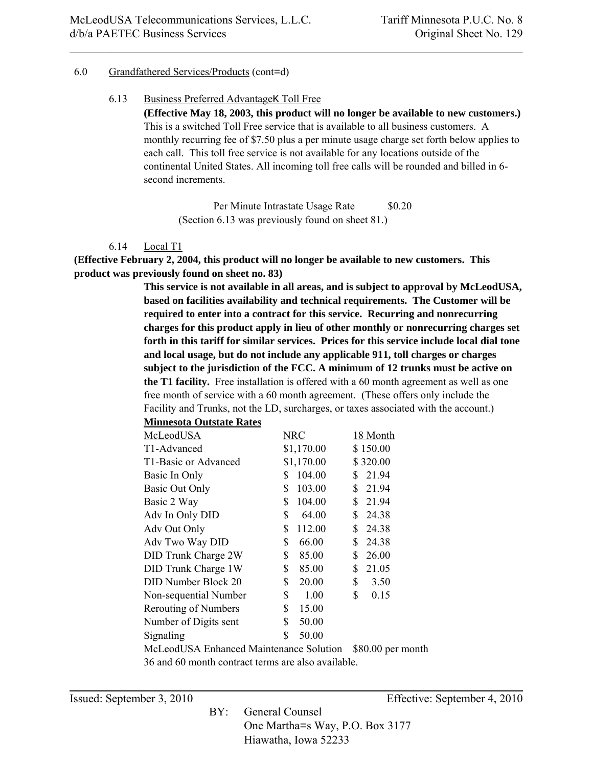## 6.13 Business Preferred AdvantageK Toll Free

**(Effective May 18, 2003, this product will no longer be available to new customers.)** This is a switched Toll Free service that is available to all business customers. A monthly recurring fee of \$7.50 plus a per minute usage charge set forth below applies to each call. This toll free service is not available for any locations outside of the continental United States. All incoming toll free calls will be rounded and billed in 6 second increments.

Per Minute Intrastate Usage Rate \$0.20 (Section 6.13 was previously found on sheet 81.)

 $\mathcal{L}_\mathcal{L} = \{ \mathcal{L}_\mathcal{L} = \{ \mathcal{L}_\mathcal{L} = \{ \mathcal{L}_\mathcal{L} = \{ \mathcal{L}_\mathcal{L} = \{ \mathcal{L}_\mathcal{L} = \{ \mathcal{L}_\mathcal{L} = \{ \mathcal{L}_\mathcal{L} = \{ \mathcal{L}_\mathcal{L} = \{ \mathcal{L}_\mathcal{L} = \{ \mathcal{L}_\mathcal{L} = \{ \mathcal{L}_\mathcal{L} = \{ \mathcal{L}_\mathcal{L} = \{ \mathcal{L}_\mathcal{L} = \{ \mathcal{L}_\mathcal{$ 

#### 6.14 Local T1

**(Effective February 2, 2004, this product will no longer be available to new customers. This product was previously found on sheet no. 83)** 

> **This service is not available in all areas, and is subject to approval by McLeodUSA, based on facilities availability and technical requirements. The Customer will be required to enter into a contract for this service. Recurring and nonrecurring charges for this product apply in lieu of other monthly or nonrecurring charges set forth in this tariff for similar services. Prices for this service include local dial tone and local usage, but do not include any applicable 911, toll charges or charges subject to the jurisdiction of the FCC. A minimum of 12 trunks must be active on the T1 facility.** Free installation is offered with a 60 month agreement as well as one free month of service with a 60 month agreement. (These offers only include the Facility and Trunks, not the LD, surcharges, or taxes associated with the account.)

| Minnesota Outstate Rates |  |  |
|--------------------------|--|--|
|                          |  |  |

| McLeodUSA                                                                                                                                      | NRC              | 18 Month    |
|------------------------------------------------------------------------------------------------------------------------------------------------|------------------|-------------|
| T1-Advanced                                                                                                                                    | \$1,170.00       | \$150.00    |
| T1-Basic or Advanced                                                                                                                           | \$1,170.00       | \$320.00    |
| Basic In Only                                                                                                                                  | 104.00<br>\$     | \$21.94     |
| <b>Basic Out Only</b>                                                                                                                          | 103.00<br>\$     | 21.94<br>\$ |
| Basic 2 Way                                                                                                                                    | \$<br>104.00     | \$21.94     |
| Adv In Only DID                                                                                                                                | \$<br>64.00      | \$24.38     |
| Adv Out Only                                                                                                                                   | \$<br>112.00     | \$<br>24.38 |
| Adv Two Way DID                                                                                                                                | \$<br>66.00      | \$<br>24.38 |
| DID Trunk Charge 2W                                                                                                                            | \$<br>85.00      | 26.00<br>\$ |
| DID Trunk Charge 1W                                                                                                                            | \$<br>85.00      | \$<br>21.05 |
| DID Number Block 20                                                                                                                            | \$<br>20.00      | \$<br>3.50  |
| Non-sequential Number                                                                                                                          | \$<br>1.00       | \$<br>0.15  |
| <b>Rerouting of Numbers</b>                                                                                                                    | \$<br>15.00      |             |
| Number of Digits sent                                                                                                                          | \$<br>50.00      |             |
| Signaling                                                                                                                                      | \$<br>50.00      |             |
| $\mathbf{M}$ $\mathbf{I}$ $\mathbf{I}$ $\mathbf{I}$ $\mathbf{I}$ $\mathbf{I}$ $\mathbf{I}$ $\mathbf{I}$ $\mathbf{M}$ $\mathbf{I}$ $\mathbf{I}$ | $\sim$ 1 $\cdot$ | 0.0000      |

McLeodUSA Enhanced Maintenance Solution \$80.00 per month 36 and 60 month contract terms are also available.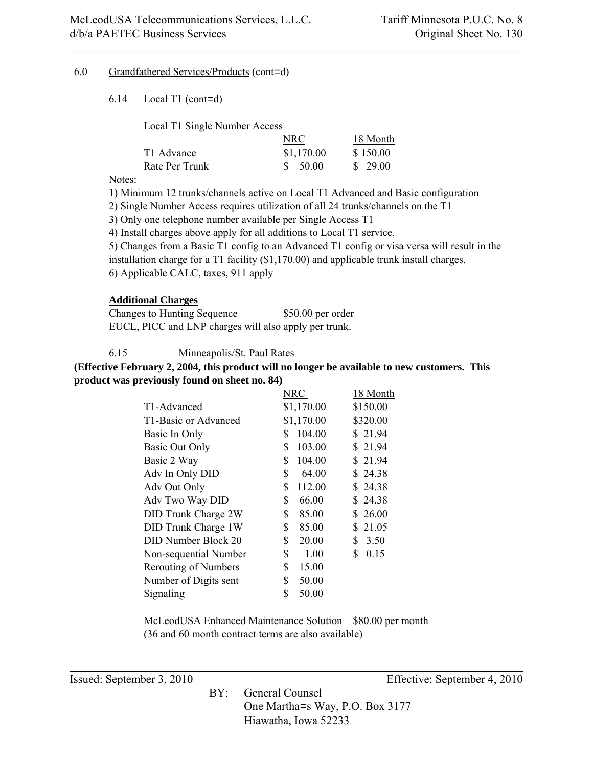## 6.14  $Local T1 (cont=d)$

Local T1 Single Number Access

|                | <b>NRC</b> | 18 Month |
|----------------|------------|----------|
| T1 Advance     | \$1,170.00 | \$150.00 |
| Rate Per Trunk | \$50.00    | \$ 29.00 |

Notes:

1) Minimum 12 trunks/channels active on Local T1 Advanced and Basic configuration

 $\mathcal{L}_\mathcal{L} = \{ \mathcal{L}_\mathcal{L} = \{ \mathcal{L}_\mathcal{L} = \{ \mathcal{L}_\mathcal{L} = \{ \mathcal{L}_\mathcal{L} = \{ \mathcal{L}_\mathcal{L} = \{ \mathcal{L}_\mathcal{L} = \{ \mathcal{L}_\mathcal{L} = \{ \mathcal{L}_\mathcal{L} = \{ \mathcal{L}_\mathcal{L} = \{ \mathcal{L}_\mathcal{L} = \{ \mathcal{L}_\mathcal{L} = \{ \mathcal{L}_\mathcal{L} = \{ \mathcal{L}_\mathcal{L} = \{ \mathcal{L}_\mathcal{$ 

2) Single Number Access requires utilization of all 24 trunks/channels on the T1

3) Only one telephone number available per Single Access T1

4) Install charges above apply for all additions to Local T1 service.

5) Changes from a Basic T1 config to an Advanced T1 config or visa versa will result in the installation charge for a T1 facility (\$1,170.00) and applicable trunk install charges. 6) Applicable CALC, taxes, 911 apply

## **Additional Charges**

Changes to Hunting Sequence \$50.00 per order EUCL, PICC and LNP charges will also apply per trunk.

6.15 Minneapolis/St. Paul Rates

**(Effective February 2, 2004, this product will no longer be available to new customers. This product was previously found on sheet no. 84)**

|              | 18 Month   |
|--------------|------------|
| \$1,170.00   | \$150.00   |
| \$1,170.00   | \$320.00   |
| 104.00<br>\$ | \$21.94    |
| 103.00<br>S  | \$21.94    |
| S<br>104.00  | \$21.94    |
| \$<br>64.00  | \$24.38    |
| \$<br>112.00 | \$24.38    |
| \$<br>66.00  | \$24.38    |
| \$<br>85.00  | \$26.00    |
| \$<br>85.00  | \$21.05    |
| \$<br>20.00  | 3.50<br>S  |
| \$<br>1.00   | 0.15<br>S  |
| \$<br>15.00  |            |
| 50.00<br>\$  |            |
| \$<br>50.00  |            |
|              | <b>NRC</b> |

McLeodUSA Enhanced Maintenance Solution \$80.00 per month (36 and 60 month contract terms are also available)

Issued: September 3, 2010 Effective: September 4, 2010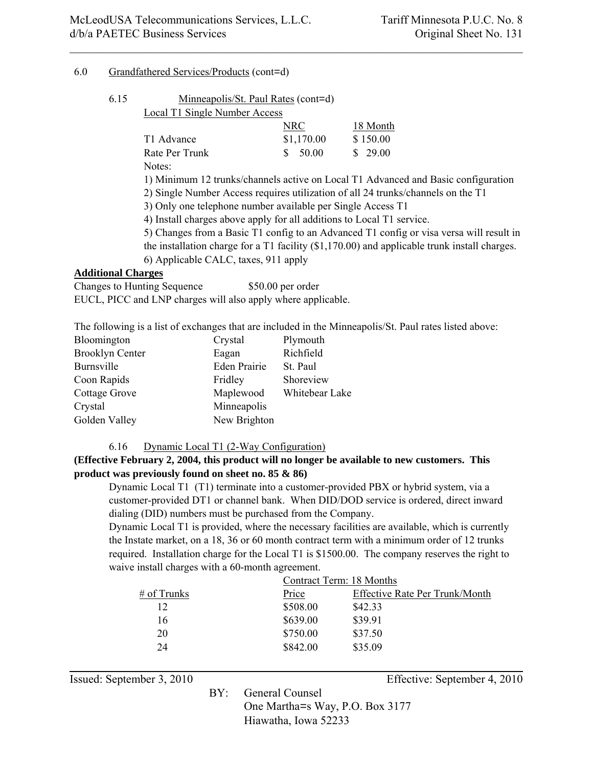| 6.15                      | Minneapolis/St. Paul Rates (cont=d)                                   |            |                                                                                                |
|---------------------------|-----------------------------------------------------------------------|------------|------------------------------------------------------------------------------------------------|
|                           | Local T1 Single Number Access                                         |            |                                                                                                |
|                           |                                                                       | <b>NRC</b> | 18 Month                                                                                       |
|                           | T1 Advance                                                            | \$1,170.00 | \$150.00                                                                                       |
|                           | Rate Per Trunk                                                        | 50.00<br>S | \$29.00                                                                                        |
|                           | Notes:                                                                |            |                                                                                                |
|                           |                                                                       |            | 1) Minimum 12 trunks/channels active on Local T1 Advanced and Basic configuration              |
|                           |                                                                       |            | 2) Single Number Access requires utilization of all 24 trunks/channels on the T1               |
|                           | 3) Only one telephone number available per Single Access T1           |            |                                                                                                |
|                           | 4) Install charges above apply for all additions to Local T1 service. |            |                                                                                                |
|                           |                                                                       |            | 5) Changes from a Basic T1 config to an Advanced T1 config or visa versa will result in        |
|                           |                                                                       |            | the installation charge for a $T1$ facility (\$1,170.00) and applicable trunk install charges. |
|                           | 6) Applicable CALC, taxes, 911 apply                                  |            |                                                                                                |
| <b>Additional Charges</b> |                                                                       |            |                                                                                                |

 $\mathcal{L}_\mathcal{L} = \{ \mathcal{L}_\mathcal{L} = \{ \mathcal{L}_\mathcal{L} = \{ \mathcal{L}_\mathcal{L} = \{ \mathcal{L}_\mathcal{L} = \{ \mathcal{L}_\mathcal{L} = \{ \mathcal{L}_\mathcal{L} = \{ \mathcal{L}_\mathcal{L} = \{ \mathcal{L}_\mathcal{L} = \{ \mathcal{L}_\mathcal{L} = \{ \mathcal{L}_\mathcal{L} = \{ \mathcal{L}_\mathcal{L} = \{ \mathcal{L}_\mathcal{L} = \{ \mathcal{L}_\mathcal{L} = \{ \mathcal{L}_\mathcal{$ 

Changes to Hunting Sequence \$50.00 per order EUCL, PICC and LNP charges will also apply where applicable.

The following is a list of exchanges that are included in the Minneapolis/St. Paul rates listed above:

| Crystal      | Plymouth       |
|--------------|----------------|
| Eagan        | Richfield      |
| Eden Prairie | St. Paul       |
| Fridley      | Shoreview      |
| Maplewood    | Whitebear Lake |
| Minneapolis  |                |
| New Brighton |                |
|              |                |

## 6.16 Dynamic Local T1 (2-Way Configuration)

## **(Effective February 2, 2004, this product will no longer be available to new customers. This product was previously found on sheet no. 85 & 86)**

Dynamic Local T1 (T1) terminate into a customer-provided PBX or hybrid system, via a customer-provided DT1 or channel bank. When DID/DOD service is ordered, direct inward dialing (DID) numbers must be purchased from the Company.

Dynamic Local T1 is provided, where the necessary facilities are available, which is currently the Instate market, on a 18, 36 or 60 month contract term with a minimum order of 12 trunks required. Installation charge for the Local T1 is \$1500.00. The company reserves the right to waive install charges with a 60-month agreement.

|               | Contract Term: 18 Months |                                |  |
|---------------|--------------------------|--------------------------------|--|
| $#$ of Trunks | Price                    | Effective Rate Per Trunk/Month |  |
| 12            | \$508.00                 | \$42.33                        |  |
| 16            | \$639.00                 | \$39.91                        |  |
| 20            | \$750.00                 | \$37.50                        |  |
| 24            | \$842.00                 | \$35.09                        |  |
|               |                          |                                |  |

Issued: September 3, 2010 Effective: September 4, 2010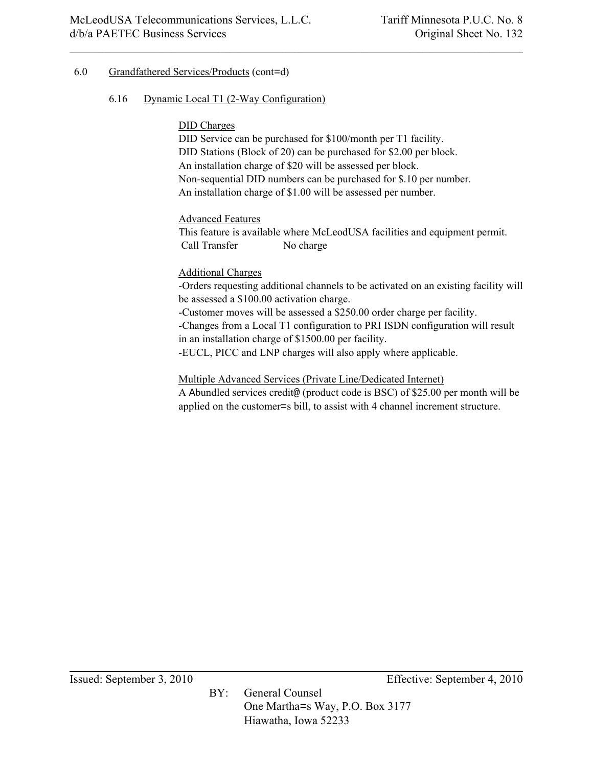## 6.16 Dynamic Local T1 (2-Way Configuration)

## DID Charges

DID Service can be purchased for \$100/month per T1 facility. DID Stations (Block of 20) can be purchased for \$2.00 per block. An installation charge of \$20 will be assessed per block. Non-sequential DID numbers can be purchased for \$.10 per number. An installation charge of \$1.00 will be assessed per number.

 $\mathcal{L}_\mathcal{L} = \{ \mathcal{L}_\mathcal{L} = \{ \mathcal{L}_\mathcal{L} = \{ \mathcal{L}_\mathcal{L} = \{ \mathcal{L}_\mathcal{L} = \{ \mathcal{L}_\mathcal{L} = \{ \mathcal{L}_\mathcal{L} = \{ \mathcal{L}_\mathcal{L} = \{ \mathcal{L}_\mathcal{L} = \{ \mathcal{L}_\mathcal{L} = \{ \mathcal{L}_\mathcal{L} = \{ \mathcal{L}_\mathcal{L} = \{ \mathcal{L}_\mathcal{L} = \{ \mathcal{L}_\mathcal{L} = \{ \mathcal{L}_\mathcal{$ 

## Advanced Features

This feature is available where McLeodUSA facilities and equipment permit. Call Transfer No charge

## Additional Charges

-Orders requesting additional channels to be activated on an existing facility will be assessed a \$100.00 activation charge.

-Customer moves will be assessed a \$250.00 order charge per facility. -Changes from a Local T1 configuration to PRI ISDN configuration will result in an installation charge of \$1500.00 per facility. -EUCL, PICC and LNP charges will also apply where applicable.

Multiple Advanced Services (Private Line/Dedicated Internet)

A Abundled services credit@ (product code is BSC) of \$25.00 per month will be applied on the customer=s bill, to assist with 4 channel increment structure.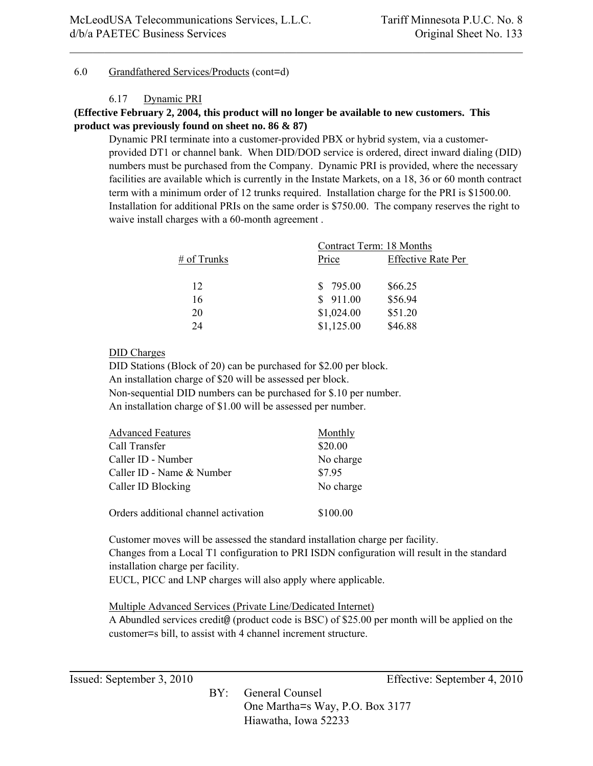#### 6.17 Dynamic PRI

## **(Effective February 2, 2004, this product will no longer be available to new customers. This product was previously found on sheet no. 86 & 87)**

 $\mathcal{L}_\mathcal{L} = \{ \mathcal{L}_\mathcal{L} = \{ \mathcal{L}_\mathcal{L} = \{ \mathcal{L}_\mathcal{L} = \{ \mathcal{L}_\mathcal{L} = \{ \mathcal{L}_\mathcal{L} = \{ \mathcal{L}_\mathcal{L} = \{ \mathcal{L}_\mathcal{L} = \{ \mathcal{L}_\mathcal{L} = \{ \mathcal{L}_\mathcal{L} = \{ \mathcal{L}_\mathcal{L} = \{ \mathcal{L}_\mathcal{L} = \{ \mathcal{L}_\mathcal{L} = \{ \mathcal{L}_\mathcal{L} = \{ \mathcal{L}_\mathcal{$ 

Dynamic PRI terminate into a customer-provided PBX or hybrid system, via a customerprovided DT1 or channel bank. When DID/DOD service is ordered, direct inward dialing (DID) numbers must be purchased from the Company. Dynamic PRI is provided, where the necessary facilities are available which is currently in the Instate Markets, on a 18, 36 or 60 month contract term with a minimum order of 12 trunks required. Installation charge for the PRI is \$1500.00. Installation for additional PRIs on the same order is \$750.00. The company reserves the right to waive install charges with a 60-month agreement .

|             |            | Contract Term: 18 Months  |
|-------------|------------|---------------------------|
| # of Trunks | Price      | <b>Effective Rate Per</b> |
|             |            |                           |
| 12          | \$795.00   | \$66.25                   |
| 16          | \$911.00   | \$56.94                   |
| 20          | \$1,024.00 | \$51.20                   |
| 24          | \$1,125.00 | \$46.88                   |

## DID Charges

DID Stations (Block of 20) can be purchased for \$2.00 per block. An installation charge of \$20 will be assessed per block.

Non-sequential DID numbers can be purchased for \$.10 per number.

An installation charge of \$1.00 will be assessed per number.

| <b>Advanced Features</b>             | Monthly   |
|--------------------------------------|-----------|
| Call Transfer                        | \$20.00   |
| Caller ID - Number                   | No charge |
| Caller ID - Name & Number            | \$7.95    |
| Caller ID Blocking                   | No charge |
| Orders additional channel activation | \$100.00  |

Customer moves will be assessed the standard installation charge per facility. Changes from a Local T1 configuration to PRI ISDN configuration will result in the standard installation charge per facility.

EUCL, PICC and LNP charges will also apply where applicable.

Multiple Advanced Services (Private Line/Dedicated Internet) A Abundled services credit@ (product code is BSC) of \$25.00 per month will be applied on the customer=s bill, to assist with 4 channel increment structure.

Issued: September 3, 2010 Effective: September 4, 2010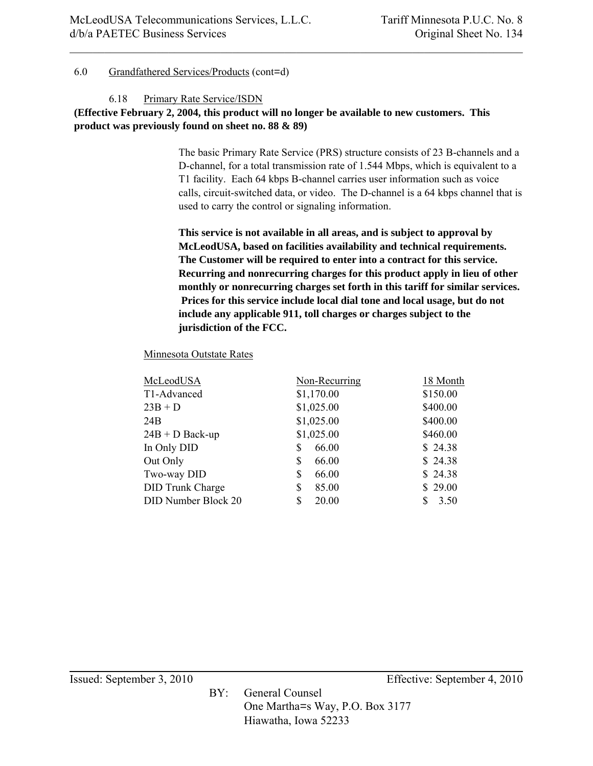#### 6.18 Primary Rate Service/ISDN

# **(Effective February 2, 2004, this product will no longer be available to new customers. This product was previously found on sheet no. 88 & 89)**

 $\mathcal{L}_\mathcal{L} = \{ \mathcal{L}_\mathcal{L} = \{ \mathcal{L}_\mathcal{L} = \{ \mathcal{L}_\mathcal{L} = \{ \mathcal{L}_\mathcal{L} = \{ \mathcal{L}_\mathcal{L} = \{ \mathcal{L}_\mathcal{L} = \{ \mathcal{L}_\mathcal{L} = \{ \mathcal{L}_\mathcal{L} = \{ \mathcal{L}_\mathcal{L} = \{ \mathcal{L}_\mathcal{L} = \{ \mathcal{L}_\mathcal{L} = \{ \mathcal{L}_\mathcal{L} = \{ \mathcal{L}_\mathcal{L} = \{ \mathcal{L}_\mathcal{$ 

The basic Primary Rate Service (PRS) structure consists of 23 B-channels and a D-channel, for a total transmission rate of 1.544 Mbps, which is equivalent to a T1 facility. Each 64 kbps B-channel carries user information such as voice calls, circuit-switched data, or video. The D-channel is a 64 kbps channel that is used to carry the control or signaling information.

**This service is not available in all areas, and is subject to approval by McLeodUSA, based on facilities availability and technical requirements. The Customer will be required to enter into a contract for this service. Recurring and nonrecurring charges for this product apply in lieu of other monthly or nonrecurring charges set forth in this tariff for similar services. Prices for this service include local dial tone and local usage, but do not include any applicable 911, toll charges or charges subject to the jurisdiction of the FCC.** 

#### Minnesota Outstate Rates

| McLeodUSA<br>T1-Advanced<br>$23B + D$ | Non-Recurring<br>\$1,170.00<br>\$1,025.00 | 18 Month<br>\$150.00<br>\$400.00 |
|---------------------------------------|-------------------------------------------|----------------------------------|
| 24B                                   | \$1,025.00                                | \$400.00                         |
| $24B + D$ Back-up                     | \$1,025.00                                | \$460.00                         |
| In Only DID                           | 66.00<br>\$                               | \$24.38                          |
| Out Only                              | \$<br>66.00                               | \$24.38                          |
| Two-way DID                           | \$<br>66.00                               | \$24.38                          |
| <b>DID Trunk Charge</b>               | 85.00<br>\$                               | \$29.00                          |
| DID Number Block 20                   | 20.00<br>\$                               | 3.50                             |

Issued: September 3, 2010 Effective: September 4, 2010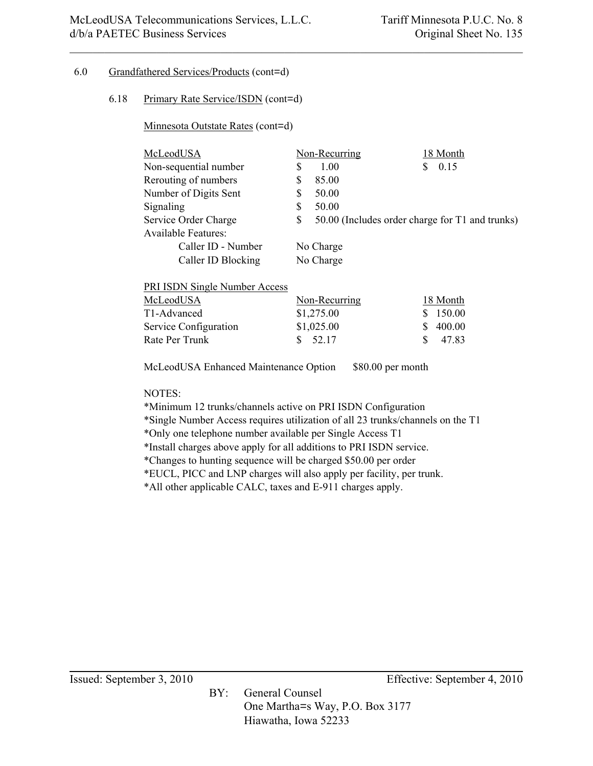6.18 Primary Rate Service/ISDN (cont=d)

Minnesota Outstate Rates (cont=d)

| McLeodUSA                            |   | Non-Recurring                                   | 18 Month    |
|--------------------------------------|---|-------------------------------------------------|-------------|
| Non-sequential number                | S | 1.00                                            | 0.15<br>\$. |
| Rerouting of numbers                 | S | 85.00                                           |             |
| Number of Digits Sent                | S | 50.00                                           |             |
| Signaling                            | S | 50.00                                           |             |
| Service Order Charge                 | S | 50.00 (Includes order charge for T1 and trunks) |             |
| <b>Available Features:</b>           |   |                                                 |             |
| Caller ID - Number                   |   | No Charge                                       |             |
| Caller ID Blocking                   |   | No Charge                                       |             |
|                                      |   |                                                 |             |
| <b>PRI ISDN Single Number Access</b> |   |                                                 |             |

| McLeodUSA             | Non-Recurring | 18 Month   |
|-----------------------|---------------|------------|
| T1-Advanced           | \$1,275.00    | \$150.00   |
| Service Configuration | \$1,025.00    | \$400.00   |
| Rate Per Trunk        | \$ 52.17      | 4783<br>Ж. |

 $\mathcal{L}_\mathcal{L} = \{ \mathcal{L}_\mathcal{L} = \{ \mathcal{L}_\mathcal{L} = \{ \mathcal{L}_\mathcal{L} = \{ \mathcal{L}_\mathcal{L} = \{ \mathcal{L}_\mathcal{L} = \{ \mathcal{L}_\mathcal{L} = \{ \mathcal{L}_\mathcal{L} = \{ \mathcal{L}_\mathcal{L} = \{ \mathcal{L}_\mathcal{L} = \{ \mathcal{L}_\mathcal{L} = \{ \mathcal{L}_\mathcal{L} = \{ \mathcal{L}_\mathcal{L} = \{ \mathcal{L}_\mathcal{L} = \{ \mathcal{L}_\mathcal{$ 

McLeodUSA Enhanced Maintenance Option \$80.00 per month

## NOTES:

\*Minimum 12 trunks/channels active on PRI ISDN Configuration

\*Single Number Access requires utilization of all 23 trunks/channels on the T1

\*Only one telephone number available per Single Access T1

\*Install charges above apply for all additions to PRI ISDN service.

\*Changes to hunting sequence will be charged \$50.00 per order

\*EUCL, PICC and LNP charges will also apply per facility, per trunk.

\*All other applicable CALC, taxes and E-911 charges apply.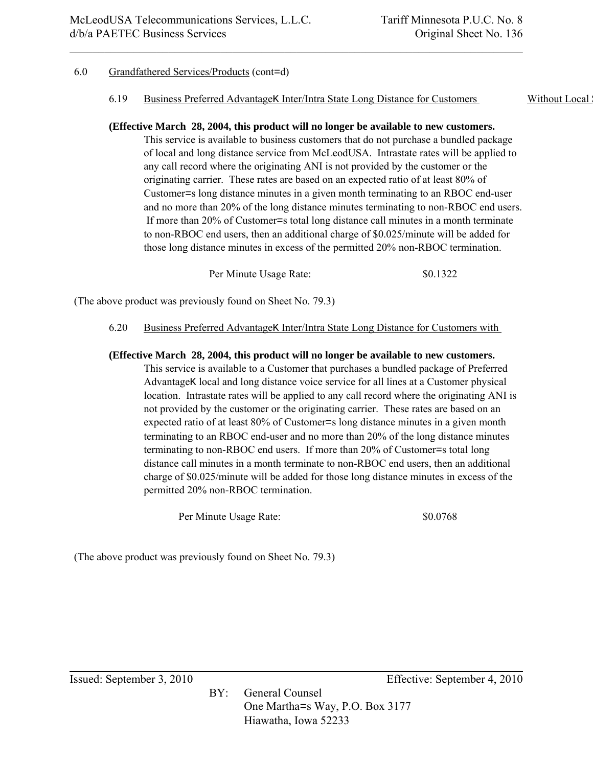#### 6.19 Business Preferred AdvantageK Inter/Intra State Long Distance for Customers Without Local S

 $\mathcal{L}_\mathcal{L} = \{ \mathcal{L}_\mathcal{L} = \{ \mathcal{L}_\mathcal{L} = \{ \mathcal{L}_\mathcal{L} = \{ \mathcal{L}_\mathcal{L} = \{ \mathcal{L}_\mathcal{L} = \{ \mathcal{L}_\mathcal{L} = \{ \mathcal{L}_\mathcal{L} = \{ \mathcal{L}_\mathcal{L} = \{ \mathcal{L}_\mathcal{L} = \{ \mathcal{L}_\mathcal{L} = \{ \mathcal{L}_\mathcal{L} = \{ \mathcal{L}_\mathcal{L} = \{ \mathcal{L}_\mathcal{L} = \{ \mathcal{L}_\mathcal{$ 

#### **(Effective March 28, 2004, this product will no longer be available to new customers.**

This service is available to business customers that do not purchase a bundled package of local and long distance service from McLeodUSA. Intrastate rates will be applied to any call record where the originating ANI is not provided by the customer or the originating carrier. These rates are based on an expected ratio of at least 80% of Customer=s long distance minutes in a given month terminating to an RBOC end-user and no more than 20% of the long distance minutes terminating to non-RBOC end users. If more than 20% of Customer=s total long distance call minutes in a month terminate to non-RBOC end users, then an additional charge of \$0.025/minute will be added for those long distance minutes in excess of the permitted 20% non-RBOC termination.

Per Minute Usage Rate:  $$0.1322$ 

(The above product was previously found on Sheet No. 79.3)

#### 6.20 Business Preferred AdvantageK Inter/Intra State Long Distance for Customers with

#### **(Effective March 28, 2004, this product will no longer be available to new customers.**

This service is available to a Customer that purchases a bundled package of Preferred AdvantageK local and long distance voice service for all lines at a Customer physical location. Intrastate rates will be applied to any call record where the originating ANI is not provided by the customer or the originating carrier. These rates are based on an expected ratio of at least 80% of Customer=s long distance minutes in a given month terminating to an RBOC end-user and no more than 20% of the long distance minutes terminating to non-RBOC end users. If more than 20% of Customer=s total long distance call minutes in a month terminate to non-RBOC end users, then an additional charge of \$0.025/minute will be added for those long distance minutes in excess of the permitted 20% non-RBOC termination.

Per Minute Usage Rate:  $$0.0768$ 

(The above product was previously found on Sheet No. 79.3)

Issued: September 3, 2010 Effective: September 4, 2010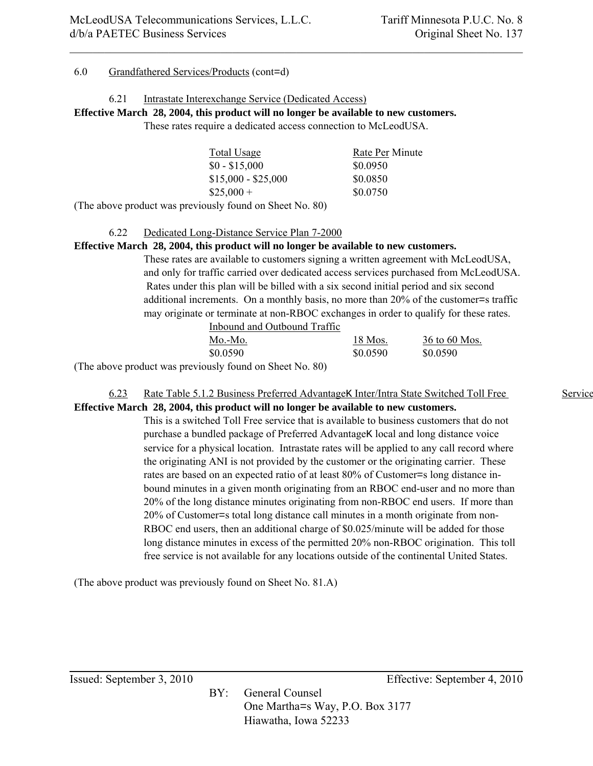#### 6.21 Intrastate Interexchange Service (Dedicated Access)

## **Effective March 28, 2004, this product will no longer be available to new customers.**  These rates require a dedicated access connection to McLeodUSA.

| <b>Total Usage</b>  | Rate Per Minute |
|---------------------|-----------------|
| $$0 - $15,000$      | \$0.0950        |
| $$15,000 - $25,000$ | \$0.0850        |
| $$25,000+$          | \$0.0750        |
|                     |                 |

 $\mathcal{L}_\mathcal{L} = \{ \mathcal{L}_\mathcal{L} = \{ \mathcal{L}_\mathcal{L} = \{ \mathcal{L}_\mathcal{L} = \{ \mathcal{L}_\mathcal{L} = \{ \mathcal{L}_\mathcal{L} = \{ \mathcal{L}_\mathcal{L} = \{ \mathcal{L}_\mathcal{L} = \{ \mathcal{L}_\mathcal{L} = \{ \mathcal{L}_\mathcal{L} = \{ \mathcal{L}_\mathcal{L} = \{ \mathcal{L}_\mathcal{L} = \{ \mathcal{L}_\mathcal{L} = \{ \mathcal{L}_\mathcal{L} = \{ \mathcal{L}_\mathcal{$ 

(The above product was previously found on Sheet No. 80)

6.22 Dedicated Long-Distance Service Plan 7-2000

#### **Effective March 28, 2004, this product will no longer be available to new customers.**

These rates are available to customers signing a written agreement with McLeodUSA, and only for traffic carried over dedicated access services purchased from McLeodUSA. Rates under this plan will be billed with a six second initial period and six second additional increments. On a monthly basis, no more than 20% of the customer=s traffic may originate or terminate at non-RBOC exchanges in order to qualify for these rates.

| Inbound and Outbound Traffic |          |               |
|------------------------------|----------|---------------|
| $Mo.-Mo.$                    | 18 Mos.  | 36 to 60 Mos. |
| \$0.0590                     | \$0.0590 | \$0.0590      |

(The above product was previously found on Sheet No. 80)

## 6.23 Rate Table 5.1.2 Business Preferred AdvantageK Inter/Intra State Switched Toll Free Service **Effective March 28, 2004, this product will no longer be available to new customers.**

This is a switched Toll Free service that is available to business customers that do not purchase a bundled package of Preferred AdvantageK local and long distance voice service for a physical location. Intrastate rates will be applied to any call record where the originating ANI is not provided by the customer or the originating carrier. These rates are based on an expected ratio of at least 80% of Customer=s long distance inbound minutes in a given month originating from an RBOC end-user and no more than 20% of the long distance minutes originating from non-RBOC end users. If more than 20% of Customer=s total long distance call minutes in a month originate from non-RBOC end users, then an additional charge of \$0.025/minute will be added for those long distance minutes in excess of the permitted 20% non-RBOC origination. This toll free service is not available for any locations outside of the continental United States.

(The above product was previously found on Sheet No. 81.A)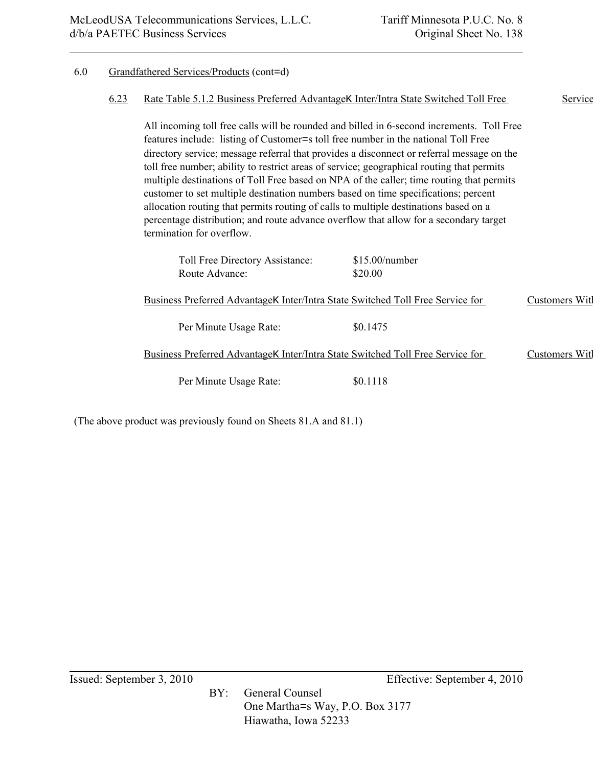# 6.0 Grandfathered Services/Products (cont=d) 6.23 Rate Table 5.1.2 Business Preferred AdvantageK Inter/Intra State Switched Toll Free Service All incoming toll free calls will be rounded and billed in 6-second increments. Toll Free features include: listing of Customer=s toll free number in the national Toll Free directory service; message referral that provides a disconnect or referral message on the toll free number; ability to restrict areas of service; geographical routing that permits multiple destinations of Toll Free based on NPA of the caller; time routing that permits customer to set multiple destination numbers based on time specifications; percent allocation routing that permits routing of calls to multiple destinations based on a percentage distribution; and route advance overflow that allow for a secondary target termination for overflow. Toll Free Directory Assistance: \$15.00/number Route Advance:  $$20.00$ Business Preferred AdvantageK Inter/Intra State Switched Toll Free Service for Customers Wit Per Minute Usage Rate:  $$0.1475$ Business Preferred AdvantageK Inter/Intra State Switched Toll Free Service for Customers Wit Per Minute Usage Rate:  $$0.1118$

 $\mathcal{L}_\mathcal{L} = \{ \mathcal{L}_\mathcal{L} = \{ \mathcal{L}_\mathcal{L} = \{ \mathcal{L}_\mathcal{L} = \{ \mathcal{L}_\mathcal{L} = \{ \mathcal{L}_\mathcal{L} = \{ \mathcal{L}_\mathcal{L} = \{ \mathcal{L}_\mathcal{L} = \{ \mathcal{L}_\mathcal{L} = \{ \mathcal{L}_\mathcal{L} = \{ \mathcal{L}_\mathcal{L} = \{ \mathcal{L}_\mathcal{L} = \{ \mathcal{L}_\mathcal{L} = \{ \mathcal{L}_\mathcal{L} = \{ \mathcal{L}_\mathcal{$ 

(The above product was previously found on Sheets 81.A and 81.1)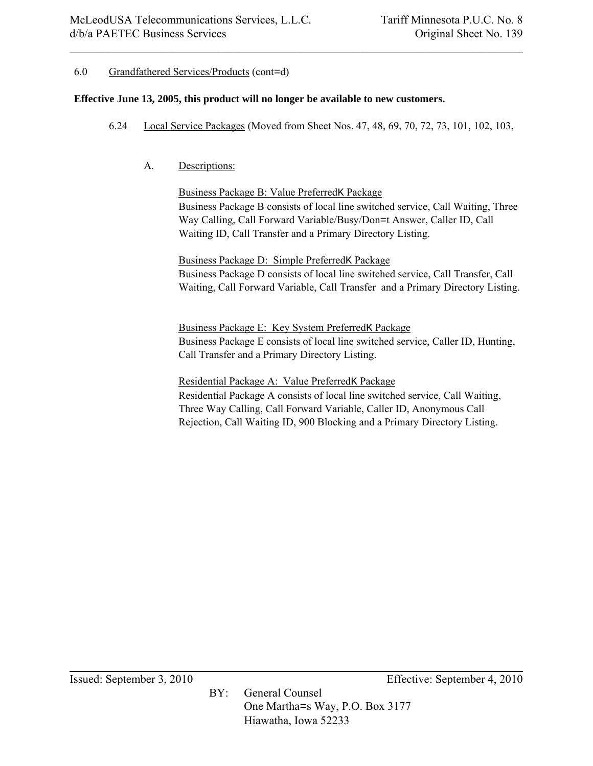# **Effective June 13, 2005, this product will no longer be available to new customers.**

6.24 Local Service Packages (Moved from Sheet Nos. 47, 48, 69, 70, 72, 73, 101, 102, 103,

 $\mathcal{L}_\mathcal{L} = \{ \mathcal{L}_\mathcal{L} = \{ \mathcal{L}_\mathcal{L} = \{ \mathcal{L}_\mathcal{L} = \{ \mathcal{L}_\mathcal{L} = \{ \mathcal{L}_\mathcal{L} = \{ \mathcal{L}_\mathcal{L} = \{ \mathcal{L}_\mathcal{L} = \{ \mathcal{L}_\mathcal{L} = \{ \mathcal{L}_\mathcal{L} = \{ \mathcal{L}_\mathcal{L} = \{ \mathcal{L}_\mathcal{L} = \{ \mathcal{L}_\mathcal{L} = \{ \mathcal{L}_\mathcal{L} = \{ \mathcal{L}_\mathcal{$ 

A. Descriptions:

Business Package B: Value PreferredK Package Business Package B consists of local line switched service, Call Waiting, Three Way Calling, Call Forward Variable/Busy/Don=t Answer, Caller ID, Call Waiting ID, Call Transfer and a Primary Directory Listing.

Business Package D: Simple PreferredK Package Business Package D consists of local line switched service, Call Transfer, Call Waiting, Call Forward Variable, Call Transfer and a Primary Directory Listing.

Business Package E: Key System PreferredK Package Business Package E consists of local line switched service, Caller ID, Hunting, Call Transfer and a Primary Directory Listing.

Residential Package A: Value PreferredK Package Residential Package A consists of local line switched service, Call Waiting, Three Way Calling, Call Forward Variable, Caller ID, Anonymous Call Rejection, Call Waiting ID, 900 Blocking and a Primary Directory Listing.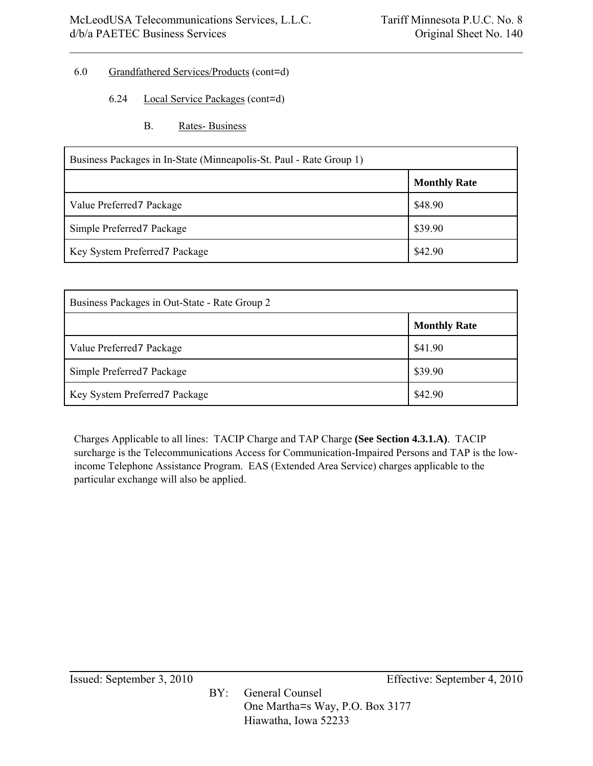- 6.24 Local Service Packages (cont=d)
	- B. Rates-Business

| Business Packages in In-State (Minneapolis-St. Paul - Rate Group 1) |                     |
|---------------------------------------------------------------------|---------------------|
|                                                                     | <b>Monthly Rate</b> |
| Value Preferred <sub>7</sub> Package                                | \$48.90             |
| Simple Preferred <sub>7</sub> Package                               | \$39.90             |
| Key System Preferred7 Package                                       | \$42.90             |

 $\mathcal{L}_\mathcal{L} = \{ \mathcal{L}_\mathcal{L} = \{ \mathcal{L}_\mathcal{L} = \{ \mathcal{L}_\mathcal{L} = \{ \mathcal{L}_\mathcal{L} = \{ \mathcal{L}_\mathcal{L} = \{ \mathcal{L}_\mathcal{L} = \{ \mathcal{L}_\mathcal{L} = \{ \mathcal{L}_\mathcal{L} = \{ \mathcal{L}_\mathcal{L} = \{ \mathcal{L}_\mathcal{L} = \{ \mathcal{L}_\mathcal{L} = \{ \mathcal{L}_\mathcal{L} = \{ \mathcal{L}_\mathcal{L} = \{ \mathcal{L}_\mathcal{$ 

| Business Packages in Out-State - Rate Group 2 |                     |
|-----------------------------------------------|---------------------|
|                                               | <b>Monthly Rate</b> |
| Value Preferred <sub>7</sub> Package          | \$41.90             |
| Simple Preferred <sub>7</sub> Package         | \$39.90             |
| Key System Preferred7 Package                 | \$42.90             |

Charges Applicable to all lines: TACIP Charge and TAP Charge **(See Section 4.3.1.A)**. TACIP surcharge is the Telecommunications Access for Communication-Impaired Persons and TAP is the lowincome Telephone Assistance Program. EAS (Extended Area Service) charges applicable to the particular exchange will also be applied.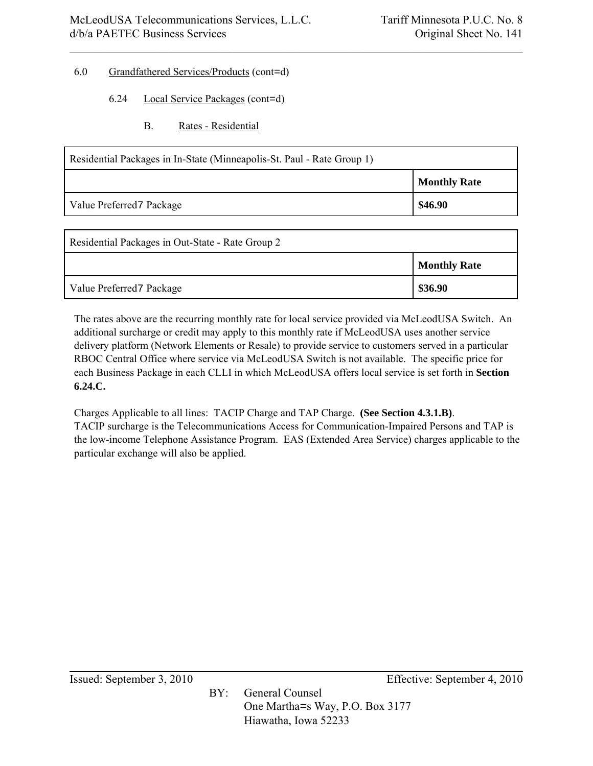- 6.24 Local Service Packages (cont=d)
	- B. Rates Residential

| Residential Packages in In-State (Minneapolis-St. Paul - Rate Group 1) |                     |
|------------------------------------------------------------------------|---------------------|
|                                                                        | <b>Monthly Rate</b> |
| Value Preferred7 Package                                               | \$46.90             |

 $\mathcal{L}_\mathcal{L} = \{ \mathcal{L}_\mathcal{L} = \{ \mathcal{L}_\mathcal{L} = \{ \mathcal{L}_\mathcal{L} = \{ \mathcal{L}_\mathcal{L} = \{ \mathcal{L}_\mathcal{L} = \{ \mathcal{L}_\mathcal{L} = \{ \mathcal{L}_\mathcal{L} = \{ \mathcal{L}_\mathcal{L} = \{ \mathcal{L}_\mathcal{L} = \{ \mathcal{L}_\mathcal{L} = \{ \mathcal{L}_\mathcal{L} = \{ \mathcal{L}_\mathcal{L} = \{ \mathcal{L}_\mathcal{L} = \{ \mathcal{L}_\mathcal{$ 

| Residential Packages in Out-State - Rate Group 2 |                     |
|--------------------------------------------------|---------------------|
|                                                  | <b>Monthly Rate</b> |
| Value Preferred7 Package                         | \$36.90             |

The rates above are the recurring monthly rate for local service provided via McLeodUSA Switch. An additional surcharge or credit may apply to this monthly rate if McLeodUSA uses another service delivery platform (Network Elements or Resale) to provide service to customers served in a particular RBOC Central Office where service via McLeodUSA Switch is not available. The specific price for each Business Package in each CLLI in which McLeodUSA offers local service is set forth in **Section 6.24.C.**

Charges Applicable to all lines: TACIP Charge and TAP Charge. **(See Section 4.3.1.B)**. TACIP surcharge is the Telecommunications Access for Communication-Impaired Persons and TAP is the low-income Telephone Assistance Program. EAS (Extended Area Service) charges applicable to the particular exchange will also be applied.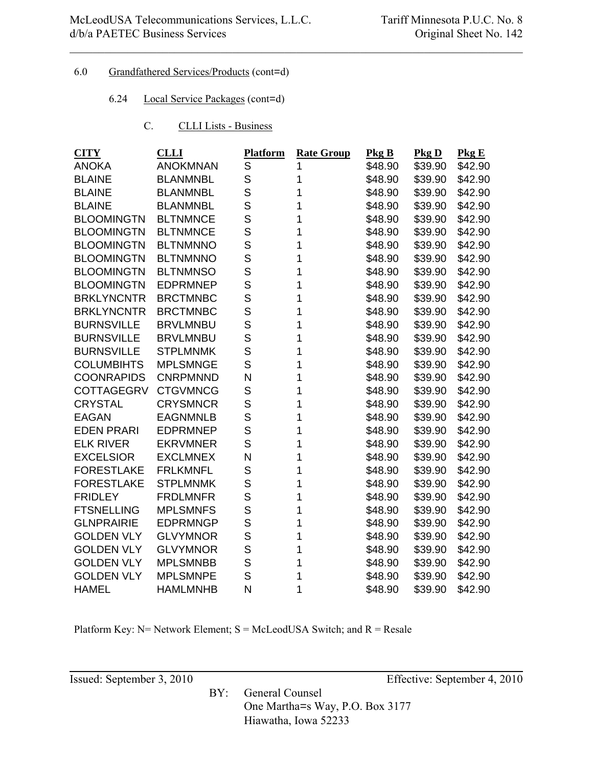- 6.24 Local Service Packages (cont=d)
	- C. CLLI Lists Business

| <b>CITY</b>       | <b>CLLI</b>     | <b>Platform</b> | <b>Rate Group</b> | Pkg B   | Pkg D   | $P$ kg E |
|-------------------|-----------------|-----------------|-------------------|---------|---------|----------|
| <b>ANOKA</b>      | <b>ANOKMNAN</b> | S               | 1                 | \$48.90 | \$39.90 | \$42.90  |
| <b>BLAINE</b>     | <b>BLANMNBL</b> | S               | 1                 | \$48.90 | \$39.90 | \$42.90  |
| <b>BLAINE</b>     | <b>BLANMNBL</b> | S               | 1                 | \$48.90 | \$39.90 | \$42.90  |
| <b>BLAINE</b>     | <b>BLANMNBL</b> | S               | 1                 | \$48.90 | \$39.90 | \$42.90  |
| <b>BLOOMINGTN</b> | <b>BLTNMNCE</b> | S               | 1                 | \$48.90 | \$39.90 | \$42.90  |
| <b>BLOOMINGTN</b> | <b>BLTNMNCE</b> | S               | 1                 | \$48.90 | \$39.90 | \$42.90  |
| <b>BLOOMINGTN</b> | <b>BLTNMNNO</b> | S               | 1                 | \$48.90 | \$39.90 | \$42.90  |
| <b>BLOOMINGTN</b> | <b>BLTNMNNO</b> | S               | 1                 | \$48.90 | \$39.90 | \$42.90  |
| <b>BLOOMINGTN</b> | <b>BLTNMNSO</b> | S               | 1                 | \$48.90 | \$39.90 | \$42.90  |
| <b>BLOOMINGTN</b> | <b>EDPRMNEP</b> | S               | 1                 | \$48.90 | \$39.90 | \$42.90  |
| <b>BRKLYNCNTR</b> | <b>BRCTMNBC</b> | S               | 1                 | \$48.90 | \$39.90 | \$42.90  |
| <b>BRKLYNCNTR</b> | <b>BRCTMNBC</b> | S               | 1                 | \$48.90 | \$39.90 | \$42.90  |
| <b>BURNSVILLE</b> | <b>BRVLMNBU</b> | S               | 1                 | \$48.90 | \$39.90 | \$42.90  |
| <b>BURNSVILLE</b> | <b>BRVLMNBU</b> | S               | 1                 | \$48.90 | \$39.90 | \$42.90  |
| <b>BURNSVILLE</b> | <b>STPLMNMK</b> | S               | 1                 | \$48.90 | \$39.90 | \$42.90  |
| <b>COLUMBIHTS</b> | <b>MPLSMNGE</b> | S               | 1                 | \$48.90 | \$39.90 | \$42.90  |
| <b>COONRAPIDS</b> | <b>CNRPMNND</b> | N               | 1                 | \$48.90 | \$39.90 | \$42.90  |
| <b>COTTAGEGRV</b> | <b>CTGVMNCG</b> | S               | 1                 | \$48.90 | \$39.90 | \$42.90  |
| <b>CRYSTAL</b>    | <b>CRYSMNCR</b> | S               | 1                 | \$48.90 | \$39.90 | \$42.90  |
| <b>EAGAN</b>      | <b>EAGNMNLB</b> | S               | 1                 | \$48.90 | \$39.90 | \$42.90  |
| <b>EDEN PRARI</b> | <b>EDPRMNEP</b> | S               | 1                 | \$48.90 | \$39.90 | \$42.90  |
| <b>ELK RIVER</b>  | <b>EKRVMNER</b> | S               | 1                 | \$48.90 | \$39.90 | \$42.90  |
| <b>EXCELSIOR</b>  | <b>EXCLMNEX</b> | N               | 1                 | \$48.90 | \$39.90 | \$42.90  |
| <b>FORESTLAKE</b> | <b>FRLKMNFL</b> | S               | 1                 | \$48.90 | \$39.90 | \$42.90  |
| <b>FORESTLAKE</b> | <b>STPLMNMK</b> | S               | 1                 | \$48.90 | \$39.90 | \$42.90  |
| <b>FRIDLEY</b>    | <b>FRDLMNFR</b> | S               | 1                 | \$48.90 | \$39.90 | \$42.90  |
| <b>FTSNELLING</b> | <b>MPLSMNFS</b> | S               | 1                 | \$48.90 | \$39.90 | \$42.90  |
| <b>GLNPRAIRIE</b> | <b>EDPRMNGP</b> | S               | 1                 | \$48.90 | \$39.90 | \$42.90  |
| <b>GOLDEN VLY</b> | <b>GLVYMNOR</b> | S               | 1                 | \$48.90 | \$39.90 | \$42.90  |
| <b>GOLDEN VLY</b> | <b>GLVYMNOR</b> | S               | 1                 | \$48.90 | \$39.90 | \$42.90  |
| <b>GOLDEN VLY</b> | <b>MPLSMNBB</b> | S               | 1                 | \$48.90 | \$39.90 | \$42.90  |
| <b>GOLDEN VLY</b> | <b>MPLSMNPE</b> | S               |                   | \$48.90 | \$39.90 | \$42.90  |
| <b>HAMEL</b>      | <b>HAMLMNHB</b> | N               | 1                 | \$48.90 | \$39.90 | \$42.90  |

 $\mathcal{L}_\mathcal{L} = \{ \mathcal{L}_\mathcal{L} = \{ \mathcal{L}_\mathcal{L} = \{ \mathcal{L}_\mathcal{L} = \{ \mathcal{L}_\mathcal{L} = \{ \mathcal{L}_\mathcal{L} = \{ \mathcal{L}_\mathcal{L} = \{ \mathcal{L}_\mathcal{L} = \{ \mathcal{L}_\mathcal{L} = \{ \mathcal{L}_\mathcal{L} = \{ \mathcal{L}_\mathcal{L} = \{ \mathcal{L}_\mathcal{L} = \{ \mathcal{L}_\mathcal{L} = \{ \mathcal{L}_\mathcal{L} = \{ \mathcal{L}_\mathcal{$ 

Platform Key: N= Network Element;  $S = McLeodUSA$  Switch; and  $R = Resale$ 

Issued: September 3, 2010 Effective: September 4, 2010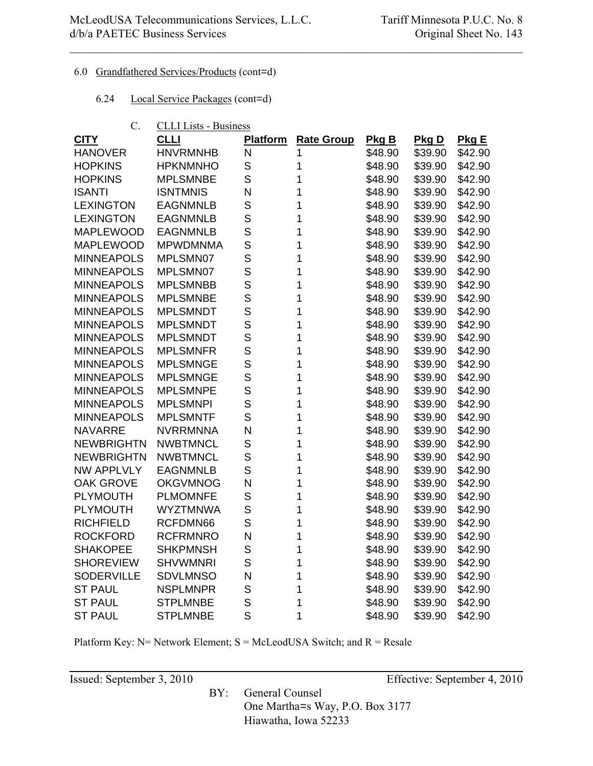6.24 Local Service Packages (cont=d)

| C.                | <b>CLLI Lists - Business</b> |                 |                   |         |              |              |
|-------------------|------------------------------|-----------------|-------------------|---------|--------------|--------------|
| <b>CITY</b>       | <b>CLLI</b>                  | <b>Platform</b> | <b>Rate Group</b> | Pkg B   | <b>Pkg D</b> | <b>Pkg E</b> |
| <b>HANOVER</b>    | <b>HNVRMNHB</b>              | N               | 1                 | \$48.90 | \$39.90      | \$42.90      |
| <b>HOPKINS</b>    | <b>HPKNMNHO</b>              | S               | 1                 | \$48.90 | \$39.90      | \$42.90      |
| <b>HOPKINS</b>    | <b>MPLSMNBE</b>              | S               | 1                 | \$48.90 | \$39.90      | \$42.90      |
| <b>ISANTI</b>     | <b>ISNTMNIS</b>              | N               | 1                 | \$48.90 | \$39.90      | \$42.90      |
| <b>LEXINGTON</b>  | <b>EAGNMNLB</b>              | S               | 1                 | \$48.90 | \$39.90      | \$42.90      |
| <b>LEXINGTON</b>  | <b>EAGNMNLB</b>              | S               | 1                 | \$48.90 | \$39.90      | \$42.90      |
| <b>MAPLEWOOD</b>  | <b>EAGNMNLB</b>              | S               | 1                 | \$48.90 | \$39.90      | \$42.90      |
| <b>MAPLEWOOD</b>  | <b>MPWDMNMA</b>              | S               | 1                 | \$48.90 | \$39.90      | \$42.90      |
| <b>MINNEAPOLS</b> | MPLSMN07                     | S               | 1                 | \$48.90 | \$39.90      | \$42.90      |
| <b>MINNEAPOLS</b> | MPLSMN07                     | S               | 1                 | \$48.90 | \$39.90      | \$42.90      |
| <b>MINNEAPOLS</b> | <b>MPLSMNBB</b>              | S               | 1                 | \$48.90 | \$39.90      | \$42.90      |
| <b>MINNEAPOLS</b> | <b>MPLSMNBE</b>              | S               | 1                 | \$48.90 | \$39.90      | \$42.90      |
| <b>MINNEAPOLS</b> | <b>MPLSMNDT</b>              | S               | 1                 | \$48.90 | \$39.90      | \$42.90      |
| <b>MINNEAPOLS</b> | <b>MPLSMNDT</b>              | S               | 1                 | \$48.90 | \$39.90      | \$42.90      |
| <b>MINNEAPOLS</b> | <b>MPLSMNDT</b>              | S               | 1                 | \$48.90 | \$39.90      | \$42.90      |
| <b>MINNEAPOLS</b> | <b>MPLSMNFR</b>              | S               | 1                 | \$48.90 | \$39.90      | \$42.90      |
| <b>MINNEAPOLS</b> | <b>MPLSMNGE</b>              | S               | 1                 | \$48.90 | \$39.90      | \$42.90      |
| <b>MINNEAPOLS</b> | <b>MPLSMNGE</b>              | S               | 1                 | \$48.90 | \$39.90      | \$42.90      |
| <b>MINNEAPOLS</b> | <b>MPLSMNPE</b>              | S               | 1                 | \$48.90 | \$39.90      | \$42.90      |
| <b>MINNEAPOLS</b> | <b>MPLSMNPI</b>              | S               | 1                 | \$48.90 | \$39.90      | \$42.90      |
| <b>MINNEAPOLS</b> | <b>MPLSMNTF</b>              | S               | 1                 | \$48.90 | \$39.90      | \$42.90      |
| <b>NAVARRE</b>    | <b>NVRRMNNA</b>              | N               | 1                 | \$48.90 | \$39.90      | \$42.90      |
| <b>NEWBRIGHTN</b> | <b>NWBTMNCL</b>              | S               | 1                 | \$48.90 | \$39.90      | \$42.90      |
| <b>NEWBRIGHTN</b> | <b>NWBTMNCL</b>              | S               | 1                 | \$48.90 | \$39.90      | \$42.90      |
| <b>NW APPLVLY</b> | <b>EAGNMNLB</b>              | S               | 1                 | \$48.90 | \$39.90      | \$42.90      |
| <b>OAK GROVE</b>  | <b>OKGVMNOG</b>              | N               | 1                 | \$48.90 | \$39.90      | \$42.90      |
| <b>PLYMOUTH</b>   | <b>PLMOMNFE</b>              | S               | 1                 | \$48.90 | \$39.90      | \$42.90      |
| <b>PLYMOUTH</b>   | <b>WYZTMNWA</b>              | S               | 1                 | \$48.90 | \$39.90      | \$42.90      |
| <b>RICHFIELD</b>  | RCFDMN66                     | S               | 1                 | \$48.90 | \$39.90      | \$42.90      |
| <b>ROCKFORD</b>   | <b>RCFRMNRO</b>              | N               | 1                 | \$48.90 | \$39.90      | \$42.90      |
| <b>SHAKOPEE</b>   | <b>SHKPMNSH</b>              | S               | 1                 | \$48.90 | \$39.90      | \$42.90      |
| <b>SHOREVIEW</b>  | <b>SHVWMNRI</b>              | S               | 1                 | \$48.90 | \$39.90      | \$42.90      |
| <b>SODERVILLE</b> | <b>SDVLMNSO</b>              | N               | 1                 | \$48.90 | \$39.90      | \$42.90      |
| <b>ST PAUL</b>    | <b>NSPLMNPR</b>              | S               | 1                 | \$48.90 | \$39.90      | \$42.90      |
| <b>ST PAUL</b>    | <b>STPLMNBE</b>              | S               | 1                 | \$48.90 | \$39.90      | \$42.90      |
| <b>ST PAUL</b>    | <b>STPLMNBE</b>              | S               | 1                 | \$48.90 | \$39.90      | \$42.90      |

 $\mathcal{L}_\mathcal{L} = \{ \mathcal{L}_\mathcal{L} = \{ \mathcal{L}_\mathcal{L} = \{ \mathcal{L}_\mathcal{L} = \{ \mathcal{L}_\mathcal{L} = \{ \mathcal{L}_\mathcal{L} = \{ \mathcal{L}_\mathcal{L} = \{ \mathcal{L}_\mathcal{L} = \{ \mathcal{L}_\mathcal{L} = \{ \mathcal{L}_\mathcal{L} = \{ \mathcal{L}_\mathcal{L} = \{ \mathcal{L}_\mathcal{L} = \{ \mathcal{L}_\mathcal{L} = \{ \mathcal{L}_\mathcal{L} = \{ \mathcal{L}_\mathcal{$ 

Platform Key: N= Network Element;  $S = McLeodUSA$  Switch; and  $R = Resale$ 

Issued: September 3, 2010 Effective: September 4, 2010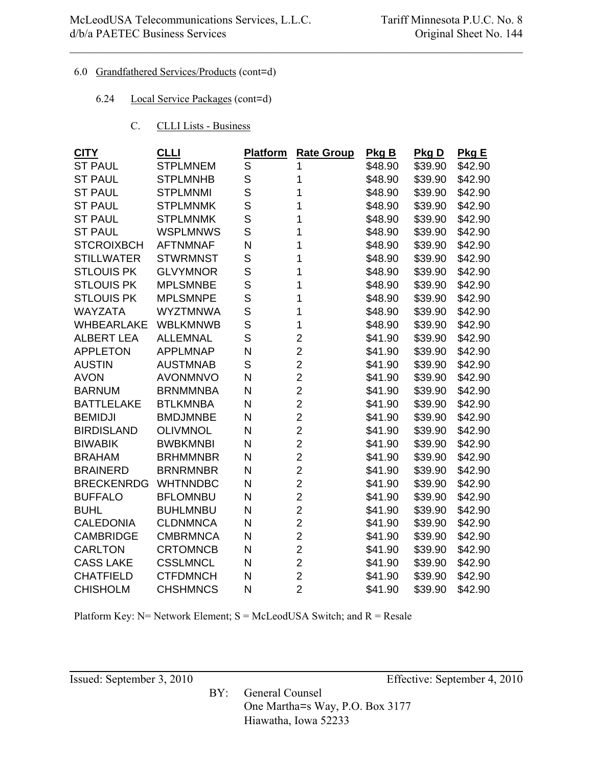- 6.24 Local Service Packages (cont=d)
	- C. CLLI Lists Business

| <b>CITY</b>       | <u>CLLI</u>     | <b>Platform</b> | <b>Rate Group</b> | Pkg B   | <b>Pkg D</b> | <b>Pkg E</b> |
|-------------------|-----------------|-----------------|-------------------|---------|--------------|--------------|
| <b>ST PAUL</b>    | <b>STPLMNEM</b> | S               | 1                 | \$48.90 | \$39.90      | \$42.90      |
| <b>ST PAUL</b>    | <b>STPLMNHB</b> | S               | 1                 | \$48.90 | \$39.90      | \$42.90      |
| <b>ST PAUL</b>    | <b>STPLMNMI</b> | S               | 1                 | \$48.90 | \$39.90      | \$42.90      |
| <b>ST PAUL</b>    | <b>STPLMNMK</b> | S               | 1                 | \$48.90 | \$39.90      | \$42.90      |
| <b>ST PAUL</b>    | <b>STPLMNMK</b> | S               | 1                 | \$48.90 | \$39.90      | \$42.90      |
| <b>ST PAUL</b>    | <b>WSPLMNWS</b> | S               | 1                 | \$48.90 | \$39.90      | \$42.90      |
| <b>STCROIXBCH</b> | <b>AFTNMNAF</b> | N               | 1                 | \$48.90 | \$39.90      | \$42.90      |
| <b>STILLWATER</b> | <b>STWRMNST</b> | S               | 1                 | \$48.90 | \$39.90      | \$42.90      |
| <b>STLOUIS PK</b> | <b>GLVYMNOR</b> | S               | 1                 | \$48.90 | \$39.90      | \$42.90      |
| <b>STLOUIS PK</b> | <b>MPLSMNBE</b> | S               | 1                 | \$48.90 | \$39.90      | \$42.90      |
| <b>STLOUIS PK</b> | <b>MPLSMNPE</b> | S               | 1                 | \$48.90 | \$39.90      | \$42.90      |
| <b>WAYZATA</b>    | <b>WYZTMNWA</b> | S               | 1                 | \$48.90 | \$39.90      | \$42.90      |
| <b>WHBEARLAKE</b> | <b>WBLKMNWB</b> | S               | 1                 | \$48.90 | \$39.90      | \$42.90      |
| <b>ALBERT LEA</b> | <b>ALLEMNAL</b> | S               | $\overline{2}$    | \$41.90 | \$39.90      | \$42.90      |
| <b>APPLETON</b>   | <b>APPLMNAP</b> | N               | $\overline{c}$    | \$41.90 | \$39.90      | \$42.90      |
| <b>AUSTIN</b>     | <b>AUSTMNAB</b> | S               | $\overline{2}$    | \$41.90 | \$39.90      | \$42.90      |
| <b>AVON</b>       | <b>AVONMNVO</b> | N               | $\overline{2}$    | \$41.90 | \$39.90      | \$42.90      |
| <b>BARNUM</b>     | <b>BRNMMNBA</b> | N               | $\overline{2}$    | \$41.90 | \$39.90      | \$42.90      |
| <b>BATTLELAKE</b> | <b>BTLKMNBA</b> | N               | $\overline{2}$    | \$41.90 | \$39.90      | \$42.90      |
| <b>BEMIDJI</b>    | <b>BMDJMNBE</b> | N               | $\overline{2}$    | \$41.90 | \$39.90      | \$42.90      |
| <b>BIRDISLAND</b> | <b>OLIVMNOL</b> | N               | $\overline{2}$    | \$41.90 | \$39.90      | \$42.90      |
| <b>BIWABIK</b>    | <b>BWBKMNBI</b> | N               | $\overline{2}$    | \$41.90 | \$39.90      | \$42.90      |
| <b>BRAHAM</b>     | <b>BRHMMNBR</b> | N               | $\overline{2}$    | \$41.90 | \$39.90      | \$42.90      |
| <b>BRAINERD</b>   | <b>BRNRMNBR</b> | N               | $\overline{2}$    | \$41.90 | \$39.90      | \$42.90      |
| <b>BRECKENRDG</b> | <b>WHTNNDBC</b> | N               | $\overline{c}$    | \$41.90 | \$39.90      | \$42.90      |
| <b>BUFFALO</b>    | <b>BFLOMNBU</b> | N               | $\overline{2}$    | \$41.90 | \$39.90      | \$42.90      |
| <b>BUHL</b>       | <b>BUHLMNBU</b> | N               | $\overline{2}$    | \$41.90 | \$39.90      | \$42.90      |
| <b>CALEDONIA</b>  | <b>CLDNMNCA</b> | N               | $\overline{c}$    | \$41.90 | \$39.90      | \$42.90      |
| <b>CAMBRIDGE</b>  | <b>CMBRMNCA</b> | N               | $\overline{2}$    | \$41.90 | \$39.90      | \$42.90      |
| <b>CARLTON</b>    | <b>CRTOMNCB</b> | N               | $\overline{2}$    | \$41.90 | \$39.90      | \$42.90      |
| <b>CASS LAKE</b>  | <b>CSSLMNCL</b> | N               | $\overline{2}$    | \$41.90 | \$39.90      | \$42.90      |
| <b>CHATFIELD</b>  | <b>CTFDMNCH</b> | N               | $\overline{2}$    | \$41.90 | \$39.90      | \$42.90      |
| <b>CHISHOLM</b>   | <b>CHSHMNCS</b> | N               | $\overline{2}$    | \$41.90 | \$39.90      | \$42.90      |

 $\mathcal{L}_\mathcal{L} = \{ \mathcal{L}_\mathcal{L} = \{ \mathcal{L}_\mathcal{L} = \{ \mathcal{L}_\mathcal{L} = \{ \mathcal{L}_\mathcal{L} = \{ \mathcal{L}_\mathcal{L} = \{ \mathcal{L}_\mathcal{L} = \{ \mathcal{L}_\mathcal{L} = \{ \mathcal{L}_\mathcal{L} = \{ \mathcal{L}_\mathcal{L} = \{ \mathcal{L}_\mathcal{L} = \{ \mathcal{L}_\mathcal{L} = \{ \mathcal{L}_\mathcal{L} = \{ \mathcal{L}_\mathcal{L} = \{ \mathcal{L}_\mathcal{$ 

Platform Key:  $N=$  Network Element;  $S =$  McLeodUSA Switch; and  $R =$  Resale

Issued: September 3, 2010 Effective: September 4, 2010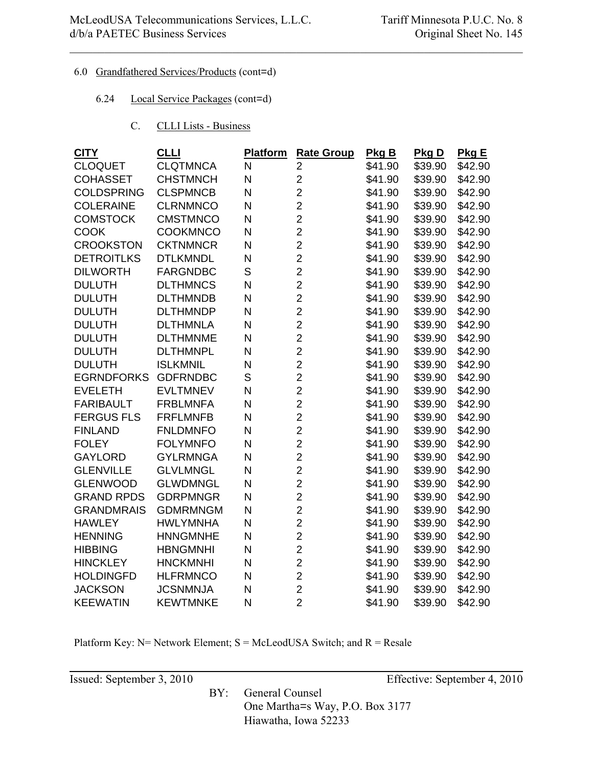- 6.24 Local Service Packages (cont=d)
	- C. CLLI Lists Business

| <b>CITY</b>       | <u>CLLI</u>     | <b>Platform</b> | <b>Rate Group</b>       | <b>Pkg B</b> | <b>Pkg D</b> | <b>Pkg E</b> |
|-------------------|-----------------|-----------------|-------------------------|--------------|--------------|--------------|
| <b>CLOQUET</b>    | <b>CLQTMNCA</b> | N               | $\overline{2}$          | \$41.90      | \$39.90      | \$42.90      |
| <b>COHASSET</b>   | <b>CHSTMNCH</b> | N               | $\overline{c}$          | \$41.90      | \$39.90      | \$42.90      |
| <b>COLDSPRING</b> | <b>CLSPMNCB</b> | N               | $\overline{2}$          | \$41.90      | \$39.90      | \$42.90      |
| <b>COLERAINE</b>  | <b>CLRNMNCO</b> | N               | $\overline{2}$          | \$41.90      | \$39.90      | \$42.90      |
| <b>COMSTOCK</b>   | <b>CMSTMNCO</b> | N               | $\overline{2}$          | \$41.90      | \$39.90      | \$42.90      |
| <b>COOK</b>       | <b>COOKMNCO</b> | N               | $\overline{2}$          | \$41.90      | \$39.90      | \$42.90      |
| <b>CROOKSTON</b>  | <b>CKTNMNCR</b> | N               | $\overline{2}$          | \$41.90      | \$39.90      | \$42.90      |
| <b>DETROITLKS</b> | <b>DTLKMNDL</b> | N               | $\overline{2}$          | \$41.90      | \$39.90      | \$42.90      |
| <b>DILWORTH</b>   | <b>FARGNDBC</b> | S               | $\overline{2}$          | \$41.90      | \$39.90      | \$42.90      |
| <b>DULUTH</b>     | <b>DLTHMNCS</b> | N               | $\overline{2}$          | \$41.90      | \$39.90      | \$42.90      |
| <b>DULUTH</b>     | <b>DLTHMNDB</b> | N               | $\overline{2}$          | \$41.90      | \$39.90      | \$42.90      |
| <b>DULUTH</b>     | <b>DLTHMNDP</b> | N               | $\overline{2}$          | \$41.90      | \$39.90      | \$42.90      |
| <b>DULUTH</b>     | <b>DLTHMNLA</b> | N               | $\overline{2}$          | \$41.90      | \$39.90      | \$42.90      |
| <b>DULUTH</b>     | <b>DLTHMNME</b> | N               | $\overline{2}$          | \$41.90      | \$39.90      | \$42.90      |
| <b>DULUTH</b>     | <b>DLTHMNPL</b> | N               | $\overline{2}$          | \$41.90      | \$39.90      | \$42.90      |
| <b>DULUTH</b>     | <b>ISLKMNIL</b> | N               | $\overline{c}$          | \$41.90      | \$39.90      | \$42.90      |
| <b>EGRNDFORKS</b> | <b>GDFRNDBC</b> | S               | $\overline{2}$          | \$41.90      | \$39.90      | \$42.90      |
| <b>EVELETH</b>    | <b>EVLTMNEV</b> | N               | $\overline{2}$          | \$41.90      | \$39.90      | \$42.90      |
| <b>FARIBAULT</b>  | <b>FRBLMNFA</b> | N               | $\overline{2}$          | \$41.90      | \$39.90      | \$42.90      |
| <b>FERGUS FLS</b> | <b>FRFLMNFB</b> | N               | $\overline{2}$          | \$41.90      | \$39.90      | \$42.90      |
| <b>FINLAND</b>    | <b>FNLDMNFO</b> | N               | $\overline{2}$          | \$41.90      | \$39.90      | \$42.90      |
| <b>FOLEY</b>      | <b>FOLYMNFO</b> | N               | $\overline{2}$          | \$41.90      | \$39.90      | \$42.90      |
| <b>GAYLORD</b>    | <b>GYLRMNGA</b> | N               | $\overline{2}$          | \$41.90      | \$39.90      | \$42.90      |
| <b>GLENVILLE</b>  | <b>GLVLMNGL</b> | N               | $\overline{c}$          | \$41.90      | \$39.90      | \$42.90      |
| <b>GLENWOOD</b>   | <b>GLWDMNGL</b> | N               | $\overline{c}$          | \$41.90      | \$39.90      | \$42.90      |
| <b>GRAND RPDS</b> | <b>GDRPMNGR</b> | N               | $\overline{2}$          | \$41.90      | \$39.90      | \$42.90      |
| <b>GRANDMRAIS</b> | <b>GDMRMNGM</b> | N               | $\overline{2}$          | \$41.90      | \$39.90      | \$42.90      |
| <b>HAWLEY</b>     | <b>HWLYMNHA</b> | N               | $\overline{2}$          | \$41.90      | \$39.90      | \$42.90      |
| <b>HENNING</b>    | <b>HNNGMNHE</b> | N               | $\overline{2}$          | \$41.90      | \$39.90      | \$42.90      |
| <b>HIBBING</b>    | <b>HBNGMNHI</b> | N               | $\overline{2}$          | \$41.90      | \$39.90      | \$42.90      |
| <b>HINCKLEY</b>   | <b>HNCKMNHI</b> | N               | $\overline{2}$          | \$41.90      | \$39.90      | \$42.90      |
| <b>HOLDINGFD</b>  | <b>HLFRMNCO</b> | N               | $\overline{\mathbf{c}}$ | \$41.90      | \$39.90      | \$42.90      |
| <b>JACKSON</b>    | <b>JCSNMNJA</b> | N               | $\overline{c}$          | \$41.90      | \$39.90      | \$42.90      |
| <b>KEEWATIN</b>   | <b>KEWTMNKE</b> | N               | $\overline{2}$          | \$41.90      | \$39.90      | \$42.90      |

 $\mathcal{L}_\mathcal{L} = \{ \mathcal{L}_\mathcal{L} = \{ \mathcal{L}_\mathcal{L} = \{ \mathcal{L}_\mathcal{L} = \{ \mathcal{L}_\mathcal{L} = \{ \mathcal{L}_\mathcal{L} = \{ \mathcal{L}_\mathcal{L} = \{ \mathcal{L}_\mathcal{L} = \{ \mathcal{L}_\mathcal{L} = \{ \mathcal{L}_\mathcal{L} = \{ \mathcal{L}_\mathcal{L} = \{ \mathcal{L}_\mathcal{L} = \{ \mathcal{L}_\mathcal{L} = \{ \mathcal{L}_\mathcal{L} = \{ \mathcal{L}_\mathcal{$ 

Platform Key: N= Network Element;  $S = McLeodUSA$  Switch; and  $R = Resale$ 

Issued: September 3, 2010 Effective: September 4, 2010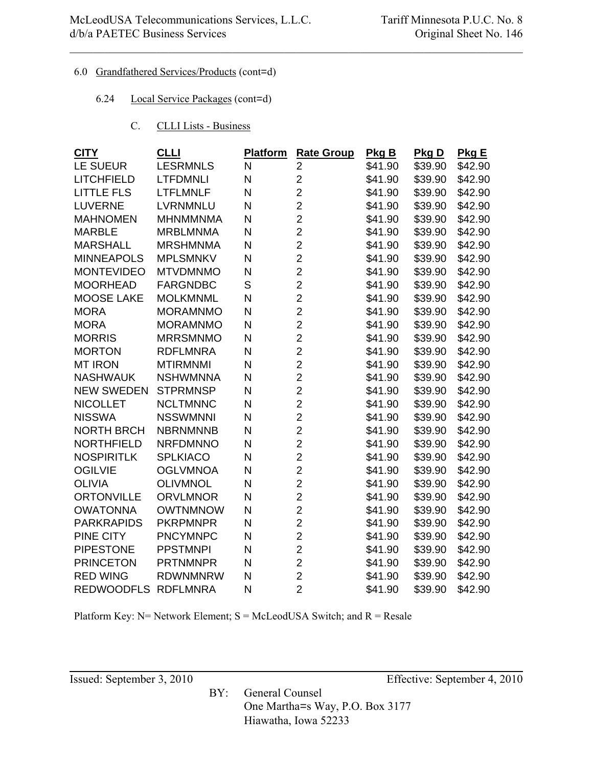- 6.24 Local Service Packages (cont=d)
	- C. CLLI Lists Business

| <u>CITY</u>       | <u>CLLI</u>     | <b>Platform</b> | <b>Rate Group</b>       | <b>Pkg B</b> | <b>Pkg D</b> | Pkg E   |
|-------------------|-----------------|-----------------|-------------------------|--------------|--------------|---------|
| LE SUEUR          | <b>LESRMNLS</b> | N               | 2                       | \$41.90      | \$39.90      | \$42.90 |
| <b>LITCHFIELD</b> | <b>LTFDMNLI</b> | N               | 2                       | \$41.90      | \$39.90      | \$42.90 |
| <b>LITTLE FLS</b> | <b>LTFLMNLF</b> | N               | $\overline{c}$          | \$41.90      | \$39.90      | \$42.90 |
| <b>LUVERNE</b>    | LVRNMNLU        | N               | $\overline{2}$          | \$41.90      | \$39.90      | \$42.90 |
| <b>MAHNOMEN</b>   | <b>MHNMMNMA</b> | N               | $\overline{2}$          | \$41.90      | \$39.90      | \$42.90 |
| <b>MARBLE</b>     | <b>MRBLMNMA</b> | N               | $\overline{2}$          | \$41.90      | \$39.90      | \$42.90 |
| <b>MARSHALL</b>   | <b>MRSHMNMA</b> | N               | $\overline{\mathbf{c}}$ | \$41.90      | \$39.90      | \$42.90 |
| <b>MINNEAPOLS</b> | <b>MPLSMNKV</b> | N               | $\overline{2}$          | \$41.90      | \$39.90      | \$42.90 |
| <b>MONTEVIDEO</b> | <b>MTVDMNMO</b> | N               | $\overline{2}$          | \$41.90      | \$39.90      | \$42.90 |
| <b>MOORHEAD</b>   | <b>FARGNDBC</b> | S               | $\overline{2}$          | \$41.90      | \$39.90      | \$42.90 |
| <b>MOOSE LAKE</b> | <b>MOLKMNML</b> | N               | $\overline{2}$          | \$41.90      | \$39.90      | \$42.90 |
| <b>MORA</b>       | <b>MORAMNMO</b> | N               | $\overline{2}$          | \$41.90      | \$39.90      | \$42.90 |
| <b>MORA</b>       | <b>MORAMNMO</b> | N               | $\overline{2}$          | \$41.90      | \$39.90      | \$42.90 |
| <b>MORRIS</b>     | <b>MRRSMNMO</b> | N               | $\overline{2}$          | \$41.90      | \$39.90      | \$42.90 |
| <b>MORTON</b>     | <b>RDFLMNRA</b> | N               | $\overline{2}$          | \$41.90      | \$39.90      | \$42.90 |
| <b>MT IRON</b>    | <b>MTIRMNMI</b> | N               | $\overline{2}$          | \$41.90      | \$39.90      | \$42.90 |
| <b>NASHWAUK</b>   | <b>NSHWMNNA</b> | N               | $\overline{2}$          | \$41.90      | \$39.90      | \$42.90 |
| <b>NEW SWEDEN</b> | <b>STPRMNSP</b> | N               | $\overline{2}$          | \$41.90      | \$39.90      | \$42.90 |
| <b>NICOLLET</b>   | <b>NCLTMNNC</b> | N               | $\overline{2}$          | \$41.90      | \$39.90      | \$42.90 |
| <b>NISSWA</b>     | <b>NSSWMNNI</b> | N               | $\overline{2}$          | \$41.90      | \$39.90      | \$42.90 |
| <b>NORTH BRCH</b> | <b>NBRNMNNB</b> | N               | $\overline{2}$          | \$41.90      | \$39.90      | \$42.90 |
| <b>NORTHFIELD</b> | <b>NRFDMNNO</b> | N               | $\overline{2}$          | \$41.90      | \$39.90      | \$42.90 |
| <b>NOSPIRITLK</b> | <b>SPLKIACO</b> | N               | $\overline{2}$          | \$41.90      | \$39.90      | \$42.90 |
| <b>OGILVIE</b>    | <b>OGLVMNOA</b> | N               | $\overline{2}$          | \$41.90      | \$39.90      | \$42.90 |
| <b>OLIVIA</b>     | <b>OLIVMNOL</b> | N               | $\overline{2}$          | \$41.90      | \$39.90      | \$42.90 |
| <b>ORTONVILLE</b> | <b>ORVLMNOR</b> | N               | $\overline{2}$          | \$41.90      | \$39.90      | \$42.90 |
| <b>OWATONNA</b>   | <b>OWTNMNOW</b> | N               | $\overline{2}$          | \$41.90      | \$39.90      | \$42.90 |
| <b>PARKRAPIDS</b> | <b>PKRPMNPR</b> | N               | $\overline{2}$          | \$41.90      | \$39.90      | \$42.90 |
| <b>PINE CITY</b>  | <b>PNCYMNPC</b> | N               | $\overline{2}$          | \$41.90      | \$39.90      | \$42.90 |
| <b>PIPESTONE</b>  | <b>PPSTMNPI</b> | N               | $\overline{\mathbf{c}}$ | \$41.90      | \$39.90      | \$42.90 |
| <b>PRINCETON</b>  | <b>PRTNMNPR</b> | N               | $\overline{2}$          | \$41.90      | \$39.90      | \$42.90 |
| <b>RED WING</b>   | <b>RDWNMNRW</b> | N               | $\overline{c}$          | \$41.90      | \$39.90      | \$42.90 |
| <b>REDWOODFLS</b> | <b>RDFLMNRA</b> | N               | $\overline{2}$          | \$41.90      | \$39.90      | \$42.90 |

 $\mathcal{L}_\mathcal{L} = \{ \mathcal{L}_\mathcal{L} = \{ \mathcal{L}_\mathcal{L} = \{ \mathcal{L}_\mathcal{L} = \{ \mathcal{L}_\mathcal{L} = \{ \mathcal{L}_\mathcal{L} = \{ \mathcal{L}_\mathcal{L} = \{ \mathcal{L}_\mathcal{L} = \{ \mathcal{L}_\mathcal{L} = \{ \mathcal{L}_\mathcal{L} = \{ \mathcal{L}_\mathcal{L} = \{ \mathcal{L}_\mathcal{L} = \{ \mathcal{L}_\mathcal{L} = \{ \mathcal{L}_\mathcal{L} = \{ \mathcal{L}_\mathcal{$ 

Platform Key: N= Network Element;  $S = McLeodUSA$  Switch; and  $R = Resale$ 

Issued: September 3, 2010 Effective: September 4, 2010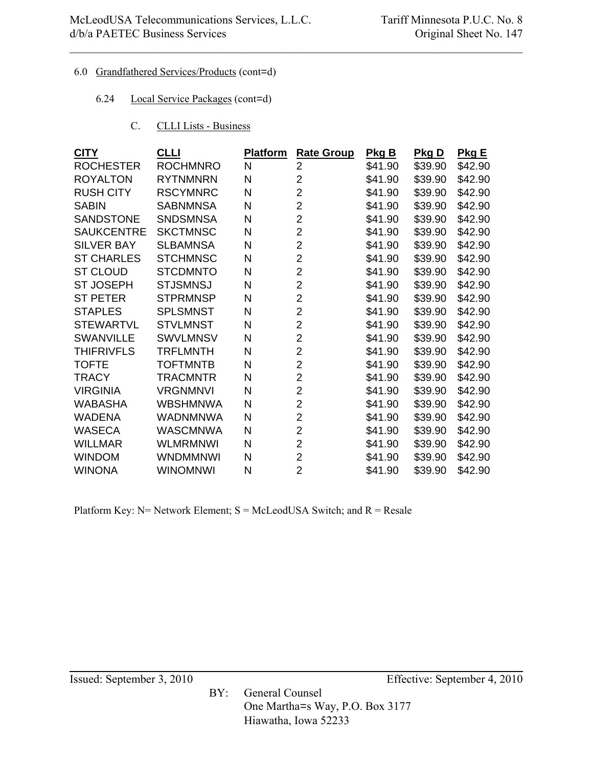- 6.24 Local Service Packages (cont=d)
	- C. CLLI Lists Business

| <b>CITY</b>       | <u>CLLI</u>     | <b>Platform</b> | <b>Rate Group</b> | <b>Pkg B</b> | <b>Pkg D</b> | <b>Pkg E</b> |
|-------------------|-----------------|-----------------|-------------------|--------------|--------------|--------------|
| <b>ROCHESTER</b>  | <b>ROCHMNRO</b> | N               | 2                 | \$41.90      | \$39.90      | \$42.90      |
| <b>ROYALTON</b>   | <b>RYTNMNRN</b> | N               | $\overline{2}$    | \$41.90      | \$39.90      | \$42.90      |
| <b>RUSH CITY</b>  | <b>RSCYMNRC</b> | N               | $\overline{2}$    | \$41.90      | \$39.90      | \$42.90      |
| <b>SABIN</b>      | <b>SABNMNSA</b> | N               | $\overline{2}$    | \$41.90      | \$39.90      | \$42.90      |
| <b>SANDSTONE</b>  | <b>SNDSMNSA</b> | N               | $\overline{2}$    | \$41.90      | \$39.90      | \$42.90      |
| <b>SAUKCENTRE</b> | <b>SKCTMNSC</b> | N               | $\overline{2}$    | \$41.90      | \$39.90      | \$42.90      |
| <b>SILVER BAY</b> | <b>SLBAMNSA</b> | N               | $\overline{2}$    | \$41.90      | \$39.90      | \$42.90      |
| <b>ST CHARLES</b> | <b>STCHMNSC</b> | N               | $\overline{2}$    | \$41.90      | \$39.90      | \$42.90      |
| <b>ST CLOUD</b>   | <b>STCDMNTO</b> | N               | $\overline{2}$    | \$41.90      | \$39.90      | \$42.90      |
| <b>ST JOSEPH</b>  | <b>STJSMNSJ</b> | N               | $\overline{2}$    | \$41.90      | \$39.90      | \$42.90      |
| <b>ST PETER</b>   | <b>STPRMNSP</b> | N               | $\overline{2}$    | \$41.90      | \$39.90      | \$42.90      |
| <b>STAPLES</b>    | <b>SPLSMNST</b> | N               | $\overline{2}$    | \$41.90      | \$39.90      | \$42.90      |
| <b>STEWARTVL</b>  | <b>STVLMNST</b> | N               | $\overline{2}$    | \$41.90      | \$39.90      | \$42.90      |
| <b>SWANVILLE</b>  | <b>SWVLMNSV</b> | N               | $\overline{2}$    | \$41.90      | \$39.90      | \$42.90      |
| <b>THIFRIVFLS</b> | <b>TRFLMNTH</b> | N               | $\overline{2}$    | \$41.90      | \$39.90      | \$42.90      |
| <b>TOFTE</b>      | <b>TOFTMNTB</b> | N               | $\overline{2}$    | \$41.90      | \$39.90      | \$42.90      |
| <b>TRACY</b>      | <b>TRACMNTR</b> | N               | $\overline{2}$    | \$41.90      | \$39.90      | \$42.90      |
| <b>VIRGINIA</b>   | <b>VRGNMNVI</b> | N               | $\overline{2}$    | \$41.90      | \$39.90      | \$42.90      |
| <b>WABASHA</b>    | <b>WBSHMNWA</b> | N               | $\overline{2}$    | \$41.90      | \$39.90      | \$42.90      |
| <b>WADENA</b>     | <b>WADNMNWA</b> | N               | $\overline{2}$    | \$41.90      | \$39.90      | \$42.90      |
| <b>WASECA</b>     | <b>WASCMNWA</b> | N               | $\overline{2}$    | \$41.90      | \$39.90      | \$42.90      |
| <b>WILLMAR</b>    | <b>WLMRMNWI</b> | N               | $\overline{2}$    | \$41.90      | \$39.90      | \$42.90      |
| <b>WINDOM</b>     | <b>WNDMMNWI</b> | N               | $\overline{2}$    | \$41.90      | \$39.90      | \$42.90      |
| <b>WINONA</b>     | <b>WINOMNWI</b> | N               | $\overline{2}$    | \$41.90      | \$39.90      | \$42.90      |

 $\mathcal{L}_\mathcal{L} = \{ \mathcal{L}_\mathcal{L} = \{ \mathcal{L}_\mathcal{L} = \{ \mathcal{L}_\mathcal{L} = \{ \mathcal{L}_\mathcal{L} = \{ \mathcal{L}_\mathcal{L} = \{ \mathcal{L}_\mathcal{L} = \{ \mathcal{L}_\mathcal{L} = \{ \mathcal{L}_\mathcal{L} = \{ \mathcal{L}_\mathcal{L} = \{ \mathcal{L}_\mathcal{L} = \{ \mathcal{L}_\mathcal{L} = \{ \mathcal{L}_\mathcal{L} = \{ \mathcal{L}_\mathcal{L} = \{ \mathcal{L}_\mathcal{$ 

Platform Key: N= Network Element;  $S = McLeodUSA$  Switch; and  $R = Resale$ 

Issued: September 3, 2010 Effective: September 4, 2010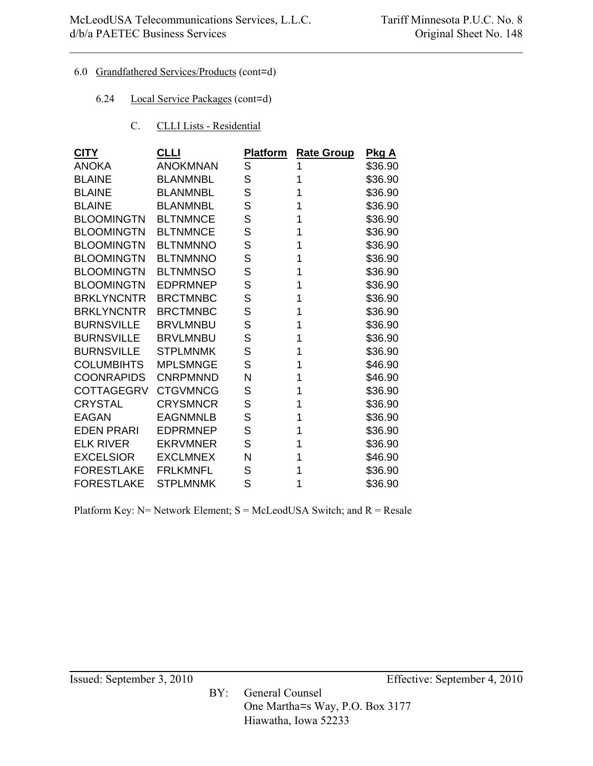$\mathcal{L}_\mathcal{L} = \{ \mathcal{L}_\mathcal{L} = \{ \mathcal{L}_\mathcal{L} = \{ \mathcal{L}_\mathcal{L} = \{ \mathcal{L}_\mathcal{L} = \{ \mathcal{L}_\mathcal{L} = \{ \mathcal{L}_\mathcal{L} = \{ \mathcal{L}_\mathcal{L} = \{ \mathcal{L}_\mathcal{L} = \{ \mathcal{L}_\mathcal{L} = \{ \mathcal{L}_\mathcal{L} = \{ \mathcal{L}_\mathcal{L} = \{ \mathcal{L}_\mathcal{L} = \{ \mathcal{L}_\mathcal{L} = \{ \mathcal{L}_\mathcal{$ 

# 6.0 Grandfathered Services/Products (cont=d)

- 6.24 Local Service Packages (cont=d)
	- C. CLLI Lists Residential

| <u>CITY</u>       | <u>CLLI</u>     | <b>Platform</b> | <b>Rate Group</b> | <u>Pkg A</u> |
|-------------------|-----------------|-----------------|-------------------|--------------|
| <b>ANOKA</b>      | <b>ANOKMNAN</b> | S               | 1                 | \$36.90      |
| <b>BLAINE</b>     | <b>BLANMNBL</b> | S               | 1                 | \$36.90      |
| <b>BLAINE</b>     | <b>BLANMNBL</b> | S               | 1                 | \$36.90      |
| <b>BLAINE</b>     | <b>BLANMNBL</b> | S               | 1                 | \$36.90      |
| <b>BLOOMINGTN</b> | <b>BLTNMNCE</b> | S               | 1                 | \$36.90      |
| <b>BLOOMINGTN</b> | <b>BLTNMNCE</b> | S               | 1                 | \$36.90      |
| <b>BLOOMINGTN</b> | <b>BLTNMNNO</b> | S               | 1                 | \$36.90      |
| <b>BLOOMINGTN</b> | <b>BLTNMNNO</b> | S               | 1                 | \$36.90      |
| <b>BLOOMINGTN</b> | <b>BLTNMNSO</b> | S               | 1                 | \$36.90      |
| <b>BLOOMINGTN</b> | <b>EDPRMNEP</b> | S               | 1                 | \$36.90      |
| <b>BRKLYNCNTR</b> | <b>BRCTMNBC</b> | S               | 1                 | \$36.90      |
| <b>BRKLYNCNTR</b> | <b>BRCTMNBC</b> | S               | 1                 | \$36.90      |
| <b>BURNSVILLE</b> | <b>BRVLMNBU</b> | S               | 1                 | \$36.90      |
| <b>BURNSVILLE</b> | <b>BRVLMNBU</b> | S               | 1                 | \$36.90      |
| <b>BURNSVILLE</b> | <b>STPLMNMK</b> | S               | 1                 | \$36.90      |
| <b>COLUMBIHTS</b> | <b>MPLSMNGE</b> | S               | 1                 | \$46.90      |
| <b>COONRAPIDS</b> | <b>CNRPMNND</b> | N               | 1                 | \$46.90      |
| <b>COTTAGEGRV</b> | <b>CTGVMNCG</b> | $\mathsf S$     | 1                 | \$36.90      |
| <b>CRYSTAL</b>    | <b>CRYSMNCR</b> | S               | 1                 | \$36.90      |
| <b>EAGAN</b>      | <b>EAGNMNLB</b> | S               | 1                 | \$36.90      |
| <b>EDEN PRARI</b> | <b>EDPRMNEP</b> | S               | 1                 | \$36.90      |
| <b>ELK RIVER</b>  | <b>EKRVMNER</b> | S               | 1                 | \$36.90      |
| <b>EXCELSIOR</b>  | <b>EXCLMNEX</b> | N               | 1                 | \$46.90      |
| <b>FORESTLAKE</b> | <b>FRLKMNFL</b> | S               | 1                 | \$36.90      |
| <b>FORESTLAKE</b> | <b>STPLMNMK</b> | S               | 1                 | \$36.90      |

Platform Key: N= Network Element;  $S = McLeodUSA$  Switch; and  $R = Resale$ 

Issued: September 3, 2010 Effective: September 4, 2010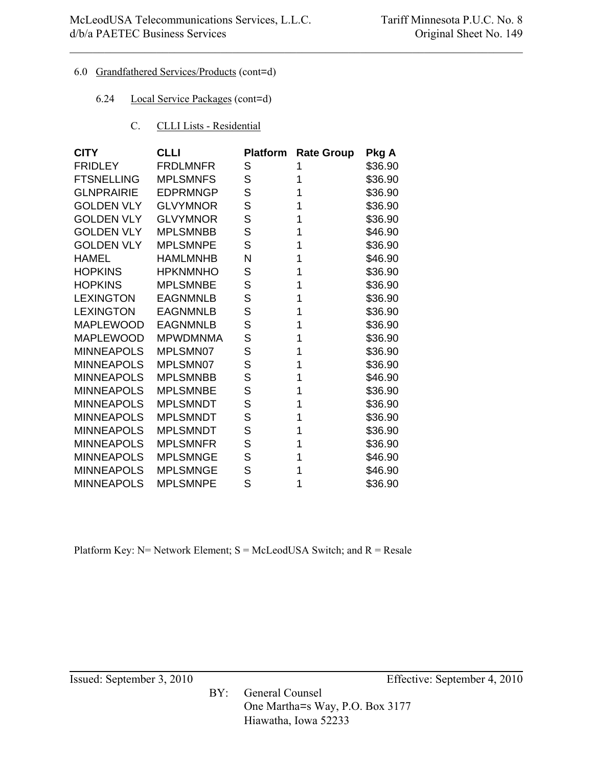$\mathcal{L}_\mathcal{L} = \{ \mathcal{L}_\mathcal{L} = \{ \mathcal{L}_\mathcal{L} = \{ \mathcal{L}_\mathcal{L} = \{ \mathcal{L}_\mathcal{L} = \{ \mathcal{L}_\mathcal{L} = \{ \mathcal{L}_\mathcal{L} = \{ \mathcal{L}_\mathcal{L} = \{ \mathcal{L}_\mathcal{L} = \{ \mathcal{L}_\mathcal{L} = \{ \mathcal{L}_\mathcal{L} = \{ \mathcal{L}_\mathcal{L} = \{ \mathcal{L}_\mathcal{L} = \{ \mathcal{L}_\mathcal{L} = \{ \mathcal{L}_\mathcal{$ 

# 6.0 Grandfathered Services/Products (cont=d)

- 6.24 Local Service Packages (cont=d)
	- C. CLLI Lists Residential

| <b>CITY</b>       | <b>CLLI</b>     | <b>Platform</b> | <b>Rate Group</b> | <b>Pkg A</b> |
|-------------------|-----------------|-----------------|-------------------|--------------|
| <b>FRIDLEY</b>    | <b>FRDLMNFR</b> | S               | 1                 | \$36.90      |
| <b>FTSNELLING</b> | <b>MPLSMNFS</b> | S               | 1                 | \$36.90      |
| <b>GLNPRAIRIE</b> | <b>EDPRMNGP</b> | S               | 1                 | \$36.90      |
| <b>GOLDEN VLY</b> | <b>GLVYMNOR</b> | S               | 1                 | \$36.90      |
| <b>GOLDEN VLY</b> | <b>GLVYMNOR</b> | S               | 1                 | \$36.90      |
| <b>GOLDEN VLY</b> | <b>MPLSMNBB</b> | S               | 1                 | \$46.90      |
| <b>GOLDEN VLY</b> | <b>MPLSMNPE</b> | S               | 1                 | \$36.90      |
| <b>HAMEL</b>      | <b>HAMLMNHB</b> | N               | 1                 | \$46.90      |
| <b>HOPKINS</b>    | <b>HPKNMNHO</b> | S               | 1                 | \$36.90      |
| <b>HOPKINS</b>    | <b>MPLSMNBE</b> | S               | 1                 | \$36.90      |
| <b>LEXINGTON</b>  | <b>EAGNMNLB</b> | S               | 1                 | \$36.90      |
| <b>LEXINGTON</b>  | <b>EAGNMNLB</b> | S               | 1                 | \$36.90      |
| <b>MAPLEWOOD</b>  | <b>EAGNMNLB</b> | S               | 1                 | \$36.90      |
| <b>MAPLEWOOD</b>  | <b>MPWDMNMA</b> | S               | 1                 | \$36.90      |
| <b>MINNEAPOLS</b> | MPLSMN07        | S               | 1                 | \$36.90      |
| <b>MINNEAPOLS</b> | MPLSMN07        | S               | 1                 | \$36.90      |
| <b>MINNEAPOLS</b> | <b>MPLSMNBB</b> | S               | 1                 | \$46.90      |
| <b>MINNEAPOLS</b> | <b>MPLSMNBE</b> | S               | 1                 | \$36.90      |
| <b>MINNEAPOLS</b> | <b>MPLSMNDT</b> | S               | 1                 | \$36.90      |
| <b>MINNEAPOLS</b> | <b>MPLSMNDT</b> | S               | 1                 | \$36.90      |
| <b>MINNEAPOLS</b> | <b>MPLSMNDT</b> | S               | 1                 | \$36.90      |
| <b>MINNEAPOLS</b> | <b>MPLSMNFR</b> | S               | 1                 | \$36.90      |
| <b>MINNEAPOLS</b> | <b>MPLSMNGE</b> | S               | 1                 | \$46.90      |
| <b>MINNEAPOLS</b> | <b>MPLSMNGE</b> | S               | 1                 | \$46.90      |
| <b>MINNEAPOLS</b> | <b>MPLSMNPE</b> | S               | 1                 | \$36.90      |

Platform Key:  $N=$  Network Element;  $S =$  McLeodUSA Switch; and  $R =$  Resale

Issued: September 3, 2010 Effective: September 4, 2010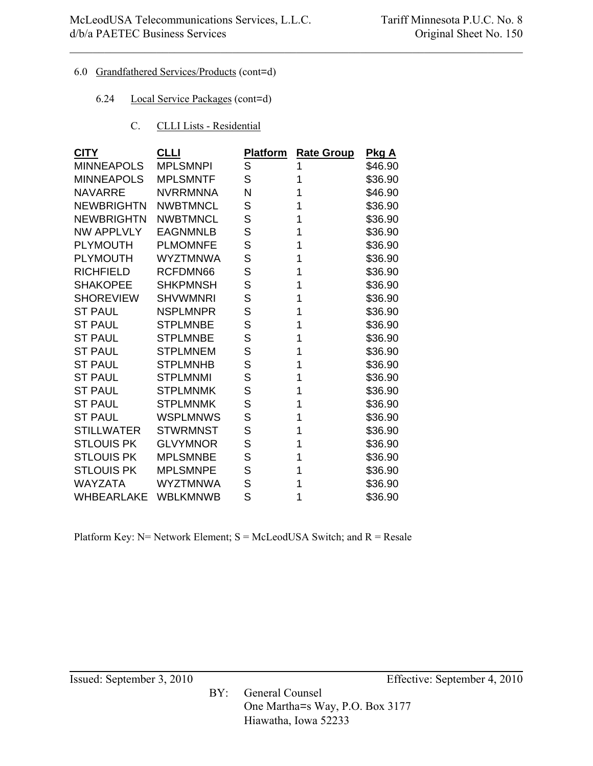$\mathcal{L}_\mathcal{L} = \{ \mathcal{L}_\mathcal{L} = \{ \mathcal{L}_\mathcal{L} = \{ \mathcal{L}_\mathcal{L} = \{ \mathcal{L}_\mathcal{L} = \{ \mathcal{L}_\mathcal{L} = \{ \mathcal{L}_\mathcal{L} = \{ \mathcal{L}_\mathcal{L} = \{ \mathcal{L}_\mathcal{L} = \{ \mathcal{L}_\mathcal{L} = \{ \mathcal{L}_\mathcal{L} = \{ \mathcal{L}_\mathcal{L} = \{ \mathcal{L}_\mathcal{L} = \{ \mathcal{L}_\mathcal{L} = \{ \mathcal{L}_\mathcal{$ 

#### 6.0 Grandfathered Services/Products (cont=d)

- 6.24 Local Service Packages (cont=d)
	- C. CLLI Lists Residential

| <b>CITY</b>       | <u>CLLI</u>     | <b>Platform</b> | <b>Rate Group</b> | <b>Pkg A</b> |
|-------------------|-----------------|-----------------|-------------------|--------------|
| <b>MINNEAPOLS</b> | <b>MPLSMNPI</b> | S               | 1                 | \$46.90      |
| <b>MINNEAPOLS</b> | <b>MPLSMNTF</b> | S               | 1                 | \$36.90      |
| <b>NAVARRE</b>    | <b>NVRRMNNA</b> | N               | 1                 | \$46.90      |
| <b>NEWBRIGHTN</b> | <b>NWBTMNCL</b> | S               | 1                 | \$36.90      |
| <b>NEWBRIGHTN</b> | <b>NWBTMNCL</b> | S               | 1                 | \$36.90      |
| <b>NW APPLVLY</b> | <b>EAGNMNLB</b> | S               | 1                 | \$36.90      |
| <b>PLYMOUTH</b>   | <b>PLMOMNFE</b> | S               | 1                 | \$36.90      |
| <b>PLYMOUTH</b>   | <b>WYZTMNWA</b> | S               | 1                 | \$36.90      |
| <b>RICHFIELD</b>  | RCFDMN66        | S               | 1                 | \$36.90      |
| <b>SHAKOPEE</b>   | <b>SHKPMNSH</b> | S               | 1                 | \$36.90      |
| <b>SHOREVIEW</b>  | <b>SHVWMNRI</b> | S               | 1                 | \$36.90      |
| <b>ST PAUL</b>    | <b>NSPLMNPR</b> | S               | 1                 | \$36.90      |
| <b>ST PAUL</b>    | <b>STPLMNBE</b> | S               | 1                 | \$36.90      |
| <b>ST PAUL</b>    | <b>STPLMNBE</b> | S               | 1                 | \$36.90      |
| <b>ST PAUL</b>    | <b>STPLMNEM</b> | S               | 1                 | \$36.90      |
| <b>ST PAUL</b>    | <b>STPLMNHB</b> | S               | 1                 | \$36.90      |
| <b>ST PAUL</b>    | <b>STPLMNMI</b> | S               | 1                 | \$36.90      |
| <b>ST PAUL</b>    | <b>STPLMNMK</b> | S               | 1                 | \$36.90      |
| <b>ST PAUL</b>    | <b>STPLMNMK</b> | S               | 1                 | \$36.90      |
| <b>ST PAUL</b>    | <b>WSPLMNWS</b> | S               | 1                 | \$36.90      |
| <b>STILLWATER</b> | <b>STWRMNST</b> | S               | 1                 | \$36.90      |
| <b>STLOUIS PK</b> | <b>GLVYMNOR</b> | S               | 1                 | \$36.90      |
| <b>STLOUIS PK</b> | <b>MPLSMNBE</b> | S               | 1                 | \$36.90      |
| <b>STLOUIS PK</b> | <b>MPLSMNPE</b> | S               | 1                 | \$36.90      |
| <b>WAYZATA</b>    | <b>WYZTMNWA</b> | S               | 1                 | \$36.90      |
| <b>WHBEARLAKE</b> | <b>WBLKMNWB</b> | S               | 1                 | \$36.90      |

Platform Key:  $N=$  Network Element;  $S =$  McLeodUSA Switch; and  $R =$  Resale

Issued: September 3, 2010 Effective: September 4, 2010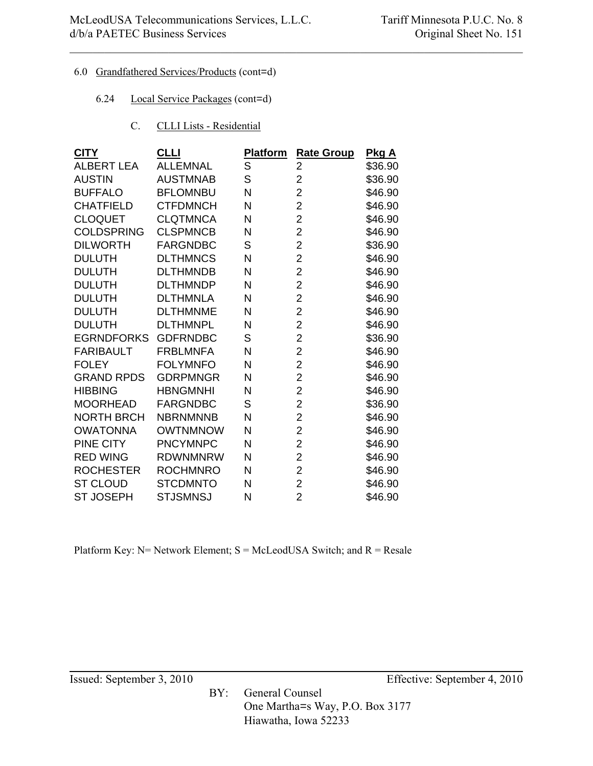$\mathcal{L}_\mathcal{L} = \{ \mathcal{L}_\mathcal{L} = \{ \mathcal{L}_\mathcal{L} = \{ \mathcal{L}_\mathcal{L} = \{ \mathcal{L}_\mathcal{L} = \{ \mathcal{L}_\mathcal{L} = \{ \mathcal{L}_\mathcal{L} = \{ \mathcal{L}_\mathcal{L} = \{ \mathcal{L}_\mathcal{L} = \{ \mathcal{L}_\mathcal{L} = \{ \mathcal{L}_\mathcal{L} = \{ \mathcal{L}_\mathcal{L} = \{ \mathcal{L}_\mathcal{L} = \{ \mathcal{L}_\mathcal{L} = \{ \mathcal{L}_\mathcal{$ 

# 6.0 Grandfathered Services/Products (cont=d)

- 6.24 Local Service Packages (cont=d)
	- C. CLLI Lists Residential

| <u>CITY</u>       | CLL             | <b>Platform</b> | <b>Rate Group</b> | <b>Pkg A</b> |
|-------------------|-----------------|-----------------|-------------------|--------------|
| <b>ALBERT LEA</b> | <b>ALLEMNAL</b> | S               | $\overline{2}$    | \$36.90      |
| <b>AUSTIN</b>     | <b>AUSTMNAB</b> | S               | $\overline{2}$    | \$36.90      |
| <b>BUFFALO</b>    | <b>BFLOMNBU</b> | N               | $\overline{2}$    | \$46.90      |
| <b>CHATFIELD</b>  | <b>CTFDMNCH</b> | N               | $\overline{2}$    | \$46.90      |
| <b>CLOQUET</b>    | <b>CLQTMNCA</b> | N               | $\overline{2}$    | \$46.90      |
| <b>COLDSPRING</b> | <b>CLSPMNCB</b> | N               | $\overline{2}$    | \$46.90      |
| <b>DILWORTH</b>   | <b>FARGNDBC</b> | S               | $\overline{2}$    | \$36.90      |
| <b>DULUTH</b>     | <b>DLTHMNCS</b> | N               | 2                 | \$46.90      |
| <b>DULUTH</b>     | <b>DLTHMNDB</b> | N               | $\overline{2}$    | \$46.90      |
| <b>DULUTH</b>     | <b>DLTHMNDP</b> | N               | $\overline{2}$    | \$46.90      |
| <b>DULUTH</b>     | <b>DLTHMNLA</b> | N               | $\overline{2}$    | \$46.90      |
| <b>DULUTH</b>     | <b>DLTHMNME</b> | N               | $\overline{2}$    | \$46.90      |
| <b>DULUTH</b>     | <b>DLTHMNPL</b> | N               | $\overline{2}$    | \$46.90      |
| <b>EGRNDFORKS</b> | <b>GDFRNDBC</b> | S               | $\overline{2}$    | \$36.90      |
| <b>FARIBAULT</b>  | <b>FRBLMNFA</b> | N               | $\overline{2}$    | \$46.90      |
| <b>FOLEY</b>      | <b>FOLYMNFO</b> | N               | $\overline{2}$    | \$46.90      |
| <b>GRAND RPDS</b> | <b>GDRPMNGR</b> | N               | $\overline{2}$    | \$46.90      |
| <b>HIBBING</b>    | <b>HBNGMNHI</b> | N               | $\overline{2}$    | \$46.90      |
| <b>MOORHEAD</b>   | <b>FARGNDBC</b> | S               | $\overline{2}$    | \$36.90      |
| <b>NORTH BRCH</b> | <b>NBRNMNNB</b> | N               | $\overline{2}$    | \$46.90      |
| <b>OWATONNA</b>   | <b>OWTNMNOW</b> | N               | $\overline{2}$    | \$46.90      |
| PINE CITY         | <b>PNCYMNPC</b> | N               | $\overline{2}$    | \$46.90      |
| <b>RED WING</b>   | <b>RDWNMNRW</b> | N               | $\overline{2}$    | \$46.90      |
| <b>ROCHESTER</b>  | <b>ROCHMNRO</b> | N               | $\overline{2}$    | \$46.90      |
| <b>ST CLOUD</b>   | <b>STCDMNTO</b> | N               | 2                 | \$46.90      |
| <b>ST JOSEPH</b>  | <b>STJSMNSJ</b> | N               | $\overline{2}$    | \$46.90      |

Platform Key:  $N=$  Network Element;  $S =$  McLeodUSA Switch; and  $R =$  Resale

Issued: September 3, 2010 Effective: September 4, 2010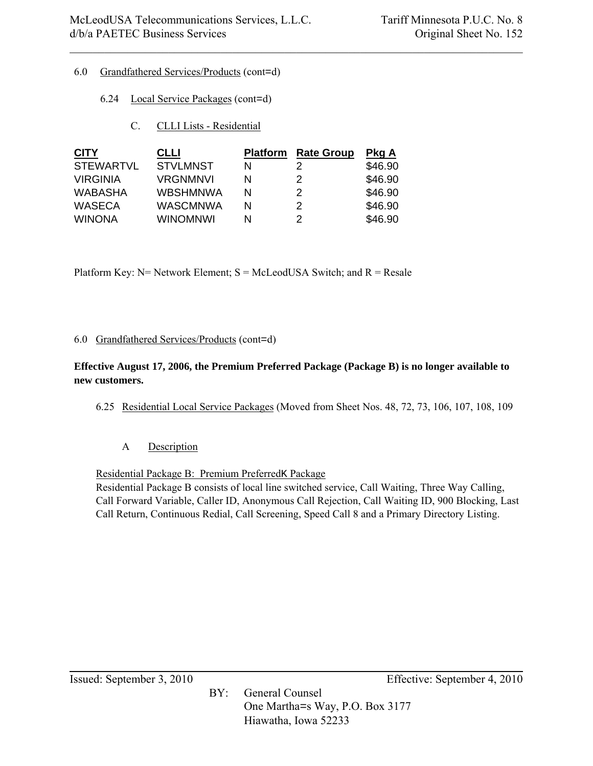- 6.24 Local Service Packages (cont=d)
	- C. CLLI Lists Residential

| <u>CITY</u>      | <b>CLLI</b>     | <b>Platform</b> | <b>Rate Group</b> | <b>Pkg A</b> |
|------------------|-----------------|-----------------|-------------------|--------------|
| <b>STEWARTVL</b> | <b>STVLMNST</b> | N               | 2                 | \$46.90      |
| <b>VIRGINIA</b>  | <b>VRGNMNVI</b> | N               | 2                 | \$46.90      |
| <b>WABASHA</b>   | <b>WBSHMNWA</b> | N               | 2                 | \$46.90      |
| <b>WASECA</b>    | <b>WASCMNWA</b> | N               | 2                 | \$46.90      |
| <b>WINONA</b>    | <b>WINOMNWI</b> | N               | 2                 | \$46.90      |

Platform Key:  $N=$  Network Element;  $S = McLeodUSA$  Switch; and  $R = Resale$ 

#### 6.0 Grandfathered Services/Products (cont=d)

**Effective August 17, 2006, the Premium Preferred Package (Package B) is no longer available to new customers.**

 $\mathcal{L}_\mathcal{L} = \{ \mathcal{L}_\mathcal{L} = \{ \mathcal{L}_\mathcal{L} = \{ \mathcal{L}_\mathcal{L} = \{ \mathcal{L}_\mathcal{L} = \{ \mathcal{L}_\mathcal{L} = \{ \mathcal{L}_\mathcal{L} = \{ \mathcal{L}_\mathcal{L} = \{ \mathcal{L}_\mathcal{L} = \{ \mathcal{L}_\mathcal{L} = \{ \mathcal{L}_\mathcal{L} = \{ \mathcal{L}_\mathcal{L} = \{ \mathcal{L}_\mathcal{L} = \{ \mathcal{L}_\mathcal{L} = \{ \mathcal{L}_\mathcal{$ 

- 6.25 Residential Local Service Packages (Moved from Sheet Nos. 48, 72, 73, 106, 107, 108, 109
	- A Description

Residential Package B: Premium PreferredK Package

Residential Package B consists of local line switched service, Call Waiting, Three Way Calling, Call Forward Variable, Caller ID, Anonymous Call Rejection, Call Waiting ID, 900 Blocking, Last Call Return, Continuous Redial, Call Screening, Speed Call 8 and a Primary Directory Listing.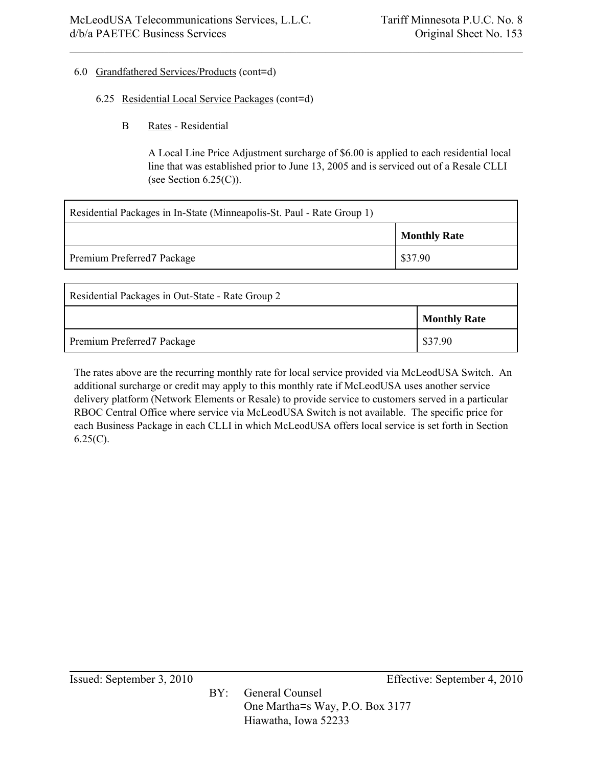# 6.25 Residential Local Service Packages (cont=d)

B Rates - Residential

A Local Line Price Adjustment surcharge of \$6.00 is applied to each residential local line that was established prior to June 13, 2005 and is serviced out of a Resale CLLI (see Section  $6.25(C)$ ).

| Residential Packages in In-State (Minneapolis-St. Paul - Rate Group 1) |                     |  |  |  |
|------------------------------------------------------------------------|---------------------|--|--|--|
|                                                                        | <b>Monthly Rate</b> |  |  |  |
| Premium Preferred <sub>7</sub> Package                                 | \$37.90             |  |  |  |

 $\mathcal{L}_\mathcal{L} = \{ \mathcal{L}_\mathcal{L} = \{ \mathcal{L}_\mathcal{L} = \{ \mathcal{L}_\mathcal{L} = \{ \mathcal{L}_\mathcal{L} = \{ \mathcal{L}_\mathcal{L} = \{ \mathcal{L}_\mathcal{L} = \{ \mathcal{L}_\mathcal{L} = \{ \mathcal{L}_\mathcal{L} = \{ \mathcal{L}_\mathcal{L} = \{ \mathcal{L}_\mathcal{L} = \{ \mathcal{L}_\mathcal{L} = \{ \mathcal{L}_\mathcal{L} = \{ \mathcal{L}_\mathcal{L} = \{ \mathcal{L}_\mathcal{$ 

| Residential Packages in Out-State - Rate Group 2 |                     |
|--------------------------------------------------|---------------------|
|                                                  | <b>Monthly Rate</b> |
| Premium Preferred <sub>7</sub> Package           | \$37.90             |

The rates above are the recurring monthly rate for local service provided via McLeodUSA Switch. An additional surcharge or credit may apply to this monthly rate if McLeodUSA uses another service delivery platform (Network Elements or Resale) to provide service to customers served in a particular RBOC Central Office where service via McLeodUSA Switch is not available. The specific price for each Business Package in each CLLI in which McLeodUSA offers local service is set forth in Section  $6.25(C)$ .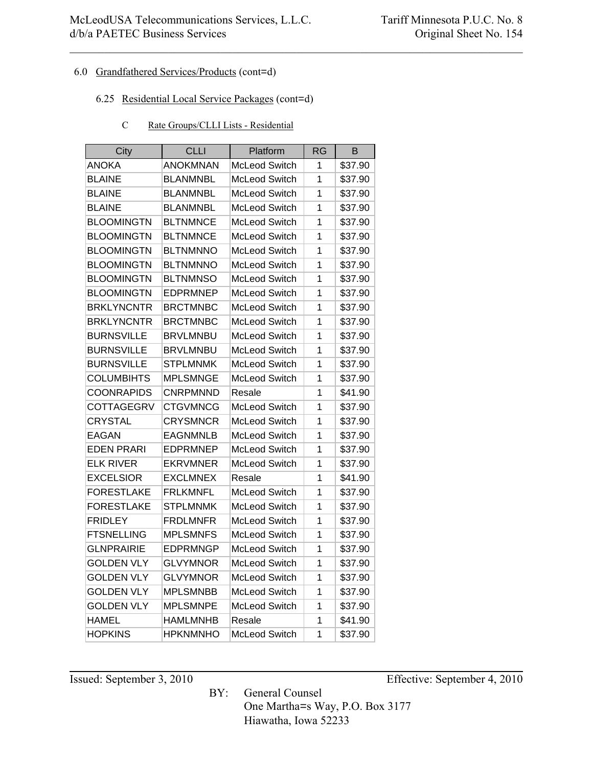# 6.25 Residential Local Service Packages (cont=d)

C Rate Groups/CLLI Lists - Residential

 $\mathcal{L}_\mathcal{L} = \{ \mathcal{L}_\mathcal{L} = \{ \mathcal{L}_\mathcal{L} = \{ \mathcal{L}_\mathcal{L} = \{ \mathcal{L}_\mathcal{L} = \{ \mathcal{L}_\mathcal{L} = \{ \mathcal{L}_\mathcal{L} = \{ \mathcal{L}_\mathcal{L} = \{ \mathcal{L}_\mathcal{L} = \{ \mathcal{L}_\mathcal{L} = \{ \mathcal{L}_\mathcal{L} = \{ \mathcal{L}_\mathcal{L} = \{ \mathcal{L}_\mathcal{L} = \{ \mathcal{L}_\mathcal{L} = \{ \mathcal{L}_\mathcal{$ 

| City              | CLLI            | Platform             | <b>RG</b> | B       |
|-------------------|-----------------|----------------------|-----------|---------|
| <b>ANOKA</b>      | <b>ANOKMNAN</b> | McLeod Switch        | 1         | \$37.90 |
| <b>BLAINE</b>     | <b>BLANMNBL</b> | McLeod Switch        | 1         | \$37.90 |
| <b>BLAINE</b>     | <b>BLANMNBL</b> | McLeod Switch        | 1         | \$37.90 |
| <b>BLAINE</b>     | <b>BLANMNBL</b> | McLeod Switch        | 1         | \$37.90 |
| BLOOMINGTN        | <b>BLTNMNCE</b> | McLeod Switch        | 1         | \$37.90 |
| BLOOMINGTN        | <b>BLTNMNCE</b> | McLeod Switch        | 1         | \$37.90 |
| <b>BLOOMINGTN</b> | <b>BLTNMNNO</b> | McLeod Switch        | 1         | \$37.90 |
| BLOOMINGTN        | <b>BLTNMNNO</b> | McLeod Switch        | 1         | \$37.90 |
| BLOOMINGTN        | <b>BLTNMNSO</b> | McLeod Switch        | 1         | \$37.90 |
| BLOOMINGTN        | <b>EDPRMNEP</b> | McLeod Switch        | 1         | \$37.90 |
| <b>BRKLYNCNTR</b> | <b>BRCTMNBC</b> | McLeod Switch        | 1         | \$37.90 |
| <b>BRKLYNCNTR</b> | <b>BRCTMNBC</b> | McLeod Switch        | 1         | \$37.90 |
| BURNSVILLE        | <b>BRVLMNBU</b> | McLeod Switch        | 1         | \$37.90 |
| BURNSVILLE        | <b>BRVLMNBU</b> | McLeod Switch        | 1         | \$37.90 |
| BURNSVILLE        | <b>STPLMNMK</b> | McLeod Switch        | 1         | \$37.90 |
| <b>COLUMBIHTS</b> | <b>MPLSMNGE</b> | McLeod Switch        | 1         | \$37.90 |
| COONRAPIDS        | <b>CNRPMNND</b> | Resale               | 1         | \$41.90 |
| COTTAGEGRV        | <b>CTGVMNCG</b> | McLeod Switch        | 1         | \$37.90 |
| CRYSTAL           | CRYSMNCR        | McLeod Switch        | 1         | \$37.90 |
| EAGAN             | <b>EAGNMNLB</b> | <b>McLeod Switch</b> | 1         | \$37.90 |
| EDEN PRARI        | <b>EDPRMNEP</b> | McLeod Switch        | 1         | \$37.90 |
| ELK RIVER         | <b>EKRVMNER</b> | McLeod Switch        | 1         | \$37.90 |
| <b>EXCELSIOR</b>  | <b>EXCLMNEX</b> | Resale               | 1         | \$41.90 |
| FORESTLAKE        | <b>FRLKMNFL</b> | McLeod Switch        | 1         | \$37.90 |
| <b>FORESTLAKE</b> | <b>STPLMNMK</b> | McLeod Switch        | 1         | \$37.90 |
| <b>FRIDLEY</b>    | <b>FRDLMNFR</b> | McLeod Switch        | 1         | \$37.90 |
| <b>FTSNELLING</b> | <b>MPLSMNFS</b> | McLeod Switch        | 1         | \$37.90 |
| <b>GLNPRAIRIE</b> | <b>EDPRMNGP</b> | McLeod Switch        | 1         | \$37.90 |
| <b>GOLDEN VLY</b> | <b>GLVYMNOR</b> | McLeod Switch        | 1         | \$37.90 |
| GOLDEN VLY        | <b>GLVYMNOR</b> | McLeod Switch        | 1         | \$37.90 |
| <b>GOLDEN VLY</b> | <b>MPLSMNBB</b> | McLeod Switch        | 1         | \$37.90 |
| GOLDEN VLY        | <b>MPLSMNPE</b> | McLeod Switch        | 1         | \$37.90 |
| HAMEL             | HAMLMNHB        | Resale               | 1         | \$41.90 |
| <b>HOPKINS</b>    | <b>HPKNMNHO</b> | McLeod Switch        | 1         | \$37.90 |

BY: General Counsel

Issued: September 3, 2010 Effective: September 4, 2010

One Martha=s Way, P.O. Box 3177 Hiawatha, Iowa 52233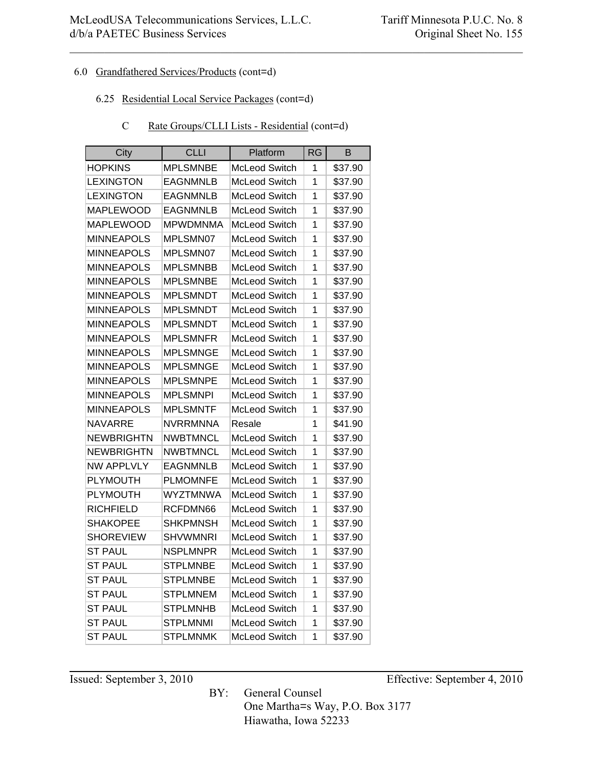# 6.25 Residential Local Service Packages (cont=d)

C Rate Groups/CLLI Lists - Residential (cont=d)

 $\mathcal{L}_\mathcal{L} = \{ \mathcal{L}_\mathcal{L} = \{ \mathcal{L}_\mathcal{L} = \{ \mathcal{L}_\mathcal{L} = \{ \mathcal{L}_\mathcal{L} = \{ \mathcal{L}_\mathcal{L} = \{ \mathcal{L}_\mathcal{L} = \{ \mathcal{L}_\mathcal{L} = \{ \mathcal{L}_\mathcal{L} = \{ \mathcal{L}_\mathcal{L} = \{ \mathcal{L}_\mathcal{L} = \{ \mathcal{L}_\mathcal{L} = \{ \mathcal{L}_\mathcal{L} = \{ \mathcal{L}_\mathcal{L} = \{ \mathcal{L}_\mathcal{$ 

| City              | CLLI            | Platform             | RG | B       |
|-------------------|-----------------|----------------------|----|---------|
| <b>HOPKINS</b>    | <b>MPLSMNBE</b> | <b>McLeod Switch</b> | 1  | \$37.90 |
| <b>LEXINGTON</b>  | <b>EAGNMNLB</b> | McLeod Switch        | 1  | \$37.90 |
| LEXINGTON         | EAGNMNLB        | McLeod Switch        | 1  | \$37.90 |
| <b>MAPLEWOOD</b>  | <b>EAGNMNLB</b> | McLeod Switch        | 1  | \$37.90 |
| <b>MAPLEWOOD</b>  | <b>MPWDMNMA</b> | McLeod Switch        | 1  | \$37.90 |
| <b>MINNEAPOLS</b> | MPLSMN07        | McLeod Switch        | 1  | \$37.90 |
| <b>MINNEAPOLS</b> | MPLSMN07        | McLeod Switch        | 1  | \$37.90 |
| <b>MINNEAPOLS</b> | <b>MPLSMNBB</b> | <b>McLeod Switch</b> | 1  | \$37.90 |
| MINNEAPOLS        | <b>MPLSMNBE</b> | McLeod Switch        | 1  | \$37.90 |
| <b>MINNEAPOLS</b> | <b>MPLSMNDT</b> | McLeod Switch        | 1  | \$37.90 |
| <b>MINNEAPOLS</b> | <b>MPLSMNDT</b> | McLeod Switch        | 1  | \$37.90 |
| MINNEAPOLS        | MPLSMNDT        | McLeod Switch        | 1  | \$37.90 |
| <b>MINNEAPOLS</b> | <b>MPLSMNFR</b> | McLeod Switch        | 1  | \$37.90 |
| <b>MINNEAPOLS</b> | <b>MPLSMNGE</b> | McLeod Switch        | 1  | \$37.90 |
| <b>MINNEAPOLS</b> | <b>MPLSMNGE</b> | <b>McLeod Switch</b> | 1  | \$37.90 |
| <b>MINNEAPOLS</b> | <b>MPLSMNPE</b> | McLeod Switch        | 1  | \$37.90 |
| <b>MINNEAPOLS</b> | MPLSMNPI        | McLeod Switch        | 1  | \$37.90 |
| <b>MINNEAPOLS</b> | <b>MPLSMNTF</b> | McLeod Switch        | 1  | \$37.90 |
| <b>NAVARRE</b>    | <b>NVRRMNNA</b> | Resale               | 1  | \$41.90 |
| NEWBRIGHTN        | <b>NWBTMNCL</b> | McLeod Switch        | 1  | \$37.90 |
| <b>NEWBRIGHTN</b> | <b>NWBTMNCL</b> | McLeod Switch        | 1  | \$37.90 |
| <b>NW APPLVLY</b> | EAGNMNLB        | McLeod Switch        | 1  | \$37.90 |
| PLYMOUTH          | <b>PLMOMNFE</b> | McLeod Switch        | 1  | \$37.90 |
| <b>PLYMOUTH</b>   | WYZTMNWA        | McLeod Switch        | 1  | \$37.90 |
| <b>RICHFIELD</b>  | RCFDMN66        | McLeod Switch        | 1  | \$37.90 |
| <b>SHAKOPEE</b>   | SHKPMNSH        | <b>McLeod Switch</b> | 1  | \$37.90 |
| <b>SHOREVIEW</b>  | <b>SHVWMNRI</b> | McLeod Switch        | 1  | \$37.90 |
| <b>ST PAUL</b>    | NSPLMNPR        | McLeod Switch        | 1  | \$37.90 |
| <b>ST PAUL</b>    | STPLMNBE        | McLeod Switch        | 1  | \$37.90 |
| <b>ST PAUL</b>    | STPLMNBE        | McLeod Switch        | 1  | \$37.90 |
| ST PAUL           | STPLMNEM        | McLeod Switch        | 1  | \$37.90 |
| ST PAUL           | STPLMNHB        | McLeod Switch        | 1  | \$37.90 |
| ST PAUL           | <b>STPLMNMI</b> | McLeod Switch        | 1  | \$37.90 |
| <b>ST PAUL</b>    | <b>STPLMNMK</b> | McLeod Switch        | 1  | \$37.90 |

BY: General Counsel

Issued: September 3, 2010 Effective: September 4, 2010

One Martha=s Way, P.O. Box 3177 Hiawatha, Iowa 52233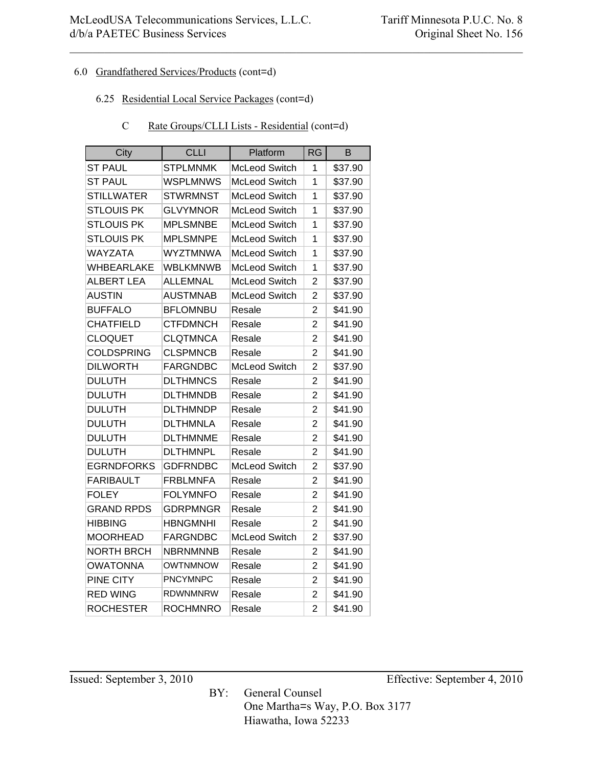# 6.25 Residential Local Service Packages (cont=d)

C Rate Groups/CLLI Lists - Residential (cont=d)

 $\mathcal{L}_\mathcal{L} = \{ \mathcal{L}_\mathcal{L} = \{ \mathcal{L}_\mathcal{L} = \{ \mathcal{L}_\mathcal{L} = \{ \mathcal{L}_\mathcal{L} = \{ \mathcal{L}_\mathcal{L} = \{ \mathcal{L}_\mathcal{L} = \{ \mathcal{L}_\mathcal{L} = \{ \mathcal{L}_\mathcal{L} = \{ \mathcal{L}_\mathcal{L} = \{ \mathcal{L}_\mathcal{L} = \{ \mathcal{L}_\mathcal{L} = \{ \mathcal{L}_\mathcal{L} = \{ \mathcal{L}_\mathcal{L} = \{ \mathcal{L}_\mathcal{$ 

| City              | <b>CLLI</b>     | Platform             | <b>RG</b>      | B       |
|-------------------|-----------------|----------------------|----------------|---------|
| <b>ST PAUL</b>    | <b>STPLMNMK</b> | <b>McLeod Switch</b> | 1              | \$37.90 |
| <b>ST PAUL</b>    | <b>WSPLMNWS</b> | <b>McLeod Switch</b> | 1              | \$37.90 |
| <b>STILLWATER</b> | <b>STWRMNST</b> | McLeod Switch        | 1              | \$37.90 |
| <b>STLOUIS PK</b> | <b>GLVYMNOR</b> | McLeod Switch        | 1              | \$37.90 |
| <b>STLOUIS PK</b> | <b>MPLSMNBE</b> | McLeod Switch        | 1              | \$37.90 |
| <b>STLOUIS PK</b> | <b>MPLSMNPE</b> | <b>McLeod Switch</b> | 1              | \$37.90 |
| <b>WAYZATA</b>    | <b>WYZTMNWA</b> | McLeod Switch        | 1              | \$37.90 |
| <b>WHBEARLAKE</b> | <b>WBLKMNWB</b> | McLeod Switch        | 1              | \$37.90 |
| <b>ALBERT LEA</b> | <b>ALLEMNAL</b> | McLeod Switch        | 2              | \$37.90 |
| <b>AUSTIN</b>     | <b>AUSTMNAB</b> | <b>McLeod Switch</b> | 2              | \$37.90 |
| <b>BUFFALO</b>    | <b>BFLOMNBU</b> | Resale               | $\overline{2}$ | \$41.90 |
| <b>CHATFIELD</b>  | <b>CTFDMNCH</b> | Resale               | $\overline{2}$ | \$41.90 |
| <b>CLOQUET</b>    | <b>CLQTMNCA</b> | Resale               | 2              | \$41.90 |
| <b>COLDSPRING</b> | <b>CLSPMNCB</b> | Resale               | 2              | \$41.90 |
| <b>DILWORTH</b>   | <b>FARGNDBC</b> | McLeod Switch        | 2              | \$37.90 |
| <b>DULUTH</b>     | <b>DLTHMNCS</b> | Resale               | $\overline{2}$ | \$41.90 |
| <b>DULUTH</b>     | <b>DLTHMNDB</b> | Resale               | 2              | \$41.90 |
| DULUTH            | <b>DLTHMNDP</b> | Resale               | 2              | \$41.90 |
| <b>DULUTH</b>     | <b>DLTHMNLA</b> | Resale               | $\overline{2}$ | \$41.90 |
| <b>DULUTH</b>     | <b>DLTHMNME</b> | Resale               | $\overline{2}$ | \$41.90 |
| <b>DULUTH</b>     | <b>DLTHMNPL</b> | Resale               | 2              | \$41.90 |
| EGRNDFORKS        | <b>GDFRNDBC</b> | <b>McLeod Switch</b> | 2              | \$37.90 |
| <b>FARIBAULT</b>  | <b>FRBLMNFA</b> | Resale               | $\overline{2}$ | \$41.90 |
| <b>FOLEY</b>      | <b>FOLYMNFO</b> | Resale               | $\overline{2}$ | \$41.90 |
| <b>GRAND RPDS</b> | <b>GDRPMNGR</b> | Resale               | $\overline{2}$ | \$41.90 |
| <b>HIBBING</b>    | <b>HBNGMNHI</b> | Resale               | 2              | \$41.90 |
| <b>MOORHEAD</b>   | <b>FARGNDBC</b> | <b>McLeod Switch</b> | $\overline{2}$ | \$37.90 |
| NORTH BRCH        | <b>NBRNMNNB</b> | Resale               | 2              | \$41.90 |
| <b>OWATONNA</b>   | OWTNMNOW        | Resale               | $\overline{2}$ | \$41.90 |
| PINE CITY         | <b>PNCYMNPC</b> | Resale               | 2              | \$41.90 |
| <b>RED WING</b>   | <b>RDWNMNRW</b> | Resale               | 2              | \$41.90 |
| <b>ROCHESTER</b>  | <b>ROCHMNRO</b> | Resale               | $\overline{2}$ | \$41.90 |

Issued: September 3, 2010 Effective: September 4, 2010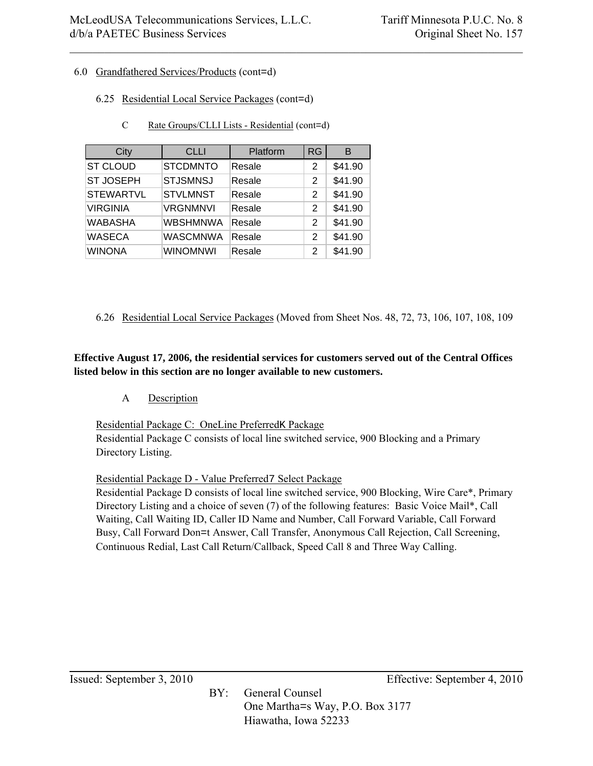#### 6.25 Residential Local Service Packages (cont=d)

C Rate Groups/CLLI Lists - Residential (cont=d)

| City             | <b>CLLI</b>     | Platform | RG | в       |
|------------------|-----------------|----------|----|---------|
| <b>ST CLOUD</b>  | <b>STCDMNTO</b> | Resale   | 2  | \$41.90 |
| <b>ST JOSEPH</b> | <b>STJSMNSJ</b> | Resale   | 2  | \$41.90 |
| <b>STEWARTVL</b> | <b>STVLMNST</b> | Resale   | 2  | \$41.90 |
| <b>VIRGINIA</b>  | <b>VRGNMNVI</b> | Resale   | 2  | \$41.90 |
| <b>WABASHA</b>   | <b>WBSHMNWA</b> | Resale   | 2  | \$41.90 |
| <b>WASECA</b>    | WASCMNWA        | Resale   | 2  | \$41.90 |
| <b>WINONA</b>    | <b>WINOMNWI</b> | Resale   | 2  | \$41.90 |

#### 6.26 Residential Local Service Packages (Moved from Sheet Nos. 48, 72, 73, 106, 107, 108, 109

 $\mathcal{L}_\mathcal{L} = \{ \mathcal{L}_\mathcal{L} = \{ \mathcal{L}_\mathcal{L} = \{ \mathcal{L}_\mathcal{L} = \{ \mathcal{L}_\mathcal{L} = \{ \mathcal{L}_\mathcal{L} = \{ \mathcal{L}_\mathcal{L} = \{ \mathcal{L}_\mathcal{L} = \{ \mathcal{L}_\mathcal{L} = \{ \mathcal{L}_\mathcal{L} = \{ \mathcal{L}_\mathcal{L} = \{ \mathcal{L}_\mathcal{L} = \{ \mathcal{L}_\mathcal{L} = \{ \mathcal{L}_\mathcal{L} = \{ \mathcal{L}_\mathcal{$ 

**Effective August 17, 2006, the residential services for customers served out of the Central Offices listed below in this section are no longer available to new customers.**

A Description

Residential Package C: OneLine PreferredK Package

Residential Package C consists of local line switched service, 900 Blocking and a Primary Directory Listing.

Residential Package D - Value Preferred7 Select Package

Residential Package D consists of local line switched service, 900 Blocking, Wire Care\*, Primary Directory Listing and a choice of seven (7) of the following features: Basic Voice Mail\*, Call Waiting, Call Waiting ID, Caller ID Name and Number, Call Forward Variable, Call Forward Busy, Call Forward Don=t Answer, Call Transfer, Anonymous Call Rejection, Call Screening, Continuous Redial, Last Call Return/Callback, Speed Call 8 and Three Way Calling.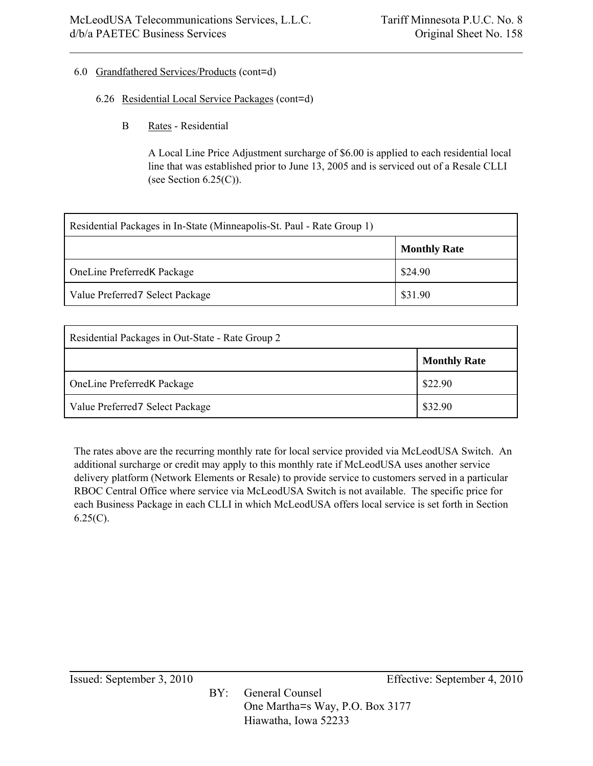## 6.26 Residential Local Service Packages (cont=d)

B Rates - Residential

A Local Line Price Adjustment surcharge of \$6.00 is applied to each residential local line that was established prior to June 13, 2005 and is serviced out of a Resale CLLI (see Section  $6.25(C)$ ).

| Residential Packages in In-State (Minneapolis-St. Paul - Rate Group 1) |                     |  |  |  |
|------------------------------------------------------------------------|---------------------|--|--|--|
|                                                                        | <b>Monthly Rate</b> |  |  |  |
| OneLine Preferred <sub>K</sub> Package                                 | \$24.90             |  |  |  |
| Value Preferred7 Select Package                                        | \$31.90             |  |  |  |

 $\mathcal{L}_\mathcal{L} = \{ \mathcal{L}_\mathcal{L} = \{ \mathcal{L}_\mathcal{L} = \{ \mathcal{L}_\mathcal{L} = \{ \mathcal{L}_\mathcal{L} = \{ \mathcal{L}_\mathcal{L} = \{ \mathcal{L}_\mathcal{L} = \{ \mathcal{L}_\mathcal{L} = \{ \mathcal{L}_\mathcal{L} = \{ \mathcal{L}_\mathcal{L} = \{ \mathcal{L}_\mathcal{L} = \{ \mathcal{L}_\mathcal{L} = \{ \mathcal{L}_\mathcal{L} = \{ \mathcal{L}_\mathcal{L} = \{ \mathcal{L}_\mathcal{$ 

| Residential Packages in Out-State - Rate Group 2 |                     |  |  |  |
|--------------------------------------------------|---------------------|--|--|--|
|                                                  | <b>Monthly Rate</b> |  |  |  |
| OneLine Preferred <sub>K</sub> Package           | \$22.90             |  |  |  |
| Value Preferred7 Select Package                  | \$32.90             |  |  |  |

The rates above are the recurring monthly rate for local service provided via McLeodUSA Switch. An additional surcharge or credit may apply to this monthly rate if McLeodUSA uses another service delivery platform (Network Elements or Resale) to provide service to customers served in a particular RBOC Central Office where service via McLeodUSA Switch is not available. The specific price for each Business Package in each CLLI in which McLeodUSA offers local service is set forth in Section  $6.25(C)$ .

Issued: September 3, 2010 Effective: September 4, 2010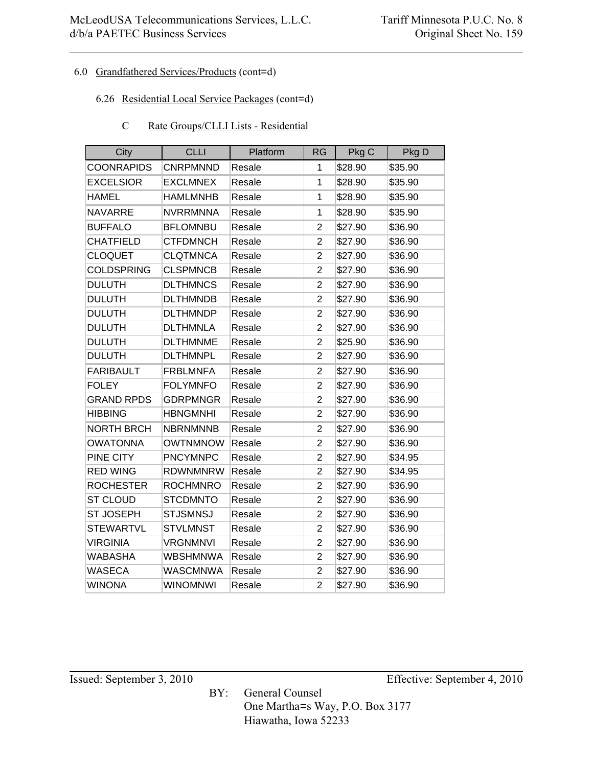# 6.26 Residential Local Service Packages (cont=d)

C Rate Groups/CLLI Lists - Residential

| City              | <b>CLLI</b>     | Platform | <b>RG</b>      | Pkg C   | Pkg D   |
|-------------------|-----------------|----------|----------------|---------|---------|
| <b>COONRAPIDS</b> | <b>CNRPMNND</b> | Resale   | 1              | \$28.90 | \$35.90 |
| <b>EXCELSIOR</b>  | <b>EXCLMNEX</b> | Resale   | 1              | \$28.90 | \$35.90 |
| <b>HAMEL</b>      | <b>HAMLMNHB</b> | Resale   | 1              | \$28.90 | \$35.90 |
| <b>NAVARRE</b>    | <b>NVRRMNNA</b> | Resale   | 1              | \$28.90 | \$35.90 |
| <b>BUFFALO</b>    | <b>BFLOMNBU</b> | Resale   | $\overline{2}$ | \$27.90 | \$36.90 |
| <b>CHATFIELD</b>  | <b>CTFDMNCH</b> | Resale   | $\overline{2}$ | \$27.90 | \$36.90 |
| <b>CLOQUET</b>    | <b>CLQTMNCA</b> | Resale   | $\overline{2}$ | \$27.90 | \$36.90 |
| <b>COLDSPRING</b> | <b>CLSPMNCB</b> | Resale   | $\overline{2}$ | \$27.90 | \$36.90 |
| <b>DULUTH</b>     | <b>DLTHMNCS</b> | Resale   | $\overline{2}$ | \$27.90 | \$36.90 |
| <b>DULUTH</b>     | <b>DLTHMNDB</b> | Resale   | 2              | \$27.90 | \$36.90 |
| <b>DULUTH</b>     | <b>DLTHMNDP</b> | Resale   | $\overline{2}$ | \$27.90 | \$36.90 |
| <b>DULUTH</b>     | <b>DLTHMNLA</b> | Resale   | $\overline{2}$ | \$27.90 | \$36.90 |
| <b>DULUTH</b>     | <b>DLTHMNME</b> | Resale   | 2              | \$25.90 | \$36.90 |
| <b>DULUTH</b>     | <b>DLTHMNPL</b> | Resale   | $\overline{2}$ | \$27.90 | \$36.90 |
| <b>FARIBAULT</b>  | <b>FRBLMNFA</b> | Resale   | $\overline{2}$ | \$27.90 | \$36.90 |
| <b>FOLEY</b>      | <b>FOLYMNFO</b> | Resale   | $\overline{2}$ | \$27.90 | \$36.90 |
| <b>GRAND RPDS</b> | <b>GDRPMNGR</b> | Resale   | $\overline{2}$ | \$27.90 | \$36.90 |
| <b>HIBBING</b>    | <b>HBNGMNHI</b> | Resale   | $\overline{2}$ | \$27.90 | \$36.90 |
| <b>NORTH BRCH</b> | <b>NBRNMNNB</b> | Resale   | $\overline{2}$ | \$27.90 | \$36.90 |
| <b>OWATONNA</b>   | <b>OWTNMNOW</b> | Resale   | $\overline{2}$ | \$27.90 | \$36.90 |
| PINE CITY         | <b>PNCYMNPC</b> | Resale   | $\overline{2}$ | \$27.90 | \$34.95 |
| <b>RED WING</b>   | <b>RDWNMNRW</b> | Resale   | $\overline{2}$ | \$27.90 | \$34.95 |
| <b>ROCHESTER</b>  | <b>ROCHMNRO</b> | Resale   | $\overline{2}$ | \$27.90 | \$36.90 |
| <b>ST CLOUD</b>   | <b>STCDMNTO</b> | Resale   | $\overline{2}$ | \$27.90 | \$36.90 |
| <b>ST JOSEPH</b>  | <b>STJSMNSJ</b> | Resale   | $\overline{2}$ | \$27.90 | \$36.90 |
| <b>STEWARTVL</b>  | <b>STVLMNST</b> | Resale   | $\overline{2}$ | \$27.90 | \$36.90 |
| <b>VIRGINIA</b>   | <b>VRGNMNVI</b> | Resale   | $\overline{2}$ | \$27.90 | \$36.90 |
| <b>WABASHA</b>    | <b>WBSHMNWA</b> | Resale   | $\overline{2}$ | \$27.90 | \$36.90 |
| <b>WASECA</b>     | <b>WASCMNWA</b> | Resale   | $\overline{2}$ | \$27.90 | \$36.90 |
| <b>WINONA</b>     | <b>WINOMNWI</b> | Resale   | $\overline{2}$ | \$27.90 | \$36.90 |

 $\mathcal{L}_\mathcal{L} = \{ \mathcal{L}_\mathcal{L} = \{ \mathcal{L}_\mathcal{L} = \{ \mathcal{L}_\mathcal{L} = \{ \mathcal{L}_\mathcal{L} = \{ \mathcal{L}_\mathcal{L} = \{ \mathcal{L}_\mathcal{L} = \{ \mathcal{L}_\mathcal{L} = \{ \mathcal{L}_\mathcal{L} = \{ \mathcal{L}_\mathcal{L} = \{ \mathcal{L}_\mathcal{L} = \{ \mathcal{L}_\mathcal{L} = \{ \mathcal{L}_\mathcal{L} = \{ \mathcal{L}_\mathcal{L} = \{ \mathcal{L}_\mathcal{$ 

Issued: September 3, 2010 Effective: September 4, 2010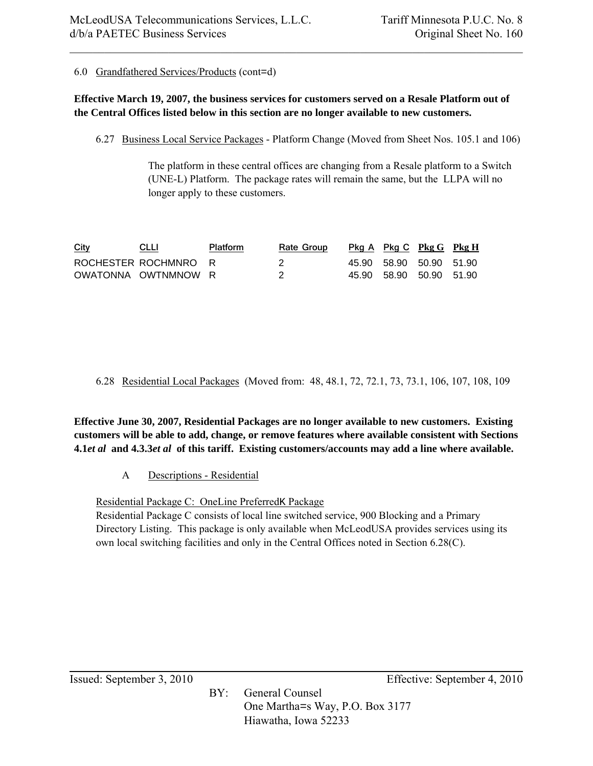# **Effective March 19, 2007, the business services for customers served on a Resale Platform out of the Central Offices listed below in this section are no longer available to new customers.**

 $\mathcal{L}_\mathcal{L} = \{ \mathcal{L}_\mathcal{L} = \{ \mathcal{L}_\mathcal{L} = \{ \mathcal{L}_\mathcal{L} = \{ \mathcal{L}_\mathcal{L} = \{ \mathcal{L}_\mathcal{L} = \{ \mathcal{L}_\mathcal{L} = \{ \mathcal{L}_\mathcal{L} = \{ \mathcal{L}_\mathcal{L} = \{ \mathcal{L}_\mathcal{L} = \{ \mathcal{L}_\mathcal{L} = \{ \mathcal{L}_\mathcal{L} = \{ \mathcal{L}_\mathcal{L} = \{ \mathcal{L}_\mathcal{L} = \{ \mathcal{L}_\mathcal{$ 

6.27 Business Local Service Packages - Platform Change (Moved from Sheet Nos. 105.1 and 106)

The platform in these central offices are changing from a Resale platform to a Switch (UNE-L) Platform. The package rates will remain the same, but the LLPA will no longer apply to these customers.

| City | <u>CLLI</u>          | Platform | Rate Group | Pkg A Pkg C Pkg G Pkg H |                         |  |
|------|----------------------|----------|------------|-------------------------|-------------------------|--|
|      | ROCHESTER ROCHMNRO R |          |            |                         | 45.90 58.90 50.90 51.90 |  |
|      | OWATONNA OWTNMNOW R  |          |            | 45.90 58.90 50.90 51.90 |                         |  |

6.28 Residential Local Packages (Moved from: 48, 48.1, 72, 72.1, 73, 73.1, 106, 107, 108, 109

**Effective June 30, 2007, Residential Packages are no longer available to new customers. Existing customers will be able to add, change, or remove features where available consistent with Sections 4.1***et al* **and 4.3.3***et al* **of this tariff. Existing customers/accounts may add a line where available.**

A Descriptions - Residential

Residential Package C: OneLine PreferredK Package

Residential Package C consists of local line switched service, 900 Blocking and a Primary Directory Listing. This package is only available when McLeodUSA provides services using its own local switching facilities and only in the Central Offices noted in Section 6.28(C).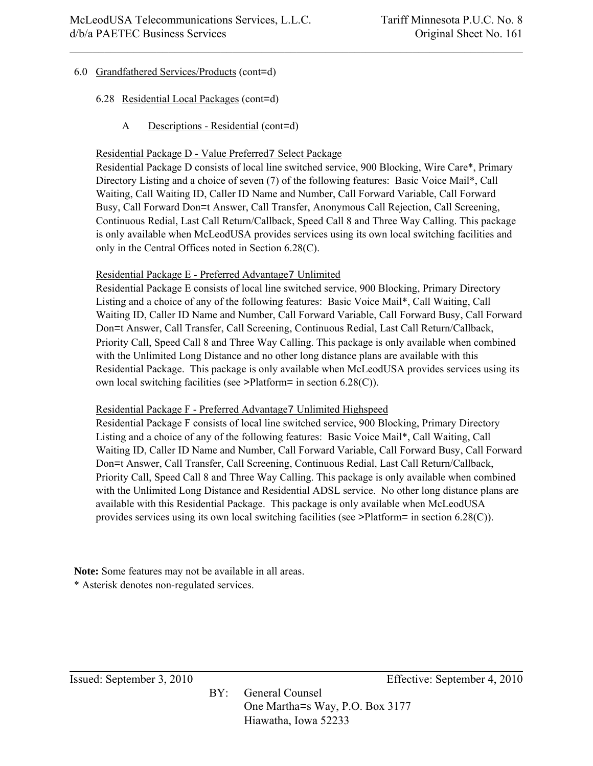- 6.28 Residential Local Packages (cont=d)
	- A Descriptions Residential (cont=d)

# Residential Package D - Value Preferred7 Select Package

Residential Package D consists of local line switched service, 900 Blocking, Wire Care\*, Primary Directory Listing and a choice of seven (7) of the following features: Basic Voice Mail\*, Call Waiting, Call Waiting ID, Caller ID Name and Number, Call Forward Variable, Call Forward Busy, Call Forward Don=t Answer, Call Transfer, Anonymous Call Rejection, Call Screening, Continuous Redial, Last Call Return/Callback, Speed Call 8 and Three Way Calling. This package is only available when McLeodUSA provides services using its own local switching facilities and only in the Central Offices noted in Section 6.28(C).

 $\mathcal{L}_\mathcal{L} = \{ \mathcal{L}_\mathcal{L} = \{ \mathcal{L}_\mathcal{L} = \{ \mathcal{L}_\mathcal{L} = \{ \mathcal{L}_\mathcal{L} = \{ \mathcal{L}_\mathcal{L} = \{ \mathcal{L}_\mathcal{L} = \{ \mathcal{L}_\mathcal{L} = \{ \mathcal{L}_\mathcal{L} = \{ \mathcal{L}_\mathcal{L} = \{ \mathcal{L}_\mathcal{L} = \{ \mathcal{L}_\mathcal{L} = \{ \mathcal{L}_\mathcal{L} = \{ \mathcal{L}_\mathcal{L} = \{ \mathcal{L}_\mathcal{$ 

# Residential Package E - Preferred Advantage7 Unlimited

Residential Package E consists of local line switched service, 900 Blocking, Primary Directory Listing and a choice of any of the following features: Basic Voice Mail\*, Call Waiting, Call Waiting ID, Caller ID Name and Number, Call Forward Variable, Call Forward Busy, Call Forward Don=t Answer, Call Transfer, Call Screening, Continuous Redial, Last Call Return/Callback, Priority Call, Speed Call 8 and Three Way Calling. This package is only available when combined with the Unlimited Long Distance and no other long distance plans are available with this Residential Package. This package is only available when McLeodUSA provides services using its own local switching facilities (see >Platform= in section 6.28(C)).

### Residential Package F - Preferred Advantage7 Unlimited Highspeed

Residential Package F consists of local line switched service, 900 Blocking, Primary Directory Listing and a choice of any of the following features: Basic Voice Mail\*, Call Waiting, Call Waiting ID, Caller ID Name and Number, Call Forward Variable, Call Forward Busy, Call Forward Don=t Answer, Call Transfer, Call Screening, Continuous Redial, Last Call Return/Callback, Priority Call, Speed Call 8 and Three Way Calling. This package is only available when combined with the Unlimited Long Distance and Residential ADSL service. No other long distance plans are available with this Residential Package. This package is only available when McLeodUSA provides services using its own local switching facilities (see >Platform= in section 6.28(C)).

**Note:** Some features may not be available in all areas. \* Asterisk denotes non-regulated services.

Issued: September 3, 2010 Effective: September 4, 2010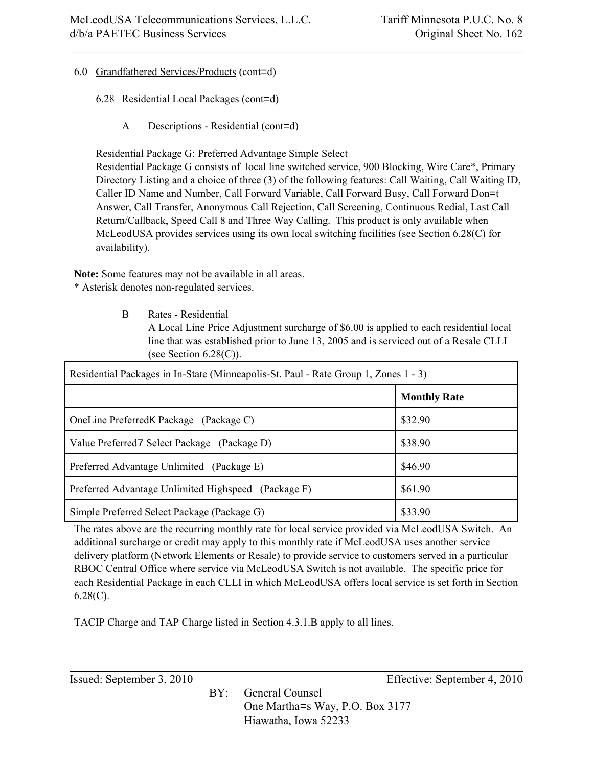- 6.28 Residential Local Packages (cont=d)
	- A Descriptions Residential (cont=d)

# Residential Package G: Preferred Advantage Simple Select

Residential Package G consists of local line switched service, 900 Blocking, Wire Care\*, Primary Directory Listing and a choice of three (3) of the following features: Call Waiting, Call Waiting ID, Caller ID Name and Number, Call Forward Variable, Call Forward Busy, Call Forward Don=t Answer, Call Transfer, Anonymous Call Rejection, Call Screening, Continuous Redial, Last Call Return/Callback, Speed Call 8 and Three Way Calling. This product is only available when McLeodUSA provides services using its own local switching facilities (see Section 6.28(C) for availability).

 $\mathcal{L}_\mathcal{L} = \{ \mathcal{L}_\mathcal{L} = \{ \mathcal{L}_\mathcal{L} = \{ \mathcal{L}_\mathcal{L} = \{ \mathcal{L}_\mathcal{L} = \{ \mathcal{L}_\mathcal{L} = \{ \mathcal{L}_\mathcal{L} = \{ \mathcal{L}_\mathcal{L} = \{ \mathcal{L}_\mathcal{L} = \{ \mathcal{L}_\mathcal{L} = \{ \mathcal{L}_\mathcal{L} = \{ \mathcal{L}_\mathcal{L} = \{ \mathcal{L}_\mathcal{L} = \{ \mathcal{L}_\mathcal{L} = \{ \mathcal{L}_\mathcal{$ 

**Note:** Some features may not be available in all areas.

\* Asterisk denotes non-regulated services.

B Rates - Residential

A Local Line Price Adjustment surcharge of \$6.00 is applied to each residential local line that was established prior to June 13, 2005 and is serviced out of a Resale CLLI (see Section  $6.28(C)$ ).

| Residential Packages in In-State (Minneapolis-St. Paul - Rate Group 1, Zones 1 - 3) |                     |  |  |
|-------------------------------------------------------------------------------------|---------------------|--|--|
|                                                                                     | <b>Monthly Rate</b> |  |  |
| OneLine Preferred KPackage (Package C)                                              | \$32.90             |  |  |
| Value Preferred 7 Select Package (Package D)                                        | \$38.90             |  |  |
| Preferred Advantage Unlimited (Package E)                                           | \$46.90             |  |  |
| Preferred Advantage Unlimited Highspeed (Package F)                                 | \$61.90             |  |  |
| Simple Preferred Select Package (Package G)                                         | \$33.90             |  |  |

The rates above are the recurring monthly rate for local service provided via McLeodUSA Switch. An additional surcharge or credit may apply to this monthly rate if McLeodUSA uses another service delivery platform (Network Elements or Resale) to provide service to customers served in a particular RBOC Central Office where service via McLeodUSA Switch is not available. The specific price for each Residential Package in each CLLI in which McLeodUSA offers local service is set forth in Section 6.28(C).

TACIP Charge and TAP Charge listed in Section 4.3.1.B apply to all lines.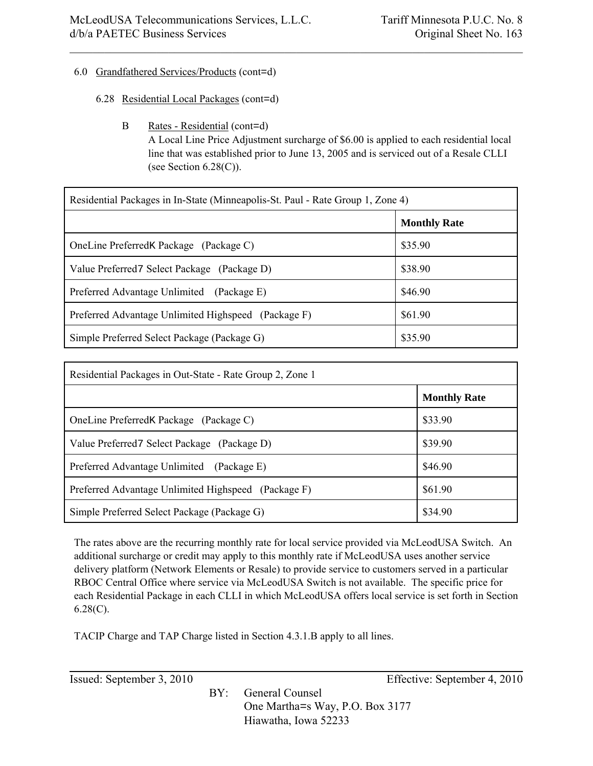- 6.28 Residential Local Packages (cont=d)
	- B Rates Residential (cont=d)

A Local Line Price Adjustment surcharge of \$6.00 is applied to each residential local line that was established prior to June 13, 2005 and is serviced out of a Resale CLLI (see Section  $6.28(C)$ ).

| Residential Packages in In-State (Minneapolis-St. Paul - Rate Group 1, Zone 4) |                     |  |  |
|--------------------------------------------------------------------------------|---------------------|--|--|
|                                                                                | <b>Monthly Rate</b> |  |  |
| OneLine Preferred KPackage (Package C)                                         | \$35.90             |  |  |
| Value Preferred 7 Select Package (Package D)                                   | \$38.90             |  |  |
| Preferred Advantage Unlimited<br>(Package E)                                   | \$46.90             |  |  |
| Preferred Advantage Unlimited Highspeed (Package F)                            | \$61.90             |  |  |
| Simple Preferred Select Package (Package G)                                    | \$35.90             |  |  |

 $\mathcal{L}_\mathcal{L} = \{ \mathcal{L}_\mathcal{L} = \{ \mathcal{L}_\mathcal{L} = \{ \mathcal{L}_\mathcal{L} = \{ \mathcal{L}_\mathcal{L} = \{ \mathcal{L}_\mathcal{L} = \{ \mathcal{L}_\mathcal{L} = \{ \mathcal{L}_\mathcal{L} = \{ \mathcal{L}_\mathcal{L} = \{ \mathcal{L}_\mathcal{L} = \{ \mathcal{L}_\mathcal{L} = \{ \mathcal{L}_\mathcal{L} = \{ \mathcal{L}_\mathcal{L} = \{ \mathcal{L}_\mathcal{L} = \{ \mathcal{L}_\mathcal{$ 

| Residential Packages in Out-State - Rate Group 2, Zone 1 |                     |  |  |
|----------------------------------------------------------|---------------------|--|--|
|                                                          | <b>Monthly Rate</b> |  |  |
| OneLine Preferred KPackage (Package C)                   | \$33.90             |  |  |
| Value Preferred7 Select Package (Package D)              | \$39.90             |  |  |
| Preferred Advantage Unlimited<br>(Package E)             | \$46.90             |  |  |
| Preferred Advantage Unlimited Highspeed (Package F)      | \$61.90             |  |  |
| Simple Preferred Select Package (Package G)              | \$34.90             |  |  |

The rates above are the recurring monthly rate for local service provided via McLeodUSA Switch. An additional surcharge or credit may apply to this monthly rate if McLeodUSA uses another service delivery platform (Network Elements or Resale) to provide service to customers served in a particular RBOC Central Office where service via McLeodUSA Switch is not available. The specific price for each Residential Package in each CLLI in which McLeodUSA offers local service is set forth in Section 6.28(C).

TACIP Charge and TAP Charge listed in Section 4.3.1.B apply to all lines.

| Issued: September 3, 2010 | Effective: September 4, 2010    |
|---------------------------|---------------------------------|
|                           | BY: General Counsel             |
|                           | One Martha=s Way, P.O. Box 3177 |
|                           | Hiawatha, Iowa 52233            |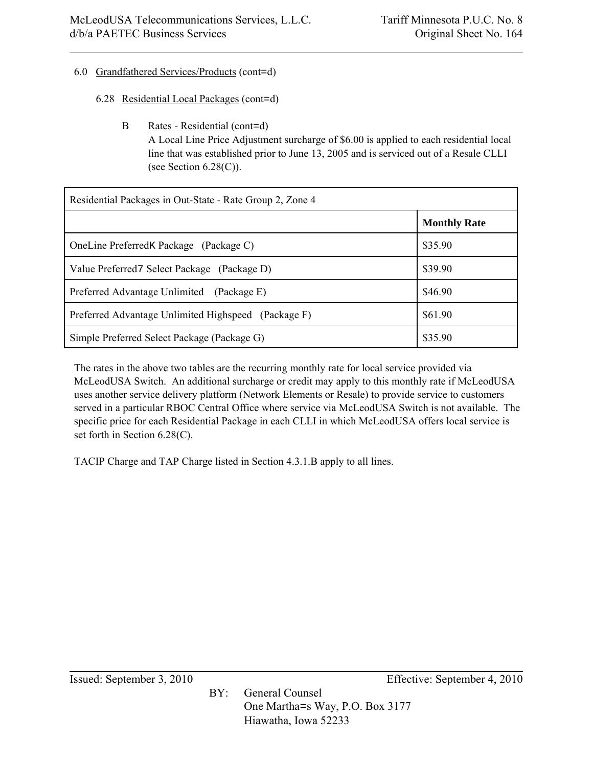- 6.28 Residential Local Packages (cont=d)
	- B Rates Residential (cont=d)

A Local Line Price Adjustment surcharge of \$6.00 is applied to each residential local line that was established prior to June 13, 2005 and is serviced out of a Resale CLLI (see Section  $6.28(C)$ ).

| Residential Packages in Out-State - Rate Group 2, Zone 4 |                     |  |  |
|----------------------------------------------------------|---------------------|--|--|
|                                                          | <b>Monthly Rate</b> |  |  |
| OneLine Preferred KPackage (Package C)                   | \$35.90             |  |  |
| Value Preferred7 Select Package (Package D)              | \$39.90             |  |  |
| Preferred Advantage Unlimited<br>(Package E)             | \$46.90             |  |  |
| Preferred Advantage Unlimited Highspeed (Package F)      | \$61.90             |  |  |
| Simple Preferred Select Package (Package G)              | \$35.90             |  |  |

 $\mathcal{L}_\mathcal{L} = \{ \mathcal{L}_\mathcal{L} = \{ \mathcal{L}_\mathcal{L} = \{ \mathcal{L}_\mathcal{L} = \{ \mathcal{L}_\mathcal{L} = \{ \mathcal{L}_\mathcal{L} = \{ \mathcal{L}_\mathcal{L} = \{ \mathcal{L}_\mathcal{L} = \{ \mathcal{L}_\mathcal{L} = \{ \mathcal{L}_\mathcal{L} = \{ \mathcal{L}_\mathcal{L} = \{ \mathcal{L}_\mathcal{L} = \{ \mathcal{L}_\mathcal{L} = \{ \mathcal{L}_\mathcal{L} = \{ \mathcal{L}_\mathcal{$ 

The rates in the above two tables are the recurring monthly rate for local service provided via McLeodUSA Switch. An additional surcharge or credit may apply to this monthly rate if McLeodUSA uses another service delivery platform (Network Elements or Resale) to provide service to customers served in a particular RBOC Central Office where service via McLeodUSA Switch is not available. The specific price for each Residential Package in each CLLI in which McLeodUSA offers local service is set forth in Section 6.28(C).

TACIP Charge and TAP Charge listed in Section 4.3.1.B apply to all lines.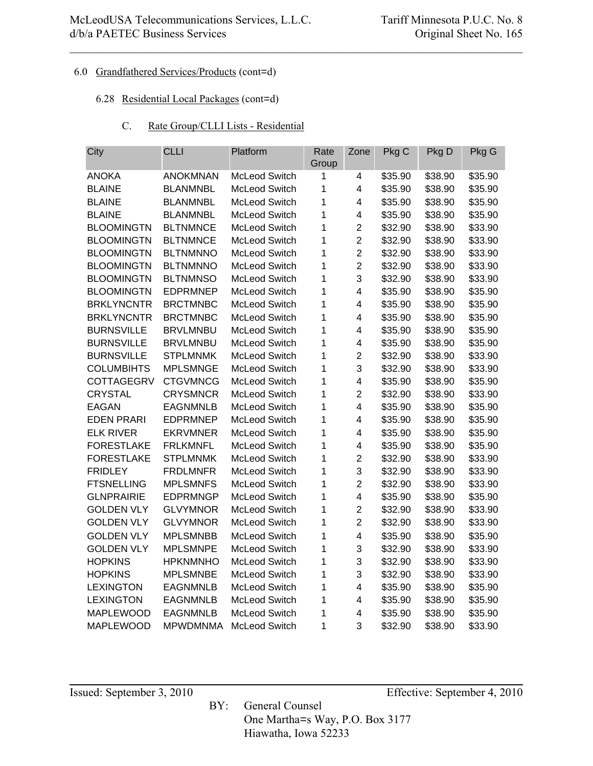# 6.28 Residential Local Packages (cont=d)

C. Rate Group/CLLI Lists - Residential

| City              | <b>CLLI</b>     | Platform             | Rate<br>Group | Zone                    | Pkg C   | Pkg D   | Pkg G   |
|-------------------|-----------------|----------------------|---------------|-------------------------|---------|---------|---------|
| <b>ANOKA</b>      | <b>ANOKMNAN</b> | <b>McLeod Switch</b> | 1             | 4                       | \$35.90 | \$38.90 | \$35.90 |
| <b>BLAINE</b>     | <b>BLANMNBL</b> | <b>McLeod Switch</b> | 1             | 4                       | \$35.90 | \$38.90 | \$35.90 |
| <b>BLAINE</b>     | <b>BLANMNBL</b> | McLeod Switch        | 1             | 4                       | \$35.90 | \$38.90 | \$35.90 |
| <b>BLAINE</b>     | <b>BLANMNBL</b> | McLeod Switch        | 1             | 4                       | \$35.90 | \$38.90 | \$35.90 |
| <b>BLOOMINGTN</b> | <b>BLTNMNCE</b> | <b>McLeod Switch</b> | 1             | $\overline{2}$          | \$32.90 | \$38.90 | \$33.90 |
| <b>BLOOMINGTN</b> | <b>BLTNMNCE</b> | <b>McLeod Switch</b> | 1             | $\overline{2}$          | \$32.90 | \$38.90 | \$33.90 |
| <b>BLOOMINGTN</b> | <b>BLTNMNNO</b> | <b>McLeod Switch</b> | 1             | $\overline{2}$          | \$32.90 | \$38.90 | \$33.90 |
| <b>BLOOMINGTN</b> | <b>BLTNMNNO</b> | <b>McLeod Switch</b> | 1             | $\overline{2}$          | \$32.90 | \$38.90 | \$33.90 |
| <b>BLOOMINGTN</b> | <b>BLTNMNSO</b> | <b>McLeod Switch</b> | 1             | 3                       | \$32.90 | \$38.90 | \$33.90 |
| <b>BLOOMINGTN</b> | <b>EDPRMNEP</b> | <b>McLeod Switch</b> | 1             | 4                       | \$35.90 | \$38.90 | \$35.90 |
| <b>BRKLYNCNTR</b> | <b>BRCTMNBC</b> | McLeod Switch        | 1             | 4                       | \$35.90 | \$38.90 | \$35.90 |
| <b>BRKLYNCNTR</b> | <b>BRCTMNBC</b> | McLeod Switch        | 1             | 4                       | \$35.90 | \$38.90 | \$35.90 |
| <b>BURNSVILLE</b> | <b>BRVLMNBU</b> | McLeod Switch        | 1             | 4                       | \$35.90 | \$38.90 | \$35.90 |
| <b>BURNSVILLE</b> | <b>BRVLMNBU</b> | McLeod Switch        | 1             | $\overline{4}$          | \$35.90 | \$38.90 | \$35.90 |
| <b>BURNSVILLE</b> | <b>STPLMNMK</b> | <b>McLeod Switch</b> | 1             | $\overline{2}$          | \$32.90 | \$38.90 | \$33.90 |
| <b>COLUMBIHTS</b> | <b>MPLSMNGE</b> | <b>McLeod Switch</b> | 1             | 3                       | \$32.90 | \$38.90 | \$33.90 |
| <b>COTTAGEGRV</b> | <b>CTGVMNCG</b> | <b>McLeod Switch</b> | 1             | 4                       | \$35.90 | \$38.90 | \$35.90 |
| <b>CRYSTAL</b>    | <b>CRYSMNCR</b> | <b>McLeod Switch</b> | 1             | $\overline{2}$          | \$32.90 | \$38.90 | \$33.90 |
| <b>EAGAN</b>      | <b>EAGNMNLB</b> | <b>McLeod Switch</b> | 1             | 4                       | \$35.90 | \$38.90 | \$35.90 |
| <b>EDEN PRARI</b> | <b>EDPRMNEP</b> | <b>McLeod Switch</b> | 1             | 4                       | \$35.90 | \$38.90 | \$35.90 |
| <b>ELK RIVER</b>  | <b>EKRVMNER</b> | McLeod Switch        | 1             | 4                       | \$35.90 | \$38.90 | \$35.90 |
| <b>FORESTLAKE</b> | <b>FRLKMNFL</b> | <b>McLeod Switch</b> | 1             | 4                       | \$35.90 | \$38.90 | \$35.90 |
| <b>FORESTLAKE</b> | <b>STPLMNMK</b> | <b>McLeod Switch</b> | 1             | $\overline{2}$          | \$32.90 | \$38.90 | \$33.90 |
| <b>FRIDLEY</b>    | <b>FRDLMNFR</b> | <b>McLeod Switch</b> | 1             | 3                       | \$32.90 | \$38.90 | \$33.90 |
| <b>FTSNELLING</b> | <b>MPLSMNFS</b> | <b>McLeod Switch</b> | 1             | $\overline{2}$          | \$32.90 | \$38.90 | \$33.90 |
| <b>GLNPRAIRIE</b> | <b>EDPRMNGP</b> | McLeod Switch        | 1             | $\overline{\mathbf{4}}$ | \$35.90 | \$38.90 | \$35.90 |
| <b>GOLDEN VLY</b> | <b>GLVYMNOR</b> | McLeod Switch        | 1             | $\overline{2}$          | \$32.90 | \$38.90 | \$33.90 |
| <b>GOLDEN VLY</b> | <b>GLVYMNOR</b> | McLeod Switch        | 1             | $\overline{2}$          | \$32.90 | \$38.90 | \$33.90 |
| <b>GOLDEN VLY</b> | <b>MPLSMNBB</b> | McLeod Switch        | 1             | 4                       | \$35.90 | \$38.90 | \$35.90 |
| <b>GOLDEN VLY</b> | <b>MPLSMNPE</b> | McLeod Switch        | 1             | 3                       | \$32.90 | \$38.90 | \$33.90 |
| <b>HOPKINS</b>    | <b>HPKNMNHO</b> | McLeod Switch        | 1             | 3                       | \$32.90 | \$38.90 | \$33.90 |
| <b>HOPKINS</b>    | <b>MPLSMNBE</b> | McLeod Switch        | 1             | 3                       | \$32.90 | \$38.90 | \$33.90 |
| <b>LEXINGTON</b>  | <b>EAGNMNLB</b> | <b>McLeod Switch</b> | 1             | 4                       | \$35.90 | \$38.90 | \$35.90 |
| <b>LEXINGTON</b>  | <b>EAGNMNLB</b> | <b>McLeod Switch</b> | 1             | 4                       | \$35.90 | \$38.90 | \$35.90 |
| <b>MAPLEWOOD</b>  | <b>EAGNMNLB</b> | McLeod Switch        | 1             | 4                       | \$35.90 | \$38.90 | \$35.90 |
| <b>MAPLEWOOD</b>  | <b>MPWDMNMA</b> | McLeod Switch        | 1             | 3                       | \$32.90 | \$38.90 | \$33.90 |

 $\mathcal{L}_\mathcal{L} = \{ \mathcal{L}_\mathcal{L} = \{ \mathcal{L}_\mathcal{L} = \{ \mathcal{L}_\mathcal{L} = \{ \mathcal{L}_\mathcal{L} = \{ \mathcal{L}_\mathcal{L} = \{ \mathcal{L}_\mathcal{L} = \{ \mathcal{L}_\mathcal{L} = \{ \mathcal{L}_\mathcal{L} = \{ \mathcal{L}_\mathcal{L} = \{ \mathcal{L}_\mathcal{L} = \{ \mathcal{L}_\mathcal{L} = \{ \mathcal{L}_\mathcal{L} = \{ \mathcal{L}_\mathcal{L} = \{ \mathcal{L}_\mathcal{$ 

Issued: September 3, 2010 Effective: September 4, 2010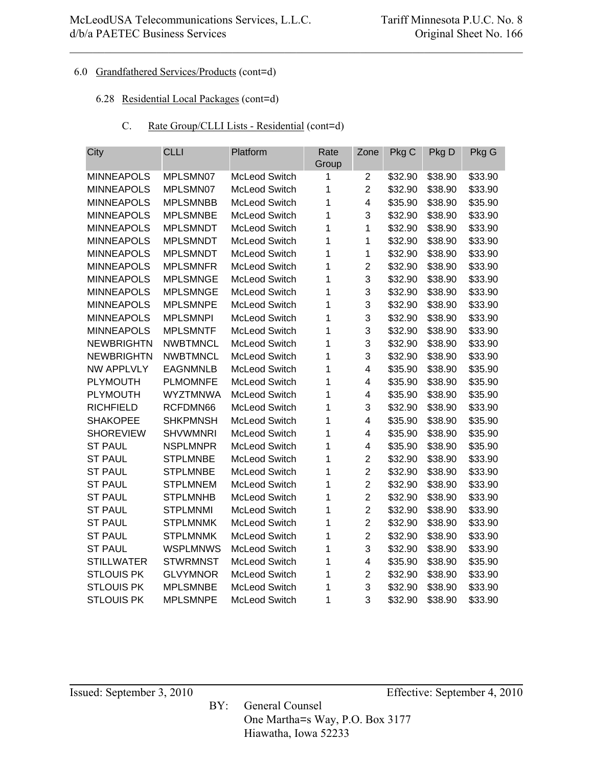# 6.28 Residential Local Packages (cont=d)

# C. Rate Group/CLLI Lists - Residential (cont=d)

| City              | <b>CLLI</b>     | Platform             | Rate<br>Group | Zone           | Pkg C   | Pkg D   | Pkg G   |
|-------------------|-----------------|----------------------|---------------|----------------|---------|---------|---------|
| <b>MINNEAPOLS</b> | MPLSMN07        | <b>McLeod Switch</b> | 1             | 2              | \$32.90 | \$38.90 | \$33.90 |
| <b>MINNEAPOLS</b> | MPLSMN07        | McLeod Switch        | 1             | $\overline{2}$ | \$32.90 | \$38.90 | \$33.90 |
| <b>MINNEAPOLS</b> | <b>MPLSMNBB</b> | <b>McLeod Switch</b> | 1             | 4              | \$35.90 | \$38.90 | \$35.90 |
| <b>MINNEAPOLS</b> | <b>MPLSMNBE</b> | <b>McLeod Switch</b> | 1             | 3              | \$32.90 | \$38.90 | \$33.90 |
| <b>MINNEAPOLS</b> | <b>MPLSMNDT</b> | <b>McLeod Switch</b> | 1             | 1              | \$32.90 | \$38.90 | \$33.90 |
| <b>MINNEAPOLS</b> | <b>MPLSMNDT</b> | McLeod Switch        | 1             | 1              | \$32.90 | \$38.90 | \$33.90 |
| <b>MINNEAPOLS</b> | <b>MPLSMNDT</b> | McLeod Switch        | 1             | 1              | \$32.90 | \$38.90 | \$33.90 |
| <b>MINNEAPOLS</b> | <b>MPLSMNFR</b> | McLeod Switch        | 1             | $\overline{2}$ | \$32.90 | \$38.90 | \$33.90 |
| <b>MINNEAPOLS</b> | <b>MPLSMNGE</b> | <b>McLeod Switch</b> | 1             | 3              | \$32.90 | \$38.90 | \$33.90 |
| <b>MINNEAPOLS</b> | <b>MPLSMNGE</b> | <b>McLeod Switch</b> | 1             | 3              | \$32.90 | \$38.90 | \$33.90 |
| <b>MINNEAPOLS</b> | <b>MPLSMNPE</b> | <b>McLeod Switch</b> | 1             | 3              | \$32.90 | \$38.90 | \$33.90 |
| <b>MINNEAPOLS</b> | <b>MPLSMNPI</b> | <b>McLeod Switch</b> | 1             | 3              | \$32.90 | \$38.90 | \$33.90 |
| <b>MINNEAPOLS</b> | <b>MPLSMNTF</b> | <b>McLeod Switch</b> | 1             | 3              | \$32.90 | \$38.90 | \$33.90 |
| <b>NEWBRIGHTN</b> | <b>NWBTMNCL</b> | McLeod Switch        | 1             | 3              | \$32.90 | \$38.90 | \$33.90 |
| <b>NEWBRIGHTN</b> | <b>NWBTMNCL</b> | McLeod Switch        | 1             | 3              | \$32.90 | \$38.90 | \$33.90 |
| <b>NW APPLVLY</b> | <b>EAGNMNLB</b> | McLeod Switch        | 1             | 4              | \$35.90 | \$38.90 | \$35.90 |
| <b>PLYMOUTH</b>   | <b>PLMOMNFE</b> | <b>McLeod Switch</b> | 1             | 4              | \$35.90 | \$38.90 | \$35.90 |
| <b>PLYMOUTH</b>   | <b>WYZTMNWA</b> | <b>McLeod Switch</b> | 1             | 4              | \$35.90 | \$38.90 | \$35.90 |
| <b>RICHFIELD</b>  | RCFDMN66        | McLeod Switch        | 1             | 3              | \$32.90 | \$38.90 | \$33.90 |
| <b>SHAKOPEE</b>   | <b>SHKPMNSH</b> | McLeod Switch        | 1             | $\overline{4}$ | \$35.90 | \$38.90 | \$35.90 |
| <b>SHOREVIEW</b>  | <b>SHVWMNRI</b> | McLeod Switch        | 1             | $\overline{4}$ | \$35.90 | \$38.90 | \$35.90 |
| <b>ST PAUL</b>    | <b>NSPLMNPR</b> | McLeod Switch        | 1             | 4              | \$35.90 | \$38.90 | \$35.90 |
| <b>ST PAUL</b>    | <b>STPLMNBE</b> | McLeod Switch        | 1             | $\overline{c}$ | \$32.90 | \$38.90 | \$33.90 |
| <b>ST PAUL</b>    | <b>STPLMNBE</b> | McLeod Switch        | 1             | $\overline{2}$ | \$32.90 | \$38.90 | \$33.90 |
| <b>ST PAUL</b>    | <b>STPLMNEM</b> | McLeod Switch        | 1             | $\overline{2}$ | \$32.90 | \$38.90 | \$33.90 |
| <b>ST PAUL</b>    | <b>STPLMNHB</b> | <b>McLeod Switch</b> | 1             | $\overline{2}$ | \$32.90 | \$38.90 | \$33.90 |
| <b>ST PAUL</b>    | <b>STPLMNMI</b> | <b>McLeod Switch</b> | 1             | $\overline{2}$ | \$32.90 | \$38.90 | \$33.90 |
| <b>ST PAUL</b>    | <b>STPLMNMK</b> | McLeod Switch        | 1             | $\overline{2}$ | \$32.90 | \$38.90 | \$33.90 |
| <b>ST PAUL</b>    | <b>STPLMNMK</b> | McLeod Switch        | 1             | $\overline{c}$ | \$32.90 | \$38.90 | \$33.90 |
| <b>ST PAUL</b>    | <b>WSPLMNWS</b> | McLeod Switch        | 1             | 3              | \$32.90 | \$38.90 | \$33.90 |
| <b>STILLWATER</b> | <b>STWRMNST</b> | McLeod Switch        | 1             | 4              | \$35.90 | \$38.90 | \$35.90 |
| <b>STLOUIS PK</b> | <b>GLVYMNOR</b> | <b>McLeod Switch</b> | 1             | $\overline{c}$ | \$32.90 | \$38.90 | \$33.90 |
| <b>STLOUIS PK</b> | <b>MPLSMNBE</b> | <b>McLeod Switch</b> | 1             | 3              | \$32.90 | \$38.90 | \$33.90 |
| <b>STLOUIS PK</b> | <b>MPLSMNPE</b> | McLeod Switch        | 1             | 3              | \$32.90 | \$38.90 | \$33.90 |

 $\mathcal{L}_\mathcal{L} = \{ \mathcal{L}_\mathcal{L} = \{ \mathcal{L}_\mathcal{L} = \{ \mathcal{L}_\mathcal{L} = \{ \mathcal{L}_\mathcal{L} = \{ \mathcal{L}_\mathcal{L} = \{ \mathcal{L}_\mathcal{L} = \{ \mathcal{L}_\mathcal{L} = \{ \mathcal{L}_\mathcal{L} = \{ \mathcal{L}_\mathcal{L} = \{ \mathcal{L}_\mathcal{L} = \{ \mathcal{L}_\mathcal{L} = \{ \mathcal{L}_\mathcal{L} = \{ \mathcal{L}_\mathcal{L} = \{ \mathcal{L}_\mathcal{$ 

Issued: September 3, 2010 Effective: September 4, 2010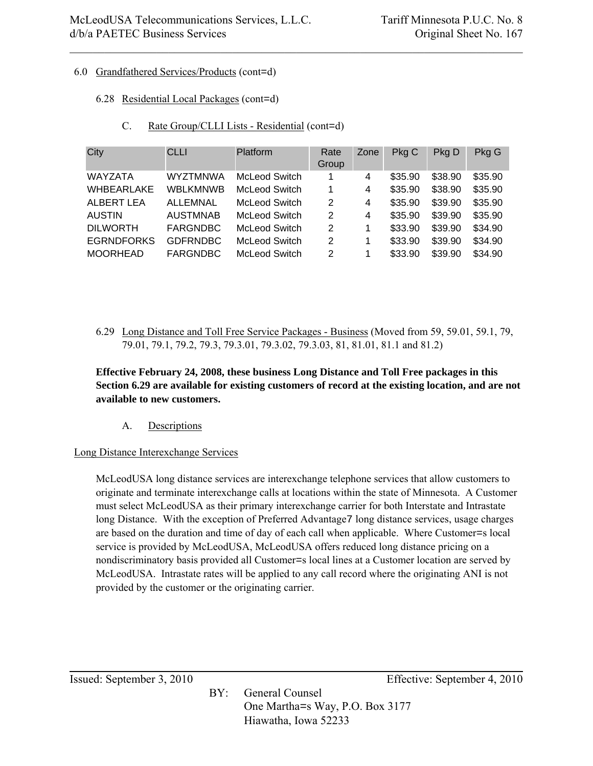#### 6.28 Residential Local Packages (cont=d)

C. Rate Group/CLLI Lists - Residential (cont=d)

| City              | <b>CLLI</b>     | Platform             | Rate<br>Group | Zone | Pkg C   | Pkg D   | Pkg G   |
|-------------------|-----------------|----------------------|---------------|------|---------|---------|---------|
| <b>WAYZATA</b>    | <b>WYZTMNWA</b> | <b>McLeod Switch</b> |               | 4    | \$35.90 | \$38.90 | \$35.90 |
| WHBEARLAKE        | WBLKMNWB        | McLeod Switch        |               | 4    | \$35.90 | \$38.90 | \$35.90 |
| ALBERT LEA        | ALLEMNAL        | McLeod Switch        | 2             | 4    | \$35.90 | \$39.90 | \$35.90 |
| <b>AUSTIN</b>     | <b>AUSTMNAB</b> | McLeod Switch        | 2             | 4    | \$35.90 | \$39.90 | \$35.90 |
| <b>DILWORTH</b>   | <b>FARGNDBC</b> | McLeod Switch        | 2             | 1    | \$33.90 | \$39.90 | \$34.90 |
| <b>EGRNDFORKS</b> | <b>GDFRNDBC</b> | McLeod Switch        | 2             | 1    | \$33.90 | \$39.90 | \$34.90 |
| <b>MOORHEAD</b>   | <b>FARGNDBC</b> | McLeod Switch        | 2             | 1    | \$33.90 | \$39.90 | \$34.90 |

 $\mathcal{L}_\mathcal{L} = \{ \mathcal{L}_\mathcal{L} = \{ \mathcal{L}_\mathcal{L} = \{ \mathcal{L}_\mathcal{L} = \{ \mathcal{L}_\mathcal{L} = \{ \mathcal{L}_\mathcal{L} = \{ \mathcal{L}_\mathcal{L} = \{ \mathcal{L}_\mathcal{L} = \{ \mathcal{L}_\mathcal{L} = \{ \mathcal{L}_\mathcal{L} = \{ \mathcal{L}_\mathcal{L} = \{ \mathcal{L}_\mathcal{L} = \{ \mathcal{L}_\mathcal{L} = \{ \mathcal{L}_\mathcal{L} = \{ \mathcal{L}_\mathcal{$ 

6.29 Long Distance and Toll Free Service Packages - Business (Moved from 59, 59.01, 59.1, 79, 79.01, 79.1, 79.2, 79.3, 79.3.01, 79.3.02, 79.3.03, 81, 81.01, 81.1 and 81.2)

**Effective February 24, 2008, these business Long Distance and Toll Free packages in this Section 6.29 are available for existing customers of record at the existing location, and are not available to new customers.**

A. Descriptions

### Long Distance Interexchange Services

McLeodUSA long distance services are interexchange telephone services that allow customers to originate and terminate interexchange calls at locations within the state of Minnesota. A Customer must select McLeodUSA as their primary interexchange carrier for both Interstate and Intrastate long Distance. With the exception of Preferred Advantage7 long distance services, usage charges are based on the duration and time of day of each call when applicable.Where Customer=s local service is provided by McLeodUSA, McLeodUSA offers reduced long distance pricing on a nondiscriminatory basis provided all Customer=s local lines at a Customer location are served by McLeodUSA. Intrastate rates will be applied to any call record where the originating ANI is not provided by the customer or the originating carrier.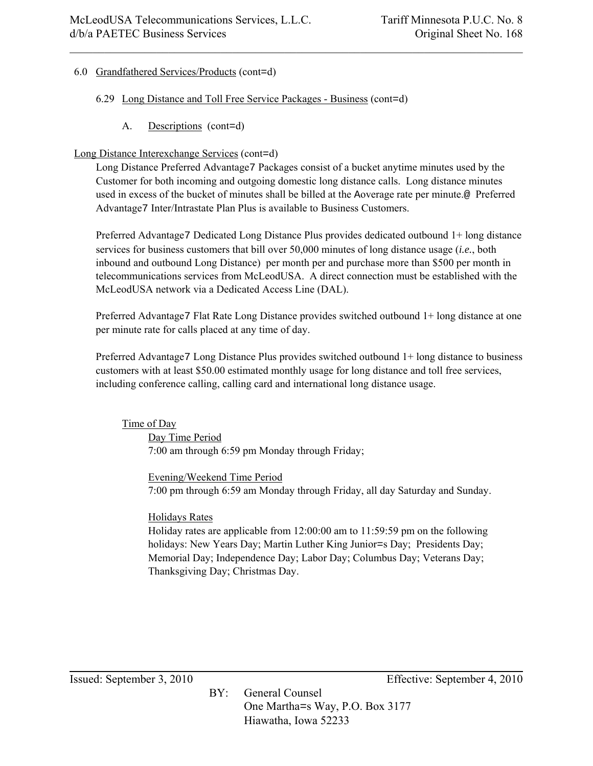# 6.29 Long Distance and Toll Free Service Packages - Business (cont=d)

A. Descriptions (cont=d)

## Long Distance Interexchange Services (cont=d)

Long Distance Preferred Advantage7 Packages consist of a bucket anytime minutes used by the Customer for both incoming and outgoing domestic long distance calls. Long distance minutes used in excess of the bucket of minutes shall be billed at the Aoverage rate per minute.@ Preferred Advantage7 Inter/Intrastate Plan Plus is available to Business Customers.

 $\mathcal{L}_\mathcal{L} = \{ \mathcal{L}_\mathcal{L} = \{ \mathcal{L}_\mathcal{L} = \{ \mathcal{L}_\mathcal{L} = \{ \mathcal{L}_\mathcal{L} = \{ \mathcal{L}_\mathcal{L} = \{ \mathcal{L}_\mathcal{L} = \{ \mathcal{L}_\mathcal{L} = \{ \mathcal{L}_\mathcal{L} = \{ \mathcal{L}_\mathcal{L} = \{ \mathcal{L}_\mathcal{L} = \{ \mathcal{L}_\mathcal{L} = \{ \mathcal{L}_\mathcal{L} = \{ \mathcal{L}_\mathcal{L} = \{ \mathcal{L}_\mathcal{$ 

Preferred Advantage7 Dedicated Long Distance Plus provides dedicated outbound 1+ long distance services for business customers that bill over 50,000 minutes of long distance usage (*i.e.*, both inbound and outbound Long Distance) per month per and purchase more than \$500 per month in telecommunications services from McLeodUSA. A direct connection must be established with the McLeodUSA network via a Dedicated Access Line (DAL).

Preferred Advantage7 Flat Rate Long Distance provides switched outbound 1+ long distance at one per minute rate for calls placed at any time of day.

Preferred Advantage7 Long Distance Plus provides switched outbound 1+ long distance to business customers with at least \$50.00 estimated monthly usage for long distance and toll free services, including conference calling, calling card and international long distance usage.

### Time of Day

Day Time Period 7:00 am through 6:59 pm Monday through Friday;

Evening/Weekend Time Period 7:00 pm through 6:59 am Monday through Friday, all day Saturday and Sunday.

# Holidays Rates

Holiday rates are applicable from 12:00:00 am to 11:59:59 pm on the following holidays: New Years Day; Martin Luther King Junior=s Day; Presidents Day; Memorial Day; Independence Day; Labor Day; Columbus Day; Veterans Day; Thanksgiving Day; Christmas Day.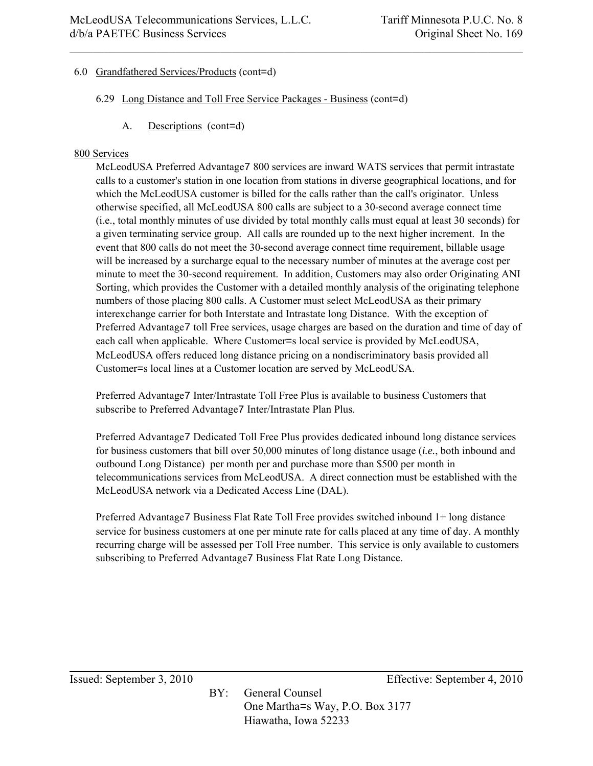## 6.29 Long Distance and Toll Free Service Packages - Business (cont=d)

A. Descriptions (cont=d)

#### 800 Services

McLeodUSA Preferred Advantage7 800 services are inward WATS services that permit intrastate calls to a customer's station in one location from stations in diverse geographical locations, and for which the McLeodUSA customer is billed for the calls rather than the call's originator. Unless otherwise specified, all McLeodUSA 800 calls are subject to a 30-second average connect time (i.e., total monthly minutes of use divided by total monthly calls must equal at least 30 seconds) for a given terminating service group. All calls are rounded up to the next higher increment. In the event that 800 calls do not meet the 30-second average connect time requirement, billable usage will be increased by a surcharge equal to the necessary number of minutes at the average cost per minute to meet the 30-second requirement. In addition, Customers may also order Originating ANI Sorting, which provides the Customer with a detailed monthly analysis of the originating telephone numbers of those placing 800 calls. A Customer must select McLeodUSA as their primary interexchange carrier for both Interstate and Intrastate long Distance. With the exception of Preferred Advantage7 toll Free services, usage charges are based on the duration and time of day of each call when applicable. Where Customer=s local service is provided by McLeodUSA, McLeodUSA offers reduced long distance pricing on a nondiscriminatory basis provided all Customer=s local lines at a Customer location are served by McLeodUSA.

 $\mathcal{L}_\mathcal{L} = \{ \mathcal{L}_\mathcal{L} = \{ \mathcal{L}_\mathcal{L} = \{ \mathcal{L}_\mathcal{L} = \{ \mathcal{L}_\mathcal{L} = \{ \mathcal{L}_\mathcal{L} = \{ \mathcal{L}_\mathcal{L} = \{ \mathcal{L}_\mathcal{L} = \{ \mathcal{L}_\mathcal{L} = \{ \mathcal{L}_\mathcal{L} = \{ \mathcal{L}_\mathcal{L} = \{ \mathcal{L}_\mathcal{L} = \{ \mathcal{L}_\mathcal{L} = \{ \mathcal{L}_\mathcal{L} = \{ \mathcal{L}_\mathcal{$ 

Preferred Advantage7 Inter/Intrastate Toll Free Plus is available to business Customers that subscribe to Preferred Advantage7 Inter/Intrastate Plan Plus.

Preferred Advantage7 Dedicated Toll Free Plus provides dedicated inbound long distance services for business customers that bill over 50,000 minutes of long distance usage (*i.e.*, both inbound and outbound Long Distance) per month per and purchase more than \$500 per month in telecommunications services from McLeodUSA. A direct connection must be established with the McLeodUSA network via a Dedicated Access Line (DAL).

Preferred Advantage7 Business Flat Rate Toll Free provides switched inbound 1+ long distance service for business customers at one per minute rate for calls placed at any time of day. A monthly recurring charge will be assessed per Toll Free number. This service is only available to customers subscribing to Preferred Advantage7 Business Flat Rate Long Distance.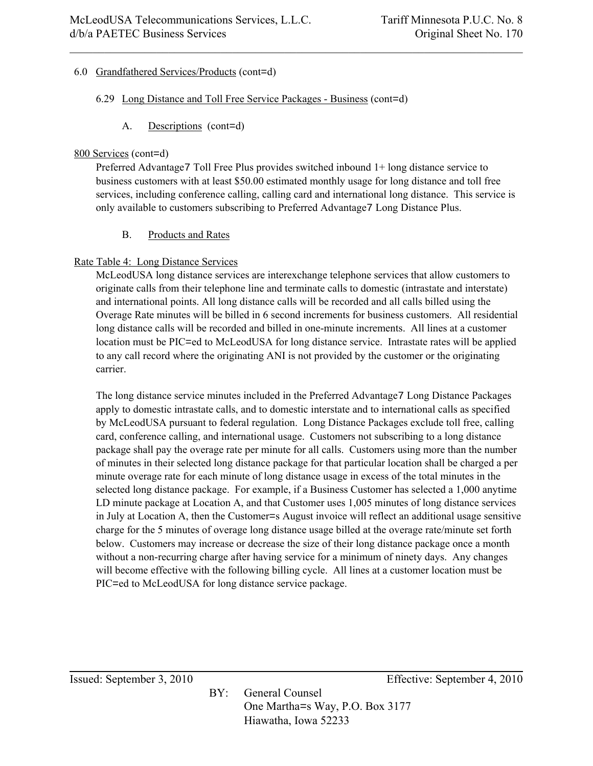# 6.29 Long Distance and Toll Free Service Packages - Business (cont=d)

#### A. Descriptions (cont=d)

#### 800 Services (cont=d)

Preferred Advantage7 Toll Free Plus provides switched inbound 1+ long distance service to business customers with at least \$50.00 estimated monthly usage for long distance and toll free services, including conference calling, calling card and international long distance. This service is only available to customers subscribing to Preferred Advantage7 Long Distance Plus.

 $\mathcal{L}_\mathcal{L} = \{ \mathcal{L}_\mathcal{L} = \{ \mathcal{L}_\mathcal{L} = \{ \mathcal{L}_\mathcal{L} = \{ \mathcal{L}_\mathcal{L} = \{ \mathcal{L}_\mathcal{L} = \{ \mathcal{L}_\mathcal{L} = \{ \mathcal{L}_\mathcal{L} = \{ \mathcal{L}_\mathcal{L} = \{ \mathcal{L}_\mathcal{L} = \{ \mathcal{L}_\mathcal{L} = \{ \mathcal{L}_\mathcal{L} = \{ \mathcal{L}_\mathcal{L} = \{ \mathcal{L}_\mathcal{L} = \{ \mathcal{L}_\mathcal{$ 

#### B. Products and Rates

### Rate Table 4: Long Distance Services

McLeodUSA long distance services are interexchange telephone services that allow customers to originate calls from their telephone line and terminate calls to domestic (intrastate and interstate) and international points. All long distance calls will be recorded and all calls billed using the Overage Rate minutes will be billed in 6 second increments for business customers. All residential long distance calls will be recorded and billed in one-minute increments. All lines at a customer location must be PIC=ed to McLeodUSA for long distance service. Intrastate rates will be applied to any call record where the originating ANI is not provided by the customer or the originating carrier.

The long distance service minutes included in the Preferred Advantage7 Long Distance Packages apply to domestic intrastate calls, and to domestic interstate and to international calls as specified by McLeodUSA pursuant to federal regulation. Long Distance Packages exclude toll free, calling card, conference calling, and international usage. Customers not subscribing to a long distance package shall pay the overage rate per minute for all calls. Customers using more than the number of minutes in their selected long distance package for that particular location shall be charged a per minute overage rate for each minute of long distance usage in excess of the total minutes in the selected long distance package. For example, if a Business Customer has selected a 1,000 anytime LD minute package at Location A, and that Customer uses 1,005 minutes of long distance services in July at Location A, then the Customer=s August invoice will reflect an additional usage sensitive charge for the 5 minutes of overage long distance usage billed at the overage rate/minute set forth below. Customers may increase or decrease the size of their long distance package once a month without a non-recurring charge after having service for a minimum of ninety days. Any changes will become effective with the following billing cycle. All lines at a customer location must be PIC=ed to McLeodUSA for long distance service package.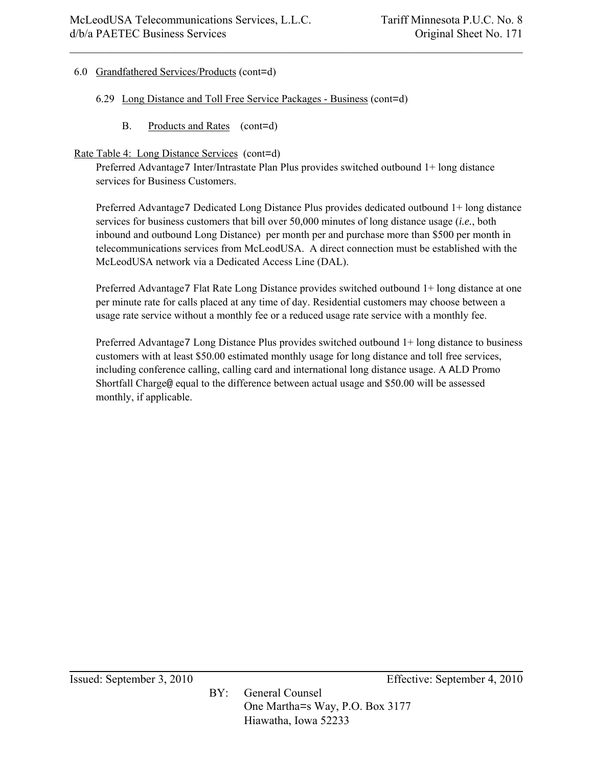# 6.29 Long Distance and Toll Free Service Packages - Business (cont=d)

B. Products and Rates (cont=d)

#### Rate Table 4: Long Distance Services (cont=d)

Preferred Advantage7 Inter/Intrastate Plan Plus provides switched outbound 1+ long distance services for Business Customers.

 $\mathcal{L}_\mathcal{L} = \{ \mathcal{L}_\mathcal{L} = \{ \mathcal{L}_\mathcal{L} = \{ \mathcal{L}_\mathcal{L} = \{ \mathcal{L}_\mathcal{L} = \{ \mathcal{L}_\mathcal{L} = \{ \mathcal{L}_\mathcal{L} = \{ \mathcal{L}_\mathcal{L} = \{ \mathcal{L}_\mathcal{L} = \{ \mathcal{L}_\mathcal{L} = \{ \mathcal{L}_\mathcal{L} = \{ \mathcal{L}_\mathcal{L} = \{ \mathcal{L}_\mathcal{L} = \{ \mathcal{L}_\mathcal{L} = \{ \mathcal{L}_\mathcal{$ 

Preferred Advantage7 Dedicated Long Distance Plus provides dedicated outbound 1+ long distance services for business customers that bill over 50,000 minutes of long distance usage (*i.e.*, both inbound and outbound Long Distance) per month per and purchase more than \$500 per month in telecommunications services from McLeodUSA. A direct connection must be established with the McLeodUSA network via a Dedicated Access Line (DAL).

Preferred Advantage7 Flat Rate Long Distance provides switched outbound 1+ long distance at one per minute rate for calls placed at any time of day. Residential customers may choose between a usage rate service without a monthly fee or a reduced usage rate service with a monthly fee.

Preferred Advantage7 Long Distance Plus provides switched outbound 1+ long distance to business customers with at least \$50.00 estimated monthly usage for long distance and toll free services, including conference calling, calling card and international long distance usage. A ALD Promo Shortfall Charge@ equal to the difference between actual usage and \$50.00 will be assessed monthly, if applicable.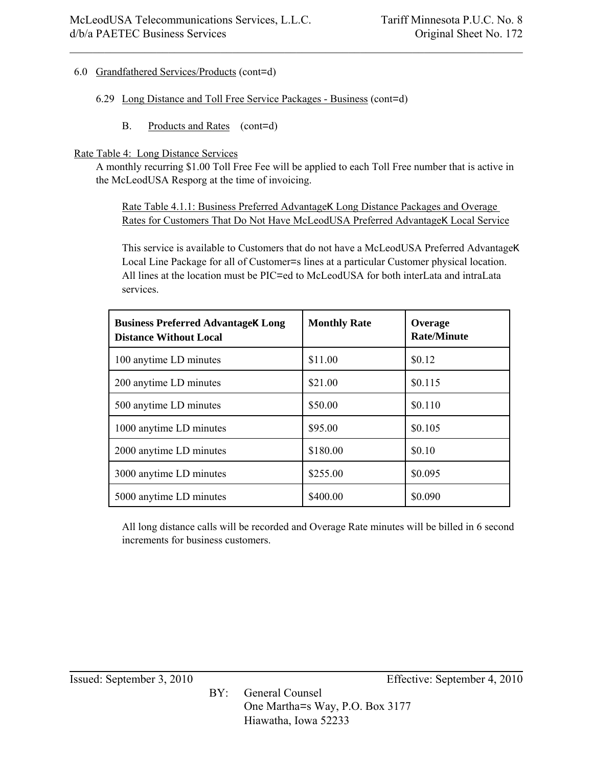### 6.29 Long Distance and Toll Free Service Packages - Business (cont=d)

B. Products and Rates (cont=d)

#### Rate Table 4: Long Distance Services

A monthly recurring \$1.00 Toll Free Fee will be applied to each Toll Free number that is active in the McLeodUSA Resporg at the time of invoicing.

 $\mathcal{L}_\mathcal{L} = \{ \mathcal{L}_\mathcal{L} = \{ \mathcal{L}_\mathcal{L} = \{ \mathcal{L}_\mathcal{L} = \{ \mathcal{L}_\mathcal{L} = \{ \mathcal{L}_\mathcal{L} = \{ \mathcal{L}_\mathcal{L} = \{ \mathcal{L}_\mathcal{L} = \{ \mathcal{L}_\mathcal{L} = \{ \mathcal{L}_\mathcal{L} = \{ \mathcal{L}_\mathcal{L} = \{ \mathcal{L}_\mathcal{L} = \{ \mathcal{L}_\mathcal{L} = \{ \mathcal{L}_\mathcal{L} = \{ \mathcal{L}_\mathcal{$ 

Rate Table 4.1.1: Business Preferred AdvantageK Long Distance Packages and Overage Rates for Customers That Do Not Have McLeodUSA Preferred AdvantageK Local Service

This service is available to Customers that do not have a McLeodUSA Preferred AdvantageK Local Line Package for all of Customer=s lines at a particular Customer physical location. All lines at the location must be PIC=ed to McLeodUSA for both interLata and intraLata services.

| <b>Business Preferred Advantagek Long</b><br><b>Distance Without Local</b> | <b>Monthly Rate</b> | Overage<br><b>Rate/Minute</b> |
|----------------------------------------------------------------------------|---------------------|-------------------------------|
| 100 anytime LD minutes                                                     | \$11.00             | \$0.12                        |
| 200 anytime LD minutes                                                     | \$21.00             | \$0.115                       |
| 500 anytime LD minutes                                                     | \$50.00             | \$0.110                       |
| 1000 anytime LD minutes                                                    | \$95.00             | \$0.105                       |
| 2000 anytime LD minutes                                                    | \$180.00            | \$0.10                        |
| 3000 anytime LD minutes                                                    | \$255.00            | \$0.095                       |
| 5000 anytime LD minutes                                                    | \$400.00            | \$0.090                       |

All long distance calls will be recorded and Overage Rate minutes will be billed in 6 second increments for business customers.

Issued: September 3, 2010 Effective: September 4, 2010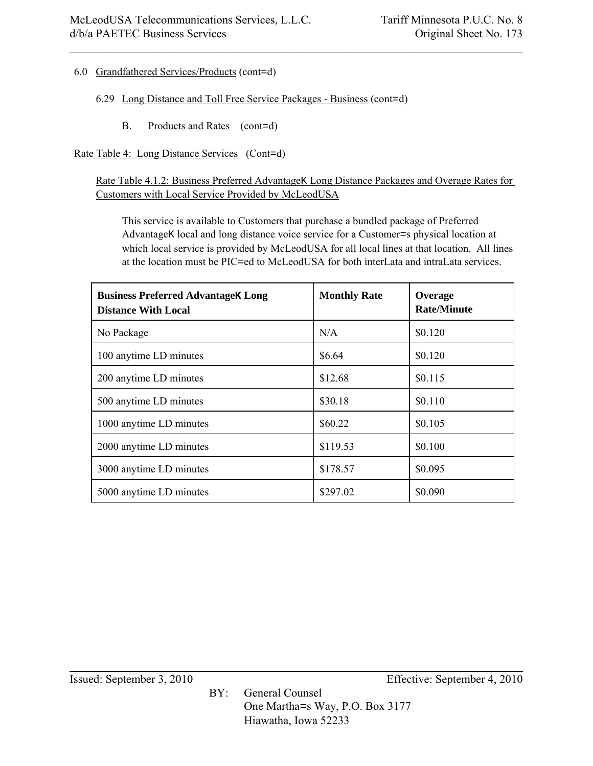## 6.29 Long Distance and Toll Free Service Packages - Business (cont=d)

B. Products and Rates (cont=d)

Rate Table 4: Long Distance Services (Cont=d)

Rate Table 4.1.2: Business Preferred AdvantageK Long Distance Packages and Overage Rates for Customers with Local Service Provided by McLeodUSA

 $\mathcal{L}_\mathcal{L} = \{ \mathcal{L}_\mathcal{L} = \{ \mathcal{L}_\mathcal{L} = \{ \mathcal{L}_\mathcal{L} = \{ \mathcal{L}_\mathcal{L} = \{ \mathcal{L}_\mathcal{L} = \{ \mathcal{L}_\mathcal{L} = \{ \mathcal{L}_\mathcal{L} = \{ \mathcal{L}_\mathcal{L} = \{ \mathcal{L}_\mathcal{L} = \{ \mathcal{L}_\mathcal{L} = \{ \mathcal{L}_\mathcal{L} = \{ \mathcal{L}_\mathcal{L} = \{ \mathcal{L}_\mathcal{L} = \{ \mathcal{L}_\mathcal{$ 

This service is available to Customers that purchase a bundled package of Preferred AdvantageK local and long distance voice service for a Customer=s physical location at which local service is provided by McLeodUSA for all local lines at that location. All lines at the location must be PIC=ed to McLeodUSA for both interLata and intraLata services.

| <b>Business Preferred Advantagek Long</b><br><b>Distance With Local</b> | <b>Monthly Rate</b> | Overage<br><b>Rate/Minute</b> |
|-------------------------------------------------------------------------|---------------------|-------------------------------|
| No Package                                                              | N/A                 | \$0.120                       |
| 100 anytime LD minutes                                                  | \$6.64              | \$0.120                       |
| 200 anytime LD minutes                                                  | \$12.68             | \$0.115                       |
| 500 anytime LD minutes                                                  | \$30.18             | \$0.110                       |
| 1000 anytime LD minutes                                                 | \$60.22             | \$0.105                       |
| 2000 anytime LD minutes                                                 | \$119.53            | \$0.100                       |
| 3000 anytime LD minutes                                                 | \$178.57            | \$0.095                       |
| 5000 anytime LD minutes                                                 | \$297.02            | \$0.090                       |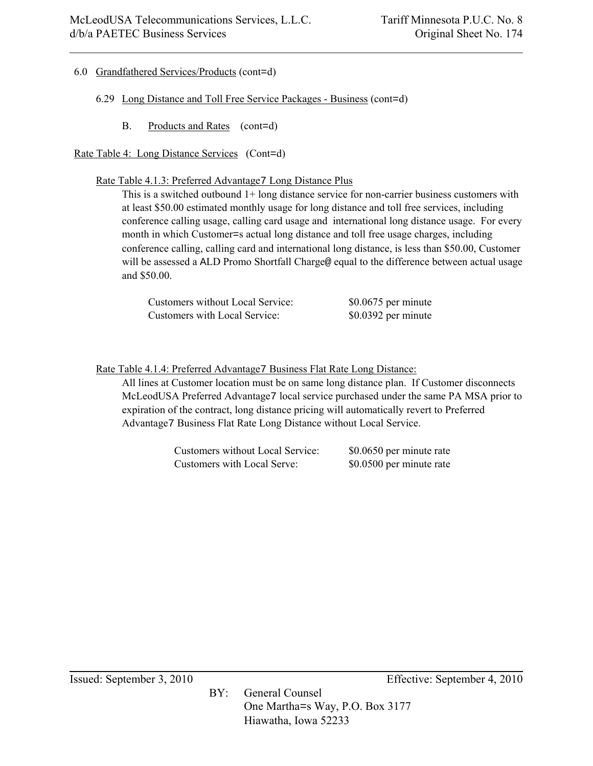# 6.29 Long Distance and Toll Free Service Packages - Business (cont=d)

 $\mathcal{L}_\mathcal{L} = \{ \mathcal{L}_\mathcal{L} = \{ \mathcal{L}_\mathcal{L} = \{ \mathcal{L}_\mathcal{L} = \{ \mathcal{L}_\mathcal{L} = \{ \mathcal{L}_\mathcal{L} = \{ \mathcal{L}_\mathcal{L} = \{ \mathcal{L}_\mathcal{L} = \{ \mathcal{L}_\mathcal{L} = \{ \mathcal{L}_\mathcal{L} = \{ \mathcal{L}_\mathcal{L} = \{ \mathcal{L}_\mathcal{L} = \{ \mathcal{L}_\mathcal{L} = \{ \mathcal{L}_\mathcal{L} = \{ \mathcal{L}_\mathcal{$ 

B. Products and Rates (cont=d)

## Rate Table 4: Long Distance Services (Cont=d)

# Rate Table 4.1.3: Preferred Advantage7 Long Distance Plus

This is a switched outbound 1+ long distance service for non-carrier business customers with at least \$50.00 estimated monthly usage for long distance and toll free services, including conference calling usage, calling card usage and international long distance usage. For every month in which Customer=s actual long distance and toll free usage charges, including conference calling, calling card and international long distance, is less than \$50.00, Customer will be assessed a ALD Promo Shortfall Charge@ equal to the difference between actual usage and \$50.00.

| Customers without Local Service: | $$0.0675$ per minute |
|----------------------------------|----------------------|
| Customers with Local Service:    | \$0.0392 per minute  |

# Rate Table 4.1.4: Preferred Advantage7 Business Flat Rate Long Distance:

All lines at Customer location must be on same long distance plan. If Customer disconnects McLeodUSA Preferred Advantage7 local service purchased under the same PA MSA prior to expiration of the contract, long distance pricing will automatically revert to Preferred Advantage7 Business Flat Rate Long Distance without Local Service.

| <b>Customers without Local Service:</b> | \$0.0650 per minute rate |
|-----------------------------------------|--------------------------|
| Customers with Local Serve:             | \$0.0500 per minute rate |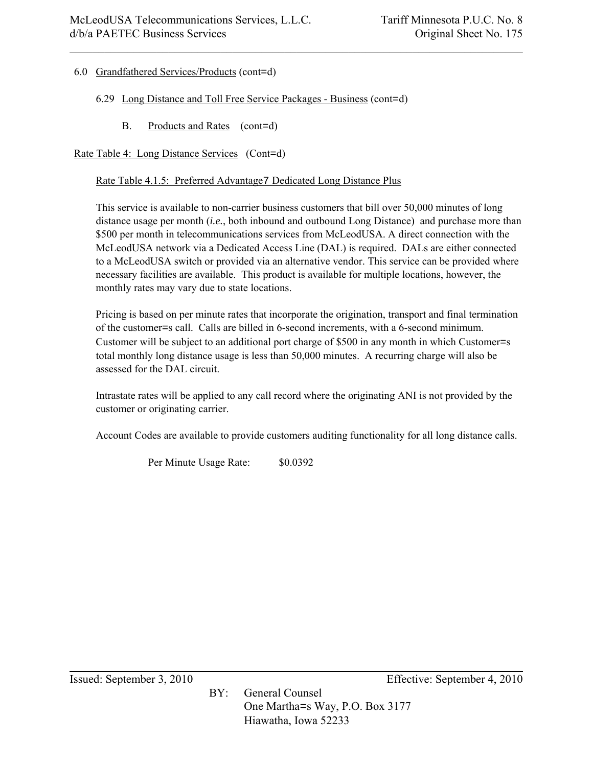# 6.29 Long Distance and Toll Free Service Packages - Business (cont=d)

B. Products and Rates (cont=d)

Rate Table 4: Long Distance Services (Cont=d)

# Rate Table 4.1.5: Preferred Advantage7 Dedicated Long Distance Plus

This service is available to non-carrier business customers that bill over 50,000 minutes of long distance usage per month (*i.e.*, both inbound and outbound Long Distance) and purchase more than \$500 per month in telecommunications services from McLeodUSA. A direct connection with the McLeodUSA network via a Dedicated Access Line (DAL) is required. DALs are either connected to a McLeodUSA switch or provided via an alternative vendor. This service can be provided where necessary facilities are available. This product is available for multiple locations, however, the monthly rates may vary due to state locations.

 $\mathcal{L}_\mathcal{L} = \{ \mathcal{L}_\mathcal{L} = \{ \mathcal{L}_\mathcal{L} = \{ \mathcal{L}_\mathcal{L} = \{ \mathcal{L}_\mathcal{L} = \{ \mathcal{L}_\mathcal{L} = \{ \mathcal{L}_\mathcal{L} = \{ \mathcal{L}_\mathcal{L} = \{ \mathcal{L}_\mathcal{L} = \{ \mathcal{L}_\mathcal{L} = \{ \mathcal{L}_\mathcal{L} = \{ \mathcal{L}_\mathcal{L} = \{ \mathcal{L}_\mathcal{L} = \{ \mathcal{L}_\mathcal{L} = \{ \mathcal{L}_\mathcal{$ 

Pricing is based on per minute rates that incorporate the origination, transport and final termination of the customer=s call. Calls are billed in 6-second increments, with a 6-second minimum. Customer will be subject to an additional port charge of \$500 in any month in which Customer=s total monthly long distance usage is less than 50,000 minutes. A recurring charge will also be assessed for the DAL circuit.

Intrastate rates will be applied to any call record where the originating ANI is not provided by the customer or originating carrier.

Account Codes are available to provide customers auditing functionality for all long distance calls.

Per Minute Usage Rate: \$0.0392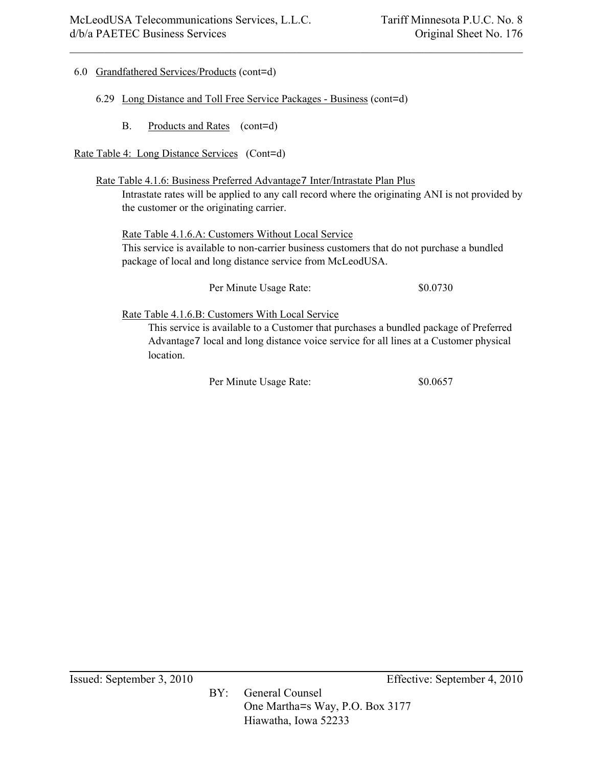## 6.29 Long Distance and Toll Free Service Packages - Business (cont=d)

B. Products and Rates (cont=d)

#### Rate Table 4: Long Distance Services (Cont=d)

Rate Table 4.1.6: Business Preferred Advantage7 Inter/Intrastate Plan Plus

Intrastate rates will be applied to any call record where the originating ANI is not provided by the customer or the originating carrier.

 $\mathcal{L}_\mathcal{L} = \{ \mathcal{L}_\mathcal{L} = \{ \mathcal{L}_\mathcal{L} = \{ \mathcal{L}_\mathcal{L} = \{ \mathcal{L}_\mathcal{L} = \{ \mathcal{L}_\mathcal{L} = \{ \mathcal{L}_\mathcal{L} = \{ \mathcal{L}_\mathcal{L} = \{ \mathcal{L}_\mathcal{L} = \{ \mathcal{L}_\mathcal{L} = \{ \mathcal{L}_\mathcal{L} = \{ \mathcal{L}_\mathcal{L} = \{ \mathcal{L}_\mathcal{L} = \{ \mathcal{L}_\mathcal{L} = \{ \mathcal{L}_\mathcal{$ 

Rate Table 4.1.6.A: Customers Without Local Service

This service is available to non-carrier business customers that do not purchase a bundled package of local and long distance service from McLeodUSA.

| Per Minute Usage Rate: | \$0.0730 |
|------------------------|----------|
|                        |          |

Rate Table 4.1.6.B: Customers With Local Service

This service is available to a Customer that purchases a bundled package of Preferred Advantage7 local and long distance voice service for all lines at a Customer physical location.

Per Minute Usage Rate:  $$0.0657$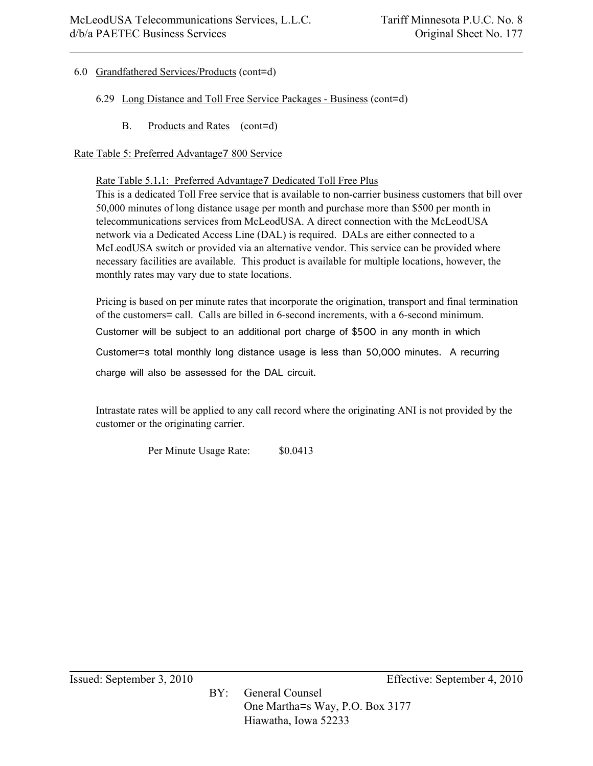# 6.29 Long Distance and Toll Free Service Packages - Business (cont=d)

B. Products and Rates (cont=d)

## Rate Table 5: Preferred Advantage7 800 Service

Rate Table 5.1**.**1: Preferred Advantage7 Dedicated Toll Free Plus

This is a dedicated Toll Free service that is available to non-carrier business customers that bill over 50,000 minutes of long distance usage per month and purchase more than \$500 per month in telecommunications services from McLeodUSA. A direct connection with the McLeodUSA network via a Dedicated Access Line (DAL) is required. DALs are either connected to a McLeodUSA switch or provided via an alternative vendor. This service can be provided where necessary facilities are available. This product is available for multiple locations, however, the monthly rates may vary due to state locations.

 $\mathcal{L}_\mathcal{L} = \{ \mathcal{L}_\mathcal{L} = \{ \mathcal{L}_\mathcal{L} = \{ \mathcal{L}_\mathcal{L} = \{ \mathcal{L}_\mathcal{L} = \{ \mathcal{L}_\mathcal{L} = \{ \mathcal{L}_\mathcal{L} = \{ \mathcal{L}_\mathcal{L} = \{ \mathcal{L}_\mathcal{L} = \{ \mathcal{L}_\mathcal{L} = \{ \mathcal{L}_\mathcal{L} = \{ \mathcal{L}_\mathcal{L} = \{ \mathcal{L}_\mathcal{L} = \{ \mathcal{L}_\mathcal{L} = \{ \mathcal{L}_\mathcal{$ 

Pricing is based on per minute rates that incorporate the origination, transport and final termination of the customers= call. Calls are billed in 6-second increments, with a 6-second minimum. Customer will be subject to an additional port charge of \$500 in any month in which Customer=s total monthly long distance usage is less than 50,000 minutes. A recurring charge will also be assessed for the DAL circuit.

Intrastate rates will be applied to any call record where the originating ANI is not provided by the customer or the originating carrier.

Per Minute Usage Rate: \$0.0413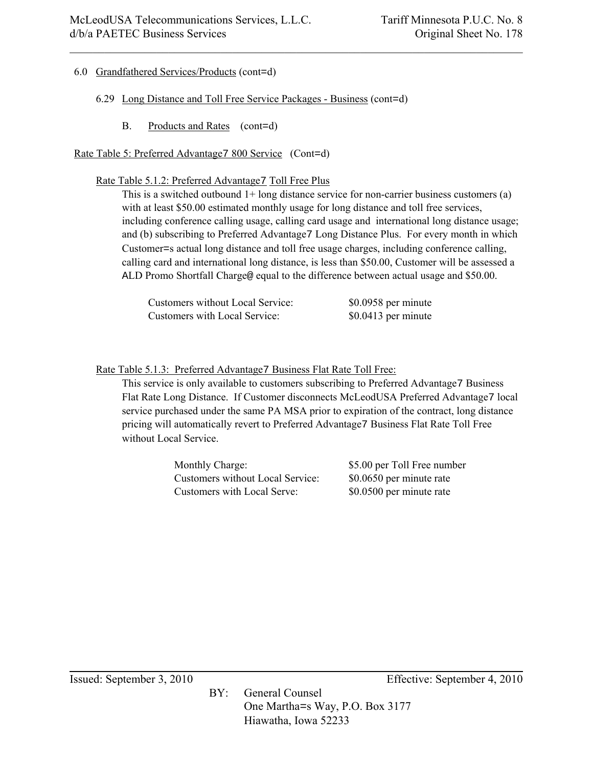# 6.29 Long Distance and Toll Free Service Packages - Business (cont=d)

 $\mathcal{L}_\mathcal{L} = \{ \mathcal{L}_\mathcal{L} = \{ \mathcal{L}_\mathcal{L} = \{ \mathcal{L}_\mathcal{L} = \{ \mathcal{L}_\mathcal{L} = \{ \mathcal{L}_\mathcal{L} = \{ \mathcal{L}_\mathcal{L} = \{ \mathcal{L}_\mathcal{L} = \{ \mathcal{L}_\mathcal{L} = \{ \mathcal{L}_\mathcal{L} = \{ \mathcal{L}_\mathcal{L} = \{ \mathcal{L}_\mathcal{L} = \{ \mathcal{L}_\mathcal{L} = \{ \mathcal{L}_\mathcal{L} = \{ \mathcal{L}_\mathcal{$ 

B. Products and Rates (cont=d)

## Rate Table 5: Preferred Advantage7 800 Service (Cont=d)

# Rate Table 5.1.2: Preferred Advantage7 Toll Free Plus

This is a switched outbound 1+ long distance service for non-carrier business customers (a) with at least \$50.00 estimated monthly usage for long distance and toll free services, including conference calling usage, calling card usage and international long distance usage; and (b) subscribing to Preferred Advantage7 Long Distance Plus. For every month in which Customer=s actual long distance and toll free usage charges, including conference calling, calling card and international long distance, is less than \$50.00, Customer will be assessed a ALD Promo Shortfall Charge@ equal to the difference between actual usage and \$50.00.

| <b>Customers without Local Service:</b> | \$0.0958 per minute  |
|-----------------------------------------|----------------------|
| Customers with Local Service:           | $$0.0413$ per minute |

# Rate Table 5.1.3: Preferred Advantage7 Business Flat Rate Toll Free:

This service is only available to customers subscribing to Preferred Advantage7 Business Flat Rate Long Distance. If Customer disconnects McLeodUSA Preferred Advantage7 local service purchased under the same PA MSA prior to expiration of the contract, long distance pricing will automatically revert to Preferred Advantage7 Business Flat Rate Toll Free without Local Service.

| <b>Monthly Charge:</b>                  | \$5.00 per Toll Free number |
|-----------------------------------------|-----------------------------|
| <b>Customers without Local Service:</b> | \$0.0650 per minute rate    |
| Customers with Local Serve:             | \$0.0500 per minute rate    |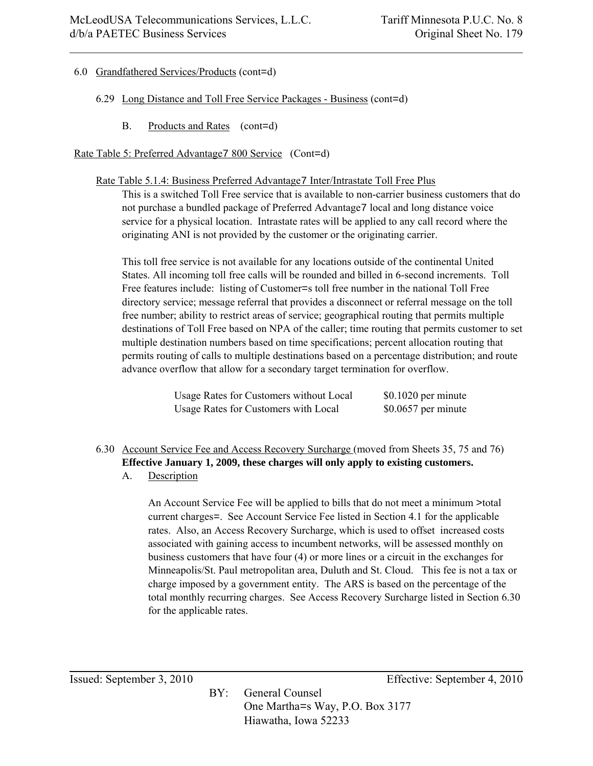## 6.29 Long Distance and Toll Free Service Packages - Business (cont=d)

 $\mathcal{L}_\mathcal{L} = \{ \mathcal{L}_\mathcal{L} = \{ \mathcal{L}_\mathcal{L} = \{ \mathcal{L}_\mathcal{L} = \{ \mathcal{L}_\mathcal{L} = \{ \mathcal{L}_\mathcal{L} = \{ \mathcal{L}_\mathcal{L} = \{ \mathcal{L}_\mathcal{L} = \{ \mathcal{L}_\mathcal{L} = \{ \mathcal{L}_\mathcal{L} = \{ \mathcal{L}_\mathcal{L} = \{ \mathcal{L}_\mathcal{L} = \{ \mathcal{L}_\mathcal{L} = \{ \mathcal{L}_\mathcal{L} = \{ \mathcal{L}_\mathcal{$ 

B. Products and Rates (cont=d)

#### Rate Table 5: Preferred Advantage7 800 Service (Cont=d)

#### Rate Table 5.1.4: Business Preferred Advantage7 Inter/Intrastate Toll Free Plus

This is a switched Toll Free service that is available to non-carrier business customers that do not purchase a bundled package of Preferred Advantage7 local and long distance voice service for a physical location. Intrastate rates will be applied to any call record where the originating ANI is not provided by the customer or the originating carrier.

This toll free service is not available for any locations outside of the continental United States. All incoming toll free calls will be rounded and billed in 6-second increments. Toll Free features include: listing of Customer=s toll free number in the national Toll Free directory service; message referral that provides a disconnect or referral message on the toll free number; ability to restrict areas of service; geographical routing that permits multiple destinations of Toll Free based on NPA of the caller; time routing that permits customer to set multiple destination numbers based on time specifications; percent allocation routing that permits routing of calls to multiple destinations based on a percentage distribution; and route advance overflow that allow for a secondary target termination for overflow.

| Usage Rates for Customers without Local | $$0.1020$ per minute |
|-----------------------------------------|----------------------|
| Usage Rates for Customers with Local    | $$0.0657$ per minute |

6.30 Account Service Fee and Access Recovery Surcharge (moved from Sheets 35, 75 and 76) **Effective January 1, 2009, these charges will only apply to existing customers.** A. Description

> An Account Service Fee will be applied to bills that do not meet a minimum >total current charges=. See Account Service Fee listed in Section 4.1 for the applicable rates. Also, an Access Recovery Surcharge, which is used to offset increased costs associated with gaining access to incumbent networks, will be assessed monthly on business customers that have four (4) or more lines or a circuit in the exchanges for Minneapolis/St. Paul metropolitan area, Duluth and St. Cloud. This fee is not a tax or charge imposed by a government entity. The ARS is based on the percentage of the total monthly recurring charges. See Access Recovery Surcharge listed in Section 6.30 for the applicable rates.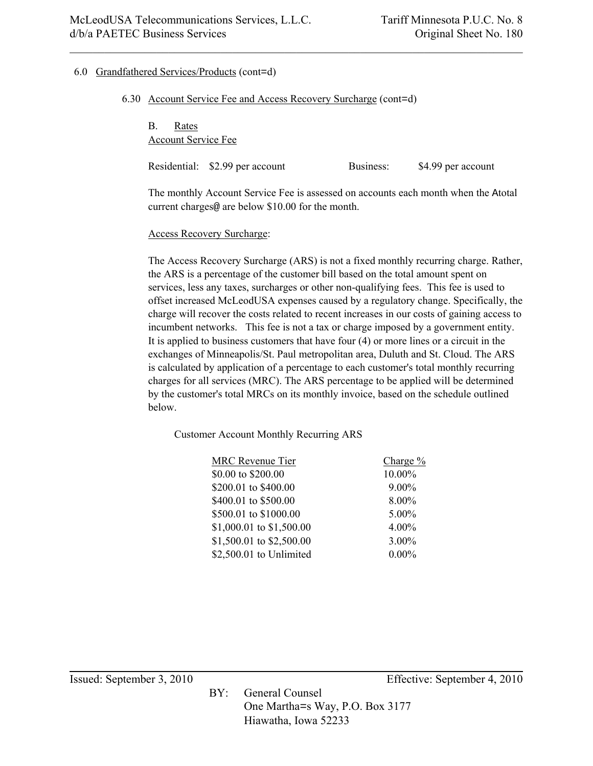#### 6.30 Account Service Fee and Access Recovery Surcharge (cont=d)

 $\mathcal{L}_\mathcal{L} = \{ \mathcal{L}_\mathcal{L} = \{ \mathcal{L}_\mathcal{L} = \{ \mathcal{L}_\mathcal{L} = \{ \mathcal{L}_\mathcal{L} = \{ \mathcal{L}_\mathcal{L} = \{ \mathcal{L}_\mathcal{L} = \{ \mathcal{L}_\mathcal{L} = \{ \mathcal{L}_\mathcal{L} = \{ \mathcal{L}_\mathcal{L} = \{ \mathcal{L}_\mathcal{L} = \{ \mathcal{L}_\mathcal{L} = \{ \mathcal{L}_\mathcal{L} = \{ \mathcal{L}_\mathcal{L} = \{ \mathcal{L}_\mathcal{$ 

B. Rates Account Service Fee

Residential: \$2.99 per account Business: \$4.99 per account

The monthly Account Service Fee is assessed on accounts each month when the Atotal current charges@ are below \$10.00 for the month.

Access Recovery Surcharge:

The Access Recovery Surcharge (ARS) is not a fixed monthly recurring charge. Rather, the ARS is a percentage of the customer bill based on the total amount spent on services, less any taxes, surcharges or other non-qualifying fees. This fee is used to offset increased McLeodUSA expenses caused by a regulatory change. Specifically, the charge will recover the costs related to recent increases in our costs of gaining access to incumbent networks. This fee is not a tax or charge imposed by a government entity. It is applied to business customers that have four (4) or more lines or a circuit in the exchanges of Minneapolis/St. Paul metropolitan area, Duluth and St. Cloud. The ARS is calculated by application of a percentage to each customer's total monthly recurring charges for all services (MRC). The ARS percentage to be applied will be determined by the customer's total MRCs on its monthly invoice, based on the schedule outlined below.

Customer Account Monthly Recurring ARS

| <b>MRC</b> Revenue Tier  | Charge $\%$ |
|--------------------------|-------------|
| \$0.00 to \$200.00       | 10.00%      |
| \$200.01 to \$400.00     | $9.00\%$    |
| \$400.01 to \$500.00     | 8.00%       |
| \$500.01 to \$1000.00    | $5.00\%$    |
| \$1,000.01 to \$1,500.00 | $4.00\%$    |
| \$1,500.01 to \$2,500.00 | $3.00\%$    |
| \$2,500.01 to Unlimited  | $0.00\%$    |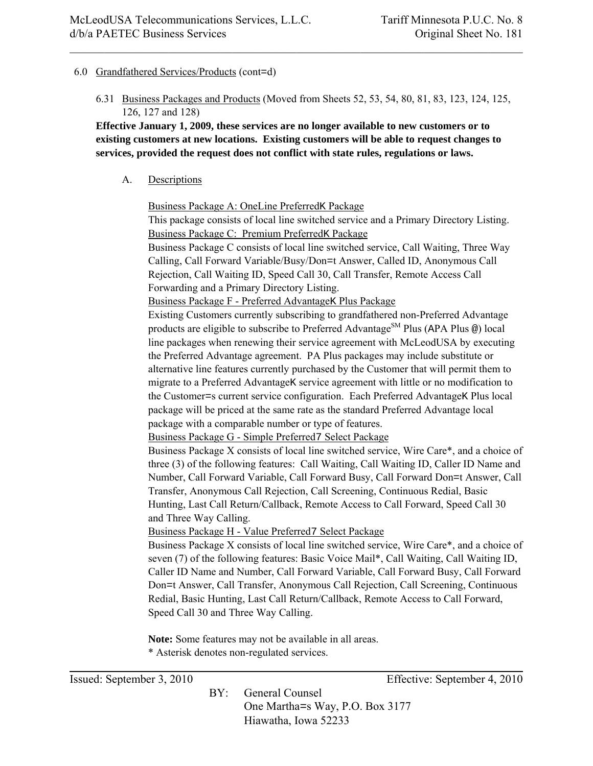6.31 Business Packages and Products (Moved from Sheets 52, 53, 54, 80, 81, 83, 123, 124, 125, 126, 127 and 128)

 $\mathcal{L}_\mathcal{L} = \{ \mathcal{L}_\mathcal{L} = \{ \mathcal{L}_\mathcal{L} = \{ \mathcal{L}_\mathcal{L} = \{ \mathcal{L}_\mathcal{L} = \{ \mathcal{L}_\mathcal{L} = \{ \mathcal{L}_\mathcal{L} = \{ \mathcal{L}_\mathcal{L} = \{ \mathcal{L}_\mathcal{L} = \{ \mathcal{L}_\mathcal{L} = \{ \mathcal{L}_\mathcal{L} = \{ \mathcal{L}_\mathcal{L} = \{ \mathcal{L}_\mathcal{L} = \{ \mathcal{L}_\mathcal{L} = \{ \mathcal{L}_\mathcal{$ 

**Effective January 1, 2009, these services are no longer available to new customers or to existing customers at new locations. Existing customers will be able to request changes to services, provided the request does not conflict with state rules, regulations or laws.**

#### A. Descriptions

Business Package A: OneLine PreferredK Package

This package consists of local line switched service and a Primary Directory Listing. Business Package C: Premium PreferredK Package

Business Package C consists of local line switched service, Call Waiting, Three Way Calling, Call Forward Variable/Busy/Don=t Answer, Called ID, Anonymous Call Rejection, Call Waiting ID, Speed Call 30, Call Transfer, Remote Access Call Forwarding and a Primary Directory Listing.

Business Package F - Preferred AdvantageK Plus Package

Existing Customers currently subscribing to grandfathered non-Preferred Advantage products are eligible to subscribe to Preferred Advantage<sup>SM</sup> Plus (APA Plus @) local line packages when renewing their service agreement with McLeodUSA by executing the Preferred Advantage agreement. PA Plus packages may include substitute or alternative line features currently purchased by the Customer that will permit them to migrate to a Preferred AdvantageK service agreement with little or no modification to the Customer=s current service configuration. Each Preferred AdvantageK Plus local package will be priced at the same rate as the standard Preferred Advantage local package with a comparable number or type of features.

Business Package G - Simple Preferred7 Select Package

Business Package X consists of local line switched service, Wire Care\*, and a choice of three (3) of the following features: Call Waiting, Call Waiting ID, Caller ID Name and Number, Call Forward Variable, Call Forward Busy, Call Forward Don=t Answer, Call Transfer, Anonymous Call Rejection, Call Screening, Continuous Redial, Basic Hunting, Last Call Return/Callback, Remote Access to Call Forward, Speed Call 30 and Three Way Calling.

Business Package H - Value Preferred7 Select Package

Business Package X consists of local line switched service, Wire Care\*, and a choice of seven (7) of the following features: Basic Voice Mail\*, Call Waiting, Call Waiting ID, Caller ID Name and Number, Call Forward Variable, Call Forward Busy, Call Forward Don=t Answer, Call Transfer, Anonymous Call Rejection, Call Screening, Continuous Redial, Basic Hunting, Last Call Return/Callback, Remote Access to Call Forward, Speed Call 30 and Three Way Calling.

**Note:** Some features may not be available in all areas. \* Asterisk denotes non-regulated services.

Issued: September 3, 2010 Effective: September 4, 2010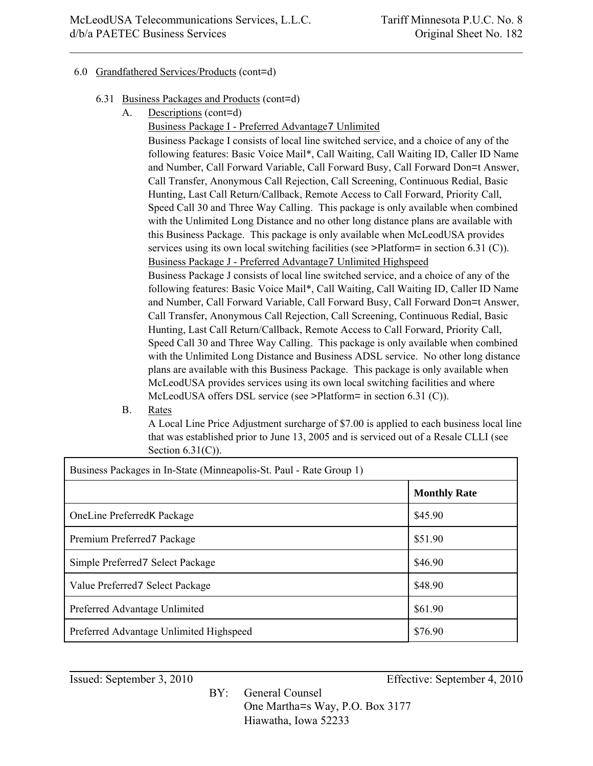- 6.31 Business Packages and Products (cont=d)
	- A. Descriptions (cont=d)

Business Package I - Preferred Advantage7 Unlimited

 $\mathcal{L}_\mathcal{L} = \{ \mathcal{L}_\mathcal{L} = \{ \mathcal{L}_\mathcal{L} = \{ \mathcal{L}_\mathcal{L} = \{ \mathcal{L}_\mathcal{L} = \{ \mathcal{L}_\mathcal{L} = \{ \mathcal{L}_\mathcal{L} = \{ \mathcal{L}_\mathcal{L} = \{ \mathcal{L}_\mathcal{L} = \{ \mathcal{L}_\mathcal{L} = \{ \mathcal{L}_\mathcal{L} = \{ \mathcal{L}_\mathcal{L} = \{ \mathcal{L}_\mathcal{L} = \{ \mathcal{L}_\mathcal{L} = \{ \mathcal{L}_\mathcal{$ 

Business Package I consists of local line switched service, and a choice of any of the following features: Basic Voice Mail\*, Call Waiting, Call Waiting ID, Caller ID Name and Number, Call Forward Variable, Call Forward Busy, Call Forward Don=t Answer, Call Transfer, Anonymous Call Rejection, Call Screening, Continuous Redial, Basic Hunting, Last Call Return/Callback, Remote Access to Call Forward, Priority Call, Speed Call 30 and Three Way Calling. This package is only available when combined with the Unlimited Long Distance and no other long distance plans are available with this Business Package. This package is only available when McLeodUSA provides services using its own local switching facilities (see >Platform= in section 6.31 (C)). Business Package J - Preferred Advantage7 Unlimited Highspeed Business Package J consists of local line switched service, and a choice of any of the following features: Basic Voice Mail\*, Call Waiting, Call Waiting ID, Caller ID Name and Number, Call Forward Variable, Call Forward Busy, Call Forward Don=t Answer, Call Transfer, Anonymous Call Rejection, Call Screening, Continuous Redial, Basic Hunting, Last Call Return/Callback, Remote Access to Call Forward, Priority Call, Speed Call 30 and Three Way Calling. This package is only available when combined with the Unlimited Long Distance and Business ADSL service. No other long distance plans are available with this Business Package. This package is only available when McLeodUSA provides services using its own local switching facilities and where McLeodUSA offers DSL service (see >Platform= in section 6.31 (C)).

B. Rates

A Local Line Price Adjustment surcharge of \$7.00 is applied to each business local line that was established prior to June 13, 2005 and is serviced out of a Resale CLLI (see Section  $6.31(C)$ ).

| Business Packages in In-State (Minneapolis-St. Paul - Rate Group 1) |                     |  |  |
|---------------------------------------------------------------------|---------------------|--|--|
|                                                                     | <b>Monthly Rate</b> |  |  |
| OneLine Preferred <sub>K</sub> Package                              | \$45.90             |  |  |
| Premium Preferred <sub>7</sub> Package                              | \$51.90             |  |  |
| Simple Preferred <sub>7</sub> Select Package                        | \$46.90             |  |  |
| Value Preferred <sub>7</sub> Select Package                         | \$48.90             |  |  |
| Preferred Advantage Unlimited                                       | \$61.90             |  |  |
| Preferred Advantage Unlimited Highspeed                             | \$76.90             |  |  |

BY: General Counsel

One Martha=s Way, P.O. Box 3177 Hiawatha, Iowa 52233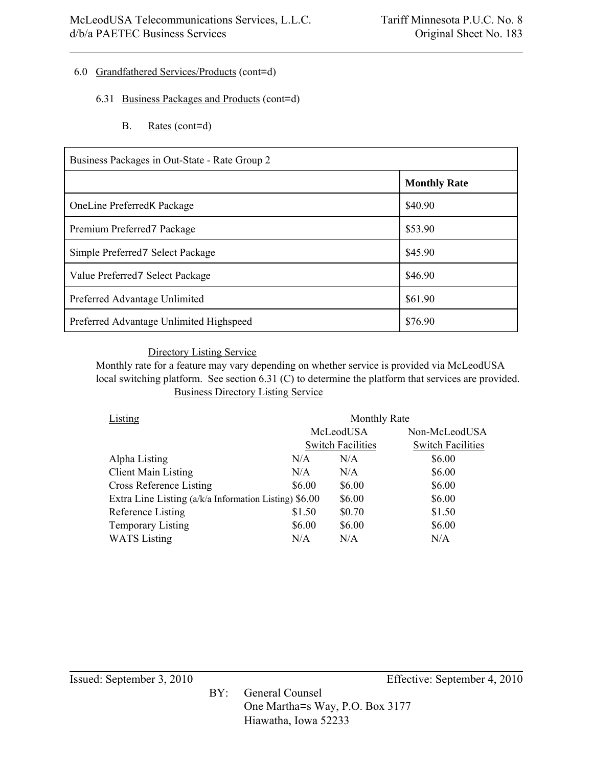- 6.31 Business Packages and Products (cont=d)
	- B. Rates (cont=d)

| Business Packages in Out-State - Rate Group 2 |                     |  |  |  |
|-----------------------------------------------|---------------------|--|--|--|
|                                               | <b>Monthly Rate</b> |  |  |  |
| OneLine Preferred <sub>K</sub> Package        | \$40.90             |  |  |  |
| Premium Preferred <sub>7</sub> Package        | \$53.90             |  |  |  |
| Simple Preferred <sub>7</sub> Select Package  | \$45.90             |  |  |  |
| Value Preferred <sub>7</sub> Select Package   | \$46.90             |  |  |  |
| Preferred Advantage Unlimited                 | \$61.90             |  |  |  |
| Preferred Advantage Unlimited Highspeed       | \$76.90             |  |  |  |

 $\mathcal{L}_\mathcal{L} = \{ \mathcal{L}_\mathcal{L} = \{ \mathcal{L}_\mathcal{L} = \{ \mathcal{L}_\mathcal{L} = \{ \mathcal{L}_\mathcal{L} = \{ \mathcal{L}_\mathcal{L} = \{ \mathcal{L}_\mathcal{L} = \{ \mathcal{L}_\mathcal{L} = \{ \mathcal{L}_\mathcal{L} = \{ \mathcal{L}_\mathcal{L} = \{ \mathcal{L}_\mathcal{L} = \{ \mathcal{L}_\mathcal{L} = \{ \mathcal{L}_\mathcal{L} = \{ \mathcal{L}_\mathcal{L} = \{ \mathcal{L}_\mathcal{$ 

## Directory Listing Service

Monthly rate for a feature may vary depending on whether service is provided via McLeodUSA local switching platform. See section 6.31 (C) to determine the platform that services are provided. Business Directory Listing Service

| Listing                                                 | <b>Monthly Rate</b>      |        |                          |  |  |
|---------------------------------------------------------|--------------------------|--------|--------------------------|--|--|
|                                                         | McLeodUSA                |        | Non-McLeodUSA            |  |  |
|                                                         | <b>Switch Facilities</b> |        | <b>Switch Facilities</b> |  |  |
| Alpha Listing                                           | N/A                      | N/A    | \$6.00                   |  |  |
| <b>Client Main Listing</b>                              | N/A                      | N/A    | \$6.00                   |  |  |
| <b>Cross Reference Listing</b>                          | \$6.00                   | \$6.00 | \$6.00                   |  |  |
| Extra Line Listing $(a/k/a)$ Information Listing \$6.00 |                          | \$6.00 | \$6.00                   |  |  |
| Reference Listing                                       | \$1.50                   | \$0.70 | \$1.50                   |  |  |
| <b>Temporary Listing</b>                                | \$6.00                   | \$6.00 | \$6.00                   |  |  |
| <b>WATS</b> Listing                                     | N/A                      | N/A    | N/A                      |  |  |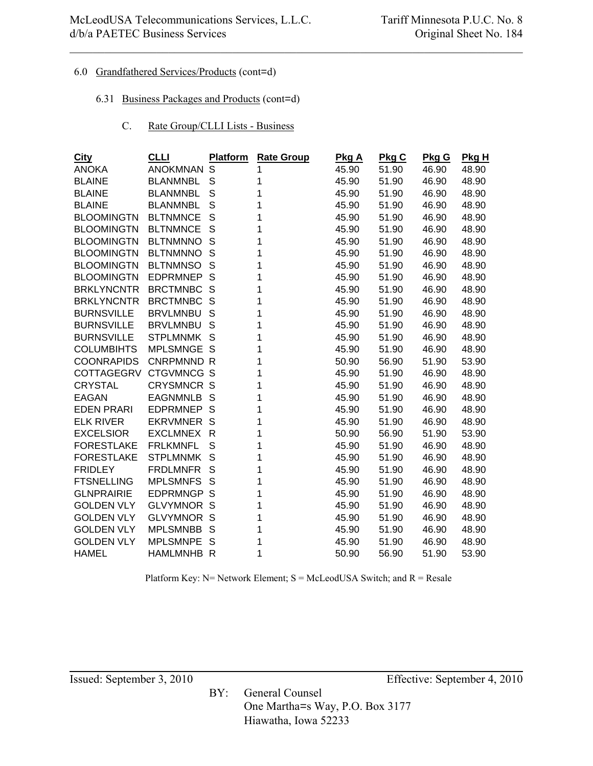- 6.31 Business Packages and Products (cont=d)
	- C. Rate Group/CLLI Lists Business

| <b>City</b>       | <b>CLLI</b>       | <b>Platform</b> | <b>Rate Group</b> | Pkg A | <b>Pkg C</b> | Pkg G | Pkg H |
|-------------------|-------------------|-----------------|-------------------|-------|--------------|-------|-------|
| <b>ANOKA</b>      | <b>ANOKMNAN</b>   | S               | 1                 | 45.90 | 51.90        | 46.90 | 48.90 |
| <b>BLAINE</b>     | <b>BLANMNBL</b>   | S               | 1                 | 45.90 | 51.90        | 46.90 | 48.90 |
| <b>BLAINE</b>     | <b>BLANMNBL</b>   | S               | 1                 | 45.90 | 51.90        | 46.90 | 48.90 |
| <b>BLAINE</b>     | <b>BLANMNBL</b>   | S               | 1                 | 45.90 | 51.90        | 46.90 | 48.90 |
| <b>BLOOMINGTN</b> | <b>BLTNMNCE</b>   | S               | 1                 | 45.90 | 51.90        | 46.90 | 48.90 |
| <b>BLOOMINGTN</b> | <b>BLTNMNCE</b>   | S               | 1                 | 45.90 | 51.90        | 46.90 | 48.90 |
| <b>BLOOMINGTN</b> | <b>BLTNMNNO</b>   | S               | 1                 | 45.90 | 51.90        | 46.90 | 48.90 |
| <b>BLOOMINGTN</b> | <b>BLTNMNNO</b>   | S               | 1                 | 45.90 | 51.90        | 46.90 | 48.90 |
| <b>BLOOMINGTN</b> | <b>BLTNMNSO</b>   | S               | 1                 | 45.90 | 51.90        | 46.90 | 48.90 |
| <b>BLOOMINGTN</b> | <b>EDPRMNEP</b>   | S               | 1                 | 45.90 | 51.90        | 46.90 | 48.90 |
| <b>BRKLYNCNTR</b> | <b>BRCTMNBC</b>   | S               | 1                 | 45.90 | 51.90        | 46.90 | 48.90 |
| <b>BRKLYNCNTR</b> | <b>BRCTMNBC</b>   | S               | 1                 | 45.90 | 51.90        | 46.90 | 48.90 |
| <b>BURNSVILLE</b> | <b>BRVLMNBU</b>   | S               | 1                 | 45.90 | 51.90        | 46.90 | 48.90 |
| <b>BURNSVILLE</b> | <b>BRVLMNBU</b>   | S               | 1                 | 45.90 | 51.90        | 46.90 | 48.90 |
| <b>BURNSVILLE</b> | <b>STPLMNMK</b>   | S               | 1                 | 45.90 | 51.90        | 46.90 | 48.90 |
| <b>COLUMBIHTS</b> | MPLSMNGE S        |                 | 1                 | 45.90 | 51.90        | 46.90 | 48.90 |
| <b>COONRAPIDS</b> | <b>CNRPMNND R</b> |                 | 1                 | 50.90 | 56.90        | 51.90 | 53.90 |
| <b>COTTAGEGRV</b> | <b>CTGVMNCG S</b> |                 | 1                 | 45.90 | 51.90        | 46.90 | 48.90 |
| <b>CRYSTAL</b>    | <b>CRYSMNCR S</b> |                 | 1                 | 45.90 | 51.90        | 46.90 | 48.90 |
| <b>EAGAN</b>      | <b>EAGNMNLB</b>   | S               | 1                 | 45.90 | 51.90        | 46.90 | 48.90 |
| <b>EDEN PRARI</b> | <b>EDPRMNEP S</b> |                 | 1                 | 45.90 | 51.90        | 46.90 | 48.90 |
| <b>ELK RIVER</b>  | <b>EKRVMNER S</b> |                 | 1                 | 45.90 | 51.90        | 46.90 | 48.90 |
| <b>EXCELSIOR</b>  | <b>EXCLMNEX</b>   | R               | 1                 | 50.90 | 56.90        | 51.90 | 53.90 |
| <b>FORESTLAKE</b> | <b>FRLKMNFL</b>   | S               | 1                 | 45.90 | 51.90        | 46.90 | 48.90 |
| <b>FORESTLAKE</b> | <b>STPLMNMK</b>   | S               | 1                 | 45.90 | 51.90        | 46.90 | 48.90 |
| <b>FRIDLEY</b>    | <b>FRDLMNFR</b>   | S               | 1                 | 45.90 | 51.90        | 46.90 | 48.90 |
| <b>FTSNELLING</b> | <b>MPLSMNFS</b>   | S               | 1                 | 45.90 | 51.90        | 46.90 | 48.90 |
| <b>GLNPRAIRIE</b> | <b>EDPRMNGP S</b> |                 | 1                 | 45.90 | 51.90        | 46.90 | 48.90 |
| <b>GOLDEN VLY</b> | <b>GLVYMNOR S</b> |                 | 1                 | 45.90 | 51.90        | 46.90 | 48.90 |
| <b>GOLDEN VLY</b> | <b>GLVYMNOR S</b> |                 | 1                 | 45.90 | 51.90        | 46.90 | 48.90 |
| <b>GOLDEN VLY</b> | <b>MPLSMNBB</b>   | S               | 1                 | 45.90 | 51.90        | 46.90 | 48.90 |
| <b>GOLDEN VLY</b> | <b>MPLSMNPE</b>   | S               | 1                 | 45.90 | 51.90        | 46.90 | 48.90 |
| <b>HAMEL</b>      | <b>HAMLMNHB R</b> |                 | 1                 | 50.90 | 56.90        | 51.90 | 53.90 |

 $\mathcal{L}_\mathcal{L} = \{ \mathcal{L}_\mathcal{L} = \{ \mathcal{L}_\mathcal{L} = \{ \mathcal{L}_\mathcal{L} = \{ \mathcal{L}_\mathcal{L} = \{ \mathcal{L}_\mathcal{L} = \{ \mathcal{L}_\mathcal{L} = \{ \mathcal{L}_\mathcal{L} = \{ \mathcal{L}_\mathcal{L} = \{ \mathcal{L}_\mathcal{L} = \{ \mathcal{L}_\mathcal{L} = \{ \mathcal{L}_\mathcal{L} = \{ \mathcal{L}_\mathcal{L} = \{ \mathcal{L}_\mathcal{L} = \{ \mathcal{L}_\mathcal{$ 

Platform Key:  $N=$  Network Element;  $S =$  McLeodUSA Switch; and  $R =$  Resale

Issued: September 3, 2010 Effective: September 4, 2010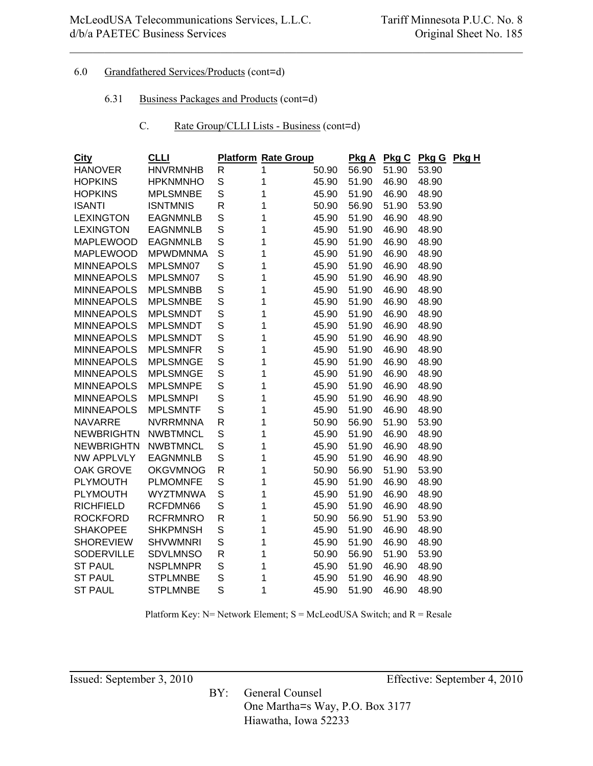### 6.31 Business Packages and Products (cont=d)

C. Rate Group/CLLI Lists - Business (cont=d)

 $\mathcal{L}_\mathcal{L} = \{ \mathcal{L}_\mathcal{L} = \{ \mathcal{L}_\mathcal{L} = \{ \mathcal{L}_\mathcal{L} = \{ \mathcal{L}_\mathcal{L} = \{ \mathcal{L}_\mathcal{L} = \{ \mathcal{L}_\mathcal{L} = \{ \mathcal{L}_\mathcal{L} = \{ \mathcal{L}_\mathcal{L} = \{ \mathcal{L}_\mathcal{L} = \{ \mathcal{L}_\mathcal{L} = \{ \mathcal{L}_\mathcal{L} = \{ \mathcal{L}_\mathcal{L} = \{ \mathcal{L}_\mathcal{L} = \{ \mathcal{L}_\mathcal{$ 

| City              | <b>CLLI</b>     |   | <b>Platform Rate Group</b> |       |       | Pkg A Pkg C Pkg G Pkg H |       |  |
|-------------------|-----------------|---|----------------------------|-------|-------|-------------------------|-------|--|
| <b>HANOVER</b>    | <b>HNVRMNHB</b> | R | 1                          | 50.90 | 56.90 | 51.90                   | 53.90 |  |
| <b>HOPKINS</b>    | <b>HPKNMNHO</b> | S | 1                          | 45.90 | 51.90 | 46.90                   | 48.90 |  |
| <b>HOPKINS</b>    | <b>MPLSMNBE</b> | S | 1                          | 45.90 | 51.90 | 46.90                   | 48.90 |  |
| <b>ISANTI</b>     | <b>ISNTMNIS</b> | R | 1                          | 50.90 | 56.90 | 51.90                   | 53.90 |  |
| <b>LEXINGTON</b>  | <b>EAGNMNLB</b> | S | 1                          | 45.90 | 51.90 | 46.90                   | 48.90 |  |
| <b>LEXINGTON</b>  | <b>EAGNMNLB</b> | S | 1                          | 45.90 | 51.90 | 46.90                   | 48.90 |  |
| <b>MAPLEWOOD</b>  | <b>EAGNMNLB</b> | S | 1                          | 45.90 | 51.90 | 46.90                   | 48.90 |  |
| <b>MAPLEWOOD</b>  | <b>MPWDMNMA</b> | S | 1                          | 45.90 | 51.90 | 46.90                   | 48.90 |  |
| <b>MINNEAPOLS</b> | MPLSMN07        | S | 1                          | 45.90 | 51.90 | 46.90                   | 48.90 |  |
| <b>MINNEAPOLS</b> | MPLSMN07        | S | 1                          | 45.90 | 51.90 | 46.90                   | 48.90 |  |
| <b>MINNEAPOLS</b> | <b>MPLSMNBB</b> | S | 1                          | 45.90 | 51.90 | 46.90                   | 48.90 |  |
| <b>MINNEAPOLS</b> | <b>MPLSMNBE</b> | S | 1                          | 45.90 | 51.90 | 46.90                   | 48.90 |  |
| <b>MINNEAPOLS</b> | <b>MPLSMNDT</b> | S | 1                          | 45.90 | 51.90 | 46.90                   | 48.90 |  |
| <b>MINNEAPOLS</b> | <b>MPLSMNDT</b> | S | 1                          | 45.90 | 51.90 | 46.90                   | 48.90 |  |
| <b>MINNEAPOLS</b> | <b>MPLSMNDT</b> | S | 1                          | 45.90 | 51.90 | 46.90                   | 48.90 |  |
| <b>MINNEAPOLS</b> | <b>MPLSMNFR</b> | S | 1                          | 45.90 | 51.90 | 46.90                   | 48.90 |  |
| <b>MINNEAPOLS</b> | <b>MPLSMNGE</b> | S | 1                          | 45.90 | 51.90 | 46.90                   | 48.90 |  |
| <b>MINNEAPOLS</b> | <b>MPLSMNGE</b> | S | 1                          | 45.90 | 51.90 | 46.90                   | 48.90 |  |
| <b>MINNEAPOLS</b> | <b>MPLSMNPE</b> | S | 1                          | 45.90 | 51.90 | 46.90                   | 48.90 |  |
| <b>MINNEAPOLS</b> | <b>MPLSMNPI</b> | S | 1                          | 45.90 | 51.90 | 46.90                   | 48.90 |  |
| <b>MINNEAPOLS</b> | <b>MPLSMNTF</b> | S | 1                          | 45.90 | 51.90 | 46.90                   | 48.90 |  |
| <b>NAVARRE</b>    | <b>NVRRMNNA</b> | R | 1                          | 50.90 | 56.90 | 51.90                   | 53.90 |  |
| <b>NEWBRIGHTN</b> | <b>NWBTMNCL</b> | S | 1                          | 45.90 | 51.90 | 46.90                   | 48.90 |  |
| <b>NEWBRIGHTN</b> | <b>NWBTMNCL</b> | S | 1                          | 45.90 | 51.90 | 46.90                   | 48.90 |  |
| <b>NW APPLVLY</b> | <b>EAGNMNLB</b> | S | 1                          | 45.90 | 51.90 | 46.90                   | 48.90 |  |
| <b>OAK GROVE</b>  | <b>OKGVMNOG</b> | R | 1                          | 50.90 | 56.90 | 51.90                   | 53.90 |  |
| <b>PLYMOUTH</b>   | <b>PLMOMNFE</b> | S | 1                          | 45.90 | 51.90 | 46.90                   | 48.90 |  |
| <b>PLYMOUTH</b>   | <b>WYZTMNWA</b> | S | 1                          | 45.90 | 51.90 | 46.90                   | 48.90 |  |
| <b>RICHFIELD</b>  | RCFDMN66        | S | 1                          | 45.90 | 51.90 | 46.90                   | 48.90 |  |
| <b>ROCKFORD</b>   | <b>RCFRMNRO</b> | R | 1                          | 50.90 | 56.90 | 51.90                   | 53.90 |  |
| <b>SHAKOPEE</b>   | <b>SHKPMNSH</b> | S | 1                          | 45.90 | 51.90 | 46.90                   | 48.90 |  |
| <b>SHOREVIEW</b>  | <b>SHVWMNRI</b> | S | 1                          | 45.90 | 51.90 | 46.90                   | 48.90 |  |
| <b>SODERVILLE</b> | <b>SDVLMNSO</b> | R | 1                          | 50.90 | 56.90 | 51.90                   | 53.90 |  |
| <b>ST PAUL</b>    | <b>NSPLMNPR</b> | S | 1                          | 45.90 | 51.90 | 46.90                   | 48.90 |  |
| <b>ST PAUL</b>    | <b>STPLMNBE</b> | S | 1                          | 45.90 | 51.90 | 46.90                   | 48.90 |  |
| <b>ST PAUL</b>    | <b>STPLMNBE</b> | S | 1                          | 45.90 | 51.90 | 46.90                   | 48.90 |  |

Platform Key: N= Network Element;  $S = McLeodUSA$  Switch; and  $R = Resale$ 

Issued: September 3, 2010 Effective: September 4, 2010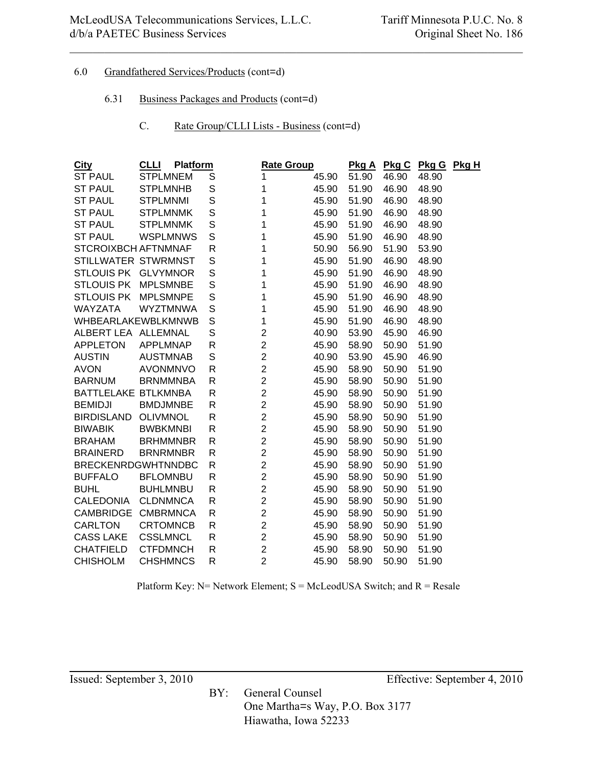### 6.31 Business Packages and Products (cont=d)

C. Rate Group/CLLI Lists - Business (cont=d)

 $\mathcal{L}_\mathcal{L} = \{ \mathcal{L}_\mathcal{L} = \{ \mathcal{L}_\mathcal{L} = \{ \mathcal{L}_\mathcal{L} = \{ \mathcal{L}_\mathcal{L} = \{ \mathcal{L}_\mathcal{L} = \{ \mathcal{L}_\mathcal{L} = \{ \mathcal{L}_\mathcal{L} = \{ \mathcal{L}_\mathcal{L} = \{ \mathcal{L}_\mathcal{L} = \{ \mathcal{L}_\mathcal{L} = \{ \mathcal{L}_\mathcal{L} = \{ \mathcal{L}_\mathcal{L} = \{ \mathcal{L}_\mathcal{L} = \{ \mathcal{L}_\mathcal{$ 

| <b>City</b>               | <b>CLLI</b><br>Platform |              | <b>Rate Group</b> |       |       | Pkg A Pkg C Pkg G Pkg H |       |  |
|---------------------------|-------------------------|--------------|-------------------|-------|-------|-------------------------|-------|--|
| <b>ST PAUL</b>            | <b>STPLMNEM</b>         | S            | 1                 | 45.90 | 51.90 | 46.90                   | 48.90 |  |
| <b>ST PAUL</b>            | <b>STPLMNHB</b>         | S            | 1                 | 45.90 | 51.90 | 46.90                   | 48.90 |  |
| <b>ST PAUL</b>            | <b>STPLMNMI</b>         | S            | 1                 | 45.90 | 51.90 | 46.90                   | 48.90 |  |
| <b>ST PAUL</b>            | <b>STPLMNMK</b>         | S            | 1                 | 45.90 | 51.90 | 46.90                   | 48.90 |  |
| <b>ST PAUL</b>            | <b>STPLMNMK</b>         | S            | 1                 | 45.90 | 51.90 | 46.90                   | 48.90 |  |
| <b>ST PAUL</b>            | <b>WSPLMNWS</b>         | S            | 1                 | 45.90 | 51.90 | 46.90                   | 48.90 |  |
| STCROIXBCH AFTNMNAF       |                         | R            | 1                 | 50.90 | 56.90 | 51.90                   | 53.90 |  |
| STILLWATER STWRMNST       |                         | S            | 1                 | 45.90 | 51.90 | 46.90                   | 48.90 |  |
| STLOUIS PK GLVYMNOR       |                         | $\mathbf S$  | 1                 | 45.90 | 51.90 | 46.90                   | 48.90 |  |
| STLOUIS PK MPLSMNBE       |                         | S            | 1                 | 45.90 | 51.90 | 46.90                   | 48.90 |  |
| <b>STLOUIS PK</b>         | <b>MPLSMNPE</b>         | S            | 1                 | 45.90 | 51.90 | 46.90                   | 48.90 |  |
| <b>WAYZATA</b>            | <b>WYZTMNWA</b>         | S            | 1                 | 45.90 | 51.90 | 46.90                   | 48.90 |  |
| WHBEARLAKEWBLKMNWB        |                         | S            | 1                 | 45.90 | 51.90 | 46.90                   | 48.90 |  |
| ALBERT LEA ALLEMNAL       |                         | $\mathbb S$  | $\overline{2}$    | 40.90 | 53.90 | 45.90                   | 46.90 |  |
| <b>APPLETON</b>           | <b>APPLMNAP</b>         | R            | $\overline{2}$    | 45.90 | 58.90 | 50.90                   | 51.90 |  |
| <b>AUSTIN</b>             | <b>AUSTMNAB</b>         | S            | $\overline{2}$    | 40.90 | 53.90 | 45.90                   | 46.90 |  |
| <b>AVON</b>               | <b>AVONMNVO</b>         | $\mathsf{R}$ | $\overline{2}$    | 45.90 | 58.90 | 50.90                   | 51.90 |  |
| <b>BARNUM</b>             | <b>BRNMMNBA</b>         | $\mathsf{R}$ | $\overline{c}$    | 45.90 | 58.90 | 50.90                   | 51.90 |  |
| BATTLELAKE BTLKMNBA       |                         | $\mathsf{R}$ | $\overline{2}$    | 45.90 | 58.90 | 50.90                   | 51.90 |  |
| <b>BEMIDJI</b>            | <b>BMDJMNBE</b>         | $\mathsf{R}$ | $\overline{c}$    | 45.90 | 58.90 | 50.90                   | 51.90 |  |
| <b>BIRDISLAND</b>         | <b>OLIVMNOL</b>         | $\mathsf R$  | $\overline{c}$    | 45.90 | 58.90 | 50.90                   | 51.90 |  |
| <b>BIWABIK</b>            | <b>BWBKMNBI</b>         | R            | $\overline{2}$    | 45.90 | 58.90 | 50.90                   | 51.90 |  |
| <b>BRAHAM</b>             | <b>BRHMMNBR</b>         | $\mathsf{R}$ | $\overline{2}$    | 45.90 | 58.90 | 50.90                   | 51.90 |  |
| <b>BRAINERD</b>           | <b>BRNRMNBR</b>         | $\mathsf{R}$ | $\overline{2}$    | 45.90 | 58.90 | 50.90                   | 51.90 |  |
| <b>BRECKENRDGWHTNNDBC</b> |                         | $\mathsf{R}$ | $\overline{2}$    | 45.90 | 58.90 | 50.90                   | 51.90 |  |
| <b>BUFFALO</b>            | <b>BFLOMNBU</b>         | R            | $\overline{2}$    | 45.90 | 58.90 | 50.90                   | 51.90 |  |
| <b>BUHL</b>               | <b>BUHLMNBU</b>         | R            | $\overline{2}$    | 45.90 | 58.90 | 50.90                   | 51.90 |  |
| <b>CALEDONIA</b>          | <b>CLDNMNCA</b>         | $\mathsf{R}$ | $\overline{c}$    | 45.90 | 58.90 | 50.90                   | 51.90 |  |
| <b>CAMBRIDGE</b>          | <b>CMBRMNCA</b>         | $\mathsf{R}$ | $\overline{2}$    | 45.90 | 58.90 | 50.90                   | 51.90 |  |
| <b>CARLTON</b>            | <b>CRTOMNCB</b>         | $\mathsf{R}$ | $\overline{2}$    | 45.90 | 58.90 | 50.90                   | 51.90 |  |
| <b>CASS LAKE</b>          | <b>CSSLMNCL</b>         | $\mathsf{R}$ | $\overline{2}$    | 45.90 | 58.90 | 50.90                   | 51.90 |  |
| <b>CHATFIELD</b>          | <b>CTFDMNCH</b>         | R            | $\overline{2}$    | 45.90 | 58.90 | 50.90                   | 51.90 |  |
| <b>CHISHOLM</b>           | <b>CHSHMNCS</b>         | $\mathsf{R}$ | $\overline{2}$    | 45.90 | 58.90 | 50.90                   | 51.90 |  |

Platform Key:  $N=$  Network Element;  $S =$  McLeodUSA Switch; and  $R =$  Resale

Issued: September 3, 2010 Effective: September 4, 2010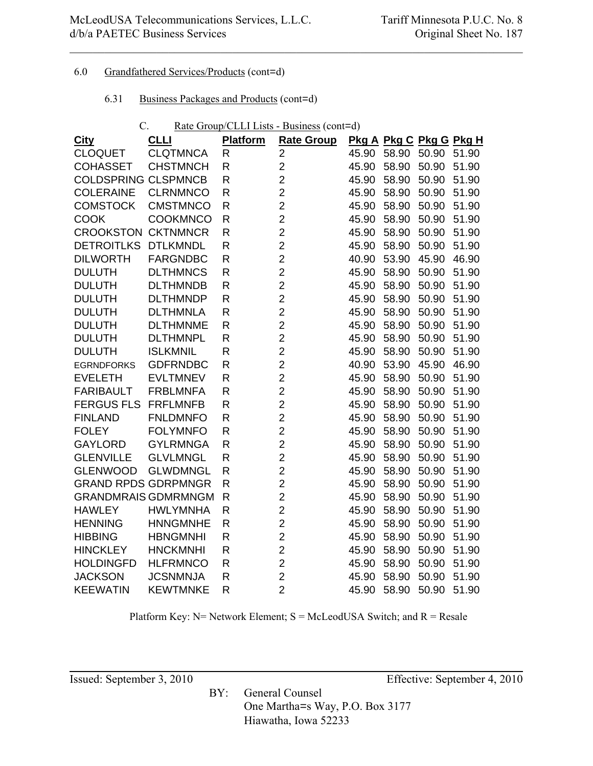# 6.31 Business Packages and Products (cont=d)

| ⌒<br>Ć. | Rate Group/CLLI Lists - Business (cont=d) |
|---------|-------------------------------------------|
|         |                                           |

 $\mathcal{L}_\mathcal{L} = \{ \mathcal{L}_\mathcal{L} = \{ \mathcal{L}_\mathcal{L} = \{ \mathcal{L}_\mathcal{L} = \{ \mathcal{L}_\mathcal{L} = \{ \mathcal{L}_\mathcal{L} = \{ \mathcal{L}_\mathcal{L} = \{ \mathcal{L}_\mathcal{L} = \{ \mathcal{L}_\mathcal{L} = \{ \mathcal{L}_\mathcal{L} = \{ \mathcal{L}_\mathcal{L} = \{ \mathcal{L}_\mathcal{L} = \{ \mathcal{L}_\mathcal{L} = \{ \mathcal{L}_\mathcal{L} = \{ \mathcal{L}_\mathcal{$ 

| <b>CLLI</b>                | <b>Platform</b> | <b>Rate Group</b> |                                                                                                                                                                                                                                                                                                                                                                                                                                                                                                                                                          |       |       |                                         |
|----------------------------|-----------------|-------------------|----------------------------------------------------------------------------------------------------------------------------------------------------------------------------------------------------------------------------------------------------------------------------------------------------------------------------------------------------------------------------------------------------------------------------------------------------------------------------------------------------------------------------------------------------------|-------|-------|-----------------------------------------|
| <b>CLQTMNCA</b>            | R               | $\overline{2}$    | 45.90                                                                                                                                                                                                                                                                                                                                                                                                                                                                                                                                                    |       | 50.90 | 51.90                                   |
| <b>CHSTMNCH</b>            | $\mathsf R$     |                   | 45.90                                                                                                                                                                                                                                                                                                                                                                                                                                                                                                                                                    | 58.90 | 50.90 | 51.90                                   |
| <b>COLDSPRING CLSPMNCB</b> | R               |                   | 45.90                                                                                                                                                                                                                                                                                                                                                                                                                                                                                                                                                    | 58.90 | 50.90 | 51.90                                   |
| <b>CLRNMNCO</b>            | R               |                   | 45.90                                                                                                                                                                                                                                                                                                                                                                                                                                                                                                                                                    | 58.90 | 50.90 | 51.90                                   |
| <b>CMSTMNCO</b>            | R               |                   | 45.90                                                                                                                                                                                                                                                                                                                                                                                                                                                                                                                                                    | 58.90 | 50.90 | 51.90                                   |
| <b>COOKMNCO</b>            | R               |                   | 45.90                                                                                                                                                                                                                                                                                                                                                                                                                                                                                                                                                    | 58.90 | 50.90 | 51.90                                   |
| <b>CROOKSTON CKTNMNCR</b>  | $\mathsf R$     |                   | 45.90                                                                                                                                                                                                                                                                                                                                                                                                                                                                                                                                                    | 58.90 | 50.90 | 51.90                                   |
| <b>DTLKMNDL</b>            | R               |                   | 45.90                                                                                                                                                                                                                                                                                                                                                                                                                                                                                                                                                    | 58.90 | 50.90 | 51.90                                   |
| <b>FARGNDBC</b>            | R               |                   | 40.90                                                                                                                                                                                                                                                                                                                                                                                                                                                                                                                                                    | 53.90 | 45.90 | 46.90                                   |
| <b>DLTHMNCS</b>            | R               |                   | 45.90                                                                                                                                                                                                                                                                                                                                                                                                                                                                                                                                                    | 58.90 | 50.90 | 51.90                                   |
| <b>DLTHMNDB</b>            |                 |                   | 45.90                                                                                                                                                                                                                                                                                                                                                                                                                                                                                                                                                    | 58.90 | 50.90 | 51.90                                   |
|                            | R               |                   | 45.90                                                                                                                                                                                                                                                                                                                                                                                                                                                                                                                                                    | 58.90 | 50.90 | 51.90                                   |
| <b>DLTHMNLA</b>            | R               |                   | 45.90                                                                                                                                                                                                                                                                                                                                                                                                                                                                                                                                                    | 58.90 | 50.90 | 51.90                                   |
| <b>DLTHMNME</b>            | R               |                   | 45.90                                                                                                                                                                                                                                                                                                                                                                                                                                                                                                                                                    | 58.90 | 50.90 | 51.90                                   |
| <b>DLTHMNPL</b>            |                 |                   | 45.90                                                                                                                                                                                                                                                                                                                                                                                                                                                                                                                                                    | 58.90 | 50.90 | 51.90                                   |
| <b>ISLKMNIL</b>            | R               |                   | 45.90                                                                                                                                                                                                                                                                                                                                                                                                                                                                                                                                                    | 58.90 | 50.90 | 51.90                                   |
| <b>GDFRNDBC</b>            | R               |                   | 40.90                                                                                                                                                                                                                                                                                                                                                                                                                                                                                                                                                    | 53.90 | 45.90 | 46.90                                   |
| <b>EVLTMNEV</b>            | R               |                   | 45.90                                                                                                                                                                                                                                                                                                                                                                                                                                                                                                                                                    | 58.90 | 50.90 | 51.90                                   |
| <b>FRBLMNFA</b>            | R               |                   | 45.90                                                                                                                                                                                                                                                                                                                                                                                                                                                                                                                                                    | 58.90 | 50.90 | 51.90                                   |
| <b>FRFLMNFB</b>            | R               |                   | 45.90                                                                                                                                                                                                                                                                                                                                                                                                                                                                                                                                                    | 58.90 | 50.90 | 51.90                                   |
| <b>FNLDMNFO</b>            | R               |                   | 45.90                                                                                                                                                                                                                                                                                                                                                                                                                                                                                                                                                    | 58.90 | 50.90 | 51.90                                   |
| <b>FOLYMNFO</b>            | R               |                   | 45.90                                                                                                                                                                                                                                                                                                                                                                                                                                                                                                                                                    | 58.90 | 50.90 | 51.90                                   |
| <b>GYLRMNGA</b>            | R               |                   | 45.90                                                                                                                                                                                                                                                                                                                                                                                                                                                                                                                                                    | 58.90 | 50.90 | 51.90                                   |
| <b>GLVLMNGL</b>            | R               |                   | 45.90                                                                                                                                                                                                                                                                                                                                                                                                                                                                                                                                                    | 58.90 | 50.90 | 51.90                                   |
| <b>GLWDMNGL</b>            | R               |                   | 45.90                                                                                                                                                                                                                                                                                                                                                                                                                                                                                                                                                    | 58.90 | 50.90 | 51.90                                   |
| <b>GRAND RPDS GDRPMNGR</b> | R               |                   | 45.90                                                                                                                                                                                                                                                                                                                                                                                                                                                                                                                                                    | 58.90 | 50.90 | 51.90                                   |
| <b>GRANDMRAIS GDMRMNGM</b> | R               |                   | 45.90                                                                                                                                                                                                                                                                                                                                                                                                                                                                                                                                                    | 58.90 | 50.90 | 51.90                                   |
| <b>HWLYMNHA</b>            | R               |                   | 45.90                                                                                                                                                                                                                                                                                                                                                                                                                                                                                                                                                    | 58.90 | 50.90 | 51.90                                   |
| <b>HNNGMNHE</b>            | $\mathsf R$     |                   | 45.90                                                                                                                                                                                                                                                                                                                                                                                                                                                                                                                                                    | 58.90 | 50.90 | 51.90                                   |
| <b>HBNGMNHI</b>            | $\mathsf{R}$    |                   | 45.90                                                                                                                                                                                                                                                                                                                                                                                                                                                                                                                                                    | 58.90 | 50.90 | 51.90                                   |
| <b>HNCKMNHI</b>            | R               |                   | 45.90                                                                                                                                                                                                                                                                                                                                                                                                                                                                                                                                                    | 58.90 | 50.90 | 51.90                                   |
| <b>HLFRMNCO</b>            | R               | $\overline{c}$    | 45.90                                                                                                                                                                                                                                                                                                                                                                                                                                                                                                                                                    | 58.90 | 50.90 | 51.90                                   |
| <b>JCSNMNJA</b>            | R               | $\overline{2}$    | 45.90                                                                                                                                                                                                                                                                                                                                                                                                                                                                                                                                                    | 58.90 | 50.90 | 51.90                                   |
| <b>KEWTMNKE</b>            | R               | $\overline{2}$    | 45.90                                                                                                                                                                                                                                                                                                                                                                                                                                                                                                                                                    | 58.90 | 50.90 | 51.90                                   |
|                            | <b>DLTHMNDP</b> | R<br>R            | $\overline{c}$<br>$\overline{c}$<br>$\overline{2}$<br>$\overline{c}$<br>$\overline{c}$<br>$\overline{c}$<br>$\overline{2}$<br>$\overline{c}$<br>$\overline{c}$<br>$\overline{2}$<br>$\overline{c}$<br>$\overline{c}$<br>$\overline{c}$<br>$\overline{2}$<br>$\overline{2}$<br>$\overline{c}$<br>$\overline{2}$<br>$\overline{2}$<br>$\overline{c}$<br>$\overline{c}$<br>$\overline{2}$<br>$\overline{c}$<br>$\overline{2}$<br>$\overline{2}$<br>$\overline{c}$<br>$\overline{c}$<br>$\overline{c}$<br>$\overline{2}$<br>$\overline{2}$<br>$\overline{c}$ |       |       | <b>Pkg A Pkg C Pkg G Pkg H</b><br>58.90 |

Platform Key:  $N=$  Network Element;  $S =$  McLeodUSA Switch; and  $R =$  Resale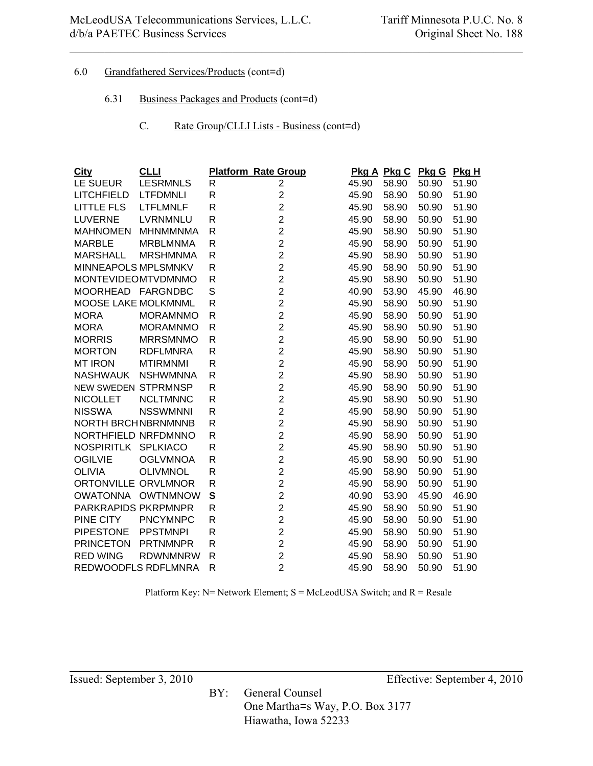# 6.31 Business Packages and Products (cont=d)

C. Rate Group/CLLI Lists - Business (cont=d)

 $\mathcal{L}_\mathcal{L} = \{ \mathcal{L}_\mathcal{L} = \{ \mathcal{L}_\mathcal{L} = \{ \mathcal{L}_\mathcal{L} = \{ \mathcal{L}_\mathcal{L} = \{ \mathcal{L}_\mathcal{L} = \{ \mathcal{L}_\mathcal{L} = \{ \mathcal{L}_\mathcal{L} = \{ \mathcal{L}_\mathcal{L} = \{ \mathcal{L}_\mathcal{L} = \{ \mathcal{L}_\mathcal{L} = \{ \mathcal{L}_\mathcal{L} = \{ \mathcal{L}_\mathcal{L} = \{ \mathcal{L}_\mathcal{L} = \{ \mathcal{L}_\mathcal{$ 

| <b>City</b>                | <b>CLLI</b>     |              | <b>Platform Rate Group</b> |       | Pkg A Pkg C | <b>Pkg G</b> | <b>Pkg H</b> |
|----------------------------|-----------------|--------------|----------------------------|-------|-------------|--------------|--------------|
| LE SUEUR                   | <b>LESRMNLS</b> | R            | 2                          | 45.90 | 58.90       | 50.90        | 51.90        |
| <b>LITCHFIELD</b>          | <b>LTFDMNLI</b> | $\mathsf{R}$ | $\overline{\mathbf{c}}$    | 45.90 | 58.90       | 50.90        | 51.90        |
| <b>LITTLE FLS</b>          | <b>LTFLMNLF</b> | $\mathsf{R}$ | $\overline{c}$             | 45.90 | 58.90       | 50.90        | 51.90        |
| <b>LUVERNE</b>             | <b>LVRNMNLU</b> | R            | $\overline{c}$             | 45.90 | 58.90       | 50.90        | 51.90        |
| <b>MAHNOMEN</b>            | <b>MHNMMNMA</b> | R            | $\overline{2}$             | 45.90 | 58.90       | 50.90        | 51.90        |
| <b>MARBLE</b>              | <b>MRBLMNMA</b> | R            | $\overline{c}$             | 45.90 | 58.90       | 50.90        | 51.90        |
| <b>MARSHALL</b>            | <b>MRSHMNMA</b> | R            | $\overline{c}$             | 45.90 | 58.90       | 50.90        | 51.90        |
| MINNEAPOLS MPLSMNKV        |                 | R            | $\overline{c}$             | 45.90 | 58.90       | 50.90        | 51.90        |
| <b>MONTEVIDEOMTVDMNMO</b>  |                 | R            | $\overline{c}$             | 45.90 | 58.90       | 50.90        | 51.90        |
| MOORHEAD FARGNDBC          |                 | S            | $\overline{c}$             | 40.90 | 53.90       | 45.90        | 46.90        |
| MOOSE LAKE MOLKMNML        |                 | R            | $\overline{c}$             | 45.90 | 58.90       | 50.90        | 51.90        |
| <b>MORA</b>                | <b>MORAMNMO</b> | R            | $\overline{c}$             | 45.90 | 58.90       | 50.90        | 51.90        |
| <b>MORA</b>                | <b>MORAMNMO</b> | R            | $\overline{2}$             | 45.90 | 58.90       | 50.90        | 51.90        |
| <b>MORRIS</b>              | <b>MRRSMNMO</b> | R            | $\overline{c}$             | 45.90 | 58.90       | 50.90        | 51.90        |
| <b>MORTON</b>              | <b>RDFLMNRA</b> | R            | $\overline{2}$             | 45.90 | 58.90       | 50.90        | 51.90        |
| <b>MT IRON</b>             | <b>MTIRMNMI</b> | R            | $\overline{c}$             | 45.90 | 58.90       | 50.90        | 51.90        |
| <b>NASHWAUK</b>            | <b>NSHWMNNA</b> | R            | $\overline{c}$             | 45.90 | 58.90       | 50.90        | 51.90        |
| <b>NEW SWEDEN STPRMNSP</b> |                 | R            | $\overline{c}$             | 45.90 | 58.90       | 50.90        | 51.90        |
| <b>NICOLLET</b>            | <b>NCLTMNNC</b> | R            | $\overline{c}$             | 45.90 | 58.90       | 50.90        | 51.90        |
| <b>NISSWA</b>              | <b>NSSWMNNI</b> | R            | $\overline{c}$             | 45.90 | 58.90       | 50.90        | 51.90        |
| <b>NORTH BRCHNBRNMNNB</b>  |                 | R            | $\overline{c}$             | 45.90 | 58.90       | 50.90        | 51.90        |
| NORTHFIELD NRFDMNNO        |                 | R            | $\overline{c}$             | 45.90 | 58.90       | 50.90        | 51.90        |
| NOSPIRITLK SPLKIACO        |                 | R            | $\overline{c}$             | 45.90 | 58.90       | 50.90        | 51.90        |
| <b>OGILVIE</b>             | <b>OGLVMNOA</b> | R            | $\overline{c}$             | 45.90 | 58.90       | 50.90        | 51.90        |
| <b>OLIVIA</b>              | <b>OLIVMNOL</b> | R            | $\overline{2}$             | 45.90 | 58.90       | 50.90        | 51.90        |
| ORTONVILLE ORVLMNOR        |                 | R            | $\overline{c}$             | 45.90 | 58.90       | 50.90        | 51.90        |
| OWATONNA OWTNMNOW          |                 | S            | $\overline{c}$             | 40.90 | 53.90       | 45.90        | 46.90        |
| PARKRAPIDS PKRPMNPR        |                 | R            | $\overline{c}$             | 45.90 | 58.90       | 50.90        | 51.90        |
| PINE CITY                  | <b>PNCYMNPC</b> | R            | $\overline{c}$             | 45.90 | 58.90       | 50.90        | 51.90        |
| <b>PIPESTONE</b>           | <b>PPSTMNPI</b> | R            | $\overline{c}$             | 45.90 | 58.90       | 50.90        | 51.90        |
| <b>PRINCETON</b>           | <b>PRTNMNPR</b> | R            | $\overline{c}$             | 45.90 | 58.90       | 50.90        | 51.90        |
| <b>RED WING</b>            | <b>RDWNMNRW</b> | $\mathsf{R}$ | $\overline{c}$             | 45.90 | 58.90       | 50.90        | 51.90        |
| REDWOODFLS RDFLMNRA        |                 | R            | $\overline{2}$             | 45.90 | 58.90       | 50.90        | 51.90        |

Platform Key: N= Network Element;  $S = McLeodUSA$  Switch; and  $R = Resale$ 

Issued: September 3, 2010 Effective: September 4, 2010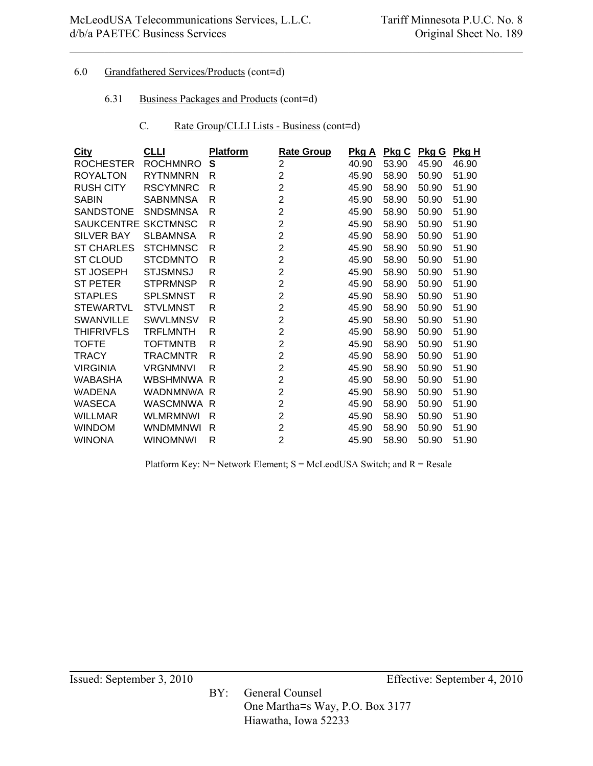# 6.31 Business Packages and Products (cont=d)

C. Rate Group/CLLI Lists - Business (cont=d)

 $\mathcal{L}_\mathcal{L} = \{ \mathcal{L}_\mathcal{L} = \{ \mathcal{L}_\mathcal{L} = \{ \mathcal{L}_\mathcal{L} = \{ \mathcal{L}_\mathcal{L} = \{ \mathcal{L}_\mathcal{L} = \{ \mathcal{L}_\mathcal{L} = \{ \mathcal{L}_\mathcal{L} = \{ \mathcal{L}_\mathcal{L} = \{ \mathcal{L}_\mathcal{L} = \{ \mathcal{L}_\mathcal{L} = \{ \mathcal{L}_\mathcal{L} = \{ \mathcal{L}_\mathcal{L} = \{ \mathcal{L}_\mathcal{L} = \{ \mathcal{L}_\mathcal{$ 

| <b>City</b>         | <b>CLLI</b>     | Platform | <b>Rate Group</b>       | <b>Pkg A</b> | <b>Pkg C</b> | <b>Pkg G</b> | <b>Pkg H</b> |
|---------------------|-----------------|----------|-------------------------|--------------|--------------|--------------|--------------|
| <b>ROCHESTER</b>    | <b>ROCHMNRO</b> | S        | 2                       | 40.90        | 53.90        | 45.90        | 46.90        |
| <b>ROYALTON</b>     | <b>RYTNMNRN</b> | R        | $\overline{\mathbf{c}}$ | 45.90        | 58.90        | 50.90        | 51.90        |
| <b>RUSH CITY</b>    | <b>RSCYMNRC</b> | R        | $\overline{2}$          | 45.90        | 58.90        | 50.90        | 51.90        |
| <b>SABIN</b>        | <b>SABNMNSA</b> | R        | $\overline{c}$          | 45.90        | 58.90        | 50.90        | 51.90        |
| <b>SANDSTONE</b>    | <b>SNDSMNSA</b> | R        | $\overline{\mathbf{c}}$ | 45.90        | 58.90        | 50.90        | 51.90        |
| SAUKCENTRE SKCTMNSC |                 | R        | $\overline{c}$          | 45.90        | 58.90        | 50.90        | 51.90        |
| <b>SILVER BAY</b>   | <b>SLBAMNSA</b> | R        | $\overline{\mathbf{c}}$ | 45.90        | 58.90        | 50.90        | 51.90        |
| <b>ST CHARLES</b>   | <b>STCHMNSC</b> | R        | $\overline{c}$          | 45.90        | 58.90        | 50.90        | 51.90        |
| <b>ST CLOUD</b>     | <b>STCDMNTO</b> | R        | $\overline{c}$          | 45.90        | 58.90        | 50.90        | 51.90        |
| <b>ST JOSEPH</b>    | <b>STJSMNSJ</b> | R        | $\overline{c}$          | 45.90        | 58.90        | 50.90        | 51.90        |
| <b>ST PETER</b>     | <b>STPRMNSP</b> | R        | $\overline{\mathbf{c}}$ | 45.90        | 58.90        | 50.90        | 51.90        |
| <b>STAPLES</b>      | <b>SPLSMNST</b> | R        | $\overline{\mathbf{c}}$ | 45.90        | 58.90        | 50.90        | 51.90        |
| <b>STEWARTVL</b>    | <b>STVLMNST</b> | R        | $\overline{c}$          | 45.90        | 58.90        | 50.90        | 51.90        |
| <b>SWANVILLE</b>    | <b>SWVLMNSV</b> | R        | $\overline{\mathbf{c}}$ | 45.90        | 58.90        | 50.90        | 51.90        |
| <b>THIFRIVFLS</b>   | <b>TRFLMNTH</b> | R        | $\overline{2}$          | 45.90        | 58.90        | 50.90        | 51.90        |
| <b>TOFTE</b>        | <b>TOFTMNTB</b> | R        | $\overline{2}$          | 45.90        | 58.90        | 50.90        | 51.90        |
| <b>TRACY</b>        | <b>TRACMNTR</b> | R        | $\overline{c}$          | 45.90        | 58.90        | 50.90        | 51.90        |
| <b>VIRGINIA</b>     | <b>VRGNMNVI</b> | R        | $\overline{c}$          | 45.90        | 58.90        | 50.90        | 51.90        |
| <b>WABASHA</b>      | WBSHMNWA R      |          | $\overline{\mathbf{c}}$ | 45.90        | 58.90        | 50.90        | 51.90        |
| <b>WADENA</b>       | WADNMNWA R      |          | $\overline{2}$          | 45.90        | 58.90        | 50.90        | 51.90        |
| <b>WASECA</b>       | WASCMNWA        | R        | $\overline{2}$          | 45.90        | 58.90        | 50.90        | 51.90        |
| <b>WILLMAR</b>      | <b>WLMRMNWI</b> | R        | $\overline{c}$          | 45.90        | 58.90        | 50.90        | 51.90        |
| <b>WINDOM</b>       | <b>WNDMMNWI</b> | R        | $\overline{c}$          | 45.90        | 58.90        | 50.90        | 51.90        |
| <b>WINONA</b>       | <b>WINOMNWI</b> | R        | $\overline{c}$          | 45.90        | 58.90        | 50.90        | 51.90        |

Platform Key: N= Network Element;  $S = McLeodUSA$  Switch; and  $R = Resale$ 

Issued: September 3, 2010 Effective: September 4, 2010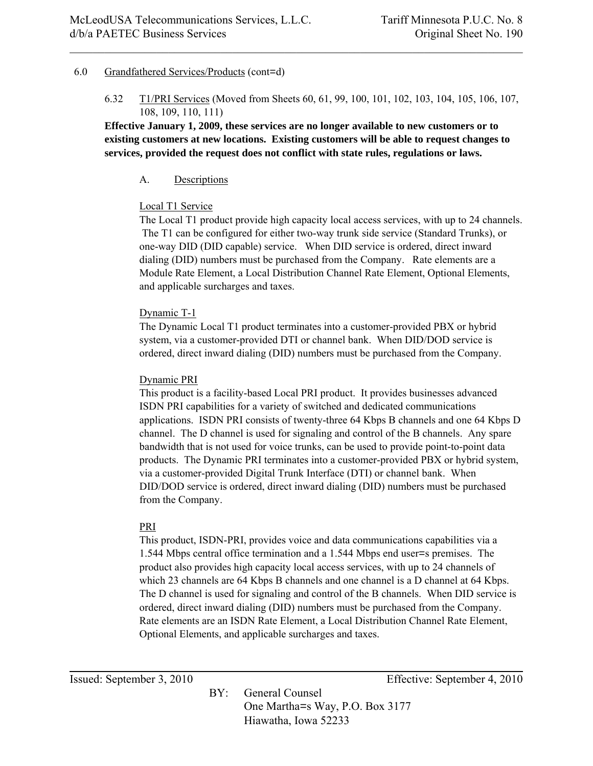6.32 T1/PRI Services (Moved from Sheets 60, 61, 99, 100, 101, 102, 103, 104, 105, 106, 107, 108, 109, 110, 111)

 $\mathcal{L}_\mathcal{L} = \{ \mathcal{L}_\mathcal{L} = \{ \mathcal{L}_\mathcal{L} = \{ \mathcal{L}_\mathcal{L} = \{ \mathcal{L}_\mathcal{L} = \{ \mathcal{L}_\mathcal{L} = \{ \mathcal{L}_\mathcal{L} = \{ \mathcal{L}_\mathcal{L} = \{ \mathcal{L}_\mathcal{L} = \{ \mathcal{L}_\mathcal{L} = \{ \mathcal{L}_\mathcal{L} = \{ \mathcal{L}_\mathcal{L} = \{ \mathcal{L}_\mathcal{L} = \{ \mathcal{L}_\mathcal{L} = \{ \mathcal{L}_\mathcal{$ 

**Effective January 1, 2009, these services are no longer available to new customers or to existing customers at new locations. Existing customers will be able to request changes to services, provided the request does not conflict with state rules, regulations or laws.**

# A. Descriptions

## Local T1 Service

The Local T1 product provide high capacity local access services, with up to 24 channels. The T1 can be configured for either two-way trunk side service (Standard Trunks), or one-way DID (DID capable) service. When DID service is ordered, direct inward dialing (DID) numbers must be purchased from the Company. Rate elements are a Module Rate Element, a Local Distribution Channel Rate Element, Optional Elements, and applicable surcharges and taxes.

## Dynamic T-1

The Dynamic Local T1 product terminates into a customer-provided PBX or hybrid system, via a customer-provided DTI or channel bank. When DID/DOD service is ordered, direct inward dialing (DID) numbers must be purchased from the Company.

#### Dynamic PRI

This product is a facility-based Local PRI product. It provides businesses advanced ISDN PRI capabilities for a variety of switched and dedicated communications applications. ISDN PRI consists of twenty-three 64 Kbps B channels and one 64 Kbps D channel. The D channel is used for signaling and control of the B channels. Any spare bandwidth that is not used for voice trunks, can be used to provide point-to-point data products. The Dynamic PRI terminates into a customer-provided PBX or hybrid system, via a customer-provided Digital Trunk Interface (DTI) or channel bank. When DID/DOD service is ordered, direct inward dialing (DID) numbers must be purchased from the Company.

# PRI

This product, ISDN-PRI, provides voice and data communications capabilities via a 1.544 Mbps central office termination and a 1.544 Mbps end user=s premises. The product also provides high capacity local access services, with up to 24 channels of which 23 channels are 64 Kbps B channels and one channel is a D channel at 64 Kbps. The D channel is used for signaling and control of the B channels. When DID service is ordered, direct inward dialing (DID) numbers must be purchased from the Company. Rate elements are an ISDN Rate Element, a Local Distribution Channel Rate Element, Optional Elements, and applicable surcharges and taxes.

Issued: September 3, 2010 Effective: September 4, 2010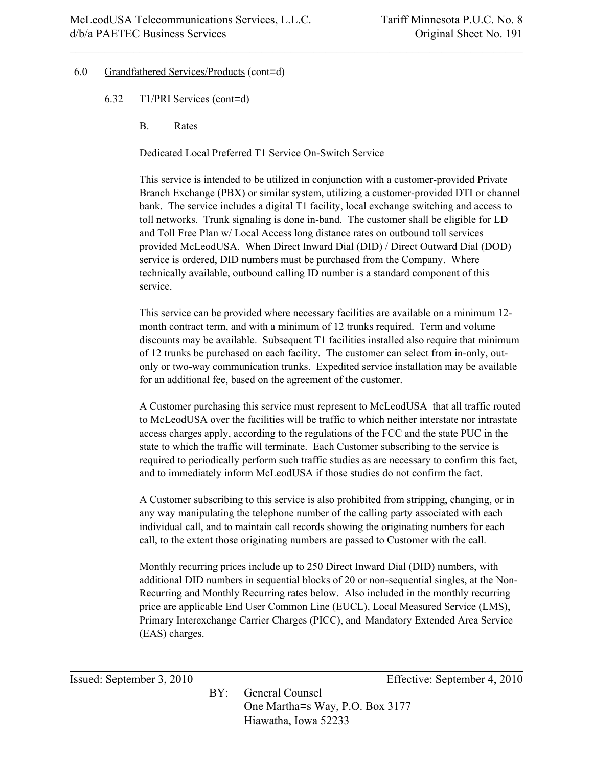- 6.32 T1/PRI Services (cont=d)
	- B. Rates

# Dedicated Local Preferred T1 Service On-Switch Service

 $\mathcal{L}_\mathcal{L} = \{ \mathcal{L}_\mathcal{L} = \{ \mathcal{L}_\mathcal{L} = \{ \mathcal{L}_\mathcal{L} = \{ \mathcal{L}_\mathcal{L} = \{ \mathcal{L}_\mathcal{L} = \{ \mathcal{L}_\mathcal{L} = \{ \mathcal{L}_\mathcal{L} = \{ \mathcal{L}_\mathcal{L} = \{ \mathcal{L}_\mathcal{L} = \{ \mathcal{L}_\mathcal{L} = \{ \mathcal{L}_\mathcal{L} = \{ \mathcal{L}_\mathcal{L} = \{ \mathcal{L}_\mathcal{L} = \{ \mathcal{L}_\mathcal{$ 

This service is intended to be utilized in conjunction with a customer-provided Private Branch Exchange (PBX) or similar system, utilizing a customer-provided DTI or channel bank. The service includes a digital T1 facility, local exchange switching and access to toll networks. Trunk signaling is done in-band. The customer shall be eligible for LD and Toll Free Plan w/ Local Access long distance rates on outbound toll services provided McLeodUSA. When Direct Inward Dial (DID) / Direct Outward Dial (DOD) service is ordered, DID numbers must be purchased from the Company. Where technically available, outbound calling ID number is a standard component of this service.

This service can be provided where necessary facilities are available on a minimum 12 month contract term, and with a minimum of 12 trunks required. Term and volume discounts may be available. Subsequent T1 facilities installed also require that minimum of 12 trunks be purchased on each facility. The customer can select from in-only, outonly or two-way communication trunks. Expedited service installation may be available for an additional fee, based on the agreement of the customer.

A Customer purchasing this service must represent to McLeodUSA that all traffic routed to McLeodUSA over the facilities will be traffic to which neither interstate nor intrastate access charges apply, according to the regulations of the FCC and the state PUC in the state to which the traffic will terminate. Each Customer subscribing to the service is required to periodically perform such traffic studies as are necessary to confirm this fact, and to immediately inform McLeodUSA if those studies do not confirm the fact.

A Customer subscribing to this service is also prohibited from stripping, changing, or in any way manipulating the telephone number of the calling party associated with each individual call, and to maintain call records showing the originating numbers for each call, to the extent those originating numbers are passed to Customer with the call.

Monthly recurring prices include up to 250 Direct Inward Dial (DID) numbers, with additional DID numbers in sequential blocks of 20 or non-sequential singles, at the Non-Recurring and Monthly Recurring rates below. Also included in the monthly recurring price are applicable End User Common Line (EUCL), Local Measured Service (LMS), Primary Interexchange Carrier Charges (PICC), and Mandatory Extended Area Service (EAS) charges.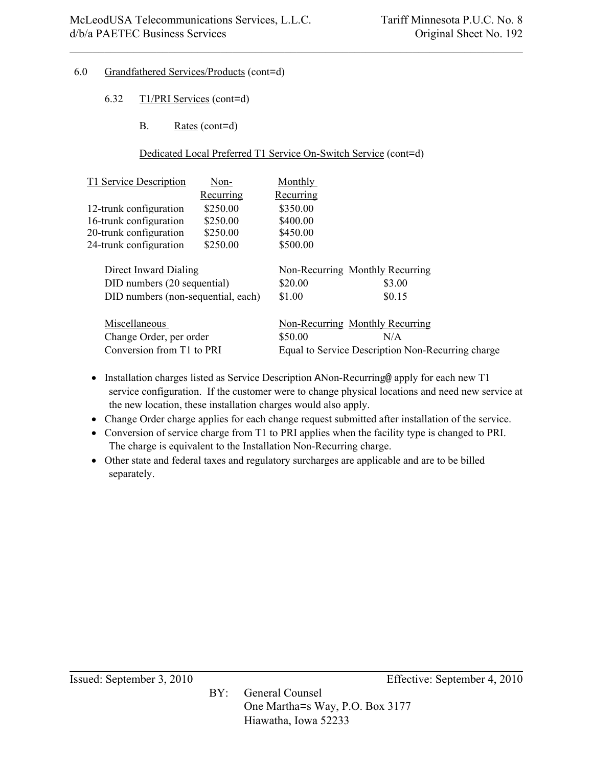- 6.32 T1/PRI Services (cont=d)
	- B. Rates (cont=d)

# Dedicated Local Preferred T1 Service On-Switch Service (cont=d)

 $\mathcal{L}_\mathcal{L} = \{ \mathcal{L}_\mathcal{L} = \{ \mathcal{L}_\mathcal{L} = \{ \mathcal{L}_\mathcal{L} = \{ \mathcal{L}_\mathcal{L} = \{ \mathcal{L}_\mathcal{L} = \{ \mathcal{L}_\mathcal{L} = \{ \mathcal{L}_\mathcal{L} = \{ \mathcal{L}_\mathcal{L} = \{ \mathcal{L}_\mathcal{L} = \{ \mathcal{L}_\mathcal{L} = \{ \mathcal{L}_\mathcal{L} = \{ \mathcal{L}_\mathcal{L} = \{ \mathcal{L}_\mathcal{L} = \{ \mathcal{L}_\mathcal{$ 

| T1 Service Description             | Non-      | Monthly   |                                                   |
|------------------------------------|-----------|-----------|---------------------------------------------------|
|                                    | Recurring | Recurring |                                                   |
| 12-trunk configuration             | \$250.00  | \$350.00  |                                                   |
| 16-trunk configuration             | \$250.00  | \$400.00  |                                                   |
| 20-trunk configuration             | \$250.00  | \$450.00  |                                                   |
| 24-trunk configuration             | \$250.00  | \$500.00  |                                                   |
|                                    |           |           |                                                   |
| Direct Inward Dialing              |           |           | Non-Recurring Monthly Recurring                   |
| DID numbers (20 sequential)        |           | \$20.00   | \$3.00                                            |
| DID numbers (non-sequential, each) |           | \$1.00    | \$0.15                                            |
|                                    |           |           |                                                   |
| Miscellaneous                      |           |           | Non-Recurring Monthly Recurring                   |
| Change Order, per order            |           | \$50.00   | N/A                                               |
| Conversion from T1 to PRI          |           |           | Equal to Service Description Non-Recurring charge |

- Installation charges listed as Service Description ANon-Recurring@ apply for each new T1 service configuration. If the customer were to change physical locations and need new service at the new location, these installation charges would also apply.
- Change Order charge applies for each change request submitted after installation of the service.
- Conversion of service charge from T1 to PRI applies when the facility type is changed to PRI. The charge is equivalent to the Installation Non-Recurring charge.
- Other state and federal taxes and regulatory surcharges are applicable and are to be billed separately.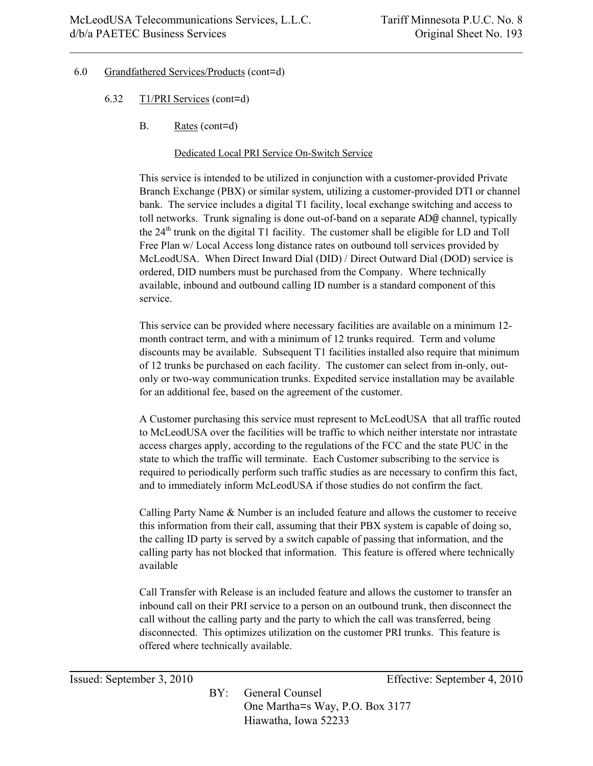- 6.32 T1/PRI Services (cont=d)
	- B. Rates (cont=d)

## Dedicated Local PRI Service On-Switch Service

 $\mathcal{L}_\mathcal{L} = \{ \mathcal{L}_\mathcal{L} = \{ \mathcal{L}_\mathcal{L} = \{ \mathcal{L}_\mathcal{L} = \{ \mathcal{L}_\mathcal{L} = \{ \mathcal{L}_\mathcal{L} = \{ \mathcal{L}_\mathcal{L} = \{ \mathcal{L}_\mathcal{L} = \{ \mathcal{L}_\mathcal{L} = \{ \mathcal{L}_\mathcal{L} = \{ \mathcal{L}_\mathcal{L} = \{ \mathcal{L}_\mathcal{L} = \{ \mathcal{L}_\mathcal{L} = \{ \mathcal{L}_\mathcal{L} = \{ \mathcal{L}_\mathcal{$ 

This service is intended to be utilized in conjunction with a customer-provided Private Branch Exchange (PBX) or similar system, utilizing a customer-provided DTI or channel bank. The service includes a digital T1 facility, local exchange switching and access to toll networks. Trunk signaling is done out-of-band on a separate AD@ channel, typically the 24<sup>th</sup> trunk on the digital T1 facility. The customer shall be eligible for LD and Toll Free Plan w/ Local Access long distance rates on outbound toll services provided by McLeodUSA. When Direct Inward Dial (DID) / Direct Outward Dial (DOD) service is ordered, DID numbers must be purchased from the Company. Where technically available, inbound and outbound calling ID number is a standard component of this service.

This service can be provided where necessary facilities are available on a minimum 12 month contract term, and with a minimum of 12 trunks required. Term and volume discounts may be available. Subsequent T1 facilities installed also require that minimum of 12 trunks be purchased on each facility. The customer can select from in-only, outonly or two-way communication trunks. Expedited service installation may be available for an additional fee, based on the agreement of the customer.

A Customer purchasing this service must represent to McLeodUSA that all traffic routed to McLeodUSA over the facilities will be traffic to which neither interstate nor intrastate access charges apply, according to the regulations of the FCC and the state PUC in the state to which the traffic will terminate. Each Customer subscribing to the service is required to periodically perform such traffic studies as are necessary to confirm this fact, and to immediately inform McLeodUSA if those studies do not confirm the fact.

Calling Party Name & Number is an included feature and allows the customer to receive this information from their call, assuming that their PBX system is capable of doing so, the calling ID party is served by a switch capable of passing that information, and the calling party has not blocked that information. This feature is offered where technically available

Call Transfer with Release is an included feature and allows the customer to transfer an inbound call on their PRI service to a person on an outbound trunk, then disconnect the call without the calling party and the party to which the call was transferred, being disconnected. This optimizes utilization on the customer PRI trunks. This feature is offered where technically available.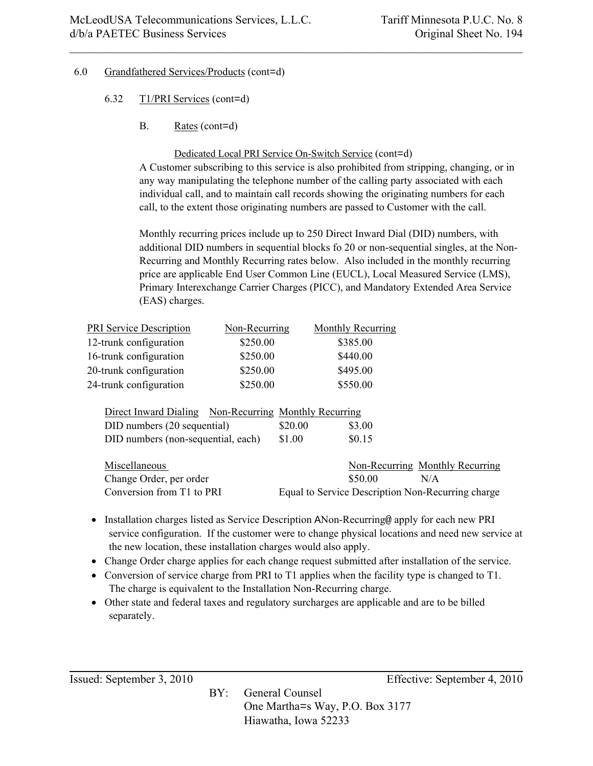- 6.32 T1/PRI Services (cont=d)
	- B. Rates (cont=d)

Dedicated Local PRI Service On-Switch Service (cont=d)

 $\mathcal{L}_\mathcal{L} = \{ \mathcal{L}_\mathcal{L} = \{ \mathcal{L}_\mathcal{L} = \{ \mathcal{L}_\mathcal{L} = \{ \mathcal{L}_\mathcal{L} = \{ \mathcal{L}_\mathcal{L} = \{ \mathcal{L}_\mathcal{L} = \{ \mathcal{L}_\mathcal{L} = \{ \mathcal{L}_\mathcal{L} = \{ \mathcal{L}_\mathcal{L} = \{ \mathcal{L}_\mathcal{L} = \{ \mathcal{L}_\mathcal{L} = \{ \mathcal{L}_\mathcal{L} = \{ \mathcal{L}_\mathcal{L} = \{ \mathcal{L}_\mathcal{$ 

A Customer subscribing to this service is also prohibited from stripping, changing, or in any way manipulating the telephone number of the calling party associated with each individual call, and to maintain call records showing the originating numbers for each call, to the extent those originating numbers are passed to Customer with the call.

Monthly recurring prices include up to 250 Direct Inward Dial (DID) numbers, with additional DID numbers in sequential blocks fo 20 or non-sequential singles, at the Non-Recurring and Monthly Recurring rates below. Also included in the monthly recurring price are applicable End User Common Line (EUCL), Local Measured Service (LMS), Primary Interexchange Carrier Charges (PICC), and Mandatory Extended Area Service (EAS) charges.

| <b>PRI Service Description</b>                                                                                             | Non-Recurring |                   | Monthly Recurring |                                                                                             |
|----------------------------------------------------------------------------------------------------------------------------|---------------|-------------------|-------------------|---------------------------------------------------------------------------------------------|
| 12-trunk configuration                                                                                                     | \$250.00      |                   | \$385.00          |                                                                                             |
| 16-trunk configuration                                                                                                     | \$250.00      |                   | \$440.00          |                                                                                             |
| 20-trunk configuration                                                                                                     | \$250.00      |                   | \$495.00          |                                                                                             |
| 24-trunk configuration                                                                                                     | \$250.00      |                   | \$550.00          |                                                                                             |
| Direct Inward Dialing Non-Recurring Monthly Recurring<br>DID numbers (20 sequential)<br>DID numbers (non-sequential, each) |               | \$20.00<br>\$1.00 | \$3.00<br>\$0.15  |                                                                                             |
| Miscellaneous<br>Change Order, per order<br>Conversion from T1 to PRI                                                      |               |                   | \$50.00           | Non-Recurring Monthly Recurring<br>N/A<br>Equal to Service Description Non-Recurring charge |

- Installation charges listed as Service Description ANon-Recurring@ apply for each new PRI service configuration. If the customer were to change physical locations and need new service at the new location, these installation charges would also apply.
- Change Order charge applies for each change request submitted after installation of the service.
- Conversion of service charge from PRI to T1 applies when the facility type is changed to T1. The charge is equivalent to the Installation Non-Recurring charge.
- Other state and federal taxes and regulatory surcharges are applicable and are to be billed separately.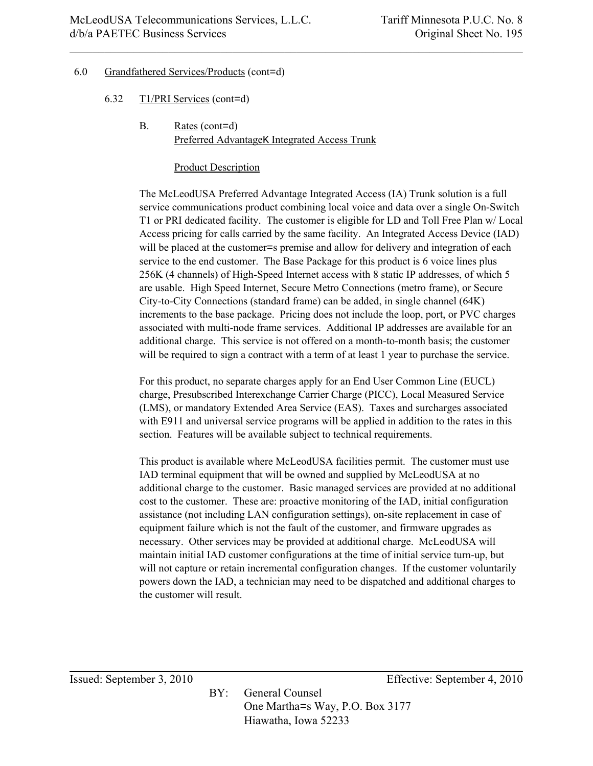- 6.32 T1/PRI Services (cont=d)
	- B. Rates (cont=d) Preferred AdvantageK Integrated Access Trunk

 $\mathcal{L}_\mathcal{L} = \{ \mathcal{L}_\mathcal{L} = \{ \mathcal{L}_\mathcal{L} = \{ \mathcal{L}_\mathcal{L} = \{ \mathcal{L}_\mathcal{L} = \{ \mathcal{L}_\mathcal{L} = \{ \mathcal{L}_\mathcal{L} = \{ \mathcal{L}_\mathcal{L} = \{ \mathcal{L}_\mathcal{L} = \{ \mathcal{L}_\mathcal{L} = \{ \mathcal{L}_\mathcal{L} = \{ \mathcal{L}_\mathcal{L} = \{ \mathcal{L}_\mathcal{L} = \{ \mathcal{L}_\mathcal{L} = \{ \mathcal{L}_\mathcal{$ 

## Product Description

The McLeodUSA Preferred Advantage Integrated Access (IA) Trunk solution is a full service communications product combining local voice and data over a single On-Switch T1 or PRI dedicated facility. The customer is eligible for LD and Toll Free Plan w/ Local Access pricing for calls carried by the same facility. An Integrated Access Device (IAD) will be placed at the customer=s premise and allow for delivery and integration of each service to the end customer. The Base Package for this product is 6 voice lines plus 256K (4 channels) of High-Speed Internet access with 8 static IP addresses, of which 5 are usable. High Speed Internet, Secure Metro Connections (metro frame), or Secure City-to-City Connections (standard frame) can be added, in single channel (64K) increments to the base package. Pricing does not include the loop, port, or PVC charges associated with multi-node frame services. Additional IP addresses are available for an additional charge. This service is not offered on a month-to-month basis; the customer will be required to sign a contract with a term of at least 1 year to purchase the service.

For this product, no separate charges apply for an End User Common Line (EUCL) charge, Presubscribed Interexchange Carrier Charge (PICC), Local Measured Service (LMS), or mandatory Extended Area Service (EAS). Taxes and surcharges associated with E911 and universal service programs will be applied in addition to the rates in this section. Features will be available subject to technical requirements.

This product is available where McLeodUSA facilities permit. The customer must use IAD terminal equipment that will be owned and supplied by McLeodUSA at no additional charge to the customer. Basic managed services are provided at no additional cost to the customer. These are: proactive monitoring of the IAD, initial configuration assistance (not including LAN configuration settings), on-site replacement in case of equipment failure which is not the fault of the customer, and firmware upgrades as necessary. Other services may be provided at additional charge. McLeodUSA will maintain initial IAD customer configurations at the time of initial service turn-up, but will not capture or retain incremental configuration changes. If the customer voluntarily powers down the IAD, a technician may need to be dispatched and additional charges to the customer will result.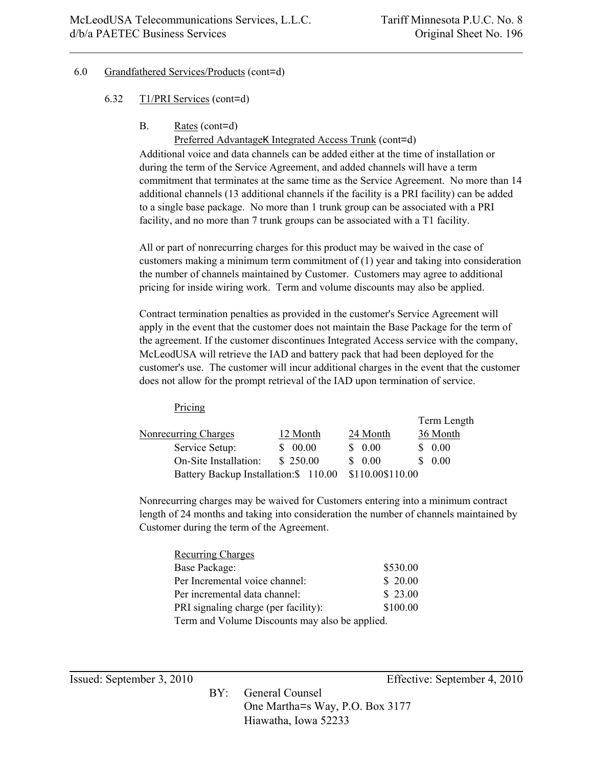# 6.32 T1/PRI Services (cont=d)

# B. Rates (cont=d)

## Preferred AdvantageK Integrated Access Trunk (cont=d)

 $\mathcal{L}_\mathcal{L} = \{ \mathcal{L}_\mathcal{L} = \{ \mathcal{L}_\mathcal{L} = \{ \mathcal{L}_\mathcal{L} = \{ \mathcal{L}_\mathcal{L} = \{ \mathcal{L}_\mathcal{L} = \{ \mathcal{L}_\mathcal{L} = \{ \mathcal{L}_\mathcal{L} = \{ \mathcal{L}_\mathcal{L} = \{ \mathcal{L}_\mathcal{L} = \{ \mathcal{L}_\mathcal{L} = \{ \mathcal{L}_\mathcal{L} = \{ \mathcal{L}_\mathcal{L} = \{ \mathcal{L}_\mathcal{L} = \{ \mathcal{L}_\mathcal{$ 

Additional voice and data channels can be added either at the time of installation or during the term of the Service Agreement, and added channels will have a term commitment that terminates at the same time as the Service Agreement. No more than 14 additional channels (13 additional channels if the facility is a PRI facility) can be added to a single base package. No more than 1 trunk group can be associated with a PRI facility, and no more than 7 trunk groups can be associated with a T1 facility.

All or part of nonrecurring charges for this product may be waived in the case of customers making a minimum term commitment of (1) year and taking into consideration the number of channels maintained by Customer. Customers may agree to additional pricing for inside wiring work. Term and volume discounts may also be applied.

Contract termination penalties as provided in the customer's Service Agreement will apply in the event that the customer does not maintain the Base Package for the term of the agreement. If the customer discontinues Integrated Access service with the company, McLeodUSA will retrieve the IAD and battery pack that had been deployed for the customer's use. The customer will incur additional charges in the event that the customer does not allow for the prompt retrieval of the IAD upon termination of service.

Pricing

|                                       |          |                  | Term Length |
|---------------------------------------|----------|------------------|-------------|
| <b>Nonrecurring Charges</b>           | 12 Month | 24 Month         | 36 Month    |
| Service Setup:                        | \$00.00  | \$0.00           | \$0.00      |
| On-Site Installation:                 | \$250.00 | \$0.00           | \$0.00      |
| Battery Backup Installation: \$110.00 |          | \$110.00\$110.00 |             |

Nonrecurring charges may be waived for Customers entering into a minimum contract length of 24 months and taking into consideration the number of channels maintained by Customer during the term of the Agreement.

| <b>Recurring Charges</b>                      |          |
|-----------------------------------------------|----------|
| Base Package:                                 | \$530.00 |
| Per Incremental voice channel:                | \$20.00  |
| Per incremental data channel:                 | \$23.00  |
| PRI signaling charge (per facility):          | \$100.00 |
| Term and Volume Discounts may also be applied |          |

Term and Volume Discounts may also be applied.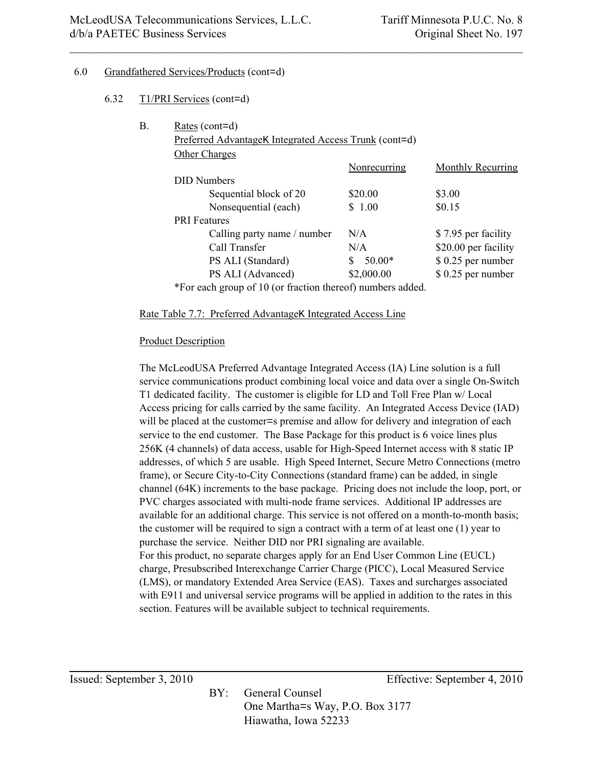6.32 T1/PRI Services (cont=d)

| Β. | $Rates (cont=d)$                                           |              |                          |
|----|------------------------------------------------------------|--------------|--------------------------|
|    | Preferred AdvantageK Integrated Access Trunk (cont=d)      |              |                          |
|    | Other Charges                                              |              |                          |
|    |                                                            | Nonrecurring | <b>Monthly Recurring</b> |
|    | <b>DID</b> Numbers                                         |              |                          |
|    | Sequential block of 20                                     | \$20.00      | \$3.00                   |
|    | Nonsequential (each)                                       | \$1.00       | \$0.15                   |
|    | <b>PRI</b> Features                                        |              |                          |
|    | Calling party name / number                                | N/A          | \$7.95 per facility      |
|    | Call Transfer                                              | N/A          | \$20.00 per facility     |
|    | PS ALI (Standard)                                          | $50.00*$     | \$0.25 per number        |
|    | PS ALI (Advanced)                                          | \$2,000.00   | \$0.25 per number        |
|    | *For each group of 10 (or fraction thereof) numbers added. |              |                          |

 $\mathcal{L}_\mathcal{L} = \{ \mathcal{L}_\mathcal{L} = \{ \mathcal{L}_\mathcal{L} = \{ \mathcal{L}_\mathcal{L} = \{ \mathcal{L}_\mathcal{L} = \{ \mathcal{L}_\mathcal{L} = \{ \mathcal{L}_\mathcal{L} = \{ \mathcal{L}_\mathcal{L} = \{ \mathcal{L}_\mathcal{L} = \{ \mathcal{L}_\mathcal{L} = \{ \mathcal{L}_\mathcal{L} = \{ \mathcal{L}_\mathcal{L} = \{ \mathcal{L}_\mathcal{L} = \{ \mathcal{L}_\mathcal{L} = \{ \mathcal{L}_\mathcal{$ 

Rate Table 7.7: Preferred AdvantageK Integrated Access Line

# Product Description

The McLeodUSA Preferred Advantage Integrated Access (IA) Line solution is a full service communications product combining local voice and data over a single On-Switch T1 dedicated facility. The customer is eligible for LD and Toll Free Plan w/ Local Access pricing for calls carried by the same facility. An Integrated Access Device (IAD) will be placed at the customer=s premise and allow for delivery and integration of each service to the end customer. The Base Package for this product is 6 voice lines plus 256K (4 channels) of data access, usable for High-Speed Internet access with 8 static IP addresses, of which 5 are usable. High Speed Internet, Secure Metro Connections (metro frame), or Secure City-to-City Connections (standard frame) can be added, in single channel (64K) increments to the base package. Pricing does not include the loop, port, or PVC charges associated with multi-node frame services. Additional IP addresses are available for an additional charge. This service is not offered on a month-to-month basis; the customer will be required to sign a contract with a term of at least one (1) year to purchase the service. Neither DID nor PRI signaling are available. For this product, no separate charges apply for an End User Common Line (EUCL) charge, Presubscribed Interexchange Carrier Charge (PICC), Local Measured Service (LMS), or mandatory Extended Area Service (EAS). Taxes and surcharges associated with E911 and universal service programs will be applied in addition to the rates in this section. Features will be available subject to technical requirements.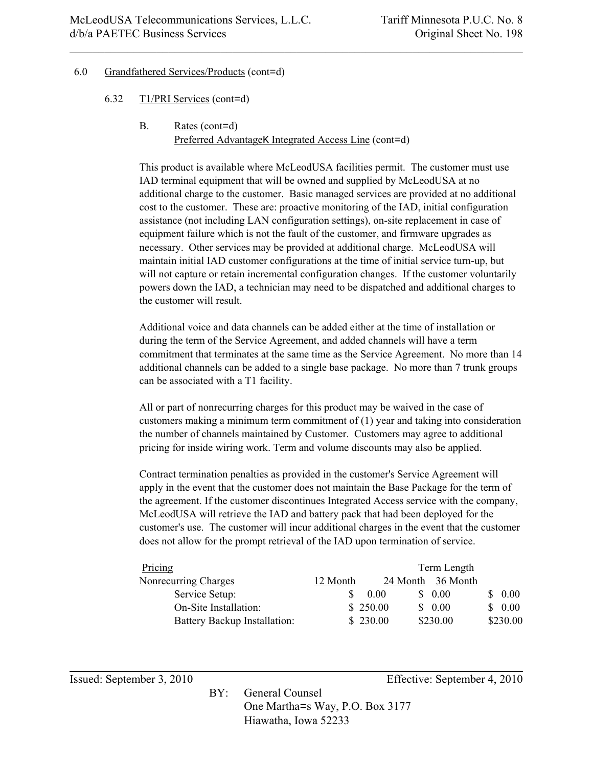- 6.32 T1/PRI Services (cont=d)
	- B. Rates (cont=d) Preferred AdvantageK Integrated Access Line (cont=d)

 $\mathcal{L}_\mathcal{L} = \{ \mathcal{L}_\mathcal{L} = \{ \mathcal{L}_\mathcal{L} = \{ \mathcal{L}_\mathcal{L} = \{ \mathcal{L}_\mathcal{L} = \{ \mathcal{L}_\mathcal{L} = \{ \mathcal{L}_\mathcal{L} = \{ \mathcal{L}_\mathcal{L} = \{ \mathcal{L}_\mathcal{L} = \{ \mathcal{L}_\mathcal{L} = \{ \mathcal{L}_\mathcal{L} = \{ \mathcal{L}_\mathcal{L} = \{ \mathcal{L}_\mathcal{L} = \{ \mathcal{L}_\mathcal{L} = \{ \mathcal{L}_\mathcal{$ 

This product is available where McLeodUSA facilities permit. The customer must use IAD terminal equipment that will be owned and supplied by McLeodUSA at no additional charge to the customer. Basic managed services are provided at no additional cost to the customer. These are: proactive monitoring of the IAD, initial configuration assistance (not including LAN configuration settings), on-site replacement in case of equipment failure which is not the fault of the customer, and firmware upgrades as necessary. Other services may be provided at additional charge. McLeodUSA will maintain initial IAD customer configurations at the time of initial service turn-up, but will not capture or retain incremental configuration changes. If the customer voluntarily powers down the IAD, a technician may need to be dispatched and additional charges to the customer will result.

Additional voice and data channels can be added either at the time of installation or during the term of the Service Agreement, and added channels will have a term commitment that terminates at the same time as the Service Agreement. No more than 14 additional channels can be added to a single base package. No more than 7 trunk groups can be associated with a T1 facility.

All or part of nonrecurring charges for this product may be waived in the case of customers making a minimum term commitment of (1) year and taking into consideration the number of channels maintained by Customer. Customers may agree to additional pricing for inside wiring work. Term and volume discounts may also be applied.

Contract termination penalties as provided in the customer's Service Agreement will apply in the event that the customer does not maintain the Base Package for the term of the agreement. If the customer discontinues Integrated Access service with the company, McLeodUSA will retrieve the IAD and battery pack that had been deployed for the customer's use. The customer will incur additional charges in the event that the customer does not allow for the prompt retrieval of the IAD upon termination of service.

| Pricing                      |          |          |          | Term Length |          |
|------------------------------|----------|----------|----------|-------------|----------|
| Nonrecurring Charges         | 12 Month |          | 24 Month | 36 Month    |          |
| Service Setup:               |          | 0.00     |          | $0.00\,$    | 0.00     |
| On-Site Installation:        |          | \$250.00 |          | \$0.00      | 0.00     |
| Battery Backup Installation: |          | \$230.00 |          | \$230.00    | \$230.00 |

Issued: September 3, 2010 Effective: September 4, 2010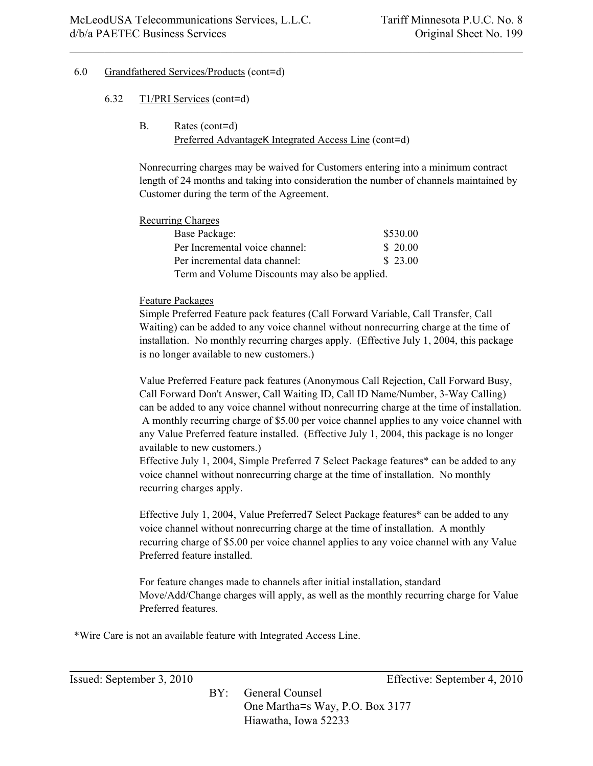- 6.32 T1/PRI Services (cont=d)
	- B. Rates (cont=d) Preferred AdvantageK Integrated Access Line (cont=d)

 $\mathcal{L}_\mathcal{L} = \{ \mathcal{L}_\mathcal{L} = \{ \mathcal{L}_\mathcal{L} = \{ \mathcal{L}_\mathcal{L} = \{ \mathcal{L}_\mathcal{L} = \{ \mathcal{L}_\mathcal{L} = \{ \mathcal{L}_\mathcal{L} = \{ \mathcal{L}_\mathcal{L} = \{ \mathcal{L}_\mathcal{L} = \{ \mathcal{L}_\mathcal{L} = \{ \mathcal{L}_\mathcal{L} = \{ \mathcal{L}_\mathcal{L} = \{ \mathcal{L}_\mathcal{L} = \{ \mathcal{L}_\mathcal{L} = \{ \mathcal{L}_\mathcal{$ 

Nonrecurring charges may be waived for Customers entering into a minimum contract length of 24 months and taking into consideration the number of channels maintained by Customer during the term of the Agreement.

|  | <b>Recurring Charges</b> |  |
|--|--------------------------|--|
|  |                          |  |

| Base Package:                                  | \$530.00 |
|------------------------------------------------|----------|
| Per Incremental voice channel:                 | \$20.00  |
| Per incremental data channel:                  | \$23.00  |
| Term and Volume Discounts may also be applied. |          |

#### Feature Packages

Simple Preferred Feature pack features (Call Forward Variable, Call Transfer, Call Waiting) can be added to any voice channel without nonrecurring charge at the time of installation. No monthly recurring charges apply. (Effective July 1, 2004, this package is no longer available to new customers.)

Value Preferred Feature pack features (Anonymous Call Rejection, Call Forward Busy, Call Forward Don't Answer, Call Waiting ID, Call ID Name/Number, 3-Way Calling) can be added to any voice channel without nonrecurring charge at the time of installation. A monthly recurring charge of \$5.00 per voice channel applies to any voice channel with any Value Preferred feature installed. (Effective July 1, 2004, this package is no longer available to new customers.)

Effective July 1, 2004, Simple Preferred 7 Select Package features\* can be added to any voice channel without nonrecurring charge at the time of installation. No monthly recurring charges apply.

Effective July 1, 2004, Value Preferred7 Select Package features\* can be added to any voice channel without nonrecurring charge at the time of installation. A monthly recurring charge of \$5.00 per voice channel applies to any voice channel with any Value Preferred feature installed.

For feature changes made to channels after initial installation, standard Move/Add/Change charges will apply, as well as the monthly recurring charge for Value Preferred features.

\*Wire Care is not an available feature with Integrated Access Line.

| Issued: September 3, 2010 | Effective: September 4, 2010      |
|---------------------------|-----------------------------------|
|                           | BY: General Counsel               |
|                           | One Martha = S Way, P.O. Box 3177 |
|                           | Hiawatha, Iowa 52233              |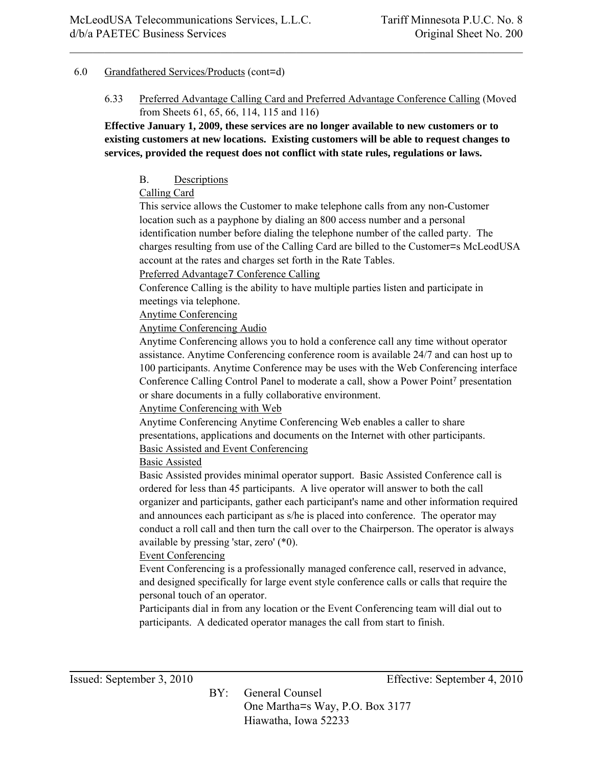6.33 Preferred Advantage Calling Card and Preferred Advantage Conference Calling (Moved from Sheets 61, 65, 66, 114, 115 and 116)

 $\mathcal{L}_\mathcal{L} = \{ \mathcal{L}_\mathcal{L} = \{ \mathcal{L}_\mathcal{L} = \{ \mathcal{L}_\mathcal{L} = \{ \mathcal{L}_\mathcal{L} = \{ \mathcal{L}_\mathcal{L} = \{ \mathcal{L}_\mathcal{L} = \{ \mathcal{L}_\mathcal{L} = \{ \mathcal{L}_\mathcal{L} = \{ \mathcal{L}_\mathcal{L} = \{ \mathcal{L}_\mathcal{L} = \{ \mathcal{L}_\mathcal{L} = \{ \mathcal{L}_\mathcal{L} = \{ \mathcal{L}_\mathcal{L} = \{ \mathcal{L}_\mathcal{$ 

**Effective January 1, 2009, these services are no longer available to new customers or to existing customers at new locations. Existing customers will be able to request changes to services, provided the request does not conflict with state rules, regulations or laws.**

## B. Descriptions

# Calling Card

This service allows the Customer to make telephone calls from any non-Customer location such as a payphone by dialing an 800 access number and a personal identification number before dialing the telephone number of the called party. The charges resulting from use of the Calling Card are billed to the Customer=s McLeodUSA account at the rates and charges set forth in the Rate Tables.

Preferred Advantage7 Conference Calling

Conference Calling is the ability to have multiple parties listen and participate in meetings via telephone.

Anytime Conferencing

Anytime Conferencing Audio

Anytime Conferencing allows you to hold a conference call any time without operator assistance. Anytime Conferencing conference room is available 24/7 and can host up to 100 participants. Anytime Conference may be uses with the Web Conferencing interface Conference Calling Control Panel to moderate a call, show a Power Point<sup>7</sup> presentation or share documents in a fully collaborative environment.

Anytime Conferencing with Web

Anytime Conferencing Anytime Conferencing Web enables a caller to share presentations, applications and documents on the Internet with other participants. Basic Assisted and Event Conferencing

Basic Assisted

Basic Assisted provides minimal operator support. Basic Assisted Conference call is ordered for less than 45 participants. A live operator will answer to both the call organizer and participants, gather each participant's name and other information required and announces each participant as s/he is placed into conference. The operator may conduct a roll call and then turn the call over to the Chairperson. The operator is always available by pressing 'star, zero' (\*0).

Event Conferencing

Event Conferencing is a professionally managed conference call, reserved in advance, and designed specifically for large event style conference calls or calls that require the personal touch of an operator.

Participants dial in from any location or the Event Conferencing team will dial out to participants. A dedicated operator manages the call from start to finish.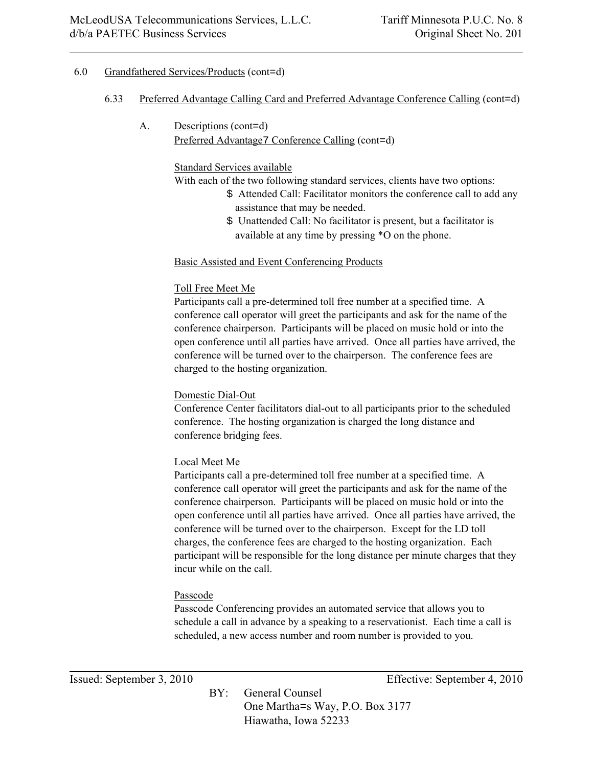6.33 Preferred Advantage Calling Card and Preferred Advantage Conference Calling (cont=d)

 $\mathcal{L}_\mathcal{L} = \{ \mathcal{L}_\mathcal{L} = \{ \mathcal{L}_\mathcal{L} = \{ \mathcal{L}_\mathcal{L} = \{ \mathcal{L}_\mathcal{L} = \{ \mathcal{L}_\mathcal{L} = \{ \mathcal{L}_\mathcal{L} = \{ \mathcal{L}_\mathcal{L} = \{ \mathcal{L}_\mathcal{L} = \{ \mathcal{L}_\mathcal{L} = \{ \mathcal{L}_\mathcal{L} = \{ \mathcal{L}_\mathcal{L} = \{ \mathcal{L}_\mathcal{L} = \{ \mathcal{L}_\mathcal{L} = \{ \mathcal{L}_\mathcal{$ 

A. Descriptions (cont=d) Preferred Advantage7 Conference Calling (cont=d)

## Standard Services available

With each of the two following standard services, clients have two options:

- \$ Attended Call: Facilitator monitors the conference call to add any assistance that may be needed.
- \$ Unattended Call: No facilitator is present, but a facilitator is available at any time by pressing \*O on the phone.

#### Basic Assisted and Event Conferencing Products

## Toll Free Meet Me

Participants call a pre-determined toll free number at a specified time. A conference call operator will greet the participants and ask for the name of the conference chairperson. Participants will be placed on music hold or into the open conference until all parties have arrived. Once all parties have arrived, the conference will be turned over to the chairperson. The conference fees are charged to the hosting organization.

#### Domestic Dial-Out

Conference Center facilitators dial-out to all participants prior to the scheduled conference. The hosting organization is charged the long distance and conference bridging fees.

# Local Meet Me

Participants call a pre-determined toll free number at a specified time. A conference call operator will greet the participants and ask for the name of the conference chairperson. Participants will be placed on music hold or into the open conference until all parties have arrived. Once all parties have arrived, the conference will be turned over to the chairperson. Except for the LD toll charges, the conference fees are charged to the hosting organization. Each participant will be responsible for the long distance per minute charges that they incur while on the call.

#### Passcode

Passcode Conferencing provides an automated service that allows you to schedule a call in advance by a speaking to a reservationist. Each time a call is scheduled, a new access number and room number is provided to you.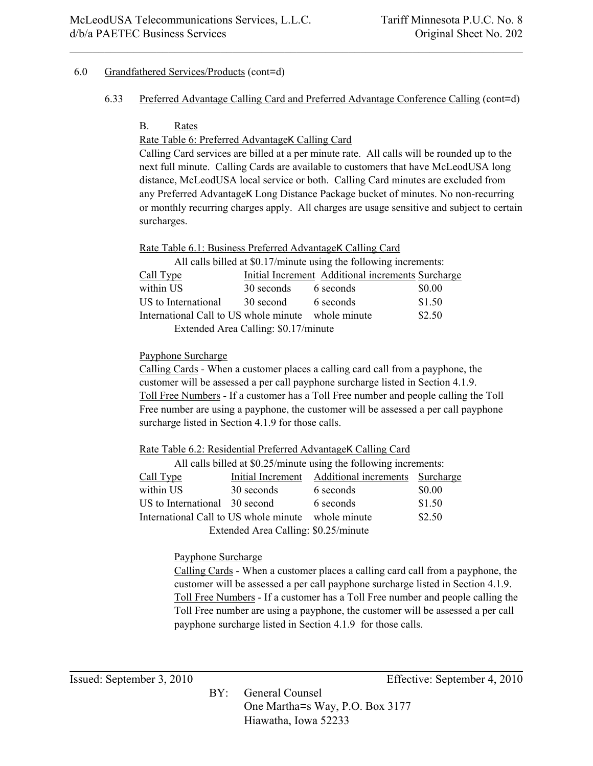#### 6.33 Preferred Advantage Calling Card and Preferred Advantage Conference Calling (cont=d)

 $\mathcal{L}_\mathcal{L} = \{ \mathcal{L}_\mathcal{L} = \{ \mathcal{L}_\mathcal{L} = \{ \mathcal{L}_\mathcal{L} = \{ \mathcal{L}_\mathcal{L} = \{ \mathcal{L}_\mathcal{L} = \{ \mathcal{L}_\mathcal{L} = \{ \mathcal{L}_\mathcal{L} = \{ \mathcal{L}_\mathcal{L} = \{ \mathcal{L}_\mathcal{L} = \{ \mathcal{L}_\mathcal{L} = \{ \mathcal{L}_\mathcal{L} = \{ \mathcal{L}_\mathcal{L} = \{ \mathcal{L}_\mathcal{L} = \{ \mathcal{L}_\mathcal{$ 

## B. Rates

# Rate Table 6: Preferred AdvantageK Calling Card

Calling Card services are billed at a per minute rate. All calls will be rounded up to the next full minute. Calling Cards are available to customers that have McLeodUSA long distance, McLeodUSA local service or both. Calling Card minutes are excluded from any Preferred AdvantageK Long Distance Package bucket of minutes. No non-recurring or monthly recurring charges apply. All charges are usage sensitive and subject to certain surcharges.

#### Rate Table 6.1: Business Preferred AdvantageK Calling Card

|                                                    |                                      | All calls billed at \$0.17/minute using the following increments: |        |
|----------------------------------------------------|--------------------------------------|-------------------------------------------------------------------|--------|
| Call Type                                          |                                      | Initial Increment Additional increments Surcharge                 |        |
| within US                                          | 30 seconds 6 seconds                 |                                                                   | \$0.00 |
| US to International                                | 30 second 6 seconds                  |                                                                   | \$1.50 |
| International Call to US whole minute whole minute |                                      |                                                                   | \$2.50 |
|                                                    | Extended Area Calling: \$0.17/minute |                                                                   |        |

## Payphone Surcharge

Calling Cards - When a customer places a calling card call from a payphone, the customer will be assessed a per call payphone surcharge listed in Section 4.1.9. Toll Free Numbers - If a customer has a Toll Free number and people calling the Toll Free number are using a payphone, the customer will be assessed a per call payphone surcharge listed in Section 4.1.9 for those calls.

#### Rate Table 6.2: Residential Preferred AdvantageK Calling Card

| All calls billed at \$0.25/minute using the following increments: |            |                                                   |        |
|-------------------------------------------------------------------|------------|---------------------------------------------------|--------|
| Call Type                                                         |            | Initial Increment Additional increments Surcharge |        |
| within US                                                         | 30 seconds | 6 seconds                                         | \$0.00 |
| US to International 30 second                                     |            | 6 seconds                                         | \$1.50 |
| International Call to US whole minute                             |            | whole minute                                      | \$2.50 |

Extended Area Calling: \$0.25/minute

# Payphone Surcharge

Calling Cards - When a customer places a calling card call from a payphone, the customer will be assessed a per call payphone surcharge listed in Section 4.1.9. Toll Free Numbers - If a customer has a Toll Free number and people calling the Toll Free number are using a payphone, the customer will be assessed a per call payphone surcharge listed in Section 4.1.9 for those calls.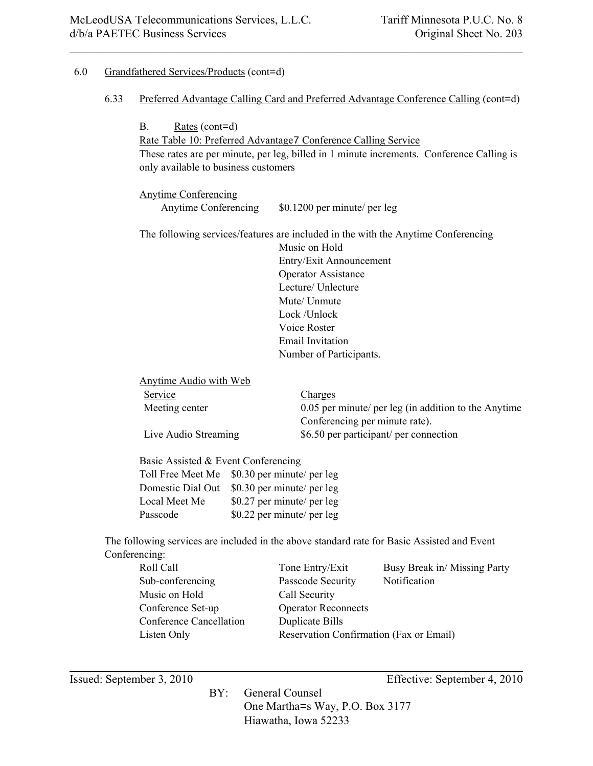6.33 Preferred Advantage Calling Card and Preferred Advantage Conference Calling (cont=d)

 $\mathcal{L}_\mathcal{L} = \{ \mathcal{L}_\mathcal{L} = \{ \mathcal{L}_\mathcal{L} = \{ \mathcal{L}_\mathcal{L} = \{ \mathcal{L}_\mathcal{L} = \{ \mathcal{L}_\mathcal{L} = \{ \mathcal{L}_\mathcal{L} = \{ \mathcal{L}_\mathcal{L} = \{ \mathcal{L}_\mathcal{L} = \{ \mathcal{L}_\mathcal{L} = \{ \mathcal{L}_\mathcal{L} = \{ \mathcal{L}_\mathcal{L} = \{ \mathcal{L}_\mathcal{L} = \{ \mathcal{L}_\mathcal{L} = \{ \mathcal{L}_\mathcal{$ 

B. Rates (cont=d) Rate Table 10: Preferred Advantage7 Conference Calling Service These rates are per minute, per leg, billed in 1 minute increments. Conference Calling is only available to business customers Anytime Conferencing Anytime Conferencing \$0.1200 per minute/ per leg The following services/features are included in the with the Anytime Conferencing Music on Hold Entry/Exit Announcement Operator Assistance Lecture/ Unlecture Mute/ Unmute Lock /Unlock Voice Roster Email Invitation

Number of Participants.

| Anytime Audio with Web |                                                        |
|------------------------|--------------------------------------------------------|
| Service                | Charges                                                |
| Meeting center         | $0.05$ per minute/ per leg (in addition to the Anytime |
|                        | Conferencing per minute rate).                         |
| Live Audio Streaming   | \$6.50 per participant/ per connection                 |
|                        |                                                        |

Basic Assisted & Event Conferencing

|                   | Toll Free Meet Me \$0.30 per minute/ per leg |
|-------------------|----------------------------------------------|
| Domestic Dial Out | \$0.30 per minute/ per leg                   |
| Local Meet Me     | \$0.27 per minute/ per leg                   |
| Passcode          | \$0.22 per minute/ per leg                   |

The following services are included in the above standard rate for Basic Assisted and Event Conferencing:

| Roll Call                      | Tone Entry/Exit                         | Busy Break in/Missing Party |
|--------------------------------|-----------------------------------------|-----------------------------|
| Sub-conferencing               | Passcode Security                       | Notification                |
| Music on Hold                  | Call Security                           |                             |
| Conference Set-up              | <b>Operator Reconnects</b>              |                             |
| <b>Conference Cancellation</b> | Duplicate Bills                         |                             |
| Listen Only                    | Reservation Confirmation (Fax or Email) |                             |

Issued: September 3, 2010 Effective: September 4, 2010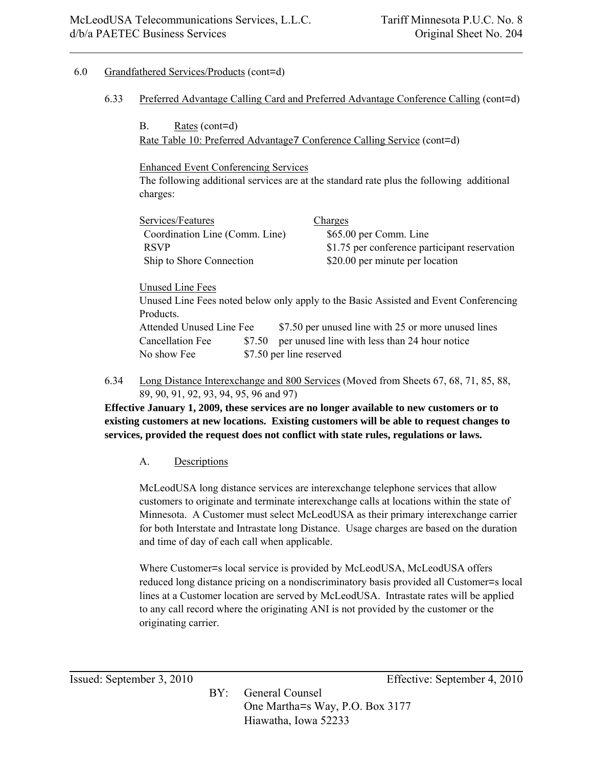6.33 Preferred Advantage Calling Card and Preferred Advantage Conference Calling (cont=d)

B. Rates (cont=d) Rate Table 10: Preferred Advantage7 Conference Calling Service (cont=d)

 $\mathcal{L}_\mathcal{L} = \{ \mathcal{L}_\mathcal{L} = \{ \mathcal{L}_\mathcal{L} = \{ \mathcal{L}_\mathcal{L} = \{ \mathcal{L}_\mathcal{L} = \{ \mathcal{L}_\mathcal{L} = \{ \mathcal{L}_\mathcal{L} = \{ \mathcal{L}_\mathcal{L} = \{ \mathcal{L}_\mathcal{L} = \{ \mathcal{L}_\mathcal{L} = \{ \mathcal{L}_\mathcal{L} = \{ \mathcal{L}_\mathcal{L} = \{ \mathcal{L}_\mathcal{L} = \{ \mathcal{L}_\mathcal{L} = \{ \mathcal{L}_\mathcal{$ 

Enhanced Event Conferencing Services

The following additional services are at the standard rate plus the following additional charges:

| Services/Features              | Charges                                       |
|--------------------------------|-----------------------------------------------|
| Coordination Line (Comm. Line) | \$65.00 per Comm. Line                        |
| <b>RSVP</b>                    | \$1.75 per conference participant reservation |
| Ship to Shore Connection       | \$20.00 per minute per location               |

Unused Line Fees Unused Line Fees noted below only apply to the Basic Assisted and Event Conferencing Products. Attended Unused Line Fee \$7.50 per unused line with 25 or more unused lines Cancellation Fee  $$7.50$  per unused line with less than 24 hour notice No show Fee  $$7.50$  per line reserved

6.34 Long Distance Interexchange and 800 Services (Moved from Sheets 67, 68, 71, 85, 88, 89, 90, 91, 92, 93, 94, 95, 96 and 97)

**Effective January 1, 2009, these services are no longer available to new customers or to existing customers at new locations. Existing customers will be able to request changes to services, provided the request does not conflict with state rules, regulations or laws.**

A. Descriptions

McLeodUSA long distance services are interexchange telephone services that allow customers to originate and terminate interexchange calls at locations within the state of Minnesota. A Customer must select McLeodUSA as their primary interexchange carrier for both Interstate and Intrastate long Distance. Usage charges are based on the duration and time of day of each call when applicable.

Where Customer=s local service is provided by McLeodUSA, McLeodUSA offers reduced long distance pricing on a nondiscriminatory basis provided all Customer=s local lines at a Customer location are served by McLeodUSA. Intrastate rates will be applied to any call record where the originating ANI is not provided by the customer or the originating carrier.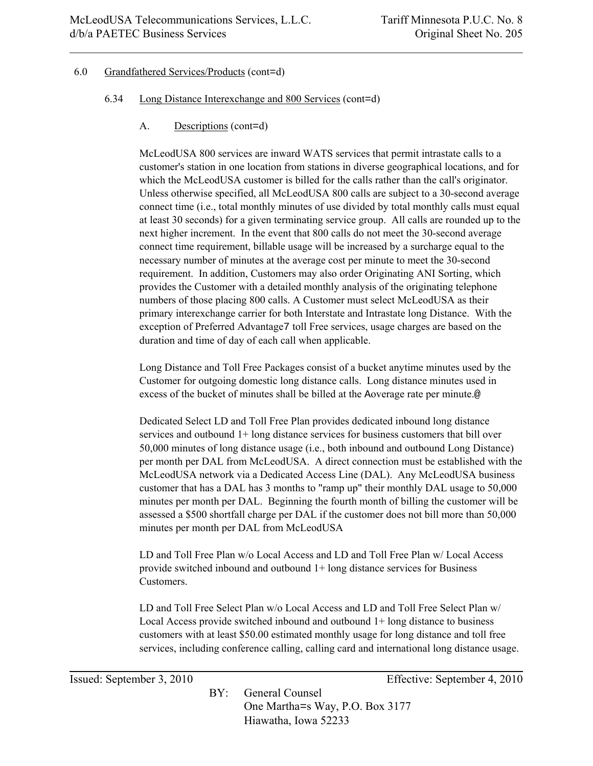## 6.34 Long Distance Interexchange and 800 Services (cont=d)

 $\mathcal{L}_\mathcal{L} = \{ \mathcal{L}_\mathcal{L} = \{ \mathcal{L}_\mathcal{L} = \{ \mathcal{L}_\mathcal{L} = \{ \mathcal{L}_\mathcal{L} = \{ \mathcal{L}_\mathcal{L} = \{ \mathcal{L}_\mathcal{L} = \{ \mathcal{L}_\mathcal{L} = \{ \mathcal{L}_\mathcal{L} = \{ \mathcal{L}_\mathcal{L} = \{ \mathcal{L}_\mathcal{L} = \{ \mathcal{L}_\mathcal{L} = \{ \mathcal{L}_\mathcal{L} = \{ \mathcal{L}_\mathcal{L} = \{ \mathcal{L}_\mathcal{$ 

A. Descriptions (cont=d)

McLeodUSA 800 services are inward WATS services that permit intrastate calls to a customer's station in one location from stations in diverse geographical locations, and for which the McLeodUSA customer is billed for the calls rather than the call's originator. Unless otherwise specified, all McLeodUSA 800 calls are subject to a 30-second average connect time (i.e., total monthly minutes of use divided by total monthly calls must equal at least 30 seconds) for a given terminating service group. All calls are rounded up to the next higher increment. In the event that 800 calls do not meet the 30-second average connect time requirement, billable usage will be increased by a surcharge equal to the necessary number of minutes at the average cost per minute to meet the 30-second requirement. In addition, Customers may also order Originating ANI Sorting, which provides the Customer with a detailed monthly analysis of the originating telephone numbers of those placing 800 calls. A Customer must select McLeodUSA as their primary interexchange carrier for both Interstate and Intrastate long Distance. With the exception of Preferred Advantage7 toll Free services, usage charges are based on the duration and time of day of each call when applicable.

Long Distance and Toll Free Packages consist of a bucket anytime minutes used by the Customer for outgoing domestic long distance calls. Long distance minutes used in excess of the bucket of minutes shall be billed at the Aoverage rate per minute.@

Dedicated Select LD and Toll Free Plan provides dedicated inbound long distance services and outbound 1+ long distance services for business customers that bill over 50,000 minutes of long distance usage (i.e., both inbound and outbound Long Distance) per month per DAL from McLeodUSA. A direct connection must be established with the McLeodUSA network via a Dedicated Access Line (DAL). Any McLeodUSA business customer that has a DAL has 3 months to "ramp up" their monthly DAL usage to 50,000 minutes per month per DAL. Beginning the fourth month of billing the customer will be assessed a \$500 shortfall charge per DAL if the customer does not bill more than 50,000 minutes per month per DAL from McLeodUSA

LD and Toll Free Plan w/o Local Access and LD and Toll Free Plan w/ Local Access provide switched inbound and outbound 1+ long distance services for Business Customers.

LD and Toll Free Select Plan w/o Local Access and LD and Toll Free Select Plan w/ Local Access provide switched inbound and outbound 1+ long distance to business customers with at least \$50.00 estimated monthly usage for long distance and toll free services, including conference calling, calling card and international long distance usage.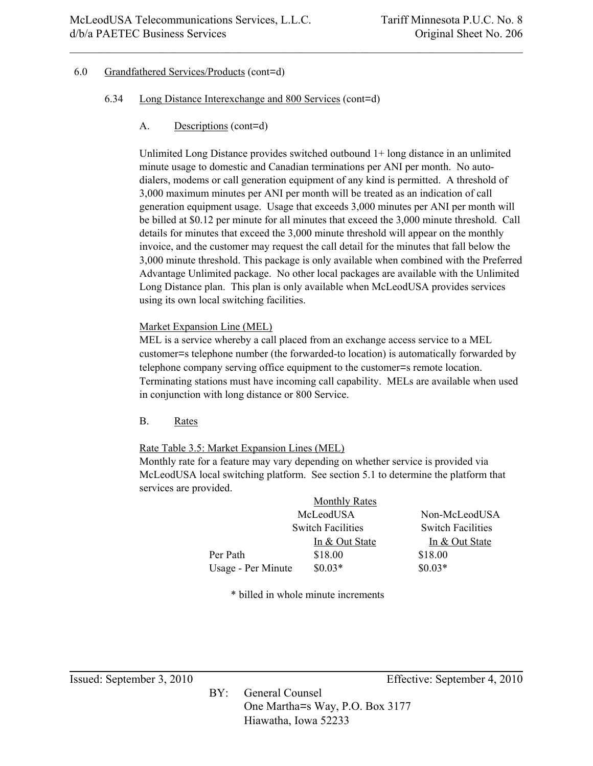## 6.34 Long Distance Interexchange and 800 Services (cont=d)

 $\mathcal{L}_\mathcal{L} = \{ \mathcal{L}_\mathcal{L} = \{ \mathcal{L}_\mathcal{L} = \{ \mathcal{L}_\mathcal{L} = \{ \mathcal{L}_\mathcal{L} = \{ \mathcal{L}_\mathcal{L} = \{ \mathcal{L}_\mathcal{L} = \{ \mathcal{L}_\mathcal{L} = \{ \mathcal{L}_\mathcal{L} = \{ \mathcal{L}_\mathcal{L} = \{ \mathcal{L}_\mathcal{L} = \{ \mathcal{L}_\mathcal{L} = \{ \mathcal{L}_\mathcal{L} = \{ \mathcal{L}_\mathcal{L} = \{ \mathcal{L}_\mathcal{$ 

A. Descriptions (cont=d)

Unlimited Long Distance provides switched outbound 1+ long distance in an unlimited minute usage to domestic and Canadian terminations per ANI per month. No autodialers, modems or call generation equipment of any kind is permitted. A threshold of 3,000 maximum minutes per ANI per month will be treated as an indication of call generation equipment usage. Usage that exceeds 3,000 minutes per ANI per month will be billed at \$0.12 per minute for all minutes that exceed the 3,000 minute threshold. Call details for minutes that exceed the 3,000 minute threshold will appear on the monthly invoice, and the customer may request the call detail for the minutes that fall below the 3,000 minute threshold. This package is only available when combined with the Preferred Advantage Unlimited package. No other local packages are available with the Unlimited Long Distance plan. This plan is only available when McLeodUSA provides services using its own local switching facilities.

#### Market Expansion Line (MEL)

MEL is a service whereby a call placed from an exchange access service to a MEL customer=s telephone number (the forwarded-to location) is automatically forwarded by telephone company serving office equipment to the customer=s remote location. Terminating stations must have incoming call capability. MELs are available when used in conjunction with long distance or 800 Service.

B. Rates

# Rate Table 3.5: Market Expansion Lines (MEL)

Monthly rate for a feature may vary depending on whether service is provided via McLeodUSA local switching platform. See section 5.1 to determine the platform that services are provided.

|                    | <b>Monthly Rates</b>     |                          |
|--------------------|--------------------------|--------------------------|
|                    | McLeodUSA                | Non-McLeodUSA            |
|                    | <b>Switch Facilities</b> | <b>Switch Facilities</b> |
|                    | In & Out State           | In & Out State           |
| Per Path           | \$18.00                  | \$18.00                  |
| Usage - Per Minute | $$0.03*$                 | $$0.03*$                 |

\* billed in whole minute increments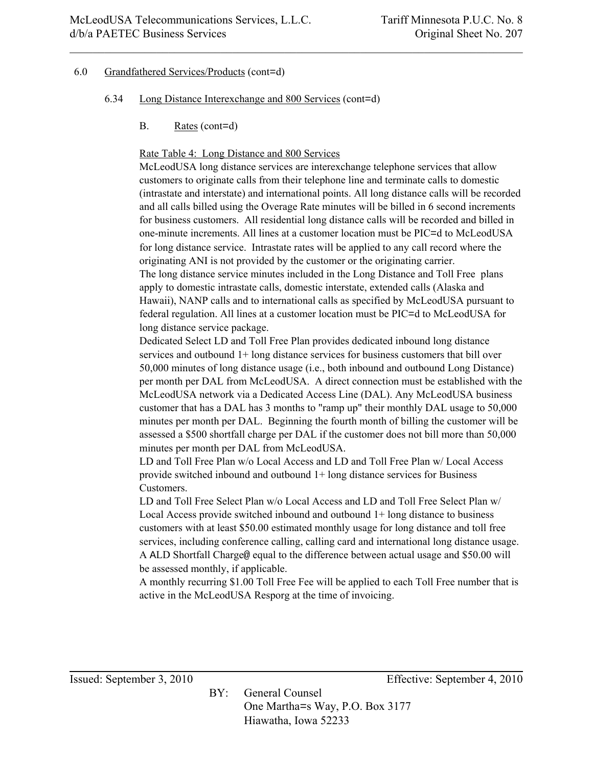## 6.34 Long Distance Interexchange and 800 Services (cont=d)

 $\mathcal{L}_\mathcal{L} = \{ \mathcal{L}_\mathcal{L} = \{ \mathcal{L}_\mathcal{L} = \{ \mathcal{L}_\mathcal{L} = \{ \mathcal{L}_\mathcal{L} = \{ \mathcal{L}_\mathcal{L} = \{ \mathcal{L}_\mathcal{L} = \{ \mathcal{L}_\mathcal{L} = \{ \mathcal{L}_\mathcal{L} = \{ \mathcal{L}_\mathcal{L} = \{ \mathcal{L}_\mathcal{L} = \{ \mathcal{L}_\mathcal{L} = \{ \mathcal{L}_\mathcal{L} = \{ \mathcal{L}_\mathcal{L} = \{ \mathcal{L}_\mathcal{$ 

B. Rates (cont=d)

## Rate Table 4: Long Distance and 800 Services

McLeodUSA long distance services are interexchange telephone services that allow customers to originate calls from their telephone line and terminate calls to domestic (intrastate and interstate) and international points. All long distance calls will be recorded and all calls billed using the Overage Rate minutes will be billed in 6 second increments for business customers. All residential long distance calls will be recorded and billed in one-minute increments. All lines at a customer location must be PIC=d to McLeodUSA for long distance service. Intrastate rates will be applied to any call record where the originating ANI is not provided by the customer or the originating carrier. The long distance service minutes included in the Long Distance and Toll Free plans apply to domestic intrastate calls, domestic interstate, extended calls (Alaska and Hawaii), NANP calls and to international calls as specified by McLeodUSA pursuant to federal regulation. All lines at a customer location must be PIC=d to McLeodUSA for long distance service package.

Dedicated Select LD and Toll Free Plan provides dedicated inbound long distance services and outbound 1+ long distance services for business customers that bill over 50,000 minutes of long distance usage (i.e., both inbound and outbound Long Distance) per month per DAL from McLeodUSA. A direct connection must be established with the McLeodUSA network via a Dedicated Access Line (DAL). Any McLeodUSA business customer that has a DAL has 3 months to "ramp up" their monthly DAL usage to 50,000 minutes per month per DAL. Beginning the fourth month of billing the customer will be assessed a \$500 shortfall charge per DAL if the customer does not bill more than 50,000 minutes per month per DAL from McLeodUSA.

LD and Toll Free Plan w/o Local Access and LD and Toll Free Plan w/ Local Access provide switched inbound and outbound 1+ long distance services for Business Customers.

LD and Toll Free Select Plan w/o Local Access and LD and Toll Free Select Plan w/ Local Access provide switched inbound and outbound 1+ long distance to business customers with at least \$50.00 estimated monthly usage for long distance and toll free services, including conference calling, calling card and international long distance usage. A ALD Shortfall Charge@ equal to the difference between actual usage and \$50.00 will be assessed monthly, if applicable.

A monthly recurring \$1.00 Toll Free Fee will be applied to each Toll Free number that is active in the McLeodUSA Resporg at the time of invoicing.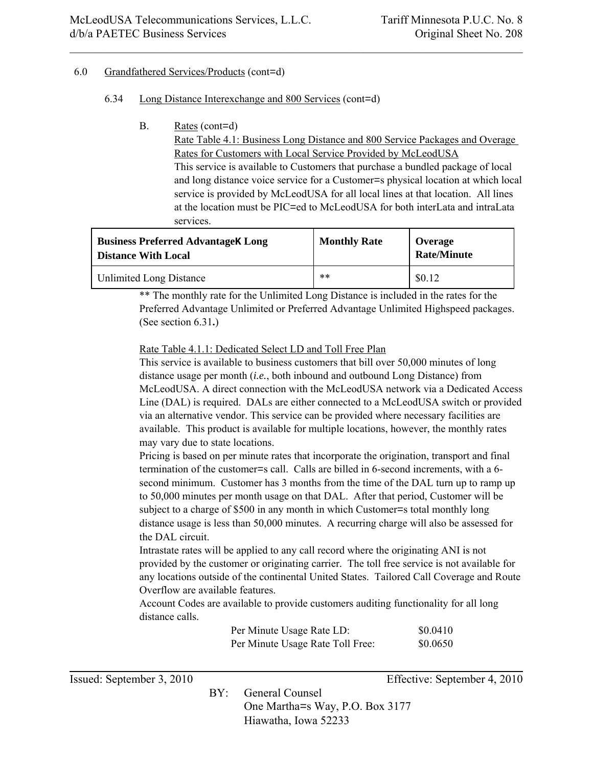#### 6.34 Long Distance Interexchange and 800 Services (cont=d)

B. Rates (cont=d) Rate Table 4.1: Business Long Distance and 800 Service Packages and Overage Rates for Customers with Local Service Provided by McLeodUSA This service is available to Customers that purchase a bundled package of local and long distance voice service for a Customer=s physical location at which local service is provided by McLeodUSA for all local lines at that location. All lines at the location must be PIC=ed to McLeodUSA for both interLata and intraLata services.

| <b>Business Preferred AdvantageK Long</b><br><b>Distance With Local</b> | <b>Monthly Rate</b> | Overage<br><b>Rate/Minute</b> |
|-------------------------------------------------------------------------|---------------------|-------------------------------|
| <b>Unlimited Long Distance</b>                                          | $**$                | \$0.12                        |

 $\mathcal{L}_\mathcal{L} = \{ \mathcal{L}_\mathcal{L} = \{ \mathcal{L}_\mathcal{L} = \{ \mathcal{L}_\mathcal{L} = \{ \mathcal{L}_\mathcal{L} = \{ \mathcal{L}_\mathcal{L} = \{ \mathcal{L}_\mathcal{L} = \{ \mathcal{L}_\mathcal{L} = \{ \mathcal{L}_\mathcal{L} = \{ \mathcal{L}_\mathcal{L} = \{ \mathcal{L}_\mathcal{L} = \{ \mathcal{L}_\mathcal{L} = \{ \mathcal{L}_\mathcal{L} = \{ \mathcal{L}_\mathcal{L} = \{ \mathcal{L}_\mathcal{$ 

\*\* The monthly rate for the Unlimited Long Distance is included in the rates for the Preferred Advantage Unlimited or Preferred Advantage Unlimited Highspeed packages. (See section 6.31**.**)

Rate Table 4.1.1: Dedicated Select LD and Toll Free Plan

This service is available to business customers that bill over 50,000 minutes of long distance usage per month (*i.e.*, both inbound and outbound Long Distance) from McLeodUSA. A direct connection with the McLeodUSA network via a Dedicated Access Line (DAL) is required. DALs are either connected to a McLeodUSA switch or provided via an alternative vendor. This service can be provided where necessary facilities are available. This product is available for multiple locations, however, the monthly rates may vary due to state locations.

Pricing is based on per minute rates that incorporate the origination, transport and final termination of the customer=s call. Calls are billed in 6-second increments, with a 6 second minimum. Customer has 3 months from the time of the DAL turn up to ramp up to 50,000 minutes per month usage on that DAL. After that period, Customer will be subject to a charge of \$500 in any month in which Customer=s total monthly long distance usage is less than 50,000 minutes. A recurring charge will also be assessed for the DAL circuit.

Intrastate rates will be applied to any call record where the originating ANI is not provided by the customer or originating carrier. The toll free service is not available for any locations outside of the continental United States. Tailored Call Coverage and Route Overflow are available features.

Account Codes are available to provide customers auditing functionality for all long distance calls.

| Per Minute Usage Rate LD:        | \$0.0410 |
|----------------------------------|----------|
| Per Minute Usage Rate Toll Free: | \$0.0650 |

Issued: September 3, 2010 Effective: September 4, 2010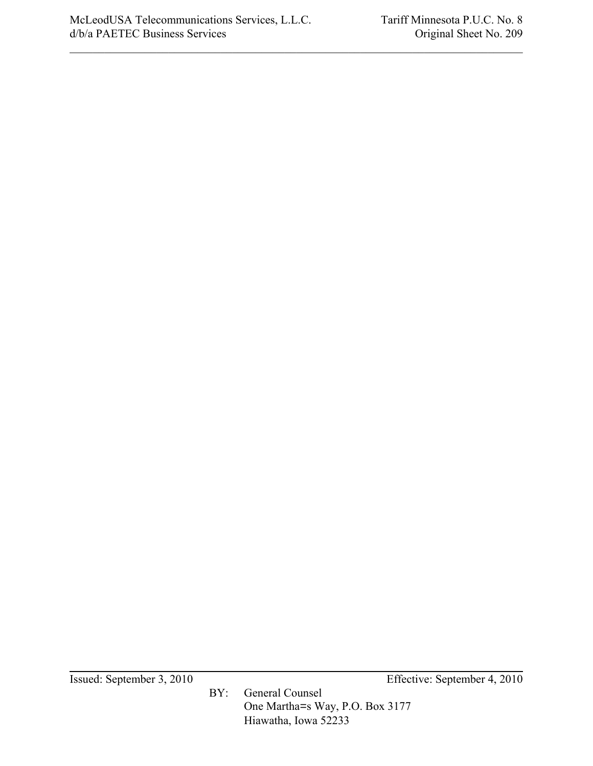$\mathcal{L}_\mathcal{L} = \{ \mathcal{L}_\mathcal{L} = \{ \mathcal{L}_\mathcal{L} = \{ \mathcal{L}_\mathcal{L} = \{ \mathcal{L}_\mathcal{L} = \{ \mathcal{L}_\mathcal{L} = \{ \mathcal{L}_\mathcal{L} = \{ \mathcal{L}_\mathcal{L} = \{ \mathcal{L}_\mathcal{L} = \{ \mathcal{L}_\mathcal{L} = \{ \mathcal{L}_\mathcal{L} = \{ \mathcal{L}_\mathcal{L} = \{ \mathcal{L}_\mathcal{L} = \{ \mathcal{L}_\mathcal{L} = \{ \mathcal{L}_\mathcal{$ 

Issued: September 3, 2010 Effective: September 4, 2010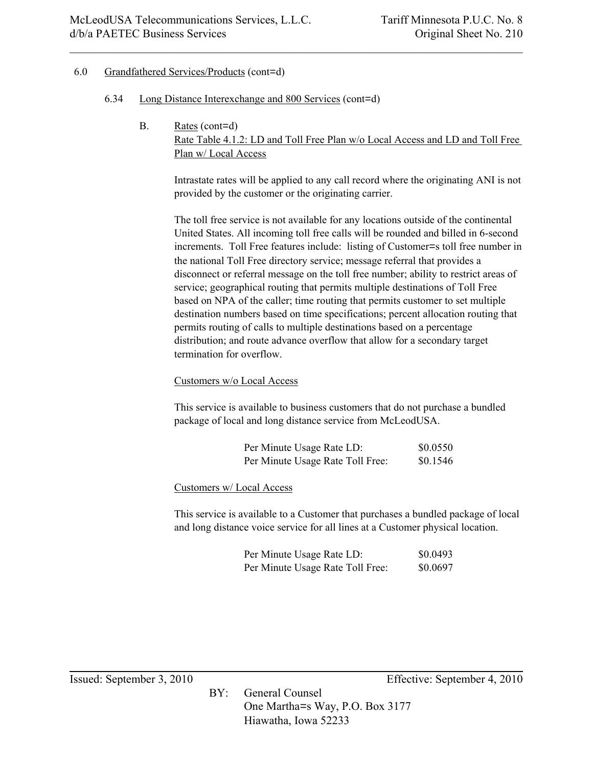- 6.34 Long Distance Interexchange and 800 Services (cont=d)
	- B. Rates (cont=d) Rate Table 4.1.2: LD and Toll Free Plan w/o Local Access and LD and Toll Free Plan w/ Local Access

 $\mathcal{L}_\mathcal{L} = \{ \mathcal{L}_\mathcal{L} = \{ \mathcal{L}_\mathcal{L} = \{ \mathcal{L}_\mathcal{L} = \{ \mathcal{L}_\mathcal{L} = \{ \mathcal{L}_\mathcal{L} = \{ \mathcal{L}_\mathcal{L} = \{ \mathcal{L}_\mathcal{L} = \{ \mathcal{L}_\mathcal{L} = \{ \mathcal{L}_\mathcal{L} = \{ \mathcal{L}_\mathcal{L} = \{ \mathcal{L}_\mathcal{L} = \{ \mathcal{L}_\mathcal{L} = \{ \mathcal{L}_\mathcal{L} = \{ \mathcal{L}_\mathcal{$ 

Intrastate rates will be applied to any call record where the originating ANI is not provided by the customer or the originating carrier.

The toll free service is not available for any locations outside of the continental United States. All incoming toll free calls will be rounded and billed in 6-second increments. Toll Free features include: listing of Customer=s toll free number in the national Toll Free directory service; message referral that provides a disconnect or referral message on the toll free number; ability to restrict areas of service; geographical routing that permits multiple destinations of Toll Free based on NPA of the caller; time routing that permits customer to set multiple destination numbers based on time specifications; percent allocation routing that permits routing of calls to multiple destinations based on a percentage distribution; and route advance overflow that allow for a secondary target termination for overflow.

#### Customers w/o Local Access

This service is available to business customers that do not purchase a bundled package of local and long distance service from McLeodUSA.

| Per Minute Usage Rate LD:        | \$0.0550 |
|----------------------------------|----------|
| Per Minute Usage Rate Toll Free: | \$0.1546 |

#### Customers w/ Local Access

This service is available to a Customer that purchases a bundled package of local and long distance voice service for all lines at a Customer physical location.

| Per Minute Usage Rate LD:        | \$0.0493 |
|----------------------------------|----------|
| Per Minute Usage Rate Toll Free: | \$0.0697 |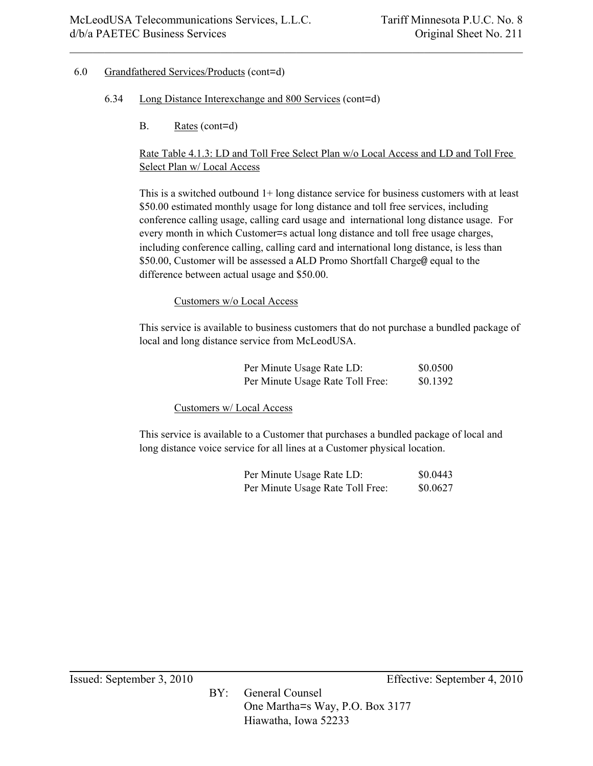## 6.34 Long Distance Interexchange and 800 Services (cont=d)

B. Rates (cont=d)

Rate Table 4.1.3: LD and Toll Free Select Plan w/o Local Access and LD and Toll Free Select Plan w/ Local Access

 $\mathcal{L}_\mathcal{L} = \{ \mathcal{L}_\mathcal{L} = \{ \mathcal{L}_\mathcal{L} = \{ \mathcal{L}_\mathcal{L} = \{ \mathcal{L}_\mathcal{L} = \{ \mathcal{L}_\mathcal{L} = \{ \mathcal{L}_\mathcal{L} = \{ \mathcal{L}_\mathcal{L} = \{ \mathcal{L}_\mathcal{L} = \{ \mathcal{L}_\mathcal{L} = \{ \mathcal{L}_\mathcal{L} = \{ \mathcal{L}_\mathcal{L} = \{ \mathcal{L}_\mathcal{L} = \{ \mathcal{L}_\mathcal{L} = \{ \mathcal{L}_\mathcal{$ 

This is a switched outbound 1+ long distance service for business customers with at least \$50.00 estimated monthly usage for long distance and toll free services, including conference calling usage, calling card usage and international long distance usage. For every month in which Customer=s actual long distance and toll free usage charges, including conference calling, calling card and international long distance, is less than \$50.00, Customer will be assessed a ALD Promo Shortfall Charge@ equal to the difference between actual usage and \$50.00.

#### Customers w/o Local Access

This service is available to business customers that do not purchase a bundled package of local and long distance service from McLeodUSA.

| Per Minute Usage Rate LD:        | \$0.0500 |
|----------------------------------|----------|
| Per Minute Usage Rate Toll Free: | \$0.1392 |

# Customers w/ Local Access

This service is available to a Customer that purchases a bundled package of local and long distance voice service for all lines at a Customer physical location.

| Per Minute Usage Rate LD:        | \$0.0443 |
|----------------------------------|----------|
| Per Minute Usage Rate Toll Free: | \$0.0627 |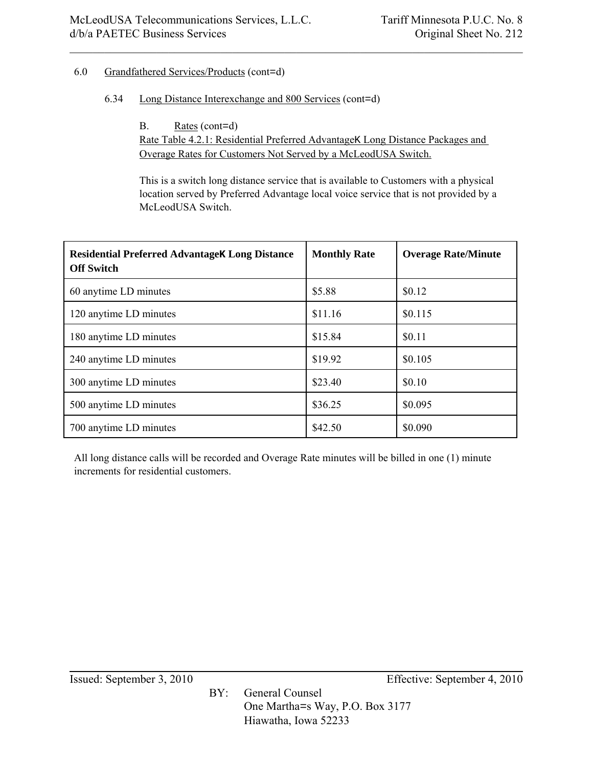# 6.34 Long Distance Interexchange and 800 Services (cont=d)

B. Rates (cont=d)

Rate Table 4.2.1: Residential Preferred AdvantageK Long Distance Packages and Overage Rates for Customers Not Served by a McLeodUSA Switch.

 $\mathcal{L}_\mathcal{L} = \{ \mathcal{L}_\mathcal{L} = \{ \mathcal{L}_\mathcal{L} = \{ \mathcal{L}_\mathcal{L} = \{ \mathcal{L}_\mathcal{L} = \{ \mathcal{L}_\mathcal{L} = \{ \mathcal{L}_\mathcal{L} = \{ \mathcal{L}_\mathcal{L} = \{ \mathcal{L}_\mathcal{L} = \{ \mathcal{L}_\mathcal{L} = \{ \mathcal{L}_\mathcal{L} = \{ \mathcal{L}_\mathcal{L} = \{ \mathcal{L}_\mathcal{L} = \{ \mathcal{L}_\mathcal{L} = \{ \mathcal{L}_\mathcal{$ 

This is a switch long distance service that is available to Customers with a physical location served by Preferred Advantage local voice service that is not provided by a McLeodUSA Switch.

| <b>Residential Preferred Advantagek Long Distance</b><br><b>Off Switch</b> | <b>Monthly Rate</b> | <b>Overage Rate/Minute</b> |
|----------------------------------------------------------------------------|---------------------|----------------------------|
| 60 anytime LD minutes                                                      | \$5.88              | \$0.12                     |
| 120 anytime LD minutes                                                     | \$11.16             | \$0.115                    |
| 180 anytime LD minutes                                                     | \$15.84             | \$0.11                     |
| 240 anytime LD minutes                                                     | \$19.92             | \$0.105                    |
| 300 anytime LD minutes                                                     | \$23.40             | \$0.10                     |
| 500 anytime LD minutes                                                     | \$36.25             | \$0.095                    |
| 700 anytime LD minutes                                                     | \$42.50             | \$0.090                    |

All long distance calls will be recorded and Overage Rate minutes will be billed in one (1) minute increments for residential customers.

Issued: September 3, 2010 Effective: September 4, 2010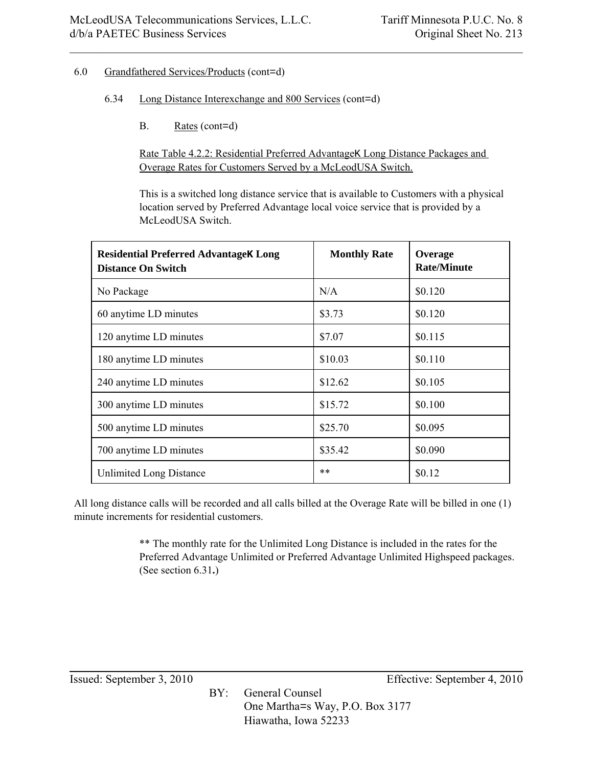# 6.34 Long Distance Interexchange and 800 Services (cont=d)

B. Rates (cont=d)

Rate Table 4.2.2: Residential Preferred AdvantageK Long Distance Packages and Overage Rates for Customers Served by a McLeodUSA Switch.

 $\mathcal{L}_\mathcal{L} = \{ \mathcal{L}_\mathcal{L} = \{ \mathcal{L}_\mathcal{L} = \{ \mathcal{L}_\mathcal{L} = \{ \mathcal{L}_\mathcal{L} = \{ \mathcal{L}_\mathcal{L} = \{ \mathcal{L}_\mathcal{L} = \{ \mathcal{L}_\mathcal{L} = \{ \mathcal{L}_\mathcal{L} = \{ \mathcal{L}_\mathcal{L} = \{ \mathcal{L}_\mathcal{L} = \{ \mathcal{L}_\mathcal{L} = \{ \mathcal{L}_\mathcal{L} = \{ \mathcal{L}_\mathcal{L} = \{ \mathcal{L}_\mathcal{$ 

This is a switched long distance service that is available to Customers with a physical location served by Preferred Advantage local voice service that is provided by a McLeodUSA Switch.

| <b>Residential Preferred Advantagek Long</b><br><b>Distance On Switch</b> | <b>Monthly Rate</b> | Overage<br><b>Rate/Minute</b> |
|---------------------------------------------------------------------------|---------------------|-------------------------------|
| No Package                                                                | N/A                 | \$0.120                       |
| 60 anytime LD minutes                                                     | \$3.73              | \$0.120                       |
| 120 anytime LD minutes                                                    | \$7.07              | \$0.115                       |
| 180 anytime LD minutes                                                    | \$10.03             | \$0.110                       |
| 240 anytime LD minutes                                                    | \$12.62             | \$0.105                       |
| 300 anytime LD minutes                                                    | \$15.72             | \$0.100                       |
| 500 anytime LD minutes                                                    | \$25.70             | \$0.095                       |
| 700 anytime LD minutes                                                    | \$35.42             | \$0.090                       |
| <b>Unlimited Long Distance</b>                                            | $***$               | \$0.12                        |

All long distance calls will be recorded and all calls billed at the Overage Rate will be billed in one (1) minute increments for residential customers.

> \*\* The monthly rate for the Unlimited Long Distance is included in the rates for the Preferred Advantage Unlimited or Preferred Advantage Unlimited Highspeed packages. (See section 6.31**.**)

Issued: September 3, 2010 Effective: September 4, 2010